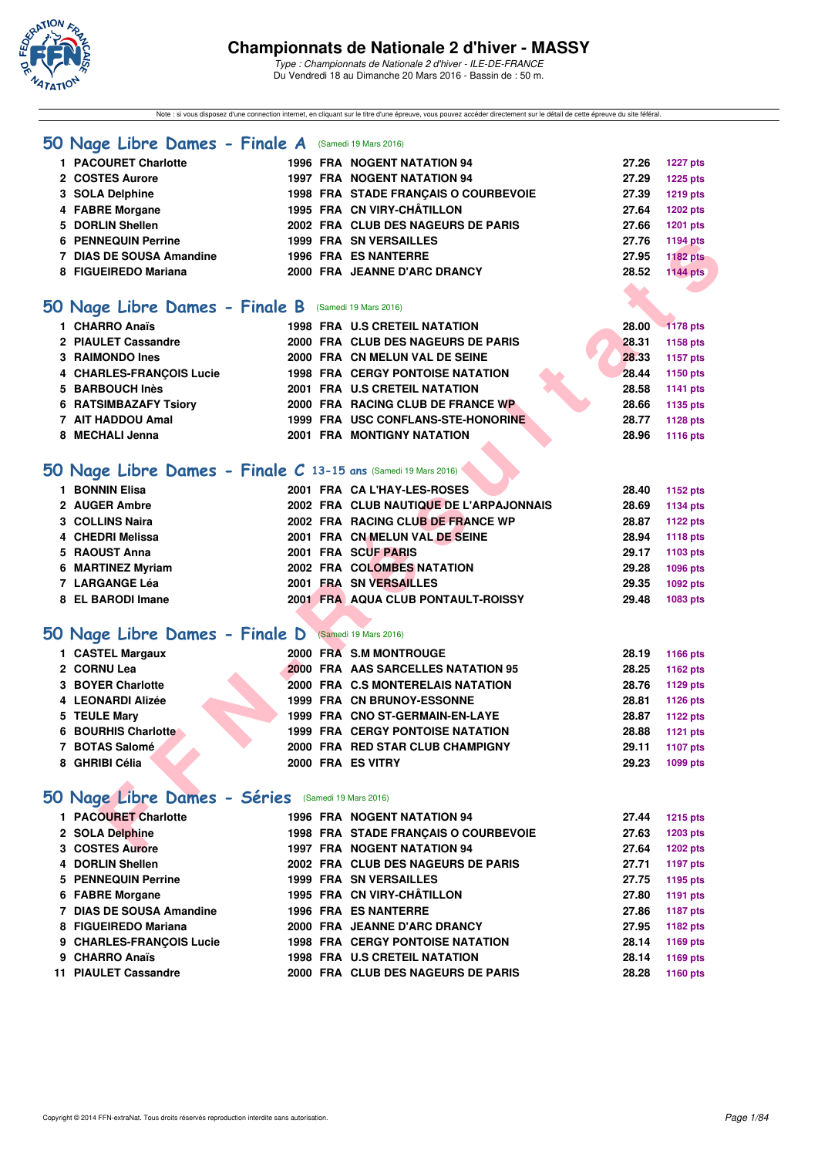

Note : si vous disposez d'une connection internet, en cliquant sur le titre d'une épreuve, vous pouvez accéder directement sur le détail de cette épreuve du site féféral.

|  |  |  |  |  |  |  | 50 Nage Libre Dames - Finale A (Samedi 19 Mars 2016) |
|--|--|--|--|--|--|--|------------------------------------------------------|
|--|--|--|--|--|--|--|------------------------------------------------------|

| 1 PACOURET Charlotte       |  | <b>1996 FRA NOGENT NATATION 94</b>   | 27.26           | <b>1227 pts</b> |
|----------------------------|--|--------------------------------------|-----------------|-----------------|
| 2 COSTES Aurore            |  | <b>1997 FRA NOGENT NATATION 94</b>   | 27.29           | 1225 pts        |
| 3 SOLA Delphine            |  | 1998 FRA STADE FRANCAIS O COURBEVOIE | 27.39           | 1219 pts        |
| 4 FABRE Morgane            |  | 1995 FRA CN VIRY-CHÂTILLON           | 27.64           | 1202 pts        |
| 5 DORLIN Shellen           |  | 2002 FRA CLUB DES NAGEURS DE PARIS   | 27.66           | 1201 pts        |
| <b>6 PENNEQUIN Perrine</b> |  | <b>1999 FRA SN VERSAILLES</b>        | 27.76           | 1194 pts        |
| 7 DIAS DE SOUSA Amandine   |  | <b>1996 FRA ES NANTERRE</b>          | 27.95           | <b>1182 pts</b> |
| 8 FIGUEIREDO Mariana       |  | 2000 FRA JEANNE D'ARC DRANCY         | 28.52           | <b>1144 pts</b> |
|                            |  |                                      | <b>ALCOHOL:</b> |                 |

### **[50 Nage Libre Dames - Finale B](http://www.ffnatation.fr/webffn/resultats.php?idact=nat&go=epr&idcpt=37307&idepr=1)** (Samedi 19 Mars 2016)

| 1 CHARRO Anaïs               |  | <b>1998 FRA U.S CRETEIL NATATION</b>    |  | 28.00 | $-1178$ pts |
|------------------------------|--|-----------------------------------------|--|-------|-------------|
| 2 PIAULET Cassandre          |  | 2000 FRA CLUB DES NAGEURS DE PARIS      |  | 28.31 | 1158 pts    |
| 3 RAIMONDO Ines              |  | 2000 FRA CN MELUN VAL DE SEINE          |  | 28.33 | 1157 pts    |
| 4 CHARLES-FRANCOIS Lucie     |  | <b>1998 FRA CERGY PONTOISE NATATION</b> |  | 28.44 | 1150 pts    |
| 5 BARBOUCH Inès              |  | 2001 FRA U.S CRETEIL NATATION           |  | 28.58 | 1141 pts    |
| <b>6 RATSIMBAZAFY Tsiory</b> |  | 2000 FRA RACING CLUB DE FRANCE WP       |  | 28.66 | 1135 pts    |
| 7 AIT HADDOU Amal            |  | 1999 FRA USC CONFLANS-STE-HONORINE      |  | 28.77 | 1128 pts    |
| 8 MECHALI Jenna              |  | <b>2001 FRA MONTIGNY NATATION</b>       |  | 28.96 | 1116 pts    |

### **[50 Nage Libre Dames - Finale C](http://www.ffnatation.fr/webffn/resultats.php?idact=nat&go=epr&idcpt=37307&idepr=1) 13-15 ans** (Samedi 19 Mars 2016)

| <b>PENNEQUIN Perrine</b>                                      |  | 1999 FRA SN VERSAILLES                  | 27.76 | 1194 pts        |
|---------------------------------------------------------------|--|-----------------------------------------|-------|-----------------|
| 7 DIAS DE SOUSA Amandine                                      |  | <b>1996 FRA ES NANTERRE</b>             | 27.95 | <b>1182 pts</b> |
| 8 FIGUEIREDO Mariana                                          |  | 2000 FRA JEANNE D'ARC DRANCY            | 28.52 | <b>1144 pts</b> |
|                                                               |  |                                         |       |                 |
| O Nage Libre Dames - Finale B (Samedi 19 Mars 2016)           |  |                                         |       |                 |
| 1 CHARRO Anaïs                                                |  | <b>1998 FRA U.S CRETEIL NATATION</b>    | 28.00 | <b>1178 pts</b> |
| 2 PIAULET Cassandre                                           |  | 2000 FRA CLUB DES NAGEURS DE PARIS      | 28.31 | 1158 pts        |
| 3 RAIMONDO Ines                                               |  | 2000 FRA CN MELUN VAL DE SEINE          | 28.33 | 1157 pts        |
| 4 CHARLES-FRANÇOIS Lucie                                      |  | <b>1998 FRA CERGY PONTOISE NATATION</b> | 28.44 | 1150 pts        |
| 5 BARBOUCH Inès                                               |  | 2001 FRA U.S CRETEIL NATATION           | 28.58 | 1141 pts        |
| <b>6 RATSIMBAZAFY Tsiory</b>                                  |  | 2000 FRA RACING CLUB DE FRANCE WP       | 28.66 | 1135 pts        |
| 7 AIT HADDOU Amal                                             |  | 1999 FRA USC CONFLANS-STE-HONORINE      | 28.77 | <b>1128 pts</b> |
| 8 MECHALI Jenna                                               |  | <b>2001 FRA MONTIGNY NATATION</b>       | 28.96 | 1116 pts        |
|                                                               |  |                                         |       |                 |
| O Nage Libre Dames - Finale C 13-15 ans (Samedi 19 Mars 2016) |  |                                         |       |                 |
| 1 BONNIN Elisa                                                |  | 2001 FRA CA L'HAY-LES-ROSES             | 28.40 | 1152 pts        |
| 2 AUGER Ambre                                                 |  | 2002 FRA CLUB NAUTIQUE DE L'ARPAJONNAIS | 28.69 | 1134 pts        |
| 3 COLLINS Naira                                               |  | 2002 FRA RACING CLUB DE FRANCE WP       | 28.87 | 1122 pts        |
| 4 CHEDRI Melissa                                              |  | 2001 FRA CN MELUN VAL DE SEINE          | 28.94 | <b>1118 pts</b> |
| 5 RAOUST Anna                                                 |  | 2001 FRA SCUF PARIS                     | 29.17 | 1103 pts        |
| 6 MARTINEZ Myriam                                             |  | 2002 FRA COLOMBES NATATION              | 29.28 | 1096 pts        |
| 7 LARGANGE Léa                                                |  | 2001 FRA SN VERSAILLES                  | 29.35 | 1092 pts        |
| 8 EL BARODI Imane                                             |  | 2001 FRA AQUA CLUB PONTAULT-ROISSY      | 29.48 | 1083 pts        |
|                                                               |  |                                         |       |                 |
| O Nage Libre Dames - Finale D (Samedi 19 Mars 2016)           |  |                                         |       |                 |
| 1 CASTEL Margaux                                              |  | 2000 FRA S.M MONTROUGE                  | 28.19 | 1166 pts        |
| 2 CORNU Lea                                                   |  | 2000 FRA AAS SARCELLES NATATION 95      | 28.25 | 1162 pts        |
| 3 BOYER Charlotte                                             |  | 2000 FRA C.S MONTERELAIS NATATION       | 28.76 | 1129 pts        |
| 4 LEONARDI Alizée                                             |  | 1999 FRA CN BRUNOY-ESSONNE              | 28.81 | 1126 pts        |
| 5 TEULE Mary                                                  |  | 1999 FRA CNO ST-GERMAIN-EN-LAYE         | 28.87 | 1122 pts        |
| 6 BOURHIS Charlotte                                           |  | 1999 FRA CERGY PONTOISE NATATION        | 28.88 | <b>1121 pts</b> |
| 7 BOTAS Salomé                                                |  | 2000 FRA RED STAR CLUB CHAMPIGNY        | 29.11 | 1107 pts        |
| 8 GHRIBI Célia                                                |  | 2000 FRA ES VITRY                       | 29.23 | 1099 pts        |
|                                                               |  |                                         |       |                 |
| O Nage Libre Dames - Séries (Samedi 19 Mars 2016)             |  |                                         |       |                 |
| 1 PACOURET Charlotte                                          |  | <b>1996 FRA NOGENT NATATION 94</b>      | 27.44 | <b>1215 pts</b> |
| 2 SOLA Delphine                                               |  | 1998 FRA STADE FRANÇAIS O COURBEVOIE    | 27.63 | 1203 pts        |
| 3 COSTES Aurore                                               |  | <b>1997 FRA NOGENT NATATION 94</b>      | 27.64 | <b>1202 pts</b> |

## **[50 Nage Libre Dames - Finale D](http://www.ffnatation.fr/webffn/resultats.php?idact=nat&go=epr&idcpt=37307&idepr=1)** (Samedi 19 Mars 2016)

| 1 CASTEL Margaux    |  | 2000 FRA S.M MONTROUGE                    | 28.19 | 1166 pts |
|---------------------|--|-------------------------------------------|-------|----------|
| 2 CORNU Lea         |  | <b>2000 FRA AAS SARCELLES NATATION 95</b> | 28.25 | 1162 pts |
| 3 BOYER Charlotte   |  | 2000 FRA C.S MONTERELAIS NATATION         | 28.76 | 1129 pts |
| 4 LEONARDI Alizée   |  | <b>1999 FRA CN BRUNOY-ESSONNE</b>         | 28.81 | 1126 pts |
| 5 TEULE Mary        |  | 1999 FRA CNO ST-GERMAIN-EN-LAYE           | 28.87 | 1122 pts |
| 6 BOURHIS Charlotte |  | <b>1999 FRA CERGY PONTOISE NATATION</b>   | 28.88 | 1121 pts |
| 7 BOTAS Salomé      |  | 2000 FRA RED STAR CLUB CHAMPIGNY          | 29.11 | 1107 pts |
| 8 GHRIBI Célia      |  | 2000 FRA ES VITRY                         | 29.23 | 1099 pts |

## **[50 Nage Libre Dames - Séries](http://www.ffnatation.fr/webffn/resultats.php?idact=nat&go=epr&idcpt=37307&idepr=1)** (Samedi 19 Mars 2016)

| 1 PACOURET Charlotte     |  | 1996 FRA NOGENT NATATION 94             | 27.44 | 1215 pts        |
|--------------------------|--|-----------------------------------------|-------|-----------------|
| 2 SOLA Delphine          |  | 1998 FRA STADE FRANCAIS O COURBEVOIE    | 27.63 | 1203 pts        |
| 3 COSTES Aurore          |  | <b>1997 FRA NOGENT NATATION 94</b>      | 27.64 | <b>1202 pts</b> |
| 4 DORLIN Shellen         |  | 2002 FRA CLUB DES NAGEURS DE PARIS      | 27.71 | 1197 pts        |
| 5 PENNEQUIN Perrine      |  | <b>1999 FRA SN VERSAILLES</b>           | 27.75 | 1195 pts        |
| 6 FABRE Morgane          |  | 1995 FRA CN VIRY-CHÂTILLON              | 27.80 | 1191 pts        |
| 7 DIAS DE SOUSA Amandine |  | <b>1996 FRA ES NANTERRE</b>             | 27.86 | 1187 pts        |
| 8 FIGUEIREDO Mariana     |  | 2000 FRA JEANNE D'ARC DRANCY            | 27.95 | 1182 pts        |
| 9 CHARLES-FRANÇOIS Lucie |  | <b>1998 FRA CERGY PONTOISE NATATION</b> | 28.14 | 1169 pts        |
| 9 CHARRO Anaïs           |  | <b>1998 FRA U.S CRETEIL NATATION</b>    | 28.14 | 1169 pts        |
| 11 PIAULET Cassandre     |  | 2000 FRA CLUB DES NAGEURS DE PARIS      | 28.28 | 1160 pts        |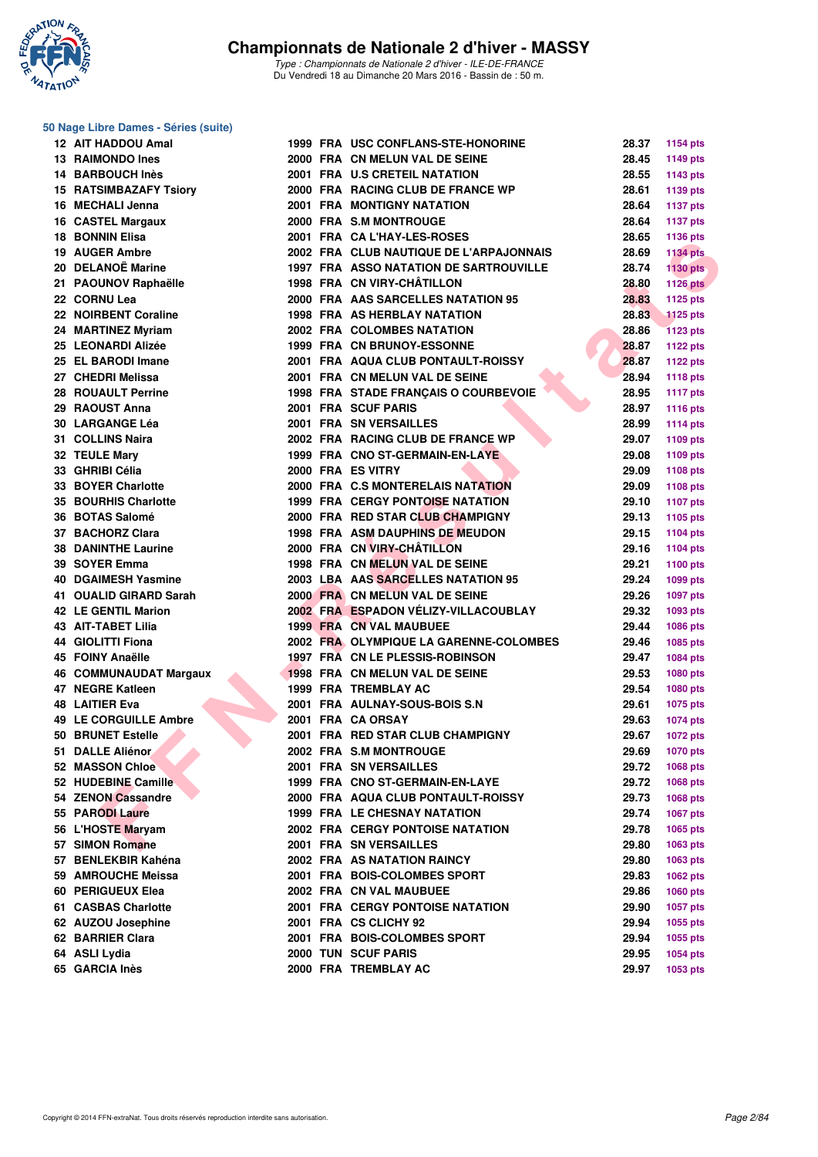

#### **50 Nage Libre Dames - Séries (suite)**

| 12 AIT HADDOU Amal                  |  | 1999 FRA USC CONFLANS-STE-HONORINE      | 28.37 | 1154 pts        |
|-------------------------------------|--|-----------------------------------------|-------|-----------------|
| 13 RAIMONDO Ines                    |  | 2000 FRA CN MELUN VAL DE SEINE          | 28.45 | 1149 pts        |
| 14 BARBOUCH Inès                    |  | 2001 FRA U.S CRETEIL NATATION           | 28.55 | 1143 pts        |
| <b>15 RATSIMBAZAFY Tsiory</b>       |  | 2000 FRA RACING CLUB DE FRANCE WP       | 28.61 | 1139 pts        |
| 16 MECHALI Jenna                    |  | <b>2001 FRA MONTIGNY NATATION</b>       | 28.64 | <b>1137 pts</b> |
| 16 CASTEL Margaux                   |  | 2000 FRA S.M MONTROUGE                  | 28.64 | <b>1137 pts</b> |
| <b>18 BONNIN Elisa</b>              |  | 2001 FRA CA L'HAY-LES-ROSES             | 28.65 | 1136 pts        |
| 19 AUGER Ambre                      |  | 2002 FRA CLUB NAUTIQUE DE L'ARPAJONNAIS | 28.69 | <b>1134 pts</b> |
| 20 DELANOË Marine                   |  | 1997 FRA ASSO NATATION DE SARTROUVILLE  | 28.74 | <b>1130 pts</b> |
| 21 PAOUNOV Raphaëlle                |  | 1998 FRA CN VIRY-CHÂTILLON              | 28.80 | <b>1126 pts</b> |
| 22 CORNU Lea                        |  | 2000 FRA AAS SARCELLES NATATION 95      | 28.83 | 1125 pts        |
| 22 NOIRBENT Coraline                |  | <b>1998 FRA AS HERBLAY NATATION</b>     | 28.83 | <b>1125 pts</b> |
| 24 MARTINEZ Myriam                  |  | 2002 FRA COLOMBES NATATION              | 28.86 | <b>1123 pts</b> |
| 25 LEONARDI Alizée                  |  | 1999 FRA CN BRUNOY-ESSONNE              | 28.87 | <b>1122 pts</b> |
| 25 EL BARODI Imane                  |  | 2001 FRA AQUA CLUB PONTAULT-ROISSY      | 28.87 | 1122 pts        |
| 27 CHEDRI Melissa                   |  | 2001 FRA CN MELUN VAL DE SEINE          | 28.94 | 1118 pts        |
| 28 ROUAULT Perrine                  |  | 1998 FRA STADE FRANÇAIS O COURBEVOIE    | 28.95 | <b>1117 pts</b> |
| 29 RAOUST Anna                      |  | 2001 FRA SCUF PARIS                     | 28.97 | 1116 pts        |
| 30 LARGANGE Léa                     |  | <b>2001 FRA SN VERSAILLES</b>           | 28.99 | <b>1114 pts</b> |
| 31 COLLINS Naira                    |  | 2002 FRA RACING CLUB DE FRANCE WP       | 29.07 | 1109 pts        |
| 32 TEULE Mary                       |  | 1999 FRA CNO ST-GERMAIN-EN-LAYE         | 29.08 | 1109 pts        |
| 33 GHRIBI Célia                     |  | 2000 FRA ES VITRY                       | 29.09 | 1108 pts        |
| 33 BOYER Charlotte                  |  | 2000 FRA C.S MONTERELAIS NATATION       | 29.09 |                 |
| 35 BOURHIS Charlotte                |  | <b>1999 FRA CERGY PONTOISE NATATION</b> | 29.10 | 1108 pts        |
|                                     |  | 2000 FRA RED STAR CLUB CHAMPIGNY        | 29.13 | <b>1107 pts</b> |
| 36 BOTAS Salomé<br>37 BACHORZ Clara |  | <b>1998 FRA ASM DAUPHINS DE MEUDON</b>  | 29.15 | 1105 pts        |
|                                     |  | 2000 FRA CN VIRY-CHÂTILLON              |       | <b>1104 pts</b> |
| <b>38 DANINTHE Laurine</b>          |  |                                         | 29.16 | 1104 pts        |
| 39 SOYER Emma                       |  | 1998 FRA CN MELUN VAL DE SEINE          | 29.21 | 1100 pts        |
| <b>40 DGAIMESH Yasmine</b>          |  | 2003 LBA AAS SARCELLES NATATION 95      | 29.24 | 1099 pts        |
| 41 OUALID GIRARD Sarah              |  | 2000 FRA CN MELUN VAL DE SEINE          | 29.26 | <b>1097 pts</b> |
| <b>42 LE GENTIL Marion</b>          |  | 2002 FRA ESPADON VÉLIZY-VILLACOUBLAY    | 29.32 | 1093 pts        |
| <b>43 AIT-TABET Lilia</b>           |  | 1999 FRA CN VAL MAUBUEE                 | 29.44 | 1086 pts        |
| 44 GIOLITTI Fiona                   |  | 2002 FRA OLYMPIQUE LA GARENNE-COLOMBES  | 29.46 | 1085 pts        |
| 45 FOINY Anaëlle                    |  | 1997 FRA CN LE PLESSIS-ROBINSON         | 29.47 | <b>1084 pts</b> |
| <b>46 COMMUNAUDAT Margaux</b>       |  | 1998 FRA CN MELUN VAL DE SEINE          | 29.53 | 1080 pts        |
| 47 NEGRE Katleen                    |  | <b>1999 FRA TREMBLAY AC</b>             | 29.54 | <b>1080 pts</b> |
| <b>48 LAITIER Eva</b>               |  | 2001 FRA AULNAY-SOUS-BOIS S.N           | 29.61 | 1075 pts        |
| 49 LE CORGUILLE Ambre               |  | 2001 FRA CA ORSAY                       | 29.63 | <b>1074 pts</b> |
| <b>50 BRUNET Estelle</b>            |  | 2001 FRA RED STAR CLUB CHAMPIGNY        | 29.67 | 1072 pts        |
| 51 DALLE Aliénor                    |  | 2002 FRA S.M MONTROUGE                  | 29.69 | 1070 pts        |
| <b>52 MASSON Chloe</b>              |  | 2001 FRA SN VERSAILLES                  | 29.72 | 1068 pts        |
| 52 HUDEBINE Camille                 |  | 1999 FRA CNO ST-GERMAIN-EN-LAYE         | 29.72 | 1068 pts        |
| 54 ZENON Cassandre                  |  | 2000 FRA AQUA CLUB PONTAULT-ROISSY      | 29.73 | 1068 pts        |
| 55 PARODI Laure                     |  | 1999 FRA LE CHESNAY NATATION            | 29.74 | 1067 pts        |
| 56 L'HOSTE Maryam                   |  | <b>2002 FRA CERGY PONTOISE NATATION</b> | 29.78 | 1065 pts        |
| 57 SIMON Romane                     |  | 2001 FRA SN VERSAILLES                  | 29.80 | 1063 pts        |
| 57 BENLEKBIR Kahéna                 |  | <b>2002 FRA AS NATATION RAINCY</b>      | 29.80 | 1063 pts        |
| 59 AMROUCHE Meissa                  |  | 2001 FRA BOIS-COLOMBES SPORT            | 29.83 | 1062 pts        |
| 60 PERIGUEUX Elea                   |  | 2002 FRA CN VAL MAUBUEE                 | 29.86 | 1060 pts        |
| 61 CASBAS Charlotte                 |  | 2001 FRA CERGY PONTOISE NATATION        | 29.90 | <b>1057 pts</b> |
| 62 AUZOU Josephine                  |  | 2001 FRA CS CLICHY 92                   | 29.94 | 1055 pts        |
| 62 BARRIER Clara                    |  | 2001 FRA BOIS-COLOMBES SPORT            | 29.94 | 1055 pts        |
| 64 ASLI Lydia                       |  | 2000 TUN SCUF PARIS                     | 29.95 | 1054 pts        |
| 65 GARCIA Inès                      |  | 2000 FRA TREMBLAY AC                    | 29.97 | 1053 pts        |
|                                     |  |                                         |       |                 |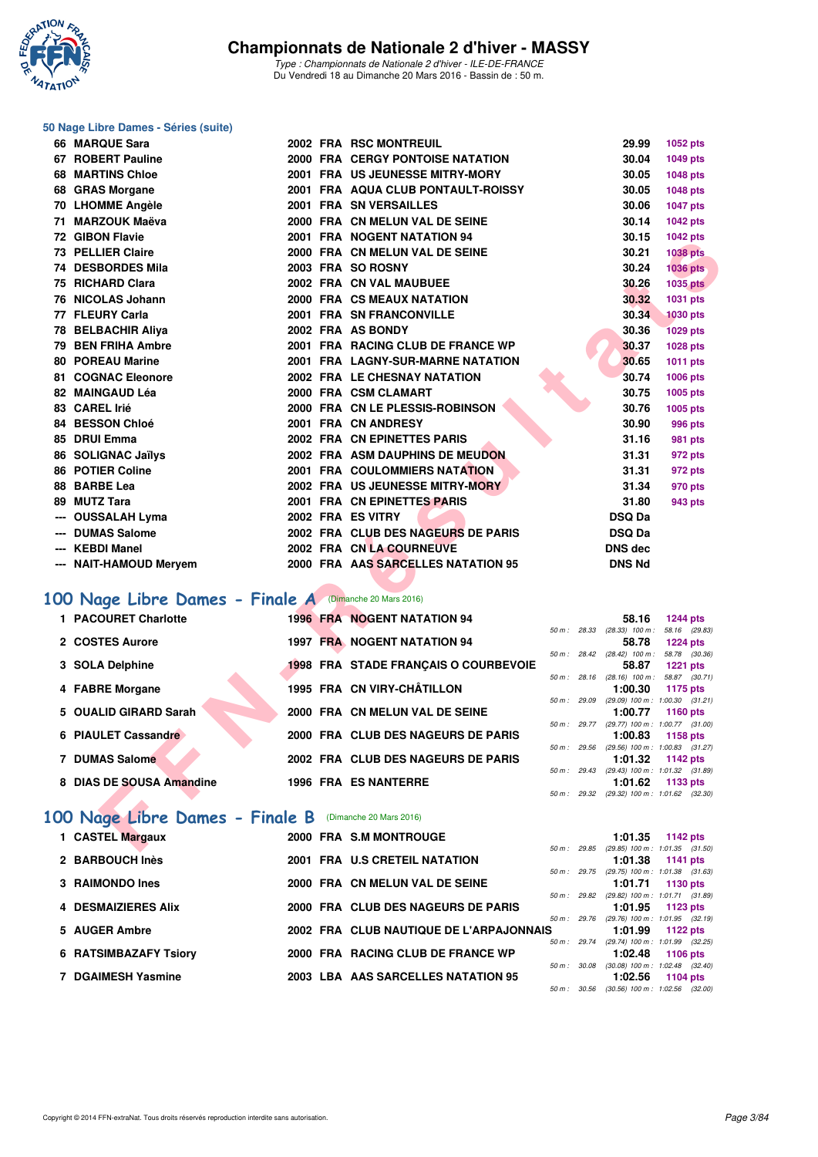

#### **50 Nage Libre Dames - Séries (suite)**

| 66 MARQUE Sara                                         |  | <b>2002 FRA RSC MONTREUIL</b>           |             | 29.99          | 1052 pts                                                     |
|--------------------------------------------------------|--|-----------------------------------------|-------------|----------------|--------------------------------------------------------------|
| 67 ROBERT Pauline                                      |  | <b>2000 FRA CERGY PONTOISE NATATION</b> |             | 30.04          | 1049 pts                                                     |
| <b>68 MARTINS Chloe</b>                                |  | 2001 FRA US JEUNESSE MITRY-MORY         |             | 30.05          | 1048 pts                                                     |
| 68 GRAS Morgane                                        |  | 2001 FRA AQUA CLUB PONTAULT-ROISSY      |             | 30.05          | 1048 pts                                                     |
| 70 LHOMME Angèle                                       |  | 2001 FRA SN VERSAILLES                  |             | 30.06          | 1047 pts                                                     |
| 71 MARZOUK Maëva                                       |  | 2000 FRA CN MELUN VAL DE SEINE          |             | 30.14          | 1042 pts                                                     |
| 72 GIBON Flavie                                        |  | 2001 FRA NOGENT NATATION 94             |             | 30.15          | 1042 pts                                                     |
| 73 PELLIER Claire                                      |  | 2000 FRA CN MELUN VAL DE SEINE          |             | 30.21          | <b>1038 pts</b>                                              |
| <b>74 DESBORDES Mila</b>                               |  | 2003 FRA SO ROSNY                       |             | 30.24          | <b>1036 pts</b>                                              |
| 75 RICHARD Clara                                       |  | 2002 FRA CN VAL MAUBUEE                 |             | 30.26          | 1035 pts                                                     |
| 76 NICOLAS Johann                                      |  | 2000 FRA CS MEAUX NATATION              |             | 30.32          | 1031 pts                                                     |
| 77 FLEURY Carla                                        |  | 2001 FRA SN FRANCONVILLE                |             | 30.34          | 1030 pts                                                     |
| 78 BELBACHIR Aliya                                     |  | 2002 FRA AS BONDY                       |             | 30.36          | <b>1029 pts</b>                                              |
| 79 BEN FRIHA Ambre                                     |  | 2001 FRA RACING CLUB DE FRANCE WP       |             | 30.37          | 1028 pts                                                     |
| <b>80 POREAU Marine</b>                                |  | 2001 FRA LAGNY-SUR-MARNE NATATION       |             | 30.65          | 1011 pts                                                     |
| <b>81 COGNAC Eleonore</b>                              |  | 2002 FRA LE CHESNAY NATATION            |             | 30.74          | 1006 pts                                                     |
| 82 MAINGAUD Léa                                        |  | 2000 FRA CSM CLAMART                    |             | 30.75          | 1005 pts                                                     |
| 83 CAREL Irié                                          |  | 2000 FRA CN LE PLESSIS-ROBINSON         |             | 30.76          | 1005 pts                                                     |
| 84 BESSON Chloé                                        |  | 2001 FRA CN ANDRESY                     |             | 30.90          | <b>996 pts</b>                                               |
| 85 DRUI Emma                                           |  | 2002 FRA CN EPINETTES PARIS             |             | 31.16          | 981 pts                                                      |
| 86 SOLIGNAC Jaïlys                                     |  | 2002 FRA ASM DAUPHINS DE MEUDON         |             | 31.31          | 972 pts                                                      |
| 86 POTIER Coline                                       |  | 2001 FRA COULOMMIERS NATATION           |             | 31.31          | 972 pts                                                      |
| 88 BARBE Lea                                           |  | 2002 FRA US JEUNESSE MITRY-MORY         |             | 31.34          | 970 pts                                                      |
| 89 MUTZ Tara                                           |  | 2001 FRA CN EPINETTES PARIS             |             | 31.80          | 943 pts                                                      |
| --- OUSSALAH Lyma                                      |  | 2002 FRA ES VITRY                       |             | <b>DSQ Da</b>  |                                                              |
| --- DUMAS Salome                                       |  | 2002 FRA CLUB DES NAGEURS DE PARIS      |             | <b>DSQ Da</b>  |                                                              |
| --- KEBDI Manel                                        |  | 2002 FRA CN LA COURNEUVE                |             | <b>DNS dec</b> |                                                              |
| --- NAIT-HAMOUD Meryem                                 |  | 2000 FRA AAS SARCELLES NATATION 95      |             | <b>DNS Nd</b>  |                                                              |
| 00 Nage Libre Dames - Finale A (Dimanche 20 Mars 2016) |  |                                         |             |                |                                                              |
| 1 PACOURET Charlotte                                   |  | <b>1996 FRA NOGENT NATATION 94</b>      |             | 58.16          | <b>1244 pts</b>                                              |
|                                                        |  |                                         |             |                | 50 m: 28.33 (28.33) 100 m: 58.16 (29.83)                     |
| 2 COSTES Aurore                                        |  | <b>1997 FRA NOGENT NATATION 94</b>      |             | 58.78          | <b>1224 pts</b><br>50 m: 28.42 (28.42) 100 m: 58.78 (30.36)  |
| 3 SOLA Delphine                                        |  | 1998 FRA STADE FRANÇAIS O COURBEVOIE    |             | 58.87          | <b>1221 pts</b>                                              |
|                                                        |  |                                         |             |                | 50 m : 28.16 (28.16) 100 m : 58.87 (30.71)                   |
| 4 FABRE Morgane                                        |  | 1995 FRA CN VIRY-CHÂTILLON              |             | 1:00.30        | 1175 pts<br>$50 m$ : 29.09 (29.09) $100 m$ : 1:00.30 (31.21) |
| 5 OUALID GIRARD Sarah                                  |  | 2000 FRA CN MELUN VAL DE SEINE          |             | 1:00.77        | 1160 pts                                                     |
|                                                        |  |                                         |             |                | 50 m: 29.77 (29.77) 100 m: 1:00.77 (31.00)                   |
| <b>6 PIAULET Cassandre</b>                             |  | 2000 FRA CLUB DES NAGEURS DE PARIS      | 50 m: 29.56 | 1:00.83        | 1158 pts<br>(29.56) 100 m: 1:00.83 (31.27)                   |
| 7 DUMAS Salomé                                         |  | 2002 FRA CLUB DES NAGEURS DE PARIS      |             | 1:01.32        | 1142 pts                                                     |
|                                                        |  |                                         |             |                | 50 m: 29.43 (29.43) 100 m: 1:01.32 (31.89)                   |
| 8 DIAS DE SOUSA Amandine                               |  | <b>1996 FRA ES NANTERRE</b>             |             | 1:01.62        | 1133 pts<br>50 m: 29.32 (29.32) 100 m: 1:01.62 (32.30)       |
|                                                        |  |                                         |             |                |                                                              |
| 00 Nage Libre Dames - Finale B (Dimanche 20 Mars 2016) |  |                                         |             |                |                                                              |
| 1 CASTEL Margaux                                       |  | 2000 FRA S.M MONTROUGE                  |             |                | 1:01.35 1142 pts                                             |
|                                                        |  |                                         |             |                | 50 m : 29.85 (29.85) 100 m : 1:01.35 (31.50)                 |

## **[100 Nage Libre Dames - Finale A](http://www.ffnatation.fr/webffn/resultats.php?idact=nat&go=epr&idcpt=37307&idepr=2)** (Dimanche 20 Mars 2016)

| 1 PACOURET Charlotte     | <b>1996 FRA NOGENT NATATION 94</b>          |                | 58.16                        | <b>1244 pts</b>                                 |
|--------------------------|---------------------------------------------|----------------|------------------------------|-------------------------------------------------|
|                          |                                             | 50 m: 28.33    | $(28.33)$ 100 m :            | 58.16 (29.83)                                   |
| 2 COSTES Aurore          | 1997 FRA NOGENT NATATION 94                 |                | 58.78                        | <b>1224 pts</b>                                 |
| 3 SOLA Delphine          | <b>1998 FRA STADE FRANCAIS O COURBEVOIE</b> | 50 m: 28.42    | $(28.42)$ 100 m :<br>58.87   | 58.78 (30.36)<br><b>1221 pts</b>                |
| 4 FABRE Morgane          | 1995 FRA CN VIRY-CHÂTILLON                  | 50 m: 28.16    | $(28.16)$ 100 m :<br>1:00.30 | 58.87 (30.71)<br>1175 pts                       |
| 5 OUALID GIRARD Sarah    | 2000 FRA CN MELUN VAL DE SEINE              | 50 m: 29.09    | 1:00.77                      | $(29.09)$ 100 m : 1:00.30 $(31.21)$<br>1160 pts |
|                          |                                             | $50 m$ : 29.77 |                              | $(29.77)$ 100 m : 1:00.77 $(31.00)$             |
| 6 PIAULET Cassandre      | 2000 FRA CLUB DES NAGEURS DE PARIS          | 50 m: 29.56    | 1:00.83                      | 1158 pts<br>$(29.56)$ 100 m : 1:00.83 $(31.27)$ |
| 7 DUMAS Salome           | 2002 FRA CLUB DES NAGEURS DE PARIS          |                | 1:01.32                      | 1142 pts                                        |
| 8 DIAS DE SOUSA Amandine | <b>1996 FRA ES NANTERRE</b>                 | 50 m : 29.43   | 1:01.62                      | $(29.43)$ 100 m : 1:01.32 $(31.89)$<br>1133 pts |
|                          |                                             | 50 m : 29.32   |                              | $(29.32)$ 100 m : 1:01.62 $(32.30)$             |

## **[100 Nage Libre Dames - Finale B](http://www.ffnatation.fr/webffn/resultats.php?idact=nat&go=epr&idcpt=37307&idepr=2)** (Dimanche 20 Mars 2016)

| 1 CASTEL Margaux             |  | 2000 FRA S.M MONTROUGE                  |                |                | $1:01.35$ 1142 pts                                        |            |  |
|------------------------------|--|-----------------------------------------|----------------|----------------|-----------------------------------------------------------|------------|--|
| 2 BARBOUCH Inès              |  | 2001 FRA U.S CRETEIL NATATION           |                | 50 m : 29.85   | $(29.85)$ 100 m : 1:01.35 $(31.50)$<br>$1:01.38$ 1141 pts |            |  |
| 3 RAIMONDO Ines              |  | 2000 FRA CN MELUN VAL DE SEINE          |                | $50 m$ : 29.75 | $(29.75)$ 100 m : 1:01.38 $(31.63)$<br>1:01.71 1130 pts   |            |  |
| 4 DESMAIZIERES Alix          |  | 2000 FRA CLUB DES NAGEURS DE PARIS      | 50 m: 29.82    |                | $(29.82)$ 100 m : 1:01.71 $(31.89)$<br>1:01.95            | 1123 $pts$ |  |
| 5 AUGER Ambre                |  | 2002 FRA CLUB NAUTIQUE DE L'ARPAJONNAIS | $50 m$ : 29.76 |                | $(29.76)$ 100 m : 1:01.95 $(32.19)$<br>1:01.99            | 1122 pts   |  |
| <b>6 RATSIMBAZAFY Tsiory</b> |  | 2000 FRA RACING CLUB DE FRANCE WP       | $50 m$ : 29.74 |                | (29.74) 100 m: 1:01.99 (32.25)<br>1:02.48                 | 1106 $pts$ |  |
| 7 DGAIMESH Yasmine           |  | 2003 LBA AAS SARCELLES NATATION 95      | 50 m: 30.08    |                | $(30.08)$ 100 m : 1:02.48 $(32.40)$<br>1:02.56            | 1104 $pts$ |  |
|                              |  |                                         | 50 m :         | 30.56          | $(30.56)$ 100 m : 1:02.56 $(32.00)$                       |            |  |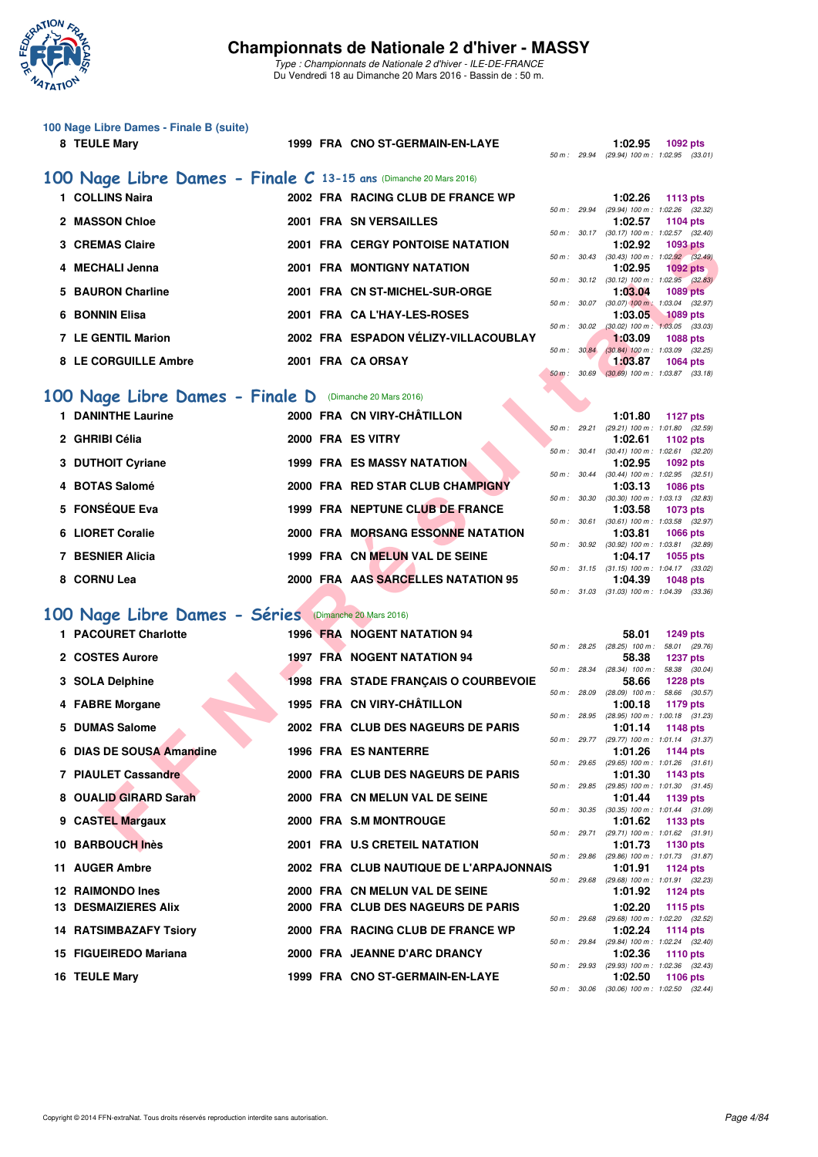

*Type : Championnats de Nationale 2 d'hiver - ILE-DE-FRANCE* Du Vendredi 18 au Dimanche 20 Mars 2016 - Bassin de : 50 m.

## **100 Nage Libre Dames - Finale B (suite)**

| 8 TEULE Mary         |                                                                   | 1999 FRA CNO ST-GERMAIN-EN-LAYE         |                  | 1:02.95                             | 1092 pts        |  |
|----------------------|-------------------------------------------------------------------|-----------------------------------------|------------------|-------------------------------------|-----------------|--|
|                      |                                                                   |                                         | 50 m : 29.94     | $(29.94)$ 100 m : 1:02.95 $(33.01)$ |                 |  |
|                      | 100 Nage Libre Dames - Finale C 13-15 ans (Dimanche 20 Mars 2016) |                                         |                  |                                     |                 |  |
| <b>COLLINS Naira</b> |                                                                   | 2002 FRA RACING CLUB DE FRANCE WP       |                  | 1:02.26                             | 1113 $pts$      |  |
|                      |                                                                   |                                         | 50 m : 29.94     | (29.94) 100 m : 1:02.26 (32.32)     |                 |  |
| 2 MASSON Chloe       |                                                                   | <b>2001 FRA SN VERSAILLES</b>           |                  | 1:02.57                             | 1104 pts        |  |
|                      |                                                                   |                                         | $50 m$ : $30.17$ | $(30.17)$ 100 m : 1:02.57 $(32.40)$ |                 |  |
| 3 CREMAS Claire      |                                                                   | <b>2001 FRA CERGY PONTOISE NATATION</b> |                  | 1:02.92                             | 1093 pts        |  |
|                      |                                                                   |                                         | 50 m : 30.43     | $(30.43)$ 100 m : 1:02.92 $(32.49)$ |                 |  |
| 4 MECHALI Jenna      |                                                                   | <b>2001 FRA MONTIGNY NATATION</b>       |                  | 1:02.95                             | 1092 pts        |  |
|                      |                                                                   |                                         | 50 m: 30.12      | $(30.12)$ 100 m : 1:02.95 $(32.83)$ |                 |  |
| 5 BAURON Charline    |                                                                   | 2001 FRA CN ST-MICHEL-SUR-ORGE          |                  | 1:03.04                             | <b>1089 pts</b> |  |
|                      |                                                                   |                                         | 50 m: 30.07      | $(30.07)$ 100 m : 1.03.04 $(32.97)$ |                 |  |
| 6 BONNIN Elisa       |                                                                   | 2001 FRA CA L'HAY-LES-ROSES             |                  | 1:03.05                             | $1089$ pts      |  |
|                      |                                                                   |                                         | 50 m: 30.02      | $(30.02)$ 100 m : 1:03.05 $(33.03)$ |                 |  |
| 7 LE GENTIL Marion   |                                                                   | 2002 FRA ESPADON VÉLIZY-VILLACOUBLAY    |                  | 1:03.09                             | 1088 pts        |  |
|                      |                                                                   |                                         | 50 m : 30.84     | $(30.84)$ 100 m : 1:03.09 $(32.25)$ |                 |  |
| 8 LE CORGUILLE Ambre |                                                                   | 2001 FRA CA ORSAY                       |                  | 1:03.87                             | 1064 pts        |  |
|                      |                                                                   |                                         | 50 m : 30.69     | $(30.69)$ 100 m : 1:03.87 $(33.18)$ |                 |  |

### **[100 Nage Libre Dames - Finale D](http://www.ffnatation.fr/webffn/resultats.php?idact=nat&go=epr&idcpt=37307&idepr=2)** (Dimanche 20 Mars 2016)

| <b>1 DANINTHE Laurine</b> | 2000 FRA CN VIRY-CHÂTILLON         | 1127 pts<br>1:01.80                                                               |
|---------------------------|------------------------------------|-----------------------------------------------------------------------------------|
| 2 GHRIBI Célia            | 2000 FRA ES VITRY                  | (29.21) 100 m: 1:01.80 (32.<br>50 m: 29.21<br>1:02.61<br>1102 pts                 |
| 3 DUTHOIT Cyriane         | <b>1999 FRA ES MASSY NATATION</b>  | $(30.41)$ 100 m : 1:02.61 (32.<br>50 m: 30.41<br>1:02.95<br>1092 pts              |
| 4 BOTAS Salomé            | 2000 FRA RED STAR CLUB CHAMPIGNY   | $(30.44)$ 100 m : 1:02.95 (32.<br>$50 \text{ m}$ : $30.44$<br>1:03.13<br>1086 pts |
| 5 FONSÉQUE Eva            | 1999 FRA NEPTUNE CLUB DE FRANCE    | $(30.30)$ 100 m : 1:03.13 $(32.$<br>50 m: 30.30<br>1:03.58<br>1073 pts            |
| 6 LIORET Coralie          | 2000 FRA MORSANG ESSONNE NATATION  | $(30.61)$ 100 m : 1:03.58 $(32.$<br>50 m : 30.61<br>1:03.81<br>1066 pts           |
| 7 BESNIER Alicia          | 1999 FRA CN MELUN VAL DE SEINE     | $(30.92)$ 100 m : 1:03.81 $(32.$<br>50 m: 30.92<br>1:04.17<br>1055 pts            |
| 8 CORNU Lea               | 2000 FRA AAS SARCELLES NATATION 95 | $(31.15)$ 100 m : 1:04.17 (33.<br>50 m: 31.15<br>1:04.39<br>1048 pts              |

## **[100 Nage Libre Dames - Séries](http://www.ffnatation.fr/webffn/resultats.php?idact=nat&go=epr&idcpt=37307&idepr=2)** (Dimanche 20 Mars 2016)

| 3 CREMAS Claire                                        |  | <b>2001 FRA CERGY PONTOISE NATATION</b>  |              |              | 1:02.92                    | <b>1093 pts</b>                                                 |
|--------------------------------------------------------|--|------------------------------------------|--------------|--------------|----------------------------|-----------------------------------------------------------------|
| 4 MECHALI Jenna                                        |  | 2001 FRA MONTIGNY NATATION               |              |              | 1:02.95                    | 50 m: 30.43 (30.43) 100 m: 1:02.92 (32.49)<br><b>1092 pts</b>   |
| 5 BAURON Charline                                      |  | 2001 FRA CN ST-MICHEL-SUR-ORGE           |              |              | 1:03.04                    | 50 m : 30.12 (30.12) 100 m : 1:02.95 (32.83)<br><b>1089 pts</b> |
| 6 BONNIN Elisa                                         |  | 2001 FRA CA L'HAY-LES-ROSES              | 50 m: 30.07  |              | 1:03.05                    | $(30.07)$ 100 m : 1:03.04 $(32.97)$<br><b>1089 pts</b>          |
| 7 LE GENTIL Marion                                     |  | 2002 FRA ESPADON VÉLIZY-VILLACOUBLAY     | 50 m: 30.02  |              | 1:03.09                    | $(30.02)$ 100 m : 1:03.05 $(33.03)$<br><b>1088 pts</b>          |
|                                                        |  |                                          | 50 m : 30.84 |              |                            | $(30.84)$ 100 m : 1:03.09 $(32.25)$                             |
| 8 LE CORGUILLE Ambre                                   |  | 2001 FRA CA ORSAY                        | 50 m : 30.69 |              | 1:03.87                    | <b>1064 pts</b><br>$(30.69)$ 100 m : 1:03.87 $(33.18)$          |
| 00 Nage Libre Dames - Finale D (Dimanche 20 Mars 2016) |  |                                          |              |              |                            |                                                                 |
| <b>1 DANINTHE Laurine</b>                              |  | 2000 FRA CN VIRY-CHÂTILLON               |              |              | 1:01.80                    | <b>1127 pts</b>                                                 |
| 2 GHRIBI Célia                                         |  | 2000 FRA ES VITRY                        |              | 50 m : 29.21 | 1:02.61                    | (29.21) 100 m: 1:01.80 (32.59)<br>1102 pts                      |
|                                                        |  |                                          |              | 50 m : 30.41 |                            | $(30.41)$ 100 m : 1:02.61 $(32.20)$                             |
| 3 DUTHOIT Cyriane                                      |  | <b>1999 FRA ES MASSY NATATION</b>        | 50 m : 30.44 |              | 1:02.95                    | 1092 pts<br>$(30.44)$ 100 m : 1:02.95 $(32.51)$                 |
| 4 BOTAS Salomé                                         |  | 2000 FRA RED STAR CLUB CHAMPIGNY         |              |              | 1:03.13                    | <b>1086 pts</b>                                                 |
| 5 FONSÉQUE Eva                                         |  | 1999 FRA NEPTUNE CLUB DE FRANCE          |              | 50 m : 30.30 | 1:03.58                    | $(30.30)$ 100 m : 1:03.13 $(32.83)$<br>1073 pts                 |
| 6 LIORET Coralie                                       |  | 2000 FRA MORSANG ESSONNE NATATION        | 50 m : 30.61 |              | 1:03.81                    | $(30.61)$ 100 m : 1:03.58 $(32.97)$                             |
|                                                        |  |                                          |              |              |                            | <b>1066 pts</b><br>50 m : 30.92 (30.92) 100 m : 1:03.81 (32.89) |
| 7 BESNIER Alicia                                       |  | 1999 FRA CN MELUN VAL DE SEINE           |              |              | 1:04.17                    | 1055 pts<br>50 m: 31.15 (31.15) 100 m: 1:04.17 (33.02)          |
| 8 CORNU Lea                                            |  | 2000 FRA AAS SARCELLES NATATION 95       |              |              | 1:04.39                    | <b>1048 pts</b>                                                 |
|                                                        |  |                                          |              |              |                            | 50 m: 31.03 (31.03) 100 m: 1:04.39 (33.36)                      |
| 00 Nage Libre Dames - Séries (Dimanche 20 Mars 2016)   |  |                                          |              |              |                            |                                                                 |
| 1 PACOURET Charlotte                                   |  | <b>1996 FRA NOGENT NATATION 94</b>       |              |              | 58.01                      | <b>1249 pts</b>                                                 |
| 2 COSTES Aurore                                        |  | <b>1997 FRA NOGENT NATATION 94</b>       | 50 m: 28.25  |              | 58.38                      | $(28.25)$ 100 m : 58.01 $(29.76)$<br><b>1237 pts</b>            |
| 3 SOLA Delphine                                        |  | 1998 FRA STADE FRANÇAIS O COURBEVOIE     | 50 m : 28.34 |              | $(28.34)$ 100 m :<br>58.66 | 58.38 (30.04)<br><b>1228 pts</b>                                |
|                                                        |  |                                          |              | 50 m : 28.09 |                            | $(28.09)$ 100 m : 58.66 $(30.57)$                               |
| 4 FABRE Morgane                                        |  | 1995 FRA CN VIRY-CHÂTILLON               | 50 m: 28.95  |              | 1:00.18                    | 1179 pts<br>(28.95) 100 m: 1:00.18 (31.23)                      |
| 5 DUMAS Salome                                         |  | 2002 FRA CLUB DES NAGEURS DE PARIS       |              |              | 1:01.14                    | 1148 pts                                                        |
| 6 DIAS DE SOUSA Amandine                               |  | <b>1996 FRA ES NANTERRE</b>              | 50 m : 29.77 |              | 1:01.26                    | (29.77) 100 m: 1:01.14 (31.37)<br><b>1144 pts</b>               |
| 7 PIAULET Cassandre                                    |  | 2000 FRA CLUB DES NAGEURS DE PARIS       | 50 m: 29.65  |              | 1:01.30                    | $(29.65)$ 100 m : 1:01.26 $(31.61)$<br>1143 pts                 |
|                                                        |  |                                          |              | 50 m : 29.85 |                            | $(29.85)$ 100 m : 1:01.30 $(31.45)$                             |
| 8 OUALID GIRARD Sarah                                  |  | 2000 FRA CN MELUN VAL DE SEINE           |              |              | 1:01.44                    | 1139 pts<br>50 m: 30.35 (30.35) 100 m: 1:01.44 (31.09)          |
| 9 CASTEL Margaux                                       |  | 2000 FRA S.M MONTROUGE                   |              |              | 1:01.62                    | 1133 pts                                                        |
| 10 BARBOUCH Inès                                       |  | 2001 FRA U.S CRETEIL NATATION            |              |              | 1:01.73                    | 50 m: 29.71 (29.71) 100 m: 1:01.62 (31.91)<br>1130 pts          |
| 11 AUGER Ambre                                         |  | 2002 FRA  CLUB NAUTIQUE DE L'ARPAJONNAIS |              |              | 1:01.91                    | 50 m: 29.86 (29.86) 100 m: 1:01.73 (31.87)                      |
|                                                        |  |                                          |              |              |                            | 1124 pts<br>50 m: 29.68 (29.68) 100 m: 1:01.91 (32.23)          |
| 12 RAIMONDO Ines                                       |  | 2000 FRA CN MELUN VAL DE SEINE           |              |              | 1:01.92                    | <b>1124 pts</b>                                                 |
| <b>13 DESMAIZIERES Alix</b>                            |  | 2000 FRA CLUB DES NAGEURS DE PARIS       |              |              | 1:02.20                    | 1115 pts<br>50 m: 29.68 (29.68) 100 m: 1:02.20 (32.52)          |
| <b>14 RATSIMBAZAFY Tsiory</b>                          |  | 2000 FRA RACING CLUB DE FRANCE WP        |              |              | 1:02.24                    | 1114 pts                                                        |
| 15 FIGUEIREDO Mariana                                  |  | 2000 FRA JEANNE D'ARC DRANCY             |              | 50 m : 29.84 | 1:02.36                    | (29.84) 100 m : 1:02.24 (32.40)<br><b>1110 pts</b>              |
| 16 TEULE Mary                                          |  | 1999 FRA CNO ST-GERMAIN-EN-LAYE          |              |              | 1:02.50                    | 50 m : 29.93 (29.93) 100 m : 1:02.36 (32.43)<br>1106 pts        |
|                                                        |  |                                          |              |              |                            |                                                                 |

|              | 1:01.80           |              |                                                                                                                                                                                                                                                                                       |
|--------------|-------------------|--------------|---------------------------------------------------------------------------------------------------------------------------------------------------------------------------------------------------------------------------------------------------------------------------------------|
| 50 m: 29.21  | (29.21) 100 m :   |              |                                                                                                                                                                                                                                                                                       |
|              | 1:02.61           |              |                                                                                                                                                                                                                                                                                       |
| 30.41        | $(30.41)$ 100 m : |              |                                                                                                                                                                                                                                                                                       |
|              | 1:02.95           |              |                                                                                                                                                                                                                                                                                       |
| 50 m: 30.44  | $(30.44)$ 100 m : |              |                                                                                                                                                                                                                                                                                       |
|              | 1:03.13           |              |                                                                                                                                                                                                                                                                                       |
| 30.30        | $(30.30)$ 100 m : |              |                                                                                                                                                                                                                                                                                       |
|              | 1:03.58           |              |                                                                                                                                                                                                                                                                                       |
| 50 m : 30.61 | $(30.61)$ 100 m : |              |                                                                                                                                                                                                                                                                                       |
|              | 1:03.81           |              |                                                                                                                                                                                                                                                                                       |
| 30.92        | $(30.92)$ 100 m : |              |                                                                                                                                                                                                                                                                                       |
|              | 1:04.17           |              |                                                                                                                                                                                                                                                                                       |
|              | $(31.15) 100 m$ : |              |                                                                                                                                                                                                                                                                                       |
|              | 1:04.39           |              |                                                                                                                                                                                                                                                                                       |
| 31.03        | $(31.03) 100 m$ : |              |                                                                                                                                                                                                                                                                                       |
|              |                   | 50 m : 31.15 | <b>1127 pts</b><br>1:01.80 (32.59)<br>1102 pts<br>$1:02.61$ $(32.20)$<br>1092 pts<br>$1:02.95$ $(32.51)$<br><b>1086 pts</b><br>$1:03.13$ $(32.83)$<br>1073 pts<br>1:03.58 (32.97)<br><b>1066 pts</b><br>1:03.81 (32.89)<br>1055 pts<br>1:04.17 (33.02)<br>1048 pts<br>1:04.39 (33.36) |

|    |                |       | 58.01             | 1249 pts            |  |
|----|----------------|-------|-------------------|---------------------|--|
|    | 50 m: 28.25    |       | $(28.25)$ 100 m : | 58.01 (29.76)       |  |
|    |                |       | 58.38             | <b>1237 pts</b>     |  |
|    | $50 m$ :       | 28.34 | $(28.34)$ 100 m : | 58.38 (30.04)       |  |
|    |                |       | 58.66             | <b>1228 pts</b>     |  |
|    | 50 m: 28.09    |       | $(28.09)$ 100 m : | 58.66 (30.57)       |  |
|    |                |       | 1:00.18           | 1179 pts            |  |
|    | $50 m$ :       | 28.95 | $(28.95)$ 100 m : | $1:00.18$ $(31.23)$ |  |
|    |                |       | 1:01.14           | 1148 pts            |  |
|    | $50 m$ :       | 29.77 | $(29.77)$ 100 m : | $1:01.14$ $(31.37)$ |  |
|    |                |       | 1:01.26           | 1144 pts            |  |
|    | 50 m : 29.65   |       | $(29.65)$ 100 m : | $1:01.26$ $(31.61)$ |  |
|    |                |       | 1:01.30           | 1143 pts            |  |
|    | $50 m$ :       | 29.85 | $(29.85)$ 100 m : | $1:01.30$ $(31.45)$ |  |
|    |                |       | 1:01.44           | 1139 pts            |  |
|    | $50 m$ :       | 30.35 | $(30.35)$ 100 m : | 1:01.44 (31.09)     |  |
|    |                |       | 1:01.62           | 1133 pts            |  |
|    | $50 m$ : 29.71 |       | $(29.71)$ 100 m : | $1:01.62$ $(31.91)$ |  |
|    |                |       | 1:01.73           | 1130 pts            |  |
|    | 50 m: 29.86    |       | $(29.86) 100 m$ : | 1:01.73 (31.87)     |  |
| S. |                |       | 1:01.91           | <b>1124 pts</b>     |  |
|    | $50 m$ :       | 29.68 | $(29.68) 100 m$ : | 1:01.91 (32.23)     |  |
|    |                |       | 1:01.92           | <b>1124 pts</b>     |  |
|    |                |       | 1:02.20           | 1115 pts            |  |
|    | 50 m: 29.68    |       | (29.68) 100 m :   | 1:02.20 (32.52)     |  |
|    |                |       | 1:02.24           | <b>1114 pts</b>     |  |
|    | 50 m: 29.84    |       | $(29.84) 100 m$ : | 1:02.24 (32.40)     |  |
|    |                |       | 1:02.36           | 1110 pts            |  |
|    | $50 m$ :       | 29.93 | $(29.93)$ 100 m : | $1:02.36$ $(32.43)$ |  |
|    |                |       | 1:02.50           | 1106 pts            |  |
|    | 50 m: 30.06    |       | $(30.06)$ 100 m : | $1:02.50$ $(32.44)$ |  |
|    |                |       |                   |                     |  |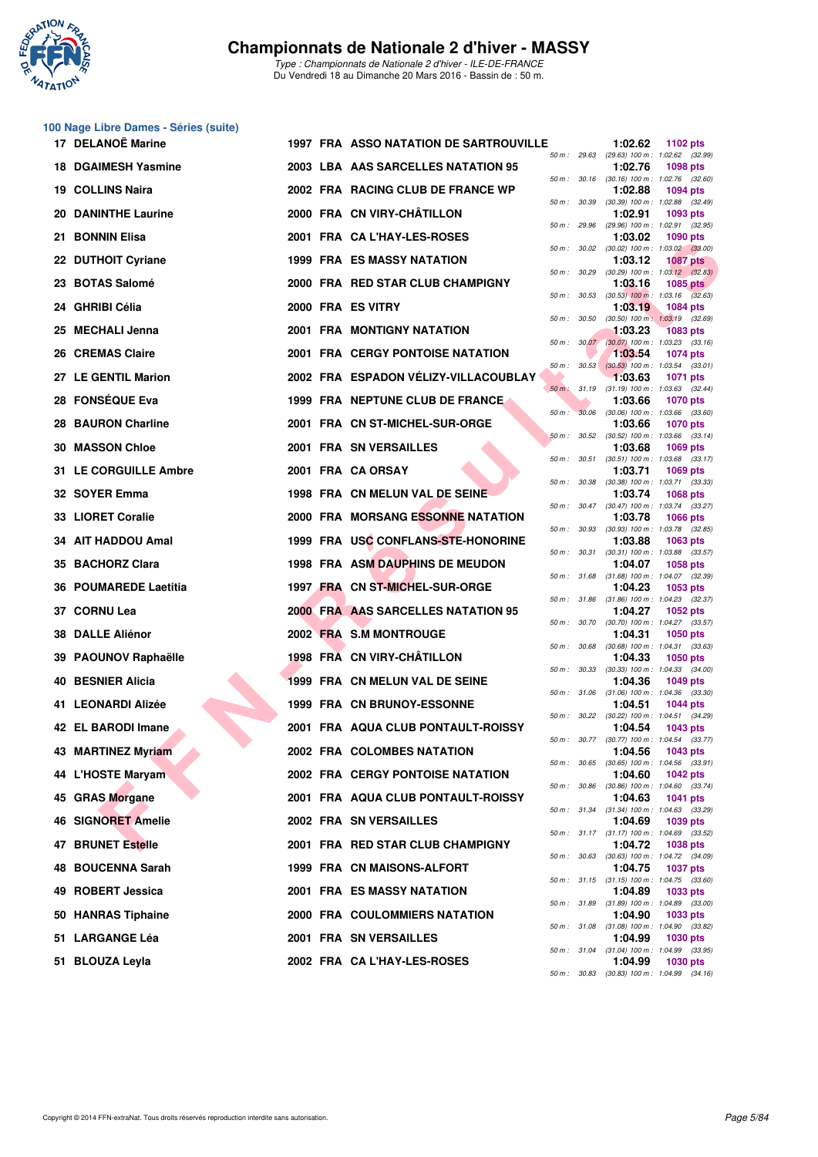

## **100 Nage Libre Dames - Séries (suite)**

|     | 17 DELANOË Marine          |  | <b>1997 FRA ASSO NATATION DE SARTROUVILLE</b> |              |                  | 1:02.62 | 1102 pts                                                                                      |
|-----|----------------------------|--|-----------------------------------------------|--------------|------------------|---------|-----------------------------------------------------------------------------------------------|
|     | <b>18 DGAIMESH Yasmine</b> |  | 2003 LBA AAS SARCELLES NATATION 95            | 50 m: 29.63  |                  | 1:02.76 | (29.63) 100 m: 1:02.62 (32.99)<br>1098 pts                                                    |
|     | 19 COLLINS Naira           |  | 2002 FRA RACING CLUB DE FRANCE WP             |              |                  | 1:02.88 | 50 m : 30.16 (30.16) 100 m : 1:02.76 (32.60)<br><b>1094 pts</b>                               |
|     | <b>20 DANINTHE Laurine</b> |  | 2000 FRA CN VIRY-CHÂTILLON                    | 50 m : 30.39 |                  | 1:02.91 | (30.39) 100 m: 1:02.88 (32.49)<br>1093 pts                                                    |
|     | 21 BONNIN Elisa            |  | 2001 FRA CA L'HAY-LES-ROSES                   | 50 m : 29.96 |                  | 1:03.02 | $(29.96)$ 100 m : 1:02.91 $(32.95)$<br><b>1090 pts</b>                                        |
|     | 22 DUTHOIT Cyriane         |  | <b>1999 FRA ES MASSY NATATION</b>             | 50 m: 30.02  |                  | 1:03.12 | $(30.02)$ 100 m : 1:03.02 $(33.00)$<br><b>1087 pts</b>                                        |
|     | 23 BOTAS Salomé            |  | 2000 FRA RED STAR CLUB CHAMPIGNY              | 50 m: 30.29  |                  | 1:03.16 | $(30.29)$ 100 m : 1:03.12 $(32.83)$<br><b>1085 pts</b>                                        |
|     | 24 GHRIBI Célia            |  | 2000 FRA ES VITRY                             | 50 m: 30.53  |                  | 1:03.19 | $(30.53)$ 100 m : 1:03.16 $(32.63)$<br>1084 pts                                               |
|     | 25 MECHALI Jenna           |  | <b>2001 FRA MONTIGNY NATATION</b>             | 50 m: 30.50  |                  | 1:03.23 | $(30.50)$ 100 m : 1:03.19 $(32.69)$<br><b>1083 pts</b>                                        |
|     | 26 CREMAS Claire           |  | <b>2001 FRA CERGY PONTOISE NATATION</b>       |              |                  | 1:03.54 | 50 m : 30.07 (30.07) 100 m : 1:03.23 (33.16)<br><b>1074 pts</b>                               |
|     | 27 LE GENTIL Marion        |  | 2002 FRA ESPADON VÉLIZY-VILLACOUBLAY          |              | $50 m$ : $30.53$ | 1:03.63 | $(30.53)$ 100 m : 1:03.54 $(33.01)$<br><b>1071 pts</b>                                        |
|     | 28 FONSÉQUE Eva            |  | 1999 FRA NEPTUNE CLUB DE FRANCE               |              |                  | 1:03.66 | 50 m : 31.19 (31.19) 100 m : 1:03.63 (32.44)<br><b>1070 pts</b>                               |
|     | 28 BAURON Charline         |  | 2001 FRA CN ST-MICHEL-SUR-ORGE                | 50 m: 30.06  |                  | 1:03.66 | $(30.06)$ 100 m : 1:03.66 $(33.60)$<br><b>1070 pts</b>                                        |
|     | <b>30 MASSON Chloe</b>     |  | 2001 FRA SN VERSAILLES                        | 50 m: 30.52  | 50 m : 30.51     | 1:03.68 | $(30.52)$ 100 m : 1:03.66 $(33.14)$<br>1069 pts<br>$(30.51)$ 100 m : 1:03.68 $(33.17)$        |
|     | 31 LE CORGUILLE Ambre      |  | 2001 FRA CA ORSAY                             |              |                  | 1:03.71 | <b>1069 pts</b>                                                                               |
|     | 32 SOYER Emma              |  | 1998 FRA CN MELUN VAL DE SEINE                | 50 m : 30.38 |                  | 1:03.74 | $(30.38)$ 100 m : 1:03.71 $(33.33)$<br>1068 pts<br>50 m: 30.47 (30.47) 100 m: 1:03.74 (33.27) |
|     | 33 LIORET Coralie          |  | 2000 FRA MORSANG ESSONNE NATATION             | 50 m: 30.93  |                  | 1:03.78 | <b>1066 pts</b><br>$(30.93)$ 100 m : 1:03.78 $(32.85)$                                        |
|     | 34 AIT HADDOU Amal         |  | 1999 FRA USC CONFLANS-STE-HONORINE            |              | 50 m : 30.31     | 1:03.88 | 1063 pts<br>$(30.31)$ 100 m : 1:03.88 $(33.57)$                                               |
|     | 35 BACHORZ Clara           |  | 1998 FRA ASM DAUPHINS DE MEUDON               | 50 m: 31.68  |                  | 1:04.07 | <b>1058 pts</b><br>$(31.68)$ 100 m : 1:04.07 $(32.39)$                                        |
|     | 36 POUMAREDE Laetitia      |  | 1997 FRA CN ST-MICHEL-SUR-ORGE                | 50 m : 31.86 |                  | 1:04.23 | 1053 pts<br>$(31.86)$ 100 m : 1:04.23 $(32.37)$                                               |
|     | 37 CORNU Lea               |  | 2000 FRA AAS SARCELLES NATATION 95            |              |                  | 1:04.27 | <b>1052 pts</b><br>50 m: 30.70 (30.70) 100 m: 1:04.27 (33.57)                                 |
|     | <b>38 DALLE Aliénor</b>    |  | 2002 FRA S.M MONTROUGE                        | 50 m : 30.68 |                  | 1:04.31 | <b>1050 pts</b><br>$(30.68)$ 100 m : 1:04.31 $(33.63)$                                        |
|     | 39 PAOUNOV Raphaëlle       |  | 1998 FRA CN VIRY-CHATILLON                    |              |                  | 1:04.33 | <b>1050 pts</b><br>50 m : 30.33 (30.33) 100 m : 1:04.33 (34.00)                               |
|     | <b>40 BESNIER Alicia</b>   |  | 1999 FRA CN MELUN VAL DE SEINE                |              |                  | 1:04.36 | <b>1049 pts</b><br>50 m: 31.06 (31.06) 100 m: 1:04.36 (33.30)                                 |
|     | 41 LEONARDI Alizée         |  | 1999 FRA CN BRUNOY-ESSONNE                    |              | 50 m : 30.22     | 1:04.51 | <b>1044 pts</b><br>(30.22) 100 m: 1:04.51 (34.29)                                             |
|     | 42 EL BARODI Imane         |  | 2001 FRA AQUA CLUB PONTAULT-ROISSY            |              |                  | 1:04.54 | 1043 pts<br>50 m: 30.77 (30.77) 100 m: 1:04.54 (33.77)                                        |
|     | 43 MARTINEZ Myriam         |  | 2002 FRA COLOMBES NATATION                    |              |                  | 1:04.56 | 1043 pts<br>50 m: 30.65 (30.65) 100 m: 1:04.56 (33.91)                                        |
|     | 44 L'HOSTE Maryam          |  | <b>2002 FRA CERGY PONTOISE NATATION</b>       |              | 50 m : 30.86     | 1:04.60 | 1042 pts<br>$(30.86)$ 100 m : 1:04.60 $(33.74)$                                               |
| 45  | <b>GRAS Morgane</b>        |  | 2001 FRA AQUA CLUB PONTAULT-ROISSY            |              |                  | 1:04.63 | 1041 pts<br>50 m: 31.34 (31.34) 100 m: 1:04.63 (33.29)                                        |
|     | 46 SIGNORET Amelie         |  | 2002 FRA SN VERSAILLES                        |              |                  | 1:04.69 | 1039 pts<br>50 m: 31.17 (31.17) 100 m: 1:04.69 (33.52)                                        |
|     | 47 BRUNET Estelle          |  | 2001 FRA RED STAR CLUB CHAMPIGNY              |              | 50 m : 30.63     | 1:04.72 | <b>1038 pts</b><br>$(30.63)$ 100 m : 1:04.72 $(34.09)$                                        |
| 48  | <b>BOUCENNA Sarah</b>      |  | 1999 FRA CN MAISONS-ALFORT                    |              |                  | 1:04.75 | <b>1037 pts</b><br>50 m: 31.15 (31.15) 100 m: 1:04.75 (33.60)                                 |
| 49  | <b>ROBERT Jessica</b>      |  | <b>2001 FRA ES MASSY NATATION</b>             |              |                  | 1:04.89 | 1033 pts<br>50 m: 31.89 (31.89) 100 m: 1:04.89 (33.00)                                        |
| 50. | <b>HANRAS Tiphaine</b>     |  | 2000 FRA COULOMMIERS NATATION                 |              |                  | 1:04.90 | 1033 pts<br>50 m: 31.08 (31.08) 100 m: 1:04.90 (33.82)                                        |
| 51. | <b>LARGANGE Léa</b>        |  | <b>2001 FRA SN VERSAILLES</b>                 |              |                  | 1:04.99 | <b>1030 pts</b><br>50 m: 31.04 (31.04) 100 m: 1:04.99 (33.95)                                 |
| 51. | <b>BLOUZA Leyla</b>        |  | 2002 FRA CA L'HAY-LES-ROSES                   |              |                  | 1:04.99 | 1030 pts<br>50 m: 30.83 (30.83) 100 m: 1:04.99 (34.16)                                        |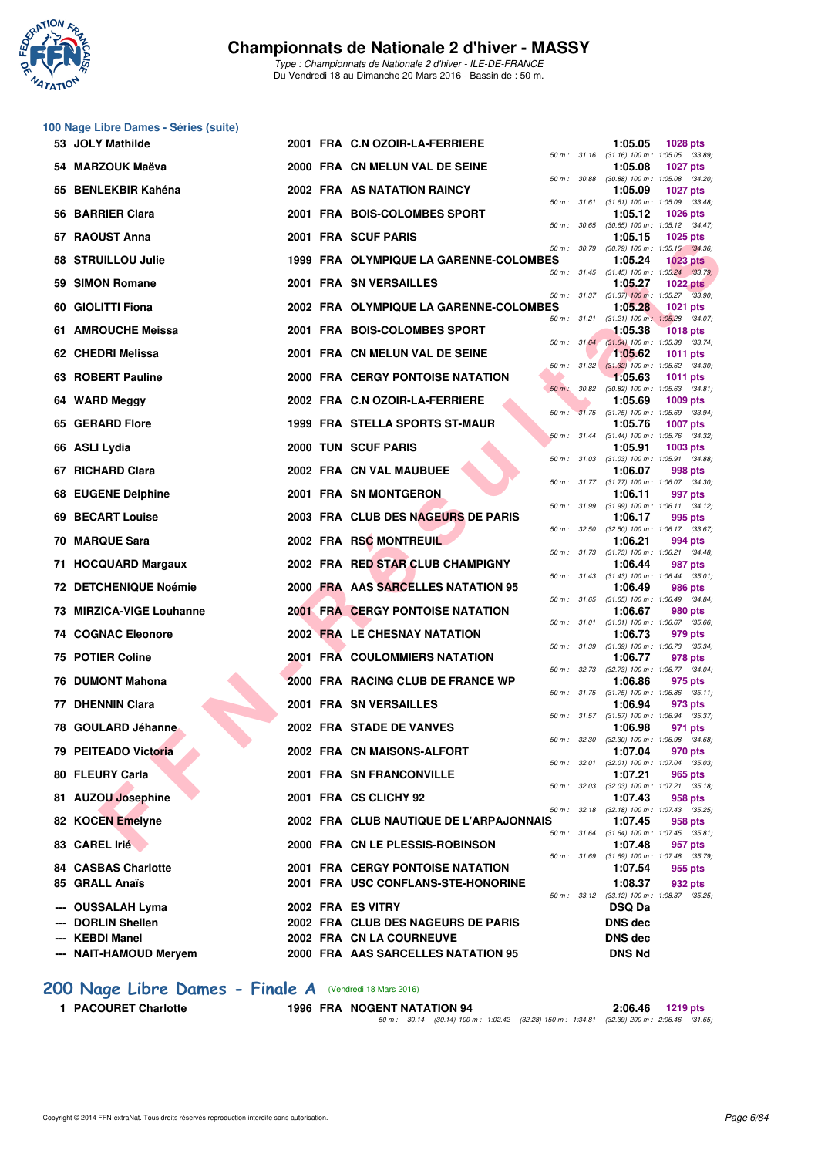

**100 Nage Libre Dames - Séries (suite)**

#### **Championnats de Nationale 2 d'hiver - MASSY**

*Type : Championnats de Nationale 2 d'hiver - ILE-DE-FRANCE* Du Vendredi 18 au Dimanche 20 Mars 2016 - Bassin de : 50 m.

| <b>JOLY Mathilde</b><br>53          |                   | 2001 FRA C.N OZOIR-LA-FERRIERE          |              | 1:05.05        | <b>1028 pts</b>                                                 |
|-------------------------------------|-------------------|-----------------------------------------|--------------|----------------|-----------------------------------------------------------------|
| 54 MARZOUK Maëva                    |                   | 2000 FRA CN MELUN VAL DE SEINE          |              | 1:05.08        | 50 m: 31.16 (31.16) 100 m: 1:05.05 (33.89)<br><b>1027 pts</b>   |
| 55 BENLEKBIR Kahéna                 |                   | <b>2002 FRA AS NATATION RAINCY</b>      |              | 1:05.09        | 50 m : 30.88 (30.88) 100 m : 1:05.08 (34.20)<br><b>1027 pts</b> |
| 56 BARRIER Clara                    |                   | 2001 FRA BOIS-COLOMBES SPORT            |              | 1:05.12        | 50 m: 31.61 (31.61) 100 m: 1:05.09 (33.48)<br><b>1026 pts</b>   |
| <b>RAOUST Anna</b><br>57.           |                   | 2001 FRA SCUF PARIS                     | 50 m : 30.65 | 1:05.15        | $(30.65)$ 100 m : 1:05.12 $(34.47)$<br><b>1025 pts</b>          |
| 58 STRUILLOU Julie                  |                   | 1999 FRA OLYMPIQUE LA GARENNE-COLOMBES  |              | 1:05.24        | 50 m : 30.79 (30.79) 100 m : 1:05.15 (34.36)<br>$1023$ pts      |
| <b>SIMON Romane</b><br>59           |                   | 2001 FRA SN VERSAILLES                  |              | 1:05.27        | 50 m : 31.45 (31.45) 100 m : 1:05.24 (33.79)<br><b>1022 pts</b> |
| <b>GIOLITTI Fiona</b><br>60         |                   | 2002 FRA OLYMPIQUE LA GARENNE-COLOMBES  |              | 1:05.28        | 50 m: 31.37 (31.37) 100 m: 1:05.27 (33.90)<br>1021 pts          |
| 61 AMROUCHE Meissa                  |                   | 2001 FRA BOIS-COLOMBES SPORT            |              | 1:05.38        | 50 m: 31.21 (31.21) 100 m: 1:05.28 (34.07)<br><b>1018 pts</b>   |
|                                     |                   |                                         |              |                | 50 m : 31.64 (31.64) 100 m : 1:05.38 (33.74)                    |
| 62 CHEDRI Melissa                   |                   | 2001 FRA CN MELUN VAL DE SEINE          |              | 1:05.62        | <b>1011 pts</b><br>50 m: 31.32 (31.32) 100 m: 1:05.62 (34.30)   |
| 63 ROBERT Pauline                   |                   | <b>2000 FRA CERGY PONTOISE NATATION</b> | 50 m : 30.82 | 1:05.63        | <b>1011 pts</b><br>$(30.82)$ 100 m : 1:05.63 $(34.81)$          |
| <b>WARD Meggy</b><br>64             |                   | 2002 FRA C.N OZOIR-LA-FERRIERE          |              | 1:05.69        | 1009 pts<br>50 m : 31.75 (31.75) 100 m : 1:05.69 (33.94)        |
| 65 GERARD Flore                     |                   | 1999 FRA STELLA SPORTS ST-MAUR          |              | 1:05.76        | <b>1007 pts</b><br>50 m : 31.44 (31.44) 100 m : 1:05.76 (34.32) |
| ASLI Lydia<br>66                    |                   | 2000 TUN SCUF PARIS                     |              | 1:05.91        | 1003 pts                                                        |
| 67 RICHARD Clara                    |                   | 2002 FRA CN VAL MAUBUEE                 |              | 1:06.07        | 50 m: 31.03 (31.03) 100 m: 1:05.91 (34.88)<br>998 pts           |
| 68 EUGENE Delphine                  |                   | 2001 FRA SN MONTGERON                   |              | 1:06.11        | 50 m: 31.77 (31.77) 100 m: 1:06.07 (34.30)<br>997 pts           |
| <b>BECART Louise</b><br>69          |                   | 2003 FRA CLUB DES NAGEURS DE PARIS      |              | 1:06.17        | 50 m: 31.99 (31.99) 100 m: 1:06.11 (34.12)<br>995 pts           |
| 70 MARQUE Sara                      |                   | 2002 FRA RSC MONTREUIL                  | 50 m : 32.50 | 1:06.21        | $(32.50)$ 100 m : 1:06.17 $(33.67)$<br>994 pts                  |
| 71 HOCQUARD Margaux                 |                   | 2002 FRA RED STAR CLUB CHAMPIGNY        |              | 1:06.44        | 50 m: 31.73 (31.73) 100 m: 1:06.21 (34.48)<br>987 pts           |
| 72 DETCHENIQUE Noémie               |                   | 2000 FRA AAS SARCELLES NATATION 95      |              | 1:06.49        | 50 m: 31.43 (31.43) 100 m: 1:06.44 (35.01)<br>986 pts           |
| <b>MIRZICA-VIGE Louhanne</b><br>73. |                   | <b>2001 FRA CERGY PONTOISE NATATION</b> |              | 1:06.67        | 50 m: 31.65 (31.65) 100 m: 1:06.49 (34.84)<br>980 pts           |
| <b>74 COGNAC Eleonore</b>           |                   | <b>2002 FRA LE CHESNAY NATATION</b>     |              | 1:06.73        | 50 m: 31.01 (31.01) 100 m: 1:06.67 (35.66)<br>979 pts           |
| 75 POTIER Coline                    |                   | <b>2001 FRA COULOMMIERS NATATION</b>    | 50 m : 31.39 | 1:06.77        | $(31.39)$ 100 m : 1:06.73 $(35.34)$<br>978 pts                  |
| <b>DUMONT Mahona</b><br>76          |                   | 2000 FRA RACING CLUB DE FRANCE WP       |              |                | 50 m: 32.73 (32.73) 100 m: 1:06.77 (34.04)                      |
|                                     |                   |                                         |              | 1:06.86        | 975 pts<br>50 m: 31.75 (31.75) 100 m: 1:06.86 (35.11)           |
| 77 DHENNIN Clara                    |                   | 2001 FRA SN VERSAILLES                  |              | 1:06.94        | 973 pts<br>50 m: 31.57 (31.57) 100 m: 1:06.94 (35.37)           |
| 78 GOULARD Jéhanne.                 |                   | 2002 FRA STADE DE VANVES                | 50 m: 32.30  | 1:06.98        | 971 pts<br>$(32.30)$ 100 m : 1:06.98 $(34.68)$                  |
| 79 PEITEADO Victoria                |                   | 2002 FRA CN MAISONS-ALFORT              |              | 1:07.04        | 970 pts<br>50 m: 32.01 (32.01) 100 m: 1:07.04 (35.03)           |
| 80 FLEURY Carla                     |                   | <b>2001 FRA SN FRANCONVILLE</b>         |              | 1:07.21        | 965 pts<br>50 m: 32.03 (32.03) 100 m: 1:07.21 (35.18)           |
| 81 AUZOU Josephine                  |                   | 2001 FRA CS CLICHY 92                   |              | 1:07.43        | 958 pts                                                         |
| 82 KOCEN Emelyne                    |                   | 2002 FRA CLUB NAUTIQUE DE L'ARPAJONNAIS |              | 1:07.45        | 50 m: 32.18 (32.18) 100 m: 1:07.43 (35.25)<br>958 pts           |
| 83 CAREL Irié                       |                   | 2000 FRA CN LE PLESSIS-ROBINSON         |              | 1:07.48        | 50 m: 31.64 (31.64) 100 m: 1:07.45 (35.81)<br>957 pts           |
| <b>84 CASBAS Charlotte</b>          |                   | <b>2001 FRA CERGY PONTOISE NATATION</b> |              | 1:07.54        | 50 m: 31.69 (31.69) 100 m: 1:07.48 (35.79)<br>955 pts           |
| 85 GRALL Anaïs                      |                   | 2001 FRA USC CONFLANS-STE-HONORINE      |              | 1:08.37        | 932 pts<br>50 m: 33.12 (33.12) 100 m: 1:08.37 (35.25)           |
| <b>OUSSALAH Lyma</b>                | 2002 FRA ES VITRY |                                         |              | <b>DSQ Da</b>  |                                                                 |
| <b>DORLIN Shellen</b>               |                   | 2002 FRA CLUB DES NAGEURS DE PARIS      |              | <b>DNS dec</b> |                                                                 |
| <b>KEBDI Manel</b>                  |                   | 2002 FRA CN LA COURNEUVE                |              | <b>DNS</b> dec |                                                                 |
| --- NAIT-HAMOUD Meryem              |                   | 2000 FRA AAS SARCELLES NATATION 95      |              | <b>DNS Nd</b>  |                                                                 |

# **200 Nage Libre Dames - Finale A** (Vendredi 18 Mars 2016)<br>1 PACOURET Charlotte 1996 FRA NOGENT NATATION 94

**1 PACOURET Charlotte 1996 FRA NOGENT NATATION 94 2:06.46 1219 pts**<br>*50 m : 30.14 (30.14) 100 m : 1:02.42* (32.28) 150 m : 1:34.81 (32.39) 200 m : 2:06.46 (31.65)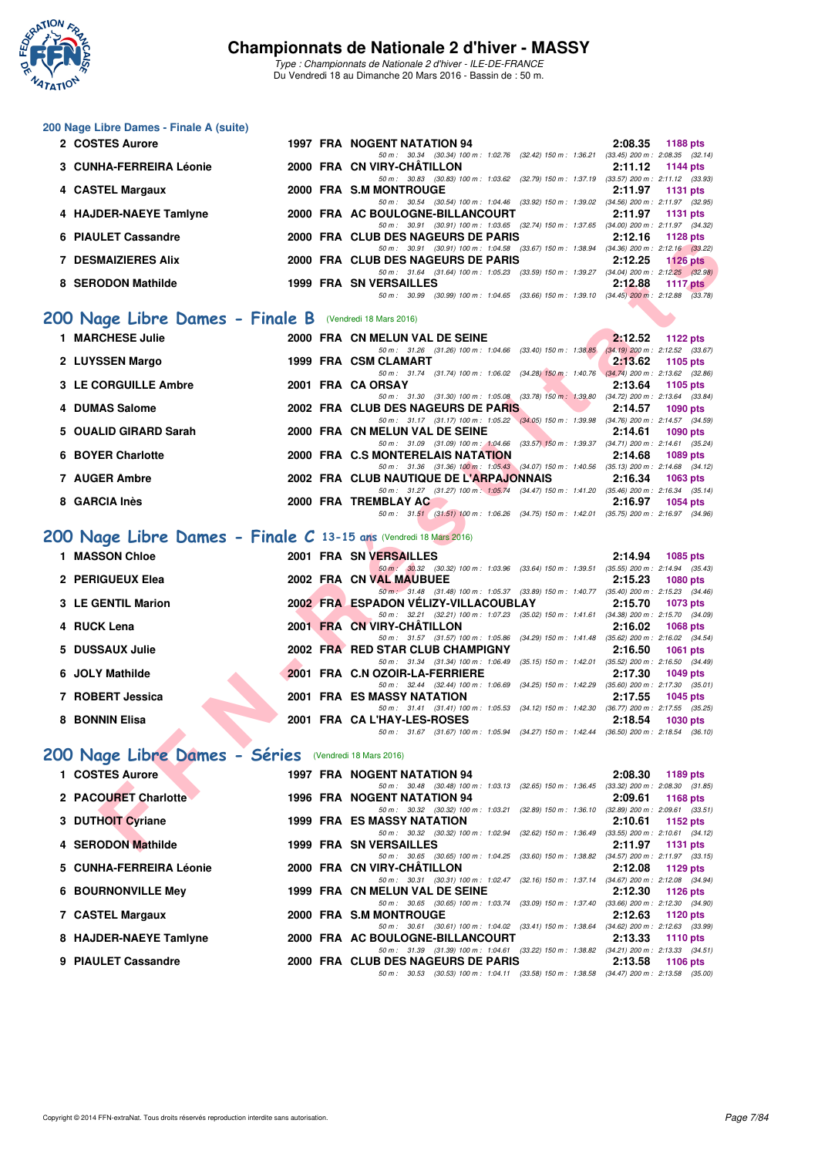

#### **200 Nage Libre Dames - Finale A (suite)**

| 2 COSTES Aurore                                         |      | 1997 FRA NOGENT NATATION 94                                                                      | 2:08.35 | 1188 pts                            |
|---------------------------------------------------------|------|--------------------------------------------------------------------------------------------------|---------|-------------------------------------|
|                                                         |      | 50 m: 30.34 (30.34) 100 m: 1:02.76<br>(32.42) 150 m : 1:36.21                                    |         | $(33.45)$ 200 m : 2:08.35 $(32.14)$ |
| 3 CUNHA-FERREIRA Léonie                                 |      | 2000 FRA CN VIRY-CHATILLON                                                                       | 2:11.12 | 1144 pts                            |
|                                                         |      | 50 m: 30.83 (30.83) 100 m: 1:03.62 (32.79) 150 m: 1:37.19                                        |         | $(33.57)$ 200 m : 2:11.12 $(33.93)$ |
| 4 CASTEL Margaux                                        | 2000 | <b>FRA S.M MONTROUGE</b>                                                                         | 2:11.97 | 1131 pts                            |
|                                                         |      | 50 m : 30.54 (30.54) 100 m : 1:04.46 (33.92) 150 m : 1:39.02                                     |         | $(34.56)$ 200 m : 2:11.97 $(32.95)$ |
| 4 HAJDER-NAEYE Tamlyne                                  |      | 2000 FRA AC BOULOGNE-BILLANCOURT                                                                 | 2:11.97 | $1131$ pts                          |
|                                                         |      | 50 m: 30.91 (30.91) 100 m: 1:03.65 (32.74) 150 m: 1:37.65                                        |         | $(34.00)$ 200 m : 2:11.97 $(34.32)$ |
| 6 PIAULET Cassandre                                     | 2000 | FRA CLUB DES NAGEURS DE PARIS                                                                    | 2:12.16 | 1128 $pts$                          |
|                                                         |      | 50 m : 30.91 (30.91) 100 m : 1:04.58 (33.67) 150 m : 1:38.94                                     |         | $(34.36)$ 200 m : 2:12.16 $(33.22)$ |
| <b>DESMAIZIERES Alix</b>                                |      | 2000 FRA CLUB DES NAGEURS DE PARIS                                                               | 2:12.25 | $1126$ pts                          |
|                                                         |      | (33.59) 150 m : 1:39.27<br>50 m : 31.64 (31.64) 100 m : 1:05.23                                  |         | $(34.04)$ 200 m : 2:12.25 $(32.98)$ |
| 8 SERODON Mathilde                                      | 1999 | <b>FRA SN VERSAILLES</b>                                                                         | 2:12.88 | 1117 $pts$                          |
|                                                         |      | $(30.99)$ 100 m : 1:04.65 $(33.66)$ 150 m : 1:39.10 $(34.45)$ 200 m : 2:12.88<br>30.99<br>50 m : |         | (33.78)                             |
|                                                         |      |                                                                                                  |         |                                     |
| 200 Nage Libre Dames - Finale B (Vendredi 18 Mars 2016) |      |                                                                                                  |         |                                     |
| 1 MADCHECE Inlie                                        | חחמפ | <b>CDA CN MCLUN VAL DE CEINE</b>                                                                 | 0.10E   | $1100 - 10$                         |

### **1 MARCHESE Julie 2000 FRA CN MELUN VAL DE SEINE 2:12.52 1122 pts**

| <b>MARCHESE JUIIE</b> |  | 2000 FRA CN MELUN VAL DE SEINE          |  |                                                                                              | 2.12.52 1122 pts                    |                 |  |
|-----------------------|--|-----------------------------------------|--|----------------------------------------------------------------------------------------------|-------------------------------------|-----------------|--|
|                       |  |                                         |  | 50 m : 31.26 (31.26) 100 m : 1:04.66 (33.40) 150 m : 1:38.85 (34.19) 200 m : 2:12.52 (33.67) |                                     |                 |  |
| 2 LUYSSEN Margo       |  | 1999 FRA CSM CLAMART                    |  |                                                                                              | 2:13.62                             | 1105 $pts$      |  |
|                       |  |                                         |  | 50 m: 31.74 (31.74) 100 m: 1:06.02 (34.28) 150 m: 1:40.76                                    | $(34.74)$ 200 m : 2:13.62 $(32.86)$ |                 |  |
| 3 LE CORGUILLE Ambre  |  | 2001 FRA CA ORSAY                       |  |                                                                                              | 2:13.64                             | 1105 pts        |  |
|                       |  |                                         |  | 50 m : 31.30 (31.30) 100 m : 1:05.08 (33.78) 150 m : 1:39.80                                 | $(34.72)$ 200 m : 2:13.64 $(33.84)$ |                 |  |
| 4 DUMAS Salome        |  | 2002 FRA CLUB DES NAGEURS DE PARIS      |  |                                                                                              | 2:14.57                             | 1090 pts        |  |
|                       |  |                                         |  | 50 m: 31.17 (31.17) 100 m: 1:05.22 (34.05) 150 m: 1:39.98                                    | $(34.76)$ 200 m : 2:14.57 $(34.59)$ |                 |  |
| 5 OUALID GIRARD Sarah |  | 2000 FRA CN MELUN VAL DE SEINE          |  |                                                                                              | 2:14.61                             | 1090 pts        |  |
|                       |  |                                         |  | 50 m: 31.09 (31.09) 100 m: 1:04.66 (33.57) 150 m: 1:39.37                                    | $(34.71)$ 200 m : 2:14.61 $(35.24)$ |                 |  |
| 6 BOYER Charlotte     |  | 2000 FRA C.S MONTERELAIS NATATION       |  |                                                                                              | 2:14.68                             | 1089 pts        |  |
|                       |  |                                         |  | 50 m: 31.36 (31.36) 100 m: 1:05.43 (34.07) 150 m: 1:40.56                                    | $(35.13)$ 200 m : 2:14.68 $(34.12)$ |                 |  |
| 7 AUGER Ambre         |  | 2002 FRA CLUB NAUTIQUE DE L'ARPAJONNAIS |  |                                                                                              | 2:16.34                             | $1063$ pts      |  |
|                       |  |                                         |  | 50 m: 31.27 (31.27) 100 m: 1:05.74 (34.47) 150 m: 1:41.20                                    | $(35.46)$ 200 m : 2:16.34 $(35.14)$ |                 |  |
| 8 GARCIA Inès         |  | 2000 FRA TREMBLAY AC                    |  |                                                                                              | 2:16.97                             | <b>1054 pts</b> |  |
|                       |  |                                         |  | 50 m: 31.51 (31.51) 100 m: 1:06.26 (34.75) 150 m: 1:42.01 (35.75) 200 m: 2:16.97 (34.96)     |                                     |                 |  |

## **[200 Nage Libre Dames - Finale C](http://www.ffnatation.fr/webffn/resultats.php?idact=nat&go=epr&idcpt=37307&idepr=3) 13-15 ans** (Vendredi 18 Mars 2016)

| <b>FIAULET VASSAIIUIT</b>                                        |  | ZUUU FRA VLUD <i>u</i><br>LJ INAULUNJ DL FANIJ                                                                                 | 4. I 4. I 9                |
|------------------------------------------------------------------|--|--------------------------------------------------------------------------------------------------------------------------------|----------------------------|
| <b>7 DESMAIZIERES Alix</b>                                       |  | 50 m: 30.91 (30.91) 100 m: 1:04.58 (33.67) 150 m: 1:38.94 (34.36) 200 m: 2:12.16 (33.22)<br>2000 FRA CLUB DES NAGEURS DE PARIS | 2:12.25<br>$1126$ pts      |
|                                                                  |  | 50 m: 31.64 (31.64) 100 m: 1:05.23 (33.59) 150 m: 1:39.27 (34.04) 200 m: 2:12.25 (32.98)                                       |                            |
| 8 SERODON Mathilde                                               |  | <b>1999 FRA SN VERSAILLES</b>                                                                                                  | 2:12.88<br>1117 $pts$      |
|                                                                  |  | 50 m: 30.99 (30.99) 100 m: 1.04.65 (33.66) 150 m: 1.39.10 (34.45) 200 m: 2.12.88 (33.78)                                       |                            |
|                                                                  |  |                                                                                                                                |                            |
| <b>00 Nage Libre Dames - Finale B</b> (Vendredi 18 Mars 2016)    |  |                                                                                                                                |                            |
| 1 MARCHESE Julie                                                 |  | 2000 FRA CN MELUN VAL DE SEINE                                                                                                 | 2:12.52<br>1122 pts        |
|                                                                  |  | 50 m: 31.26 (31.26) 100 m: 1.04.66 (33.40) 150 m: 1.38.85 (34.19) 200 m: 2.12.52 (33.67)                                       |                            |
| 2 LUYSSEN Margo                                                  |  | 1999 FRA CSM CLAMART                                                                                                           | 2:13.62<br>1105 pts        |
| 3 LE CORGUILLE Ambre                                             |  | 50 m: 31.74 (31.74) 100 m: 1:06.02 (34.28) 150 m: 1:40.76 (34.74) 200 m: 2:13.62 (32.86)<br>2001 FRA CA ORSAY                  | 2:13.64<br>1105 pts        |
|                                                                  |  | 50 m: 31.30 (31.30) 100 m: 1.05.08 (33.78) 150 m: 1.39.80 (34.72) 200 m: 2.13.64 (33.84)                                       |                            |
| 4 DUMAS Salome                                                   |  | 2002 FRA CLUB DES NAGEURS DE PARIS                                                                                             | 2:14.57<br>1090 pts        |
|                                                                  |  | 50 m: 31.17 (31.17) 100 m: 1:05.22 (34.05) 150 m: 1:39.98 (34.76) 200 m: 2:14.57 (34.59)                                       |                            |
| 5 OUALID GIRARD Sarah                                            |  | 2000 FRA CN MELUN VAL DE SEINE                                                                                                 | 2:14.61<br>1090 pts        |
|                                                                  |  | 50 m: 31.09 (31.09) 100 m: 1:04.66 (33.57) 150 m: 1:39.37 (34.71) 200 m: 2:14.61 (35.24)                                       |                            |
| <b>6 BOYER Charlotte</b>                                         |  | 2000 FRA C.S MONTERELAIS NATATION                                                                                              | 2:14.68<br><b>1089 pts</b> |
|                                                                  |  | 50 m: 31.36 (31.36) 100 m: 1:05.43 (34.07) 150 m: 1:40.56 (35.13) 200 m: 2:14.68 (34.12)                                       |                            |
| 7 AUGER Ambre                                                    |  | 2002 FRA CLUB NAUTIQUE DE L'ARPAJONNAIS                                                                                        | 2:16.34<br>1063 pts        |
| 8 GARCIA Inès                                                    |  | 50 m: 31.27 (31.27) 100 m: 1:05.74 (34.47) 150 m: 1:41.20 (35.46) 200 m: 2:16.34 (35.14)<br>2000 FRA TREMBLAY AC               | 2:16.97<br>1054 pts        |
|                                                                  |  | 50 m: 31.51 (31.51) 100 m: 1.06.26 (34.75) 150 m: 1.42.01 (35.75) 200 m: 2.16.97 (34.96)                                       |                            |
|                                                                  |  |                                                                                                                                |                            |
| 00 Nage Libre Dames - Finale C 13-15 ans (Vendredi 18 Mars 2016) |  |                                                                                                                                |                            |
| 1 MASSON Chloe                                                   |  | 2001 FRA SN VERSAILLES                                                                                                         | 2:14.94<br>1085 pts        |
|                                                                  |  | 50 m: 30.32 (30.32) 100 m: 1.03.96 (33.64) 150 m: 1.39.51 (35.55) 200 m: 2.14.94 (35.43)                                       |                            |
| 2 PERIGUEUX Elea                                                 |  | 2002 FRA CN VAL MAUBUEE                                                                                                        | 2:15.23<br><b>1080 pts</b> |
|                                                                  |  | 50 m: 31.48 (31.48) 100 m: 1:05.37 (33.89) 150 m: 1:40.77 (35.40) 200 m: 2:15.23 (34.46)                                       |                            |
| 3 LE GENTIL Marion                                               |  | 2002 FRA ESPADON VELIZY-VILLACOUBLAY                                                                                           | 2:15.70<br>1073 pts        |
|                                                                  |  | 50 m: 32.21 (32.21) 100 m: 1:07.23 (35.02) 150 m: 1:41.61 (34.38) 200 m: 2:15.70 (34.09)                                       |                            |
| 4 RUCK Lena                                                      |  | 2001 FRA CN VIRY-CHATILLON                                                                                                     | 2:16.02<br><b>1068 pts</b> |
|                                                                  |  | 50 m: 31.57 (31.57) 100 m: 1:05.86 (34.29) 150 m: 1:41.48 (35.62) 200 m: 2:16.02 (34.54)                                       |                            |
| 5 DUSSAUX Julie                                                  |  | 2002 FRA RED STAR CLUB CHAMPIGNY<br>50 m: 31.34 (31.34) 100 m: 1:06.49 (35.15) 150 m: 1:42.01 (35.52) 200 m: 2:16.50 (34.49)   | 2:16.50<br><b>1061 pts</b> |
| 6 JOLY Mathilde                                                  |  | 2001 FRA C.N OZOIR-LA-FERRIERE                                                                                                 | 2:17.30<br><b>1049 pts</b> |
|                                                                  |  | 50 m: 32.44 (32.44) 100 m: 1:06.69 (34.25) 150 m: 1:42.29 (35.60) 200 m: 2:17.30 (35.01)                                       |                            |
| 7 ROBERT Jessica                                                 |  | <b>2001 FRA ES MASSY NATATION</b>                                                                                              | 2:17.55<br><b>1045 pts</b> |
|                                                                  |  | 50 m: 31.41 (31.41) 100 m: 1:05.53 (34.12) 150 m: 1:42.30 (36.77) 200 m: 2:17.55 (35.25)                                       |                            |
| 8 BONNIN Elisa                                                   |  | 2001 FRA CA L'HAY-LES-ROSES                                                                                                    | 2:18.54<br><b>1030 pts</b> |
|                                                                  |  | 50 m: 31.67 (31.67) 100 m: 1:05.94 (34.27) 150 m: 1:42.44 (36.50) 200 m: 2:18.54 (36.10)                                       |                            |
|                                                                  |  |                                                                                                                                |                            |
| 00 Nage Libre Dames - Séries (Vendredi 18 Mars 2016)             |  |                                                                                                                                |                            |
| 1 COSTES Aurore                                                  |  | <b>1997 FRA NOGENT NATATION 94</b>                                                                                             | 2:08.30<br>1189 pts        |
|                                                                  |  | 50 m: 30.48 (30.48) 100 m: 1:03.13 (32.65) 150 m: 1:36.45 (33.32) 200 m: 2:08.30 (31.85)                                       |                            |
| 2 PACOURET Charlotte                                             |  | <b>1996 FRA NOGENT NATATION 94</b>                                                                                             | 2:09.61<br>1168 pts        |
|                                                                  |  | 50 m: 30.32 (30.32) 100 m: 1:03.21 (32.89) 150 m: 1:36.10 (32.89) 200 m: 2:09.61 (33.51)                                       |                            |
| 3 DUTHOIT Cyriane                                                |  | <b>1999 FRA ES MASSY NATATION</b><br>50 m: 30.32 (30.32) 100 m: 1:02.94 (32.62) 150 m: 1:36.49 (33.55) 200 m: 2:10.61 (34.12)  | 2:10.61<br>1152 pts        |
|                                                                  |  |                                                                                                                                |                            |
| 4 SERODON Mathilde                                               |  | 1999 FRA SN VERSAILLES                                                                                                         | 2:11.97<br><b>1131 pts</b> |

## [200 Nage Libre Dames - Séries](http://www.ffnatation.fr/webffn/resultats.php?idact=nat&go=epr&idcpt=37307&idepr=3) **(Vendredi 18 Mars 2016)**

| 1 COSTES Aurore           |  | 1997 FRA NOGENT NATATION 94                                                              |                         | 2:08.30 | 1189 pts                            |
|---------------------------|--|------------------------------------------------------------------------------------------|-------------------------|---------|-------------------------------------|
|                           |  | 50 m : 30.48 (30.48) 100 m : 1:03.13 (32.65) 150 m : 1:36.45                             |                         |         | $(33.32)$ 200 m : 2:08.30 $(31.85)$ |
| 2 PACOURET Charlotte      |  | <b>1996 FRA NOGENT NATATION 94</b>                                                       |                         | 2:09.61 | 1168 $pts$                          |
|                           |  | 50 m : 30.32 (30.32) 100 m : 1:03.21 (32.89) 150 m : 1:36.10                             |                         |         | $(32.89)$ 200 m : 2:09.61 $(33.51)$ |
| 3 DUTHOIT Cyriane         |  | <b>1999 FRA ES MASSY NATATION</b>                                                        |                         | 2:10.61 | 1152 $pts$                          |
|                           |  | 50 m: 30.32 (30.32) 100 m: 1:02.94 (32.62) 150 m: 1:36.49                                |                         |         | $(33.55)$ 200 m : 2:10.61 $(34.12)$ |
| 4 SERODON Mathilde        |  | <b>1999 FRA SN VERSAILLES</b>                                                            |                         | 2:11.97 | 1131 $pts$                          |
|                           |  | 50 m : 30.65 (30.65) 100 m : 1:04.25                                                     | (33.60) 150 m : 1:38.82 |         | $(34.57)$ 200 m : 2:11.97 $(33.15)$ |
| 5 CUNHA-FERREIRA Léonie   |  | 2000 FRA CN VIRY-CHÂTILLON                                                               |                         | 2:12.08 | 1129 $pts$                          |
|                           |  | 50 m : 30.31 (30.31) 100 m : 1:02.47 (32.16) 150 m : 1:37.14                             |                         |         | $(34.67)$ 200 m : 2:12.08 $(34.94)$ |
| <b>6 BOURNONVILLE Mey</b> |  | 1999 FRA CN MELUN VAL DE SEINE                                                           |                         | 2:12.30 | 1126 $pts$                          |
|                           |  | 50 m: 30.65 (30.65) 100 m: 1:03.74                                                       | (33.09) 150 m : 1:37.40 |         | $(33.66)$ 200 m : 2:12.30 $(34.90)$ |
| 7 CASTEL Margaux          |  | 2000 FRA S.M MONTROUGE                                                                   |                         | 2:12.63 | 1120 $pts$                          |
|                           |  | 50 m: 30.61 (30.61) 100 m: 1:04.02 (33.41) 150 m: 1:38.64                                |                         |         | $(34.62)$ 200 m : 2:12.63 $(33.99)$ |
| 8 HAJDER-NAEYE Tamlyne    |  | 2000 FRA AC BOULOGNE-BILLANCOURT                                                         |                         | 2:13.33 | 1110 $pts$                          |
|                           |  | 50 m: 31.39 (31.39) 100 m: 1:04.61 (33.22) 150 m: 1:38.82                                |                         |         | $(34.21)$ 200 m : 2:13.33 $(34.51)$ |
| 9 PIAULET Cassandre       |  | 2000 FRA CLUB DES NAGEURS DE PARIS                                                       |                         | 2:13.58 | 1106 $pts$                          |
|                           |  | 50 m: 30.53 (30.53) 100 m: 1:04.11 (33.58) 150 m: 1:38.58 (34.47) 200 m: 2:13.58 (35.00) |                         |         |                                     |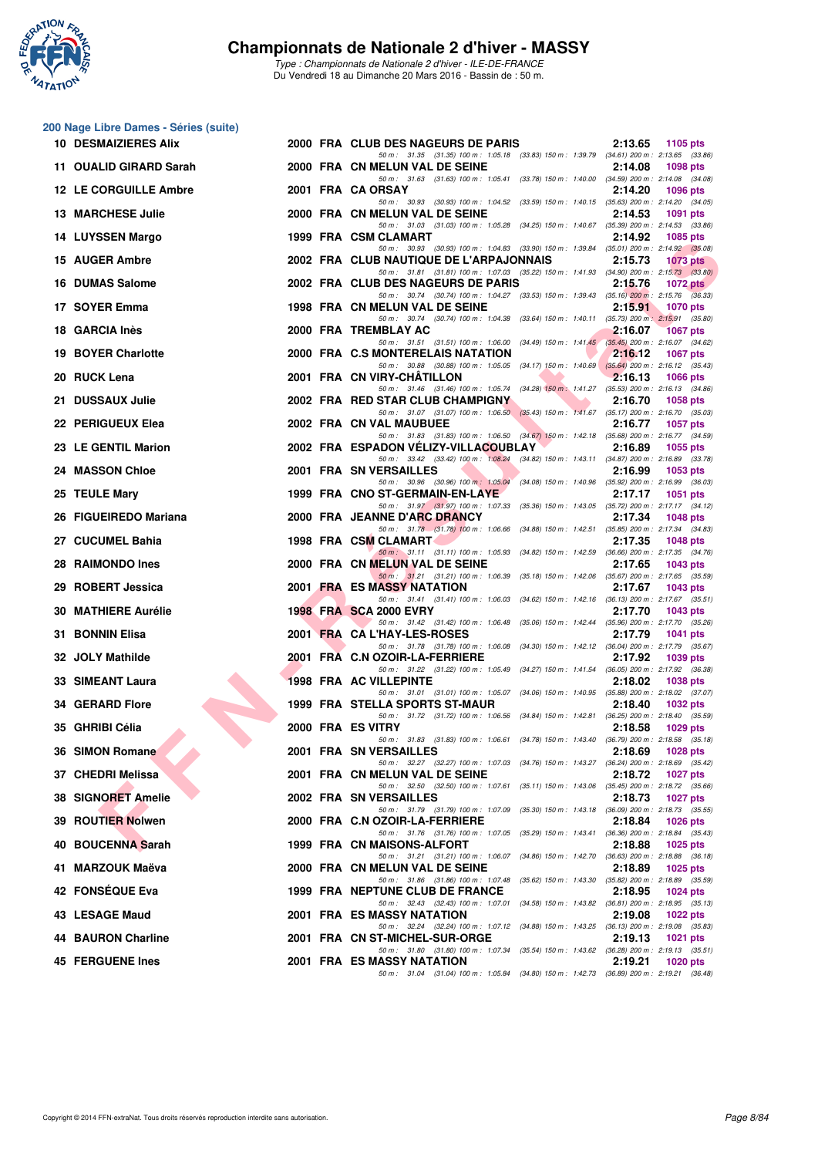

**200 Nage Libre Dames - Séries (suite)**

#### **Championnats de Nationale 2 d'hiver - MASSY**

|     | <b>10 DESMAIZIERES Alix</b>                 |  | 2000 FRA CLUB DES NAGEURS DE PARIS                                                                                                                                                                                           | 2:13.65<br>1105 pts        |
|-----|---------------------------------------------|--|------------------------------------------------------------------------------------------------------------------------------------------------------------------------------------------------------------------------------|----------------------------|
|     | 11 OUALID GIRARD Sarah                      |  | 50 m: 31.35 (31.35) 100 m: 1:05.18 (33.83) 150 m: 1:39.79 (34.61) 200 m: 2:13.65 (33.86)<br>2000 FRA CN MELUN VAL DE SEINE                                                                                                   | 2:14.08<br><b>1098 pts</b> |
|     | 12 LE CORGUILLE Ambre                       |  | 50 m: 31.63 (31.63) 100 m: 1:05.41 (33.78) 150 m: 1:40.00 (34.59) 200 m: 2:14.08 (34.08)<br>2001 FRA CA ORSAY                                                                                                                | 2:14.20<br>1096 pts        |
|     | <b>13 MARCHESE Julie</b>                    |  | 50 m: 30.93 (30.93) 100 m: 1:04.52 (33.59) 150 m: 1:40.15 (35.63) 200 m: 2:14.20 (34.05)<br>2000 FRA CN MELUN VAL DE SEINE                                                                                                   | 2:14.53<br>1091 pts        |
|     | 14 LUYSSEN Margo                            |  | 50 m: 31.03 (31.03) 100 m: 1:05.28 (34.25) 150 m: 1:40.67 (35.39) 200 m: 2:14.53 (33.86)<br>1999 FRA CSM CLAMART                                                                                                             | 2:14.92<br>1085 pts        |
|     | 15 AUGER Ambre                              |  | 50 m: 30.93 (30.93) 100 m: 1:04.83 (33.90) 150 m: 1:39.84 (35.01) 200 m: 2:14.92 (35.08)<br>2002 FRA CLUB NAUTIQUE DE L'ARPAJONNAIS                                                                                          | 2:15.73<br>1073 pts        |
|     | 16 DUMAS Salome                             |  | 50 m: 31.81 (31.81) 100 m: 1:07.03 (35.22) 150 m: 1:41.93 (34.90) 200 m: 2:15.73 (33.80)<br>2002 FRA CLUB DES NAGEURS DE PARIS                                                                                               | 2:15.76<br>1072 $pts$      |
|     | 17 SOYER Emma                               |  | 50 m: 30.74 (30.74) 100 m: 1:04.27 (33.53) 150 m: 1:39.43 (35.16) 200 m: 2:15.76 (36.33)<br>1998 FRA CN MELUN VAL DE SEINE                                                                                                   | 2:15.91<br><b>1070 pts</b> |
|     | 18 GARCIA Inès                              |  | 50 m: 30.74 (30.74) 100 m: 1:04.38 (33.64) 150 m: 1:40.11 (35.73) 200 m: 2:15.91 (35.80)<br>2000 FRA TREMBLAY AC                                                                                                             | 2:16.07<br>1067 pts        |
|     | <b>19 BOYER Charlotte</b>                   |  | 50 m: 31.51 (31.51) 100 m: 1:06.00 (34.49) 150 m: 1:41.45 (35.45) 200 m: 2:16.07 (34.62)<br>2000 FRA C.S MONTERELAIS NATATION                                                                                                | 2:16.12<br><b>1067 pts</b> |
|     | 20 RUCK Lena                                |  | 50 m: 30.88 (30.88) 100 m: 1:05.05 (34.17) 150 m: 1:40.69 (35.64) 200 m: 2:16.12 (35.43)<br>2001 FRA CN VIRY-CHATILLON                                                                                                       | 2:16.13<br>1066 pts        |
|     | 21 DUSSAUX Julie                            |  | 50 m: 31.46 (31.46) 100 m: 1:05.74 (34.28) 150 m: 1:41.27 (35.53) 200 m: 2:16.13 (34.86)<br>2002 FRA RED STAR CLUB CHAMPIGNY                                                                                                 | 2:16.70<br>1058 pts        |
|     | 22 PERIGUEUX Elea                           |  | 50 m: 31.07 (31.07) 100 m: 1.06.50 (35.43) 150 m: 1.41.67 (35.17) 200 m: 2.16.70 (35.03)<br>2002 FRA CN VAL MAUBUEE                                                                                                          | 2:16.77<br><b>1057 pts</b> |
|     | 23 LE GENTIL Marion                         |  | 50 m: 31.83 (31.83) 100 m: 1:06.50 (34.67) 150 m: 1:42.18 (35.68) 200 m: 2:16.77 (34.59)<br>2002 FRA ESPADON VELIZY-VILLACOUBLAY<br>50 m: 33.42 (33.42) 100 m: 1:08.24 (34.82) 150 m: 1:43.11 (34.87) 200 m: 2:16.89 (33.78) | 2:16.89<br>1055 pts        |
|     | 24 MASSON Chloe                             |  | 2001 FRA SN VERSAILLES<br>50 m: 30.96 (30.96) 100 m: 1.05.04 (34.08) 150 m: 1.40.96 (35.92) 200 m: 2.16.99 (36.03)                                                                                                           | 2:16.99<br>$1053$ pts      |
|     | 25 TEULE Mary                               |  | 1999 FRA CNO ST-GERMAIN-EN-LAYE                                                                                                                                                                                              | 2:17.17<br>1051 pts        |
|     | 26 FIGUEIREDO Mariana                       |  | 50 m: 31.97 (31.97) 100 m: 1:07.33 (35.36) 150 m: 1:43.05 (35.72) 200 m: 2:17.17 (34.12)<br>2000 FRA JEANNE D'ARC DRANCY<br>50 m: 31.78 (31.78) 100 m: 1:06.66 (34.88) 150 m: 1:42.51 (35.85) 200 m: 2:17.34 (34.83)         | 2:17.34<br><b>1048 pts</b> |
|     | 27 CUCUMEL Bahia                            |  | 1998 FRA CSM CLAMART<br>50 m: 31.11 (31.11) 100 m: 1:05.93 (34.82) 150 m: 1:42.59 (36.66) 200 m: 2:17.35 (34.76)                                                                                                             | 2:17.35<br>1048 pts        |
| 28. | <b>RAIMONDO Ines</b>                        |  | 2000 FRA CN MELUN VAL DE SEINE<br>50 m: 31.21 (31.21) 100 m: 1.06.39 (35.18) 150 m: 1.42.06 (35.67) 200 m: 2.17.65 (35.59)                                                                                                   | 2:17.65<br><b>1043 pts</b> |
|     | 29 ROBERT Jessica                           |  | <b>2001 FRA ES MASSY NATATION</b><br>50 m: 31.41 (31.41) 100 m: 1:06.03 (34.62) 150 m: 1:42.16 (36.13) 200 m: 2:17.67 (35.51)                                                                                                | 2:17.67<br>1043 pts        |
|     | <b>30 MATHIERE Aurélie</b>                  |  | <b>1998 FRA SCA 2000 EVRY</b><br>50 m: 31.42 (31.42) 100 m: 1:06.48 (35.06) 150 m: 1:42.44 (35.96) 200 m: 2:17.70 (35.26)                                                                                                    | 2:17.70<br>1043 pts        |
|     | 31 BONNIN Elisa                             |  | 2001 FRA CA L'HAY-LES-ROSES<br>50 m: 31.78 (31.78) 100 m: 1:06.08 (34.30) 150 m: 1:42.12 (36.04) 200 m: 2:17.79 (35.67)                                                                                                      | 2:17.79<br><b>1041 pts</b> |
|     | 32 JOLY Mathilde                            |  | 2001 FRA C.N OZOIR-LA-FERRIERE<br>50 m: 31.22 (31.22) 100 m: 1:05.49 (34.27) 150 m: 1:41.54 (36.05) 200 m: 2:17.92 (36.38)                                                                                                   | 2:17.92<br>1039 pts        |
|     | 33 SIMEANT Laura                            |  | <b>1998 FRA AC VILLEPINTE</b><br>50 m: 31.01 (31.01) 100 m: 1:05.07 (34.06) 150 m: 1:40.95 (35.88) 200 m: 2:18.02 (37.07)                                                                                                    | 2:18.02<br>1038 pts        |
|     | <b>34 GERARD Flore</b>                      |  | 1999 FRA STELLA SPORTS ST-MAUR<br>50 m: 31.72 (31.72) 100 m: 1:06.56 (34.84) 150 m: 1:42.81 (36.25) 200 m: 2:18.40 (35.59)                                                                                                   | 2:18.40<br><b>1032 pts</b> |
|     | 35 GHRIBI Célia                             |  | 2000 FRA ES VITRY<br>50 m: 31.83 (31.83) 100 m: 1:06.61 (34.78) 150 m: 1:43.40 (36.79) 200 m: 2:18.58 (35.18)                                                                                                                | 2:18.58<br>$1029$ pts      |
|     | 36 SIMON Romane<br><b>Contract Contract</b> |  | 2001 FRA SN VERSAILLES<br>50 m: 32.27 (32.27) 100 m: 1.07.03 (34.76) 150 m: 1.43.27 (36.24) 200 m: 2.18.69 (35.42)                                                                                                           | 2:18.69<br>1028 pts        |
|     | 37 CHEDRI Melissa                           |  | 2001 FRA CN MELUN VAL DE SEINE<br>50 m: 32.50 (32.50) 100 m: 1:07.61 (35.11) 150 m: 1:43.06 (35.45) 200 m: 2:18.72 (35.66)                                                                                                   | 2:18.72<br><b>1027 pts</b> |
|     | 38 SIGNORET Amelie                          |  | 2002 FRA SN VERSAILLES<br>50 m: 31.79 (31.79) 100 m: 1:07.09 (35.30) 150 m: 1:43.18 (36.09) 200 m: 2:18.73 (35.55)                                                                                                           | 2:18.73<br><b>1027 pts</b> |
|     | 39 ROUTIER Nolwen                           |  | 2000 FRA C.N OZOIR-LA-FERRIERE<br>50 m: 31.76 (31.76) 100 m: 1:07.05 (35.29) 150 m: 1:43.41 (36.36) 200 m: 2:18.84 (35.43)                                                                                                   | 2:18.84<br>1026 pts        |
|     | 40 BOUCENNA Sarah                           |  | 1999 FRA CN MAISONS-ALFORT<br>50 m: 31.21 (31.21) 100 m: 1:06.07 (34.86) 150 m: 1:42.70 (36.63) 200 m: 2:18.88 (36.18)                                                                                                       | 2:18.88<br>1025 pts        |
|     | 41 MARZOUK Maëva                            |  | 2000 FRA CN MELUN VAL DE SEINE<br>50 m: 31.86 (31.86) 100 m: 1:07.48 (35.62) 150 m: 1:43.30 (35.82) 200 m: 2:18.89 (35.59)                                                                                                   | 2:18.89<br>1025 pts        |
|     | 42 FONSÉQUE Eva                             |  | 1999 FRA NEPTUNE CLUB DE FRANCE<br>50 m: 32.43 (32.43) 100 m: 1:07.01 (34.58) 150 m: 1:43.82 (36.81) 200 m: 2:18.95 (35.13)                                                                                                  | 2:18.95<br>1024 pts        |
|     | 43 LESAGE Maud                              |  | 2001 FRA ES MASSY NATATION<br>50 m: 32.24 (32.24) 100 m: 1:07.12 (34.88) 150 m: 1:43.25 (36.13) 200 m: 2:19.08 (35.83)                                                                                                       | 2:19.08<br>1022 pts        |
|     | 44 BAURON Charline                          |  | 2001 FRA CN ST-MICHEL-SUR-ORGE<br>50 m: 31.80 (31.80) 100 m: 1:07.34 (35.54) 150 m: 1:43.62 (36.28) 200 m: 2:19.13 (35.51)                                                                                                   | 2:19.13<br><b>1021 pts</b> |
|     | <b>45 FERGUENE Ines</b>                     |  | 2001 FRA ES MASSY NATATION<br>50 m: 31.04 (31.04) 100 m: 1:05.84 (34.80) 150 m: 1:42.73 (36.89) 200 m: 2:19.21 (36.48)                                                                                                       | 2:19.21<br>1020 pts        |
|     |                                             |  |                                                                                                                                                                                                                              |                            |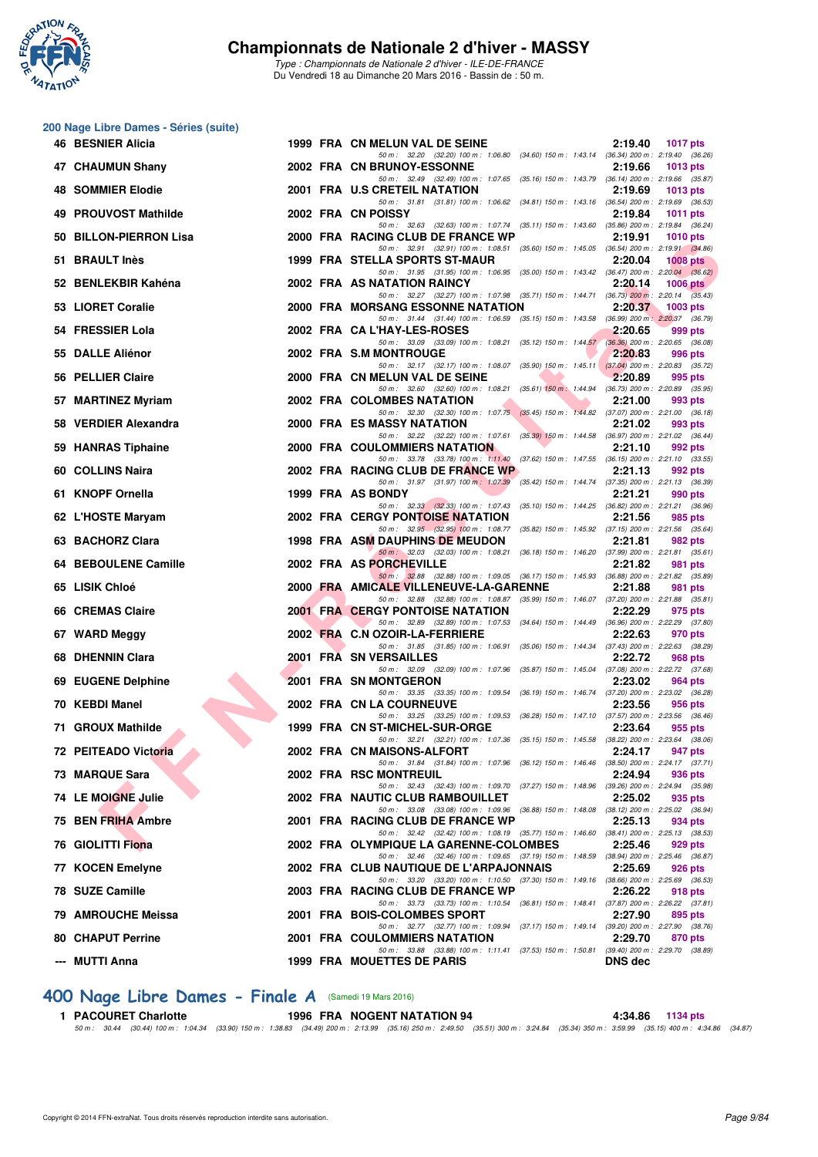

*Type : Championnats de Nationale 2 d'hiver - ILE-DE-FRANCE* Du Vendredi 18 au Dimanche 20 Mars 2016 - Bassin de : 50 m.

|    | 200 Nage Libre Dames - Séries (suite) |  |                                                                                                                                     |                                                   |
|----|---------------------------------------|--|-------------------------------------------------------------------------------------------------------------------------------------|---------------------------------------------------|
|    | <b>46 BESNIER Alicia</b>              |  | 1999 FRA CN MELUN VAL DE SEINE<br>50 m: 32.20 (32.20) 100 m: 1:06.80 (34.60) 150 m: 1:43.14 (36.34) 200 m: 2:19.40 (36.26)          | 2:19.40<br>1017 pts                               |
|    | 47 CHAUMUN Shany                      |  | 2002 FRA CN BRUNOY-ESSONNE<br>50 m: 32.49 (32.49) 100 m: 1:07.65 (35.16) 150 m: 1:43.79 (36.14) 200 m: 2:19.66 (35.87)              | 2:19.66<br><b>1013 pts</b>                        |
|    | <b>48 SOMMIER Elodie</b>              |  | 2001 FRA U.S CRETEIL NATATION<br>50 m: 31.81 (31.81) 100 m: 1:06.62 (34.81) 150 m: 1:43.16 (36.54) 200 m: 2:19.69 (36.53)           | 2:19.69<br><b>1013 pts</b>                        |
|    | 49 PROUVOST Mathilde                  |  | 2002 FRA CN POISSY                                                                                                                  | 2:19.84<br>1011 pts                               |
| 50 | <b>BILLON-PIERRON Lisa</b>            |  | 50 m: 32.63 (32.63) 100 m: 1:07.74 (35.11) 150 m: 1:43.60 (35.86) 200 m: 2:19.84 (36.24)<br>2000 FRA RACING CLUB DE FRANCE WP       | 2:19.91<br><b>1010 pts</b>                        |
|    | 51 BRAULT Inès                        |  | 50 m: 32.91 (32.91) 100 m: 1:08.51 (35.60) 150 m: 1:45.05 (36.54) 200 m: 2:19.91 (34.86)<br>1999 FRA STELLA SPORTS ST-MAUR          | 2:20.04<br><b>1008 pts</b>                        |
|    | 52 BENLEKBIR Kahéna                   |  | 50 m: 31.95 (31.95) 100 m: 1:06.95 (35.00) 150 m: 1:43.42 (36.47) 200 m: 2:20.04 (36.62)<br>2002 FRA AS NATATION RAINCY             | 2:20.14<br>1006 pts                               |
|    | 53 LIORET Coralie                     |  | 50 m: 32.27 (32.27) 100 m: 1:07.98 (35.71) 150 m: 1:44.71 (36.73) 200 m: 2:20.14 (35.43)<br>2000 FRA MORSANG ESSONNE NATATION       | 2:20.37<br>1003 pts                               |
|    | 54 FRESSIER Lola                      |  | 50 m: 31.44 (31.44) 100 m: 1:06.59 (35.15) 150 m: 1:43.58 (36.99) 200 m: 2:20.37 (36.79)<br>2002 FRA CA L'HAY-LES-ROSES             | 2:20.65<br>999 pts                                |
|    | 55 DALLE Aliénor                      |  | 50 m: 33.09 (33.09) 100 m: 1:08.21 (35.12) 150 m: 1:44.57 (36.36) 200 m: 2:20.65 (36.08)<br>2002 FRA S.M MONTROUGE                  | 2:20.83<br>996 pts                                |
|    | 56 PELLIER Claire                     |  | 50 m: 32.17 (32.17) 100 m: 1:08.07 (35.90) 150 m: 1:45.11 (37.04) 200 m: 2:20.83 (35.72)<br>2000 FRA CN MELUN VAL DE SEINE          | 2:20.89<br>995 pts                                |
| 57 | <b>MARTINEZ Myriam</b>                |  | 50 m: 32.60 (32.60) 100 m: 1:08.21 (35.61) 150 m: 1:44.94 (36.73) 200 m: 2:20.89 (35.95)<br>2002 FRA COLOMBES NATATION              | 2:21.00<br>993 pts                                |
|    | 58 VERDIER Alexandra                  |  | 50 m: 32.30 (32.30) 100 m: 1:07.75 (35.45) 150 m: 1:44.82 (37.07) 200 m: 2:21.00 (36.18)<br>2000 FRA ES MASSY NATATION              | 2:21.02<br>993 pts                                |
|    | 59 HANRAS Tiphaine                    |  | 50 m: 32.22 (32.22) 100 m: 1.07.61 (35.39) 150 m: 1.44.58 (36.97) 200 m: 2.21.02 (36.44)<br>2000 FRA COULOMMIERS NATATION           | 2:21.10<br>992 pts                                |
|    | 60 COLLINS Naira                      |  | 50 m: 33.78 (33.78) 100 m: 1:11.40 (37.62) 150 m: 1:47.55 (36.15) 200 m: 2:21.10 (33.55)<br>2002 FRA RACING CLUB DE FRANCE WP       | 2:21.13<br>992 pts                                |
|    | 61 KNOPF Ornella                      |  | 50 m: 31.97 (31.97) 100 m: 1.07.39 (35.42) 150 m: 1.44.74 (37.35) 200 m: 2.21.13 (36.39)<br>1999 FRA AS BONDY                       | 2:21.21<br>990 pts                                |
|    | 62 L'HOSTE Maryam                     |  | 50 m: 32.33 (32.33) 100 m: 1:07.43 (35.10) 150 m: 1:44.25 (36.82) 200 m: 2:21.21 (36.96)<br><b>2002 FRA CERGY PONTOISE NATATION</b> | 2:21.56<br>985 pts                                |
|    | 63 BACHORZ Clara                      |  | 50 m: 32.95 (32.95) 100 m: 1:08.77 (35.82) 150 m: 1:45.92 (37.15) 200 m: 2:21.56 (35.64)<br>1998 FRA ASM DAUPHINS DE MEUDON         | 2:21.81<br>982 pts                                |
|    | 64 BEBOULENE Camille                  |  | 50 m: 32.03 (32.03) 100 m: 1:08.21 (36.18) 150 m: 1:46.20 (37.99) 200 m: 2:21.81 (35.61)<br>2002 FRA AS PORCHEVILLE                 | 2:21.82<br>981 pts                                |
|    | 65 LISIK Chloé                        |  | 50 m: 32.88 (32.88) 100 m: 1:09.05 (36.17) 150 m: 1:45.93 (36.88) 200 m: 2:21.82 (35.89)<br>2000 FRA AMICALE VILLENEUVE-LA-GARENNE  | 2:21.88<br>981 pts                                |
|    | 66 CREMAS Claire                      |  | 50 m: 32.88 (32.88) 100 m: 1:08.87 (35.99) 150 m: 1:46.07 (37.20) 200 m: 2:21.88 (35.81)<br><b>2001 FRA CERGY PONTOISE NATATION</b> | 2:22.29<br>975 pts                                |
|    | 67 WARD Meggy                         |  | 50 m: 32.89 (32.89) 100 m: 1:07.53 (34.64) 150 m: 1:44.49 (36.96) 200 m: 2:22.29 (37.80)<br>2002 FRA C.N OZOIR-LA-FERRIERE          | 2:22.63<br>970 pts                                |
|    | 68 DHENNIN Clara                      |  | 50 m: 31.85 (31.85) 100 m: 1:06.91 (35.06) 150 m: 1:44.34 (37.43) 200 m: 2:22.63 (38.29)<br><b>2001 FRA SN VERSAILLES</b>           | 2:22.72<br>968 pts                                |
|    | 69 EUGENE Delphine                    |  | 50 m: 32.09 (32.09) 100 m: 1:07.96 (35.87) 150 m: 1:45.04 (37.08) 200 m: 2:22.72 (37.68)<br>2001 FRA SN MONTGERON                   | 2:23.02<br>964 pts                                |
|    | 70 KEBDI Manel                        |  | 50 m: 33.35 (33.35) 100 m: 1:09.54 (36.19) 150 m: 1:46.74 (37.20) 200 m: 2:23.02 (36.28)<br>2002 FRA CN LA COURNEUVE                | 2:23.56<br>956 pts                                |
|    | 71 GROUX Mathilde                     |  | 50 m: 33.25 (33.25) 100 m: 1:09.53 (36.28) 150 m: 1:47.10 (37.57) 200 m: 2:23.56 (36.46)<br>1999 FRA CN ST-MICHEL-SUR-ORGE          | 2:23.64<br>955 pts                                |
|    | 72 PEITEADO Victoria                  |  | 50 m : 32.21 (32.21) 100 m : 1:07.36 (35.15) 150 m : 1:45.58 (38.22) 200 m : 2:23.64 (38.06)<br>2002 FRA CN MAISONS-ALFORT          | 2:24.17<br>947 pts                                |
|    | 73 MARQUE Sara                        |  | 50 m: 31.84 (31.84) 100 m: 1:07.96 (36.12) 150 m: 1:46.46 (38.50) 200 m: 2:24.17 (37.71)<br>2002 FRA RSC MONTREUIL                  | 2:24.94<br>936 pts                                |
|    | 74 LE MOIGNE Julie                    |  | 50 m : 32.43 (32.43) 100 m : 1:09.70 (37.27) 150 m : 1:48.96 (39.26) 200 m : 2:24.94 (35.98)<br>2002 FRA NAUTIC CLUB RAMBOUILLET    | 2:25.02<br>935 pts                                |
|    | 75 BEN FRIHA Ambre                    |  | 50 m: 33.08 (33.08) 100 m: 1:09.96 (36.88) 150 m: 1:48.08 (38.12) 200 m: 2:25.02 (36.94)<br>2001 FRA RACING CLUB DE FRANCE WP       | 2:25.13<br>934 pts                                |
|    | 76 GIOLITTI Fiona                     |  | 50 m: 32.42 (32.42) 100 m: 1:08.19 (35.77) 150 m: 1:46.60 (38.41) 200 m: 2:25.13 (38.53)<br>2002 FRA OLYMPIQUE LA GARENNE-COLOMBES  | 2:25.46<br>929 pts                                |
|    | 77 KOCEN Emelyne                      |  | 50 m: 32.46 (32.46) 100 m: 1:09.65 (37.19) 150 m: 1:48.59 (38.94) 200 m: 2:25.46 (36.87)<br>2002 FRA CLUB NAUTIQUE DE L'ARPAJONNAIS | 2:25.69<br>926 pts                                |
|    | 78 SUZE Camille                       |  | 50 m: 33.20 (33.20) 100 m: 1:10.50 (37.30) 150 m: 1:49.16 (38.66) 200 m: 2:25.69 (36.53)<br>2003 FRA RACING CLUB DE FRANCE WP       | 2:26.22<br><b>918 pts</b>                         |
|    | 79 AMROUCHE Meissa                    |  | 50 m: 33.73 (33.73) 100 m: 1:10.54 (36.81) 150 m: 1:48.41 (37.87) 200 m: 2:26.22 (37.81)<br>2001 FRA BOIS-COLOMBES SPORT            | 2:27.90<br>895 pts                                |
|    | <b>80 CHAPUT Perrine</b>              |  | 50 m: 32.77 (32.77) 100 m: 1:09.94 (37.17) 150 m: 1:49.14 (39.20) 200 m: 2:27.90 (38.76)<br>2001 FRA COULOMMIERS NATATION           | 2:29.70<br>870 pts                                |
|    | --- MUTTI Anna                        |  | 50 m: 33.88 (33.88) 100 m: 1:11.41 (37.53) 150 m: 1:50.81<br>1999 FRA MOUETTES DE PARIS                                             | (39.40) 200 m : 2:29.70 (38.89)<br><b>DNS</b> dec |
|    |                                       |  |                                                                                                                                     |                                                   |

### **[400 Nage Libre Dames - Finale A](http://www.ffnatation.fr/webffn/resultats.php?idact=nat&go=epr&idcpt=37307&idepr=4)** (Samedi 19 Mars 2016)

1 PACOURET Charlotte 1996 FRA NOGENT NATATION 94<br>50 m: 30.44 (30.44) 100 m: 1:04.34 (33.90) 150 m: 1:38.83 (34.49) 200 m: 2:13.99 (35.15) 250 m: 2:49.50 (35.15) 300 m: 3:24.84 (35.34) 350 m: 359.99 (35.15) 400 m: 4:34.86 (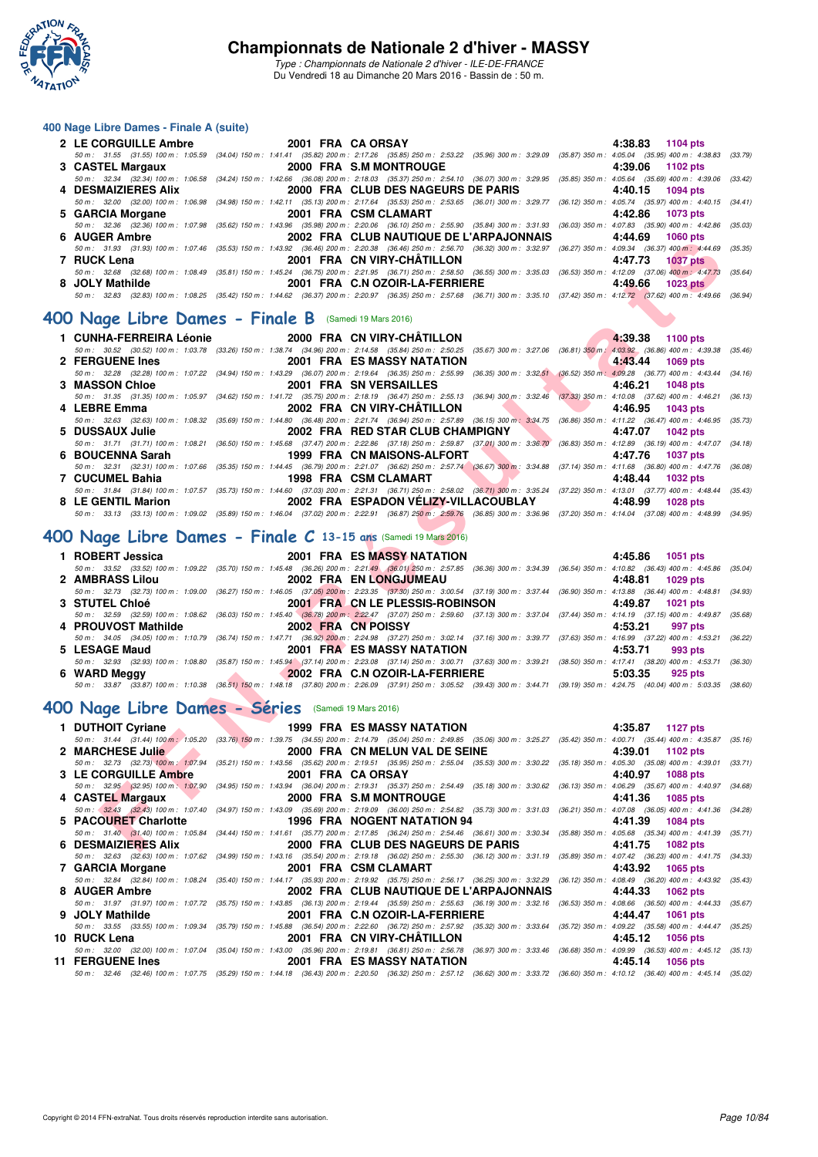

*Type : Championnats de Nationale 2 d'hiver - ILE-DE-FRANCE* Du Vendredi 18 au Dimanche 20 Mars 2016 - Bassin de : 50 m.

#### **400 Nage Libre Dames - Finale A (suite)**

|                     | 2 LE CORGUILLE Ambre 2001 FRA CA ORSAY                                                                                                                                                       | 4:38.83 1104 pts |
|---------------------|----------------------------------------------------------------------------------------------------------------------------------------------------------------------------------------------|------------------|
|                     | 50 m: 31.55 (31.55) 100 m: 1:05.59 (34.04) 150 m: 1:41.41 (35.82) 200 m: 2:17.26 (35.85) 250 m: 2:53.22 (35.96) 300 m: 3:29.09 (35.87) 350 m: 4:05.04 (35.95) 400 m: 4:38.83 (33.79)         |                  |
|                     | 3 CASTEL Margaux 2000 FRA S.M MONTROUGE                                                                                                                                                      | 4:39.06 1102 pts |
|                     | 50 m : 32.34 (32.34) 100 m : 1:06.58 (34.24) 150 m : 1:42.66 (36.08) 200 m : 2:18.03 (35.37) 250 m : 2:54.10 (36.07) 300 m : 3:29.95 (35.85) 350 m : 4:05.64 (35.69) 400 m : 4:39.06 (33.42) |                  |
| 4 DESMAIZIERES Alix | 2000 FRA CLUB DES NAGEURS DE PARIS                                                                                                                                                           | 4:40.15 1094 pts |
|                     | 50 m: 32.00 (32.00) 100 m: 1:06.98 (34.98) 150 m: 1:42.11 (35.13) 200 m: 2:17.64 (35.53) 250 m: 2:53.65 (36.01) 300 m: 3:29.77 (36.12) 350 m: 4:05.74 (35.97) 400 m: 4:40.15 (34.41)         |                  |
| 5 GARCIA Morgane    | 2001 FRA CSM CLAMART NAME AND THE STATE OF STATE STATES.                                                                                                                                     | 4:42.86 1073 pts |
|                     | 50 m : 32.36 (32.36) 100 m : 1:07.98 (35.62) 150 m : 1:43.96 (35.98) 200 m : 2:20.06 (36.10) 250 m : 2:55.90 (35.84) 300 m : 3:31.93 (36.03) 350 m : 4:07.83 (35.90) 400 m : 4:42.86 (35.03) |                  |
| 6 AUGER Ambre       | 2002 FRA CLUB NAUTIQUE DE L'ARPAJONNAIS                                                                                                                                                      | 4:44.69 1060 pts |
|                     | 50 m: 31.93 (31.93) 100 m: 1:07.46 (35.53) 150 m: 1:43.92 (36.46) 200 m: 2:20.38 (36.46) 250 m: 2:56.70 (36.32) 300 m: 3:32.97 (36.27) 350 m: 4:09.34 (36.37) 400 m: 4:44.69 (35.35)         |                  |
| 7 RUCK Lena         | 2001 FRA CN VIRY-CHÄTILLON                                                                                                                                                                   | 4:47.73 1037 pts |
|                     | 50 m : 32.68 (32.68) 100 m : 1:08.49 (35.81) 150 m : 1:45.24 (36.75) 200 m : 2:21.95 (36.71) 250 m : 2:58.50 (36.55) 300 m : 3:35.03 (36.53) 350 m : 4:12.09 (37.06) 400 m : 4:47.73 (35.64) |                  |
| 8 JOLY Mathilde     | 2001 FRA C.N OZOIR-LA-FERRIERE                                                                                                                                                               | 4:49.66 1023 pts |
|                     | 50 m: 32.83 (32.83) 100 m: 1:08.25 (35.42) 150 m: 1:44.62 (36.37) 200 m: 2:20.97 (36.35) 250 m: 2:57.68 (36.71) 300 m: 3:35.10 (37.42) 350 m: 4:12.72 (37.62) 400 m: 4:49.66 (36.94)         |                  |

#### **[400 Nage Libre Dames - Finale B](http://www.ffnatation.fr/webffn/resultats.php?idact=nat&go=epr&idcpt=37307&idepr=4)** (Samedi 19 Mars 2016)

| AUGER AIIIDIC                                                                                                                                                                                                      |  |                    |                                      | ZUUZ FRA CLUD NAUTIQUE DE L'ARFAJUNNAIS | 4.44.09 | ່າ ບບບ µເວ                                                    |         |
|--------------------------------------------------------------------------------------------------------------------------------------------------------------------------------------------------------------------|--|--------------------|--------------------------------------|-----------------------------------------|---------|---------------------------------------------------------------|---------|
| 50 m: 31.93 (31.93) 100 m: 1:07.46 (35.53) 150 m: 1:43.92 (36.46) 200 m: 2:20.38 (36.46) 250 m: 2:56.70 (36.32) 300 m: 3:32.97 (36.27) 350 m: 4:09.34 (36.37) 400 m: 4:44.69                                       |  |                    |                                      |                                         |         |                                                               | (35.35) |
| 7 RUCK Lena                                                                                                                                                                                                        |  |                    | 2001 FRA CN VIRY-CHATILLON           |                                         | 4:47.73 | <b>1037 pts</b>                                               |         |
| 50 m: 32.68 (32.68) 100 m: 1:08.49 (35.81) 150 m: 1:45.24 (36.75) 200 m: 2:21.95 (36.71) 250 m: 2:58.50 (36.55) 300 m: 3:35.03 (36.53) 350 m: 4:12.09 (37.06) 400 m: 4:47.73                                       |  |                    |                                      |                                         |         |                                                               | (35.64) |
| 8 JOLY Mathilde                                                                                                                                                                                                    |  |                    | 2001 FRA C.N OZOIR-LA-FERRIERE       |                                         | 4:49.66 | <b>1023 pts</b>                                               |         |
| 50 m: 32.83 (32.83) 100 m: 1:08.25 (35.42) 150 m: 1:44.62 (36.37) 200 m: 2:20.97 (36.35) 250 m: 2:57.68 (36.71) 300 m: 3:35.10 (37.42) 350 m: 4:12.72 (37.62) 400 m: 4:49.66 (36.94)                               |  |                    |                                      |                                         |         |                                                               |         |
|                                                                                                                                                                                                                    |  |                    |                                      |                                         |         |                                                               |         |
| <b>00 Nage Libre Dames - Finale B</b> (Samedi 19 Mars 2016)                                                                                                                                                        |  |                    |                                      |                                         |         |                                                               |         |
| 1 CUNHA-FERREIRA Léonie                                                                                                                                                                                            |  |                    | 2000 FRA CN VIRY-CHATILLON           |                                         | 4:39.38 | 1100 pts                                                      |         |
| 50 m : 30.52 (30.52) 100 m : 1:03.78 (33.26) 150 m : 1:38.74 (34.96) 200 m : 2:14.58 (35.84) 250 m : 2:50.25 (35.67) 300 m : 3:27.06 (36.81) 350 m : 4:03.92 (36.86) 400 m : 4:39.38                               |  |                    |                                      |                                         |         |                                                               | (35.46) |
| 2 FERGUENE Ines                                                                                                                                                                                                    |  |                    | <b>2001 FRA ES MASSY NATATION</b>    |                                         | 4:43.44 | 1069 pts                                                      |         |
| 50 m : 32.28 (32.28) 100 m : 1:07.22 (34.94) 150 m : 1:43.29 (36.07) 200 m : 2:19.64 (36.35) 250 m : 2:55.99 (36.35) 300 m : 3:32.51 (36.52) 350 m : 4:09.28 (36.77) 400 m : 4:43.44                               |  |                    |                                      |                                         |         |                                                               | (34.16) |
| <b>3 MASSON Chloe</b>                                                                                                                                                                                              |  |                    | 2001 FRA SN VERSAILLES               |                                         | 4:46.21 | <b>1048 pts</b>                                               |         |
| 50 m : 31.35 (31.35) 100 m : 1:05.97 (34.62) 150 m : 1:41.72 (35.75) 200 m : 2:18.19 (36.47) 250 m : 2:55.13 (36.94) 300 m : 3:32.46 (37.33) 350 m : 4:10.08 (37.62) 400 m : 4:46.21                               |  |                    |                                      |                                         |         |                                                               | (36.13) |
| 4 LEBRE Emma                                                                                                                                                                                                       |  |                    | 2002 FRA CN VIRY-CHATILLON           |                                         | 4:46.95 | 1043 pts                                                      |         |
| 50 m: 32.63 (32.63) 100 m: 1:08.32 (35.69) 150 m: 1:44.80 (36.48) 200 m: 2:21.74 (36.94) 250 m: 2:57.89 (36.15) 300 m: 3:34.75 (36.86) 350 m: 4:11.22 (36.47) 400 m: 4:46.95                                       |  |                    |                                      |                                         |         |                                                               | (35.73) |
| 5 DUSSAUX Julie                                                                                                                                                                                                    |  |                    | 2002 FRA RED STAR CLUB CHAMPIGNY     |                                         | 4:47.07 | <b>1042 pts</b>                                               |         |
| 50 m: 31.71 (31.71) 100 m: 1:08.21 (36.50) 150 m: 1:45.68 (37.47) 200 m: 2:22.86 (37.18) 250 m: 2:59.87 (37.01) 300 m: 3:36.70                                                                                     |  |                    |                                      |                                         |         | $(36.83)$ 350 m : 4:12.89 $(36.19)$ 400 m : 4:47.07 $(34.18)$ |         |
| 6 BOUCENNA Sarah                                                                                                                                                                                                   |  |                    | 1999 FRA CN MAISONS-ALFORT           |                                         | 4:47.76 | <b>1037 pts</b>                                               |         |
| 50 m : 32.31 (32.31) 100 m : 1:07.66 (35.35) 150 m : 1:44.45 (36.79) 200 m : 2:21.07 (36.62) 250 m : 2:57.74 (36.67) 300 m : 3:34.88                                                                               |  |                    |                                      |                                         |         | $(37.14)$ 350 m : 4:11.68 $(36.80)$ 400 m : 4:47.76 $(36.08)$ |         |
| <b>7 CUCUMEL Bahia</b>                                                                                                                                                                                             |  |                    | 1998 FRA CSM CLAMART                 |                                         | 4:48.44 | <b>1032 pts</b>                                               |         |
| 50 m: 31.84 (31.84) 100 m: 1:07.57 (35.73) 150 m: 1:44.60 (37.03) 200 m: 2:21.31 (36.71) 250 m: 2:58.02 (36.71) 300 m: 3:35.24 (37.22) 350 m: 4:13.01 (37.77) 400 m: 4:48.44 (35.43)                               |  |                    |                                      |                                         |         |                                                               |         |
| 8 LE GENTIL Marion                                                                                                                                                                                                 |  |                    | 2002 FRA ESPADON VELIZY-VILLACOUBLAY |                                         | 4:48.99 | <b>1028 pts</b>                                               |         |
| 50 m : 33.13 (33.13) 100 m : 1:09.02 (35.89) 150 m : 1:46.04 (37.02) 200 m : 2:22.91 (36.87) 250 m : 2:59.76 (36.85) 300 m : 3:36.96 (37.20) 350 m : 4:14.04 (37.08) 400 m : 4:48.99 (34.95)                       |  |                    |                                      |                                         |         |                                                               |         |
|                                                                                                                                                                                                                    |  |                    |                                      |                                         |         |                                                               |         |
| 00 Nage Libre Dames - Finale C 13-15 ans (Samedi 19 Mars 2016)                                                                                                                                                     |  |                    |                                      |                                         |         |                                                               |         |
|                                                                                                                                                                                                                    |  |                    |                                      |                                         |         |                                                               |         |
| 1 ROBERT Jessica                                                                                                                                                                                                   |  |                    | <b>2001 FRA ES MASSY NATATION</b>    |                                         | 4:45.86 | 1051 pts                                                      |         |
| 50 m: 33.52 (33.52) 100 m: 1:09.22 (35.70) 150 m: 1:45.48 (36.26) 200 m: 2:21.49 (36.01) 250 m: 2:57.85 (36.36) 300 m: 3:34.39 (36.54) 350 m: 4:10.82 (36.43) 400 m: 4:45.86 (35.04)                               |  |                    |                                      |                                         |         |                                                               |         |
| 2 AMBRASS Lilou                                                                                                                                                                                                    |  |                    | 2002 FRA EN LONGJUMEAU               |                                         | 4:48.81 | <b>1029 pts</b>                                               |         |
| 50 m : 32.73 (32.73) 100 m : 1:09.00 (36.27) 150 m : 1:46.05 (37.05) 200 m : 2:23.35 (37.30) 250 m : 3:00.54 (37.19) 300 m : 3:37.44 (36.90) 350 m : 4:13.88 (36.44) 400 m : 4:48.81 (34.93)                       |  |                    |                                      |                                         |         |                                                               |         |
| <b>3 STUTEL Chloé</b>                                                                                                                                                                                              |  |                    | 2001 FRA CN LE PLESSIS-ROBINSON      |                                         | 4:49.87 | 1021 pts                                                      |         |
| 50 m : 32.59 (32.59) 100 m : 1:08.62 (36.03) 150 m : 1:45.40 (36.78) 200 m : 2:22.47 (37.07) 250 m : 2:59.60 (37.13) 300 m : 3:37.04 (37.44) 350 m : 4:14.19 (37.15) 400 m : 4:49.87                               |  |                    |                                      |                                         |         |                                                               | (35.68) |
| 4 PROUVOST Mathilde                                                                                                                                                                                                |  | 2002 FRA CN POISSY |                                      |                                         | 4:53.21 | 997 pts                                                       |         |
| 50 m: 34.05 (34.05) 100 m: 1:10.79 (36.74) 150 m: 1:47.71 (36.92) 200 m: 2:24.98 (37.27) 250 m: 3:02.14 (37.16) 300 m: 3:39.77 (37.63) 350 m: 4:16.99 (37.22) 400 m: 4:53.21                                       |  |                    |                                      |                                         |         |                                                               | (36.22) |
| 5 LESAGE Maud                                                                                                                                                                                                      |  |                    | <b>2001 FRA ES MASSY NATATION</b>    |                                         | 4:53.71 | 993 pts                                                       |         |
| 50 m: 32.93 (32.93) 100 m: 1:08.80 (35.87) 150 m: 1:45.94 (37.14) 200 m: 2:23.08 (37.14) 250 m: 3:00.71 (37.63) 300 m: 3:39.21 (38.50) 350 m: 4:17.41 (38.20) 400 m: 4:53.71                                       |  |                    |                                      |                                         |         |                                                               | (36.30) |
| 6 WARD Meggy                                                                                                                                                                                                       |  |                    | 2002 FRA C.N OZOIR-LA-FERRIERE       |                                         | 5:03.35 | 925 pts                                                       |         |
| 50 m: 33.87 (33.87) 100 m: 1:10.38 (36.51) 150 m: 1:48.18 (37.80) 200 m: 2:26.09 (37.91) 250 m: 3:05.52 (39.43) 300 m: 3:44.71 (39.19) 350 m: 4:24.75 (40.04) 400 m: 5:03.35 (38.60)                               |  |                    |                                      |                                         |         |                                                               |         |
|                                                                                                                                                                                                                    |  |                    |                                      |                                         |         |                                                               |         |
| 00 Nage Libre Dames - Séries (Samedi 19 Mars 2016)                                                                                                                                                                 |  |                    |                                      |                                         |         |                                                               |         |
| 1 DUTHOIT Cyriane                                                                                                                                                                                                  |  |                    | <b>1999 FRA ES MASSY NATATION</b>    |                                         |         | 4:35.87 1127 pts                                              |         |
| 50 m : 31.44 (31.44) 100 m : 1:05.20 (33.76) 150 m : 1:39.75 (34.55) 200 m : 2:14.79 (35.04) 250 m : 2:49.85 (35.06) 300 m : 3:25.27 (35.42) 350 m : 4:00.71 (35.44) 400 m : 4:35.87 (35.16)                       |  |                    |                                      |                                         |         |                                                               |         |
| 2 MARCHESE Julie                                                                                                                                                                                                   |  |                    | 2000 FRA CN MELUN VAL DE SEINE       |                                         | 4:39.01 | 1102 pts                                                      |         |
| 50 m : 32.73 (32.73) 100 m : 1:07.94 (35.21) 150 m : 1:43.56 (35.62) 200 m : 2:19.51 (35.95) 250 m : 2:55.04 (35.53) 300 m : 3:30.22 (35.18) 350 m : 4:05.30 (35.08) 400 m : 4:39.01                               |  |                    |                                      |                                         |         |                                                               | (33.71) |
| 3 LE CORGUILLE Ambre                                                                                                                                                                                               |  | 2001 FRA CA ORSAY  |                                      |                                         | 4:40.97 | <b>1088 pts</b>                                               |         |
| 50 m : 32.95 (32.95) 100 m : 1:07.90 (34.95) 150 m : 1:43.94 (36.04) 200 m : 2:19.31 (35.37) 250 m : 2:54.49 (35.18) 300 m : 3:30.62 (36.13) 350 m : 4:06.29 (35.67) 400 m : 4:40.97 (34.68)                       |  |                    |                                      |                                         |         |                                                               |         |
| 4 CASTEL Margaux                                                                                                                                                                                                   |  |                    | 2000 FRA S.M MONTROUGE               |                                         | 4:41.36 | 1085 pts                                                      |         |
| 50 m: 32.43 (32.43) 100 m: 1:07.40 (34.97) 150 m: 1:43.09 (35.69) 200 m: 2:19.09 (36.00) 250 m: 2:54.82 (35.73) 300 m: 3:31.03 (36.21) 350 m: 4:07.08 (36.05) 400 m: 4:41.36 (34.28)                               |  |                    |                                      |                                         |         |                                                               |         |
| 5 PACOURET Charlotte                                                                                                                                                                                               |  |                    | 1996 FRA NOGENT NATATION 94          |                                         | 4:41.39 | <b>1084 pts</b>                                               |         |
| 50 m: 31.40 (31.40) 100 m: 1:05.84 (34.44) 150 m: 1:41.61 (35.77) 200 m: 2:17.85 (36.24) 250 m: 2:54.46 (36.61) 300 m: 3:30.34 (35.88) 350 m: 4:05.68 (35.34) 400 m: 4:41.39 (35.71)<br><b>6 DESMAIZIERES Alix</b> |  |                    | 2000 FRA CLUB DES NAGEURS DE PARIS   |                                         | 4:41.75 | 1082 pts                                                      |         |

### **[400 Nage Libre Dames - Finale C](http://www.ffnatation.fr/webffn/resultats.php?idact=nat&go=epr&idcpt=37307&idepr=4) 13-15 ans** (Samedi 19 Mars 2016)

| 1 ROBERT Jessica    | <b>2001 FRA ES MASSY NATATION</b>                                                                                                                                                            | 4:45.86 1051 pts  |
|---------------------|----------------------------------------------------------------------------------------------------------------------------------------------------------------------------------------------|-------------------|
|                     | 50 m: 33.52 (33.52) 100 m: 1:09.22 (35.70) 150 m: 1:45.48 (36.26) 200 m: 2:21.49 (36.01) 250 m: 2:57.85 (36.36) 300 m: 3:34.39 (36.54) 350 m: 4:10.82 (36.43) 400 m: 4:45.86 (35.04)         |                   |
| 2 AMBRASS Lilou     | 2002 FRA EN LONGJUMEAU                                                                                                                                                                       | 4:48.81 1029 pts  |
|                     | 50 m: 32.73 (32.73) 100 m: 1:09.00 (36.27) 150 m: 1:46.05 (37.05) 200 m: 2:23.35 (37.30) 250 m: 3:00.54 (37.19) 300 m: 3:37.44 (36.90) 350 m: 4:13.88 (36.44) 400 m: 4:48.81 (34.93)         |                   |
| 3 STUTEL Chloé      | 2001 FRA CN LE PLESSIS-ROBINSON                                                                                                                                                              | 4:49.87 1021 pts  |
|                     | 50 m: 32.59 (32.59) 100 m: 1:08.62 (36.03) 150 m: 1:45.40 (36.78) 200 m: 2:22.47 (37.07) 250 m: 2:59.60 (37.13) 300 m: 3:37.04 (37.44) 350 m: 4:14.19 (37.15) 400 m: 4:49.87 (35.68)         |                   |
| 4 PROUVOST Mathilde | 2002 FRA CN POISSY                                                                                                                                                                           | 4:53.21 997 pts   |
|                     | 50 m: 34.05 (34.05) 100 m: 1:10.79 (36.74) 150 m: 1:47.71 (36.92) 200 m: 2:24.98 (37.27) 250 m: 3:02.14 (37.16) 300 m: 3:39.77 (37.63) 350 m: 4:16.99 (37.22) 400 m: 4:53.21 (36.22)         |                   |
| 5 LESAGE Maud       | 2001 FRA ES MASSY NATATION                                                                                                                                                                   | 4:53.71 993 pts   |
|                     | 50 m : 32.93 (32.93) 100 m : 1:08.80 (35.87) 150 m : 1:45.94 (37.14) 200 m : 2:23.08 (37.14) 250 m : 3:00.71 (37.63) 300 m : 3:39.21 (38.50) 350 m : 4:17.41 (38.20) 400 m : 4:53.71 (36.20) |                   |
| 6 WARD Meggy        | <b>2002 FRA C.N OZOIR-LA-FERRIERE</b>                                                                                                                                                        | $5:03.35$ 925 pts |
|                     |                                                                                                                                                                                              |                   |

## **[400 Nage Libre Dames - Séries](http://www.ffnatation.fr/webffn/resultats.php?idact=nat&go=epr&idcpt=37307&idepr=4)** (Samedi 19 Mars 2016)

| 1 DUTHOIT Cyriane                                                                                                                                                            | 1999 FRA ES MASSY NATATION                |                                | 4:35.87 1127 pts                                                                                                                                                                             |
|------------------------------------------------------------------------------------------------------------------------------------------------------------------------------|-------------------------------------------|--------------------------------|----------------------------------------------------------------------------------------------------------------------------------------------------------------------------------------------|
|                                                                                                                                                                              |                                           |                                | 50 m: 31.44 (31.44) 100 m: 1:05.20 (33.76) 150 m: 1:39.75 (34.55) 200 m: 2:14.79 (35.04) 250 m: 2:49.85 (35.06) 300 m: 3:25.27 (35.42) 350 m: 4:00.71 (35.44) 400 m: 4:35.87 (35.16)         |
| 2 MARCHESE Julie                                                                                                                                                             |                                           | 2000 FRA CN MELUN VAL DE SEINE | 4:39.01<br>1102 $p$ ts                                                                                                                                                                       |
|                                                                                                                                                                              |                                           |                                | 50 m : 32.73 (32.73) 100 m : 1:07.94 (35.21) 150 m : 1:43.56 (35.62) 200 m : 2:19.51 (35.95) 250 m : 2:55.04 (35.53) 300 m : 3:30.22 (35.18) 350 m : 4:05.30 (35.08) 400 m : 4:39.01 (33.71) |
| 3 LE CORGUILLE Ambre                                                                                                                                                         | 2001 FRA CA ORSAY                         |                                | 4:40.97<br><b>1088 pts</b>                                                                                                                                                                   |
|                                                                                                                                                                              |                                           |                                | 50 m: 32.95 (32.95) 100 m: 1:07.90 (34.95) 150 m: 1:43.94 (36.04) 200 m: 2:19.31 (35.37) 250 m: 2:54.49 (35.18) 300 m: 3:30.62 (36.13) 350 m: 4:06.29 (35.67) 400 m: 4:40.97 (34.68)         |
| 4 CASTEL Margaux 2000 FRA S.M MONTROUGE                                                                                                                                      |                                           |                                | 4:41.36 1085 pts                                                                                                                                                                             |
|                                                                                                                                                                              |                                           |                                | 50 m : 32.43 (32.43) 100 m : 1:07.40 (34.97) 150 m : 1:43.09 (35.69) 200 m : 2:19.09 (36.00) 250 m : 2:54.82 (35.73) 300 m : 3:31.03 (36.21) 350 m : 4:07.08 (36.05) 400 m : 4:41.36 (34.28) |
| 5 PACOURET Charlotte 1996 FRA NOGENT NATATION 94                                                                                                                             |                                           |                                | 4:41.39 1084 pts                                                                                                                                                                             |
|                                                                                                                                                                              |                                           |                                | 50 m: 31.40 (31.40) 100 m: 1:05.84 (34.44) 150 m: 1:41.61 (35.77) 200 m: 2:17.85 (36.24) 250 m: 2:54.46 (36.61) 300 m: 3:30.34 (35.88) 350 m: 4:05.68 (35.34) 400 m: 4:41.39 (35.71)         |
| 6 DESMAIZIERES Alix                                                                                                                                                          | <b>2000 FRA CLUB DES NAGEURS DE PARIS</b> |                                | 4:41.75 1082 pts                                                                                                                                                                             |
|                                                                                                                                                                              |                                           |                                | 50 m: 32.63 (32.63) 100 m: 1:07.62 (34.99) 150 m: 1:43.16 (35.54) 200 m: 2:19.18 (36.02) 250 m: 2:55.30 (36.12) 300 m: 3:31.19 (35.89) 350 m: 4:07.42 (36.23) 400 m: 4:41.75 (34.33)         |
| 7 GARCIA Morgane                                                                                                                                                             | 2001 FRA CSM CLAMART                      |                                | 4:43.92 1065 pts                                                                                                                                                                             |
|                                                                                                                                                                              |                                           |                                | 50 m: 32.84 (32.84) 100 m: 1:08.24 (35.40) 150 m: 1:44.17 (35.93) 200 m: 2:19.92 (35.75) 250 m: 2:56.17 (36.25) 300 m: 3:32.29 (36.12) 350 m: 4:08.49 (36.20) 400 m: 4:43.92 (35.43)         |
| 8 AUGER Ambre                                                                                                                                                                | 2002 FRA CLUB NAUTIQUE DE L'ARPAJONNAIS   |                                | 4:44.33<br>1062 pts                                                                                                                                                                          |
| 50 m: 31.97 (31.97) 100 m: 1:07.72 (35.75) 150 m: 1:43.85 (36.13) 200 m: 2:19.44 (35.59) 250 m: 2:55.63 (36.19) 300 m: 3:32.16 (36.53) 350 m: 4:08.66 (36.50) 400 m: 4:44.33 |                                           |                                | (35.67)                                                                                                                                                                                      |
| 9 JOLY Mathilde                                                                                                                                                              |                                           | 2001 FRA C.N OZOIR-LA-FERRIERE | 4:44.47<br><b>1061 pts</b>                                                                                                                                                                   |
|                                                                                                                                                                              |                                           |                                | 50 m : 33.55 (33.55) 100 m : 1:09.34 (35.79) 150 m : 1:45.88 (36.54) 200 m : 2:22.60 (36.72) 250 m : 2:57.92 (35.32) 300 m : 3:33.64 (35.72) 350 m : 4:09.22 (35.58) 400 m : 4:44.47 (35.25) |
| 10 RUCK Lena                                                                                                                                                                 | 2001 FRA CN VIRY-CHÄTILLON                |                                | 4:45.12<br>1056 pts                                                                                                                                                                          |
|                                                                                                                                                                              |                                           |                                | 50 m: 32.00 (32.00) 100 m: 1:07.04 (35.04) 150 m: 1:43.00 (35.96) 200 m: 2:19.81 (36.81) 250 m: 2:56.78 (36.97) 300 m: 3:33.46 (36.68) 350 m: 4:09.99 (36.53) 400 m: 4:45.12 (35.13)         |
| <b>11 FERGUENE Ines</b>                                                                                                                                                      | <b>2001 FRA ES MASSY NATATION</b>         |                                | 4:45.14 1056 pts                                                                                                                                                                             |
|                                                                                                                                                                              |                                           |                                | 50 m: 32.46 (32.46) 100 m: 1:07.75 (35.29) 150 m: 1:44.18 (36.43) 200 m: 2:20.50 (36.32) 250 m: 2:57.12 (36.62) 300 m: 3:33.72 (36.60) 350 m: 4:10.12 (36.40) 400 m: 4:45.14 (35.02)         |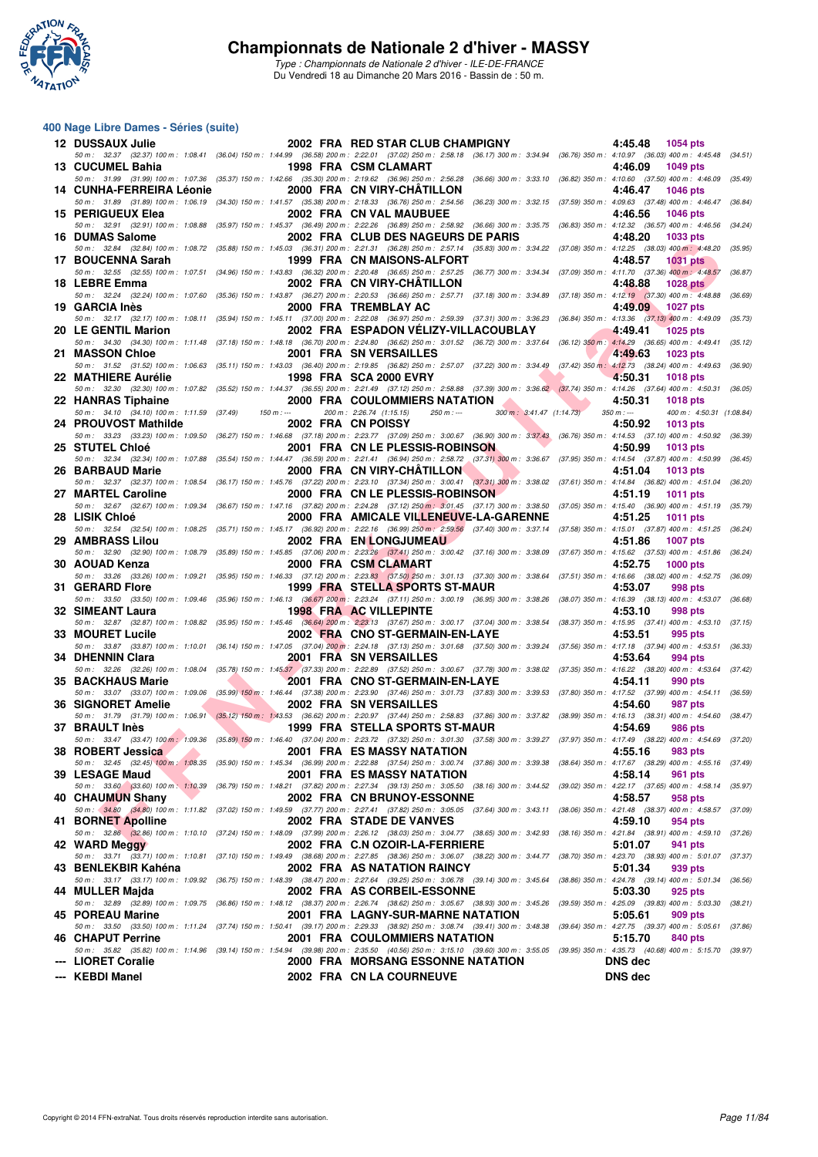

#### **400 Nage Libre Dames - Séries (suite)**

| 12 DUSSAUX Julie                                                 |             | 2002 FRA RED STAR CLUB CHAMPIGNY                                                                                                                                                                                              | 4:45.48<br>1054 pts                                                   |
|------------------------------------------------------------------|-------------|-------------------------------------------------------------------------------------------------------------------------------------------------------------------------------------------------------------------------------|-----------------------------------------------------------------------|
| 13 CUCUMEL Bahia                                                 |             | 50 m: 32.37 (32.37) 100 m: 1:08.41 (36.04) 150 m: 1:44.99 (36.58) 200 m: 2:22.01 (37.02) 250 m: 2:58.18 (36.17) 300 m: 3:34.94 (36.76) 350 m: 4:10.97 (36.03) 400 m: 4:45.48 (34.51)<br>1998 FRA CSM CLAMART                  | 4:46.09<br><b>1049 pts</b>                                            |
| 14 CUNHA-FERREIRA Léonie                                         |             | 50 m : 31.99 (31.99) 100 m : 1:07.36 (35.37) 150 m : 1:42.66 (35.30) 200 m : 2:19.62 (36.96) 250 m : 2:56.28 (36.66) 300 m : 3:33.10 (36.82) 350 m : 4:10.60 (37.50) 400 m : 4:46.09 (35.49)<br>2000 FRA CN VIRY-CHATILLON    | 4:46.47<br><b>1046 pts</b>                                            |
|                                                                  |             | 50 m: 31.89 (31.89) 100 m: 1:06.19 (34.30) 150 m: 1:41.57 (35.38) 200 m: 2:18.33 (36.76) 250 m: 2:54.56 (36.23) 300 m: 3:32.15 (37.59) 350 m: 4:09.63 (37.48) 400 m: 4:46.47                                                  | (36.84)                                                               |
| 15 PERIGUEUX Elea                                                |             | 2002 FRA CN VAL MAUBUEE<br>50 m: 32.91 (32.91) 100 m: 1:08.88 (35.97) 150 m: 1:45.37 (36.49) 200 m: 2:22.26 (36.89) 250 m: 2:58.92 (36.66) 300 m: 3:35.75 (36.83) 350 m: 4:12.32 (36.57) 400 m: 4:46.56                       | 4:46.56<br><b>1046 pts</b><br>(34.24)                                 |
| 16 DUMAS Salome                                                  |             | 2002 FRA CLUB DES NAGEURS DE PARIS                                                                                                                                                                                            | 4:48.20<br><b>1033 pts</b>                                            |
| 17 BOUCENNA Sarah                                                |             | 50 m: 32.84 (32.84) 100 m: 1:08.72 (35.88) 150 m: 1:45.03 (36.31) 200 m: 2:21.31 (36.28) 250 m: 2:57.14 (35.83) 300 m: 3:34.22 (37.08) 350 m: 4:12.25 (38.03) 400 m: 4:48.20<br>1999 FRA CN MAISONS-ALFORT                    | (35.95)<br>4:48.57<br><b>1031 pts</b>                                 |
| 18 LEBRE Emma                                                    |             | 50 m: 32.55 (32.55) 100 m: 1:07.51 (34.96) 150 m: 1:43.83 (36.32) 200 m: 2:20.48 (36.65) 250 m: 2:57.25 (36.77) 300 m: 3:34.34 (37.09) 350 m: 4:11.70 (37.36) 400 m: 4:48.57<br>2002 FRA CN VIRY-CHATILLON                    | (36.87)<br>4:48.88<br><b>1028 pts</b>                                 |
|                                                                  |             | 50 m: 32.24 (32.24) 100 m: 1:07.60 (35.36) 150 m: 1:43.87 (36.27) 200 m: 2:20.53 (36.66) 250 m: 2:57.71 (37.18) 300 m: 3:34.89 (37.18) 350 m: 4:12.19 (37.30) 400 m: 4:48.88                                                  | (36.69)                                                               |
| 19 GARCIA Inès                                                   |             | 2000 FRA TREMBLAY AC<br>50 m: 32.17 (32.17) 100 m: 1:08.11 (35.94) 150 m: 1:45.11 (37.00) 200 m: 2:22.08 (36.97) 250 m: 2:59.39 (37.31) 300 m: 3:36.23 (36.84) 350 m: 4:13.36 (37.13) 400 m: 4:49.09                          | 4:49.09<br>1027 pts<br>(35.73)                                        |
| 20 LE GENTIL Marion                                              |             | 2002 FRA ESPADON VELIZY-VILLACOUBLAY                                                                                                                                                                                          | 4:49.41<br><b>1025 pts</b>                                            |
| 21 MASSON Chloe                                                  |             | 50 m: 34.30 (34.30) 100 m: 1:11.48 (37.18) 150 m: 1:48.18 (36.70) 200 m: 2:24.80 (36.62) 250 m: 3:01.52 (36.72) 300 m: 3:37.64 (36.12) 350 m: 4:14.29 (36.65) 400 m: 4:49.41 (35.12)<br>2001 FRA SN VERSAILLES                | 4:49.63<br><b>1023 pts</b>                                            |
| 22 MATHIERE Aurélie                                              |             | 50 m: 31.52 (31.52) 100 m: 1:06.63 (35.11) 150 m: 1:43.03 (36.40) 200 m: 2:19.85 (36.82) 250 m: 2:57.07 (37.22) 300 m: 3:34.49 (37.42) 350 m: 4:12.73 (38.24) 400 m: 4:49.63<br>1998 FRA SCA 2000 EVRY                        | (36.90)<br>4:50.31<br><b>1018 pts</b>                                 |
|                                                                  |             | 50 m: 32.30 (32.30) 100 m: 1:07.82 (35.52) 150 m: 1:44.37 (36.55) 200 m: 2:21.49 (37.12) 250 m: 2:58.88 (37.39) 300 m: 3:36.62 (37.74) 350 m: 4:14.26 (37.64) 400 m: 4:50.31 (36.05)                                          |                                                                       |
| 22 HANRAS Tiphaine<br>50 m: 34.10 (34.10) 100 m: 1:11.59 (37.49) | 150 m : --- | 2000 FRA COULOMMIERS NATATION<br>200 m: 2:26.74 (1:15.15)<br>$250 \text{ m}$ : $\frac{300 \text{ m}}{2541.47}$ (1:14.73)                                                                                                      | 4:50.31<br><b>1018 pts</b><br>$350 m : -$<br>400 m: 4:50.31 (1:08.84) |
| 24 PROUVOST Mathilde                                             |             | 2002 FRA CN POISSY                                                                                                                                                                                                            | 4:50.92<br>1013 pts                                                   |
| 25 STUTEL Chloé                                                  |             | 50 m: 33.23 (33.23) 100 m: 1:09.50 (36.27) 150 m: 1:46.68 (37.18) 200 m: 2:23.77 (37.09) 250 m: 3:00.67 (36.90) 300 m: 3:37.43 (36.76) 350 m: 4:14.53 (37.10) 400 m: 4:50.92 (36.39)<br>2001 FRA CN LE PLESSIS-ROBINSON       | 4:50.99<br><b>1013 pts</b>                                            |
| 26 BARBAUD Marie                                                 |             | 50 m: 32.34 (32.34) 100 m: 1:07.88 (35.54) 150 m: 1:44.47 (36.59) 200 m: 2:21.41 (36.94) 250 m: 2:58.72 (37.31) 300 m: 3:36.67 (37.95) 350 m: 4:14.54 (37.87) 400 m: 4:50.99 (36.45)<br>2000 FRA CN VIRY-CHATILLON            | 4:51.04<br>1013 pts                                                   |
|                                                                  |             | 50 m: 32.37 (32.37) 100 m: 1:08.54 (36.17) 150 m: 1:45.76 (37.22) 200 m: 2:23.10 (37.34) 250 m: 3:00.41 (37.31) 300 m: 3:38.02 (37.61) 350 m: 4:14.84 (36.82) 400 m: 4:51.04 (36.20)                                          |                                                                       |
| 27 MARTEL Caroline                                               |             | 2000 FRA CN LE PLESSIS-ROBINSON<br>50 m: 32.67 (32.67) 100 m: 1:09.34 (36.67) 150 m: 1:47.16 (37.82) 200 m: 2:24.28 (37.12) 250 m; 3:01.45 (37.17) 300 m: 3:38.50 (37.05) 350 m: 4:15.40 (36.90) 400 m: 4:51.19 (35.79)       | 4:51.19<br><b>1011 pts</b>                                            |
| 28 LISIK Chloé                                                   |             | 2000 FRA AMICALE VILLENEUVE-LA-GARENNE                                                                                                                                                                                        | 4:51.25<br><b>1011 pts</b>                                            |
| 29 AMBRASS Lilou                                                 |             | 50 m: 32.54 (32.54) 100 m: 1:08.25 (35.71) 150 m: 1:45.17 (36.92) 200 m: 2:22.16 (36.99) 250 m: 2:59.56 (37.40) 300 m: 3:37.14 (37.58) 350 m: 4:15.01 (37.87) 400 m: 4:51.25<br><b>2002 FRA EN LONGJUMEAU</b>                 | (36.24)<br>4:51.86<br><b>1007 pts</b>                                 |
| 30 AOUAD Kenza                                                   |             | 50 m: 32.90 (32.90) 100 m: 1:08.79 (35.89) 150 m: 1:45.85 (37.06) 200 m: 2:23.26 (37.41) 250 m: 3:00.42 (37.16) 300 m: 3:38.09 (37.67) 350 m: 4:15.62 (37.53) 400 m: 4:51.86<br>2000 FRA CSM CLAMART                          | (36.24)<br>4:52.75<br>$1000$ pts                                      |
|                                                                  |             | 50 m: 33.26 (33.26) 100 m: 1:09.21 (35.95) 150 m: 1:46.33 (37.12) 200 m: 2:23.83 (37.50) 250 m: 3:01.13 (37.30) 300 m: 3:38.64 (37.51) 350 m: 4:16.66 (38.02) 400 m: 4:52.75 (36.09)                                          |                                                                       |
| 31 GERARD Flore                                                  |             | 1999 FRA STELLA SPORTS ST-MAUR<br>50 m: 33.50 (33.50) 100 m: 1:09.46 (35.96) 150 m: 1:46.13 (36.67) 200 m: 2:23.24 (37.11) 250 m: 3:00.19 (36.95) 300 m: 3:38.26 (38.07) 350 m: 4:16.39 (38.13) 400 m: 4:53.07 (36.68)        | 4:53.07<br>998 pts                                                    |
| 32 SIMEANT Laura                                                 |             | <b>1998 FRA AC VILLEPINTE</b><br>50 m: 32.87 (32.87) 100 m: 1:08.82 (35.95) 150 m: 1:45.46 (36.64) 200 m: 2:23.13 (37.67) 250 m: 3:00.17 (37.04) 300 m: 3:38.54 (38.37) 350 m: 4:15.95 (37.41) 400 m: 4:53.10 (37.15)         | 4:53.10<br>998 pts                                                    |
| 33 MOURET Lucile                                                 |             | 2002 FRA CNO ST-GERMAIN-EN-LAYE                                                                                                                                                                                               | 4:53.51<br>995 pts                                                    |
| 34 DHENNIN Clara                                                 |             | 50 m: 33.87 (33.87) 100 m: 1:10.01 (36.14) 150 m: 1:47.05 (37.04) 200 m: 2:24.18 (37.13) 250 m: 3:01.68 (37.50) 300 m: 3:39.24 (37.56) 350 m: 4:17.18 (37.94) 400 m: 4:53.51<br><b>2001 FRA SN VERSAILLES</b>                 | (36.33)<br>4:53.64<br>994 pts                                         |
|                                                                  |             | 50 m: 32.26 (32.26) 100 m: 1:08.04 (35.78) 150 m: 1:45.37 (37.33) 200 m: 2:22.89 (37.52) 250 m: 3:00.67 (37.78) 300 m: 3:38.02 (37.35) 350 m: 4:16.22 (38.20) 400 m: 4:53.64 (37.42)                                          |                                                                       |
| <b>35 BACKHAUS Marie</b>                                         |             | 2001 FRA CNO ST-GERMAIN-EN-LAYE<br>50 m: 33.07 (33.07) 100 m: 1:09.06 (35.99) 150 m: 1:46.44 (37.38) 200 m: 2:23.90 (37.46) 250 m: 3:01.73 (37.83) 300 m: 3:39.53 (37.80) 350 m: 4:17.52 (37.99) 400 m: 4:54.11 (36.59)       | 4:54.11<br>990 pts                                                    |
| 36 SIGNORET Amelie                                               |             | 2002 FRA SN VERSAILLES<br>50 m: 31.79 (31.79) 100 m: 1:06.91 (35.12) 150 m: 1:43.53 (36.62) 200 m: 2:20.97 (37.44) 250 m: 2:58.83 (37.86) 300 m: 3:37.82 (38.99) 350 m: 4:16.13 (38.31) 400 m: 4:54.60 (38.47)                | 4:54.60<br>987 pts                                                    |
| 37 BRAULT Inès                                                   |             | 1999 FRA STELLA SPORTS ST-MAUR                                                                                                                                                                                                | 4:54.69<br>986 pts                                                    |
| 38 ROBERT Jessica <b>Alexander Structure 1986</b>                |             | 50 m: 33.47 (33.47) 100 m: 1:09.36 (35.89) 150 m: 1:46.40 (37.04) 200 m: 2:23.72 (37.32) 250 m: 3:01.30 (37.58) 300 m: 3:39.27 (37.97) 350 m: 4:17.49 (38.22) 400 m: 4:54.69 (37.20)<br>2001 FRA ES MASSY NATATION            | $4:55.16$ 983 pts                                                     |
| 39 LESAGE Maud                                                   |             | 50 m: 32.45 (32.45) 100 m: 1:08.35 (35.90) 150 m: 1:45.34 (36.99) 200 m: 2:22.88 (37.54) 250 m: 3:00.74 (37.86) 300 m: 3:39.38 (38.64) 350 m: 4:17.67 (38.29) 400 m: 4:55.16 (37.49)                                          |                                                                       |
|                                                                  |             | 2001 FRA ES MASSY NATATION<br>50 m: 33.60 (33.60) 100 m: 1:10.39 (36.79) 150 m: 1:48.21 (37.82) 200 m: 2:27.34 (39.13) 250 m: 3:05.50 (38.16) 300 m: 3:44.52 (39.02) 350 m: 4:22.17 (37.65) 400 m: 4:58.14 (35.97)            | 4:58.14<br>961 pts                                                    |
| 40 CHAUMUN Shany                                                 |             | 2002 FRA CN BRUNOY-ESSONNE<br>50 m: 34.80 (34.80) 100 m: 1:11.82 (37.02) 150 m: 1:49.59 (37.77) 200 m: 2:27.41 (37.82) 250 m: 3:05.05 (37.64) 300 m: 3:43.11 (38.06) 350 m: 4:21.48 (38.37) 400 m: 4:58.57 (37.09)            | 4:58.57<br>958 pts                                                    |
| 41 BORNET Apolline                                               |             | 2002 FRA STADE DE VANVES                                                                                                                                                                                                      | 4:59.10<br>954 pts                                                    |
| 42 WARD Meggy                                                    |             | 50 m: 32.86 (32.86) 100 m: 1:10.10 (37.24) 150 m: 1:48.09 (37.99) 200 m: 2:26.12 (38.03) 250 m: 3:04.77 (38.65) 300 m: 3:42.93 (38.16) 350 m: 4:21.84 (38.91) 400 m: 4:59.10 (37.26)<br>2002 FRA C.N OZOIR-LA-FERRIERE        | 5:01.07<br>941 pts                                                    |
| 43 BENLEKBIR Kahéna                                              |             | 50 m: 33.71 (33.71) 100 m: 1:10.81 (37.10) 150 m: 1:49.49 (38.68) 200 m: 2:27.85 (38.36) 250 m: 3:06.07 (38.22) 300 m: 3:44.77 (38.70) 350 m: 4:23.70 (38.93) 400 m: 5:01.07 (37.37)<br>2002 FRA AS NATATION RAINCY           | 5:01.34<br>939 pts                                                    |
|                                                                  |             | 50 m : 33.17 (33.17) 100 m : 1:09.92 (36.75) 150 m : 1:48.39 (38.47) 200 m : 2:27.64 (39.25) 250 m : 3:06.78 (39.14) 300 m : 3:45.64 (38.86) 350 m : 4:24.78 (39.14) 400 m : 5:01.34 (36.56)                                  |                                                                       |
| 44 MULLER Maida                                                  |             | 2002 FRA AS CORBEIL-ESSONNE<br>50 m : 32.89 (32.89) 100 m : 1:09.75 (36.86) 150 m : 1:48.12 (38.37) 200 m : 2:26.74 (38.62) 250 m : 3:05.67 (38.93) 300 m : 3:45.26 (39.59) 350 m : 4:25.09 (39.83) 400 m : 5:03.30 (38.21)   | 5:03.30<br>925 pts                                                    |
| 45 POREAU Marine                                                 |             | 2001 FRA LAGNY-SUR-MARNE NATATION                                                                                                                                                                                             | 5:05.61<br>909 pts                                                    |
| 46 CHAPUT Perrine                                                |             | 50 m : 33.50 (33.50) 100 m : 1:11.24 (37.74) 150 m : 1:50.41 (39.17) 200 m : 2:29.33 (38.92) 250 m : 3:08.74 (39.41) 300 m : 3:48.38 (39.64) 350 m : 4:27.75 (39.37) 400 m : 5:05.61 (37.86)<br>2001 FRA COULOMMIERS NATATION | 5:15.70<br>840 pts                                                    |
| --- LIORET Coralie                                               |             | 50 m: 35.82 (35.82) 100 m: 1:14.96 (39.14) 150 m: 1:54.94 (39.98) 200 m: 2:35.50 (40.56) 250 m: 3:15.10 (39.60) 300 m: 3:55.05 (39.95) 350 m: 4:35.73 (40.68) 400 m: 5:15.70 (39.97)<br>2000 FRA MORSANG ESSONNE NATATION     | <b>DNS</b> dec                                                        |
| --- KEBDI Manel                                                  |             | 2002 FRA CN LA COURNEUVE                                                                                                                                                                                                      | <b>DNS</b> dec                                                        |
|                                                                  |             |                                                                                                                                                                                                                               |                                                                       |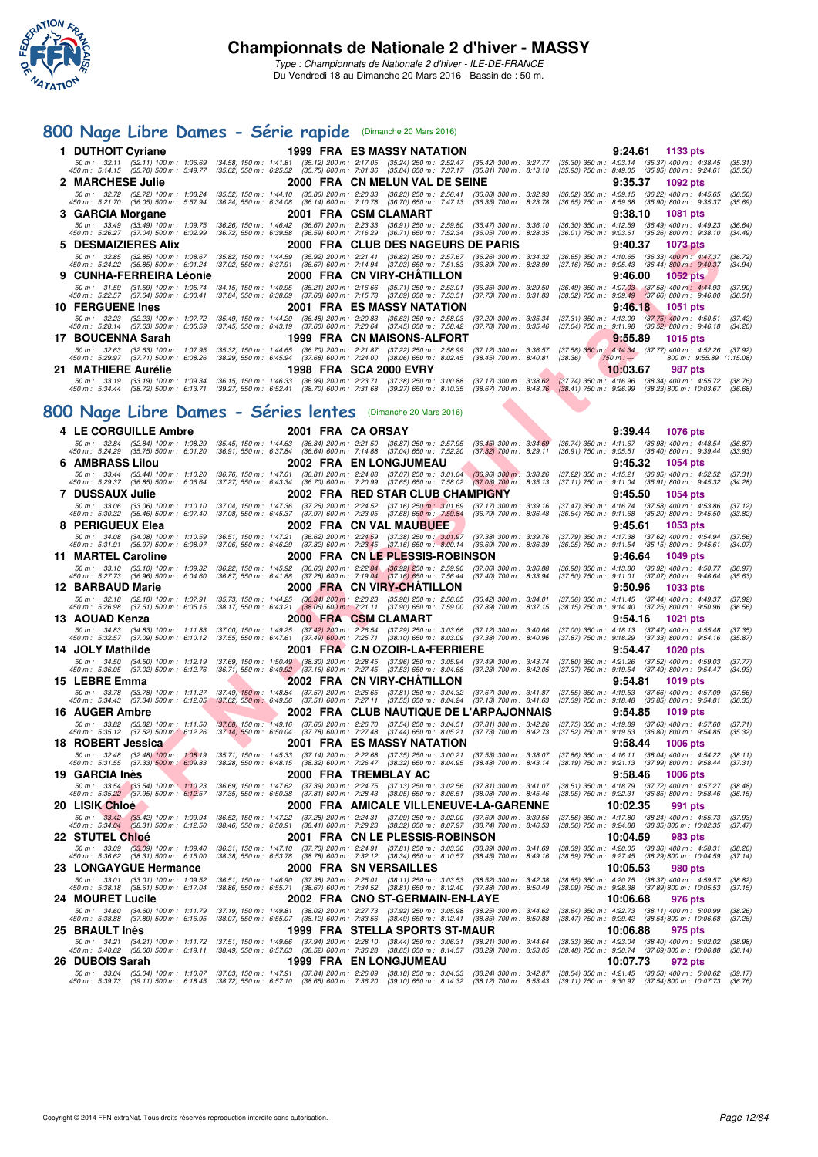

Du Vendredi 18 au Dimanche 20 Mars 2016 - Bassin de : 50 m.

### **[800 Nage Libre Dames - Série rapide](http://www.ffnatation.fr/webffn/resultats.php?idact=nat&go=epr&idcpt=37307&idepr=5)** (Dimanche 20 Mars 2016)

| 1 DUTHOIT Cyriane   |                                                                                 |                                                                                         | 1999 FRA ES MASSY NATATION                                                                                                                                                                                                                                                                                                                                              |                                                    |                                                                                                                                                 | $9:24.61$ 1133 pts                                                                         |
|---------------------|---------------------------------------------------------------------------------|-----------------------------------------------------------------------------------------|-------------------------------------------------------------------------------------------------------------------------------------------------------------------------------------------------------------------------------------------------------------------------------------------------------------------------------------------------------------------------|----------------------------------------------------|-------------------------------------------------------------------------------------------------------------------------------------------------|--------------------------------------------------------------------------------------------|
|                     |                                                                                 |                                                                                         | 50 m : 32.11 (32.11) 100 m : 1:06.69 (34.58) 150 m : 1:41.81 (35.12) 200 m : 2:17.05 (35.24) 250 m : 2:52.47 (35.42) 300 m : 3:27.77 (35.30) 350 m : 4:03.14 (35.37) 400 m : 4:38.45<br>450 m: 5:14.15 (35.70) 500 m: 5:49.77 (35.62) 550 m: 6:25.52 (35.75) 600 m: 7:01.36 (35.84) 650 m: 7:37.17 (35.81) 700 m: 8:13.10 (35.93) 750 m: 8:49.05 (35.95) 800 m: 9:24.61 |                                                    |                                                                                                                                                 | (35.31)<br>(35.56)                                                                         |
| 2 MARCHESE Julie    |                                                                                 |                                                                                         | 2000 FRA CN MELUN VAL DE SEINE                                                                                                                                                                                                                                                                                                                                          |                                                    | 9:35.37                                                                                                                                         | 1092 pts                                                                                   |
|                     | 50 m : 32.72 (32.72) 100 m : 1:08.24<br>450 m : 5:21.70 (36.05) 500 m : 5:57.94 |                                                                                         | (35.52) 150 m : 1:44.10 (35.86) 200 m : 2:20.33 (36.23) 250 m : 2:56.41 (36.08) 300 m : 3:32.93 (36.52) 350 m : 4:09.15 (36.22) 400 m : 4:45.65<br>(36.24) 550 m: 6:34.08 (36.14) 600 m: 7:10.78 (36.70) 650 m: 7:47.13 (36.35) 700 m: 8:23.78                                                                                                                          |                                                    |                                                                                                                                                 | (36.50)<br>$(36.65)$ 750 m : $8.59.68$ $(35.90)$ 800 m : $9.35.37$<br>(35.69)              |
| 3 GARCIA Morgane    |                                                                                 |                                                                                         | 2001 FRA CSM CLAMART                                                                                                                                                                                                                                                                                                                                                    |                                                    | 9:38.10                                                                                                                                         | 1081 pts                                                                                   |
|                     | 450 m : 5:26.27 (37.04) 500 m : 6:02.99                                         |                                                                                         | 50 m : 33.49 (33.49) 100 m : 1:09.75 (36.26) 150 m : 1:46.42 (36.67) 200 m : 2:23.33 (36.91) 250 m : 2:59.80 (36.47) 300 m : 3:36.10 (36.30) 350 m : 4:12.59 (36.49) 400 m : 4:49.23<br>(36.72) 550 m : 6:39.58 (36.59) 600 m : 7:16.29 (36.71) 650 m : 7:52.34 (36.05) 700 m : 8:28.35                                                                                 |                                                    |                                                                                                                                                 | (36.64)<br>$(36.01)$ 750 m : $9:03.61$ $(35.26)$ 800 m : $9:38.10$<br>(34.49)              |
|                     | 5 DESMAIZIERES Alix                                                             |                                                                                         | 2000 FRA CLUB DES NAGEURS DE PARIS                                                                                                                                                                                                                                                                                                                                      |                                                    | 9:40.37                                                                                                                                         | 1073 pts                                                                                   |
|                     | 450 m : 5:24.22 (36.85) 500 m : 6:01.24                                         |                                                                                         | 50 m : 32.85 (32.85) 100 m : 1:08.67 (35.82) 150 m : 1:44.59 (35.92) 200 m : 2:21.41 (36.82) 250 m : 2:57.67 (36.626) 300 m : 3:34.32 (36.65) 350 m : 4:10.65 (36.33) 400 m : 4:47.37<br>(37.02) 550 m: 6:37.91 (36.67) 600 m: 7:14.94 (37.03) 650 m: 7:51.83                                                                                                           | $(36.89)$ 700 m : 8:28.99                          | (37.16) 750 m : 9:05.43 (36.44) 800 m : 9:40.37                                                                                                 | (36.72)<br>(34.94)                                                                         |
|                     | 9 CUNHA-FERREIRA Léonie                                                         |                                                                                         | 2000 FRA CN VIRY-CHÂTILLON                                                                                                                                                                                                                                                                                                                                              |                                                    |                                                                                                                                                 | $9:46.00$ 1052 pts                                                                         |
|                     | 50 m : 31.59 (31.59) 100 m : 1:05.74<br>450 m : 5:22.57 (37.64) 500 m : 6:00.41 |                                                                                         | (34.15) 150 m : 1:40.95 (35.21) 200 m : 2:16.66 (35.71) 250 m : 2:53.01 (36.35) 300 m : 3:29.50 (36.49) 350 m : 4:07.03 (37.53) 400 m : 4:44.93<br>(37.84) 550 m : 6:38.09 (37.68) 600 m : 7:15.78 (37.69) 650 m : 7:53.51                                                                                                                                              | (37.73) 700 m : 8:31.83                            |                                                                                                                                                 | (37.90)<br>$(38.32)$ 750 m : $9:09.49$ $(37.66)$ 800 m : $9:46.00$<br>(36.51)              |
| 10 FERGUENE Ines    |                                                                                 |                                                                                         | <b>2001 FRA ES MASSY NATATION</b>                                                                                                                                                                                                                                                                                                                                       |                                                    |                                                                                                                                                 | $9.46.18$ 1051 pts                                                                         |
|                     | 450 m : 5:28.14 (37.63) 500 m : 6:05.59                                         |                                                                                         | 50 m : 32.23 (32.23) 100 m : 1:07.72 (35.49) 150 m : 1:44.20 (36.48) 200 m : 2:20.83 (36.63) 250 m : 2:58.03<br>$(37.45)$ 550 m : 6:43.19 $(37.60)$ 600 m : 7:20.64 $(37.45)$ 650 m : 7:58.42                                                                                                                                                                           |                                                    | (37.20) 300 m: 3:35.34 (37.31) 350 m: 4:13.09 (37.75) 400 m: 4:50.51<br>(37.78) 700 m : 8:35.46 (37.04) 750 m : 9:11.98 (36.52) 800 m : 9:46.18 | (37.42)<br>(34.20)                                                                         |
| 17 BOUCENNA Sarah   |                                                                                 |                                                                                         | 1999 FRA CN MAISONS-ALFORT                                                                                                                                                                                                                                                                                                                                              |                                                    | 9:55.89                                                                                                                                         | 1015 $pts$                                                                                 |
|                     | 50 m: 32.63 (32.63) 100 m: 1:07.95<br>450 m : 5:29.97 (37.71) 500 m : 6:08.26   |                                                                                         | (35.32) 150 m: 1:44.65 (36.70) 200 m: 2:21.87 (37.22) 250 m: 2:58.99<br>$(38.29)$ 550 m : 6:45.94 $(37.68)$ 600 m : 7:24.00 $(38.06)$ 650 m : 8:02.45                                                                                                                                                                                                                   | (37.12) 300 m : 3:36.57<br>(38.45) 700 m : 8:40.81 | (38.36)<br>$750 m : -$                                                                                                                          | $(37.58)$ 350 m : 4:14.34 $(37.77)$ 400 m : 4:52.26<br>(37.92)<br>800 m: 9:55.89 (1:15.08) |
| 21 MATHIERE Aurélie |                                                                                 |                                                                                         | <b>1998 FRA SCA 2000 EVRY</b>                                                                                                                                                                                                                                                                                                                                           |                                                    | 10:03.67                                                                                                                                        | 987 pts                                                                                    |
|                     |                                                                                 | 450 m : 5:34.44 (38.72) 500 m : 6:13.71 (39.27) 550 m : 6:52.41 (38.70) 600 m : 7:31.68 | 50 m : 33.19 (33.19) 100 m : 1:09.34 (36.15) 150 m : 1:46.33 (36.99) 200 m : 2:23.71 (37.38) 250 m : 3:00.88 (37.17) 300 m : 3:38.62 (37.74) 350 m : 4:16.96 (38.34) 400 m : 4:55.72<br>(39.27) 650 m : 8:10.35                                                                                                                                                         |                                                    | $(38.67)$ 700 m : $8.48.76$ $(38.41)$ 750 m : $9.26.99$ $(38.23)800$ m : 10.03.67                                                               | (38.76)<br>(36.68)                                                                         |

## **[800 Nage Libre Dames - Séries lentes](http://www.ffnatation.fr/webffn/resultats.php?idact=nat&go=epr&idcpt=37307&idepr=5)** (Dimanche 20 Mars 2016)

|   | 5 DESMAIZIERES Alix                                                                                                                                                                  |                                                        | 2000 FRA CLUB DES NAGEURS DE PARIS                                                                                                                                                                                                                                                                             |                                                          | 9:40.37                                                                                                        | 1073 pts                                               |                    |
|---|--------------------------------------------------------------------------------------------------------------------------------------------------------------------------------------|--------------------------------------------------------|----------------------------------------------------------------------------------------------------------------------------------------------------------------------------------------------------------------------------------------------------------------------------------------------------------------|----------------------------------------------------------|----------------------------------------------------------------------------------------------------------------|--------------------------------------------------------|--------------------|
|   | 50 m : 32.85 (32.85) 100 m : 1:08.67<br>450 m: 5:24.22 (36.85) 500 m: 6:01.24                                                                                                        |                                                        | (35.82) 150 m : 1:44.59 (35.92) 200 m : 2:21.41 (36.82) 250 m : 2:57.67 (36.26) 300 m : 3:34.32<br>(37.02) 550 m : 6:37.91 (36.67) 600 m : 7:14.94 (37.03) 650 m : 7:51.83                                                                                                                                     | $(36.89)$ 700 m : 8:28.99                                | (36.65) 350 m : 4:10.65 (36.33) 400 m : 4:47.37<br>(37.16) 750 m : 9:05.43 (36.44) 800 m : 9:40.37             |                                                        | (36.72)<br>(34.94) |
| 9 | <b>CUNHA-FERREIRA Léonie</b>                                                                                                                                                         |                                                        | 2000 FRA CN VIRY-CHATILLON                                                                                                                                                                                                                                                                                     |                                                          | 9:46.00                                                                                                        | <b>1052 pts</b>                                        |                    |
|   | 50 m: 31.59 (31.59) 100 m: 1:05.74<br>450 m : 5:22.57 (37.64) 500 m : 6:00.41                                                                                                        |                                                        | (34.15) 150 m: 1:40.95 (35.21) 200 m: 2:16.66 (35.71) 250 m: 2:53.01<br>(37.84) 550 m : 6:38.09 (37.68) 600 m : 7:15.78 (37.69) 650 m : 7:53.51                                                                                                                                                                | $(36.35)$ 300 m : 3:29.50<br>$(37.73)$ 700 m : 8:31.83   | $(36.49)$ 350 m : 4:07.03 $(37.53)$ 400 m : 4:44.93<br>$(38.32)$ 750 m : $9.09.49$ $(37.66)$ 800 m : $9.46.00$ |                                                        | (37.90)<br>(36.51) |
|   | <b>10 FERGUENE Ines</b>                                                                                                                                                              |                                                        | 2001 FRA ES MASSY NATATION                                                                                                                                                                                                                                                                                     |                                                          | 9:46.18                                                                                                        | 1051 pts                                               |                    |
|   | 50 m: 32.23 (32.23) 100 m: 1:07.72<br>450 m : 5:28.14 (37.63) 500 m : 6:05.59                                                                                                        |                                                        | (35.49) 150 m: 1:44.20 (36.48) 200 m: 2:20.83 (36.63) 250 m: 2:58.03<br>(37.45) 550 m : 6:43.19 (37.60) 600 m : 7:20.64 (37.45) 650 m : 7:58.42                                                                                                                                                                | $(37.20)$ 300 m : 3:35.34                                | $(37.31)$ 350 m : 4:13.09 $(37.75)$ 400 m : 4:50.51                                                            |                                                        | (37.42)            |
|   | 17 BOUCENNA Sarah                                                                                                                                                                    |                                                        | 1999 FRA CN MAISONS-ALFORT                                                                                                                                                                                                                                                                                     | $(37.78)$ 700 m : 8:35.46                                | (37.04) 750 m : 9:11.98 (36.52) 800 m : 9:46.18<br>9:55.89                                                     | <b>1015 pts</b>                                        | (34.20)            |
|   | 50 m: 32.63 (32.63) 100 m: 1:07.95                                                                                                                                                   |                                                        | (35.32) 150 m : 1:44.65 (36.70) 200 m : 2:21.87 (37.22) 250 m : 2:58.99                                                                                                                                                                                                                                        | $(37.12)$ 300 m : 3:36.57                                | $(37.58)$ 350 m : 4:14.34 $(37.77)$ 400 m : 4:52.26                                                            |                                                        | (37.92)            |
|   | 450 m : 5:29.97 (37.71) 500 m : 6:08.26<br>21 MATHIERE Aurélie                                                                                                                       |                                                        | $(38.29)$ 550 m : 6:45.94 $(37.68)$ 600 m : 7:24.00 $(38.06)$ 650 m : 8:02.45<br>1998 FRA SCA 2000 EVRY                                                                                                                                                                                                        | $(38.45)$ 700 m : $8.40.81$                              | (38.36)<br>$750 m : -$<br>10:03.67                                                                             | 800 m: 9:55.89 (1:15.08)<br>987 pts                    |                    |
|   | 50 m : 33.19 (33.19) 100 m : 1:09.34                                                                                                                                                 |                                                        | (36.15) 150 m : 1:46.33 (36.99) 200 m : 2:23.71 (37.38) 250 m : 3:00.88                                                                                                                                                                                                                                        | $(37.17)$ 300 m : 3:38.62                                | $(37.74)$ 350 m : 4:16.96                                                                                      | (38.34) 400 m : 4:55.72                                | (38.76)            |
|   | 450 m : 5:34.44<br>(38.72) 500 m : 6:13.71                                                                                                                                           |                                                        | $(39.27)$ 550 m : 6:52.41 $(38.70)$ 600 m : 7:31.68 $(39.27)$ 650 m : 8:10.35                                                                                                                                                                                                                                  | (38.67) 700 m : 8:48.76 (38.41) 750 m : 9:26.99          |                                                                                                                | (38.23) 800 m : 10:03.67                               | (36.68)            |
|   | 00 Nage Libre Dames - Séries lentes                                                                                                                                                  |                                                        | (Dimanche 20 Mars 2016)                                                                                                                                                                                                                                                                                        |                                                          |                                                                                                                |                                                        |                    |
|   |                                                                                                                                                                                      |                                                        |                                                                                                                                                                                                                                                                                                                |                                                          |                                                                                                                |                                                        |                    |
|   | 4 LE CORGUILLE Ambre<br>50 m: 32.84 (32.84) 100 m: 1:08.29                                                                                                                           |                                                        | 2001 FRA CA ORSAY<br>(35.45) 150 m : 1:44.63 (36.34) 200 m : 2:21.50 (36.87) 250 m : 2:57.95                                                                                                                                                                                                                   | $(36.45)$ 300 m : 3:34.69                                | 9:39.44<br>$(36.74)$ 350 m : 4:11.67                                                                           | <b>1076 pts</b><br>$(36.98)$ 400 m : 4:48.54           | (36.87)            |
|   | 450 m : 5:24.29<br>$(35.75)$ 500 m : 6:01.20                                                                                                                                         | $(36.91)$ 550 m : 6:37.84                              | (36.64) 600 m : 7:14.88 (37.04) 650 m : 7:52.20                                                                                                                                                                                                                                                                | $(37.32)$ 700 m : 8:29.11                                | $(36.91)$ 750 m : $9.05.51$                                                                                    | $(36.40)$ 800 m : 9:39.44                              | (33.93)            |
| 6 | <b>AMBRASS Lilou</b><br>50 m: 33.44 (33.44) 100 m: 1:10.20                                                                                                                           | $(36.76)$ 150 m : 1:47.01                              | 2002 FRA EN LONGJUMEAU<br>(36.81) 200 m : 2:24.08 (37.07) 250 m : 3:01.04                                                                                                                                                                                                                                      | $(36.96)$ 300 m : 3:38.26                                | 9:45.32<br>(37.22) 350 m : 4:15.21                                                                             | <b>1054 pts</b><br>$(36.95)$ 400 m : 4:52.52           | (37.31)            |
|   | 450 m: 5:29.37 (36.85) 500 m: 6:06.64                                                                                                                                                | $(37.27)$ 550 m : 6:43.34                              | (36.70) 600 m : 7:20.99 (37.65) 650 m : 7:58.02                                                                                                                                                                                                                                                                | $(37.03)$ 700 m : 8:35.13                                | $(37.11)$ 750 m : $9:11.04$                                                                                    | $(35.91)$ 800 m : 9:45.32                              | (34.28)            |
|   | 7 DUSSAUX Julie<br>50 m: 33.06 (33.06) 100 m: 1:10.10                                                                                                                                |                                                        | 2002 FRA RED STAR CLUB CHAMPIGNY<br>(37.04) 150 m: 1:47.36 (37.26) 200 m: 2:24.52 (37.16) 250 m: 3:01.69                                                                                                                                                                                                       | $(37.17)$ 300 m : 3:39.16                                | 9:45.50<br>(37.47) 350 m : 4:16.74                                                                             | 1054 pts<br>$(37.58)$ 400 m : 4:53.86                  |                    |
|   | 450 m : 5:30.32 (36.46) 500 m : 6:07.40                                                                                                                                              |                                                        | (37.08) 550 m: 6:45.37 (37.97) 600 m: 7:23.05 (37.68) 650 m: 7:59.84                                                                                                                                                                                                                                           | $(36.79)$ 700 m : 8:36.48                                | (36.64) 750 m : 9:11.68 (35.20) 800 m : 9:45.50                                                                |                                                        | (37.12)<br>(33.82) |
|   | 8 PERIGUEUX Elea                                                                                                                                                                     |                                                        | 2002 FRA CN VAL MAUBUEE                                                                                                                                                                                                                                                                                        |                                                          | 9:45.61                                                                                                        | 1053 pts                                               |                    |
|   | 50 m: 34.08 (34.08) 100 m: 1:10.59<br>450 m : 5:31.91 (36.97) 500 m : 6:08.97                                                                                                        |                                                        | (36.51) 150 m: 1:47.21 (36.62) 200 m: 2:24.59 (37.38) 250 m: 3:01.97<br>$(37.06)$ 550 m $: 6.46.29$ $(37.32)$ 600 m $: 7.23.45$ $(37.16)$ 650 m $: 8.00.14$                                                                                                                                                    | (37.38) 300 m : 3:39.76<br>$(36.69)$ 700 m : 8:36.39     | (37.79) 350 m : 4:17.38 (37.62) 400 m : 4:54.94<br>(36.25) 750 m : 9:11.54 (35.15) 800 m : 9:45.61             |                                                        | (37.56)<br>(34.07) |
|   | 11 MARTEL Caroline                                                                                                                                                                   |                                                        | 2000 FRA CN LE PLESSIS-ROBINSON                                                                                                                                                                                                                                                                                |                                                          | 9:46.64                                                                                                        | 1049 pts                                               |                    |
|   | 50 m: 33.10 (33.10) 100 m: 1:09.32<br>450 m : 5:27.73 (36.96) 500 m : 6:04.60                                                                                                        |                                                        | (36.22) 150 m : 1:45.92 (36.60) 200 m : 2:22.84 (36.92) 250 m : 2:59.90<br>(36.87) 550 m: 6:41.88 (37.28) 600 m: 7:19.04 (37.16) 650 m: 7:56.44                                                                                                                                                                | $(37.06)$ 300 m : 3:36.88<br>$(37.40)$ 700 m : 8:33.94   | (36.98) 350 m: 4:13.80 (36.92) 400 m: 4:50.77<br>(37.50) 750 m : 9:11.01 (37.07) 800 m : 9:46.64               |                                                        | (36.97)<br>(35.63) |
|   | 12 BARBAUD Marie                                                                                                                                                                     |                                                        | 2000 FRA CN VIRY-CHATILLON                                                                                                                                                                                                                                                                                     |                                                          | 9:50.96                                                                                                        | 1033 pts                                               |                    |
|   | 50 m: 32.18 (32.18) 100 m: 1:07.91<br>450 m : 5:26.98<br>$(37.61)$ 500 m : 6:05.15                                                                                                   |                                                        | (35.73) 150 m : 1:44.25 (36.34) 200 m : 2:20.23 (35.98) 250 m : 2:56.65<br>$(38.17)$ 550 m : 6:43.21 $(38.06)$ 600 m : 7:21.11 $(37.90)$ 650 m : 7:59.00                                                                                                                                                       | $(36.42)$ 300 m : 3:34.01<br>$(37.89)$ 700 m : $8:37.15$ | (37.36) 350 m: 4:11.45 (37.44) 400 m: 4:49.37<br>(38.15) 750 m: 9:14.40 (37.25) 800 m: 9:50.96                 |                                                        | (37.92)<br>(36.56) |
|   | 13 AOUAD Kenza                                                                                                                                                                       |                                                        | 2000 FRA CSM CLAMART                                                                                                                                                                                                                                                                                           |                                                          | 9:54.16                                                                                                        | <b>1021 pts</b>                                        |                    |
|   | 50 m: 34.83<br>$(34.83)$ 100 m : 1:11.83<br>450 m: 5:32.57 (37.09) 500 m: 6:10.12                                                                                                    |                                                        | (37.00) 150 m: 1:49.25 (37.42) 200 m: 2:26.54 (37.29) 250 m: 3:03.66<br>$(37.55)$ 550 m : 6:47.61 $(37.49)$ 600 m : 7:25.71 $(38.10)$ 650 m : 8:03.09                                                                                                                                                          | $(37.12)$ 300 m : 3:40.66<br>$(37.38)$ 700 m : 8:40.96   | (37.00) 350 m: 4:18.13 (37.47) 400 m: 4:55.48<br>(37.87) 750 m : 9:18.29 (37.33) 800 m : 9:54.16               |                                                        | (37.35)<br>(35.87) |
|   | 14 JOLY Mathilde                                                                                                                                                                     |                                                        | 2001 FRA C.N OZOIR-LA-FERRIERE                                                                                                                                                                                                                                                                                 |                                                          | 9:54.47                                                                                                        | <b>1020 pts</b>                                        |                    |
|   | 50 m: 34.50<br>$(34.50)$ 100 m : 1:12.19<br>450 m : 5:36.05<br>(37.02) 500 m : 6:12.76                                                                                               |                                                        | $\begin{array}{cccc} (37.69) \ 150 \ m \ \colon \ \ 1.50.49 \qquad (38.30) \ 200 \ m \ \colon \ \ 2.28.45 \qquad (37.96) \ 250 \ m \ \colon \ \ 3.05.94 \qquad (36.71) \ 550 \ m \ \colon \ \ 6.49.92 \qquad (37.16) \ 600 \ m \ \colon \ \ 7.27.45 \qquad (37.53) \ 650 \ m \ \colon \ \ 8.04.68 \end{array}$ | $(37.49)$ 300 m : 3:43.74<br>$(37.23)$ 700 m : 8:42.05   | (37.80) 350 m : 4:21.26 (37.52) 400 m : 4:59.03<br>(37.37) 750 m : 9:19.54 (37.49) 800 m : 9:54.47             |                                                        | (37.77)<br>(34.93) |
|   | 15 LEBRE Emma                                                                                                                                                                        |                                                        | 2002 FRA CN VIRY-CHATILLON                                                                                                                                                                                                                                                                                     |                                                          | 9:54.81                                                                                                        | 1019 pts                                               |                    |
|   | 50 m: 33.78<br>$(33.78)$ 100 m : 1:11.27<br>450 m : 5:34.43<br>$(37.34)$ 500 m : 6:12.05                                                                                             |                                                        | (37.49) 150 m : 1:48.84 (37.57) 200 m : 2:26.65 (37.81) 250 m : 3:04.32<br>$(37.62)$ 550 m : 6:49.56 $(37.51)$ 600 m : 7:27.11 $(37.55)$ 650 m : 8:04.24                                                                                                                                                       | $(37.67)$ 300 m : 3:41.87<br>$(37.13)$ 700 m : 8:41.63   | (37.55) 350 m: 4:19.53 (37.66) 400 m: 4:57.09<br>$(37.39)$ 750 m : $9:18.48$                                   | $(36.85)$ 800 m : 9:54.81                              | (37.56)<br>(36.33) |
|   | 16 AUGER Ambre                                                                                                                                                                       |                                                        | 2002 FRA CLUB NAUTIQUE DE L'ARPAJONNAIS                                                                                                                                                                                                                                                                        |                                                          | 9:54.85                                                                                                        | 1019 pts                                               |                    |
|   | 50 m: 33.82 (33.82) 100 m: 1:11.50<br>450 m: 5:35.12 (37.52) 500 m: 6:12.26                                                                                                          | $(37.68)$ 150 m : 1:49.16<br>$(37.14)$ 550 m : 6:50.04 | (37.66) 200 m : 2:26.70 (37.54) 250 m : 3:04.51<br>(37.78) 600 m : 7:27.48 (37.44) 650 m : 8:05.21                                                                                                                                                                                                             | $(37.81)$ 300 m : 3:42.26<br>(37.73) 700 m : 8:42.73     | (37.75) 350 m : 4:19.89<br>$(37.52)$ 750 m : 9:19.53                                                           | $(37.63)$ 400 m : 4:57.60<br>$(36.80)$ 800 m : 9:54.85 | (37.71)            |
|   | 18 ROBERT Jessica                                                                                                                                                                    |                                                        | 2001 FRA ES MASSY NATATION                                                                                                                                                                                                                                                                                     |                                                          | 9:58.44                                                                                                        | <b>1006 pts</b>                                        | (35.32)            |
|   | 50 m: 32.48 (32.48) 100 m: 1:08.19                                                                                                                                                   | $(35.71)$ 150 m : 1:45.33                              | (37.14) 200 m : 2:22.68 (37.35) 250 m : 3:00.21                                                                                                                                                                                                                                                                | $(37.53)$ 300 m : 3:38.07                                | (37.86) 350 m: 4:16.11 (38.04) 400 m: 4:54.22                                                                  |                                                        | (38.11)            |
|   | 450 m : 5:31.55 (37.33) 500 m : 6:09.83<br>19 GARCIA Inès                                                                                                                            | $(38.28)$ 550 m : 6:48.15                              | (38.32) 600 m : 7:26.47 (38.32) 650 m : 8:04.95<br>2000 FRA TREMBLAY AC                                                                                                                                                                                                                                        | $(38.48)$ 700 m : 8:43.14                                | $(38.19)$ 750 m : 9:21.13<br>9:58.46                                                                           | (37.99) 800 m : 9:58.44<br><b>1006 pts</b>             | (37.31)            |
|   | 50 m : 33.54 (33.54) 100 m : 1:10.23                                                                                                                                                 |                                                        | (36.69) 150 m: 1:47.62 (37.39) 200 m: 2:24.75 (37.13) 250 m: 3:02.56                                                                                                                                                                                                                                           | $(37.81)$ 300 m : 3:41.07                                | (38.51) 350 m: 4:18.79 (37.72) 400 m: 4:57.27                                                                  |                                                        | (38.48)            |
|   | 450 m : 5:35.22 (37.95) 500 m : 6:12.57<br>20 LISIK Chloè                                                                                                                            | $(37.35)$ 550 m : 6:50.38                              | (37.81) 600 m : 7:28.43 (38.05) 650 m : 8:06.51<br>2000 FRA AMICALE VILLENEUVE-LA-GARENNE                                                                                                                                                                                                                      | $(38.08)$ 700 m : 8:45.46                                | $(38.95)$ 750 m : 9:22.31<br>10:02.35                                                                          | $(36.85)$ 800 m : 9:58.46<br>991 pts                   | (36.15)            |
|   | 50 m : 33.42 (33.42) 100 m : 1:09.94                                                                                                                                                 |                                                        | (36.52) 150 m : 1:47.22 (37.28) 200 m : 2:24.31 (37.09) 250 m : 3:02.00 (37.69) 300 m : 3:39.56                                                                                                                                                                                                                |                                                          | (37.56) 350 m: 4:17.80 (38.24) 400 m: 4:55.73                                                                  |                                                        | (37.93)            |
|   | 450 m : 5:34.04 (38.31) 500 m : 6:12.50<br>22  STUTEL Chloé                                                                                                                          |                                                        | (38.46) 550 m : 6:50.91 (38.41) 600 m : 7:29.23 (38.32) 650 m : 8:07.97<br>2001 FRA CN LE PLESSIS-ROBINSON                                                                                                                                                                                                     | $(38.74)$ 700 m : 8:46.53                                | $(38.56)$ 750 m : $9:24.88$<br>10:04.59                                                                        | (38.35) 800 m : 10:02.35<br>983 pts                    | (37.47)            |
|   | 50 m : 33.09 (33.09) 100 m : 1:09.40 (36.31) 150 m : 1:47.10 (37.70) 200 m : 2:24.91 (37.81) 250 m : 3:03.30 (38.39) 300 m : 3:41.69 (38.39) 350 m : 4:20.05 (38.36) 400 m : 4:58.31 |                                                        |                                                                                                                                                                                                                                                                                                                |                                                          |                                                                                                                |                                                        | (38.26)            |
|   | 450 m : 5:36.62 (38.31) 500 m : 6:15.00                                                                                                                                              |                                                        | (38.38) 550 m : 6:53.78 (38.78) 600 m : 7:32.12 (38.34) 650 m : 8:10.57 (38.45) 700 m : 8:49.16                                                                                                                                                                                                                |                                                          | (38.59) 750 m : 9:27.45 (38.29) 800 m : 10:04.59                                                               |                                                        | (37.14)            |
|   | 23 LONGAYGUE Hermance<br>50 m: 33.01 (33.01) 100 m: 1:09.52                                                                                                                          |                                                        | 2000 FRA SN VERSAILLES<br>(36.51) 150 m: 1:46.90 (37.38) 200 m: 2:25.01 (38.11) 250 m: 3:03.53                                                                                                                                                                                                                 | $(38.52)$ 300 m : 3:42.38                                | 10:05.53<br>(38.85) 350 m: 4:20.75 (38.37) 400 m: 4:59.57                                                      | 980 pts                                                | (38.82)            |
|   | 450 m : 5:38.18 (38.61) 500 m : 6:17.04                                                                                                                                              |                                                        | (38.86) 550 m: 6:55.71 (38.67) 600 m: 7:34.52 (38.81) 650 m: 8:12.40                                                                                                                                                                                                                                           | (37.88) 700 m : 8:50.49                                  | $(38.09)$ 750 m : 9:28.38                                                                                      | $(37.89)$ 800 m : 10:05.53                             | (37.15)            |
|   | 24 MOURET Lucile<br>50 m: 34.60 (34.60) 100 m: 1:11.79                                                                                                                               |                                                        | 2002 FRA CNO ST-GERMAIN-EN-LAYE<br>(37.19) 150 m: 1:49.81 (38.02) 200 m: 2:27.73 (37.92) 250 m: 3:05.98                                                                                                                                                                                                        | $(38.25)$ 300 m : 3:44.62                                | 10:06.68<br>(38.64) 350 m : 4:22.73 (38.11) 400 m : 5:00.99                                                    | 976 pts                                                | (38.26)            |
|   | 450 m : 5:38.88 (37.89) 500 m : 6:16.95                                                                                                                                              |                                                        | (38.07) 550 m : 6:55.07 (38.12) 600 m : 7:33.56 (38.49) 650 m : 8:12.41                                                                                                                                                                                                                                        | $(38.85)$ 700 m : $8.50.88$                              | (38.47) 750 m : 9:29.42 (38.54) 800 m : 10:06.68                                                               |                                                        | (37.26)            |
|   | 25 BRAULT Inès                                                                                                                                                                       |                                                        | 1999 FRA STELLA SPORTS ST-MAUR                                                                                                                                                                                                                                                                                 |                                                          | 10:06.88                                                                                                       | 975 pts                                                |                    |
|   | 50 m : 34.21<br>(34.21) 100 m : 1:11.72<br>450 m : 5:40.62 (38.60) 500 m : 6:19.11                                                                                                   |                                                        | $(37.51)$ 150 m : 1:49.66 $(37.94)$ 200 m : 2:28.10 $(38.44)$ 250 m : 3:06.31<br>(38.49) 550 m: 6:57.63 (38.52) 600 m: 7:36.28 (38.65) 650 m: 8:14.57                                                                                                                                                          | $(38.21)$ 300 m : 3:44.64<br>(38.29) 700 m : 8:53.05     | $(38.33)$ 350 m : 4:23.04<br>(38.48) 750 m : 9:30.74 (37.69) 800 m : 10:06.88                                  | $(38.40)$ 400 m : 5:02.02                              | (38.98)<br>(36.14) |
|   | 26 DUBOIS Sarah                                                                                                                                                                      |                                                        | 1999 FRA EN LONGJUMEAU                                                                                                                                                                                                                                                                                         |                                                          | 10:07.73                                                                                                       | 972 pts                                                |                    |
|   | 50 m : 33.04 (33.04) 100 m : 1:10.07<br>450 m : 5:39.73 (39.11) 500 m : 6:18.45                                                                                                      |                                                        | (37.03) 150 m : 1:47.91 (37.84) 200 m : 2:26.09 (38.18) 250 m : 3:04.33<br>(38.72) 550 m: 6:57.10 (38.65) 600 m: 7:36.20 (39.10) 650 m: 8:14.32                                                                                                                                                                | (38.24) 300 m : 3:42.87<br>$(38.12)$ 700 m : 8:53.43     | (38.54) 350 m: 4:21.45 (38.58) 400 m: 5:00.62<br>(39.11) 750 m: 9:30.97 (37.54) 800 m: 10:07.73                |                                                        | (39.17)<br>(36.76) |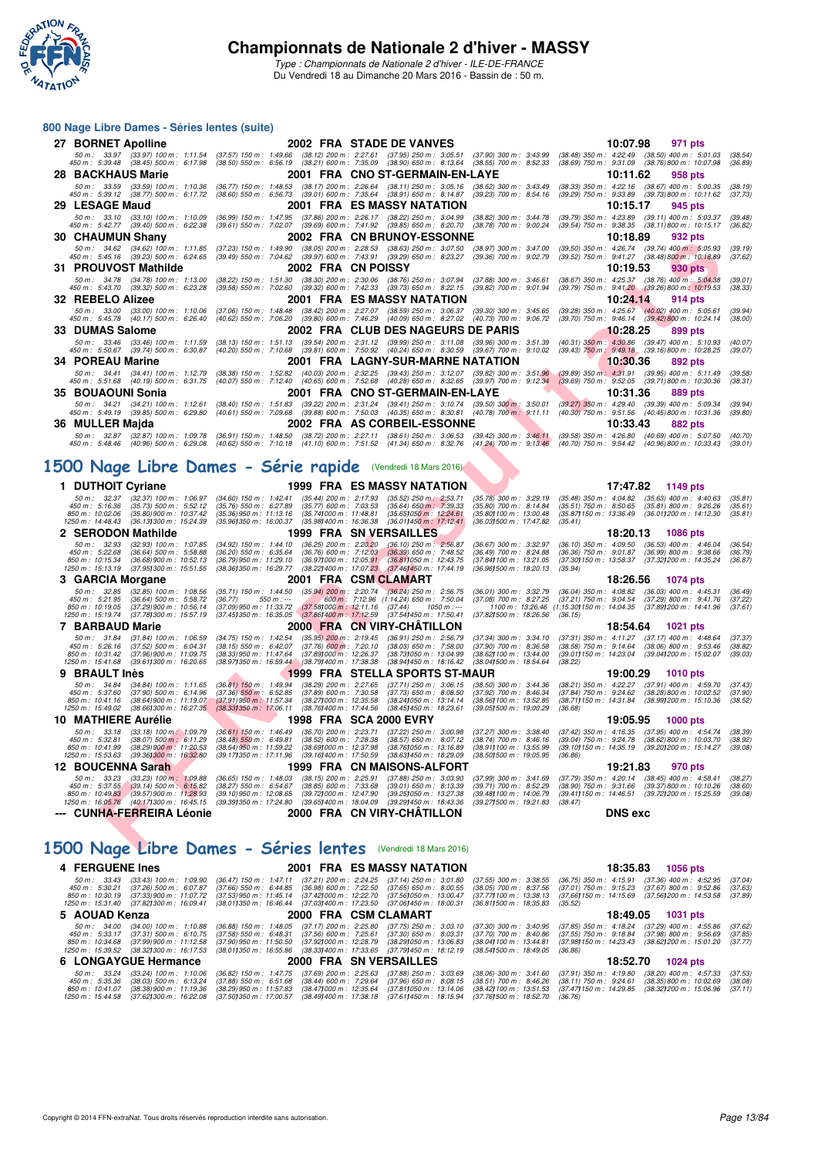

#### **800 Nage Libre Dames - Séries lentes (suite)**

|                                       | $000$ nays Libis Danies - Jenes ientes (Suite)                                |                                                         |                                                                               |                                                                                                                                                                                                                            |                                                                                                                                                                                                                                                    |                                                                               |                                                                                                         |                    |
|---------------------------------------|-------------------------------------------------------------------------------|---------------------------------------------------------|-------------------------------------------------------------------------------|----------------------------------------------------------------------------------------------------------------------------------------------------------------------------------------------------------------------------|----------------------------------------------------------------------------------------------------------------------------------------------------------------------------------------------------------------------------------------------------|-------------------------------------------------------------------------------|---------------------------------------------------------------------------------------------------------|--------------------|
| 27 BORNET Apolline                    |                                                                               |                                                         |                                                                               | 2002 FRA STADE DE VANVES                                                                                                                                                                                                   |                                                                                                                                                                                                                                                    | 10:07.98                                                                      | 971 pts                                                                                                 |                    |
|                                       |                                                                               |                                                         |                                                                               | 50 m: 33.97 (33.97) 100 m: 1:11.54 (37.57) 150 m: 1:49.66 (38.12) 200 m: 2:27.61 (37.95) 250 m: 3:05.51<br>450 m : 5:39.48 (38.45) 500 m : 6:17.98 (38.50) 550 m : 6:56.19 (38.21) 600 m : 7:35.09 (38.90) 650 m : 8:13.64 | $(37.90)$ 300 m : 3:43.99<br>$(38.55)$ 700 m : 8:52.33                                                                                                                                                                                             | $(38.48)$ 350 m : 4:22.49                                                     | $(38.50)$ 400 m : 5:01.03<br>(38.69) 750 m : 9:31.09 (38.76) 800 m : 10:07.98                           | (38.54)<br>(36.89) |
| 28   BACKHAUS Marie                   |                                                                               |                                                         |                                                                               | 2001 FRA CNO ST-GERMAIN-EN-LAYE                                                                                                                                                                                            |                                                                                                                                                                                                                                                    | 10:11.62                                                                      | 958 pts                                                                                                 |                    |
|                                       | 50 m: 33.59 (33.59) 100 m: 1:10.36<br>450 m : 5:39.12 (38.77) 500 m : 6:17.72 | $(36.77)$ 150 m : 1:48.53<br>$(38.60)$ 550 m : 6:56.73  | $(39.01)$ 600 m : 7:35.64                                                     | (38.17) 200 m : 2:26.64 (38.11) 250 m : 3:05.16<br>$(38.91)$ 650 m : 8:14.87                                                                                                                                               | (38.52) 300 m : 3:43.49<br>$(39.23)$ 700 m : 8:54.16                                                                                                                                                                                               | $(38.33)$ 350 m : 4:22.16<br>$(39.29)$ 750 m : $9.33.89$                      | $(38.67)$ 400 m : 5:00.35<br>$(39.73)800 \text{ m}$ : 10:11.62                                          | (38.19)<br>(37.73) |
| 29   LESAGE Maud                      |                                                                               |                                                         |                                                                               | 2001 FRA ES MASSY NATATION                                                                                                                                                                                                 |                                                                                                                                                                                                                                                    | 10:15.17                                                                      | 945 pts                                                                                                 |                    |
|                                       | 50 m: 33.10 (33.10) 100 m: 1:10.09                                            |                                                         |                                                                               | (36.99) 150 m: 1:47.95 (37.86) 200 m: 2:26.17 (38.22) 250 m: 3:04.99                                                                                                                                                       | (38.82) 300 m : 3:44.78                                                                                                                                                                                                                            |                                                                               | (39.79) 350 m : 4:23.89 (39.11) 400 m : 5:03.37                                                         | (39.48)            |
| 30 CHAUMUN Shany                      | 450 m: 5:42.77 (39.40) 500 m: 6:22.38                                         |                                                         |                                                                               | (39.61) 550 m : 7:02.07 (39.69) 600 m : 7:41.92 (39.85) 650 m : 8:20.70<br>2002 FRA CN BRUNOY-ESSONNE                                                                                                                      | $(38.78)$ 700 m : 9:00.24                                                                                                                                                                                                                          | 10:18.89                                                                      | (39.54) 750 m: 9:38.35 (38.11) 800 m: 10:15.17<br>932 pts                                               | (36.82)            |
|                                       | 50 m : 34.62 (34.62) 100 m : 1:11.85                                          | (37.23) 150 m : 1:49.90                                 |                                                                               | $(38.05)$ 200 m : 2:28.53 $(38.63)$ 250 m : 3:07.50                                                                                                                                                                        | $(38.97)$ 300 m : 3:47.00                                                                                                                                                                                                                          |                                                                               | (39.50) 350 m : 4:26.74 (39.74) 400 m : 5:05.93                                                         | (39.19)            |
|                                       | 450 m: 5:45.16 (39.23) 500 m: 6:24.65                                         |                                                         |                                                                               | (39.49) 550 m : 7:04.62 (39.97) 600 m : 7:43.91 (39.29) 650 m : 8:23.27                                                                                                                                                    | $(39.36)$ 700 m : 9:02.79                                                                                                                                                                                                                          |                                                                               | (39.52) 750 m : 9:41.27 (38.48) 800 m : 10:18.89                                                        | (37.62)            |
|                                       | 31 PROUVOST Mathilde<br>50 m: 34.78 (34.78) 100 m: 1:13.00                    |                                                         |                                                                               | 2002 FRA CN POISSY<br>(38.22) 150 m: 1:51.30 (38.30) 200 m: 2:30.06 (38.76) 250 m: 3:07.94                                                                                                                                 | $(37.88)$ 300 m : 3:46.61                                                                                                                                                                                                                          | 10:19.53                                                                      | 930 pts<br>(38.67) 350 m: 4:25.37 (38.76) 400 m: 5:04.38                                                | (39.01)            |
|                                       | 450 m: 5:43.70 (39.32) 500 m: 6:23.28                                         |                                                         |                                                                               | (39.58) 550 m: 7:02.60 (39.32) 600 m: 7:42.33 (39.73) 650 m: 8:22.15                                                                                                                                                       | $(39.82)$ 700 m : 9:01.94                                                                                                                                                                                                                          |                                                                               | (39.79) 750 m : 9:41.20 (39.26) 800 m : 10:19.53                                                        | (38.33)            |
| 32 REBELO Alizee                      | 50 m: 33.00 (33.00) 100 m: 1:10.06                                            |                                                         |                                                                               | 2001 FRA ES MASSY NATATION                                                                                                                                                                                                 |                                                                                                                                                                                                                                                    | 10:24.14                                                                      | 914 pts<br>$(39.28)$ 350 m : 4:25.67 $(40.02)$ 400 m : 5:05.61                                          |                    |
|                                       | 450 m : 5:45.78 (40.17) 500 m : 6:26.40                                       |                                                         |                                                                               | (37.06) 150 m : 1:48.48 (38.42) 200 m : 2:27.07 (38.59) 250 m : 3:06.37                                                                                                                                                    | $(39.30)$ 300 m : 3:45.65<br>(40.62) 550 m : 7:06.20 (39.80) 600 m : 7:46.29 (40.09) 650 m : 8:27.02 (40.73) 700 m : 9:06.72                                                                                                                       | (39.70) 750 m : 9:46.14 (39.42) 800 m : 10:24.14                              |                                                                                                         | (39.94)<br>(38.00) |
| 33 DUMAS Salome                       |                                                                               |                                                         |                                                                               | 2002 FRA CLUB DES NAGEURS DE PARIS                                                                                                                                                                                         |                                                                                                                                                                                                                                                    | 10:28.25                                                                      | 899 pts                                                                                                 |                    |
| 450 m : 5:50.67                       | 50 m: 33.46 (33.46) 100 m: 1:11.59<br>$(39.74)$ 500 m : 6:30.87               |                                                         |                                                                               |                                                                                                                                                                                                                            | (38.13) 150 m: 1:51.13 (39.54) 200 m: 2:31.12 (39.99) 250 m: 3:11.08 (39.96) 300 m: 3:51.39<br>(40.20) 550 m: 7:10.68 (39.81) 600 m: 7:50.92 (40.24) 650 m: 8:30.59 (39.67) 700 m: 9:10.02                                                         |                                                                               | $(40.31)$ 350 m : 4:30.86 $(39.47)$ 400 m : 5:10.93<br>(39.43) 750 m : 9:49.18 (39.16) 800 m : 10:28.25 | (40.07)<br>(39.07) |
| 34 POREAU Marine                      |                                                                               |                                                         |                                                                               | 2001 FRA LAGNY-SUR-MARNE NATATION                                                                                                                                                                                          |                                                                                                                                                                                                                                                    | 10:30.36                                                                      | 892 pts                                                                                                 |                    |
| 50 m : 34.41                          | $(34.41)$ 100 m : 1:12.79<br>450 m: 5:51.68 (40.19) 500 m: 6:31.75            |                                                         |                                                                               |                                                                                                                                                                                                                            | (38.38) 150 m : 1:52.82 (40.03) 200 m : 2:32.25 (39.43) 250 m : 3:12.07 (39.82) 300 m : 3:51.96 (39.89) 350 m : 4:31.91 (39.95) 400 m : 5:11.49<br>(40.07) 550 m : 7:12.40 (40.65) 600 m : 7:52.68 (40.28) 650 m : 8:32.65 (39.97) 700 m : 9:12.34 |                                                                               | $(39.69)$ 750 m : $9.52.05$ $(39.71)800$ m : 10:30.36                                                   | (39.58)<br>(38.31) |
| 35 BOUAOUNI Sonia                     |                                                                               |                                                         |                                                                               | 2001 FRA CNO ST-GERMAIN-EN-LAYE                                                                                                                                                                                            |                                                                                                                                                                                                                                                    | 10:31.36                                                                      | 889 pts                                                                                                 |                    |
| 50 m : 34.21                          | $(34.21)$ 100 m : 1:12.61                                                     |                                                         |                                                                               |                                                                                                                                                                                                                            | (38.40) 150 m : 1.51.83 (39.22) 200 m : 2.31.24 (39.41) 250 m : 3.10.74 (39.50) 300 m : 3.50.01                                                                                                                                                    |                                                                               | (39.27) 350 m : 4:29.40 (39.39) 400 m : 5:09.34                                                         | (39.94)            |
| 36 MULLER Majda                       | 450 m: 5:49.19 (39.85) 500 m: 6:29.80                                         |                                                         |                                                                               | 2002 FRA AS CORBEIL-ESSONNE                                                                                                                                                                                                | (40.61) 550 m: 7:09.68 (39.88) 600 m: 7:50.03 (40.35) 650 m: 8:30.81 (40.78) 700 m: 9:11.11                                                                                                                                                        | (40.30) 750 m : 9:51.56 (40.45) 800 m : 10:31.36<br>10:33.43                  | 882 pts                                                                                                 | (39.80)            |
|                                       | 50 m: 32.87 (32.87) 100 m: 1:09.78                                            |                                                         |                                                                               |                                                                                                                                                                                                                            | (36.91) 150 m : 1:48.50 (38.72) 200 m : 2:27.11 (38.61) 250 m : 3:06.53 (39.42) 300 m : 3:46.11 (39.58) 350 m : 4:26.80 (40.69) 400 m : 5:07.50                                                                                                    |                                                                               |                                                                                                         | (40.70)            |
|                                       | 450 m : 5:48.46 (40.96) 500 m : 6:29.08                                       |                                                         |                                                                               |                                                                                                                                                                                                                            | (40.62) 550 m : 7:10.18 (41.10) 600 m : 7:51.52 (41.34) 650 m : 8:32.76 (41.24) 700 m : 9:13.46 (40.70) 750 m : 9:54.42 (40.96) 800 m : 10:33.43                                                                                                   |                                                                               |                                                                                                         | (39.01)            |
|                                       |                                                                               |                                                         |                                                                               | 1500 Nage Libre Dames - Série rapide (Vendredi 18 Mars 2016)                                                                                                                                                               |                                                                                                                                                                                                                                                    |                                                                               |                                                                                                         |                    |
|                                       |                                                                               |                                                         |                                                                               |                                                                                                                                                                                                                            |                                                                                                                                                                                                                                                    |                                                                               |                                                                                                         |                    |
| 1 DUTHOIT Cyriane<br>50 m : 32.37     | $(32.37)$ 100 m : 1:06.97                                                     | (34.60) 150 m : 1:42.41                                 | $(35.44)$ 200 m : 2:17.93                                                     | 1999 FRA ES MASSY NATATION<br>$(35.52)$ 250 m : 2:53.71                                                                                                                                                                    | $(35.78)$ 300 m : 3:29.19                                                                                                                                                                                                                          | 17:47.82<br>$(35.48)$ 350 m : 4:04.82                                         | 1149 pts<br>$(35.63)$ 400 m : 4:40.63                                                                   | (35.81)            |
| 450 m : 5:16.36<br>850 m : 10:02.06   | $(35.73)$ 500 m : 5:52.12<br>$(35.80)$ 900 m : 10:37.42                       | $(35.76)$ 550 m : 6:27.89<br>$(35.36)$ 950 m : 11:13.16 | $(35.77)$ 600 m : 7:03.53<br>(35.741000 m: 11:48.81                           | $(35.64)$ 650 m : 7:39.33<br>$(35.651050 \text{ m} : 12.24.61)$                                                                                                                                                            | $(35.80)$ 700 m : 8:14.84<br>(35.801100 m: 13:00.48)                                                                                                                                                                                               | $(35.51)$ 750 m : 8:50.65<br>(35.87 <b>)</b> 150 m : 13:36.49                 | $(35.81)$ 800 m : 9:26.26<br>(36.011200 m : 14:12.30                                                    | (35.61)<br>(35.81) |
| 1250 m : 14:48.43                     | (36.13) 300 m : 15:24.39                                                      | (35.961350 m : 16:00.37                                 | (35.981400 m : 16:36.38                                                       | $(36.01)450 \text{ m}$ : 17:12.41                                                                                                                                                                                          | (36.03) 500 m : 17:47.82                                                                                                                                                                                                                           | (35.41)                                                                       |                                                                                                         |                    |
| 2 SERODON Mathilde                    |                                                                               |                                                         |                                                                               | 1999 FRA SN VERSAILLES                                                                                                                                                                                                     |                                                                                                                                                                                                                                                    | 18:20.13                                                                      | <b>1086 pts</b>                                                                                         |                    |
| 50 m: 32.93<br>450 m : 5:22.68        | $(32.93)$ 100 m : 1:07.85<br>$(36.64)$ 500 m : 5:58.88                        | $(34.92)$ 150 m : 1:44.10<br>$(36.20)$ 550 m : 6:35.64  | $(36.25)$ 200 m : 2:20.20<br>$(36.76)$ 600 m : 7:12.03                        | $(36.10)$ 250 m : 2:56.87<br>$(36.39)$ 650 m : 7:48.52                                                                                                                                                                     | $(36.67)$ 300 m : 3:32.97<br>$(36.49)$ 700 m : 8:24.88                                                                                                                                                                                             | $(36.10)$ 350 m : 4:09.50<br>$(36.36)$ 750 m : $9:01.87$                      | $(36.53)$ 400 m : 4:46.04<br>$(36.99)$ 800 m : 9:38.66                                                  | (36.54)<br>(36.79) |
| 850 m : 10:15.34<br>1250 m: 15:13.19  | (36.68) 900 m : 10:52.13<br>$(37.95)300 \text{ m}$ : 15:51.55                 | (36.79) 950 m : 11:29.10<br>(38.36) 350 m : 16:29.77    |                                                                               | (36.97) 000 m: 12:05.91 (36.81) 050 m: 12:43.75<br>(38.22) 400 m : 17:07.23 (37.46) 450 m : 17:44.19                                                                                                                       | (37.84) 100 m : 13:21.05<br>(36.96) 500 m : 18:20.13                                                                                                                                                                                               | (35.94)                                                                       | (37.30) 150 m : 13:58.37 (37.32) 200 m : 14:35.24                                                       | (36.87)            |
| 3 GARCIA Morgane                      |                                                                               |                                                         |                                                                               | 2001 FRA CSMCLAMART                                                                                                                                                                                                        |                                                                                                                                                                                                                                                    | 18:26.56                                                                      | 1074 pts                                                                                                |                    |
| 50 m : 32.85<br>450 m: 5:21.95        | $(32.85)$ 100 m : 1:08.56<br>$(36.64)$ 500 m : 5:58.72                        | $(35.71)$ 150 m : 1:44.50<br>(36.77)                    | (35.94) 200 m : 2:20.74<br>550 m : ---                                        | $(36.24)$ 250 m : 2:56.75<br>600 m: 7:12.96 (1:14.24) 650 m: 7:50.04                                                                                                                                                       | $(36.01)$ 300 m : 3:32.79<br>$(37.08)$ 700 m : 8:27.25                                                                                                                                                                                             |                                                                               | (36.04) 350 m : 4:08.82 (36.03) 400 m : 4:45.31<br>(37.21) 750 m : 9:04.54 (37.29) 800 m : 9:41.76      | (36.49)<br>(37.22) |
| 850 m: 10:19.05<br>1250 m : 15:19.74  | (37.29) 900 m : 10:56.14<br>(37.78) 300 m : 15:57.19                          | (37.09) 950 m : 11:33.72                                | (37.58) 000 m : 12:11.16<br>(37.45) 350 m : 16:35.05 (37.86) 400 m : 17:12.59 | (37.44)<br>(37.54)450 m : 17.50.41                                                                                                                                                                                         | 1050 m : ---<br>(37.82) 500 m : 18:26.56                                                                                                                                                                                                           | 1100 m: 13:26.46 (1:15.30) 150 m: 14:04.35 (37.89) 200 m: 14:41.96<br>(36.15) |                                                                                                         | (37.61)            |
| 7 BARBAUD Marie                       |                                                                               |                                                         |                                                                               | 2000 FRA CN VIRY-CHATILLON                                                                                                                                                                                                 |                                                                                                                                                                                                                                                    | 18:54.64                                                                      | 1021 pts                                                                                                |                    |
| 50 m: 31.84<br>450 m : 5:26.16        | $(31.84)$ 100 m : 1:06.59<br>$(37.52)$ 500 m : 6:04.31                        | $(34.75)$ 150 m : 1:42.54<br>(38.15) 550 m : 6:42.07    | $(35.95)$ 200 m : 2:19.45<br>$(37.76)$ 600 m : 7:20.10                        | $(36.91)$ 250 m : 2:56.79<br>$(38.03)$ 650 m : 7:58.00                                                                                                                                                                     | (37.34) 300 m : 3:34.10<br>$(37.90)$ 700 m : 8:36.58                                                                                                                                                                                               | (37.31) 350 m : 4:11.27<br>$(38.58)$ 750 m : 9:14.64                          | $(37.17)$ 400 m : 4:48.64<br>$(38.06)$ 800 m : 9:53.46                                                  | (37.37)<br>(38.82) |
| 850 m : 10:31.42                      | $(37.96)$ 900 m : 11:09.75                                                    | $(38.33)$ 950 m : 11:47.64                              | (37.89) 000 m : 12:26.37                                                      | (38.73) 050 m : 13:04.99                                                                                                                                                                                                   | (38.62) 100 m : 13:44.00                                                                                                                                                                                                                           | (39.01) 150 m : 14:23.04                                                      | (39.04) 200 m : 15:02.07                                                                                | (39.03)            |
| 1250 m : 15:41.68<br>9 BRAULT Inès    | $(39.61)300 \text{ m}$ : 16:20.65                                             |                                                         | (38.97) 350 m : 16:59.44 (38.79) 400 m : 17:38.38                             | (38.941450 m : 18:16.42<br>1999 FRA STELLA SPORTS ST-MAUR                                                                                                                                                                  | (38.041500 m : 18:54.64                                                                                                                                                                                                                            | (38.22)<br>19:00.29                                                           | <b>1010 pts</b>                                                                                         |                    |
| 50 m: 34.84                           | $(34.84)$ 100 m : 1:11.65                                                     | $(36.81)$ 150 m : 1:49.94                               | (38.29) 200 m : 2:27.65                                                       | $(37.71)$ 250 m : 3:06.15                                                                                                                                                                                                  | (38.50) 300 m : 3:44.36                                                                                                                                                                                                                            | (38.21) 350 m : 4:22.27                                                       | $(37.91)$ 400 m : 4:59.70                                                                               | (37.43)            |
| 450 m : 5:37.60<br>850 m: 10:41.16    | $(37.90)$ 500 m : 6:14.96<br>(38.64) 900 m : 11:19.07                         | $(37.36)$ 550 m : 6:52.85<br>$(37.91)$ 950 m : 11:57.34 | $(37.89)$ 600 m : 7:30.58<br>(38.27) 000 m : 12:35.58                         | $(37.73)$ 650 m : 8:08.50<br>(38.241050 m: 13:14.14)                                                                                                                                                                       | $(37.92)$ 700 m : 8:46.34<br>(38.56) 100 m : 13:52.85                                                                                                                                                                                              | $(37.84)$ 750 m : $9.24.62$<br>(38.71) 150 m : 14:31.84                       | (38.28) 800 m : 10:02.52<br>(38.99) 200 m : 15:10.36                                                    | (37.90)<br>(38.52) |
| 1250 m: 15:49.02                      | (38.66) 300 m : 16:27.35                                                      | (38.33)350 m : 17:06.11                                 | (38.76) 400 m : 17:44.56                                                      | (38.45) 450 m : 18:23.61                                                                                                                                                                                                   | (39.051500 m: 19.00.29)                                                                                                                                                                                                                            | (36.68)                                                                       |                                                                                                         |                    |
| 10 MATHIERE Aurélie                   | 50 m : 33.18 (33.18) 100 m : 1:09.79                                          | $(36.61)$ 150 m : 1:46.49                               |                                                                               | 1998 FRA SCA 2000 EVRY                                                                                                                                                                                                     | (36.70) 200 m : 2:23.71 (37.22) 250 m : 3:00.98 (37.27) 300 m : 3:38.40                                                                                                                                                                            | 19:05.95<br>(37.42) 350 m : 4:16.35 (37.95) 400 m : 4:54.74 (38.39)           | <b>1000 pts</b>                                                                                         |                    |
| 450 m : 5:32.81<br>850 m : 10:41.99   | $(38.07)$ 500 m : 6:11.29                                                     | $(38.48)$ 550 m : 6:49.81                               |                                                                               |                                                                                                                                                                                                                            | (38.52) 600 m : 7:28.38 (38.57) 650 m : 8:07.12 (38.74) 700 m : 8:46.16 (39.04) 750 m : 9:24.78 (38.62) 800 m : 10:03.70                                                                                                                           |                                                                               |                                                                                                         | (38.92)            |
|                                       | $(38.29)$ 900 m $: 11.20.53$<br>1250 m : 15:53.63 (39.361300 m : 16:32.80     |                                                         |                                                                               | (38.54) 950 m : 11:59.22 (38.69) 000 m : 12:37.98 (38.76) 050 m : 13:16.89<br>(39.17) 350 m : 17:11.96 (39.16) 400 m : 17:50.59 (38.63) 450 m : 18:29.09                                                                   | (38.91) 100 m : 13:55.99<br>(38.50) 500 m : 19:05.95                                                                                                                                                                                               | (36.86)                                                                       | (39.10) 150 m : 14:35.19 (39.20) 200 m : 15:14.27 (39.08)                                               |                    |
| 12 BOUCENNA Sarah                     |                                                                               |                                                         |                                                                               | 1999 FRA CN MAISONS-ALFORT                                                                                                                                                                                                 |                                                                                                                                                                                                                                                    | 19:21.83                                                                      | 970 pts                                                                                                 |                    |
| 50 m: 33.23<br>450 m : 5:37.55        | $(33.23)$ 100 m : 1:09.88<br>(39.14) 500 m : 6:15.82                          | $(36.65)$ 150 m : 1:48.03<br>(38.27) 550 m : 6:54.67    | $(38.15)$ 200 m : 2:25.91<br>$(38.85)$ 600 m : 7:33.68                        | $(37.88)$ 250 m : 3:03.90<br>$(39.01)$ 650 m : 8:13.39                                                                                                                                                                     | (37.99) 300 m : 3:41.69<br>(39.71) 700 m : 8:52.29                                                                                                                                                                                                 | $(38.90)$ 750 m : $9:31.66$                                                   | (37.79) 350 m : 4:20.14 (38.45) 400 m : 4:58.41<br>(39.37) 800 m : 10:10.26                             | (38.27)<br>(38.60) |
| 850 m : 10:49.83<br>1250 m : 16:05.76 | (39.57) 900 m : 11:28.93<br>(40.17) 300 m : 16:45.15                          | (39.10) 950 m : 12:08.65<br>(39.391350 m: 17:24.80      | (39.721000 m: 12.47.90<br>(39.65) 400 m : 18:04.09                            | (39.25) 050 m: 13:27.38<br>(39.291450 m : 18:43.36                                                                                                                                                                         | (39.48) 100 m : 14:06.79<br>(39.271500 m: 19:21.83                                                                                                                                                                                                 | (39.41) 150 m : 14:46.51<br>(38.47)                                           | (39.72) 200 m : 15:25.59                                                                                | (39.08)            |
|                                       | --- CUNHA-FERREIRA Léonie                                                     |                                                         |                                                                               | 2000 FRA CN VIRY-CHATILLON                                                                                                                                                                                                 |                                                                                                                                                                                                                                                    | <b>DNS</b> exc                                                                |                                                                                                         |                    |
|                                       |                                                                               |                                                         |                                                                               |                                                                                                                                                                                                                            |                                                                                                                                                                                                                                                    |                                                                               |                                                                                                         |                    |
|                                       |                                                                               |                                                         |                                                                               | 1500 Nage Libre Dames - Séries lentes (Vendredi 18 Mars 2016)                                                                                                                                                              |                                                                                                                                                                                                                                                    |                                                                               |                                                                                                         |                    |

#### **[1500 Nage Libre Dames - Séries lentes](http://www.ffnatation.fr/webffn/resultats.php?idact=nat&go=epr&idcpt=37307&idepr=6)** (Vendredi 18 Mars 2016)

## **4 FERGUENE Ines** 2001 FRA ES MASSY NATATION 18:35.83 1056 pts 50 m: 3.343 1056 pts 2001 FRA ES MASSY NATATION 18:38.55 (36.75) 350 m: 4:5.91 (37.36) 400 m: 1:09.90 (36.47) 150 m: 1:47.11 (37.21) 200 m: 2:24.25 (37.14) 250 50 m : 33,43 (33,43) 100 m : 1:09.90 (36.47) 150 m : 1:47.11 (37.21) 200 m : 2:24.25 (37.14) 250 m : 3:31.80 (37.55) 300 m : 3:38.55 (36.75) 350 m : 4:15.91 (37.36) 400 m : 4:5.295 (37.04)<br>450 m : 10:30.21 (37.28) 500 m : **5 AOUAD Kenza** 2000 FRA CSM CLAMART 18:49.05 (37.89) 300 m: 340.95 (37.89) 300 m: 340.05 (37.89) 300 m: 4:18.24 (37.29) 400 m: 4:55.86<br>
35 m: 36.01 (34.00) 100 m: 1:10.88 (36.88) 150 m: 4:48.05 (37.17) 200 m: 2:25.80 (37. 50 m : 34.00 (34.00) 100 m : 1:10.88 (36.88) 150 m : 1:48.05 (37.17) 200 m : 2:25.80 (37.75) 250 m : 3:40.10 m : 3:40.95 (37.85) 350 m : 4:16.24 (37.29) 400 m : 4:55.86 (37.62) 400 m : 4:55.86 (37.62) 560 m : 5:10.78 (37.8 6 LONGAYGUE Hermance 2000 FRA SN VERSAILLES 18:52.70 1024 pts<br>50 m : 33.24 (33.24) 100 m : 1:10.06 (36.82) 150 m : 1:47.75 (37.69) 200 m : 2:25.63 (37.88) 250 m : 3:03.69 (38.06) 300 m : 3:41.60 (37.91) 350 m : 4:19.80 (3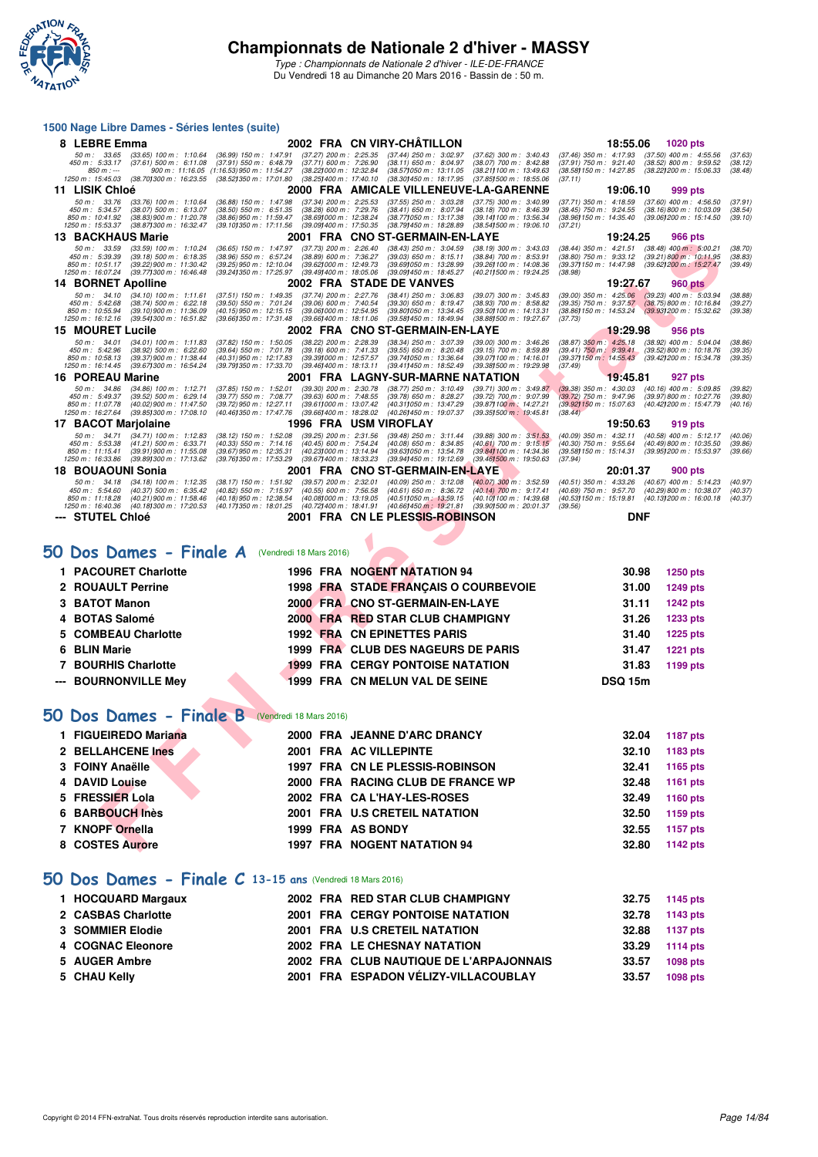

#### **1500 Nage Libre Dames - Séries lentes (suite)**

|    | 8 LEBRE Emma                                                                                                                                                                                          |                                                                                                                                                                                                                                 | 2002 FRA CN VIRY-CHATILLON                                                                                     |                                                                                                               | 18:55.06                                                                                                                                                            | 1020 pts                                                                                   |                               |
|----|-------------------------------------------------------------------------------------------------------------------------------------------------------------------------------------------------------|---------------------------------------------------------------------------------------------------------------------------------------------------------------------------------------------------------------------------------|----------------------------------------------------------------------------------------------------------------|---------------------------------------------------------------------------------------------------------------|---------------------------------------------------------------------------------------------------------------------------------------------------------------------|--------------------------------------------------------------------------------------------|-------------------------------|
|    | 50 m: 33.65<br>$(33.65)$ 100 m : 1:10.64<br>450 m : 5:33.17<br>$(37.61)$ 500 m : 6:11.08<br>850 m : ---<br>900 m: 11:16.05 (1:16.53) 950 m: 11:54.27<br>(38.70) 300 m : 16:23.55<br>1250 m : 15:45.03 | $(37.27)$ 200 m : 2:25.35<br>$(36.99)$ 150 m : 1:47.91<br>$(37.91)$ 550 m : 6:48.79<br>(37.71) 600 m : 7:26.90<br>(38.22) 000 m: 12:32.84<br>(38.52) 350 m : 17:01.80<br>(38.25) 400 m : 17:40.10                               | $(37.44)$ 250 m : 3:02.97<br>(38.11) 650 m : 8:04.97<br>(38.57) 050 m : 13:11.05<br>(38.30) 450 m : 18:17.95   | $(37.62)$ 300 m : 3:40.43<br>(38.07) 700 m : 8:42.88<br>(38.21) 100 m : 13:49.63<br>(37.851500 m: 18:55.06    | $(37.46)$ 350 m : 4:17.93 $(37.50)$ 400 m : 4:55.56<br>$(37.91)$ 750 m : 9:21.40<br>(38.58) 150 m : 14:27.85<br>(37.11)                                             | $(38.52)$ 800 m : 9:59.52<br>(38.22) 200 m : 15:06.33                                      | (37.63)<br>(38.12)<br>(38.48) |
|    | 11 LISIK Chloé                                                                                                                                                                                        |                                                                                                                                                                                                                                 | 2000 FRA AMICALE VILLENEUVE-LA-GARENNE                                                                         |                                                                                                               | 19:06.10                                                                                                                                                            | 999 pts                                                                                    |                               |
|    | 50 m: 33.76<br>$(33.76)$ 100 m : 1:10.64<br>450 m : 5:34.57<br>$(38.07)$ 500 m : 6:13.07<br>850 m: 10:41.92<br>(38.83) 900 m : 11:20.78<br>1250 m : 15:53.37<br>(38.87) 300 m : 16:32.47              | $(37.34)$ 200 m : 2:25.53<br>(36.88) 150 m : 1:47.98<br>$(38.50)$ 550 m : 6:51.35<br>$(38.28)$ 600 m : 7:29.76<br>(38.691000 m: 12:38.24<br>(38.86) 950 m : 11:59.47<br>(39.10) 350 m : 17:11.56<br>(39.09) 400 m : 17:50.35    | $(37.55)$ 250 m : 3:03.28<br>$(38.41)$ 650 m : 8:07.94<br>(38.77) 050 m : 13:17.38<br>(38.79) 450 m : 18:28.89 | (37.75) 300 m : 3:40.99<br>$(38.18)$ 700 m : 8:46.39<br>(39.141100 m: 13:56.34)<br>(38.54) 500 m : 19:06.10   | (37.71) 350 m : 4:18.59<br>$(38.45)$ 750 m : 9:24.55<br>(38.96) 150 m : 14:35.40<br>(37.21)                                                                         | $(37.60)$ 400 m : 4:56.50<br>$(38.16)800 \text{ m}$ : 10:03.09<br>(39.06) 200 m : 15:14.50 | (37.91)<br>(38.54)<br>(39.10) |
|    | <b>13 BACKHAUS Marie</b>                                                                                                                                                                              |                                                                                                                                                                                                                                 | 2001 FRA CNO ST-GERMAIN-EN-LAYE                                                                                |                                                                                                               | 19:24.25                                                                                                                                                            | 966 pts                                                                                    |                               |
|    | $50 m$ : 33.59<br>$(33.59)$ 100 m : 1:10.24<br>450 m: 5:39.39<br>(39.18) 500 m: 6:18.35<br>850 m: 10:51.17<br>(39.22) 900 m : 11:30.42<br>1250 m: 16:07.24<br>(39.77) 300 m : 16:46.48                | $(36.65)$ 150 m : 1:47.97<br>$(37.73)$ 200 m : 2:26.40<br>(38.96) 550 m : 6:57.24<br>(38.89) 600 m : 7:36.27<br>(39.25) 950 m : 12:10.04<br>(39.62) 000 m: 12:49.73<br>(39.241350 m: 17:25.97<br>(39.49) 400 m : 18:05.06       | $(38.43)$ 250 m : 3:04.59<br>(39.03) 650 m : 8:15.11<br>(39.69) 050 m: 13:28.99<br>(39.09) 450 m : 18:45.27    | $(38.19)$ 300 m : 3:43.03<br>(38.84) 700 m : 8:53.91<br>(39.26) 100 m : 14:08.36<br>(40.211500 m: 19:24.25)   | (38.44) 350 m : 4:21.51<br>$(38.80)$ 750 m : $9:33.12$<br>(39.37) 150 m : 14:47.98<br>(38.98)                                                                       | $(38.48)$ 400 m : 5:00.21<br>$(39.21)800 \text{ m}$ : 10:11.95<br>(39.62) 200 m : 15:27.47 | (38.70)<br>(38.83)<br>(39.49) |
|    | 14 BORNET Apolline                                                                                                                                                                                    |                                                                                                                                                                                                                                 | 2002 FRA STADE DE VANVES                                                                                       |                                                                                                               | 19:27.67                                                                                                                                                            | <b>960 pts</b>                                                                             |                               |
|    | 50 m: 34.10<br>$(34.10)$ 100 m : 1:11.61<br>$(38.74)$ 500 m : 6:22.18<br>450 m: 5:42.68<br>850 m: 10:55.94<br>(39.10) 900 m : 11:36.09<br>1250 m : 16:12.16<br>(39.54) 300 m : 16:51.82               | $(37.51)$ 150 m : 1:49.35<br>$(37.74)$ 200 m : 2:27.76<br>$(39.06)$ 600 m : 7:40.54<br>$(39.50)$ 550 m : 7:01.24<br>(39.06) 000 m: 12:54.95<br>(40.15) 950 m : 12:15.15<br>(39.66) 350 m : 17:31.48<br>(39.66) 400 m: 18:11.06  | $(38.41)$ 250 m : 3:06.83<br>$(39.30)$ 650 m : 8:19.47<br>(39.80) 050 m: 13:34.45<br>(39.58) 450 m : 18:49.94  | $(39.07)$ 300 m : 3:45.83<br>$(38.93)$ 700 m : 8:58.82<br>(39.50) 100 m: 14:13.31<br>(38.88) 500 m : 19:27.67 | $(39.00)$ 350 m : 4:25.06<br>$(39.35)$ 750 m : $9.37.57$<br>(38.86) 150 m : 14:53.24<br>(37.73)                                                                     | $(39.23)$ 400 m : 5:03.94<br>$(38.75)800 \text{ m}$ : 10:16.84<br>(39.93) 200 m : 15:32.62 | (38.88)<br>(39.27)<br>(39.38) |
|    | <b>15 MOURET Lucile</b>                                                                                                                                                                               |                                                                                                                                                                                                                                 | 2002 FRA CNO ST-GERMAIN-EN                                                                                     | LAYE                                                                                                          | 19:29.98                                                                                                                                                            | 956 pts                                                                                    |                               |
|    | 50 m: 34.01<br>$(34.01)$ 100 m : 1:11.83<br>450 m : 5:42.96<br>$(38.92)$ 500 m : 6:22.60<br>850 m: 10:58.13<br>(39.37) 900 m : 11:38.44<br>$1250 \text{ m}$ : $16:14.45$<br>(39.67) 300 m : 16:54.24  | (38.22) 200 m : 2:28.39<br>$(37.82)$ 150 m : 1:50.05<br>$(39.64) 550 m$ : 7:01.78<br>$(39.18) 600 m$ : 7:41.33<br>(40.31) 950 m : 12:17.83<br>(39.39) 000 m : 12:57.57<br>(39.79) 350 m : 17:33.70<br>(39.46) 400 m : 18:13.11  | $(38.34)$ 250 m : 3:07.39<br>$(39.55)$ 650 m : 8:20.48<br>(39.741050 m: 13:36.64<br>(39.41) 450 m : 18:52.49   | (39.00) 300 m: 3:46.26<br>(39.15) 700 m : 8:59.89<br>(39.07) 100 m: 14:16.01<br>(39.38) 500 m : 19:29.98      | (38.87) 350 m : 4:25.18 (38.92) 400 m : 5:04.04<br>(39.41) 750 m : 9:39.41 (39.52) 800 m : 10:18.76<br>(39.37) 150 m : 14:55.43 (39.42) 200 m : 15:34.78<br>(37.49) |                                                                                            | (38.86)<br>(39.35)<br>(39.35) |
|    | 16 POREAU Marine                                                                                                                                                                                      |                                                                                                                                                                                                                                 | 2001 FRA LAGNY-SUR-MARNE NATATION                                                                              |                                                                                                               | 19:45.81                                                                                                                                                            | 927 pts                                                                                    |                               |
|    | 50 m: 34.86<br>$(34.86)$ 100 m : 1:12.71<br>450 m: 5:49.37<br>$(39.52)$ 500 m : 6:29.14<br>850 m: 11:07.78<br>(40.02) 900 m : 11:47.50<br>1250 m: 16:27.64<br>(39.85) 300 m : 17:08.10                | $(37.85)$ 150 m : 1:52.01<br>$(39.30)$ 200 m : 2:30.78<br>$(39.77)$ 550 m : 7:08.77<br>$(39.63)$ 600 m : 7:48.55<br>(39.61) 000 m: 13:07.42<br>(39.72) 950 m : 12:27.11<br>(40.46) 350 m : 17:47.76<br>(39.66) 400 m : 18:28.02 | $(38.77)$ 250 m : 3:10.49<br>$(39.78)$ 650 m : 8:28.27<br>(40.31) 050 m: 13:47.29<br>(40.26) 450 m : 19:07.37  | $(39.71)$ 300 m : 3:49.87<br>$(39.72)$ 700 m : 9:07.99<br>(39.87) 100 m : 14:27.21<br>(39.351500 m: 19:45.81  | $(39.38)$ 350 m : 4:30.03<br>$(39.72)$ 750 m : 9:47.96<br>(39.92) 150 m : 15:07.63<br>(38.44)                                                                       | $(40.16)$ 400 m : 5:09.85<br>(39.97) 800 m : 10:27.76<br>(40.42) 200 m : 15:47.79          | (39.82)<br>(39.80)<br>(40.16) |
|    | 17 BACOT Marjolaine                                                                                                                                                                                   |                                                                                                                                                                                                                                 | 1996 FRA USM VIROFLAY                                                                                          |                                                                                                               | 19:50.63                                                                                                                                                            | 919 pts                                                                                    |                               |
|    | 50 m: 34.71<br>$(34.71)$ 100 m : 1:12.83<br>450 m : 5:53.38<br>$(41.21)$ 500 m : 6:33.71<br>$(39.91)$ 900 m : 11:55.08<br>850 m: 11:15.41<br>1250 m: 16:33.86<br>(39.89) 300 m : 17:13.62             | (38.12) 150 m : 1:52.08<br>(39.25) 200 m : 2:31.56<br>$(40.33)$ 550 m : 7:14.16<br>(40.45) 600 m : 7:54.24<br>(39.67) 950 m : 12:35.31<br>(40.231000 m: 13:14.94)<br>(39.76) 350 m : 17:53.29<br>(39.67) 400 m : 18:33.23       | $(39.48)$ 250 m : 3:11.44<br>$(40.08)$ 650 m : 8:34.85<br>(39.631050 m: 13:54.78)<br>(39.94) 450 m : 19:12.69  | $(39.88)$ 300 m : 3:51.53<br>$(40.61)$ 700 m : 9:15.15<br>(39.841100 m: 14:34.36)<br>(39.461500 m: 19:50.63   | (40.09) 350 m : 4:32.11 (40.58) 400 m : 5:12.17<br>(40.30) 750 m : 9:55.64<br>(39.58) 150 m : 15:14.31<br>(37.94)                                                   | (40.49) 800 m : 10:35.50<br>(39.95) 200 m : 15:53.97                                       | (40.06)<br>(39.86)<br>(39.66) |
|    | 18 BOUAOUNI Sonia                                                                                                                                                                                     |                                                                                                                                                                                                                                 | 2001 FRA CNO ST-GERMAIN-EN-LAYE                                                                                |                                                                                                               | 20:01.37                                                                                                                                                            | 900 pts                                                                                    |                               |
|    | 50 m: 34.18                                                                                                                                                                                           |                                                                                                                                                                                                                                 | $(40.09)$ 250 m : 3:12.08                                                                                      | $(40.07)$ 300 m : 3:52.59                                                                                     | (40.51) 350 m: 4:33.26 (40.67) 400 m: 5:14.23                                                                                                                       |                                                                                            | (40.97)                       |
|    | $(34.18)$ 100 m : 1:12.35<br>450 m: 5:54.60<br>$(40.37)$ 500 m : 6:35.42<br>850 m: 11:18.28<br>(40.21) 900 m : 11:58.46<br>(40.18) 300 m : 17:20.53<br>1250 m: 16:40.36                               | $(38.17)$ 150 m : 1:51.92<br>$(39.57)$ 200 m : 2:32.01<br>$(40.55)$ 600 m : 7:56.58<br>(40.82) 550 m : 7:15.97<br>(40.18) 950 m : 12:38.54<br>(40.08) 000 m: 13:19.05<br>(40.17) 350 m : 18:01.25<br>(40.72) 400 m : 18:41.91   | $(40.61)$ 650 m : 8:36.72<br>(40.51) 050 m : 13:59.15<br>(40.66) 450 m : 19:21.81                              | (40.14) 700 m : 9:17.41<br>(40.10) 100 m: 14:39.68<br>(39.901500 m : 20:01.37                                 | $(40.69)$ 750 m : $9.57.70$<br>(40.53) 150 m : 15:19.81<br>(39.56)                                                                                                  | $(40.29) 800$ m : 10:38.07<br>(40.13) 200 m : 16:00.18                                     | (40.37)<br>(40.37)            |
|    | <b>STUTEL Chloé</b>                                                                                                                                                                                   |                                                                                                                                                                                                                                 | 2001 FRA CN LE PLESSIS-ROBINSON                                                                                |                                                                                                               | <b>DNF</b>                                                                                                                                                          |                                                                                            |                               |
|    |                                                                                                                                                                                                       |                                                                                                                                                                                                                                 |                                                                                                                |                                                                                                               |                                                                                                                                                                     |                                                                                            |                               |
|    |                                                                                                                                                                                                       |                                                                                                                                                                                                                                 |                                                                                                                |                                                                                                               |                                                                                                                                                                     |                                                                                            |                               |
|    | 50 Dos Dames - Finale A (Vendredi 18 Mars 2016)                                                                                                                                                       |                                                                                                                                                                                                                                 |                                                                                                                |                                                                                                               |                                                                                                                                                                     |                                                                                            |                               |
|    | 1 PACOURET Charlotte                                                                                                                                                                                  |                                                                                                                                                                                                                                 | 1996 FRA NOGENT NATATION 94                                                                                    |                                                                                                               | 30.98                                                                                                                                                               | 1250 pts                                                                                   |                               |
|    | 2 ROUAULT Perrine                                                                                                                                                                                     |                                                                                                                                                                                                                                 | 1998 FRA STADE FRANÇAIS O COURBEVOIE                                                                           |                                                                                                               | 31.00                                                                                                                                                               | 1249 pts                                                                                   |                               |
| 3  | <b>BATOT Manon</b>                                                                                                                                                                                    |                                                                                                                                                                                                                                 | 2000 FRA CNO ST-GERMAIN-EN-LAYE                                                                                |                                                                                                               | 31.11                                                                                                                                                               | <b>1242 pts</b>                                                                            |                               |
|    | 4 BOTAS Salomé                                                                                                                                                                                        |                                                                                                                                                                                                                                 | 2000 FRA RED STAR CLUB CHAMPIGNY                                                                               |                                                                                                               | 31.26                                                                                                                                                               | 1233 pts                                                                                   |                               |
| 5  | <b>COMBEAU Charlotte</b>                                                                                                                                                                              |                                                                                                                                                                                                                                 | 1992 FRA CN EPINETTES PARIS                                                                                    |                                                                                                               | 31.40                                                                                                                                                               | <b>1225 pts</b>                                                                            |                               |
| 6  | <b>BLIN Marie</b>                                                                                                                                                                                     |                                                                                                                                                                                                                                 | 1999 FRA CLUB DES NAGEURS DE PARIS                                                                             |                                                                                                               | 31.47                                                                                                                                                               | <b>1221 pts</b>                                                                            |                               |
|    | <b>7 BOURHIS Charlotte</b>                                                                                                                                                                            |                                                                                                                                                                                                                                 | <b>1999 FRA CERGY PONTOISE NATATION</b>                                                                        |                                                                                                               | 31.83                                                                                                                                                               | 1199 pts                                                                                   |                               |
|    | --- BOURNONVILLE Mey                                                                                                                                                                                  |                                                                                                                                                                                                                                 | 1999 FRA CN MELUN VAL DE SEINE                                                                                 |                                                                                                               | <b>DSQ 15m</b>                                                                                                                                                      |                                                                                            |                               |
| CC | Dos Dames - Finale B (Vendredi 18 Mars 2016)                                                                                                                                                          |                                                                                                                                                                                                                                 |                                                                                                                |                                                                                                               |                                                                                                                                                                     |                                                                                            |                               |
|    | 1 FIGUEIREDO Mariana                                                                                                                                                                                  |                                                                                                                                                                                                                                 | 2000 FRA JEANNE D'ARC DRANCY                                                                                   |                                                                                                               | 32.04                                                                                                                                                               | <b>1187 pts</b>                                                                            |                               |
|    | 2 BELLAHCENE Ines                                                                                                                                                                                     |                                                                                                                                                                                                                                 | 2001 FRA AC VILLEPINTE                                                                                         |                                                                                                               | 32.10                                                                                                                                                               |                                                                                            |                               |
|    |                                                                                                                                                                                                       |                                                                                                                                                                                                                                 |                                                                                                                |                                                                                                               |                                                                                                                                                                     | 1183 pts                                                                                   |                               |
|    | 3 FOINY Anaëlle                                                                                                                                                                                       |                                                                                                                                                                                                                                 | 1997 FRA CN LE PLESSIS-ROBINSON                                                                                |                                                                                                               | 32.41                                                                                                                                                               | 1165 pts                                                                                   |                               |
|    | 4 DAVID Louise                                                                                                                                                                                        |                                                                                                                                                                                                                                 | 2000 FRA RACING CLUB DE FRANCE WP                                                                              |                                                                                                               | 32.48                                                                                                                                                               | <b>1161 pts</b>                                                                            |                               |
| 5  | <b>FRESSIER Lola</b>                                                                                                                                                                                  |                                                                                                                                                                                                                                 | 2002 FRA CA L'HAY-LES-ROSES                                                                                    |                                                                                                               | 32.49                                                                                                                                                               | <b>1160 pts</b>                                                                            |                               |
| 6  | <b>BARBOUCH Ines</b>                                                                                                                                                                                  |                                                                                                                                                                                                                                 | 2001 FRA U.S CRETEIL NATATION                                                                                  |                                                                                                               | 32.50                                                                                                                                                               | 1159 pts                                                                                   |                               |
| 8  | 7 KNOPF Ornella<br><b>COSTES Aurore</b>                                                                                                                                                               |                                                                                                                                                                                                                                 | 1999 FRA AS BONDY<br><b>1997 FRA NOGENT NATATION 94</b>                                                        |                                                                                                               | 32.55<br>32.80                                                                                                                                                      | <b>1157 pts</b><br>1142 pts                                                                |                               |

| 1 PACOURET Charlotte |  | 1996 FRA NOGENT NATATION 94             | 30.98          | <b>1250 pts</b> |
|----------------------|--|-----------------------------------------|----------------|-----------------|
| 2 ROUAULT Perrine    |  | 1998 FRA STADE FRANCAIS O COURBEVOIE    | 31.00          | 1249 pts        |
| 3 BATOT Manon        |  | 2000 FRA CNO ST-GERMAIN-EN-LAYE         | 31.11          | <b>1242 pts</b> |
| 4 BOTAS Salomé       |  | 2000 FRA RED STAR CLUB CHAMPIGNY        | 31.26          | 1233 pts        |
| 5 COMBEAU Charlotte  |  | 1992 FRA CN EPINETTES PARIS             | 31.40          | <b>1225 pts</b> |
| 6 BLIN Marie         |  | 1999 FRA CLUB DES NAGEURS DE PARIS      | 31.47          | <b>1221 pts</b> |
| 7 BOURHIS Charlotte  |  | <b>1999 FRA CERGY PONTOISE NATATION</b> | 31.83          | 1199 pts        |
| --- BOURNONVILLE Mev |  | 1999 FRA CN MELUN VAL DE SEINE          | <b>DSQ 15m</b> |                 |

#### **[50 Dos Dames - Finale B](http://www.ffnatation.fr/webffn/resultats.php?idact=nat&go=epr&idcpt=37307&idepr=11)** (Vendredi 18 Mars 2016)

| 1 FIGUEIREDO Mariana | 2000 FRA JEANNE D'ARC DRANCY       | 32.04 | <b>1187 pts</b> |
|----------------------|------------------------------------|-------|-----------------|
| 2 BELLAHCENE Ines    | 2001 FRA AC VILLEPINTE             | 32.10 | 1183 pts        |
| 3 FOINY Anaëlle      | 1997 FRA CN LE PLESSIS-ROBINSON    | 32.41 | 1165 pts        |
| 4 DAVID Louise       | 2000 FRA RACING CLUB DE FRANCE WP  | 32.48 | 1161 pts        |
| 5 FRESSIER Lola      | 2002 FRA CA L'HAY-LES-ROSES        | 32.49 | 1160 pts        |
| 6 BARBOUCH Inès      | 2001 FRA U.S CRETEIL NATATION      | 32.50 | 1159 pts        |
| 7 KNOPF Ornella      | 1999 FRA AS BONDY                  | 32.55 | 1157 pts        |
| 8 COSTES Aurore      | <b>1997 FRA NOGENT NATATION 94</b> | 32.80 | 1142 pts        |
|                      |                                    |       |                 |

#### **[50 Dos Dames - Finale C](http://www.ffnatation.fr/webffn/resultats.php?idact=nat&go=epr&idcpt=37307&idepr=11) 13-15 ans** (Vendredi 18 Mars 2016)

| 1 HOCQUARD Margaux |  | 2002 FRA RED STAR CLUB CHAMPIGNY        |       | 32.75 1145 pts |
|--------------------|--|-----------------------------------------|-------|----------------|
| 2 CASBAS Charlotte |  | <b>2001 FRA CERGY PONTOISE NATATION</b> | 32.78 | 1143 pts       |
| 3 SOMMIER Elodie   |  | 2001 FRA U.S CRETEIL NATATION           |       | 32.88 1137 pts |
| 4 COGNAC Eleonore  |  | 2002 FRA LE CHESNAY NATATION            | 33.29 | 1114 pts       |
| 5 AUGER Ambre      |  | 2002 FRA CLUB NAUTIQUE DE L'ARPAJONNAIS | 33.57 | 1098 pts       |
| 5 CHAU Kelly       |  | 2001 FRA ESPADON VÉLIZY-VILLACOUBLAY    | 33.57 | 1098 pts       |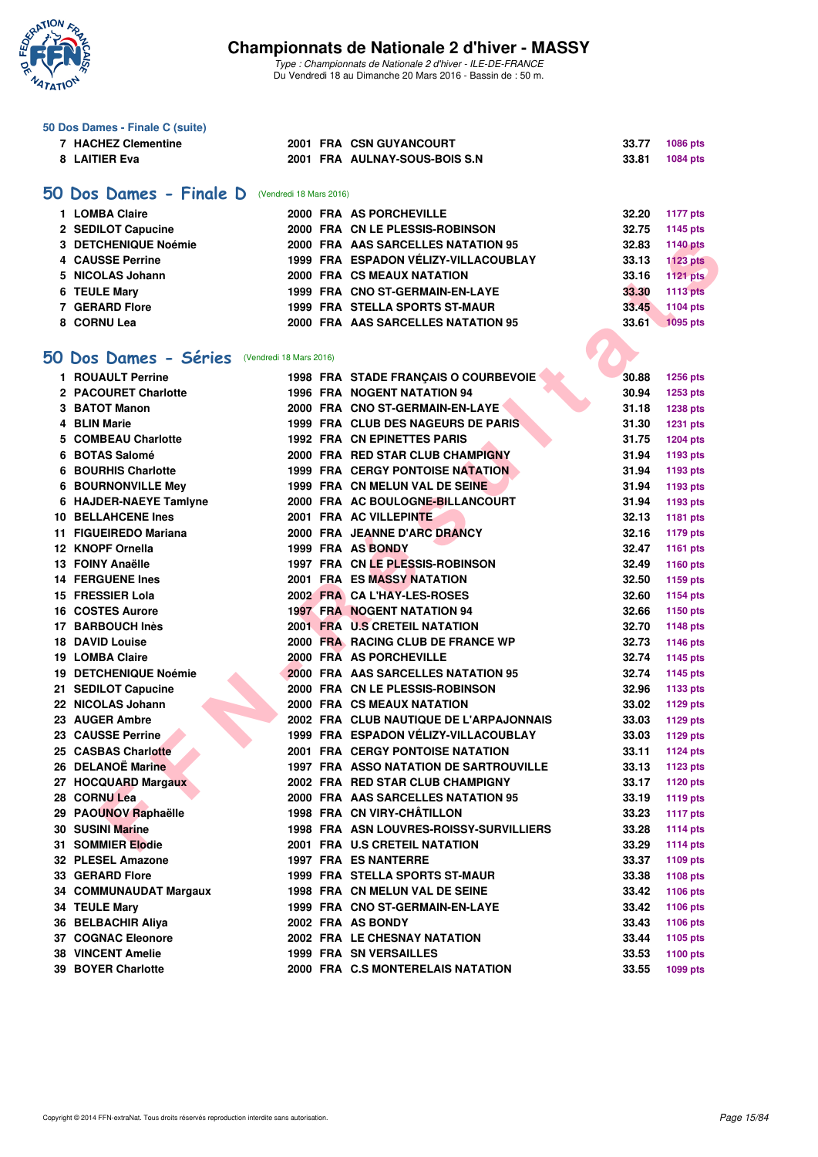

|    | 50 Dos Dames - Finale C (suite)                  |                         |                                                                  |                |                                    |
|----|--------------------------------------------------|-------------------------|------------------------------------------------------------------|----------------|------------------------------------|
|    | <b>7 HACHEZ Clementine</b>                       |                         | 2001 FRA CSN GUYANCOURT                                          | 33.77          | 1086 pts                           |
|    | 8 LAITIER Eva                                    |                         | 2001 FRA AULNAY-SOUS-BOIS S.N                                    | 33.81          | 1084 pts                           |
|    |                                                  |                         |                                                                  |                |                                    |
|    | 50 Dos Dames - Finale D                          | (Vendredi 18 Mars 2016) |                                                                  |                |                                    |
|    | 1 LOMBA Claire                                   |                         | 2000 FRA AS PORCHEVILLE                                          | 32.20          | <b>1177 pts</b>                    |
|    | 2 SEDILOT Capucine                               |                         | 2000 FRA CN LE PLESSIS-ROBINSON                                  | 32.75          |                                    |
|    | 3 DETCHENIQUE Noémie                             |                         | 2000 FRA AAS SARCELLES NATATION 95                               | 32.83          | 1145 pts                           |
|    | <b>4 CAUSSE Perrine</b>                          |                         | 1999 FRA ESPADON VÉLIZY-VILLACOUBLAY                             | 33.13          | <b>1140 pts</b><br><b>1123 pts</b> |
|    | 5 NICOLAS Johann                                 |                         | 2000 FRA CS MEAUX NATATION                                       | 33.16          |                                    |
|    |                                                  |                         |                                                                  |                | <b>1121 pts</b>                    |
|    | 6 TEULE Mary                                     |                         | 1999 FRA CNO ST-GERMAIN-EN-LAYE                                  | 33.30          | <b>1113 pts</b>                    |
|    | <b>7 GERARD Flore</b>                            |                         | <b>1999 FRA STELLA SPORTS ST-MAUR</b>                            | 33.45          | 1104 pts                           |
|    | 8 CORNU Lea                                      |                         | 2000 FRA AAS SARCELLES NATATION 95                               | 33.61          | <b>1095 pts</b>                    |
|    |                                                  |                         |                                                                  |                |                                    |
|    | 50 Dos Dames - Séries<br>(Vendredi 18 Mars 2016) |                         |                                                                  |                |                                    |
|    | 1 ROUAULT Perrine                                |                         | 1998 FRA STADE FRANÇAIS O COURBEVOIE                             | 30.88          | <b>1256 pts</b>                    |
|    | 2 PACOURET Charlotte                             |                         | <b>1996 FRA NOGENT NATATION 94</b>                               | 30.94          | 1253 pts                           |
|    | 3 BATOT Manon                                    |                         | 2000 FRA CNO ST-GERMAIN-EN-LAYE                                  | 31.18          | <b>1238 pts</b>                    |
|    | 4 BLIN Marie                                     |                         | 1999 FRA CLUB DES NAGEURS DE PARIS                               | 31.30          | <b>1231 pts</b>                    |
| 5. | <b>COMBEAU Charlotte</b>                         |                         | <b>1992 FRA CN EPINETTES PARIS</b>                               | 31.75          | <b>1204 pts</b>                    |
|    | 6 BOTAS Salomé                                   |                         | 2000 FRA RED STAR CLUB CHAMPIGNY                                 | 31.94          | 1193 pts                           |
| 6  | <b>BOURHIS Charlotte</b>                         |                         | <b>1999 FRA CERGY PONTOISE NATATION</b>                          | 31.94          | 1193 pts                           |
|    | <b>6 BOURNONVILLE Mey</b>                        |                         | 1999 FRA CN MELUN VAL DE SEINE                                   | 31.94          | 1193 pts                           |
|    | 6 HAJDER-NAEYE Tamlyne                           |                         | 2000 FRA AC BOULOGNE-BILLANCOURT                                 | 31.94          | 1193 pts                           |
|    | 10 BELLAHCENE Ines                               |                         | 2001 FRA AC VILLEPINTE                                           | 32.13          | 1181 pts                           |
|    | 11 FIGUEIREDO Mariana                            |                         | 2000 FRA JEANNE D'ARC DRANCY                                     | 32.16          | 1179 pts                           |
|    | 12 KNOPF Ornella                                 |                         | 1999 FRA AS BONDY                                                | 32.47          | 1161 pts                           |
|    | 13 FOINY Anaëlle                                 |                         | 1997 FRA CN LE PLESSIS-ROBINSON                                  | 32.49          | 1160 pts                           |
|    | <b>14 FERGUENE Ines</b>                          |                         | <b>2001 FRA ES MASSY NATATION</b>                                | 32.50          | 1159 pts                           |
|    | 15 FRESSIER Lola                                 |                         | 2002 FRA CA L'HAY-LES-ROSES                                      | 32.60          | 1154 pts                           |
|    | <b>16 COSTES Aurore</b>                          |                         | <b>1997 FRA NOGENT NATATION 94</b>                               | 32.66          | 1150 pts                           |
|    | 17 BARBOUCH Inès                                 |                         | 2001 FRA U.S CRETEIL NATATION                                    | 32.70          | <b>1148 pts</b>                    |
|    | <b>18 DAVID Louise</b>                           |                         | 2000 FRA RACING CLUB DE FRANCE WP                                | 32.73          | 1146 pts                           |
|    | 19 LOMBA Claire                                  |                         | 2000 FRA AS PORCHEVILLE                                          | 32.74          | 1145 pts                           |
|    | 19 DETCHENIQUE Noémie                            |                         | <b>2000 FRA AAS SARCELLES NATATION 95</b>                        | 32.74          | 1145 pts                           |
|    | 21 SEDILOT Capucine                              |                         | 2000 FRA CN LE PLESSIS-ROBINSON                                  | 32.96          | 1133 pts                           |
|    | 22 NICOLAS Johann                                |                         | 2000 FRA CS MEAUX NATATION                                       | 33.02          | 1129 pts                           |
|    | 23 AUGER Ambre                                   |                         | 2002 FRA CLUB NAUTIQUE DE L'ARPAJONNAIS                          | 33.03          |                                    |
|    | 23 CAUSSE Perrine                                |                         | 1999 FRA ESPADON VÉLIZY-VILLACOUBLAY                             | 33.03          | 1129 pts                           |
|    | 25 CASBAS Charlotte                              |                         | 2001 FRA CERGY PONTOISE NATATION                                 |                | 1129 pts                           |
|    | 26 DELANOË Marine                                |                         | <b>1997 FRA ASSO NATATION DE SARTROUVILLE</b>                    | 33.11<br>33.13 | <b>1124 pts</b><br><b>1123 pts</b> |
|    | 27 HOCQUARD Margaux                              |                         | 2002 FRA RED STAR CLUB CHAMPIGNY                                 | 33.17          |                                    |
|    |                                                  |                         |                                                                  | 33.19          | <b>1120 pts</b>                    |
|    | 28 CORNU Lea<br>29 PAOUNOV Raphaëlle             |                         | 2000 FRA AAS SARCELLES NATATION 95<br>1998 FRA CN VIRY-CHÂTILLON |                | <b>1119 pts</b>                    |
|    | 30 SUSINI Marine                                 |                         | 1998 FRA ASN LOUVRES-ROISSY-SURVILLIERS                          | 33.23          | <b>1117 pts</b>                    |
|    |                                                  |                         |                                                                  | 33.28          | 1114 $pts$                         |
|    | 31 SOMMIER Elodie                                |                         | 2001 FRA U.S CRETEIL NATATION                                    | 33.29          | <b>1114 pts</b>                    |
|    | 32 PLESEL Amazone                                |                         | <b>1997 FRA ES NANTERRE</b>                                      | 33.37          | 1109 pts                           |
|    | 33 GERARD Flore                                  |                         | <b>1999 FRA STELLA SPORTS ST-MAUR</b>                            | 33.38          | 1108 pts                           |
|    | 34 COMMUNAUDAT Margaux                           |                         | 1998 FRA CN MELUN VAL DE SEINE                                   | 33.42          | 1106 pts                           |
|    | 34 TEULE Mary                                    |                         | 1999 FRA CNO ST-GERMAIN-EN-LAYE                                  | 33.42          | 1106 pts                           |
|    | 36 BELBACHIR Aliya                               |                         | 2002 FRA AS BONDY                                                | 33.43          | 1106 pts                           |
|    | <b>37 COGNAC Eleonore</b>                        |                         | 2002 FRA LE CHESNAY NATATION                                     | 33.44          | 1105 pts                           |
|    | <b>38 VINCENT Amelie</b>                         |                         | <b>1999 FRA SN VERSAILLES</b>                                    | 33.53          | 1100 pts                           |
|    | 39 BOYER Charlotte                               |                         | 2000 FRA C.S MONTERELAIS NATATION                                | 33.55          | 1099 pts                           |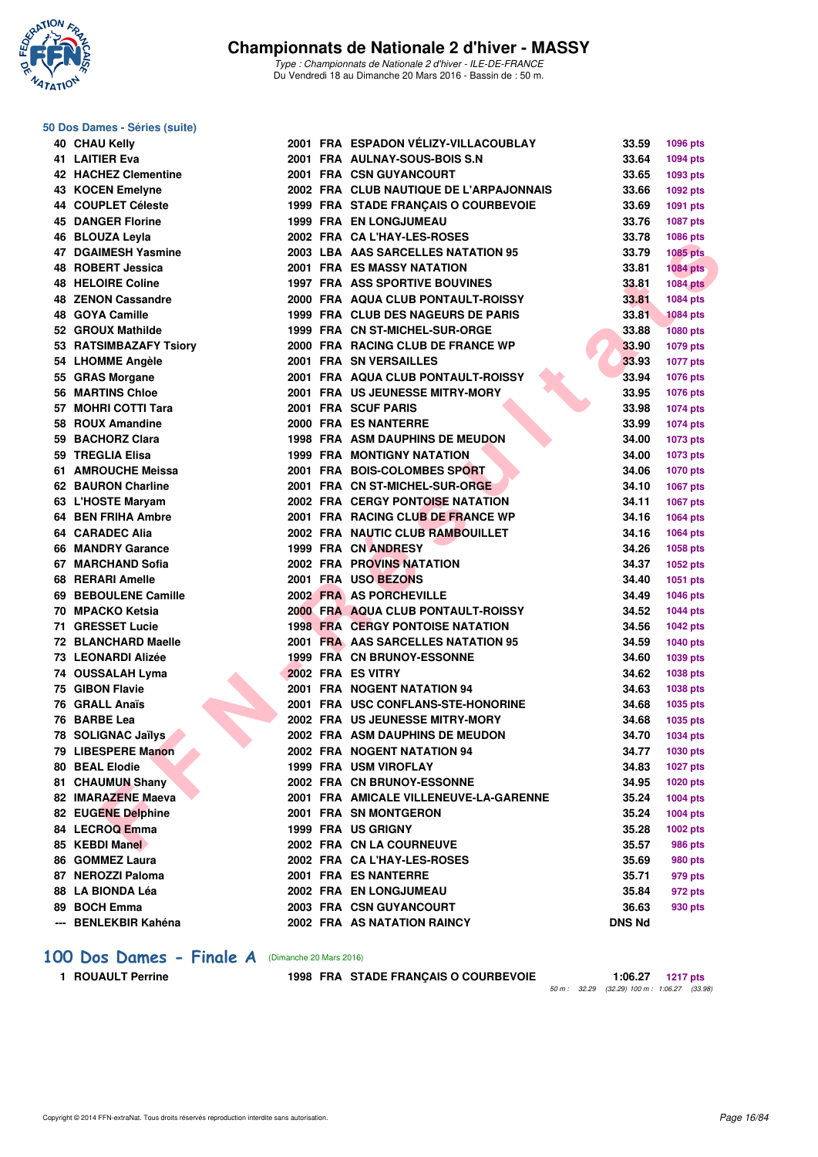

*Type : Championnats de Nationale 2 d'hiver - ILE-DE-FRANCE* Du Vendredi 18 au Dimanche 20 Mars 2016 - Bassin de : 50 m.

## **50 Dos Dames - Séries (suite)**

| 40 CHAU Kelly             |  | 2001 FRA ESPADON VÉLIZY-VILLACOUBLAY    | 33.59         | 1096 pts        |
|---------------------------|--|-----------------------------------------|---------------|-----------------|
| 41 LAITIER Eva            |  | 2001 FRA AULNAY-SOUS-BOIS S.N           | 33.64         | 1094 pts        |
| 42 HACHEZ Clementine      |  | 2001 FRA CSN GUYANCOURT                 | 33.65         | 1093 pts        |
| 43 KOCEN Emelyne          |  | 2002 FRA CLUB NAUTIQUE DE L'ARPAJONNAIS | 33.66         | 1092 pts        |
| 44 COUPLET Céleste        |  | 1999 FRA STADE FRANÇAIS O COURBEVOIE    | 33.69         | 1091 pts        |
| <b>45 DANGER Florine</b>  |  | <b>1999 FRA EN LONGJUMEAU</b>           | 33.76         | <b>1087 pts</b> |
| 46 BLOUZA Leyla           |  | 2002 FRA CA L'HAY-LES-ROSES             | 33.78         | 1086 pts        |
| 47 DGAIMESH Yasmine       |  | 2003 LBA AAS SARCELLES NATATION 95      | 33.79         | <b>1085 pts</b> |
| 48 ROBERT Jessica         |  | <b>2001 FRA ES MASSY NATATION</b>       | 33.81         | <b>1084 pts</b> |
| 48 HELOIRE Coline         |  | <b>1997 FRA ASS SPORTIVE BOUVINES</b>   | 33.81         | <b>1084 pts</b> |
| <b>48 ZENON Cassandre</b> |  | 2000 FRA AQUA CLUB PONTAULT-ROISSY      | 33.81         | 1084 pts        |
| 48 GOYA Camille           |  | 1999 FRA CLUB DES NAGEURS DE PARIS      | 33.81         | <b>1084 pts</b> |
| 52 GROUX Mathilde         |  | 1999 FRA CN ST-MICHEL-SUR-ORGE          | 33.88         | <b>1080 pts</b> |
| 53 RATSIMBAZAFY Tsiory    |  | 2000 FRA RACING CLUB DE FRANCE WP       | 33.90         | 1079 pts        |
| 54 LHOMME Angèle          |  | 2001 FRA SN VERSAILLES                  | 33.93         | <b>1077 pts</b> |
| 55 GRAS Morgane           |  | 2001 FRA AQUA CLUB PONTAULT-ROISSY      | 33.94         | <b>1076 pts</b> |
| 56 MARTINS Chloe          |  | 2001 FRA US JEUNESSE MITRY-MORY         | 33.95         | <b>1076 pts</b> |
| 57 MOHRI COTTI Tara       |  | 2001 FRA SCUF PARIS                     | 33.98         | 1074 pts        |
| 58 ROUX Amandine          |  | 2000 FRA ES NANTERRE                    | 33.99         | 1074 pts        |
| 59 BACHORZ Clara          |  | <b>1998 FRA ASM DAUPHINS DE MEUDON</b>  | 34.00         | 1073 pts        |
| 59 TREGLIA Elisa          |  | <b>1999 FRA MONTIGNY NATATION</b>       | 34.00         | 1073 pts        |
| 61 AMROUCHE Meissa        |  | 2001 FRA BOIS-COLOMBES SPORT            | 34.06         | 1070 pts        |
| 62 BAURON Charline        |  | 2001 FRA CN ST-MICHEL-SUR-ORGE          | 34.10         | 1067 pts        |
| 63 L'HOSTE Maryam         |  | 2002 FRA CERGY PONTOISE NATATION        | 34.11         | <b>1067 pts</b> |
| 64 BEN FRIHA Ambre        |  | 2001 FRA RACING CLUB DE FRANCE WP       | 34.16         | 1064 pts        |
| 64 CARADEC Alia           |  | 2002 FRA NAUTIC CLUB RAMBOUILLET        | 34.16         | 1064 pts        |
| 66 MANDRY Garance         |  | 1999 FRA CN ANDRESY                     | 34.26         | <b>1058 pts</b> |
| 67 MARCHAND Sofia         |  | <b>2002 FRA PROVINS NATATION</b>        | 34.37         | 1052 pts        |
| 68 RERARI Amelle          |  | 2001 FRA USO BEZONS                     | 34.40         | 1051 pts        |
| 69 BEBOULENE Camille      |  | 2002 FRA AS PORCHEVILLE                 | 34.49         | 1046 pts        |
| 70 MPACKO Ketsia          |  | 2000 FRA AQUA CLUB PONTAULT-ROISSY      | 34.52         | <b>1044 pts</b> |
| 71 GRESSET Lucie          |  | <b>1998 FRA CERGY PONTOISE NATATION</b> | 34.56         | <b>1042 pts</b> |
| 72 BLANCHARD Maelle       |  | 2001 FRA AAS SARCELLES NATATION 95      | 34.59         | <b>1040 pts</b> |
| 73 LEONARDI Alizée        |  | 1999 FRA CN BRUNOY-ESSONNE              | 34.60         | <b>1039 pts</b> |
| 74 OUSSALAH Lyma          |  | 2002 FRA ES VITRY                       | 34.62         | 1038 pts        |
| 75 GIBON Flavie           |  | 2001 FRA NOGENT NATATION 94             | 34.63         | 1038 pts        |
| 76 GRALL Anaïs            |  | 2001 FRA USC CONFLANS-STE-HONORINE      | 34.68         | 1035 pts        |
| 76 BARBE Lea              |  | 2002 FRA US JEUNESSE MITRY-MORY         | 34.68         | 1035 pts        |
| 78 SOLIGNAC Jaïlys        |  | 2002 FRA ASM DAUPHINS DE MEUDON         | 34.70         | <b>1034 pts</b> |
| 79 LIBESPERE Manon        |  | 2002 FRA NOGENT NATATION 94             | 34.77         | 1030 pts        |
| 80 BEAL Elodie            |  | 1999 FRA USM VIROFLAY                   | 34.83         | <b>1027 pts</b> |
| 81 CHAUMUN Shany          |  | 2002 FRA CN BRUNOY-ESSONNE              | 34.95         | 1020 pts        |
| 82 IMARAZENE Maeva        |  | 2001 FRA AMICALE VILLENEUVE-LA-GARENNE  | 35.24         | <b>1004 pts</b> |
| 82 EUGENE Delphine        |  | 2001 FRA SN MONTGERON                   | 35.24         | 1004 pts        |
| 84 LECROQ Emma            |  | 1999 FRA US GRIGNY                      | 35.28         | 1002 pts        |
| 85 KEBDI Manel            |  | 2002 FRA CN LA COURNEUVE                | 35.57         | <b>986 pts</b>  |
| 86 GOMMEZ Laura           |  | 2002 FRA CA L'HAY-LES-ROSES             | 35.69         | 980 pts         |
| 87 NEROZZI Paloma         |  | 2001 FRA ES NANTERRE                    | 35.71         | 979 pts         |
| 88   LA BIONDA Léa        |  | 2002 FRA EN LONGJUMEAU                  | 35.84         | 972 pts         |
| 89 BOCH Emma              |  | 2003 FRA CSN GUYANCOURT                 | 36.63         | 930 pts         |
| --- BENLEKBIR Kahéna      |  | 2002 FRA AS NATATION RAINCY             | <b>DNS Nd</b> |                 |

#### [100 Dos Dames - Finale A](http://www.ffnatation.fr/webffn/resultats.php?idact=nat&go=epr&idcpt=37307&idepr=12) (Dimanche 20 Mars 2016)

1 ROUAULT Perrine 1998 FRA STADE FRANÇAIS O COURBEVOIE

*50 m : 32.29 (32.29) 100 m : 1:06.27 (33.98)*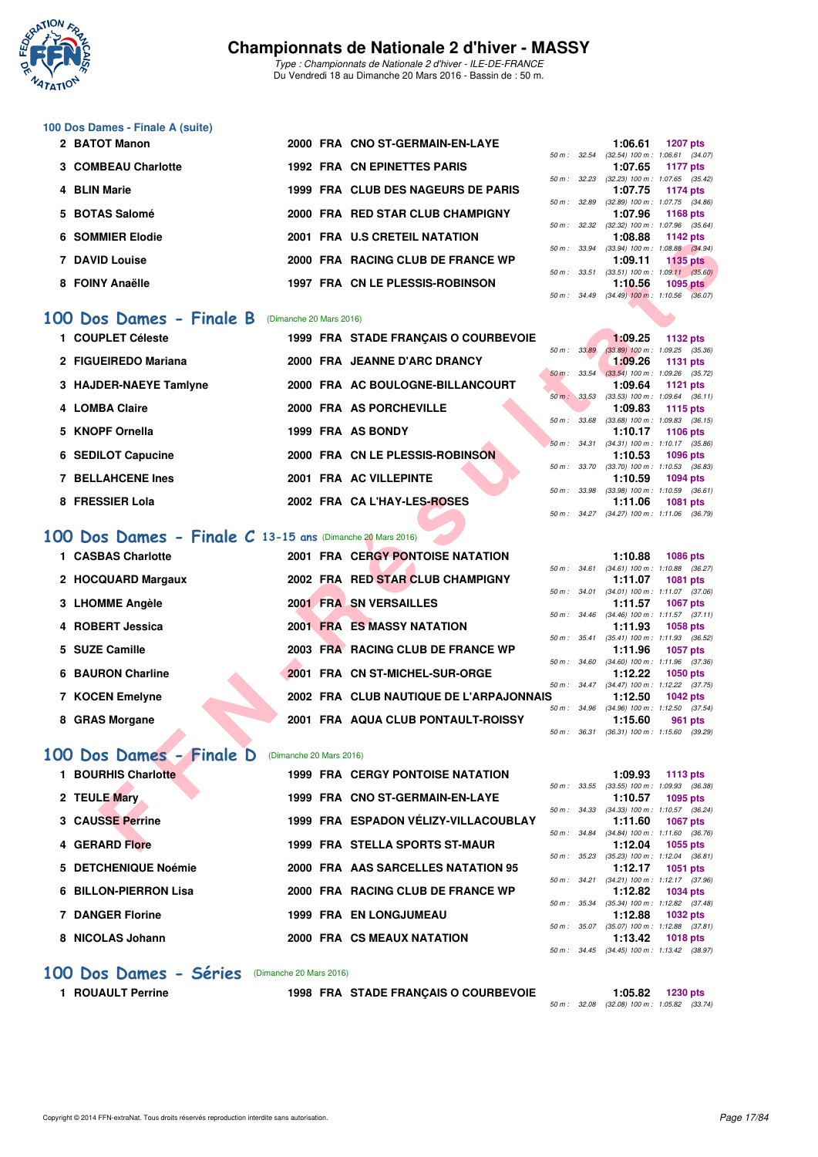

*Type : Championnats de Nationale 2 d'hiver - ILE-DE-FRANCE* Du Vendredi 18 au Dimanche 20 Mars 2016 - Bassin de : 50 m.

#### **100 Dos Dames - Finale A (suite)**

| 2 BATOT Manon       | 2000 FRA CNO ST-GERMAIN-EN-LAYE    |                        | 1:06.61                             | <b>1207 pts</b> |  |
|---------------------|------------------------------------|------------------------|-------------------------------------|-----------------|--|
|                     |                                    | $50 \text{ m}$ : 32.54 | $(32.54)$ 100 m : 1:06.61 $(34.07)$ |                 |  |
| 3 COMBEAU Charlotte | <b>1992 FRA CN EPINETTES PARIS</b> |                        | 1:07.65                             | 1177 pts        |  |
|                     |                                    | $50 \text{ m}$ : 32.23 | $(32.23)$ 100 m : 1:07.65 $(35.42)$ |                 |  |
| 4 BLIN Marie        | 1999 FRA CLUB DES NAGEURS DE PARIS |                        | 1:07.75                             | 1174 pts        |  |
|                     |                                    | 50 m : 32.89           | $(32.89)$ 100 m : 1:07.75 $(34.86)$ |                 |  |
| 5 BOTAS Salomé      | 2000 FRA RED STAR CLUB CHAMPIGNY   |                        | 1:07.96                             | 1168 $pts$      |  |
|                     |                                    | $50 \text{ m}$ : 32.32 | $(32.32)$ 100 m : 1:07.96 $(35.64)$ |                 |  |
| 6 SOMMIER Elodie    | 2001 FRA U.S CRETEIL NATATION      |                        | 1:08.88                             | 1142 pts        |  |
|                     |                                    | 50 m: 33.94            | $(33.94)$ 100 m : 1:08.88 $(34.94)$ |                 |  |
| 7 DAVID Louise      | 2000 FRA RACING CLUB DE FRANCE WP  |                        | 1:09.11                             | $1135$ pts      |  |
|                     |                                    | $50 m$ : $33.51$       | $(33.51)$ 100 m : 1:09.11 $(35.60)$ |                 |  |
| 8 FOINY Anaëlle     | 1997 FRA CN LE PLESSIS-ROBINSON    |                        | 1:10.56                             | $1095$ pts      |  |
|                     |                                    | $50 \text{ m}$ : 34.49 | $(34.49)$ 100 m : 1:10.56 $(36.07)$ |                 |  |

#### **[100 Dos Dames - Finale B](http://www.ffnatation.fr/webffn/resultats.php?idact=nat&go=epr&idcpt=37307&idepr=12)** (Dimanche 20 Mars 2016)

| 1 COUPLET Céleste        | 1999 FRA STADE FRANCAIS O COURBEVOIE |              | 1:09.25<br>1132 pts                                                   |  |
|--------------------------|--------------------------------------|--------------|-----------------------------------------------------------------------|--|
| 2 FIGUEIREDO Mariana     | 2000 FRA JEANNE D'ARC DRANCY         | 50 m : 33.89 | $(33.89)$ 100 m : 1:09.25 $(35.36)$<br>1:09.26<br>1131 pts            |  |
| 3 HAJDER-NAEYE Tamlyne   | 2000 FRA AC BOULOGNE-BILLANCOURT     |              | 50 m : 33.54 (33.54) 100 m : 1:09.26 (35.72)<br>1:09.64<br>$1121$ pts |  |
| 4 LOMBA Claire           | 2000 FRA AS PORCHEVILLE              | 50 m: 33.53  | $(33.53)$ 100 m : 1:09.64 $(36.11)$<br>1:09.83<br>1115 pts            |  |
| 5 KNOPF Ornella          | 1999 FRA AS BONDY                    | 50 m: 33.68  | $(33.68)$ 100 m : 1:09.83 $(36.15)$<br>1:10.17<br>1106 pts            |  |
| 6 SEDILOT Capucine       | 2000 FRA CN LE PLESSIS-ROBINSON      |              | 50 m: 34.31 (34.31) 100 m: 1:10.17 (35.86)<br>1:10.53<br>1096 pts     |  |
| <b>7 BELLAHCENE Ines</b> | 2001 FRA AC VILLEPINTE               | 50 m : 33.70 | $(33.70)$ 100 m : 1:10.53 $(36.83)$<br>1:10.59<br>1094 pts            |  |
| 8 FRESSIER Lola          | 2002 FRA CAL'HAY-LES-ROSES           | 50 m: 33.98  | $(33.98)$ 100 m : 1:10.59 $(36.61)$<br>1:11.06<br><b>1081 pts</b>     |  |
|                          |                                      |              | 50 m: 34.27 (34.27) 100 m: 1:11.06 (36.79)                            |  |

#### **[100 Dos Dames - Finale C](http://www.ffnatation.fr/webffn/resultats.php?idact=nat&go=epr&idcpt=37307&idepr=12) 13-15 ans** (Dimanche 20 Mars 2016)

|           | JUMMILA LIUUIC                                                      |                         |  | <b>FRA U.S URETEIL NATATION</b>         |              |              | 1.00.00 | בוע גדו ו                                                     |  |  |  |
|-----------|---------------------------------------------------------------------|-------------------------|--|-----------------------------------------|--------------|--------------|---------|---------------------------------------------------------------|--|--|--|
|           | <b>7 DAVID Louise</b>                                               |                         |  | 2000 FRA RACING CLUB DE FRANCE WP       |              |              | 1:09.11 | 50 m: 33.94 (33.94) 100 m: 1:08.88 (34.94)<br><b>1135 pts</b> |  |  |  |
|           |                                                                     |                         |  |                                         |              |              |         | 50 m : 33.51 (33.51) 100 m : 1:09.11 (35.60)                  |  |  |  |
|           | 8 FOINY Anaëlle                                                     |                         |  | 1997 FRA CN LE PLESSIS-ROBINSON         |              |              | 1:10.56 | 1095 $p$ ts                                                   |  |  |  |
|           |                                                                     |                         |  |                                         |              |              |         | 50 m: 34.49 (34.49) 100 m: 1:10.56 (36.07)                    |  |  |  |
|           | 00 Dos Dames - Finale B                                             | (Dimanche 20 Mars 2016) |  |                                         |              |              |         |                                                               |  |  |  |
|           | 1 COUPLET Céleste                                                   |                         |  | 1999 FRA STADE FRANÇAIS O COURBEVOIE    |              |              | 1:09.25 | <b>1132 pts</b>                                               |  |  |  |
|           |                                                                     |                         |  |                                         | 50 m: 33.89  |              |         | $(33.89)$ 100 m : 1:09.25 $(35.36)$                           |  |  |  |
|           | 2 FIGUEIREDO Mariana                                                |                         |  | 2000 FRA JEANNE D'ARC DRANCY            |              | 50 m: 33.54  | 1:09.26 | <b>1131 pts</b><br>$(33.54)$ 100 m : 1:09.26 $(35.72)$        |  |  |  |
|           | 3 HAJDER-NAEYE Tamlyne                                              |                         |  | 2000 FRA AC BOULOGNE-BILLANCOURT        |              |              | 1:09.64 | <b>1121 pts</b>                                               |  |  |  |
|           |                                                                     |                         |  |                                         |              | 50 m: 33.53  |         | $(33.53)$ 100 m : 1:09.64 $(36.11)$                           |  |  |  |
|           | 4 LOMBA Claire                                                      |                         |  | 2000 FRA AS PORCHEVILLE                 |              |              | 1:09.83 | <b>1115 pts</b>                                               |  |  |  |
|           |                                                                     |                         |  |                                         |              |              |         | 50 m: 33.68 (33.68) 100 m: 1:09.83 (36.15)                    |  |  |  |
|           | 5 KNOPF Ornella                                                     |                         |  | 1999 FRA AS BONDY                       |              |              | 1:10.17 | <b>1106 pts</b><br>50 m: 34.31 (34.31) 100 m: 1:10.17 (35.86) |  |  |  |
|           | 6 SEDILOT Capucine                                                  |                         |  | 2000 FRA CN LE PLESSIS-ROBINSON         |              |              | 1:10.53 | <b>1096 pts</b>                                               |  |  |  |
|           |                                                                     |                         |  |                                         | 50 m : 33.70 |              |         | $(33.70)$ 100 m : 1:10.53 $(36.83)$                           |  |  |  |
|           | <b>7 BELLAHCENE Ines</b>                                            |                         |  | 2001 FRA AC VILLEPINTE                  |              |              | 1:10.59 | 1094 pts                                                      |  |  |  |
|           |                                                                     |                         |  |                                         |              | 50 m : 33.98 |         | $(33.98)$ 100 m : 1:10.59 $(36.61)$                           |  |  |  |
|           | 8 FRESSIER Lola                                                     |                         |  | 2002 FRA CAL'HAY-LES-ROSES              |              |              | 1:11.06 | <b>1081 pts</b>                                               |  |  |  |
|           |                                                                     |                         |  |                                         |              |              |         | 50 m: 34.27 (34.27) 100 m: 1:11.06 (36.79)                    |  |  |  |
|           | Dos Dames - Finale C 13-15 ans (Dimanche 20 Mars 2016)<br><b>OO</b> |                         |  |                                         |              |              |         |                                                               |  |  |  |
|           | 1 CASBAS Charlotte                                                  |                         |  | <b>2001 FRA CERGY PONTOISE NATATION</b> |              |              | 1:10.88 | 1086 pts                                                      |  |  |  |
|           |                                                                     |                         |  |                                         |              |              |         | 50 m: 34.61 (34.61) 100 m: 1:10.88 (36.27)                    |  |  |  |
|           | 2 HOCQUARD Margaux                                                  |                         |  | 2002 FRA RED STAR CLUB CHAMPIGNY        |              |              | 1:11.07 | <b>1081 pts</b>                                               |  |  |  |
|           |                                                                     |                         |  |                                         |              |              |         | 50 m: 34.01 (34.01) 100 m: 1:11.07 (37.06)                    |  |  |  |
|           | 3 LHOMME Angèle                                                     |                         |  | 2001 FRA SN VERSAILLES                  |              |              | 1:11.57 | <b>1067 pts</b><br>50 m: 34.46 (34.46) 100 m: 1:11.57 (37.11) |  |  |  |
|           | 4 ROBERT Jessica                                                    |                         |  | <b>2001 FRA ES MASSY NATATION</b>       |              |              | 1:11.93 | 1058 pts                                                      |  |  |  |
|           |                                                                     |                         |  |                                         |              | 50 m : 35.41 |         | $(35.41)$ 100 m : 1:11.93 $(36.52)$                           |  |  |  |
|           | 5 SUZE Camille                                                      |                         |  | 2003 FRA RACING CLUB DE FRANCE WP       |              |              | 1:11.96 | <b>1057 pts</b>                                               |  |  |  |
|           |                                                                     |                         |  |                                         |              | 50 m: 34.60  |         | $(34.60)$ 100 m : 1:11.96 $(37.36)$                           |  |  |  |
|           | <b>6 BAURON Charline</b>                                            |                         |  | 2001 FRA CN ST-MICHEL-SUR-ORGE          |              |              | 1:12.22 | <b>1050 pts</b>                                               |  |  |  |
|           | 7 KOCEN Emelyne                                                     |                         |  | 2002 FRA CLUB NAUTIQUE DE L'ARPAJONNAIS |              |              | 1:12.50 | 50 m: 34.47 (34.47) 100 m: 1:12.22 (37.75)<br><b>1042 pts</b> |  |  |  |
|           |                                                                     |                         |  |                                         |              |              |         | 50 m: 34.96 (34.96) 100 m: 1:12.50 (37.54)                    |  |  |  |
|           | 8 GRAS Morgane                                                      |                         |  | 2001 FRA AQUA CLUB PONTAULT-ROISSY      |              |              | 1:15.60 | 961 pts                                                       |  |  |  |
|           |                                                                     |                         |  |                                         |              | 50 m : 36.31 |         | $(36.31)$ 100 m : 1:15.60 $(39.29)$                           |  |  |  |
|           |                                                                     |                         |  |                                         |              |              |         |                                                               |  |  |  |
| <b>OO</b> | Dos Dames - Finale D                                                | (Dimanche 20 Mars 2016) |  |                                         |              |              |         |                                                               |  |  |  |
|           | 1 BOURHIS Charlotte                                                 |                         |  | <b>1999 FRA CERGY PONTOISE NATATION</b> |              |              | 1:09.93 | 1113 pts                                                      |  |  |  |
|           |                                                                     |                         |  |                                         |              |              |         | 50 m: 33.55 (33.55) 100 m: 1:09.93 (36.38)                    |  |  |  |
|           | 2 TEULE Mary                                                        |                         |  | 1999 FRA CNO ST-GERMAIN-EN-LAYE         |              |              | 1:10.57 | 1095 pts                                                      |  |  |  |
|           |                                                                     |                         |  |                                         |              | 50 m : 34.33 |         | $(34.33)$ 100 m : 1:10.57 $(36.24)$                           |  |  |  |
|           | <b>3 CAUSSE Perrine</b>                                             |                         |  | 1999 FRA ESPADON VÉLIZY-VILLACOUBLAY    |              |              | 1:11.60 | 1067 pts                                                      |  |  |  |
|           | 4 GERARD Flore                                                      |                         |  | 1999 FRA STELLA SPORTS ST-MAUR          |              |              |         | 50 m: 34.84 (34.84) 100 m: 1:11.60 (36.76)                    |  |  |  |
|           |                                                                     |                         |  |                                         |              |              | 1:12.04 | 1055 pts                                                      |  |  |  |

## **[100 Dos Dames - Finale D](http://www.ffnatation.fr/webffn/resultats.php?idact=nat&go=epr&idcpt=37307&idepr=12)** (Dimanche 20 Mars 2016)

| 1 BOURHIS Charlotte     | <b>1999 FRA CERGY PONTOISE NATATION</b> |                        | 1:09.93<br>1113 $pts$               |
|-------------------------|-----------------------------------------|------------------------|-------------------------------------|
|                         |                                         | $50 m$ : $33.55$       | $(33.55)$ 100 m : 1:09.93 $(36.38)$ |
| 2 TEULE Mary            | 1999 FRA CNO ST-GERMAIN-EN-LAYE         |                        | 1:10.57<br>1095 pts                 |
|                         |                                         | 50 m: 34.33            | $(34.33)$ 100 m : 1:10.57 $(36.24)$ |
| 3 CAUSSE Perrine        | 1999 FRA ESPADON VÉLIZY-VILLACOUBLAY    |                        | 1:11.60<br>1067 pts                 |
|                         |                                         | 50 m : 34.84           | $(34.84)$ 100 m : 1:11.60 $(36.76)$ |
| 4 GERARD Flore          | <b>1999 FRA STELLA SPORTS ST-MAUR</b>   |                        | 1:12.04<br>1055 pts                 |
|                         |                                         | $50 \text{ m}$ : 35.23 | $(35.23)$ 100 m : 1:12.04 $(36.81)$ |
| 5 DETCHENIQUE Noémie    | 2000 FRA AAS SARCELLES NATATION 95      |                        | 1:12.17<br>1051 pts                 |
|                         |                                         | 50 m: 34.21            | $(34.21)$ 100 m : 1:12.17 $(37.96)$ |
| 6 BILLON-PIERRON Lisa   | 2000 FRA RACING CLUB DE FRANCE WP       |                        | 1:12.82<br>1034 pts                 |
|                         |                                         | $50 m$ : $35.34$       | $(35.34)$ 100 m : 1:12.82 $(37.48)$ |
| <b>7 DANGER Florine</b> | <b>1999 FRA EN LONGJUMEAU</b>           |                        | 1:12.88<br><b>1032 pts</b>          |
|                         |                                         | 50 m: 35.07            | $(35.07)$ 100 m : 1:12.88 $(37.81)$ |
| 8 NICOLAS Johann        | 2000 FRA CS MEAUX NATATION              |                        | 1:13.42<br>1018 pts                 |
|                         |                                         | 50 m : 34.45           | $(34.45)$ 100 m : 1:13.42 $(38.97)$ |

#### **[100 Dos Dames - Séries](http://www.ffnatation.fr/webffn/resultats.php?idact=nat&go=epr&idcpt=37307&idepr=12)** (Dimanche 20 Mars 2016)

**1 ROUAULT Perrine 1998 FRA STADE FRANÇAIS O COURBEVOIE 1:05.82 1230 pts**

*50 m : 32.08 (32.08) 100 m : 1:05.82 (33.74)*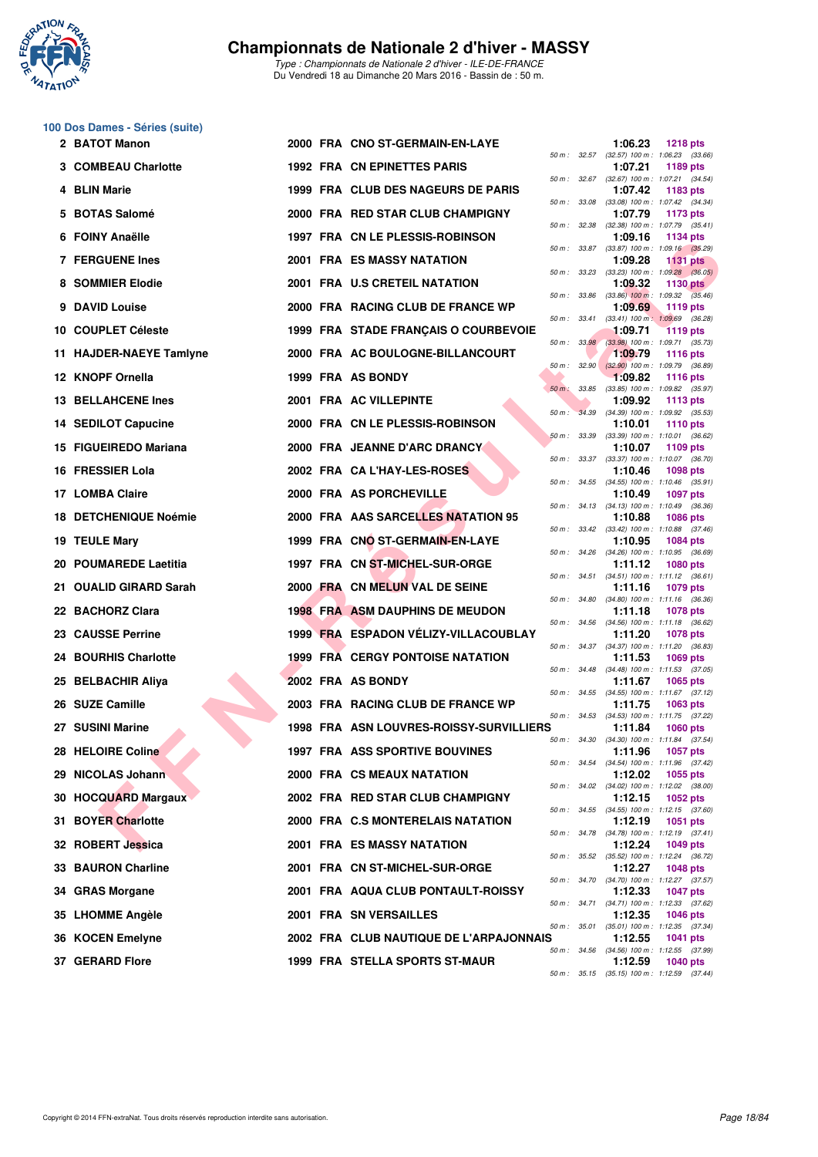

## **100 Dos Dames - Séries (suite)**

| 2 BATOT Manon                |  | 2000 FRA CNO ST-GERMAIN-EN-LAYE         |          |                  | 1:06.23 | <b>1218 pts</b>                                                 |
|------------------------------|--|-----------------------------------------|----------|------------------|---------|-----------------------------------------------------------------|
| 3 COMBEAU Charlotte          |  | <b>1992 FRA CN EPINETTES PARIS</b>      |          |                  | 1:07.21 | 50 m: 32.57 (32.57) 100 m: 1:06.23 (33.66)<br>1189 pts          |
| 4 BLIN Marie                 |  | 1999 FRA CLUB DES NAGEURS DE PARIS      |          |                  | 1:07.42 | 50 m: 32.67 (32.67) 100 m: 1:07.21 (34.54)<br>1183 pts          |
| 5 BOTAS Salomé               |  | 2000 FRA RED STAR CLUB CHAMPIGNY        |          | 50 m : 33.08     | 1:07.79 | $(33.08)$ 100 m : 1:07.42 $(34.34)$<br>1173 pts                 |
| 6 FOINY Anaëlle              |  | 1997 FRA CN LE PLESSIS-ROBINSON         |          | 50 m : 32.38     | 1:09.16 | $(32.38)$ 100 m : 1:07.79 $(35.41)$<br><b>1134 pts</b>          |
| <b>7 FERGUENE Ines</b>       |  | 2001 FRA ES MASSY NATATION              |          | 50 m : 33.87     | 1:09.28 | $(33.87)$ 100 m : 1:09.16 $(35.29)$<br><b>1131 pts</b>          |
| 8 SOMMIER Elodie             |  | 2001 FRA U.S CRETEIL NATATION           |          | $50 m$ : $33.23$ | 1:09.32 | $(33.23)$ 100 m : 1:09.28 $(36.05)$<br>1130 $pts$               |
| 9 DAVID Louise               |  | 2000 FRA RACING CLUB DE FRANCE WP       |          | 50 m : 33.86     | 1:09.69 | $(33.86)$ 100 m : 1:09.32 $(35.46)$<br>1119 pts                 |
| 10 COUPLET Céleste           |  | 1999 FRA STADE FRANCAIS O COURBEVOIE    |          | 50 m : 33.41     | 1:09.71 | $(33.41)$ 100 m : 1:09.69 $(36.28)$<br><b>1119 pts</b>          |
| 11 HAJDER-NAEYE Tamlyne      |  | 2000 FRA AC BOULOGNE-BILLANCOURT        |          | 50 m: 33.98      | 1:09.79 | $(33.98)$ 100 m : 1:09.71 $(35.73)$<br><b>1116 pts</b>          |
| 12 KNOPF Ornella             |  | 1999 FRA AS BONDY                       |          | 50 m: 32.90      | 1:09.82 | $(32.90)$ 100 m : 1:09.79 $(36.89)$<br><b>1116 pts</b>          |
| <b>13 BELLAHCENE Ines</b>    |  | 2001 FRA AC VILLEPINTE                  |          | 50 m: 33.85      | 1:09.92 | $(33.85)$ 100 m : 1:09.82 $(35.97)$<br>1113 pts                 |
| <b>14 SEDILOT Capucine</b>   |  | 2000 FRA CN LE PLESSIS-ROBINSON         | $50 m$ : | 34.39            | 1:10.01 | $(34.39)$ 100 m : 1:09.92 $(35.53)$<br><b>1110 pts</b>          |
| 15 FIGUEIREDO Mariana        |  | 2000 FRA JEANNE D'ARC DRANCY            |          | 50 m : 33.39     | 1:10.07 | $(33.39)$ 100 m : 1:10.01 $(36.62)$<br>1109 pts                 |
| 16 FRESSIER Lola             |  | 2002 FRA CA L'HAY-LES-ROSES             |          |                  | 1:10.46 | 50 m: 33.37 (33.37) 100 m: 1:10.07 (36.70)<br><b>1098 pts</b>   |
| 17 LOMBA Claire              |  | 2000 FRA AS PORCHEVILLE                 |          |                  | 1:10.49 | 50 m: 34.55 (34.55) 100 m: 1:10.46 (35.91)<br><b>1097 pts</b>   |
| <b>18 DETCHENIQUE Noémie</b> |  | 2000 FRA AAS SARCELLES NATATION 95      |          |                  | 1:10.88 | 50 m: 34.13 (34.13) 100 m: 1:10.49 (36.36)<br><b>1086 pts</b>   |
| 19 TEULE Mary                |  | 1999 FRA CNO ST-GERMAIN-EN-LAYE         |          | 50 m : 33.42     | 1:10.95 | $(33.42)$ 100 m : 1:10.88 $(37.46)$<br><b>1084 pts</b>          |
| 20 POUMAREDE Laetitia        |  | 1997 FRA CN ST-MICHEL-SUR-ORGE          |          |                  | 1:11.12 | 50 m : 34.26 (34.26) 100 m : 1:10.95 (36.69)<br><b>1080 pts</b> |
| 21   OUALID GIRARD Sarah     |  | 2000 FRA CN MELUN VAL DE SEINE          |          |                  | 1:11.16 | 50 m: 34.51 (34.51) 100 m: 1:11.12 (36.61)<br>1079 pts          |
| 22 BACHORZ Clara             |  | <b>1998 FRA ASM DAUPHINS DE MEUDON</b>  |          | 50 m : 34.80     | 1:11.18 | $(34.80)$ 100 m : 1:11.16 $(36.36)$<br><b>1078 pts</b>          |
| <b>23 CAUSSE Perrine</b>     |  | 1999 FRA ESPADON VÉLIZY-VILLACOUBLAY    |          |                  | 1:11.20 | 50 m: 34.56 (34.56) 100 m: 1:11.18 (36.62)<br><b>1078 pts</b>   |
| 24 BOURHIS Charlotte         |  | <b>1999 FRA CERGY PONTOISE NATATION</b> |          |                  | 1:11.53 | 50 m: 34.37 (34.37) 100 m: 1:11.20 (36.83)<br>1069 $pts$        |
| 25 BELBACHIR Aliya           |  | 2002 FRA AS BONDY                       |          |                  | 1:11.67 | 50 m: 34.48 (34.48) 100 m: 1:11.53 (37.05)<br><b>1065 pts</b>   |
| 26 SUZE Camille              |  | 2003 FRA RACING CLUB DE FRANCE WP       |          |                  | 1:11.75 | 50 m: 34.55 (34.55) 100 m: 1:11.67 (37.12)<br>1063 pts          |
| 27 SUSINI Marine             |  | 1998 FRA ASN LOUVRES-ROISSY-SURVILLIERS |          |                  | 1:11.84 | 50 m: 34.53 (34.53) 100 m: 1:11.75 (37.22)<br>$1060$ pts        |
| 28 HELOIRE Coline            |  | 1997 FRA ASS SPORTIVE BOUVINES          |          | 50 m : 34.30     |         | $(34.30)$ 100 m : 1:11.84 $(37.54)$<br>1:11.96 1057 pts         |
| 29 NICOLAS Johann            |  | 2000 FRA CS MEAUX NATATION              |          |                  | 1:12.02 | 50 m: 34.54 (34.54) 100 m: 1:11.96 (37.42)<br>1055 pts          |
| 30 HOCQUARD Margaux          |  | 2002 FRA RED STAR CLUB CHAMPIGNY        |          |                  | 1:12.15 | 50 m: 34.02 (34.02) 100 m: 1:12.02 (38.00)<br>1052 pts          |
| 31 BOYER Charlotte           |  | 2000 FRA C.S MONTERELAIS NATATION       |          |                  | 1:12.19 | 50 m: 34.55 (34.55) 100 m: 1:12.15 (37.60)<br>1051 pts          |
| 32 ROBERT Jessica            |  | 2001 FRA ES MASSY NATATION              |          |                  | 1:12.24 | 50 m: 34.78 (34.78) 100 m: 1:12.19 (37.41)                      |
|                              |  |                                         |          |                  |         | 1049 pts<br>50 m: 35.52 (35.52) 100 m: 1:12.24 (36.72)          |
| 33 BAURON Charline           |  | 2001 FRA CN ST-MICHEL-SUR-ORGE          |          |                  | 1:12.27 | 1048 pts<br>50 m: 34.70 (34.70) 100 m: 1:12.27 (37.57)          |
| 34 GRAS Morgane              |  | 2001 FRA AQUA CLUB PONTAULT-ROISSY      |          |                  | 1:12.33 | <b>1047 pts</b><br>50 m: 34.71 (34.71) 100 m: 1:12.33 (37.62)   |
| 35 LHOMME Angèle             |  | 2001 FRA SN VERSAILLES                  |          |                  | 1:12.35 | 1046 pts<br>50 m: 35.01 (35.01) 100 m: 1:12.35 (37.34)          |
| 36 KOCEN Emelyne             |  | 2002 FRA CLUB NAUTIQUE DE L'ARPAJONNAIS |          |                  | 1:12.55 | 1041 pts<br>50 m: 34.56 (34.56) 100 m: 1:12.55 (37.99)          |
| 37 GERARD Flore              |  | 1999 FRA STELLA SPORTS ST-MAUR          |          |                  | 1:12.59 | <b>1040 pts</b><br>50 m: 35.15 (35.15) 100 m: 1:12.59 (37.44)   |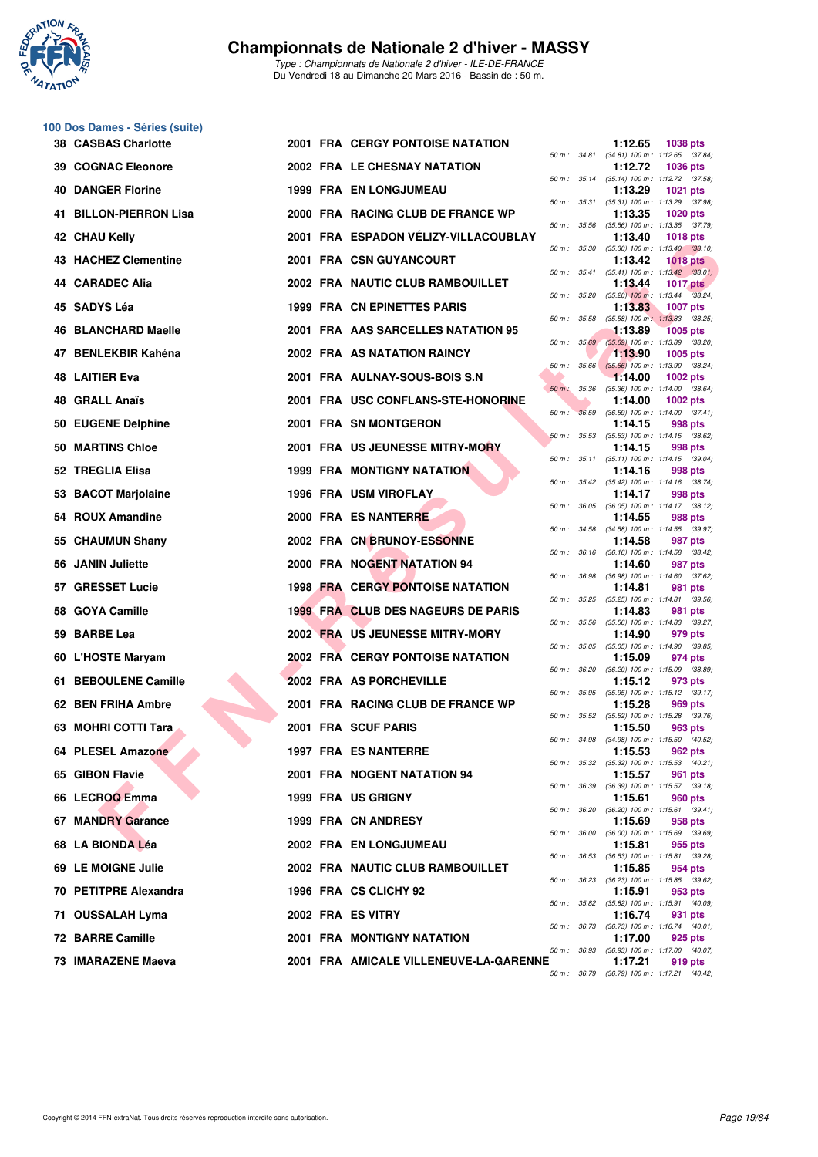

|     | 100 Dos Dames - Séries (suite) |  |                                           |                  |              |                                                                            |
|-----|--------------------------------|--|-------------------------------------------|------------------|--------------|----------------------------------------------------------------------------|
|     | <b>38 CASBAS Charlotte</b>     |  | <b>2001 FRA CERGY PONTOISE NATATION</b>   |                  |              | 1:12.65<br>1038 pts<br>50 m: 34.81 (34.81) 100 m: 1:12.65 (37.84)          |
| 39. | <b>COGNAC Eleonore</b>         |  | 2002 FRA LE CHESNAY NATATION              |                  |              | 1:12.72<br><b>1036 pts</b><br>50 m: 35.14 (35.14) 100 m: 1:12.72 (37.58)   |
| 40  | <b>DANGER Florine</b>          |  | <b>1999 FRA EN LONGJUMEAU</b>             | 50 m : 35.31     |              | 1:13.29<br><b>1021 pts</b><br>(35.31) 100 m: 1:13.29 (37.98)               |
| 41  | <b>BILLON-PIERRON Lisa</b>     |  | 2000 FRA RACING CLUB DE FRANCE WP         |                  |              | 1:13.35<br><b>1020 pts</b>                                                 |
|     | 42 CHAU Kelly                  |  | 2001 FRA ESPADON VÉLIZY-VILLACOUBLAY      | 50 m : 35.56     |              | $(35.56)$ 100 m : 1:13.35 $(37.79)$<br>1:13.40<br><b>1018 pts</b>          |
|     | 43 HACHEZ Clementine           |  | 2001 FRA CSN GUYANCOURT                   | 50 m :           | 35.30        | $(35.30)$ 100 m : 1:13.40 $(38.10)$<br>1:13.42<br><b>1018 pts</b>          |
|     | 44 CARADEC Alia                |  | 2002 FRA NAUTIC CLUB RAMBOUILLET          |                  | 50 m : 35.41 | $(35.41)$ 100 m : 1:13.42 $(38.01)$<br>1:13.44<br><b>1017 pts</b>          |
|     | 45 SADYS Léa                   |  | 1999 FRA CN EPINETTES PARIS               |                  |              | 50 m : 35.20 (35.20) 100 m : 1:13.44 (38.24)<br>1:13.83<br><b>1007 pts</b> |
|     | 46 BLANCHARD Maelle            |  | 2001 FRA AAS SARCELLES NATATION 95        | 50 m : 35.58     |              | $(35.58)$ 100 m : 1:13.83 $(38.25)$<br>1:13.89<br><b>1005 pts</b>          |
| 47  | <b>BENLEKBIR Kahéna</b>        |  | 2002 FRA AS NATATION RAINCY               |                  | 50 m: 35.69  | $(35.69)$ 100 m : 1:13.89 $(38.20)$<br>1:13.90<br>1005 pts                 |
|     | 48 LAITIER Eva                 |  | 2001 FRA AULNAY-SOUS-BOIS S.N             | $50 m$ : $35.66$ |              | $(35.66)$ 100 m : 1:13.90 $(38.24)$<br>1:14.00<br>1002 pts                 |
| 48  | <b>GRALL Anaïs</b>             |  | 2001 FRA USC CONFLANS-STE-HONORINE        | $50 m$ :         | 35.36        | $(35.36)$ 100 m : 1:14.00 $(38.64)$<br>1:14.00<br>1002 pts                 |
| 50  | <b>EUGENE Delphine</b>         |  | 2001 FRA SN MONTGERON                     | $50 m$ :         | 36.59        | $(36.59)$ 100 m : 1:14.00 $(37.41)$<br>1:14.15<br>998 pts                  |
| 50  | <b>MARTINS Chloe</b>           |  | 2001 FRA US JEUNESSE MITRY-MORY           |                  | 50 m: 35.53  | $(35.53)$ 100 m : 1:14.15 $(38.62)$<br>1:14.15<br>998 pts                  |
|     | 52 TREGLIA Elisa               |  | <b>1999 FRA MONTIGNY NATATION</b>         |                  |              | 50 m: 35.11 (35.11) 100 m: 1:14.15 (39.04)<br>1:14.16<br>998 pts           |
| 53  | <b>BACOT Marjolaine</b>        |  | 1996 FRA USM VIROFLAY                     |                  |              | 50 m: 35.42 (35.42) 100 m: 1:14.16 (38.74)<br>1:14.17<br>998 pts           |
|     | 54 ROUX Amandine               |  | 2000 FRA ES NANTERRE                      |                  |              | 50 m: 36.05 (36.05) 100 m: 1:14.17 (38.12)<br>1:14.55<br>988 pts           |
|     | 55 CHAUMUN Shany               |  | 2002 FRA CN BRUNOY-ESSONNE                | 50 m :           | 34.58        | (34.58) 100 m: 1:14.55 (39.97)                                             |
|     |                                |  | 2000 FRA NOGENT NATATION 94               |                  | 50 m : 36.16 | 1:14.58<br>987 pts<br>(36.16) 100 m: 1:14.58 (38.42)                       |
| 56  | <b>JANIN Juliette</b>          |  |                                           |                  |              | 1:14.60<br>987 pts<br>50 m: 36.98 (36.98) 100 m: 1:14.60 (37.62)           |
|     | 57 GRESSET Lucie               |  | <b>1998 FRA CERGY PONTOISE NATATION</b>   | 50 m : 35.25     |              | 1:14.81<br>981 pts<br>$(35.25)$ 100 m : 1:14.81 $(39.56)$                  |
| 58. | <b>GOYA Camille</b>            |  | <b>1999 FRA CLUB DES NAGEURS DE PARIS</b> |                  |              | 1:14.83<br>981 pts<br>50 m: 35.56 (35.56) 100 m: 1:14.83 (39.27)           |
| 59  | <b>BARBE Lea</b>               |  | 2002 FRA US JEUNESSE MITRY-MORY           | 50 m : 35.05     |              | 1:14.90<br>979 pts<br>$(35.05)$ 100 m : 1:14.90 $(39.85)$                  |
|     | 60 L'HOSTE Maryam              |  | 2002 FRA CERGY PONTOISE NATATION          |                  | 50 m : 36.20 | 1:15.09<br>974 pts<br>(36.20) 100 m: 1:15.09 (38.89)                       |
|     | 61 BEBOULENE Camille           |  | 2002 FRA AS PORCHEVILLE                   | 50 m : 35.95     |              | 1:15.12<br>973 pts<br>(35.95) 100 m: 1:15.12 (39.17)                       |
|     | 62 BEN FRIHA Ambre             |  | 2001 FRA RACING CLUB DE FRANCE WP         |                  |              | 1:15.28<br>969 pts<br>50 m : 35.52 (35.52) 100 m : 1:15.28 (39.76)         |
|     | 63 MOHRI COTTI Tara            |  | 2001 FRA SCUF PARIS                       |                  |              | 1:15.50<br>963 pts<br>50 m : 34.98 (34.98) 100 m : 1:15.50 (40.52)         |
|     | 64 PLESEL Amazone              |  | 1997 FRA ES NANTERRE                      |                  |              | 1:15.53<br>962 pts<br>50 m: 35.32 (35.32) 100 m: 1:15.53 (40.21)           |
|     | 65 GIBON Flavie                |  | 2001 FRA NOGENT NATATION 94               |                  |              | 1:15.57<br>961 pts                                                         |
|     | 66 LECROQ Emma                 |  | 1999 FRA US GRIGNY                        |                  |              | 50 m : 36.39 (36.39) 100 m : 1:15.57 (39.18)<br>1:15.61<br>960 pts         |
|     | 67 MANDRY Garance              |  | 1999 FRA CN ANDRESY                       |                  | 50 m : 36.20 | $(36.20)$ 100 m : 1:15.61 $(39.41)$<br>1:15.69<br>958 pts                  |
|     | 68 LA BIONDA Léa               |  | 2002 FRA EN LONGJUMEAU                    |                  | 50 m : 36.00 | $(36.00)$ 100 m : 1:15.69 $(39.69)$<br>1:15.81<br>955 pts                  |
|     | 69 LE MOIGNE Julie             |  | 2002 FRA NAUTIC CLUB RAMBOUILLET          |                  | 50 m : 36.53 | $(36.53)$ 100 m : 1:15.81 $(39.28)$<br>1:15.85<br>954 pts                  |
|     | 70 PETITPRE Alexandra          |  | 1996 FRA CS CLICHY 92                     |                  |              | 50 m: 36.23 (36.23) 100 m: 1:15.85 (39.62)<br>1:15.91<br>953 pts           |
|     | 71 OUSSALAH Lyma               |  | 2002 FRA ES VITRY                         |                  |              | 50 m : 35.82 (35.82) 100 m : 1:15.91 (40.09)<br>1:16.74<br>931 pts         |
|     | 72 BARRE Camille               |  | <b>2001 FRA MONTIGNY NATATION</b>         |                  |              | 50 m: 36.73 (36.73) 100 m: 1:16.74 (40.01)<br>1:17.00<br>925 pts           |
|     | 73 IMARAZENE Maeva             |  | 2001 FRA AMICALE VILLENEUVE-LA-GARENNE    |                  | 50 m : 36.93 | (36.93) 100 m: 1:17.00 (40.07)<br>1:17.21<br>919 pts                       |

| 50 m :   | 35.14 | (35.14) 100 m :              | 1:12.72 (37.58)                       |
|----------|-------|------------------------------|---------------------------------------|
|          |       | 1:13.29                      | 1021 pts                              |
| $50 m$ : | 35.31 | $(35.31) 100 m$ :<br>1:13.35 | 1:13.29<br>(37.98)                    |
| $50 m$ : | 35.56 | $(35.56) 100 m$ :            | <b>1020 pts</b><br>1:13.35<br>(37.79) |
|          |       | 1:13.40                      | <b>1018 pts</b>                       |
| $50 m$ : | 35.30 | $(35.30)$ 100 m :            | 1:13.40<br>(38.10)                    |
|          |       | 1:13.42                      | <b>1018 pts</b>                       |
| $50 m$ : | 35.41 | $(35.41)$ 100 m :            | 1:13.42<br>(38.01)                    |
|          |       | 1:13.44                      | <b>1017 pts</b>                       |
| $50 m$ : | 35.20 | $(35.20)$ 100 m :<br>1:13.83 | 1:13.44<br>(38.24)<br><b>1007 pts</b> |
| $50 m$ : | 35.58 | $(35.58) 100 m$ :            | 1:13.83<br>(38.25)                    |
|          |       | 1:13.89                      | <b>1005 pts</b>                       |
| $50 m$ : | 35.69 | $(35.69)$ 100 m :            | 1:13.89<br>(38.20)                    |
|          |       | 1:13.90                      | 1005 pts                              |
| $50 m$ : | 35.66 | $(35.66)$ 100 m :            | 1:13.90<br>(38.24)                    |
|          |       | 1:14.00                      | <b>1002 pts</b>                       |
| $50 m$ : | 35.36 | $(35.36) 100 m$ :<br>1:14.00 | 1:14.00<br>(38.64)<br>1002 pts        |
| 50 m :   | 36.59 | $(36.59) 100 m$ :            | 1:14.00<br>(37.41)                    |
|          |       | 1:14.15                      | 998 pts                               |
| $50 m$ : | 35.53 | $(35.53) 100 m$ :            | 1:14.15<br>(38.62)                    |
|          |       | 1:14.15                      | 998 pts                               |
| $50 m$ : | 35.11 | $(35.11)$ 100 m :            | 1:14.15<br>(39.04)                    |
|          |       | 1:14.16                      | 998 pts                               |
| $50 m$ : | 35.42 | $(35.42) 100 m$ :<br>1:14.17 | (38.74)<br>1:14.16<br>998 pts         |
| $50 m$ : | 36.05 | $(36.05)$ 100 m :            | 1:14.17<br>(38.12)                    |
|          |       | 1:14.55                      | 988 pts                               |
| $50 m$ : | 34.58 | $(34.58) 100 m$ :            | 1:14.55<br>(39.97)                    |
|          |       | 1:14.58                      | 987 pts                               |
| 50 m :   | 36.16 | $(36.16) 100 m$ :            | 1:14.58<br>(38.42)                    |
|          |       | 1:14.60                      | 987 pts                               |
| $50 m$ : | 36.98 | $(36.98) 100 m$ :<br>1:14.81 | 1:14.60<br>(37.62)<br>981 pts         |
| $50 m$ : | 35.25 | $(35.25)$ 100 m :            | 1:14.81<br>(39.56)                    |
|          |       | 1:14.83                      | 981 pts                               |
| $50 m$ : | 35.56 | $(35.56) 100 m$ :            | 1:14.83<br>(39.27)                    |
|          |       | 1:14.90                      | 979 pts                               |
| $50 m$ : | 35.05 | $(35.05)$ 100 m :            | 1:14.90<br>(39.85)                    |
| $50 m$ : | 36.20 | 1:15.09<br>$(36.20)$ 100 m : | 974 pts<br>1:15.09<br>(38.89)         |
|          |       | 1:15.12                      | 973 pts                               |
| $50 m$ : | 35.95 | $(35.95)$ 100 m :            | 1:15.12<br>(39.17)                    |
|          |       | 1:15.28                      | 969 pts                               |
| $50 m$ : | 35.52 | $(35.52) 100 m$ :            | 1:15.28<br>(39.76)                    |
|          |       | 1:15.50                      | 963 pts                               |
| $50 m$ : | 34.98 | $(34.98) 100 m$ :            | 1:15.50<br>(40.52)                    |
| $50 m$ : | 35.32 | 1:15.53<br>$(35.32) 100 m$ : | 962 pts<br>1:15.53<br>(40.21)         |
|          |       | 1:15.57                      | <b>961 pts</b>                        |
| 50 m :   | 36.39 | $(36.39) 100 m$ :            | 1:15.57<br>(39.18)                    |
|          |       | 1:15.61                      | 960 pts                               |
| 50 m :   | 36.20 | $(36.20)$ 100 m :            | 1:15.61<br>(39.41)                    |
|          |       | 1:15.69                      | 958 pts                               |
| $50 m$ : | 36.00 | $(36.00)$ 100 m :<br>1:15.81 | 1:15.69<br>(39.69)                    |
| $50 m$ : | 36.53 | $(36.53) 100 m$ :            | 955 pts<br>1:15.81<br>(39.28)         |
|          |       | 1:15.85                      | 954 pts                               |
| $50 m$ : | 36.23 | $(36.23) 100 m$ :            | 1:15.85<br>(39.62)                    |
|          |       | 1:15.91                      | 953 pts                               |
| $50 m$ : | 35.82 | $(35.82)$ 100 m :            | 1:15.91<br>(40.09)                    |
|          |       | 1:16.74                      | 931<br>pts                            |
| $50 m$ : | 36.73 | (36.73) 100 m:               | 1:16.74<br>(40.01)                    |
| $50 m$ : | 36.93 | 1:17.00<br>$(36.93)$ 100 m : | 925 pts<br>1:17.00<br>(40.07)         |
|          |       | 1:17.21                      | 919 pts                               |
| 50 m :   | 36.79 |                              | (36.79) 100 m: 1:17.21 (40.42)        |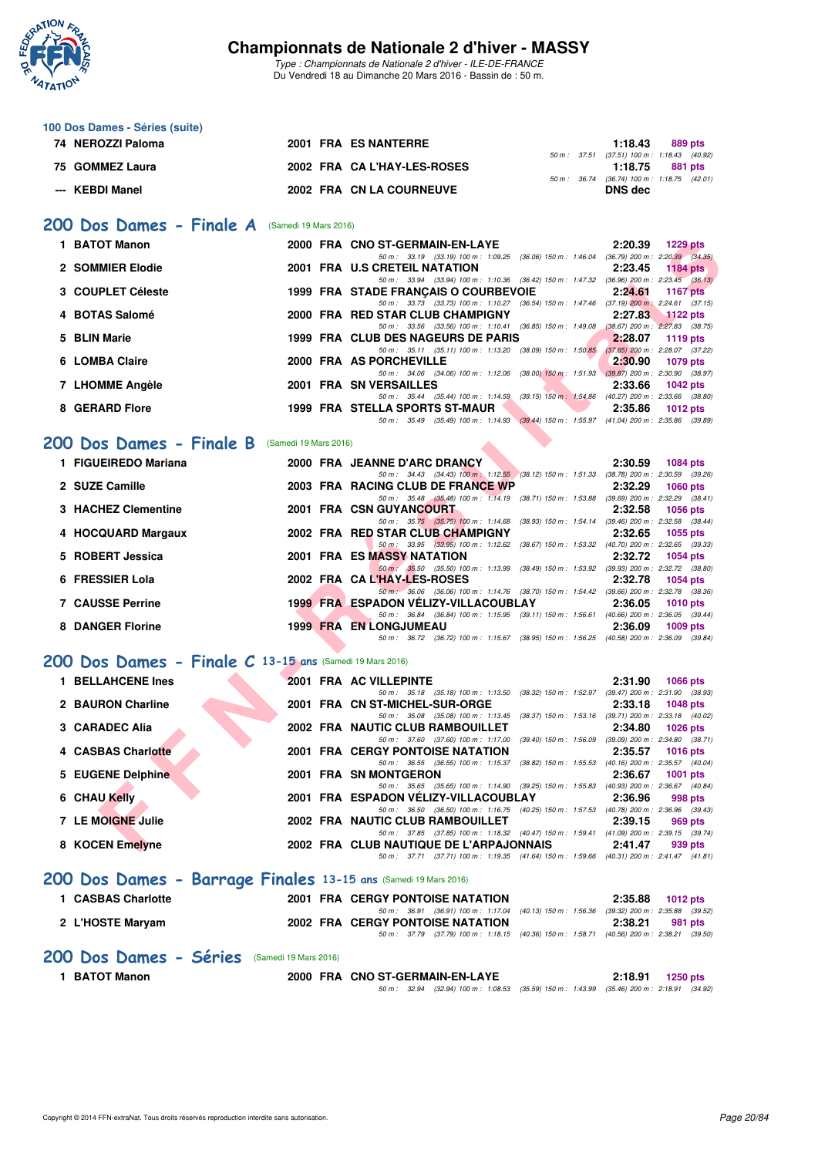

**100 Dos Dames - Séries (suite)**

## **Championnats de Nationale 2 d'hiver - MASSY**

| 74 NEROZZI Paloma                                               |                       | 2001 FRA ES NANTERRE                                                                                                                |                                                         | 1:18.43                                                      | 889 pts         |  |
|-----------------------------------------------------------------|-----------------------|-------------------------------------------------------------------------------------------------------------------------------------|---------------------------------------------------------|--------------------------------------------------------------|-----------------|--|
| 75 GOMMEZ Laura                                                 |                       | 2002 FRA CA L'HAY-LES-ROSES                                                                                                         |                                                         | 50 m: 37.51 (37.51) 100 m: 1:18.43 (40.92)<br>1:18.75        | 881 pts         |  |
| --- KEBDI Manel                                                 |                       | 2002 FRA CN LA COURNEUVE                                                                                                            |                                                         | 50 m: 36.74 (36.74) 100 m: 1:18.75 (42.01)<br><b>DNS</b> dec |                 |  |
| 200 Dos Dames - Finale A                                        | (Samedi 19 Mars 2016) |                                                                                                                                     |                                                         |                                                              |                 |  |
| 1 BATOT Manon                                                   |                       | 2000 FRA CNO ST-GERMAIN-EN-LAYE                                                                                                     |                                                         | 2:20.39 1229 pts                                             |                 |  |
| 2 SOMMIER Elodie                                                |                       | 50 m: 33.19 (33.19) 100 m: 1:09.25 (36.06) 150 m: 1:46.04 (36.79) 200 m: 2:20.39 (34.35)<br>2001 FRA U.S CRETEIL NATATION           |                                                         | 2:23.45                                                      | 1184 pts        |  |
| 3 COUPLET Céleste                                               |                       | 50 m: 33.94 (33.94) 100 m: 1:10.36 (36.42) 150 m: 1:47.32 (36.96) 200 m: 2:23.45 (36.13)<br>1999 FRA STADE FRANCAIS O COURBEVOIE    |                                                         | 2:24.61                                                      | <b>1167 pts</b> |  |
| 4 BOTAS Salomé                                                  |                       | 50 m: 33.73 (33.73) 100 m: 1:10.27 (36.54) 150 m: 1:47.46 (37.19) 200 m: 2:24.61 (37.15)<br>2000 FRA RED STAR CLUB CHAMPIGNY        |                                                         | 2:27.83                                                      | $1122$ pts      |  |
| 5 BLIN Marie                                                    |                       | 50 m: 33.56 (33.56) 100 m: 1:10.41 (36.85) 150 m: 1:49.08 (38.67) 200 m: 2:27.83 (38.75)<br>1999 FRA CLUB DES NAGEURS DE PARIS      |                                                         | 2:28.07                                                      | 1119 $pts$      |  |
| 6 LOMBA Claire                                                  |                       | 50 m: 35.11 (35.11) 100 m: 1:13.20 (38.09) 150 m: 1:50.85 (37.65) 200 m: 2:28.07 (37.22)<br>2000 FRA AS PORCHEVILLE                 |                                                         | 2:30.90                                                      | 1079 pts        |  |
| 7 LHOMME Angèle                                                 |                       | 50 m: 34.06 (34.06) 100 m: 1:12.06 (38.00) 150 m: 1:51.93 (39.87) 200 m: 2:30.90 (38.97)<br>2001 FRA SN VERSAILLES                  |                                                         | 2:33.66                                                      | <b>1042 pts</b> |  |
| 8 GERARD Flore                                                  |                       | 50 m: 35.44 (35.44) 100 m: 1:14.59 (39.15) 150 m: 1:54.86 (40.27) 200 m: 2:33.66 (38.80)<br>1999 FRA STELLA SPORTS ST-MAUR          |                                                         | 2:35.86                                                      | 1012 $pts$      |  |
|                                                                 |                       | 50 m: 35.49 (35.49) 100 m: 1:14.93 (39.44) 150 m: 1:55.97 (41.04) 200 m: 2:35.86 (39.89)                                            |                                                         |                                                              |                 |  |
| 200 Dos Dames - Finale B (Samedi 19 Mars 2016)                  |                       |                                                                                                                                     |                                                         |                                                              |                 |  |
| 1 FIGUEIREDO Mariana                                            |                       | 2000 FRA JEANNE D'ARC DRANCY<br>50 m: 34.43 (34.43) 100 m: 1:12.55 (38.12) 150 m: 1:51.33 (38.78) 200 m: 2:30.59 (39.26)            |                                                         | 2:30.59                                                      | 1084 pts        |  |
| 2 SUZE Camille                                                  |                       | 2003 FRA RACING CLUB DE FRANCE WP<br>50 m: 35.48 (35.48) 100 m: 1:14.19 (38.71) 150 m: 1:53.88 (39.69) 200 m: 2:32.29 (38.41)       |                                                         | 2:32.29                                                      | 1060 $pts$      |  |
| 3 HACHEZ Clementine                                             |                       | 2001 FRA CSN GUYANCOURT<br>50 m: 35.75 (35.75) 100 m: 1:14.68 (38.93) 150 m: 1:54.14 (39.46) 200 m: 2:32.58 (38.44)                 |                                                         | 2:32.58                                                      | <b>1056 pts</b> |  |
| 4 HOCQUARD Margaux                                              |                       | 2002 FRA RED STAR CLUB CHAMPIGNY                                                                                                    |                                                         | 2:32.65                                                      | 1055 pts        |  |
| 5 ROBERT Jessica                                                |                       | 50 m: 33.95 (33.95) 100 m: 1:12.62 (38.67) 150 m: 1:53.32 (40.70) 200 m: 2:32.65 (39.33)<br><b>2001 FRA ES MASSY NATATION</b>       |                                                         | 2:32.72                                                      | <b>1054 pts</b> |  |
| 6 FRESSIER Lola                                                 |                       | 50 m: 35.50 (35.50) 100 m: 1:13.99 (38.49) 150 m: 1:53.92 (39.93) 200 m: 2:32.72 (38.80)<br>2002 FRA CAL'HAY-LES-ROSES              |                                                         | 2:32.78                                                      | 1054 $pts$      |  |
| <b>7 CAUSSE Perrine</b>                                         |                       | 50 m: 36.06 (36.06) 100 m: 1:14.76 (38.70) 150 m: 1:54.42 (39.66) 200 m: 2:32.78 (38.36)<br>1999 FRA ESPADON VELIZY-VILLACOUBLAY    |                                                         | 2:36.05                                                      | 1010 $pts$      |  |
| <b>8 DANGER Florine</b>                                         |                       | 50 m: 36.84 (36.84) 100 m: 1:15.95 (39.11) 150 m: 1:56.61 (40.66) 200 m: 2:36.05 (39.44)<br>1999 FRA EN LONGJUMEAU                  |                                                         | 2:36.09                                                      | 1009 $pts$      |  |
|                                                                 |                       | 50 m: 36.72 (36.72) 100 m: 1:15.67 (38.95) 150 m: 1:56.25 (40.58) 200 m: 2:36.09 (39.84)                                            |                                                         |                                                              |                 |  |
| 200 Dos Dames - Finale C 13-15 ans (Samedi 19 Mars 2016)        |                       |                                                                                                                                     |                                                         |                                                              |                 |  |
| 1 BELLAHCENE Ines                                               |                       | 2001 FRA AC VILLEPINTE<br>50 m: 35.18 (35.18) 100 m: 1:13.50 (38.32) 150 m: 1:52.97 (39.47) 200 m: 2:31.90 (38.93)                  |                                                         | 2:31.90                                                      | 1066 pts        |  |
| 2 BAURON Charline                                               |                       | 2001 FRA CN ST-MICHEL-SUR-ORGE                                                                                                      |                                                         | 2:33.18                                                      | <b>1048 pts</b> |  |
| 3 CARADEC Alia                                                  |                       | 50 m: 35.08 (35.08) 100 m: 1:13.45 (38.37) 150 m: 1:53.16 (39.71) 200 m: 2:33.18 (40.02)<br>2002 FRA NAUTIC CLUB RAMBOUILLET        |                                                         | 2:34.80                                                      | 1026 $pts$      |  |
| 4 CASBAS Charlotte                                              |                       | 50 m: 37.60 (37.60) 100 m: 1:17.00 (39.40) 150 m: 1:56.09 (39.09) 200 m: 2:34.80 (38.71)<br>2001 FRA CERGY PONTOISE NATATION        |                                                         | 2:35.57                                                      | 1016 pts        |  |
| 5 EUGENE Delphine                                               |                       | 50 m: 36.55 (36.55) 100 m: 1:15.37 (38.82) 150 m: 1:55.53 (40.16) 200 m: 2:35.57 (40.04)<br>2001 FRA SN MONTGERON                   |                                                         | 2:36.67                                                      | 1001 pts        |  |
| 6 CHAU Kelly                                                    |                       | 50 m: 35.65 (35.65) 100 m: 1:14.90 (39.25) 150 m: 1:55.83 (40.93) 200 m: 2:36.67 (40.84)<br>2001 FRA ESPADON VELIZY-VILLACOUBLAY    |                                                         |                                                              |                 |  |
|                                                                 |                       | 50 m: 36.50 (36.50) 100 m: 1:16.75 (40.25) 150 m: 1:57.53 (40.78) 200 m: 2:36.96 (39.43)                                            |                                                         | 2:36.96                                                      | 998 pts         |  |
| 7 LE MOIGNE Julie                                               |                       | 2002 FRA NAUTIC CLUB RAMBOUILLET<br>50 m: 37.85 (37.85) 100 m: 1:18.32 (40.47) 150 m: 1:59.41 (41.09) 200 m: 2:39.15 (39.74)        |                                                         | 2:39.15                                                      | 969 pts         |  |
| 8 KOCEN Emelyne                                                 |                       | 2002 FRA CLUB NAUTIQUE DE L'ARPAJONNAIS<br>50 m: 37.71 (37.71) 100 m: 1:19.35 (41.64) 150 m: 1:59.66 (40.31) 200 m: 2:41.47 (41.81) |                                                         | 2:41.47                                                      | 939 pts         |  |
| 200 Dos Dames - Barrage Finales 13-15 ans (Samedi 19 Mars 2016) |                       |                                                                                                                                     |                                                         |                                                              |                 |  |
| 1 CASBAS Charlotte                                              |                       | 2001 FRA CERGY PONTOISE NATATION                                                                                                    |                                                         | 2:35.88                                                      | 1012 pts        |  |
| 2 L'HOSTE Maryam                                                |                       | 50 m: 36.91 (36.91) 100 m: 1:17.04<br><b>2002 FRA CERGY PONTOISE NATATION</b>                                                       | (40.13) 150 m : 1:56.36 (39.32) 200 m : 2:35.88 (39.52) | 2:38.21                                                      | 981 pts         |  |
|                                                                 |                       | 50 m: 37.79 (37.79) 100 m: 1:18.15 (40.36) 150 m: 1:58.71 (40.56) 200 m: 2:38.21 (39.50)                                            |                                                         |                                                              |                 |  |
| 200 Dos Dames - Séries                                          | (Samedi 19 Mars 2016) |                                                                                                                                     |                                                         |                                                              |                 |  |
| 1 BATOT Manon                                                   |                       | 2000 FRA CNO ST-GERMAIN-EN-LAYE                                                                                                     |                                                         | 2:18.91                                                      | <b>1250 pts</b> |  |
|                                                                 |                       | 50 m : 32.94 (32.94) 100 m : 1:08.53 (35.59) 150 m : 1:43.99 (35.46) 200 m : 2:18.91 (34.92)                                        |                                                         |                                                              |                 |  |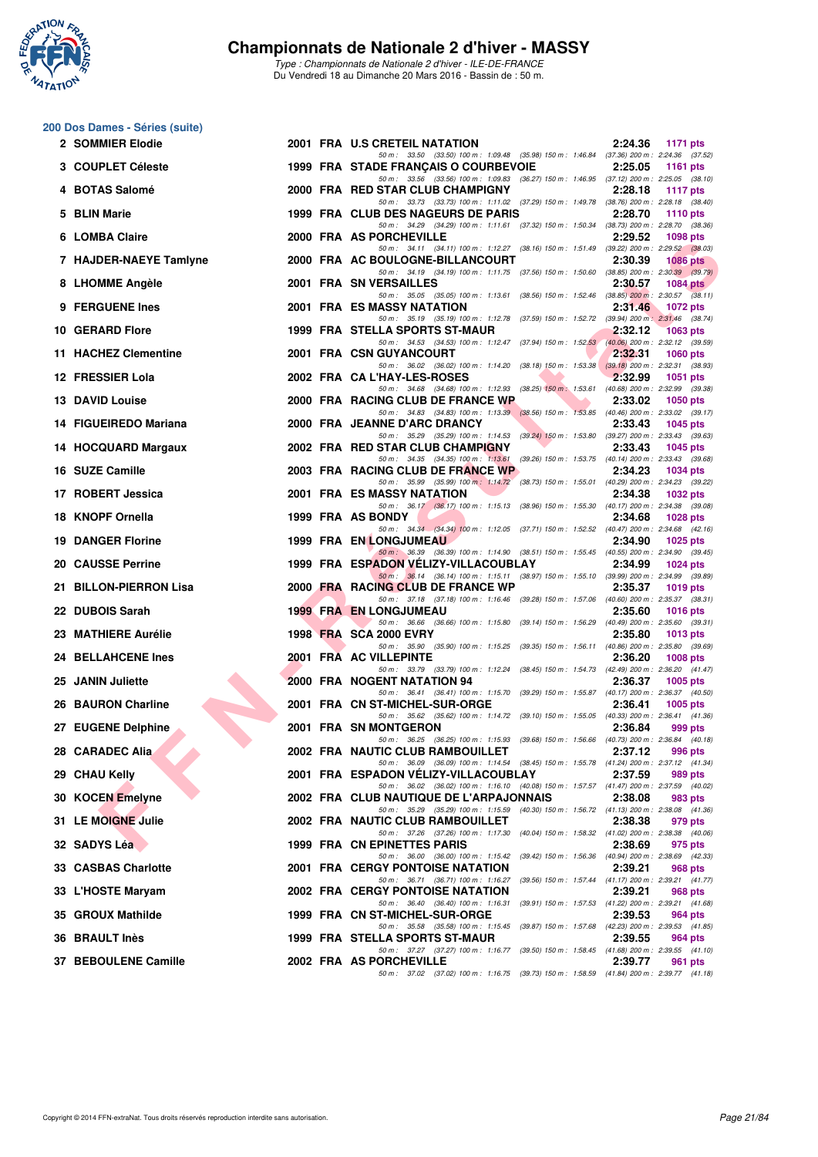

*Type : Championnats de Nationale 2 d'hiver - ILE-DE-FRANCE* Du Vendredi 18 au Dimanche 20 Mars 2016 - Bassin de : 50 m.

## **200 Dos Dames - Séries (suite)**

| 2 SOMMIER Elodie         |  | 2001 FRA U.S CRETEIL NATATION                                                                                                          | 2:24.36 | 1171 pts        |
|--------------------------|--|----------------------------------------------------------------------------------------------------------------------------------------|---------|-----------------|
| 3 COUPLET Céleste        |  | 50 m: 33.50 (33.50) 100 m: 1:09.48 (35.98) 150 m: 1:46.84 (37.36) 200 m: 2:24.36 (37.52)<br>1999 FRA STADE FRANÇAIS O COURBEVOIE       | 2:25.05 | <b>1161 pts</b> |
| 4 BOTAS Salomé           |  | 50 m: 33.56 (33.56) 100 m: 1:09.83 (36.27) 150 m: 1:46.95 (37.12) 200 m: 2:25.05 (38.10)<br>2000 FRA RED STAR CLUB CHAMPIGNY           | 2:28.18 | <b>1117 pts</b> |
| 5 BLIN Marie             |  | 50 m: 33.73 (33.73) 100 m: 1:11.02 (37.29) 150 m: 1:49.78 (38.76) 200 m: 2:28.18 (38.40)<br>1999 FRA CLUB DES NAGEURS DE PARIS         | 2:28.70 | 1110 $pts$      |
| 6 LOMBA Claire           |  | 50 m: 34.29 (34.29) 100 m: 1:11.61 (37.32) 150 m: 1:50.34 (38.73) 200 m: 2:28.70 (38.36)<br>2000 FRA AS PORCHEVILLE                    | 2:29.52 | 1098 pts        |
| 7 HAJDER-NAEYE Tamlyne   |  | 50 m: 34.11 (34.11) 100 m: 1:12.27 (38.16) 150 m: 1:51.49 (39.22) 200 m: 2:29.52 (38.03)<br>2000 FRA AC BOULOGNE-BILLANCOURT           | 2:30.39 | 1086 pts        |
| 8 LHOMME Angèle          |  | 50 m: 34.19 (34.19) 100 m: 1:11.75 (37.56) 150 m: 1:50.60 (38.85) 200 m: 2:30.39 (39.79)<br>2001 FRA SN VERSAILLES                     | 2:30.57 | 1084 pts        |
| 9 FERGUENE Ines          |  | 50 m: 35.05 (35.05) 100 m: 1:13.61 (38.56) 150 m: 1:52.46 (38.85) 200 m: 2:30.57 (38.11)<br>2001 FRA ES MASSY NATATION                 | 2:31.46 | 1072 pts        |
| 10 GERARD Flore          |  | 50 m: 35.19 (35.19) 100 m: 1:12.78 (37.59) 150 m: 1:52.72 (39.94) 200 m: 2:31.46 (38.74)<br>1999 FRA STELLA SPORTS ST-MAUR             | 2:32.12 | 1063 pts        |
| 11 HACHEZ Clementine     |  | 50 m: 34.53 (34.53) 100 m: 1:12.47 (37.94) 150 m: 1:52.53 (40.06) 200 m: 2:32.12 (39.59)<br>2001 FRA CSN GUYANCOURT                    | 2:32.31 | <b>1060 pts</b> |
| 12 FRESSIER Lola         |  | 50 m: 36.02 (36.02) 100 m: 1:14.20 (38.18) 150 m: 1:53.38 (39.18) 200 m: 2:32.31 (38.93)<br>2002 FRA CAL'HAY-LES-ROSES                 | 2:32.99 | <b>1051 pts</b> |
| 13 DAVID Louise          |  | 50 m: 34.68 (34.68) 100 m: 1:12.93 (38.25) 150 m: 1:53.61 (40.68) 200 m: 2:32.99 (39.38)<br>2000 FRA RACING CLUB DE FRANCE WP          | 2:33.02 | <b>1050 pts</b> |
| 14 FIGUEIREDO Mariana    |  | 50 m: 34.83 (34.83) 100 m: 1:13.39 (38.56) 150 m: 1:53.85 (40.46) 200 m: 2:33.02 (39.17)<br>2000 FRA JEANNE D'ARC DRANCY               | 2:33.43 | 1045 pts        |
| 14 HOCQUARD Margaux      |  | 50 m: 35.29 (35.29) 100 m: 1:14.53 (39.24) 150 m: 1:53.80 (39.27) 200 m: 2:33.43 (39.63)<br>2002 FRA RED STAR CLUB CHAMPIGNY           | 2:33.43 | <b>1045 pts</b> |
| 16 SUZE Camille          |  | 50 m: 34.35 (34.35) 100 m: 1:13.61 (39.26) 150 m: 1:53.75 (40.14) 200 m: 2:33.43 (39.68)<br>2003 FRA RACING CLUB DE FRANCE WP          | 2:34.23 | <b>1034 pts</b> |
| 17 ROBERT Jessica        |  | 50 m : 35.99 (35.99) 100 m : 1:14.72 (38.73) 150 m : 1:55.01 (40.29) 200 m : 2:34.23 (39.22)<br>2001 FRA ES MASSY NATATION             | 2:34.38 | 1032 pts        |
| 18 KNOPF Ornella         |  | 50 m: 36.17 (36.17) 100 m: 1:15.13 (38.96) 150 m: 1:55.30 (40.17) 200 m: 2:34.38 (39.08)<br>1999 FRA AS BONDY                          | 2:34.68 | 1028 pts        |
| <b>19 DANGER Florine</b> |  | 50 m: 34.34 (34.34) 100 m: 1:12.05 (37.71) 150 m: 1:52.52 (40.47) 200 m: 2:34.68 (42.16)<br>1999 FRA EN LONGJUMEAU                     | 2:34.90 | 1025 pts        |
| 20 CAUSSE Perrine        |  | 50 m: 36.39 (36.39) 100 m: 1:14.90 (38.51) 150 m: 1:55.45 (40.55) 200 m: 2:34.90 (39.45)<br>1999 FRA ESPADON VELIZY-VILLACOUBLAY       | 2:34.99 | <b>1024 pts</b> |
| 21 BILLON-PIERRON Lisa   |  | 50 m: 36.14 (36.14) 100 m: 1:15.11 (38.97) 150 m: 1:55.10 (39.99) 200 m: 2:34.99 (39.89)<br>2000 FRA RACING CLUB DE FRANCE WP          | 2:35.37 | 1019 pts        |
| 22 DUBOIS Sarah          |  | 50 m: 37.18 (37.18) 100 m: 1:16.46 (39.28) 150 m: 1:57.06 (40.60) 200 m: 2:35.37 (38.31)<br><b>1999 FRA EN LONGJUMEAU</b>              | 2:35.60 | <b>1016 pts</b> |
| 23 MATHIERE Aurélie      |  | 50 m: 36.66 (36.66) 100 m: 1:15.80 (39.14) 150 m: 1:56.29 (40.49) 200 m: 2:35.60 (39.31)<br>1998 FRA SCA 2000 EVRY                     | 2:35.80 | 1013 pts        |
| 24 BELLAHCENE Ines       |  | 50 m: 35.90 (35.90) 100 m: 1:15.25 (39.35) 150 m: 1:56.11 (40.86) 200 m: 2:35.80 (39.69)<br>2001 FRA AC VILLEPINTE                     | 2:36.20 | <b>1008 pts</b> |
| 25 JANIN Juliette        |  | 50 m: 33.79 (33.79) 100 m: 1:12.24 (38.45) 150 m: 1:54.73 (42.49) 200 m: 2:36.20 (41.47)<br>2000 FRA NOGENT NATATION 94                | 2:36.37 | $1005$ pts      |
| 26 BAURON Charline       |  | 50 m: 36.41 (36.41) 100 m: 1:15.70 (39.29) 150 m: 1:55.87 (40.17) 200 m: 2:36.37 (40.50)<br>2001 FRA CN ST-MICHEL-SUR-ORGE             | 2:36.41 | 1005 $p$ ts     |
| 27 EUGENE Delphine       |  | 50 m: 35.62 (35.62) 100 m: 1:14.72 (39.10) 150 m: 1:55.05 (40.33) 200 m: 2:36.41 (41.36)<br>2001 FRA SN MONTGERON                      | 2:36.84 | 999 pts         |
| 28   CARADEC Alia        |  | 50 m: 36.25 (36.25) 100 m: 1:15.93 (39.68) 150 m: 1:56.66 (40.73) 200 m: 2:36.84 (40.18)<br>2002 FRA NAUTIC CLUB RAMBOUILLET           | 2:37.12 | 996 pts         |
| 29 CHAU Kelly            |  | 50 m: 36.09 (36.09) 100 m: 1:14.54 (38.45) 150 m: 1:55.78 (41.24) 200 m: 2:37.12 (41.34)<br>2001 FRA ESPADON VELIZY-VILLACOUBLAY       | 2:37.59 | 989 pts         |
| 30 KOCEN Emelyne         |  | 50 m: 36.02 (36.02) 100 m: 1:16.10 (40.08) 150 m: 1:57.57 (41.47) 200 m: 2:37.59 (40.02)<br>2002 FRA CLUB NAUTIQUE DE L'ARPAJONNAIS    | 2:38.08 | 983 pts         |
| 31 LE MOIGNE Julie       |  | 50 m: 35.29 (35.29) 100 m: 1:15.59 (40.30) 150 m: 1:56.72 (41.13) 200 m: 2:38.08 (41.36)<br>2002 FRA NAUTIC CLUB RAMBOUILLET           | 2:38.38 | 979 pts         |
| 32 SADYS Léa             |  | 50 m: 37.26 (37.26) 100 m: 1.17.30 (40.04) 150 m: 1.58.32 (41.02) 200 m: 2.38.38 (40.06)<br>1999 FRA CN EPINETTES PARIS                | 2:38.69 | 975 pts         |
| 33 CASBAS Charlotte      |  | 50 m: 36.00 (36.00) 100 m: 1:15.42<br>(39.42) 150 m : 1:56.36 (40.94) 200 m : 2:38.69 (42.33)<br>2001 FRA CERGY PONTOISE NATATION      | 2:39.21 | 968 pts         |
| 33 L'HOSTE Maryam        |  | 50 m: 36.71 (36.71) 100 m: 1:16.27<br>(39.56) 150 m: 1:57.44 (41.17) 200 m: 2:39.21 (41.77)<br><b>2002 FRA CERGY PONTOISE NATATION</b> | 2:39.21 | 968 pts         |
| 35 GROUX Mathilde        |  | 50 m: 36.40 (36.40) 100 m: 1:16.31<br>(39.91) 150 m: 1:57.53 (41.22) 200 m: 2:39.21 (41.68)<br>1999 FRA CN ST-MICHEL-SUR-ORGE          | 2:39.53 | 964 pts         |
| <b>36 BRAULT Inès</b>    |  | 50 m: 35.58 (35.58) 100 m: 1:15.45 (39.87) 150 m: 1:57.68 (42.23) 200 m: 2:39.53 (41.85)<br>1999 FRA STELLA SPORTS ST-MAUR             | 2:39.55 | 964 pts         |
| 37 BEBOULENE Camille     |  | 50 m: 37.27 (37.27) 100 m: 1:16.77 (39.50) 150 m: 1:58.45 (41.68) 200 m: 2:39.55 (41.10)<br>2002 FRA AS PORCHEVILLE                    | 2:39.77 | 961 pts         |
|                          |  | 50 m: 37.02 (37.02) 100 m: 1:16.75 (39.73) 150 m: 1:58.59 (41.84) 200 m: 2:39.77 (41.18)                                               |         |                 |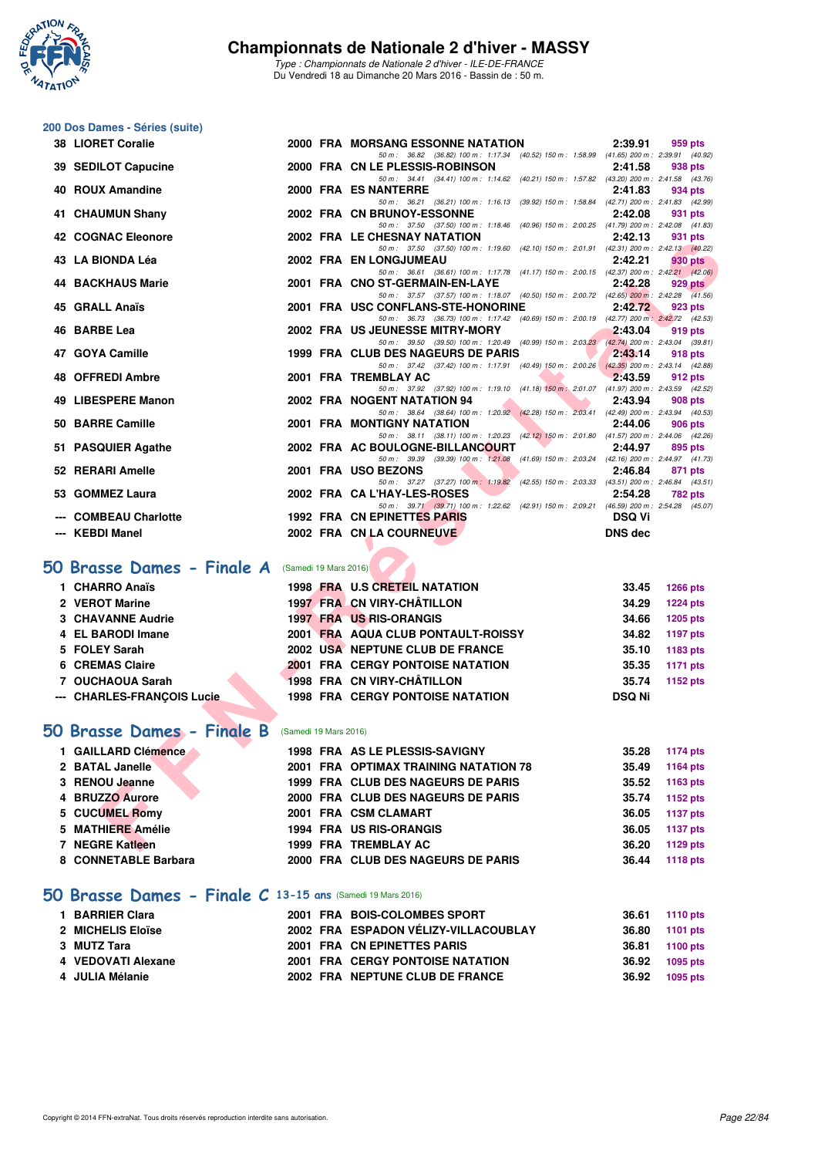

**200 Dos Dames - Séries (suite)**

#### **Championnats de Nationale 2 d'hiver - MASSY**

*Type : Championnats de Nationale 2 d'hiver - ILE-DE-FRANCE* Du Vendredi 18 au Dimanche 20 Mars 2016 - Bassin de : 50 m.

|     | <b>38 LIORET Coralie</b>   |                       | 2000 FRA MORSANG ESSONNE NATATION                                                                                              | 2:39.91        | 959 pts         |
|-----|----------------------------|-----------------------|--------------------------------------------------------------------------------------------------------------------------------|----------------|-----------------|
| 39. | <b>SEDILOT Capucine</b>    |                       | 50 m: 36.82 (36.82) 100 m: 1:17.34 (40.52) 150 m: 1:58.99 (41.65) 200 m: 2:39.91 (40.92)<br>2000 FRA CN LE PLESSIS-ROBINSON    | 2:41.58        | 938 pts         |
|     |                            |                       | 50 m: 34.41 (34.41) 100 m: 1:14.62 (40.21) 150 m: 1:57.82 (43.20) 200 m: 2:41.58 (43.76)                                       |                |                 |
|     | 40 ROUX Amandine           |                       | 2000 FRA ES NANTERRE<br>50 m: 36.21 (36.21) 100 m: 1:16.13 (39.92) 150 m: 1:58.84 (42.71) 200 m: 2:41.83 (42.99)               | 2:41.83        | 934 pts         |
| 41  | <b>CHAUMUN Shany</b>       |                       | 2002 FRA CN BRUNOY-ESSONNE                                                                                                     | 2:42.08        | 931 pts         |
|     | 42 COGNAC Eleonore         |                       | 50 m: 37.50 (37.50) 100 m: 1:18.46 (40.96) 150 m: 2:00.25 (41.79) 200 m: 2:42.08 (41.83)<br>2002 FRA LE CHESNAY NATATION       | 2:42.13        | 931 pts         |
|     |                            |                       | 50 m: 37.50 (37.50) 100 m: 1:19.60 (42.10) 150 m: 2:01.91 (42.31) 200 m: 2:42.13 (40.22)                                       |                |                 |
|     | 43 LA BIONDA Léa           |                       | 2002 FRA EN LONGJUMEAU<br>50 m: 36.61 (36.61) 100 m: 1:17.78 (41.17) 150 m: 2:00.15 (42.37) 200 m: 2:42.21 (42.06)             | 2:42.21        | <b>930 pts</b>  |
|     | <b>44 BACKHAUS Marie</b>   |                       | 2001 FRA CNO ST-GERMAIN-EN-LAYE                                                                                                | 2:42.28        | <b>929 pts</b>  |
|     |                            |                       | 50 m: 37.57 (37.57) 100 m: 1:18.07 (40.50) 150 m: 2:00.72 (42.65) 200 m: 2:42.28 (41.56)                                       |                |                 |
|     | 45 GRALL Anaïs             |                       | 2001 FRA USC CONFLANS-STE-HONORINE<br>50 m: 36.73 (36.73) 100 m: 1:17.42 (40.69) 150 m: 2:00.19 (42.77) 200 m: 2:42.72 (42.53) | 2:42.72        | 923 pts         |
|     | 46 BARBE Lea               |                       | 2002 FRA US JEUNESSE MITRY-MORY                                                                                                | 2:43.04        | 919 pts         |
|     | 47 GOYA Camille            |                       | 50 m: 39.50 (39.50) 100 m: 1:20.49 (40.99) 150 m: 2:03.23 (42.74) 200 m: 2:43.04 (39.81)<br>1999 FRA CLUB DES NAGEURS DE PARIS | 2:43.14        | 918 pts         |
|     |                            |                       | 50 m: 37.42 (37.42) 100 m: 1:17.91 (40.49) 150 m: 2:00.26 (42.35) 200 m: 2:43.14 (42.88)                                       |                |                 |
|     | 48 OFFREDI Ambre           |                       | 2001 FRA TREMBLAY AC<br>50 m: 37.92 (37.92) 100 m: 1:19.10 (41.18) 150 m: 2:01.07 (41.97) 200 m: 2:43.59 (42.52)               | 2:43.59        | 912 pts         |
|     | 49 LIBESPERE Manon         |                       | 2002 FRA NOGENT NATATION 94                                                                                                    | 2:43.94        | <b>908 pts</b>  |
|     |                            |                       | 50 m: 38.64 (38.64) 100 m: 1:20.92 (42.28) 150 m: 2:03.41 (42.49) 200 m: 2:43.94 (40.53)                                       |                |                 |
|     | 50 BARRE Camille           |                       | 2001 FRA MONTIGNY NATATION<br>50 m: 38.11 (38.11) 100 m: 1:20.23 (42.12) 150 m: 2:01.80 (41.57) 200 m: 2:44.06 (42.26)         | 2:44.06        | <b>906 pts</b>  |
|     | 51 PASQUIER Agathe         |                       | 2002 FRA AC BOULOGNE-BILLANCOURT                                                                                               | 2:44.97        | 895 pts         |
|     | 52 RERARI Amelle           |                       | 50 m: 39.39 (39.39) 100 m: 1:21.08 (41.69) 150 m: 2:03.24 (42.16) 200 m: 2:44.97 (41.73)<br>2001 FRA USO BEZONS                | 2:46.84        | 871 pts         |
|     |                            |                       | 50 m: 37.27 (37.27) 100 m: 1:19.82 (42.55) 150 m: 2:03.33 (43.51) 200 m: 2:46.84 (43.51)                                       |                |                 |
|     | 53 GOMMEZ Laura            |                       | 2002 FRA CA L'HAY-LES-ROSES                                                                                                    | 2:54.28        | 782 pts         |
|     | <b>COMBEAU Charlotte</b>   |                       | 50 m: 39.71 (39.71) 100 m: 1:22.62 (42.91) 150 m: 2:09.21 (46.59) 200 m: 2:54.28 (45.07)<br>1992 FRA CN EPINETTES PARIS        | <b>DSQ Vi</b>  |                 |
|     | --- KEBDI Manel            |                       | 2002 FRA CN LA COURNEUVE                                                                                                       | <b>DNS</b> dec |                 |
|     |                            |                       |                                                                                                                                |                |                 |
|     | 50 Brasse Dames - Finale A | (Samedi 19 Mars 2016) |                                                                                                                                |                |                 |
|     | 1 CHARRO Anaïs             |                       | 1998 FRA U.S CRETEIL NATATION                                                                                                  | 33.45          | <b>1266 pts</b> |
|     | 2 VEROT Marine             |                       | 1997 FRA CN VIRY-CHÂTILLON                                                                                                     | 34.29          | <b>1224 pts</b> |
|     | <b>3 CHAVANNE Audrie</b>   |                       | <b>1997 FRA US RIS-ORANGIS</b>                                                                                                 | 34.66          | <b>1205 pts</b> |
|     | 4 EL BARODI Imane          |                       | 2001 FRA AQUA CLUB PONTAULT-ROISSY                                                                                             | 34.82          | <b>1197 pts</b> |
|     | 5 FOLEY Sarah              |                       | 2002 USA NEPTUNE CLUB DE FRANCE                                                                                                | 35.10          | 1183 pts        |
|     | 6 CREMAS Claire            |                       | <b>2001 FRA CERGY PONTOISE NATATION</b>                                                                                        | 35.35          | <b>1171 pts</b> |
|     | 7 OUCHAOUA Sarah           |                       | 1998 FRA CN VIRY-CHÂTILLON                                                                                                     | 35.74          | 1152 pts        |
|     | --- CHARLES-FRANÇOIS Lucie |                       | <b>1998 FRA CERGY PONTOISE NATATION</b>                                                                                        | <b>DSQ Ni</b>  |                 |
|     |                            |                       |                                                                                                                                |                |                 |
|     | 50 Brasse Dames - Finale B | (Samedi 19 Mars 2016) |                                                                                                                                |                |                 |
|     | 1 GAILLARD Clémence        |                       | 1998 FRA AS LE PLESSIS-SAVIGNY                                                                                                 | 35.28          | <b>1174 pts</b> |
|     | 2 BATAL Janelle            |                       | 2001 FRA OPTIMAX TRAINING NATATION 78                                                                                          | 35.49          | <b>1164 pts</b> |
|     | 3 RENOU Jeanne             |                       | 1999 FRA CLUB DES NAGEURS DE PARIS                                                                                             | 35.52          | 1163 pts        |
|     | 4 BRUZZO Aurore            |                       | 2000 FRA CLUB DES NAGEURS DE PARIS                                                                                             | 35.74          | 1152 pts        |
| 5   | <b>CUCUMEL Romy</b>        |                       | 2001 FRA CSM CLAMART                                                                                                           | 36.05          | <b>1137 pts</b> |
|     | 5 MATHIERE Amélie          |                       | <b>1994 FRA US RIS-ORANGIS</b>                                                                                                 | 36.05          | <b>1137 pts</b> |
|     | 7 NEGRE Katleen            |                       | 1999 FRA TREMBLAY AC                                                                                                           | 36.20          | 1129 pts        |

## **[50 Brasse Dames - Finale A](http://www.ffnatation.fr/webffn/resultats.php?idact=nat&go=epr&idcpt=37307&idepr=21)** (Samedi 19 Mars 2016)

| 1 CHARRO Anaïs             |  | 1998 FRA U.S CRETEIL NATATION           | 33.45         | 1266 pts        |
|----------------------------|--|-----------------------------------------|---------------|-----------------|
| 2 VEROT Marine             |  | 1997 FRA CN VIRY-CHÂTILLON              | 34.29         | <b>1224 pts</b> |
| 3 CHAVANNE Audrie          |  | <b>1997 FRA US RIS-ORANGIS</b>          | 34.66         | 1205 pts        |
| 4 EL BARODI Imane          |  | 2001 FRA AQUA CLUB PONTAULT-ROISSY      | 34.82         | 1197 pts        |
| 5 FOLEY Sarah              |  | 2002 USA NEPTUNE CLUB DE FRANCE         | 35.10         | 1183 pts        |
| 6 CREMAS Claire            |  | <b>2001 FRA CERGY PONTOISE NATATION</b> | 35.35         | 1171 pts        |
| 7 OUCHAOUA Sarah           |  | 1998 FRA CN VIRY-CHÂTILLON              | 35.74         | 1152 pts        |
| --- CHARLES-FRANCOIS Lucie |  | <b>1998 FRA CERGY PONTOISE NATATION</b> | <b>DSQ Ni</b> |                 |
|                            |  |                                         |               |                 |

## **[50 Brasse Dames - Finale B](http://www.ffnatation.fr/webffn/resultats.php?idact=nat&go=epr&idcpt=37307&idepr=21)** (Samedi 19 Mars 2016)

| 1 GAILLARD Clémence  | 1998 FRA AS LE PLESSIS-SAVIGNY        | 35.28<br>1174 pts        |
|----------------------|---------------------------------------|--------------------------|
| 2 BATAL Janelle      | 2001 FRA OPTIMAX TRAINING NATATION 78 | 35.49<br>1164 pts        |
| 3 RENOU Jeanne       | 1999 FRA CLUB DES NAGEURS DE PARIS    | 35.52<br>1163 pts        |
| 4 BRUZZO Aurore      | 2000 FRA CLUB DES NAGEURS DE PARIS    | 1152 pts<br>35.74        |
| 5 CUCUMEL Romy       | 2001 FRA CSM CLAMART                  | <b>1137 pts</b><br>36.05 |
| 5 MATHIERE Amélie    | 1994 FRA US RIS-ORANGIS               | <b>1137 pts</b><br>36.05 |
| 7 NEGRE Katleen      | 1999 FRA TREMBLAY AC                  | 36.20<br>1129 pts        |
| 8 CONNETABLE Barbara | 2000 FRA CLUB DES NAGEURS DE PARIS    | <b>1118 pts</b><br>36.44 |
|                      |                                       |                          |

#### **[50 Brasse Dames - Finale C](http://www.ffnatation.fr/webffn/resultats.php?idact=nat&go=epr&idcpt=37307&idepr=21) 13-15 ans** (Samedi 19 Mars 2016)

| 1 BARRIER Clara    |  | 2001 FRA BOIS-COLOMBES SPORT            | 36.61 | 1110 pts |
|--------------------|--|-----------------------------------------|-------|----------|
| 2 MICHELIS Eloïse  |  | 2002 FRA ESPADON VÉLIZY-VILLACOUBLAY    | 36.80 | 1101 pts |
| 3 MUTZ Tara        |  | 2001 FRA CN EPINETTES PARIS             | 36.81 | 1100 pts |
| 4 VEDOVATI Alexane |  | <b>2001 FRA CERGY PONTOISE NATATION</b> | 36.92 | 1095 pts |
| 4 JULIA Mélanie    |  | 2002 FRA NEPTUNE CLUB DE FRANCE         | 36.92 | 1095 pts |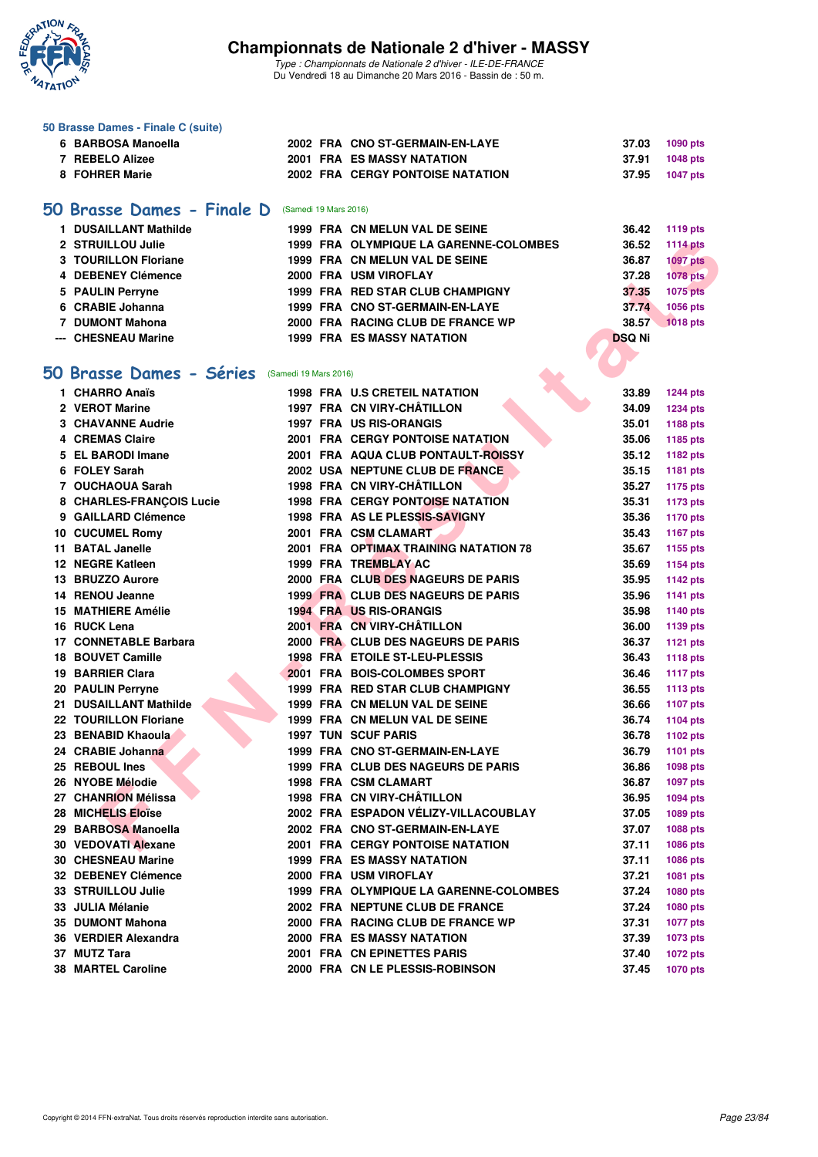

|    | 50 Brasse Dames - Finale C (suite) |                       |                                         |               |                 |
|----|------------------------------------|-----------------------|-----------------------------------------|---------------|-----------------|
|    | 6 BARBOSA Manoella                 |                       | 2002 FRA CNO ST-GERMAIN-EN-LAYE         | 37.03         | 1090 pts        |
|    | 7 REBELO Alizee                    |                       | <b>2001 FRA ES MASSY NATATION</b>       | 37.91         | 1048 pts        |
|    | 8 FOHRER Marie                     |                       | <b>2002 FRA CERGY PONTOISE NATATION</b> | 37.95         | <b>1047 pts</b> |
|    |                                    |                       |                                         |               |                 |
|    | 50 Brasse Dames - Finale D         | (Samedi 19 Mars 2016) |                                         |               |                 |
|    | 1 DUSAILLANT Mathilde              |                       | 1999 FRA CN MELUN VAL DE SEINE          | 36.42         | <b>1119 pts</b> |
|    | 2 STRUILLOU Julie                  |                       | 1999 FRA OLYMPIQUE LA GARENNE-COLOMBES  | 36.52         | <b>1114 pts</b> |
|    | <b>3 TOURILLON Floriane</b>        |                       | 1999 FRA CN MELUN VAL DE SEINE          | 36.87         | <b>1097 pts</b> |
|    | 4 DEBENEY Clémence                 |                       | 2000 FRA USM VIROFLAY                   | 37.28         | <b>1078 pts</b> |
|    | 5 PAULIN Perryne                   |                       | 1999 FRA RED STAR CLUB CHAMPIGNY        | 37.35         | <b>1075 pts</b> |
|    | 6 CRABIE Johanna                   |                       | 1999 FRA CNO ST-GERMAIN-EN-LAYE         | 37.74         | 1056 pts        |
|    | 7 DUMONT Mahona                    |                       | 2000 FRA RACING CLUB DE FRANCE WP       | 38.57         | <b>1018 pts</b> |
|    | --- CHESNEAU Marine                |                       | <b>1999 FRA ES MASSY NATATION</b>       | <b>DSQ Ni</b> |                 |
|    |                                    |                       |                                         |               |                 |
| 50 | <b>Brasse Dames - Séries</b>       | (Samedi 19 Mars 2016) |                                         |               |                 |
|    | 1 CHARRO Anaïs                     |                       | <b>1998 FRA U.S CRETEIL NATATION</b>    | 33.89         | <b>1244 pts</b> |
|    | 2 VEROT Marine                     |                       | 1997 FRA CN VIRY-CHÂTILLON              | 34.09         | 1234 pts        |
|    | <b>3 CHAVANNE Audrie</b>           |                       | <b>1997 FRA US RIS-ORANGIS</b>          | 35.01         | 1188 pts        |
|    | <b>4 CREMAS Claire</b>             |                       | <b>2001 FRA CERGY PONTOISE NATATION</b> | 35.06         | 1185 pts        |
|    | 5 EL BARODI Imane                  |                       | 2001 FRA AQUA CLUB PONTAULT-ROISSY      | 35.12         | 1182 pts        |
|    | 6 FOLEY Sarah                      |                       | 2002 USA NEPTUNE CLUB DE FRANCE         | 35.15         | 1181 pts        |
|    | 7 OUCHAOUA Sarah                   |                       | 1998 FRA CN VIRY-CHÂTILLON              | 35.27         | <b>1175 pts</b> |
|    | 8 CHARLES-FRANCOIS Lucie           |                       | 1998 FRA CERGY PONTOISE NATATION        | 35.31         | <b>1173 pts</b> |
|    | 9 GAILLARD Clémence                |                       | 1998 FRA AS LE PLESSIS-SAVIGNY          | 35.36         | <b>1170 pts</b> |
|    | 10 CUCUMEL Romy                    |                       | 2001 FRA CSM CLAMART                    | 35.43         | <b>1167 pts</b> |
|    | 11 BATAL Janelle                   |                       | 2001 FRA OPTIMAX TRAINING NATATION 78   | 35.67         | 1155 pts        |
|    | <b>12 NEGRE Katleen</b>            |                       | 1999 FRA TREMBLAY AC                    | 35.69         | <b>1154 pts</b> |
|    | 13 BRUZZO Aurore                   |                       | 2000 FRA CLUB DES NAGEURS DE PARIS      | 35.95         | <b>1142 pts</b> |
|    | 14 RENOU Jeanne                    |                       | 1999 FRA CLUB DES NAGEURS DE PARIS      | 35.96         | 1141 pts        |
|    | 15 MATHIERE Amélie                 |                       | <b>1994 FRA US RIS-ORANGIS</b>          | 35.98         | 1140 pts        |
|    | 16 RUCK Lena                       |                       | 2001 FRA CN VIRY-CHÂTILLON              | 36.00         | 1139 pts        |
|    | 17 CONNETABLE Barbara              |                       | 2000 FRA CLUB DES NAGEURS DE PARIS      | 36.37         | <b>1121 pts</b> |
|    | 18 BOUVET Camille                  |                       | 1998 FRA ETOILE ST-LEU-PLESSIS          | 36.43         | <b>1118 pts</b> |
|    | 19 BARRIER Clara                   |                       | 2001 FRA BOIS-COLOMBES SPORT            | 36.46         | <b>1117 pts</b> |
|    | 20 PAULIN Perryne                  |                       | 1999 FRA RED STAR CLUB CHAMPIGNY        | 36.55         | <b>1113 pts</b> |
|    | 21 DUSAILLANT Mathilde             |                       | 1999 FRA CN MELUN VAL DE SEINE          | 36.66         | <b>1107 pts</b> |
|    | 22 TOURILLON Floriane              |                       | 1999 FRA CN MELUN VAL DE SEINE          | 36.74         | 1104 pts        |
|    | 23 BENABID Khaoula                 |                       | 1997 TUN SCUF PARIS                     | 36.78         | 1102 pts        |
|    | 24 CRABIE Johanna                  |                       | 1999 FRA CNO ST-GERMAIN-EN-LAYE         | 36.79         | 1101 pts        |
|    | 25 REBOUL Ines                     |                       | 1999 FRA CLUB DES NAGEURS DE PARIS      | 36.86         | 1098 pts        |
|    | 26 NYOBE Mélodie                   |                       | 1998 FRA CSM CLAMART                    | 36.87         | 1097 pts        |
|    | 27 CHANRION Mélissa                |                       | 1998 FRA CN VIRY-CHÂTILLON              | 36.95         | 1094 pts        |
|    | 28 MICHELIS Eloïse                 |                       | 2002 FRA ESPADON VÉLIZY-VILLACOUBLAY    | 37.05         | 1089 pts        |
|    | 29 BARBOSA Manoella                |                       | 2002 FRA CNO ST-GERMAIN-EN-LAYE         | 37.07         | 1088 pts        |
|    | 30 VEDOVATI Alexane                |                       | <b>2001 FRA CERGY PONTOISE NATATION</b> | 37.11         | 1086 pts        |
|    | <b>30 CHESNEAU Marine</b>          |                       | <b>1999 FRA ES MASSY NATATION</b>       | 37.11         | 1086 pts        |
|    | 32 DEBENEY Clémence                |                       | 2000 FRA USM VIROFLAY                   | 37.21         | 1081 pts        |
|    | 33 STRUILLOU Julie                 |                       | 1999 FRA OLYMPIQUE LA GARENNE-COLOMBES  | 37.24         | 1080 pts        |
|    | 33 JULIA Mélanie                   |                       | 2002 FRA NEPTUNE CLUB DE FRANCE         | 37.24         | <b>1080 pts</b> |
|    | 35 DUMONT Mahona                   |                       | 2000 FRA RACING CLUB DE FRANCE WP       | 37.31         | <b>1077 pts</b> |
|    | 36 VERDIER Alexandra               |                       | 2000 FRA ES MASSY NATATION              | 37.39         | 1073 pts        |
|    | 37 MUTZ Tara                       |                       | 2001 FRA CN EPINETTES PARIS             | 37.40         | 1072 pts        |
|    | <b>38 MARTEL Caroline</b>          |                       | 2000 FRA CN LE PLESSIS-ROBINSON         | 37.45         | <b>1070 pts</b> |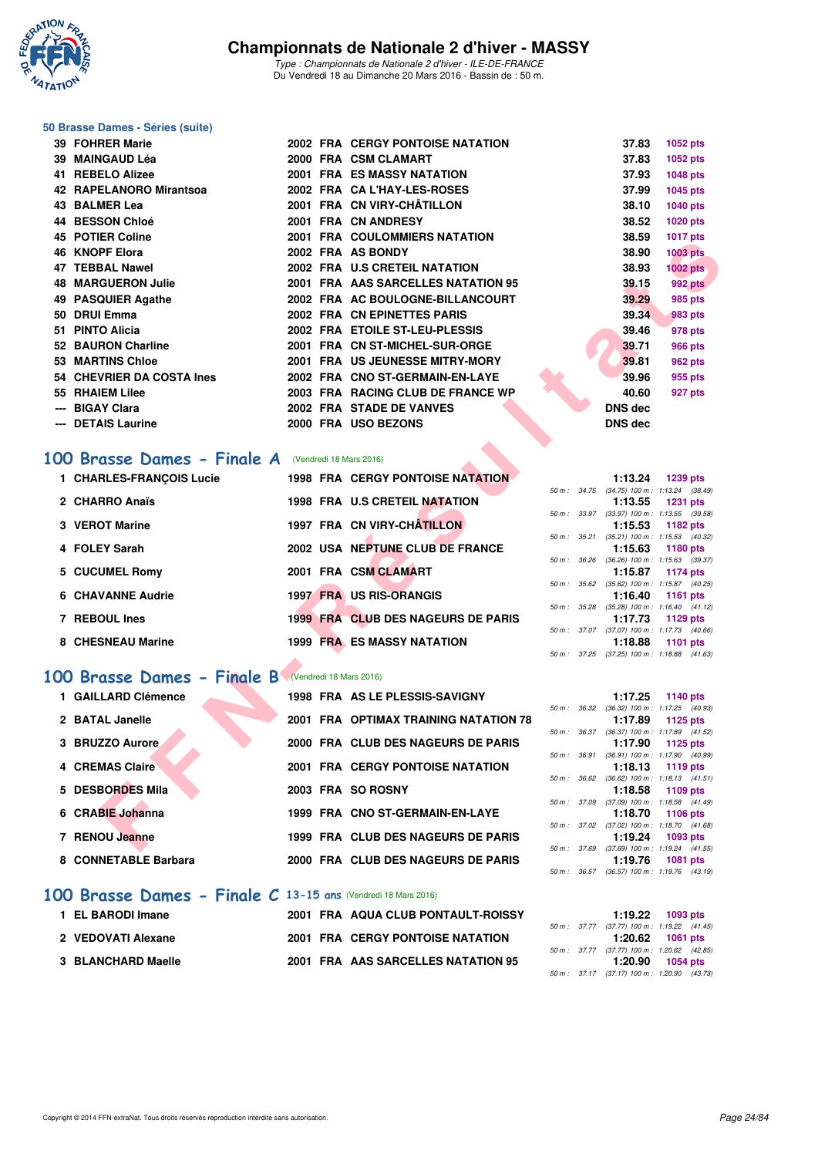

#### **50 Brasse Dames - Séries (suite)**

| 39 FOHRER Marie                                                                       |  | <b>2002 FRA CERGY PONTOISE NATATION</b> |              | 37.83          | 1052 pts                                                      |
|---------------------------------------------------------------------------------------|--|-----------------------------------------|--------------|----------------|---------------------------------------------------------------|
| 39 MAINGAUD Léa                                                                       |  | 2000 FRA CSM CLAMART                    |              | 37.83          | 1052 pts                                                      |
| 41 REBELO Alizee                                                                      |  | <b>2001 FRA ES MASSY NATATION</b>       |              | 37.93          | 1048 pts                                                      |
| 42 RAPELANORO Mirantsoa                                                               |  | 2002 FRA CA L'HAY-LES-ROSES             |              | 37.99          | 1045 pts                                                      |
| 43 BALMER Lea                                                                         |  | 2001 FRA CN VIRY-CHÂTILLON              |              | 38.10          | 1040 pts                                                      |
| 44 BESSON Chloé                                                                       |  | 2001 FRA CN ANDRESY                     |              | 38.52          | 1020 pts                                                      |
| 45 POTIER Coline                                                                      |  | <b>2001 FRA COULOMMIERS NATATION</b>    |              | 38.59          | <b>1017 pts</b>                                               |
| <b>46 KNOPF Elora</b>                                                                 |  | 2002 FRA AS BONDY                       |              | 38.90          | <b>1003 pts</b>                                               |
| <b>47 TEBBAL Nawel</b>                                                                |  | 2002 FRA U.S CRETEIL NATATION           |              | 38.93          | <b>1002 pts</b>                                               |
| <b>48 MARGUERON Julie</b>                                                             |  | 2001 FRA AAS SARCELLES NATATION 95      |              | 39.15          | <b>992 pts</b>                                                |
| 49 PASQUIER Agathe                                                                    |  | 2002 FRA AC BOULOGNE-BILLANCOURT        |              | 39.29          | 985 pts                                                       |
| 50 DRUI Emma                                                                          |  | 2002 FRA CN EPINETTES PARIS             |              | 39.34          | <b>983 pts</b>                                                |
| 51 PINTO Alicia                                                                       |  | 2002 FRA ETOILE ST-LEU-PLESSIS          |              | 39.46          | 978 pts                                                       |
| 52 BAURON Charline                                                                    |  | 2001 FRA CN ST-MICHEL-SUR-ORGE          |              | 39.71          | <b>966 pts</b>                                                |
| 53 MARTINS Chloe                                                                      |  | 2001 FRA US JEUNESSE MITRY-MORY         |              | 39.81          | 962 pts                                                       |
| 54 CHEVRIER DA COSTA Ines                                                             |  | 2002 FRA CNO ST-GERMAIN-EN-LAYE         |              | 39.96          | 955 pts                                                       |
| 55 RHAIEM Lilee                                                                       |  | 2003 FRA RACING CLUB DE FRANCE WP       |              | 40.60          | 927 pts                                                       |
| --- BIGAY Clara                                                                       |  | 2002 FRA STADE DE VANVES                |              | DNS dec        |                                                               |
| --- DETAIS Laurine                                                                    |  | 2000 FRA USO BEZONS                     |              | <b>DNS dec</b> |                                                               |
| <b>00 Brasse Dames - Finale A</b> (Vendredi 18 Mars 2016)<br>1 CHARLES-FRANÇOIS Lucie |  | <b>1998 FRA CERGY PONTOISE NATATION</b> |              | 1:13.24        | 1239 pts                                                      |
|                                                                                       |  |                                         | 50 m : 34.75 |                | $(34.75)$ 100 m : 1:13.24 $(38.49)$                           |
| 2 CHARRO Anaïs                                                                        |  | 1998 FRA U.S CRETEIL NATATION           |              | 1:13.55        | <b>1231 pts</b><br>50 m: 33.97 (33.97) 100 m: 1:13.55 (39.58) |
| 3 VEROT Marine                                                                        |  | 1997 FRA CN VIRY-CHÂTILLON              |              | 1:15.53        | 1182 pts                                                      |
| 4 FOLEY Sarah                                                                         |  | 2002 USA NEPTUNE CLUB DE FRANCE         | 50 m : 35.21 | 1:15.63        | (35.21) 100 m: 1:15.53 (40.32)<br>1180 pts                    |
| 5 CUCUMEL Romy                                                                        |  | 2001 FRA CSM CLAMART                    |              | 1:15.87        | 50 m : 36.26 (36.26) 100 m : 1:15.63 (39.37)<br>1174 pts      |
|                                                                                       |  |                                         |              |                | 50 m : 35.62 (35.62) 100 m : 1:15.87 (40.25)                  |
| 6 CHAVANNE Audrie                                                                     |  | 1997 FRA US RIS-ORANGIS                 |              | 1:16.40        | <b>1161 pts</b>                                               |
| 7 REBOUL Ines                                                                         |  | 1999 FRA CLUB DES NAGEURS DE PARIS      |              | 1:17.73        | 50 m: 35.28 (35.28) 100 m: 1:16.40 (41.12)<br>1129 pts        |
|                                                                                       |  |                                         |              |                | 50 m: 37.07 (37.07) 100 m: 1:17.73 (40.66)                    |
| 8 CHESNEAU Marine                                                                     |  | <b>1999 FRA ES MASSY NATATION</b>       |              | 1:18.88        | <b>1101 pts</b>                                               |
|                                                                                       |  |                                         |              |                | 50 m: 37.25 (37.25) 100 m: 1:18.88 (41.63)                    |
| <b>00 Brasse Dames - Finale B</b> (Vendredi 18 Mars 2016)                             |  |                                         |              |                |                                                               |
| 1 GAILLARD Clémence                                                                   |  | 1998 FRA AS LE PLESSIS-SAVIGNY          |              | 1:17.25        | 1140 pts                                                      |
|                                                                                       |  |                                         | 50 m : 36.32 |                | $(36.32)$ 100 m : 1:17.25 $(40.93)$                           |
| 2 BATAL Janelle                                                                       |  | 2001 FRA OPTIMAX TRAINING NATATION 78   |              | 1:17.89        | 1125 pts                                                      |
| 3 BRUZZO Aurore                                                                       |  | 2000 FRA CLUB DES NAGEURS DE PARIS      |              | 1:17.90        | 50 m: 36.37 (36.37) 100 m: 1:17.89 (41.52)<br>1125 pts        |
|                                                                                       |  |                                         | 50 m : 36.91 |                | $(36.91)$ 100 m : 1:17.90 $(40.99)$                           |
| <b>4 CREMAS Claire</b>                                                                |  | <b>2001 FRA CERGY PONTOISE NATATION</b> |              | 1:18.13        | 1119 pts                                                      |
| 5 DESBORDES Mila                                                                      |  | 2003 FRA SO ROSNY                       |              | 1:18.58        | 50 m: 36.62 (36.62) 100 m: 1:18.13 (41.51)<br>1109 pts        |
|                                                                                       |  |                                         |              |                | 50 m: 37.09 (37.09) 100 m: 1:18.58 (41.49)                    |
| 6 CRABIE Johanna                                                                      |  | 1999 FRA CNO ST-GERMAIN-EN-LAYE         |              | 1:18.70        | 1106 pts<br>50 m: 37.02 (37.02) 100 m: 1:18.70 (41.68)        |
| 7 RENOU Jeanne                                                                        |  | 1999 FRA CLUB DES NAGEURS DE PARIS      |              | 1:19.24        | 1093 pts                                                      |
|                                                                                       |  |                                         |              |                | 50 m: 37.69 (37.69) 100 m: 1:19.24 (41.55)                    |

## **[100 Brasse Dames - Finale A](http://www.ffnatation.fr/webffn/resultats.php?idact=nat&go=epr&idcpt=37307&idepr=22)** (Vendredi 18 Mars 2016)

| 1 CHARLES-FRANCOIS Lucie |  | <b>1998 FRA CERGY PONTOISE NATATION</b> |                  | 1:13.24                                 | 1239 pts        |  |
|--------------------------|--|-----------------------------------------|------------------|-----------------------------------------|-----------------|--|
|                          |  |                                         |                  | 50 m: 34.75 (34.75) 100 m: 1:13.24 (38. |                 |  |
| 2 CHARRO Anaïs           |  | 1998 FRA U.S CRETEIL NATATION           |                  | 1:13.55 1231 pts                        |                 |  |
|                          |  |                                         |                  | 50 m: 33.97 (33.97) 100 m: 1:13.55 (39. |                 |  |
| 3 VEROT Marine           |  | 1997 FRA CN VIRY-CHÂTILLON              |                  | 1:15.53 1182 pts                        |                 |  |
|                          |  |                                         |                  | 50 m: 35.21 (35.21) 100 m: 1:15.53 (40. |                 |  |
| 4 FOLEY Sarah            |  | 2002 USA NEPTUNE CLUB DE FRANCE         |                  | 1:15.63 1180 pts                        |                 |  |
|                          |  |                                         | 50 m : 36.26     | $(36.26)$ 100 m : 1:15.63 (39.          |                 |  |
| 5 CUCUMEL Romy           |  | 2001 FRA CSM CLAMART                    |                  | 1:15.87 1174 pts                        |                 |  |
|                          |  |                                         | $50 m$ : $35.62$ | $(35.62)$ 100 m : 1:15.87 (40.          |                 |  |
| 6 CHAVANNE Audrie        |  | <b>1997 FRA US RIS-ORANGIS</b>          |                  | 1:16.40                                 | 1161 pts        |  |
|                          |  |                                         | 50 m : 35.28     | $(35.28)$ 100 m : 1:16.40 (41.          |                 |  |
| 7 REBOUL Ines            |  | 1999 FRA CLUB DES NAGEURS DE PARIS      |                  | 1:17.73                                 | 1129 pts        |  |
|                          |  |                                         | 50 m : 37.07     | (37.07) 100 m : 1:17.73 (40.            |                 |  |
| 8 CHESNEAU Marine        |  | <b>1999 FRA ES MASSY NATATION</b>       |                  | 1:18.88                                 | <b>1101 pts</b> |  |
|                          |  |                                         |                  |                                         |                 |  |

## **[100 Brasse Dames - Finale B](http://www.ffnatation.fr/webffn/resultats.php?idact=nat&go=epr&idcpt=37307&idepr=22)** (Vendredi 18 Mars 2016)

| 1 GAILLARD Clémence    | 1998 FRA AS LE PLESSIS-SAVIGNY          |                  | 1:17.25                                     | 1140 pts |  |
|------------------------|-----------------------------------------|------------------|---------------------------------------------|----------|--|
| 2 BATAL Janelle        | 2001 FRA OPTIMAX TRAINING NATATION 78   | 50 m : 36.32     | (36.32) 100 m : 1:17.25 (40.<br>1:17.89     | 1125 pts |  |
| 3 BRUZZO Aurore        | 2000 FRA CLUB DES NAGEURS DE PARIS      | $50 m$ : $36.37$ | (36.37) 100 m : 1:17.89 (41.<br>1:17.90     | 1125 pts |  |
| <b>4 CREMAS Claire</b> | <b>2001 FRA CERGY PONTOISE NATATION</b> | 50 m : 36.91     | $(36.91)$ 100 m : 1:17.90 (40.<br>1:18.13   | 1119 pts |  |
| 5 DESBORDES Mila       | 2003 FRA SO ROSNY                       | $50 m$ : $36.62$ | $(36.62)$ 100 m : 1:18.13 (41.<br>1:18.58   | 1109 pts |  |
| 6 CRABIE Johanna       | 1999 FRA CNO ST-GERMAIN-EN-LAYE         | 50 m : 37.09     | $(37.09)$ 100 m : 1:18.58 $(41.$<br>1:18.70 | 1106 pts |  |
| 7 RENOU Jeanne         | 1999 FRA CLUB DES NAGEURS DE PARIS      | 50 m : 37.02     | $(37.02)$ 100 m : 1:18.70 (41.<br>1:19.24   | 1093 pts |  |
| 8 CONNETABLE Barbara   | 2000 FRA CLUB DES NAGEURS DE PARIS      | 50 m: 37.69      | $(37.69)$ 100 m : 1:19.24 $(41.$<br>1:19.76 | 1081 pts |  |
|                        |                                         |                  | 50 m: 36.57 (36.57) 100 m: 1:19.76 (43.     |          |  |

#### **[100 Brasse Dames - Finale C](http://www.ffnatation.fr/webffn/resultats.php?idact=nat&go=epr&idcpt=37307&idepr=22) 13-15 ans** (Vendredi 18 Mars 2016)

| 1 EL BARODI Imane  |  | 2001 FRA AQUA CLUB PONTAULT-ROISSY      |  | 1:19.22                                 | 1093 pts |  |
|--------------------|--|-----------------------------------------|--|-----------------------------------------|----------|--|
|                    |  |                                         |  | 50 m: 37.77 (37.77) 100 m: 1:19.22 (41. |          |  |
| 2 VEDOVATI Alexane |  | <b>2001 FRA CERGY PONTOISE NATATION</b> |  | 1:20.62 1061 pts                        |          |  |
|                    |  |                                         |  | 50 m: 37.77 (37.77) 100 m: 1:20.62 (42. |          |  |
| 3 BLANCHARD Maelle |  | 2001 FRA AAS SARCELLES NATATION 95      |  | 1:20.90                                 | 1054 pts |  |
|                    |  |                                         |  |                                         |          |  |

|                  |              | 1:13.24                    | 1239 pts                            |
|------------------|--------------|----------------------------|-------------------------------------|
|                  |              | 50 m: 34.75 (34.75) 100 m: | $1:13.24$ (38.49)                   |
|                  |              |                            | $1:13.55$ 1231 pts                  |
| $50 m$ : $33.97$ |              | $(33.97)$ 100 m :          | $1:13.55$ $(39.58)$                 |
|                  |              |                            | 1:15.53 1182 pts                    |
|                  | 50 m: 35.21  | $(35.21)$ 100 m :          | $1:15.53$ $(40.32)$                 |
|                  |              |                            | $1:15.63$ 1180 pts                  |
| $50 m$ : $36.26$ |              | $(36.26)$ 100 m :          | $1:15.63$ (39.37)                   |
|                  |              |                            |                                     |
|                  |              |                            | $1:15.87$ 1174 pts                  |
|                  |              | 50 m: 35.62 (35.62) 100 m: | $1:15.87$ (40.25)                   |
|                  |              | 1:16.40                    | 1161 pts                            |
| 50 m :           | 35.28        | $(35.28) 100 m$ :          | $1:16.40$ $(41.12)$                 |
|                  |              |                            | 1:17.73 1129 pts                    |
|                  | 50 m : 37.07 |                            | $(37.07)$ 100 m : 1:17.73 $(40.66)$ |
|                  |              |                            | 1:18.88 1101 pts                    |

|  | 1:17.25                                    | 1140 pts            |
|--|--------------------------------------------|---------------------|
|  | 50 m: 36.32 (36.32) 100 m: 1:17.25 (40.93) |                     |
|  |                                            | 1:17.89 1125 pts    |
|  | 50 m: 36.37 (36.37) 100 m:                 | $1:17.89$ $(41.52)$ |
|  |                                            | $1:17.90$ 1125 pts  |
|  | 50 m: 36.91 (36.91) 100 m:                 | 1:17.90 (40.99)     |
|  |                                            | $1:18.13$ 1119 pts  |
|  | 50 m: 36.62 (36.62) 100 m: 1:18.13 (41.51) |                     |
|  |                                            | $1:18.58$ 1109 pts  |
|  | 50 m: 37.09 (37.09) 100 m: 1:18.58 (41.49) |                     |
|  |                                            |                     |
|  |                                            | $1:18.70$ 1106 pts  |
|  | 50 m: 37.02 (37.02) 100 m: 1:18.70 (41.68) |                     |
|  |                                            | $1:19.24$ 1093 pts  |
|  | 50 m: 37.69 (37.69) 100 m: 1:19.24 (41.55) |                     |
|  |                                            | 1:19.76 1081 pts    |
|  | 50 m: 36.57 (36.57) 100 m: 1:19.76 (43.19) |                     |

|  |                                            | $1:19.22$ 1093 pts |
|--|--------------------------------------------|--------------------|
|  | 50 m: 37.77 (37.77) 100 m: 1:19.22 (41.45) |                    |
|  |                                            | $1:20.62$ 1061 pts |
|  | 50 m: 37.77 (37.77) 100 m: 1:20.62 (42.85) |                    |
|  |                                            | $1:20.90$ 1054 pts |
|  | 50 m: 37.17 (37.17) 100 m: 1:20.90 (43.73) |                    |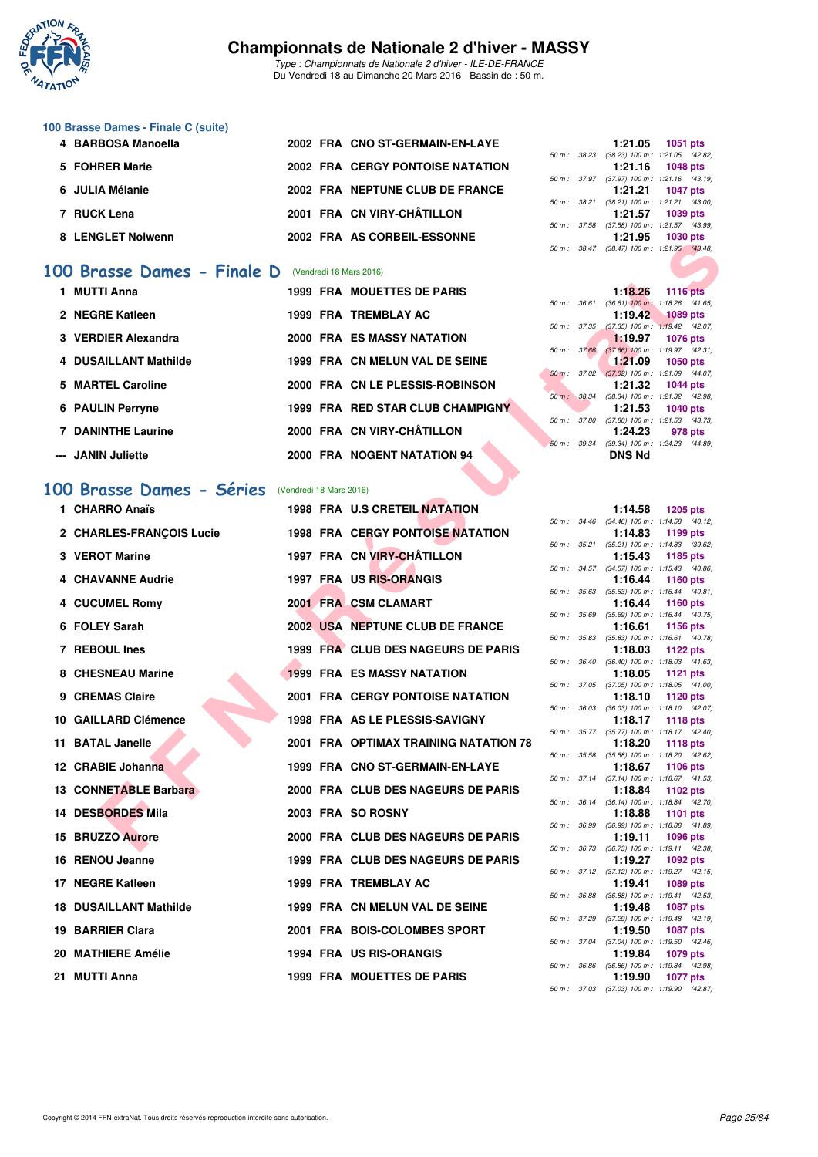

*Type : Championnats de Nationale 2 d'hiver - ILE-DE-FRANCE* Du Vendredi 18 au Dimanche 20 Mars 2016 - Bassin de : 50 m.

#### **100 Brasse Dames - Finale C (suite)**

| 4 BARBOSA Manoella |  | 2002 FRA CNO ST-GERMAIN-EN-LAYE         |  | 1:21.05 1051 pts                        |          |  |
|--------------------|--|-----------------------------------------|--|-----------------------------------------|----------|--|
|                    |  |                                         |  | 50 m: 38.23 (38.23) 100 m: 1:21.05 (42. |          |  |
| 5 FOHRER Marie     |  | <b>2002 FRA CERGY PONTOISE NATATION</b> |  | $1:21.16$ 1048 pts                      |          |  |
|                    |  |                                         |  | 50 m: 37.97 (37.97) 100 m: 1:21.16 (43. |          |  |
| 6 JULIA Mélanie    |  | 2002 FRA NEPTUNE CLUB DE FRANCE         |  | 1:21.21 1047 pts                        |          |  |
|                    |  |                                         |  | 50 m: 38.21 (38.21) 100 m: 1:21.21 (43. |          |  |
| 7 RUCK Lena        |  | 2001 FRA CN VIRY-CHÂTILLON              |  | 1:21.57                                 | 1039 pts |  |
|                    |  |                                         |  | 50 m: 37.58 (37.58) 100 m: 1:21.57 (43. |          |  |
| 8 LENGLET Nolwenn  |  | 2002 FRA AS CORBEIL-ESSONNE             |  | 1:21.95                                 | 1030 pts |  |
|                    |  |                                         |  |                                         |          |  |

#### **[100 Brasse Dames - Finale D](http://www.ffnatation.fr/webffn/resultats.php?idact=nat&go=epr&idcpt=37307&idepr=22)** (Vendredi 18 Mars 2016)

| 1 MUTTI Anna              |  | <b>1999 FRA MOUETTES DE PARIS</b> |                        | 1:18.26                                   | <b>1116 pts</b> |  |
|---------------------------|--|-----------------------------------|------------------------|-------------------------------------------|-----------------|--|
|                           |  |                                   | 50 m: 36.61            | $(36.61)$ 100 m : 1:18.26 (41.            |                 |  |
| 2 NEGRE Katleen           |  | 1999 FRA TREMBLAY AC              |                        | 1:19.42 1089 pts                          |                 |  |
|                           |  |                                   | 50 m: 37.35            | $(37.35)$ 100 m : 1:19.42 (42.            |                 |  |
| 3 VERDIER Alexandra       |  | <b>2000 FRA ES MASSY NATATION</b> | 50 m: 37.66            | 1.19.97                                   | 1076 pts        |  |
| 4 DUSAILLANT Mathilde     |  | 1999 FRA CN MELUN VAL DE SEINE    |                        | $(37.66)$ 100 m : 1:19.97 (42.<br>1:21.09 | 1050 pts        |  |
|                           |  |                                   | 50 m : 37.02           | $(37.02)$ 100 m : 1:21.09 (44.            |                 |  |
| 5 MARTEL Caroline         |  | 2000 FRA CN LE PLESSIS-ROBINSON   |                        | 1:21.32                                   | 1044 pts        |  |
|                           |  |                                   | 50 m : 38.34           | (38.34) 100 m : 1:21.32 (42.              |                 |  |
| <b>6 PAULIN Perryne</b>   |  | 1999 FRA RED STAR CLUB CHAMPIGNY  |                        | 1:21.53                                   | 1040 pts        |  |
|                           |  |                                   | 50 m: 37.80            | $(37.80)$ 100 m : 1:21.53 (43.            |                 |  |
| <b>7 DANINTHE Laurine</b> |  | 2000 FRA CN VIRY-CHÂTILLON        |                        | 1:24.23                                   | 978 pts         |  |
|                           |  |                                   | $50 \text{ m}$ : 39.34 | (39.34) 100 m : 1:24.23 (44.              |                 |  |
| --- JANIN Juliette        |  | 2000 FRA NOGENT NATATION 94       |                        | <b>DNS Nd</b>                             |                 |  |

#### **[100 Brasse Dames - Séries](http://www.ffnatation.fr/webffn/resultats.php?idact=nat&go=epr&idcpt=37307&idepr=22)** (Vendredi 18 Mars 2016)

| LENGLET NOIWEIIII             |                         | ZUUZ FRA AS CORBEIL-ESSONNE             |              | 1.21.99       | ່າ ບວບ ບເວ<br>50 m: 38.47 (38.47) 100 m: 1:21.95 (43.48)      |
|-------------------------------|-------------------------|-----------------------------------------|--------------|---------------|---------------------------------------------------------------|
| 00 Brasse Dames - Finale D    |                         | (Vendredi 18 Mars 2016)                 |              |               |                                                               |
| 1 MUTTI Anna                  |                         | <b>1999 FRA MOUETTES DE PARIS</b>       |              | 1:18.26       | <b>1116 pts</b>                                               |
|                               |                         |                                         | 50 m : 36.61 |               | $(36.61)$ 100 m : 1:18.26 $(41.65)$                           |
| 2 NEGRE Katleen               |                         | 1999 FRA TREMBLAY AC                    | 50 m : 37.35 | 1:19.42       | <b>1089 pts</b><br>(37.35) 100 m : 1:19.42 (42.07)            |
| 3 VERDIER Alexandra           |                         | <b>2000 FRA ES MASSY NATATION</b>       |              | 1:19.97       | <b>1076 pts</b>                                               |
|                               |                         |                                         | 50 m: 37.66  |               | $(37.66)$ 100 m : 1:19.97 $(42.31)$                           |
| 4 DUSAILLANT Mathilde         |                         | 1999 FRA CN MELUN VAL DE SEINE          |              | 1:21.09       | <b>1050 pts</b><br>50 m: 37.02 (37.02) 100 m: 1:21.09 (44.07) |
| 5 MARTEL Caroline             |                         | 2000 FRA CN LE PLESSIS-ROBINSON         |              | 1:21.32       | <b>1044 pts</b>                                               |
| 6 PAULIN Perryne              |                         | 1999 FRA RED STAR CLUB CHAMPIGNY        |              | 1:21.53       | 50 m: 38.34 (38.34) 100 m: 1:21.32 (42.98)<br>1040 pts        |
|                               |                         |                                         |              |               | 50 m: 37.80 (37.80) 100 m: 1:21.53 (43.73)                    |
| <b>7 DANINTHE Laurine</b>     |                         | 2000 FRA CN VIRY-CHÂTILLON              |              | 1:24.23       | 978 pts                                                       |
| --- JANIN Juliette            |                         | 2000 FRA NOGENT NATATION 94             | 50 m : 39.34 | <b>DNS Nd</b> | $(39.34)$ 100 m : 1:24.23 $(44.89)$                           |
|                               |                         |                                         |              |               |                                                               |
| 00 Brasse Dames - Séries      | (Vendredi 18 Mars 2016) |                                         |              |               |                                                               |
| 1 CHARRO Anaïs                |                         | 1998 FRA U.S CRETEIL NATATION           |              | 1:14.58       | 1205 pts                                                      |
|                               |                         |                                         |              |               | 50 m: 34.46 (34.46) 100 m: 1:14.58 (40.12)                    |
| 2 CHARLES-FRANÇOIS Lucie      |                         | <b>1998 FRA CERGY PONTOISE NATATION</b> |              | 1:14.83       | 1199 pts                                                      |
| 3 VEROT Marine                |                         | 1997 FRA CN VIRY-CHÂTILLON              |              | 1:15.43       | 50 m: 35.21 (35.21) 100 m: 1:14.83 (39.62)<br>1185 pts        |
|                               |                         |                                         |              |               | 50 m: 34.57 (34.57) 100 m: 1:15.43 (40.86)                    |
| <b>4 CHAVANNE Audrie</b>      |                         | 1997 FRA US RIS-ORANGIS                 | 50 m : 35.63 | 1:16.44       | 1160 pts<br>$(35.63)$ 100 m : 1:16.44 $(40.81)$               |
| 4 CUCUMEL Romy                |                         | 2001 FRA CSM CLAMART                    |              | 1:16.44       | 1160 pts                                                      |
|                               |                         |                                         | 50 m : 35.69 |               | $(35.69)$ 100 m : 1:16.44 $(40.75)$                           |
| 6 FOLEY Sarah                 |                         | 2002 USA NEPTUNE CLUB DE FRANCE         | 50 m : 35.83 | 1:16.61       | 1156 pts<br>$(35.83)$ 100 m : 1:16.61 $(40.78)$               |
| 7 REBOUL Ines                 |                         | 1999 FRA CLUB DES NAGEURS DE PARIS      |              | 1:18.03       | <b>1122 pts</b>                                               |
|                               |                         |                                         | 50 m : 36.40 |               | $(36.40)$ 100 m : 1:18.03 $(41.63)$                           |
| 8 CHESNEAU Marine             |                         | <b>1999 FRA ES MASSY NATATION</b>       |              | 1:18.05       | 1121 pts<br>50 m: 37.05 (37.05) 100 m: 1:18.05 (41.00)        |
| 9 CREMAS Claire               |                         | <b>2001 FRA CERGY PONTOISE NATATION</b> |              | 1:18.10       | 1120 pts                                                      |
|                               |                         |                                         |              |               | 50 m: 36.03 (36.03) 100 m: 1:18.10 (42.07)                    |
| 10 GAILLARD Clémence          |                         | 1998 FRA AS LE PLESSIS-SAVIGNY          | 50 m : 35.77 | 1:18.17       | <b>1118 pts</b><br>$(35.77)$ 100 m : 1:18.17 $(42.40)$        |
| 11 BATAL Janelle              |                         | 2001 FRA OPTIMAX TRAINING NATATION 78   |              | 1:18.20       | <b>1118 pts</b>                                               |
|                               |                         |                                         |              |               | 50 m: 35.58 (35.58) 100 m: 1:18.20 (42.62)                    |
| 12 CRABIE Johanna             |                         | 1999 FRA CNO ST-GERMAIN-EN-LAYE         |              | 1:18.67       | 1106 pts<br>50 m: 37.14 (37.14) 100 m: 1:18.67 (41.53)        |
| 13 CONNETABLE Barbara         |                         | 2000 FRA CLUB DES NAGEURS DE PARIS      |              | 1:18.84       | 1102 pts                                                      |
| 14 DESBORDES Mila             |                         |                                         |              |               | 50 m: 36.14 (36.14) 100 m: 1:18.84 (42.70)                    |
|                               |                         | 2003 FRA SO ROSNY                       |              | 1:18.88       | <b>1101 pts</b><br>50 m: 36.99 (36.99) 100 m: 1:18.88 (41.89) |
| 15 BRUZZO Aurore              |                         | 2000 FRA CLUB DES NAGEURS DE PARIS      |              | 1:19.11       | 1096 pts                                                      |
|                               |                         |                                         |              |               | 50 m: 36.73 (36.73) 100 m: 1:19.11 (42.38)                    |
| 16 RENOU Jeanne               |                         | 1999 FRA CLUB DES NAGEURS DE PARIS      |              | 1:19.27       | 1092 pts<br>50 m: 37.12 (37.12) 100 m: 1:19.27 (42.15)        |
| 17 NEGRE Katleen              |                         | 1999 FRA TREMBLAY AC                    |              | 1:19.41       | 1089 pts                                                      |
|                               |                         |                                         |              |               | 50 m: 36.88 (36.88) 100 m: 1:19.41 (42.53)                    |
| <b>18 DUSAILLANT Mathilde</b> |                         | 1999 FRA CN MELUN VAL DE SEINE          |              | 1:19.48       | <b>1087 pts</b><br>50 m: 37.29 (37.29) 100 m: 1:19.48 (42.19) |
| 19 BARRIER Clara              |                         | 2001 FRA BOIS-COLOMBES SPORT            |              | 1:19.50       | <b>1087 pts</b>                                               |
|                               |                         |                                         |              |               | 50 m: 37.04 (37.04) 100 m: 1:19.50 (42.46)                    |
| 20 MATHIERE Amélie            |                         | 1994 FRA US RIS-ORANGIS                 |              | 1:19.84       | 1079 pts<br>50 m : 36.86 (36.86) 100 m : 1:19.84 (42.98)      |
| 21 MUTTI Anna                 |                         | 1999 FRA MOUETTES DE PARIS              |              | 1:19.90       | <b>1077 pts</b>                                               |

|  | $1:21.05$ 1051 pts                         |  |
|--|--------------------------------------------|--|
|  | 50 m: 38.23 (38.23) 100 m: 1:21.05 (42.82) |  |
|  | $1:21.16$ 1048 pts                         |  |
|  | 50 m: 37.97 (37.97) 100 m: 1:21.16 (43.19) |  |
|  | $1:21.21$ 1047 pts                         |  |
|  | 50 m: 38.21 (38.21) 100 m: 1:21.21 (43.00) |  |
|  | 1:21.57 1039 pts                           |  |
|  | 50 m: 37.58 (37.58) 100 m: 1:21.57 (43.99) |  |
|  | 1:21.95 1030 pts                           |  |
|  | 50 m: 38.47 (38.47) 100 m: 1:21.95 (43.48) |  |
|  |                                            |  |

|                        | 1:18.26                                    | <b>1116 pts</b>    |                     |
|------------------------|--------------------------------------------|--------------------|---------------------|
|                        | $50 m$ : $36.61$ $(36.61)$ $100 m$ :       |                    | $1:18.26$ (41.65)   |
|                        |                                            | $1:19.42$ 1089 pts |                     |
|                        | $50 m$ : $37.35$ (37.35) $100 m$ :         |                    | $1:19.42$ $(42.07)$ |
|                        |                                            | 1:19.97 1076 pts   |                     |
| 50 m: 37.66            | $(37.66)$ 100 m :                          |                    | 1:19.97 (42.31)     |
|                        |                                            | $1:21.09$ 1050 pts |                     |
|                        | $50 m$ : 37.02 (37.02) 100 m :             |                    | 1:21.09 (44.07)     |
|                        |                                            | 1:21.32 1044 pts   |                     |
| $50 \text{ m}$ : 38.34 | $(38.34) 100 m$ :                          |                    | 1:21.32 (42.98)     |
|                        | 1:21.53                                    | 1040 pts           |                     |
| 50 m : 37.80           | $(37.80)$ 100 m :                          |                    | $1:21.53$ $(43.73)$ |
|                        |                                            | 1:24.23 978 pts    |                     |
|                        | 50 m: 39.34 (39.34) 100 m: 1:24.23 (44.89) |                    |                     |
|                        | <b>DNS Nd</b>                              |                    |                     |
|                        |                                            |                    |                     |

|             |       | 1:14.58           | <b>1205 pts</b>     |         |
|-------------|-------|-------------------|---------------------|---------|
| 50 m: 34.46 |       | $(34.46) 100 m$ : | $1:14.58$ $(40.12)$ |         |
|             |       | 1:14.83           | 1199 pts            |         |
| $50 m$ :    | 35.21 | $(35.21)$ 100 m : | 1:14.83 (39.62)     |         |
|             |       | 1:15.43           | 1185 pts            |         |
| $50 m$ :    | 34.57 | $(34.57) 100 m$ : | $1:15.43$ $(40.86)$ |         |
|             |       | 1:16.44           | 1160 pts            |         |
| $50 m$ :    | 35.63 | $(35.63) 100 m$ : | $1:16.44$ $(40.81)$ |         |
|             |       | 1:16.44           | 1160 $pts$          |         |
| $50 m$ :    | 35.69 | $(35.69) 100 m$ : | 1:16.44             | (40.75) |
|             |       | 1:16.61           | 1156 pts            |         |
| $50 m$ :    | 35.83 | $(35.83) 100 m$ : | 1:16.61             | (40.78) |
|             |       | 1:18.03           | <b>1122 pts</b>     |         |
| $50 m$ :    | 36.40 | $(36.40)$ 100 m : | 1:18.03             | (41.63) |
|             |       | 1:18.05           | 1121                | pts     |
| $50 m$ :    | 37.05 | $(37.05)$ 100 m : | 1:18.05             | (41.00) |
|             |       | 1:18.10           | 1120 pts            |         |
| $50 m$ :    | 36.03 | $(36.03) 100 m$ : | 1:18.10             | (42.07) |
|             |       | 1:18.17           | <b>1118 pts</b>     |         |
| $50 m$ :    | 35.77 | $(35.77) 100 m$ : | 1:18.17             | (42.40) |
|             |       | 1:18.20           | 1118 pts            |         |
| $50 m$ :    | 35.58 | $(35.58) 100 m$ : | 1:18.20             | (42.62) |
|             |       | 1:18.67           | 1106 $pts$          |         |
| $50 m$ :    | 37.14 | $(37.14) 100 m$ : | $1:18.67$ $(41.53)$ |         |
|             |       | 1:18.84           | 1102 pts            |         |
| $50 m$ :    | 36.14 | $(36.14) 100 m$ : | $1:18.84$ $(42.70)$ |         |
|             |       | 1:18.88           | 1101 pts            |         |
| $50 m$ :    | 36.99 | (36.99) 100 m :   | 1:18.88 (41.89)     |         |
|             |       | 1:19.11           | 1096 pts            |         |
| $50 m$ :    | 36.73 | $(36.73) 100 m$ : | 1:19.11             | (42.38) |
|             |       | 1:19.27           | 1092 pts            |         |
| $50 m$ :    | 37.12 | $(37.12) 100 m$ : | 1:19.27             | (42.15) |
|             |       | 1:19.41           | 1089 pts            |         |
| $50 m$ :    | 36.88 | $(36.88) 100 m$ : | $1:19.41$ $(42.53)$ |         |
|             |       | 1:19.48           | 1087 pts            |         |
| $50 m$ :    | 37.29 | $(37.29)$ 100 m : | $1:19.48$ $(42.19)$ |         |
|             |       | 1:19.50           | 1087 pts            |         |
| $50 m$ :    | 37.04 | (37.04) 100 m :   | 1:19.50(42.46)      |         |
|             |       | 1:19.84           | <b>1079 pts</b>     |         |
| $50 m$ :    | 36.86 | (36.86) 100 m :   | 1:19.84             | (42.98) |
|             |       | 1:19.90           | <b>1077 pts</b>     |         |
| 50 m :      | 37.03 | $(37.03) 100 m$ : | 1:19.90 (42.87)     |         |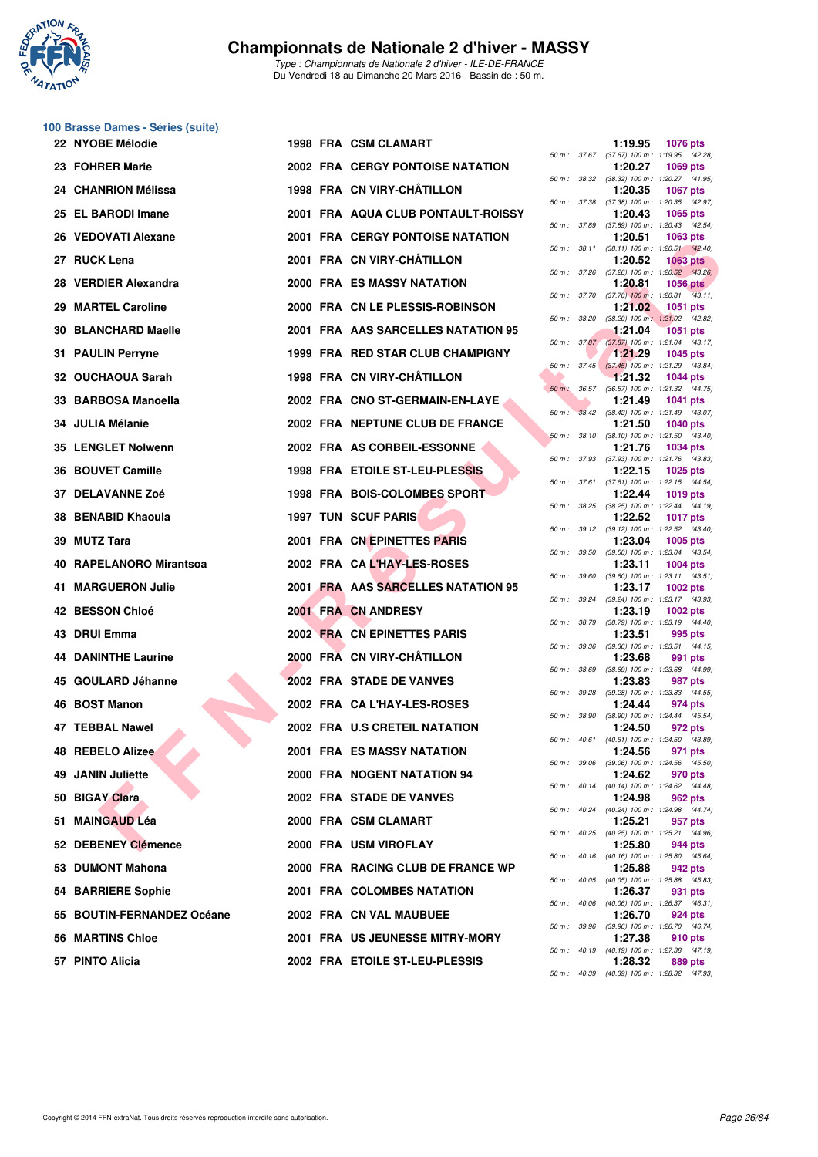

*Type : Championnats de Nationale 2 d'hiver - ILE-DE-FRANCE* Du Vendredi 18 au Dimanche 20 Mars 2016 - Bassin de : 50 m.

## **100 Brasse Dames - Séries (suite)**

|     | 22 NYOBE Mélodie           |  | 1998 FRA CSM CLAMART                    |              |              | 1:19.95 | <b>1076 pts</b>                                                                     |
|-----|----------------------------|--|-----------------------------------------|--------------|--------------|---------|-------------------------------------------------------------------------------------|
|     | 23 FOHRER Marie            |  | <b>2002 FRA CERGY PONTOISE NATATION</b> |              |              | 1:20.27 | 50 m: 37.67 (37.67) 100 m: 1:19.95 (42.28)<br><b>1069 pts</b>                       |
|     | 24 CHANRION Mélissa        |  | 1998 FRA CN VIRY-CHÂTILLON              |              |              | 1:20.35 | 50 m: 38.32 (38.32) 100 m: 1:20.27 (41.95)<br><b>1067 pts</b>                       |
|     | 25 EL BARODI Imane         |  | 2001 FRA AQUA CLUB PONTAULT-ROISSY      |              |              | 1:20.43 | 50 m: 37.38 (37.38) 100 m: 1:20.35 (42.97)<br>1065 pts                              |
|     | 26 VEDOVATI Alexane        |  | 2001 FRA CERGY PONTOISE NATATION        |              |              | 1:20.51 | 50 m: 37.89 (37.89) 100 m: 1:20.43 (42.54)<br>1063 pts                              |
|     | 27 RUCK Lena               |  | 2001 FRA CN VIRY-CHÂTILLON              |              | 50 m : 38.11 | 1:20.52 | $(38.11)$ 100 m : 1:20.51 $(42.40)$<br><b>1063 pts</b>                              |
| 28. | <b>VERDIER Alexandra</b>   |  | <b>2000 FRA ES MASSY NATATION</b>       |              | 50 m : 37.26 | 1:20.81 | $(37.26)$ 100 m : 1:20.52 $(43.26)$<br><b>1056 pts</b>                              |
|     | 29 MARTEL Caroline         |  | 2000 FRA CN LE PLESSIS-ROBINSON         |              |              | 1:21.02 | 50 m : 37.70 (37.70) 100 m : 1:20.81 (43.11)<br>1051 pts                            |
|     | 30 BLANCHARD Maelle        |  | 2001 FRA AAS SARCELLES NATATION 95      | 50 m : 38.20 |              | 1:21.04 | $(38.20)$ 100 m : 1:21.02 $(42.82)$<br><b>1051 pts</b>                              |
|     | 31 PAULIN Perryne          |  | 1999 FRA RED STAR CLUB CHAMPIGNY        |              |              | 1:21.29 | 50 m : 37.87 (37.87) 100 m : 1:21.04 (43.17)<br><b>1045 pts</b>                     |
|     | 32 OUCHAOUA Sarah          |  | 1998 FRA CN VIRY-CHÂTILLON              |              |              | 1:21.32 | 50 m: 37.45 (37.45) 100 m: 1:21.29 (43.84)<br><b>1044 pts</b>                       |
|     | 33 BARBOSA Manoella        |  | 2002 FRA CNO ST-GERMAIN-EN-LAYE         |              |              | 1:21.49 | 50 m: 36.57 (36.57) 100 m: 1:21.32 (44.75)<br><b>1041 pts</b>                       |
|     | 34 JULIA Mélanie           |  | 2002 FRA NEPTUNE CLUB DE FRANCE         | $50\,m$ :    |              | 1:21.50 | 38.42 (38.42) 100 m: 1:21.49 (43.07)<br><b>1040 pts</b>                             |
|     | 35 LENGLET Nolwenn         |  | 2002 FRA AS CORBEIL-ESSONNE             |              | 50 m: 38.10  | 1:21.76 | $(38.10)$ 100 m : 1:21.50 $(43.40)$<br><b>1034 pts</b>                              |
|     | 36 BOUVET Camille          |  | 1998 FRA ETOILE ST-LEU-PLESSIS          |              |              | 1:22.15 | 50 m: 37.93 (37.93) 100 m: 1:21.76 (43.83)<br>1025 pts                              |
|     | 37 DELAVANNE Zoé           |  | 1998 FRA BOIS-COLOMBES SPORT            |              |              | 1:22.44 | 50 m: 37.61 (37.61) 100 m: 1:22.15 (44.54)<br><b>1019 pts</b>                       |
|     | 38 BENABID Khaoula         |  | <b>1997 TUN SCUF PARIS</b>              |              |              | 1:22.52 | 50 m: 38.25 (38.25) 100 m: 1:22.44 (44.19)<br><b>1017 pts</b>                       |
|     | 39 MUTZ Tara               |  | 2001 FRA CN EPINETTES PARIS             | 50 m: 39.12  |              | 1:23.04 | $(39.12)$ 100 m : 1:22.52 $(43.40)$<br><b>1005 pts</b>                              |
|     | 40 RAPELANORO Mirantsoa    |  | 2002 FRA CAL'HAY-LES-ROSES              |              | 50 m : 39.50 | 1:23.11 | $(39.50)$ 100 m : 1:23.04 $(43.54)$<br><b>1004 pts</b>                              |
|     | 41 MARGUERON Julie         |  | 2001 FRA AAS SARCELLES NATATION 95      |              |              | 1:23.17 | 50 m: 39.60 (39.60) 100 m: 1:23.11 (43.51)<br><b>1002 pts</b>                       |
|     | 42 BESSON Chloé            |  | 2001 FRA CN ANDRESY                     |              | 50 m : 39.24 | 1:23.19 | (39.24) 100 m: 1:23.17 (43.93)<br><b>1002 pts</b>                                   |
|     | 43 DRUI Emma               |  | 2002 FRA CN EPINETTES PARIS             |              |              | 1:23.51 | 50 m: 38.79 (38.79) 100 m: 1:23.19 (44.40)<br>995 pts                               |
|     | <b>44 DANINTHE Laurine</b> |  | 2000 FRA CN VIRY-CHÂTILLON              | 50 m : 39.36 |              | 1:23.68 | (39.36) 100 m: 1:23.51 (44.15)<br>991 pts                                           |
|     | 45 GOULARD Jéhanne         |  | 2002 FRA STADE DE VANVES                |              | 50 m : 38.69 | 1:23.83 | (38.69) 100 m: 1:23.68 (44.99)<br>987 pts                                           |
|     | 46 BOST Manon              |  | 2002 FRA CAL'HAY-LES-ROSES              |              | 50 m : 39.28 | 1:24.44 | (39.28) 100 m: 1:23.83 (44.55)<br>974 pts                                           |
|     | 47 TEBBAL Nawel            |  | 2002 FRA U.S CRETEIL NATATION           |              | 50 m : 38.90 | 1:24.50 | (38.90) 100 m: 1:24.44 (45.54)<br>972 pts                                           |
|     | <b>48 REBELO Alizee</b>    |  | 2001 FRA ES MASSY NATATION              |              |              | 1:24.56 | 50 m: 40.61 (40.61) 100 m: 1:24.50 (43.89)<br>971 pts                               |
|     | 49 JANIN Juliette          |  | 2000 FRA NOGENT NATATION 94             |              |              | 1:24.62 | 50 m : 39.06 (39.06) 100 m : 1:24.56 (45.50)<br>970 pts                             |
|     | 50 BIGAY Clara             |  | 2002 FRA STADE DE VANVES                |              |              | 1:24.98 | 50 m: 40.14 (40.14) 100 m: 1:24.62 (44.48)                                          |
|     |                            |  |                                         |              |              | 1:25.21 | 962 pts<br>50 m: 40.24 (40.24) 100 m: 1:24.98 (44.74)                               |
|     | 51 MAINGAUD Léa            |  | 2000 FRA CSM CLAMART                    |              |              |         | 957 pts<br>50 m: 40.25 (40.25) 100 m: 1:25.21 (44.96)                               |
|     | 52 DEBENEY Clémence        |  | 2000 FRA USM VIROFLAY                   |              |              | 1:25.80 | 944 pts<br>50 m : 40.16 (40.16) 100 m : 1:25.80 (45.64)                             |
|     | 53 DUMONT Mahona           |  | 2000 FRA RACING CLUB DE FRANCE WP       |              |              | 1:25.88 | 942 pts<br>50 m : 40.05 (40.05) 100 m : 1:25.88 (45.83)                             |
|     | 54 BARRIERE Sophie         |  | 2001 FRA COLOMBES NATATION              |              |              | 1:26.37 | 931 pts<br>50 m : 40.06 (40.06) 100 m : 1:26.37 (46.31)                             |
|     | 55 BOUTIN-FERNANDEZ Océane |  | 2002 FRA CN VAL MAUBUEE                 |              |              | 1:26.70 | 924 pts<br>50 m : 39.96 (39.96) 100 m : 1:26.70 (46.74)                             |
|     | 56 MARTINS Chloe           |  | 2001 FRA US JEUNESSE MITRY-MORY         |              |              | 1:27.38 | 910 pts<br>50 m : 40.19 (40.19) 100 m : 1:27.38 (47.19)                             |
|     | 57 PINTO Alicia            |  | 2002 FRA ETOILE ST-LEU-PLESSIS          |              |              | 1:28.32 | 889 pts<br>$50 \text{ m}$ : $40.39$ $(40.39)$ $100 \text{ m}$ : $1:28.32$ $(47.93)$ |

| 50 m : 37.67 |       | 1:19.95<br>$(37.67) 100 m$ : | 1076 pts<br>1:19.95<br>(42.28)        |
|--------------|-------|------------------------------|---------------------------------------|
|              | 38.32 | 1:20.27<br>$(38.32) 100 m$ : | 1069 pts                              |
| $50 m$ :     |       | 1:20.35                      | 1:20.27<br>(41.95)<br>1067 pts        |
| $50 m$ :     | 37.38 | $(37.38) 100 m$ :<br>1:20.43 | 1:20.35<br>(42.97)<br>1065 pts        |
| $50 m$ :     | 37.89 | $(37.89) 100 m$ :            | 1:20.43<br>(42.54)                    |
| 50 m :       | 38.11 | 1:20.51<br>$(38.11) 100 m$ : | 1063 pts<br>1:20.51<br>(42.40)        |
|              |       | 1:20.52                      | <b>1063 pts</b>                       |
| $50 m$ :     | 37.26 | $(37.26)$ 100 m :<br>1:20.81 | 1:20.52 (43.26)<br>1056 pts           |
| $50 m$ :     | 37.70 | $(37.70)$ 100 m :            | 1:20.81<br>(43.11)                    |
| $50 m$ :     | 38.20 | 1:21.02<br>$(38.20)$ 100 m : | 1051<br>pts<br>1:21.02<br>(42.82)     |
| $50 m$ :     | 37.87 | 1:21.04<br>$(37.87) 100 m$ : | <b>1051 pts</b>                       |
|              |       | 1:21.29                      | 1:21.04<br>(43.17)<br>1045 pts        |
| $50 m$ :     | 37.45 | $(37.45)$ 100 m :<br>1:21.32 | (43.84)<br>1:21.29<br><b>1044 pts</b> |
| $50 m$ :     | 36.57 | $(36.57) 100 m$ :            | 1:21.32<br>(44.75)                    |
| $50 m$ :     | 38.42 | 1:21.49<br>$(38.42) 100 m$ : | 1041 pts<br>1:21.49<br>(43.07)        |
|              |       | 1:21.50                      | <b>1040 pts</b>                       |
| 50 m :       | 38.10 | $(38.10) 100 m$ :<br>1:21.76 | 1:21.50<br>(43.40)<br>1034 pts        |
| 50 m :       | 37.93 | $(37.93) 100 m$ :            | 1:21.76<br>(43.83)                    |
| $50 m$ :     | 37.61 | 1:22.15<br>$(37.61)$ 100 m : | <b>1025 pts</b><br>1:22.15<br>(44.54) |
|              |       | 1:22.44                      | <b>1019 pts</b>                       |
| 50 m :       | 38.25 | $(38.25)$ 100 m :<br>1:22.52 | 1:22.44<br>(44.19)<br><b>1017 pts</b> |
| 50 m :       | 39.12 | $(39.12) 100 m$ :<br>1:23.04 | 1:22.52<br>(43.40)                    |
| $50 m$ :     | 39.50 | $(39.50)$ 100 m :            | 1005 pts<br>1:23.04<br>(43.54)        |
| $50 m$ :     | 39.60 | 1:23.11<br>$(39.60)$ 100 m : | 1004 pts<br>$1:23.11$ $(43.51)$       |
|              |       | 1:23.17                      | 1002 pts                              |
| 50 m :       | 39.24 | $(39.24) 100 m$ :<br>1:23.19 | 1:23.17<br>(43.93)<br>1002 pts        |
| 50 m :       | 38.79 | (38.79) 100 m :<br>1:23.51   | 1:23.19<br>(44.40)<br>995 pts         |
| $50 m$ :     | 39.36 | $(39.36) 100 m$ :            | 1:23.51<br>(44.15)                    |
| $50 m$ :     | 38.69 | 1:23.68<br>$(38.69) 100 m$ : | 991 pts<br>1:23.68 (44.99)            |
|              |       | 1:23.83                      | 987 pts                               |
| $50 m$ :     | 39.28 | (39.28) 100 m :<br>1:24.44   | 1:23.83 (44.55)<br>974 pts            |
| 50 m :       | 38.90 | $(38.90)$ 100 m :<br>1:24.50 | 1:24.44<br>(45.54)<br>972 pts         |
| $50 m$ :     | 40.61 | $(40.61)$ 100 m :            | 1:24.50 (43.89)                       |
| $50 m$ :     | 39.06 | 1:24.56<br>$(39.06) 100 m$ : | 971 pts<br>1:24.56<br>(45.50)         |
|              |       | 1:24.62                      | 970 pts                               |
| $50 m$ :     | 40.14 | $(40.14) 100 m$ :<br>1:24.98 | 1:24.62<br>(44.48)<br>962 pts         |
| $50 m$ :     | 40.24 | $(40.24) 100 m$ :<br>1:25.21 | 1:24.98<br>(44.74)<br>957 pts         |
| $50 m$ :     | 40.25 | (40.25) 100 m :              | 1:25.21<br>(44.96)                    |
| $50 m$ :     | 40.16 | 1:25.80<br>$(40.16) 100 m$ : | 944 pts<br>1:25.80<br>(45.64)         |
|              |       | 1:25.88                      | 942 pts                               |
| $50 m$ :     | 40.05 | $(40.05)$ 100 m :<br>1:26.37 | 1:25.88<br>(45.83)<br>931<br>pts      |
| $50 m$ :     | 40.06 | $(40.06)$ 100 m :<br>1:26.70 | 1:26.37<br>(46.31)<br>924 pts         |
| $50 m$ :     | 39.96 | $(39.96) 100 m$ :            | 1:26.70<br>(46.74)                    |
| $50 m$ :     | 40.19 | 1:27.38<br>$(40.19) 100 m$ : | 910 pts<br>1:27.38<br>(47.19)         |
|              |       | 1:28.32                      | 889 pts                               |
| $50 m$ :     | 40.39 | $(40.39) 100 m$ :            | 1:28.32<br>(47.93)                    |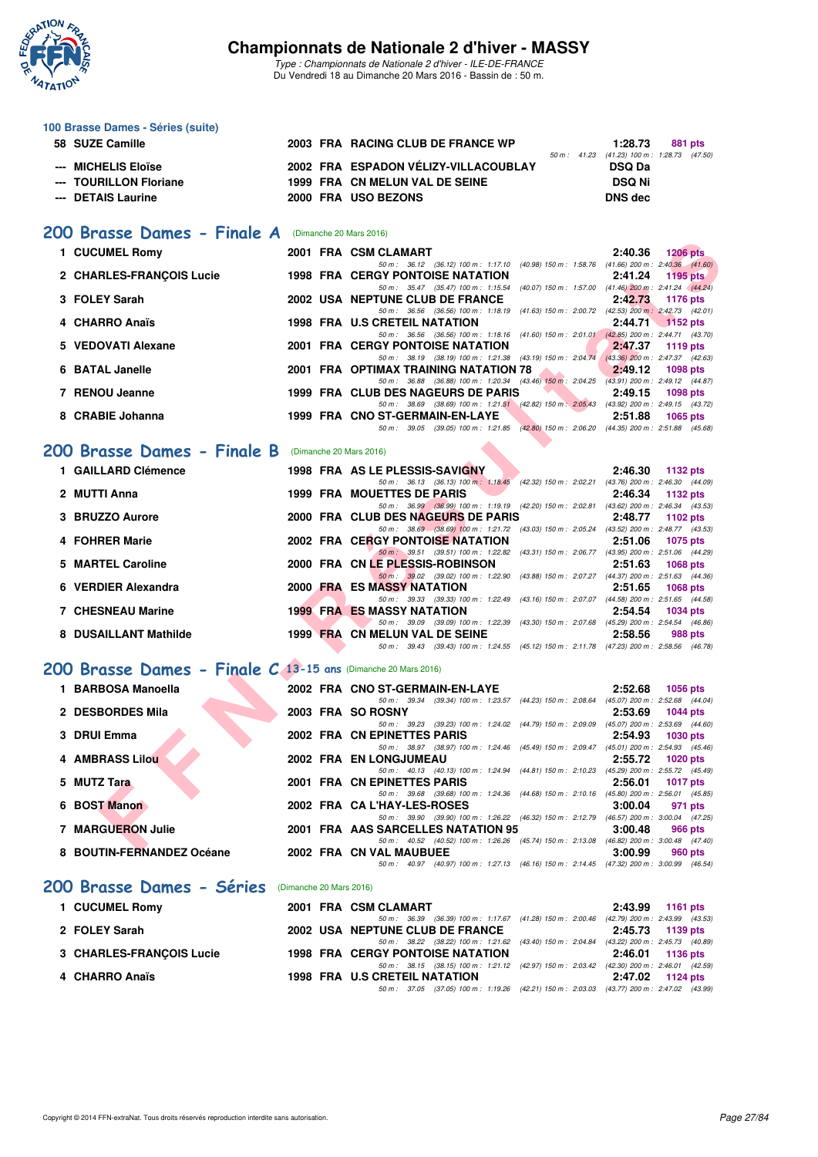

*Type : Championnats de Nationale 2 d'hiver - ILE-DE-FRANCE* Du Vendredi 18 au Dimanche 20 Mars 2016 - Bassin de : 50 m.

#### **100 Brasse Dames - Séries (suite) 58 SUZE Camille 2003 FRA RACING CLUB DE FRANCE WP 1:28.73 881 pts** *50 m : 41.23 (41.23) 100 m : 1:28.73 (47.50)* --- MICHELIS Eloïse **2002 FRA ESPADON VÉLIZY-VILLACOUBLAY --- TOURILLON Floriane 1999 FRA CN MELUN VAL DE SEINE DSQ Ni --- DETAIS Laurine 2000 FRA USO BEZONS DNS dec**

#### **[200 Brasse Dames - Finale A](http://www.ffnatation.fr/webffn/resultats.php?idact=nat&go=epr&idcpt=37307&idepr=23)** (Dimanche 20 Mars 2016)

| 1 CUCUMEL Romy                                               |  | 2001 FRA CSM CLAMART                                                                                                                                 | 2:40.36 | <b>1206 pts</b> |
|--------------------------------------------------------------|--|------------------------------------------------------------------------------------------------------------------------------------------------------|---------|-----------------|
| 2 CHARLES-FRANÇOIS Lucie                                     |  | 50 m: 36.12 (36.12) 100 m: 1:17.10 (40.98) 150 m: 1:58.76 (41.66) 200 m: 2:40.36 (41.60)<br><b>1998 FRA CERGY PONTOISE NATATION</b>                  | 2:41.24 | 1195 pts        |
|                                                              |  | 50 m: 35.47 (35.47) 100 m: 1:15.54 (40.07) 150 m: 1:57.00 (41.46) 200 m: 2:41.24 (44.24)                                                             |         |                 |
| 3 FOLEY Sarah                                                |  | 2002 USA NEPTUNE CLUB DE FRANCE                                                                                                                      | 2:42.73 | <b>1176 pts</b> |
|                                                              |  | 50 m: 36.56 (36.56) 100 m: 1:18.19 (41.63) 150 m: 2:00.72 (42.53) 200 m: 2:42.73 (42.01)                                                             |         |                 |
| 4 CHARRO Anaïs                                               |  | 1998 FRA U.S CRETEIL NATATION<br>50 m: 36.56 (36.56) 100 m: 1:18.16 (41.60) 150 m: 2:01.01 (42.85) 200 m: 2:44.71 (43.70)                            | 2:44.71 | <b>1152 pts</b> |
| 5 VEDOVATI Alexane                                           |  | <b>2001 FRA CERGY PONTOISE NATATION</b>                                                                                                              | 2:47.37 | 1119 pts        |
|                                                              |  | 50 m: 38.19 (38.19) 100 m: 1:21.38 (43.19) 150 m: 2:04.74 (43.36) 200 m: 2:47.37 (42.63)                                                             |         |                 |
| 6 BATAL Janelle                                              |  | 2001 FRA OPTIMAX TRAINING NATATION 78                                                                                                                | 2:49.12 | 1098 pts        |
| 7 RENOU Jeanne                                               |  | 50 m: 36.88 (36.88) 100 m: 1:20.34 (43.46) 150 m: 2:04.25 (43.91) 200 m: 2:49.12 (44.87)<br>1999 FRA CLUB DES NAGEURS DE PARIS                       | 2:49.15 |                 |
|                                                              |  | 50 m: 38.69 (38.69) 100 m: 1:21.51 (42.82) 150 m: 2:05.43 (43.92) 200 m: 2:49.15 (43.72)                                                             |         | 1098 pts        |
| 8 CRABIE Johanna                                             |  | 1999 FRA CNO ST-GERMAIN-EN-LAYE                                                                                                                      | 2:51.88 | 1065 pts        |
|                                                              |  | 50 m: 39.05 (39.05) 100 m: 1:21.85 (42.80) 150 m: 2:06.20 (44.35) 200 m: 2:51.88 (45.68)                                                             |         |                 |
| <b>00 Brasse Dames - Finale B</b> (Dimanche 20 Mars 2016)    |  |                                                                                                                                                      |         |                 |
|                                                              |  |                                                                                                                                                      |         |                 |
| 1 GAILLARD Clémence                                          |  | 1998 FRA AS LE PLESSIS-SAVIGNY                                                                                                                       | 2:46.30 | 1132 pts        |
| 2 MUTTI Anna                                                 |  | 50 m: 36.13 (36.13) 100 m: 1:18.45 (42.32) 150 m: 2:02.21 (43.76) 200 m: 2:46.30 (44.09)<br><b>1999 FRA MOUETTES DE PARIS</b>                        | 2:46.34 | 1132 pts        |
|                                                              |  | 50 m: 36.99 (36.99) 100 m: 1:19.19 (42.20) 150 m: 2:02.81 (43.62) 200 m: 2:46.34 (43.53)                                                             |         |                 |
| 3 BRUZZO Aurore                                              |  | 2000 FRA CLUB DES NAGEURS DE PARIS                                                                                                                   | 2:48.77 | 1102 pts        |
|                                                              |  | 50 m: 38.69 (38.69) 100 m: 1:21.72 (43.03) 150 m: 2:05.24 (43.52) 200 m: 2:48.77 (43.53)                                                             |         |                 |
| 4 FOHRER Marie                                               |  | <b>2002 FRA CERGY PONTOISE NATATION</b>                                                                                                              | 2:51.06 | <b>1075 pts</b> |
| 5 MARTEL Caroline                                            |  | 50 m: 39.51 (39.51) 100 m: 1:22.82 (43.31) 150 m: 2:06.77 (43.95) 200 m: 2:51.06 (44.29)<br>2000 FRA CN LE PLESSIS-ROBINSON                          | 2:51.63 | 1068 pts        |
|                                                              |  | 50 m: 39.02 (39.02) 100 m: 1:22.90 (43.88) 150 m: 2:07.27 (44.37) 200 m: 2:51.63 (44.36)                                                             |         |                 |
| 6 VERDIER Alexandra                                          |  | 2000 FRA ES MASSY NATATION                                                                                                                           | 2:51.65 | <b>1068 pts</b> |
|                                                              |  | 50 m: 39.33 (39.33) 100 m: 1:22.49 (43.16) 150 m: 2:07.07 (44.58) 200 m: 2:51.65 (44.58)                                                             |         |                 |
| <b>7 CHESNEAU Marine</b>                                     |  | <b>1999 FRA ES MASSY NATATION</b><br>50 m: 39.09 (39.09) 100 m: 1:22.39 (43.30) 150 m: 2:07.68 (45.29) 200 m: 2:54.54 (46.86)                        | 2:54.54 | <b>1034 pts</b> |
| 8 DUSAILLANT Mathilde                                        |  | 1999 FRA CN MELUN VAL DE SEINE                                                                                                                       | 2:58.56 | 988 pts         |
|                                                              |  | 50 m: 39.43 (39.43) 100 m: 1:24.55 (45.12) 150 m: 2:11.78 (47.23) 200 m: 2:58.56 (46.78)                                                             |         |                 |
| 00 Brasse Dames - Finale C 13-15 ans (Dimanche 20 Mars 2016) |  |                                                                                                                                                      |         |                 |
|                                                              |  |                                                                                                                                                      |         |                 |
| 1 BARBOSA Manoella                                           |  | 2002 FRA CNO ST-GERMAIN-EN-LAYE                                                                                                                      | 2:52.68 | 1056 pts        |
| 2 DESBORDES Mila                                             |  | 50 m: 39.34 (39.34) 100 m: 1:23.57 (44.23) 150 m: 2:08.64 (45.07) 200 m: 2:52.68 (44.04)<br>2003 FRA SO ROSNY                                        | 2:53.69 |                 |
|                                                              |  | 50 m: 39.23 (39.23) 100 m: 1:24.02 (44.79) 150 m: 2:09.09 (45.07) 200 m: 2:53.69 (44.60)                                                             |         | <b>1044 pts</b> |
| 3 DRUI Emma                                                  |  | 2002 FRA CN EPINETTES PARIS                                                                                                                          | 2:54.93 | <b>1030 pts</b> |
|                                                              |  | 50 m: 38.97 (38.97) 100 m: 1:24.46 (45.49) 150 m: 2:09.47 (45.01) 200 m: 2:54.93 (45.46)                                                             |         |                 |
| <b>4 AMBRASS Lilou</b>                                       |  | 2002 FRA EN LONGJUMEAU                                                                                                                               | 2:55.72 | <b>1020 pts</b> |
| 5 MUTZ Tara                                                  |  | 50 m: 40.13 (40.13) 100 m: 1:24.94 (44.81) 150 m: 2:10.23 (45.29) 200 m: 2:55.72 (45.49)<br>2001 FRA CN EPINETTES PARIS                              | 2:56.01 | <b>1017 pts</b> |
|                                                              |  | 50 m: 39.68 (39.68) 100 m: 1:24.36 (44.68) 150 m: 2:10.16 (45.80) 200 m: 2:56.01 (45.85)                                                             |         |                 |
| 6 BOST Manon                                                 |  | 2002 FRA CAL'HAY-LES-ROSES                                                                                                                           | 3:00.04 | 971 pts         |
|                                                              |  | 50 m: 39.90 (39.90) 100 m: 1:26.22 (46.32) 150 m: 2:12.79 (46.57) 200 m: 3:00.04 (47.25)                                                             |         |                 |
| 7 MARGUERON Julie                                            |  | 2001 FRA AAS SARCELLES NATATION 95                                                                                                                   | 3:00.48 | 966 pts         |
| $\Omega$ DOUTIN EEDMANDEZ Osásna                             |  | 50 m: 40.52 (40.52) 100 m: 1:26.26 (45.74) 150 m: 2:13.08 (46.82) 200 m: 3:00.48 (47.40)<br>0000 EDA ON VALUATIOUEE<br>$\sim$ 0.00 00 $\sim$ 0.00 00 |         | $000 - 4$       |

#### **[200 Brasse Dames - Finale B](http://www.ffnatation.fr/webffn/resultats.php?idact=nat&go=epr&idcpt=37307&idepr=23)** (Dimanche 20 Mars 2016)

| 1 GAILLARD Clémence      |          | 1998 FRA AS LE PLESSIS-SAVIGNY          |                                    |                                                                                          | 2:46.30                             | 1132 pts        |                 |
|--------------------------|----------|-----------------------------------------|------------------------------------|------------------------------------------------------------------------------------------|-------------------------------------|-----------------|-----------------|
|                          |          |                                         |                                    | 50 m: 36.13 (36.13) 100 m: 1:18.45 (42.32) 150 m: 2:02.21                                | (43.76) 200 m : 2:46.30 (44.09)     |                 |                 |
| 2 MUTTI Anna             |          | 1999 FRA MOUETTES DE PARIS              |                                    |                                                                                          | 2:46.34                             |                 | 1132 $p$ ts     |
|                          |          |                                         |                                    | 50 m : 36.99 (36.99) 100 m : 1:19.19 (42.20) 150 m : 2:02.81                             | $(43.62)$ 200 m : 2:46.34 $(43.53)$ |                 |                 |
| 3 BRUZZO Aurore          |          | 2000 FRA CLUB DES NAGEURS DE PARIS      |                                    |                                                                                          | 2:48.77                             |                 | 1102 $pts$      |
|                          |          |                                         | 50 m: 38.69 (38.69) 100 m: 1:21.72 | (43.03) 150 m : 2:05.24                                                                  | (43.52) 200 m : 2:48.77 (43.53)     |                 |                 |
| 4 FOHRER Marie           |          | <b>2002 FRA CERGY PONTOISE NATATION</b> |                                    |                                                                                          | 2:51.06                             |                 | 1075 pts        |
|                          |          |                                         | 50 m: 39.51 (39.51) 100 m: 1:22.82 | $(43.31)$ 150 m : 2:06.77                                                                | (43.95) 200 m: 2:51.06 (44.29)      |                 |                 |
| 5 MARTEL Caroline        |          | 2000 FRA CN LE PLESSIS-ROBINSON         |                                    |                                                                                          | 2:51.63                             |                 | $1068$ pts      |
|                          |          |                                         |                                    | 50 m : 39.02 (39.02) 100 m : 1:22.90 (43.88) 150 m : 2:07.27                             | $(44.37)$ 200 m : 2:51.63 $(44.36)$ |                 |                 |
| 6 VERDIER Alexandra      |          | 2000 FRA ES MASSY NATATION              |                                    |                                                                                          | 2:51.65                             |                 | <b>1068 pts</b> |
|                          |          |                                         | 50 m: 39.33 (39.33) 100 m: 1:22.49 | (43.16) 150 m : 2:07.07                                                                  | $(44.58)$ 200 m : 2:51.65 $(44.58)$ |                 |                 |
| <b>7 CHESNEAU Marine</b> |          | <b>1999 FRA ES MASSY NATATION</b>       |                                    |                                                                                          | 2:54.54                             | <b>1034 pts</b> |                 |
|                          |          |                                         | 50 m: 39.09 (39.09) 100 m: 1:22.39 | (43.30) 150 m : 2:07.68                                                                  | $(45.29)$ 200 m : 2:54.54 $(46.86)$ |                 |                 |
| 8 DUSAILLANT Mathilde    | 1999 FRA | <b>CN MELUN VAL DE SEINE</b>            |                                    |                                                                                          | 2:58.56                             |                 | 988 pts         |
|                          |          |                                         |                                    | 50 m: 39.43 (39.43) 100 m: 1:24.55 (45.12) 150 m: 2:11.78 (47.23) 200 m: 2:58.56 (46.78) |                                     |                 |                 |

#### **[200 Brasse Dames - Finale C](http://www.ffnatation.fr/webffn/resultats.php?idact=nat&go=epr&idcpt=37307&idepr=23) 13-15 ans** (Dimanche 20 Mars 2016)

| 1 BARBOSA Manoella        |  | 2002 FRA CNO ST-GERMAIN-EN-LAYE                                                          | 2:52.68 | 1056 pts                            |
|---------------------------|--|------------------------------------------------------------------------------------------|---------|-------------------------------------|
|                           |  | 50 m: 39.34 (39.34) 100 m: 1:23.57 (44.23) 150 m: 2:08.64                                |         | $(45.07)$ 200 m : 2:52.68 $(44.04)$ |
| 2 DESBORDES Mila          |  | 2003 FRA SO ROSNY                                                                        | 2:53.69 | 1044 pts                            |
|                           |  | 50 m : 39.23 (39.23) 100 m : 1:24.02 (44.79) 150 m : 2:09.09                             |         | $(45.07)$ 200 m : 2:53.69 $(44.60)$ |
| 3 DRUI Emma               |  | 2002 FRA CN EPINETTES PARIS                                                              | 2:54.93 | 1030 pts                            |
|                           |  | 50 m: 38.97 (38.97) 100 m: 1:24.46 (45.49) 150 m: 2:09.47                                |         | $(45.01)$ 200 m : 2:54.93 $(45.46)$ |
| 4 AMBRASS Lilou           |  | 2002 FRA EN LONGJUMEAU                                                                   | 2:55.72 | 1020 pts                            |
|                           |  | 50 m: 40.13 (40.13) 100 m: 1:24.94 (44.81) 150 m: 2:10.23 (45.29) 200 m: 2:55.72 (45.49) |         |                                     |
| 5 MUTZ Tara               |  | 2001 FRA CN EPINETTES PARIS                                                              | 2:56.01 | 1017 pts                            |
|                           |  | 50 m: 39.68 (39.68) 100 m: 1:24.36 (44.68) 150 m: 2:10.16                                |         | $(45.80)$ 200 m : 2:56.01 $(45.85)$ |
| 6 BOST Manon              |  | 2002 FRA CA L'HAY-LES-ROSES                                                              | 3:00.04 | 971 pts                             |
|                           |  | 50 m: 39.90 (39.90) 100 m: 1:26.22 (46.32) 150 m: 2:12.79 (46.57) 200 m: 3:00.04 (47.25) |         |                                     |
| 7 MARGUERON Julie         |  | 2001 FRA AAS SARCELLES NATATION 95                                                       | 3:00.48 | <b>966 pts</b>                      |
|                           |  | 50 m : 40.52 (40.52) 100 m : 1:26.26 (45.74) 150 m : 2:13.08                             |         | $(46.82)$ 200 m : 3:00.48 $(47.40)$ |
| 8 BOUTIN-FERNANDEZ Océane |  | 2002 FRA CN VAL MAUBUEE                                                                  | 3:00.99 | 960 pts                             |
|                           |  | 50 m: 40.97 (40.97) 100 m: 1:27.13 (46.16) 150 m: 2:14.45 (47.32) 200 m: 3:00.99 (46.54) |         |                                     |

#### **[200 Brasse Dames - Séries](http://www.ffnatation.fr/webffn/resultats.php?idact=nat&go=epr&idcpt=37307&idepr=23)** (Dimanche 20 Mars 2016)

| 1 CUCUMEL Romy           |  | 2001 FRA CSM CLAMART                                                                                                                                                                                                        |  | 2:43.99 1161 pts |
|--------------------------|--|-----------------------------------------------------------------------------------------------------------------------------------------------------------------------------------------------------------------------------|--|------------------|
| 2 FOLEY Sarah            |  | 50 m: 36.39 (36.39) 100 m: 1:17.67 (41.28) 150 m: 2:00.46 (42.79) 200 m: 2:43.99 (43.53,<br>2002 USA NEPTUNE CLUB DE FRANCE                                                                                                 |  | 2:45.73 1139 pts |
| 3 CHARLES-FRANCOIS Lucie |  | 50 m: 38.22 (38.22) 100 m: 1.21.62 (43.40) 150 m: 2.04.84 (43.22) 200 m: 2.45.73 (40.89,<br><b>1998 FRA CERGY PONTOISE NATATION</b>                                                                                         |  | 2:46.01 1136 pts |
| 4 CHARRO Anaïs           |  | 50 m: 38.15 (38.15) 100 m: 1.21.12 (42.97) 150 m: 2.03.42 (42.30) 200 m: 2.46.01 (42.59,<br><b>1998 FRA U.S CRETEIL NATATION</b><br>50 m: 37.05 (37.05) 100 m: 1:19.26 (42.21) 150 m: 2:03.03 (43.77) 200 m: 2:47.02 (43.99 |  | 2:47.02 1124 pts |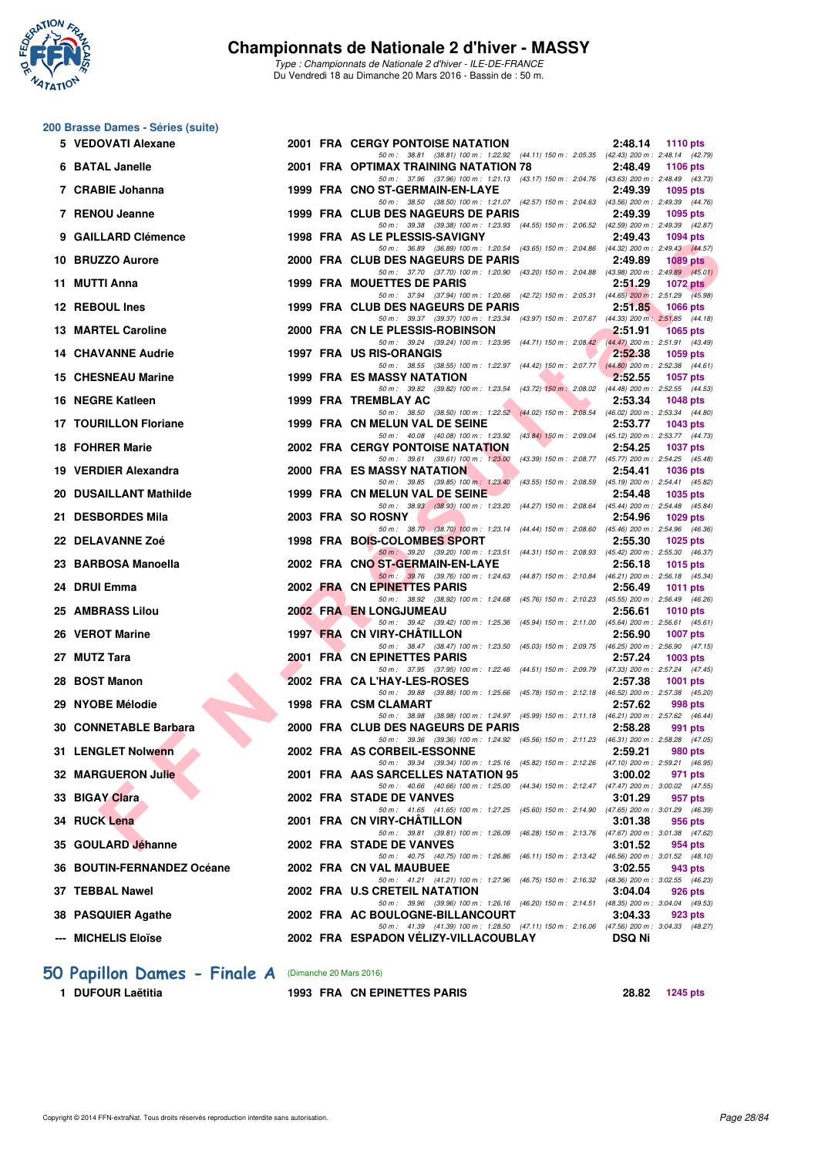

**200 Brasse Dames - Séries (suite)**

#### **Championnats de Nationale 2 d'hiver - MASSY**

*Type : Championnats de Nationale 2 d'hiver - ILE-DE-FRANCE* Du Vendredi 18 au Dimanche 20 Mars 2016 - Bassin de : 50 m.

#### **FIND CHE ALLART MINING 2000 FRA CHE STAGS WATER DE PARIS CHE PARTICUSES AND CHE ALLAR TIS AND CHE ALLAR TIS AND CHE ALLAR TIS AND CHE ALLAR TIS AND CHE ALLAR TIS AND CHE ALLAR TIS AND CHE ALLAR TIS AND CHE ALLAR TIS AND 5 VEDOVATI Alexane** 2001 FRA CERGY PONTOISE NATATION 2:48.14 1110 pts<br>  $50 m : 38.81 (38.81) 100 m : 1:22.92 (44.11) 150 m : 2:05.35 (42.43) 200 m : 2:48.14 (42.79)$ *50 m : 38.81 (38.81) 100 m : 1:22.92* **6 BATAL Janelle** 2001 FRA OPTIMAX TRAINING NATATION 78 2:48.49 1106 pts<br>  $\frac{50 \text{ m}}{50 \text{ m}}$ , 37.96 (37.96) 100 m; 12.13 (43.17) 150 m; 2:0476 (43.63) 200 m; 2:48.49 (43.73) *50 m : 37.96 (37.96) 100 m : 1:21.13 (43.17) 150 m : 2:04.76 (43.63) 200 m : 2:48.49 (43.73)* **7 CRABIE Johanna 1999 FRA CNO ST-GERMAIN-EN-LAYE 2:49.39 1095 pts** *50 m : 38.50 (38.50) 100 m : 1:21.07 (42.57) 150 m : 2:04.63 (43.56) 200 m : 2:49.39 (44.76)* **7 RENOU Jeanne 1999 FRA CLUB DES NAGEURS DE PARIS 2:49.39 1095 pts** *50 m : 39.38 (39.38) 100 m : 1:23.93 (44.55) 150 m : 2:06.52 (42.59) 200 m : 2:49.39 (42.87)* **9 GAILLARD Clémence 1998 FRA AS LE PLESSIS-SAVIGNY 2:49.43 1094 pts** *50 m : 36.89 (36.89) 100 m : 1:20.54 (43.65) 150 m : 2:04.86 (44.32) 200 m : 2:49.43 (44.57)* **10 BRUZZO Aurore 2000 FRA CLUB DES NAGEURS DE PARIS 2:49.89 1089 pts** *50 m : 37.70 (37.70) 100 m : 1:20.90 (43.20) 150 m : 2:04.88 (43.98) 200 m : 2:49.89 (45.01)* **11 MUTTI Anna 1999 FRA MOUETTES DE PARIS 2:51.29 1072 pts** *50 m : 37.94 (37.94) 100 m : 1:20.66 (42.72) 150 m : 2:05.31 (44.65) 200 m : 2:51.29 (45.98)* **12 REBOUL Ines 1999 FRA CLUB DES NAGEURS DE PARIS 2:51.85 1066 pts** *50 m : 39.37 (39.37) 100 m : 1:23.34 (43.97) 150 m : 2:07.67 (44.33) 200 m : 2:51.85 (44.18)* **13 MARTEL Caroline** 2000 FRA CN LE PLESSIS-ROBINSON 2:51.91 1065 pts<br>
<sup>50 m:</sup> 39.24 (39.24) 100 m: 1:23.95 (44.71) 150 m: 2:08.42 (44.47) 200 m: 2:51.91 (43.49) *50 m : 39.24 (39.24) 100 m : 1:23.95 (44.71) 150 m : 2:08.42* **14 CHAVANNE Audrie 1997 FRA US RIS-ORANGIS 2:52.38 1059 pts** *50 m : 38.55 (38.55) 100 m : 1:22.97 (44.42) 150 m : 2:07.77 (44.80) 200 m : 2:52.38 (44.61)* **15 CHESNEAU Marine 1999 FRA ES MASSY NATATION 2:52.55 1057 pts** *50 m : 39.82 (39.82) 100 m : 1:23.54 (43.72) 150 m : 2:08.02 (44.48) 200 m : 2:52.55 (44.53)* **16 NEGRE Katleen** 1999 FRA TREMBLAY AC 2:53.34 **1048 pts** 2:53.34 **1048 pts** 2:53.34 **1048 pts** 200  $\frac{253.34}{(44.02)}$  150 m; 1:22.52 **(44.02)** 150 m; 2:08.54 **(46.02)** 200 m; 2:53.34 **(44.02)** *50 m : 38.50 (38.50) 100 m : 1:22.52 (44.02) 150 m : 2:08.54 (46.02) 200 m : 2:53.34 (44.80)* **17 TOURILLON Floriane 1999 FRA CN MELUN VAL DE SEINE 2:53.77 1043 pts** *50 m : 40.08 (40.08) 100 m : 1:23.92 (43.84) 150 m : 2:09.04 (45.12) 200 m : 2:53.77 (44.73)* **18 FOHRER Marie 2002 FRA CERGY PONTOISE NATATION** 2:54.25 1037 pts<br>
<sup>50 50 19961 109 m: 39.61</sup> (39.61) 100 m: 1:23.00 (43.39) 150 m: 2:08.77 (45.77) 200 m: 2:54.25 (45.48) *50 m : 39.61 (39.61) 100 m : 1:23.00* **19 VERDIER Alexandra 2000 FRA ES MASSY NATATION 2:54.41 1036 pts** *50 m : 39.85 (39.85) 100 m : 1:23.40 (43.55) 150 m : 2:08.59 (45.19) 200 m : 2:54.41 (45.82)* **20 DUSAILLANT Mathilde 1999 FRA CN MELUN VAL DE SEINE 2:54.48 1035 pts** *50 m : 38.93 (38.93) 100 m : 1:23.20 (44.27) 150 m : 2:08.64 (45.44) 200 m : 2:54.48 (45.84)* <br>**2:54.96 1029 pts** 21 DESBORDES Mila 2003 FRA SO ROSNY *50 m : 38.70 (38.70) 100 m : 1:23.14 (44.44) 150 m : 2:08.60 (45.46) 200 m : 2:54.96 (46.36)* **22 DELAVANNE Zoé 1998 FRA BOIS-COLOMBES SPORT 2:55.30 1025 pts** *50 m : 39.20 (39.20) 100 m : 1:23.51 (44.31) 150 m : 2:08.93 (45.42) 200 m : 2:55.30 (46.37)* **23 BARBOSA Manoella 2002 FRA CNO ST-GERMAIN-EN-LAYE 2:56.18 1015 pts** *50 m : 39.76 (39.76) 100 m : 1:24.63 (44.87) 150 m : 2:10.84 (46.21) 200 m : 2:56.18 (45.34)* **24 DRUI Emma 2002 FRA CN EPINETTES PARIS 2:56.49 1011 pts** *50 m : 38.92 (38.92)* 100 m : 1:24.68 (45.76) 150 m : 2:10.23 (45.55) 200 m : 2:56.49 (46.26)<br>**DNG.ILIMEAU 25 AMBRASS Lilou 2002 FRA EN LONGJUMEAU 2:56.61 1010 pts** *50 m : 39.42 (39.42) 100 m : 1:25.36 (45.94) 150 m : 2:11.00 (45.64) 200 m : 2:56.61 (45.61)*<br> **IRY-CHÂTILLON** 2:56.90 1007 pts **26 VEROT Marine 1997 FRA CN VIRY-CHÂTILLON 2:56.90 1997 PRA CN VIRY-CHÂTILLON** *50 m : 38.47 (38.47) 100 m : 1:23.50 (45.03) 150 m : 2:09.75 (46.25) 200 m : 2:56.90 (47.15)* **27 MUTZ Tara 2001 FRA CN EPINETTES PARIS 2:57.24 1003 pts** *50 m : 37.95 (37.95) 100 m : 1:22.46 (44.51) 150 m : 2:09.79 (47.33) 200 m : 2:57.24 (47.45)* **28 BOST Manon 2002 FRA CA L'HAY-LES-ROSES 2:57.38 1001 pts** *50 m : 39.88 (39.88) 100 m : 1:25.66 (45.78) 150 m : 2:12.18 (46.52) 200 m : 2:57.38 (45.20)* **29 NYOBE Mélodie 1998 FRA CSM CLAMART 2:57.62 998 pts** *50 m : 38.98 (38.98) 100 m : 1:24.97 (45.99) 150 m : 2:11.18 (46.21) 200 m : 2:57.62 (46.44)* **30 CONNETABLE Barbara 2000 FRA CLUB DES NAGEURS DE PARIS 2:58.28 991 pts** *50 m : 39.36 (39.36) 100 m : 1:24.92 (45.56) 150 m : 2:11.23 (46.31) 200 m : 2:58.28 (47.05)* **31 LENGLET Nolwenn 2002 FRA AS CORBEIL-ESSONNE 2:59.21 980 pts** *50 m : 39.34 (39.34) 100 m : 1:25.16 (45.82) 150 m : 2:12.26 (47.10) 200 m : 2:59.21 (46.95)* **32 MARGUERON Julie** 2001 FRA AAS SARCELLES NATATION 95 3:00.02 971 pts<br>
<sup>50 m:</sup> 40.66 (40.66) 100 m: 1:25.00 (44.34) 150 m: 2:12.47 (47.47) 200 m: 3:00.02 (47.55) *50 m : 40.66 (40.66) 100 m : 1:25.00 (44.34) 150 m : 2:12.47 (47.47) 200 m : 3:00.02 (47.55)* **33 BIGAY Clara 2002 FRA STADE DE VANVES 3:01.29 957 pts** *50 m : 41.65 (41.65) 100 m : 1:27.25 (45.60) 150 m : 2:14.90 (47.65) 200 m : 3:01.29 (46.39)* **34 RUCK Lena** 2001 FRA CN VIRY-CHÂTILLON 3:01.38 956 pts<br>  $\frac{50 \text{ m} \cdot 39.81 \cdot (39.81) \cdot 100 \text{ m} \cdot 1.26.09}{50 \text{ m} \cdot 3.81 \cdot (39.81) \cdot 100 \text{ m} \cdot 1.26.09 \cdot (46.28) \cdot 150 \text{ m} \cdot 2.13.76 \cdot (47.67) \cdot 200 \text{ m} \cdot 3.01.38 \cdot (47.62)$ *50 m : 39.81 (39.81) 100 m : 1:26.09 (46.28) 150 m : 2:13.76 (47.67) 200 m : 3:01.38 (47.62)* **35 GOULARD Jéhanne** 2002 FRA STADE DE VANVES 3:01.52 **3:01.52** 954 pts<br>50 m: 40.75 100 m: 126.86 (46.11) 150 m: 2:13.42 (46.56) 200 m: 130.1.52 (48.1 *50 m : 40.75 (40.75) 100 m : 1:26.86 (46.11) 150 m : 2:13.42 (46.56) 200 m : 3:01.52 (48.10)* **36 BOUTIN-FERNANDEZ Océane** 2002 FRA CN VAL MAUBUEE 3:02.55 343 pts<br>  $\frac{50 \text{ m} \cdot 41.21}{50 \text{ m} \cdot 41.21}$  (41.21) 100 m: 1:27.96 (46.75) 150 m: 2:16.32 (48.36) 200 m: 3:02.55 (46.25) *50 m : 41.21 (41.21) 100 m : 1:27.96 (46.75) 150 m : 2:16.32 (48.36) 200 m : 3:02.55 (46.23)* **37 TEBBAL Nawel 2002 FRA U.S CRETEIL NATATION 3:04.04 926 pts** *50 m : 39.96 (39.96) 100 m : 1:26.16 (46.20) 150 m : 2:14.51 (48.35) 200 m : 3:04.04 (49.53)* **38 PASQUIER Agathe 2002 FRA AC BOULOGNE-BILLANCOURT 3:04.33 923 pts** *50 m : 41.39 (41.39) 100 m : 1:28.50 (47.11) 150 m : 2:16.06 (47.56) 200 m : 3:04.33 (48.27)* **--- MICHELIS Eloïse 2002 FRA ESPADON VÉLIZY-VILLACOUBLAY DSQ Ni**

#### **[50 Papillon Dames - Finale A](http://www.ffnatation.fr/webffn/resultats.php?idact=nat&go=epr&idcpt=37307&idepr=31)** (Dimanche 20 Mars 2016)

**1 DUFOUR Laëtitia 1993 FRA CN EPINETTES PARIS 28.82 1245 pts**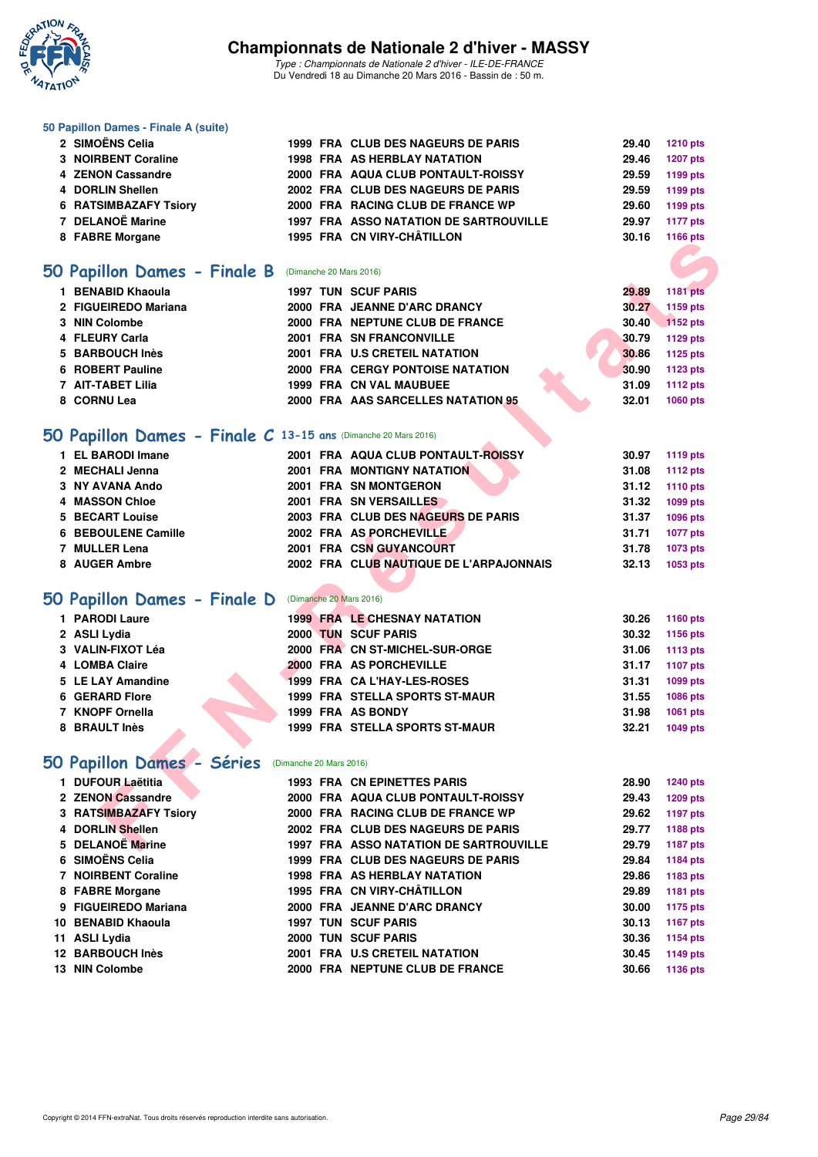

*Type : Championnats de Nationale 2 d'hiver - ILE-DE-FRANCE* Du Vendredi 18 au Dimanche 20 Mars 2016 - Bassin de : 50 m.

#### **50 Papillon Dames - Finale A (suite)**

| 2 SIMOËNS Celia              |  | 1999 FRA CLUB DES NAGEURS DE PARIS            | 29.40 | <b>1210 pts</b> |
|------------------------------|--|-----------------------------------------------|-------|-----------------|
| 3 NOIRBENT Coraline          |  | 1998 FRA AS HERBLAY NATATION                  | 29.46 | 1207 pts        |
| 4 ZENON Cassandre            |  | 2000 FRA AQUA CLUB PONTAULT-ROISSY            | 29.59 | 1199 pts        |
| 4 DORLIN Shellen             |  | 2002 FRA CLUB DES NAGEURS DE PARIS            | 29.59 | 1199 pts        |
| <b>6 RATSIMBAZAFY Tsiory</b> |  | 2000 FRA RACING CLUB DE FRANCE WP             | 29.60 | 1199 pts        |
| 7 DELANOË Marine             |  | <b>1997 FRA ASSO NATATION DE SARTROUVILLE</b> | 29.97 | <b>1177 pts</b> |
| 8 FABRE Morgane              |  | 1995 FRA CN VIRY-CHÂTILLON                    | 30.16 | 1166 pts        |

### **[50 Papillon Dames - Finale B](http://www.ffnatation.fr/webffn/resultats.php?idact=nat&go=epr&idcpt=37307&idepr=31)** (Dimanche 20 Mars 2016)

| 1 BENABID Khaoula    |  | <b>1997 TUN SCUF PARIS</b>              |  | 29.89 | 1181 pts |
|----------------------|--|-----------------------------------------|--|-------|----------|
| 2 FIGUEIREDO Mariana |  | 2000 FRA JEANNE D'ARC DRANCY            |  | 30.27 | 1159 pts |
| 3 NIN Colombe        |  | 2000 FRA NEPTUNE CLUB DE FRANCE         |  | 30.40 | 1152 pts |
| 4 FLEURY Carla       |  | 2001 FRA SN FRANCONVILLE                |  | 30.79 | 1129 pts |
| 5 BARBOUCH Inès      |  | 2001 FRA U.S CRETEIL NATATION           |  | 30.86 | 1125 pts |
| 6 ROBERT Pauline     |  | <b>2000 FRA CERGY PONTOISE NATATION</b> |  | 30.90 | 1123 pts |
| 7 AIT-TABET Lilia    |  | <b>1999 FRA CN VAL MAUBUEE</b>          |  | 31.09 | 1112 pts |
| 8 CORNU Lea          |  | 2000 FRA AAS SARCELLES NATATION 95      |  | 32.01 | 1060 pts |
|                      |  |                                         |  |       |          |

## **[50 Papillon Dames - Finale C](http://www.ffnatation.fr/webffn/resultats.php?idact=nat&go=epr&idcpt=37307&idepr=31) 13-15 ans** (Dimanche 20 Mars 2016)

| <b>0 FADRE MUIGAILE</b>                                        |                         |                                               |       | <b>TIOU DIS</b> |
|----------------------------------------------------------------|-------------------------|-----------------------------------------------|-------|-----------------|
|                                                                |                         |                                               |       |                 |
| 50 Papillon Dames - Finale B                                   |                         | (Dimanche 20 Mars 2016)                       |       |                 |
| 1 BENABID Khaoula                                              |                         | <b>1997 TUN SCUF PARIS</b>                    | 29.89 | <b>1181 pts</b> |
| 2 FIGUEIREDO Mariana                                           |                         | 2000 FRA JEANNE D'ARC DRANCY                  | 30.27 | 1159 pts        |
| 3 NIN Colombe                                                  |                         | 2000 FRA NEPTUNE CLUB DE FRANCE               | 30.40 | 1152 pts        |
| 4 FLEURY Carla                                                 |                         | 2001 FRA SN FRANCONVILLE                      | 30.79 | 1129 pts        |
| 5 BARBOUCH Inès                                                |                         | 2001 FRA U.S CRETEIL NATATION                 | 30.86 | 1125 pts        |
| 6 ROBERT Pauline                                               |                         | 2000 FRA CERGY PONTOISE NATATION              | 30.90 | 1123 pts        |
| 7 AIT-TABET Lilia                                              |                         | 1999 FRA CN VAL MAUBUEE                       | 31.09 | 1112 pts        |
| 8 CORNU Lea                                                    |                         | 2000 FRA AAS SARCELLES NATATION 95            | 32.01 | 1060 pts        |
|                                                                |                         |                                               |       |                 |
| 50 Papillon Dames - Finale C 13-15 ans (Dimanche 20 Mars 2016) |                         |                                               |       |                 |
| 1 EL BARODI Imane                                              |                         | 2001 FRA AQUA CLUB PONTAULT-ROISSY            | 30.97 | 1119 pts        |
| 2 MECHALI Jenna                                                |                         | <b>2001 FRA MONTIGNY NATATION</b>             | 31.08 | <b>1112 pts</b> |
| 3 NY AVANA Ando                                                |                         | 2001 FRA SN MONTGERON                         | 31.12 | 1110 pts        |
| 4 MASSON Chloe                                                 |                         | 2001 FRA SN VERSAILLES                        | 31.32 | 1099 pts        |
| 5 BECART Louise                                                |                         | 2003 FRA CLUB DES NAGEURS DE PARIS            | 31.37 | 1096 pts        |
| 6 BEBOULENE Camille                                            |                         | 2002 FRA AS PORCHEVILLE                       | 31.71 | <b>1077 pts</b> |
| 7 MULLER Lena                                                  |                         | 2001 FRA CSN GUYANCOURT                       | 31.78 | 1073 pts        |
| 8 AUGER Ambre                                                  |                         | 2002 FRA CLUB NAUTIQUE DE L'ARPAJONNAIS       | 32.13 | 1053 pts        |
|                                                                |                         |                                               |       |                 |
| 50 Papillon Dames - Finale D (Dimanche 20 Mars 2016)           |                         |                                               |       |                 |
| 1 PARODI Laure                                                 |                         | <b>1999 FRA LE CHESNAY NATATION</b>           | 30.26 | 1160 pts        |
| 2 ASLI Lydia                                                   |                         | 2000 TUN SCUF PARIS                           | 30.32 | 1156 pts        |
| 3 VALIN-FIXOT Léa                                              |                         | 2000 FRA CN ST-MICHEL-SUR-ORGE                | 31.06 | 1113 pts        |
| 4 LOMBA Claire                                                 |                         | 2000 FRA AS PORCHEVILLE                       | 31.17 | 1107 pts        |
| 5 LE LAY Amandine                                              |                         | 1999 FRA CA L'HAY-LES-ROSES                   | 31.31 | 1099 pts        |
| 6 GERARD Flore                                                 |                         | <b>1999 FRA STELLA SPORTS ST-MAUR</b>         | 31.55 | 1086 pts        |
| 7 KNOPF Ornella                                                |                         | 1999 FRA AS BONDY                             | 31.98 | 1061 pts        |
| 8 BRAULT Inès                                                  |                         | 1999 FRA STELLA SPORTS ST-MAUR                | 32.21 | 1049 pts        |
|                                                                |                         |                                               |       |                 |
| 50 Papillon Dames - Séries                                     | (Dimanche 20 Mars 2016) |                                               |       |                 |
| 1 DUFOUR Laëtitia                                              |                         | <b>1993 FRA CN EPINETTES PARIS</b>            | 28.90 | <b>1240 pts</b> |
| 2 ZENON Cassandre                                              |                         | 2000 FRA AQUA CLUB PONTAULT-ROISSY            | 29.43 | 1209 pts        |
| 3 RATSIMBAZAFY Tsiory                                          |                         | 2000 FRA RACING CLUB DE FRANCE WP             | 29.62 | 1197 pts        |
| 4 DORLIN Shellen                                               |                         | 2002 FRA CLUB DES NAGEURS DE PARIS            | 29.77 | 1188 pts        |
| 5 DELANOË Marine                                               |                         | <b>1997 FRA ASSO NATATION DE SARTROUVILLE</b> | 29.79 | 1187 pts        |

### **[50 Papillon Dames - Finale D](http://www.ffnatation.fr/webffn/resultats.php?idact=nat&go=epr&idcpt=37307&idepr=31)** (Dimanche 20 Mars 2016)

| 1 PARODI Laure    |  | <b>1999 FRA LE CHESNAY NATATION</b>   | 30.26 | 1160 pts       |
|-------------------|--|---------------------------------------|-------|----------------|
| 2 ASLI Lydia      |  | 2000 TUN SCUF PARIS                   | 30.32 | 1156 pts       |
| 3 VALIN-FIXOT Léa |  | 2000 FRA CN ST-MICHEL-SUR-ORGE        |       | 31.06 1113 pts |
| 4 LOMBA Claire    |  | 2000 FRA AS PORCHEVILLE               | 31.17 | 1107 pts       |
| 5 LE LAY Amandine |  | 1999 FRA CA L'HAY-LES-ROSES           | 31.31 | 1099 pts       |
| 6 GERARD Flore    |  | <b>1999 FRA STELLA SPORTS ST-MAUR</b> | 31.55 | 1086 pts       |
| 7 KNOPF Ornella   |  | 1999 FRA AS BONDY                     | 31.98 | 1061 pts       |
| 8 BRAULT Inès     |  | <b>1999 FRA STELLA SPORTS ST-MAUR</b> | 32.21 | 1049 pts       |

## **[50 Papillon Dames - Séries](http://www.ffnatation.fr/webffn/resultats.php?idact=nat&go=epr&idcpt=37307&idepr=31)** (Dimanche 20 Mars 2016)

| 1 DUFOUR Laëtitia            |  | <b>1993 FRA CN EPINETTES PARIS</b>            | 28.90 | 1240 pts |
|------------------------------|--|-----------------------------------------------|-------|----------|
| 2 ZENON Cassandre            |  | 2000 FRA AQUA CLUB PONTAULT-ROISSY            | 29.43 | 1209 pts |
| <b>3 RATSIMBAZAFY Tsiory</b> |  | 2000 FRA RACING CLUB DE FRANCE WP             | 29.62 | 1197 pts |
| 4 DORLIN Shellen             |  | 2002 FRA CLUB DES NAGEURS DE PARIS            | 29.77 | 1188 pts |
| 5 DELANOË Marine             |  | <b>1997 FRA ASSO NATATION DE SARTROUVILLE</b> | 29.79 | 1187 pts |
| 6 SIMOËNS Celia              |  | 1999 FRA CLUB DES NAGEURS DE PARIS            | 29.84 | 1184 pts |
| 7 NOIRBENT Coraline          |  | 1998 FRA AS HERBLAY NATATION                  | 29.86 | 1183 pts |
| 8 FABRE Morgane              |  | 1995 FRA CN VIRY-CHÂTILLON                    | 29.89 | 1181 pts |
| 9 FIGUEIREDO Mariana         |  | 2000 FRA JEANNE D'ARC DRANCY                  | 30.00 | 1175 pts |
| 10 BENABID Khaoula           |  | <b>1997 TUN SCUF PARIS</b>                    | 30.13 | 1167 pts |
| 11 ASLI Lydia                |  | 2000 TUN SCUF PARIS                           | 30.36 | 1154 pts |
| <b>12 BARBOUCH Inès</b>      |  | 2001 FRA U.S CRETEIL NATATION                 | 30.45 | 1149 pts |
| 13 NIN Colombe               |  | 2000 FRA NEPTUNE CLUB DE FRANCE               | 30.66 | 1136 pts |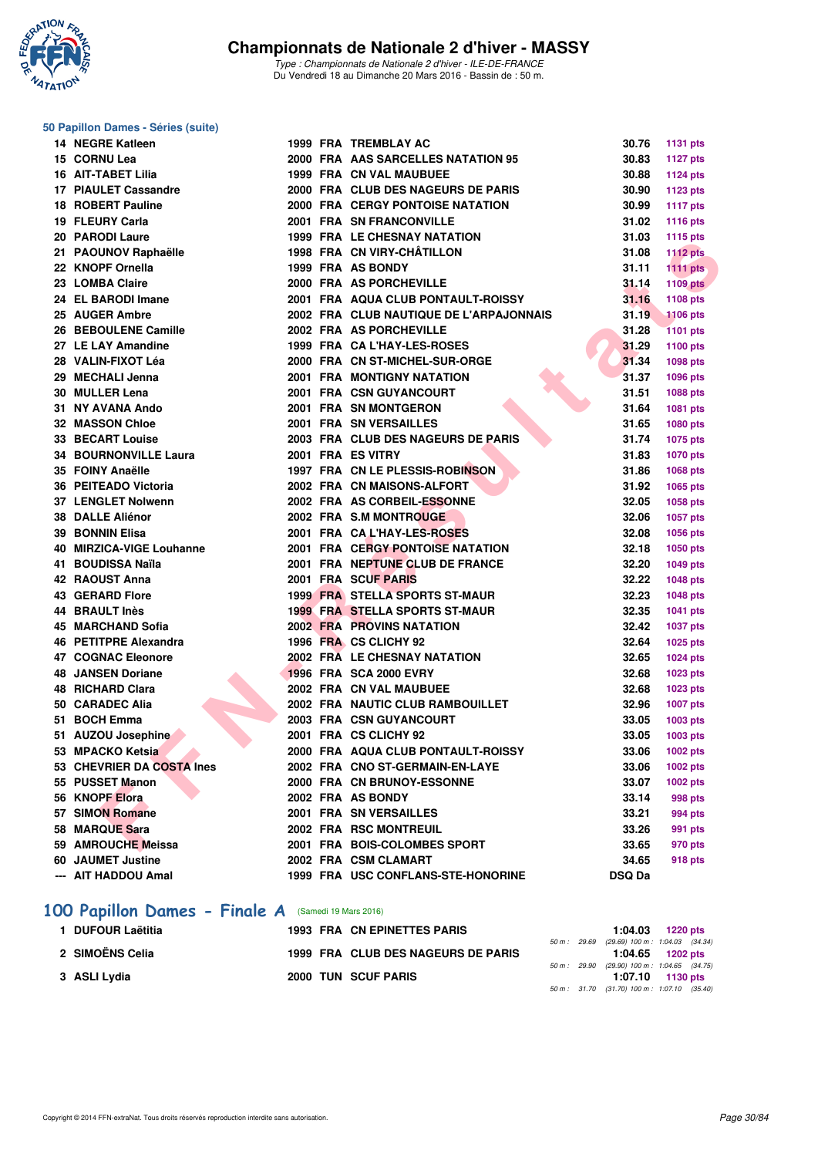

*Type : Championnats de Nationale 2 d'hiver - ILE-DE-FRANCE* Du Vendredi 18 au Dimanche 20 Mars 2016 - Bassin de : 50 m.

#### **50 Papillon Dames - Séries (suite)**

| 14 NEGRE Katleen             |  | 1999 FRA TREMBLAY AC                    | 30.76         | 1131 pts        |
|------------------------------|--|-----------------------------------------|---------------|-----------------|
| 15 CORNU Lea                 |  | 2000 FRA AAS SARCELLES NATATION 95      | 30.83         | <b>1127 pts</b> |
| <b>16 AIT-TABET Lilia</b>    |  | 1999 FRA CN VAL MAUBUEE                 | 30.88         | <b>1124 pts</b> |
| 17 PIAULET Cassandre         |  | 2000 FRA CLUB DES NAGEURS DE PARIS      | 30.90         | <b>1123 pts</b> |
| 18 ROBERT Pauline            |  | <b>2000 FRA CERGY PONTOISE NATATION</b> | 30.99         | <b>1117 pts</b> |
| 19 FLEURY Carla              |  | 2001 FRA SN FRANCONVILLE                | 31.02         | <b>1116 pts</b> |
| 20 PARODI Laure              |  | 1999 FRA LE CHESNAY NATATION            | 31.03         | <b>1115 pts</b> |
| 21 PAOUNOV Raphaëlle         |  | 1998 FRA CN VIRY-CHÂTILLON              | 31.08         | <b>1112 pts</b> |
| 22 KNOPF Ornella             |  | 1999 FRA AS BONDY                       | 31.11         | 1111 $pts$      |
| 23 LOMBA Claire              |  | 2000 FRA AS PORCHEVILLE                 | 31.14         | <b>1109 pts</b> |
| 24 EL BARODI Imane           |  | 2001 FRA AQUA CLUB PONTAULT-ROISSY      | 31.16         | <b>1108 pts</b> |
| 25 AUGER Ambre               |  | 2002 FRA CLUB NAUTIQUE DE L'ARPAJONNAIS | 31.19         | <b>1106 pts</b> |
| 26 BEBOULENE Camille         |  | 2002 FRA AS PORCHEVILLE                 | 31.28         | <b>1101 pts</b> |
| 27 LE LAY Amandine           |  | 1999 FRA CA L'HAY-LES-ROSES             | 31.29         | 1100 pts        |
| 28 VALIN-FIXOT Léa           |  | 2000 FRA CN ST-MICHEL-SUR-ORGE          | 31.34         | 1098 pts        |
| 29 MECHALI Jenna             |  | <b>2001 FRA MONTIGNY NATATION</b>       | 31.37         | 1096 pts        |
| 30 MULLER Lena               |  | 2001 FRA CSN GUYANCOURT                 | 31.51         | 1088 pts        |
| 31 NY AVANA Ando             |  | 2001 FRA SN MONTGERON                   | 31.64         | 1081 pts        |
| <b>32 MASSON Chloe</b>       |  | 2001 FRA SN VERSAILLES                  | 31.65         | 1080 pts        |
| <b>33 BECART Louise</b>      |  | 2003 FRA CLUB DES NAGEURS DE PARIS      | 31.74         | <b>1075 pts</b> |
| <b>34 BOURNONVILLE Laura</b> |  | 2001 FRA ES VITRY                       | 31.83         | 1070 pts        |
| 35 FOINY Anaëlle             |  | 1997 FRA CN LE PLESSIS-ROBINSON         | 31.86         | 1068 pts        |
| 36 PEITEADO Victoria         |  | 2002 FRA CN MAISONS-ALFORT              | 31.92         | 1065 pts        |
| <b>37 LENGLET Nolwenn</b>    |  | 2002 FRA AS CORBEIL-ESSONNE             | 32.05         | 1058 pts        |
| <b>38 DALLE Aliénor</b>      |  | 2002 FRA S.M MONTROUGE                  | 32.06         | 1057 pts        |
| <b>39 BONNIN Elisa</b>       |  | 2001 FRA CAL'HAY-LES-ROSES              | 32.08         | 1056 pts        |
| 40 MIRZICA-VIGE Louhanne     |  | <b>2001 FRA CERGY PONTOISE NATATION</b> | 32.18         | 1050 pts        |
| 41 BOUDISSA Naïla            |  | 2001 FRA NEPTUNE CLUB DE FRANCE         | 32.20         | 1049 pts        |
| 42 RAOUST Anna               |  | 2001 FRA SCUF PARIS                     | 32.22         | 1048 pts        |
| 43 GERARD Flore              |  | <b>1999 FRA STELLA SPORTS ST-MAUR</b>   | 32.23         | 1048 pts        |
| 44 BRAULT Inès               |  | <b>1999 FRA STELLA SPORTS ST-MAUR</b>   | 32.35         | 1041 pts        |
| 45 MARCHAND Sofia            |  | <b>2002 FRA PROVINS NATATION</b>        | 32.42         | <b>1037 pts</b> |
| 46 PETITPRE Alexandra        |  | 1996 FRA CS CLICHY 92                   | 32.64         | 1025 pts        |
| <b>47 COGNAC Eleonore</b>    |  | 2002 FRA LE CHESNAY NATATION            | 32.65         | 1024 pts        |
| <b>48 JANSEN Doriane</b>     |  | 1996 FRA SCA 2000 EVRY                  | 32.68         | 1023 pts        |
| 48 RICHARD Clara             |  | 2002 FRA CN VAL MAUBUEE                 | 32.68         | 1023 pts        |
| 50 CARADEC Alia              |  | 2002 FRA NAUTIC CLUB RAMBOUILLET        | 32.96         | <b>1007 pts</b> |
| 51 BOCH Emma                 |  | 2003 FRA CSN GUYANCOURT                 | 33.05         | 1003 pts        |
| 51 AUZOU Josephine           |  | 2001 FRA CS CLICHY 92                   | 33.05         | 1003 pts        |
| 53 MPACKO Ketsia             |  | 2000 FRA AQUA CLUB PONTAULT-ROISSY      | 33.06         | 1002 pts        |
| 53 CHEVRIER DA COSTA Ines    |  | 2002 FRA CNO ST-GERMAIN-EN-LAYE         | 33.06         | <b>1002 pts</b> |
| 55 PUSSET Manon              |  | 2000 FRA CN BRUNOY-ESSONNE              | 33.07         | 1002 pts        |
| 56 KNOPF Elora               |  | 2002 FRA AS BONDY                       | 33.14         | 998 pts         |
| 57 SIMON Romane              |  | 2001 FRA SN VERSAILLES                  | 33.21         | 994 pts         |
| 58 MARQUE Sara               |  | 2002 FRA RSC MONTREUIL                  | 33.26         | 991 pts         |
| 59 AMROUCHE Meissa           |  | 2001 FRA BOIS-COLOMBES SPORT            | 33.65         | 970 pts         |
| 60 JAUMET Justine            |  | 2002 FRA CSM CLAMART                    | 34.65         | 918 pts         |
| --- AIT HADDOU Amal          |  | 1999 FRA USC CONFLANS-STE-HONORINE      | <b>DSQ Da</b> |                 |
|                              |  |                                         |               |                 |

## **[100 Papillon Dames - Finale A](http://www.ffnatation.fr/webffn/resultats.php?idact=nat&go=epr&idcpt=37307&idepr=32)** (Samedi 19 Mars 2016)

| 1 DUFOUR Laëtitia |  | 1993 FRA CN EPINETTES PARIS        |  | $1:04.03$ 1220 pts                                               |  |
|-------------------|--|------------------------------------|--|------------------------------------------------------------------|--|
|                   |  |                                    |  | 50 m : 29.69 (29.69) 100 m : 1:04.03 (34.34)                     |  |
| 2 SIMOËNS Celia   |  | 1999 FRA CLUB DES NAGEURS DE PARIS |  | $1:04.65$ 1202 pts<br>50 m: 29.90 (29.90) 100 m: 1:04.65 (34.75) |  |
| 3 ASLI Lydia      |  | 2000 TUN SCUF PARIS                |  | 1:07.10 1130 pts                                                 |  |
|                   |  |                                    |  | 50 m: 31.70 (31.70) 100 m: 1:07.10 (35.40)                       |  |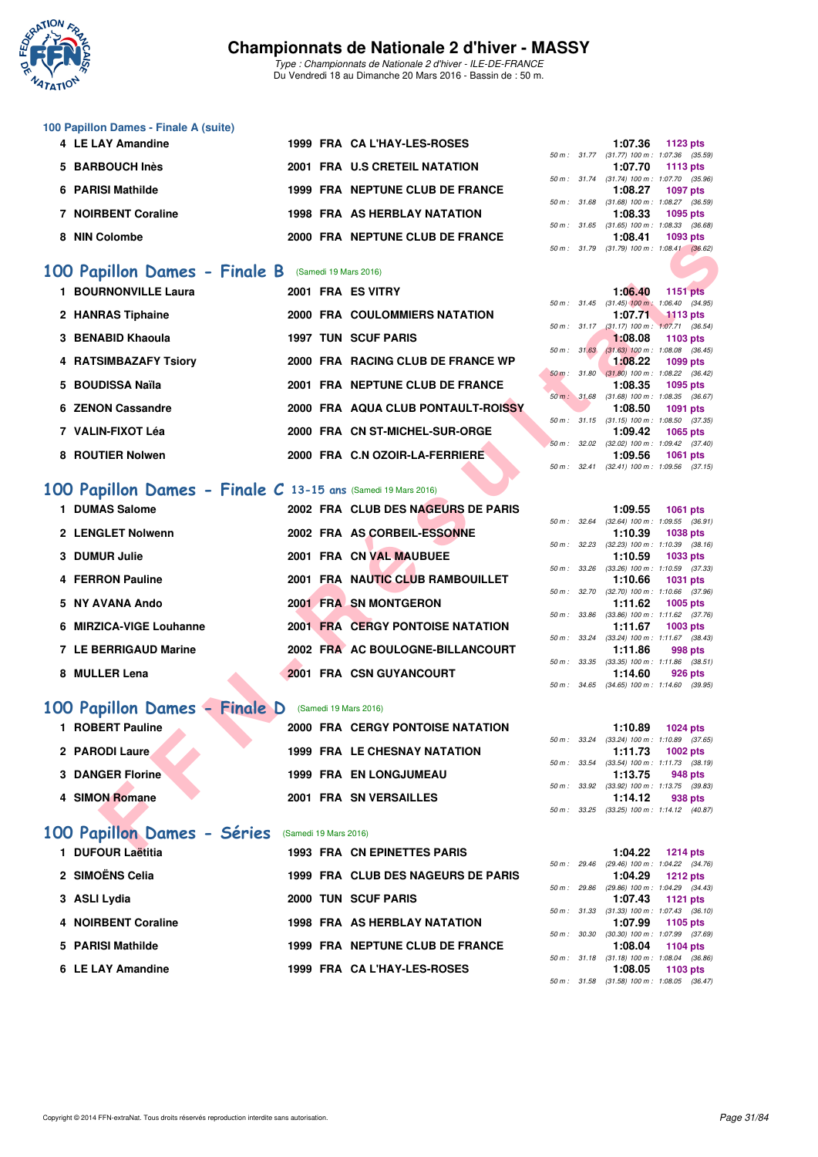

*Type : Championnats de Nationale 2 d'hiver - ILE-DE-FRANCE* Du Vendredi 18 au Dimanche 20 Mars 2016 - Bassin de : 50 m.

#### **100 Papillon Dames - Finale A (suite)**

| 4 LE LAY Amandine   |  | 1999 FRA CA L'HAY-LES-ROSES     |  | 1:07.36 1123 pts                        |          |  |
|---------------------|--|---------------------------------|--|-----------------------------------------|----------|--|
|                     |  |                                 |  | 50 m: 31.77 (31.77) 100 m: 1:07.36 (35. |          |  |
| 5 BARBOUCH Inès     |  | 2001 FRA U.S CRETEIL NATATION   |  | 1:07.70 1113 pts                        |          |  |
|                     |  |                                 |  | 50 m: 31.74 (31.74) 100 m: 1:07.70 (35. |          |  |
| 6 PARISI Mathilde   |  | 1999 FRA NEPTUNE CLUB DE FRANCE |  | 1:08.27 1097 pts                        |          |  |
|                     |  |                                 |  | 50 m: 31.68 (31.68) 100 m: 1:08.27 (36. |          |  |
| 7 NOIRBENT Coraline |  | 1998 FRA AS HERBLAY NATATION    |  | 1:08.33 1095 pts                        |          |  |
|                     |  |                                 |  | 50 m: 31.65 (31.65) 100 m: 1:08.33 (36. |          |  |
| 8 NIN Colombe       |  | 2000 FRA NEPTUNE CLUB DE FRANCE |  | 1:08.41                                 | 1093 pts |  |
|                     |  |                                 |  |                                         |          |  |

### **[100 Papillon Dames - Finale B](http://www.ffnatation.fr/webffn/resultats.php?idact=nat&go=epr&idcpt=37307&idepr=32)** (Samedi 19 Mars 2016)

| <b>INIIN COIDIIIDE</b>                                       |                       | ZUUU FRA NEFIUNE CEUB DE FRANCE         |  | <b>6טע טפטו נו</b><br>50 m: 31.79 (31.79) 100 m: 1:08.41 (36.62) |                 |         |
|--------------------------------------------------------------|-----------------------|-----------------------------------------|--|------------------------------------------------------------------|-----------------|---------|
| 00 Papillon Dames - Finale B                                 |                       | (Samedi 19 Mars 2016)                   |  |                                                                  |                 |         |
| 1 BOURNONVILLE Laura                                         |                       | 2001 FRA ES VITRY                       |  | 1:06.40                                                          |                 |         |
|                                                              |                       |                                         |  | 50 m: 31.45 (31.45) 100 m: 1:06.40 (34.95)                       | <b>1151 pts</b> |         |
| 2 HANRAS Tiphaine                                            |                       | 2000 FRA COULOMMIERS NATATION           |  | 1:07.71                                                          | $1113$ pts      |         |
|                                                              |                       |                                         |  | 50 m: 31.17 (31.17) 100 m: 1:07.71 (36.54)                       |                 |         |
| 3 BENABID Khaoula                                            |                       | <b>1997 TUN SCUF PARIS</b>              |  | 1:08.08                                                          | 1103 pts        |         |
|                                                              |                       |                                         |  | 50 m: 31.63 (31.63) 100 m: 1:08.08 (36.45)                       |                 |         |
| <b>4 RATSIMBAZAFY Tsiory</b>                                 |                       | 2000 FRA RACING CLUB DE FRANCE WP       |  | 1:08.22<br>50 m : 31.80 (31.80) 100 m : 1:08.22 (36.42)          | 1099 pts        |         |
| 5 BOUDISSA Naïla                                             |                       | 2001 FRA NEPTUNE CLUB DE FRANCE         |  | 1:08.35                                                          | 1095 pts        |         |
|                                                              |                       |                                         |  | 50 m : 31.68 (31.68) 100 m : 1:08.35 (36.67)                     |                 |         |
| 6 ZENON Cassandre                                            |                       | 2000 FRA AQUA CLUB PONTAULT-ROISSY      |  | 1:08.50                                                          | <b>1091 pts</b> |         |
|                                                              |                       |                                         |  | 50 m: 31.15 (31.15) 100 m: 1:08.50 (37.35)                       |                 |         |
| 7 VALIN-FIXOT Léa                                            |                       | 2000 FRA CN ST-MICHEL-SUR-ORGE          |  | 1:09.42                                                          | 1065 pts        |         |
| 8 ROUTIER Nolwen                                             |                       | 2000 FRA C.N OZOIR-LA-FERRIERE          |  | 50 m: 32.02 (32.02) 100 m: 1:09.42 (37.40)<br>1:09.56            | <b>1061 pts</b> |         |
|                                                              |                       |                                         |  | 50 m: 32.41 (32.41) 100 m: 1:09.56 (37.15)                       |                 |         |
|                                                              |                       |                                         |  |                                                                  |                 |         |
| 00 Papillon Dames - Finale C 13-15 ans (Samedi 19 Mars 2016) |                       |                                         |  |                                                                  |                 |         |
| 1 DUMAS Salome                                               |                       | 2002 FRA CLUB DES NAGEURS DE PARIS      |  | 1:09.55                                                          | <b>1061 pts</b> |         |
|                                                              |                       |                                         |  | 50 m : 32.64 (32.64) 100 m : 1:09.55 (36.91)                     |                 |         |
| 2 LENGLET Nolwenn                                            |                       | 2002 FRA AS CORBEIL-ESSONNE             |  | 1:10.39                                                          | <b>1038 pts</b> |         |
|                                                              |                       |                                         |  | 50 m: 32.23 (32.23) 100 m: 1:10.39 (38.16)                       |                 |         |
| 3 DUMUR Julie                                                |                       | 2001 FRA CN VAL MAUBUEE                 |  | 1:10.59                                                          | 1033 pts        |         |
|                                                              |                       |                                         |  | 50 m: 33.26 (33.26) 100 m: 1:10.59 (37.33)                       |                 |         |
| <b>4 FERRON Pauline</b>                                      |                       | 2001 FRA NAUTIC CLUB RAMBOUILLET        |  | 1:10.66                                                          | <b>1031 pts</b> |         |
| 5 NY AVANA Ando                                              |                       | 2001 FRA SN MONTGERON                   |  | 50 m: 32.70 (32.70) 100 m: 1:10.66 (37.96)<br>1:11.62            | 1005 pts        |         |
|                                                              |                       |                                         |  | 50 m: 33.86 (33.86) 100 m: 1:11.62 (37.76)                       |                 |         |
| 6 MIRZICA-VIGE Louhanne                                      |                       | <b>2001 FRA CERGY PONTOISE NATATION</b> |  | 1:11.67                                                          | 1003 pts        |         |
|                                                              |                       |                                         |  | 50 m: 33.24 (33.24) 100 m: 1:11.67 (38.43)                       |                 |         |
| <b>7 LE BERRIGAUD Marine</b>                                 |                       | 2002 FRA AC BOULOGNE-BILLANCOURT        |  | 1:11.86                                                          |                 | 998 pts |
|                                                              |                       |                                         |  | 50 m: 33.35 (33.35) 100 m: 1:11.86 (38.51)                       |                 |         |
| 8 MULLER Lena                                                |                       | 2001 FRA CSN GUYANCOURT                 |  | 1:14.60<br>50 m: 34.65 (34.65) 100 m: 1:14.60 (39.95)            |                 | 926 pts |
|                                                              |                       |                                         |  |                                                                  |                 |         |
| 00 Papillon Dames - Finale D                                 |                       | (Samedi 19 Mars 2016)                   |  |                                                                  |                 |         |
| 1 ROBERT Pauline                                             |                       |                                         |  |                                                                  |                 |         |
|                                                              |                       | <b>2000 FRA CERGY PONTOISE NATATION</b> |  | 1:10.89<br>50 m: 33.24 (33.24) 100 m: 1:10.89 (37.65)            | <b>1024 pts</b> |         |
| 2 PARODI Laure                                               |                       | <b>1999 FRA LE CHESNAY NATATION</b>     |  | 1:11.73                                                          | <b>1002 pts</b> |         |
|                                                              |                       |                                         |  | 50 m: 33.54 (33.54) 100 m: 1:11.73 (38.19)                       |                 |         |
| <b>3 DANGER Florine</b>                                      |                       | <b>1999 FRA EN LONGJUMEAU</b>           |  | 1:13.75                                                          |                 | 948 pts |
|                                                              |                       |                                         |  | 50 m: 33.92 (33.92) 100 m: 1:13.75 (39.83)                       |                 |         |
| 4 SIMON Romane                                               |                       | 2001 FRA SN VERSAILLES                  |  | 1:14.12                                                          |                 | 938 pts |
|                                                              |                       |                                         |  | 50 m: 33.25 (33.25) 100 m: 1:14.12 (40.87)                       |                 |         |
| 00 Papillon Dames - Séries                                   | (Samedi 19 Mars 2016) |                                         |  |                                                                  |                 |         |
|                                                              |                       |                                         |  |                                                                  |                 |         |
| $\blacksquare$                                               |                       | 1000 EDA ON EDIMETTEC DADIC             |  | $4.04.00 \times 1044 \text{ m/s}$                                |                 |         |

### **[100 Papillon Dames - Finale C](http://www.ffnatation.fr/webffn/resultats.php?idact=nat&go=epr&idcpt=37307&idepr=32) 13-15 ans** (Samedi 19 Mars 2016)

| 1 DUMAS Salome          |  | 2002 FRA CLUB DES NAGEURS DE PARIS |              | 1:09.55                                                     | 1061 pts |  |
|-------------------------|--|------------------------------------|--------------|-------------------------------------------------------------|----------|--|
| 2 LENGLET Nolwenn       |  | 2002 FRA AS CORBEIL-ESSONNE        | 50 m: 32.64  | $(32.64)$ 100 m : 1:09.55 (36.<br>1:10.39                   | 1038 pts |  |
| 3 DUMUR Julie           |  | 2001 FRA CN VAL MAUBUEE            | 50 m: 32.23  | $(32.23)$ 100 m : 1:10.39 $(38.$<br>1:10.59                 | 1033 pts |  |
| 4 FERRON Pauline        |  | 2001 FRA NAUTIC CLUB RAMBOUILLET   | 50 m : 33.26 | $(33.26)$ 100 m : 1:10.59 (37.<br>1:10.66 1031 pts          |          |  |
| 5 NY AVANA Ando         |  | 2001 FRA SN MONTGERON              |              | 50 m: 32.70 (32.70) 100 m: 1:10.66 (37.<br>1:11.62 1005 pts |          |  |
|                         |  |                                    |              | 50 m: 33.86 (33.86) 100 m: 1:11.62 (37.                     |          |  |
| 6 MIRZICA-VIGE Louhanne |  | 2001 FRA CERGY PONTOISE NATATION   |              | 1:11.67<br>50 m: 33.24 (33.24) 100 m: 1:11.67 (38.          | 1003 pts |  |
| 7 LE BERRIGAUD Marine   |  | 2002 FRA AC BOULOGNE-BILLANCOURT   | 50 m: 33.35  | 1:11.86<br>$(33.35)$ 100 m : 1:11.86 $(38.$                 | 998 pts  |  |
| 8 MULLER Lena           |  | 2001 FRA CSN GUYANCOURT            |              | 1:14.60                                                     | 926 pts  |  |

## **[100 Papillon Dames - Finale D](http://www.ffnatation.fr/webffn/resultats.php?idact=nat&go=epr&idcpt=37307&idepr=32)** (Samedi 19 Mars 2016)

| 1 ROBERT Pauline        | <b>2000 FRA CERGY PONTOISE NATATION</b> | 1:10.89<br>1024 pts                                           |
|-------------------------|-----------------------------------------|---------------------------------------------------------------|
| 2 PARODI Laure          | <b>1999 FRA LE CHESNAY NATATION</b>     | 50 m: 33.24 (33.24) 100 m: 1:10.89 (37.<br>1:11.73 1002 pts   |
| <b>3 DANGER Florine</b> | <b>1999 FRA EN LONGJUMEAU</b>           | 50 m: 33.54 (33.54) 100 m: 1:11.73 (38.<br>1:13.75<br>948 pts |
| 4 SIMON Romane          | <b>2001 FRA SN VERSAILLES</b>           | 50 m: 33.92 (33.92) 100 m: 1:13.75 (39.<br>1:14.12<br>938 pts |
|                         |                                         | $50 m \cdot 3325$ (3325) $100 m \cdot 1.1412$ (40)            |

# [100 Papillon Dames - Séries](http://www.ffnatation.fr/webffn/resultats.php?idact=nat&go=epr&idcpt=37307&idepr=32) (Samedi 19 Mars 2016)<br>1 DUFOUR Laëtitia 1993 FRA CN

| 1 DUFOUR Laëtitia   | <b>1993 FRA CN EPINETTES PARIS</b>  |  | 1:04.22 1214 pts                          |          |  |
|---------------------|-------------------------------------|--|-------------------------------------------|----------|--|
|                     |                                     |  | 50 m : 29.46 (29.46) 100 m : 1:04.22 (34. |          |  |
| 2   SIMOËNS Celia   | 1999 FRA CLUB DES NAGEURS DE PARIS  |  | $1:04.29$ 1212 pts                        |          |  |
|                     |                                     |  | 50 m : 29.86 (29.86) 100 m : 1:04.29 (34. |          |  |
| 3 ASLI Lydia        | 2000 TUN SCUF PARIS                 |  | $1:07.43$ 1121 pts                        |          |  |
|                     |                                     |  | 50 m: 31.33 (31.33) 100 m: 1:07.43 (36.   |          |  |
| 4 NOIRBENT Coraline | <b>1998 FRA AS HERBLAY NATATION</b> |  | 1:07.99 1105 pts                          |          |  |
|                     |                                     |  | 50 m : 30.30 (30.30) 100 m : 1:07.99 (37. |          |  |
| 5 PARISI Mathilde   | 1999 FRA NEPTUNE CLUB DE FRANCE     |  | $1:08.04$ 1104 pts                        |          |  |
|                     |                                     |  | 50 m: 31.18 (31.18) 100 m: 1:08.04 (36.   |          |  |
| 6 LE LAY Amandine   | 1999 FRA CA L'HAY-LES-ROSES         |  | 1:08.05                                   | 1103 pts |  |

|  | 1:07.36 1123 pts                           |  |
|--|--------------------------------------------|--|
|  | 50 m: 31.77 (31.77) 100 m: 1:07.36 (35.59) |  |
|  | 1:07.70 1113 pts                           |  |
|  | 50 m: 31.74 (31.74) 100 m: 1:07.70 (35.96) |  |
|  | 1:08.27 1097 pts                           |  |
|  | 50 m: 31.68 (31.68) 100 m: 1:08.27 (36.59) |  |
|  | 1:08.33 1095 pts                           |  |
|  | 50 m: 31.65 (31.65) 100 m: 1:08.33 (36.68) |  |
|  | 1:08.41 1093 pts                           |  |
|  | 50 m: 31.79 (31.79) 100 m: 1:08.41 (36.62) |  |
|  |                                            |  |

|              | 1:06.40                         | <b>1151 pts</b>                     |
|--------------|---------------------------------|-------------------------------------|
|              | $50 m$ : $31.45$ (31.45) 100 m: | 1:06.40 (34.95)                     |
|              |                                 | 1:07.71 1113 pts                    |
|              | 50 m: 31.17 (31.17) 100 m:      | $1:07.71$ (36.54)                   |
|              | 1.08.08                         | 1103 pts                            |
| 50 m: 31.63  | $(31.63) 100 m$ :               | 1:08.08 (36.45)                     |
|              | 1:08.22                         | 1099 pts                            |
|              | 50 m: 31.80 (31.80) 100 m:      | 1:08.22 (36.42)                     |
|              | 1:08.35                         | 1095 pts                            |
| 50 m: 31.68  | $(31.68) 100 m$ :               | 1:08.35 (36.67)                     |
|              | 1:08.50                         | 1091 pts                            |
| 50 m : 31.15 | $(31.15)$ 100 m :               | 1:08.50 (37.35)                     |
|              |                                 | 1:09.42 1065 pts                    |
| 50 m: 32.02  | $(32.02)$ 100 m :               | 1:09.42 (37.40)                     |
|              |                                 | 1:09.56 1061 pts                    |
| 50 m : 32.41 |                                 | $(32.41)$ 100 m : 1:09.56 $(37.15)$ |
|              |                                 |                                     |

|             |       | 1:09.55           | <b>1061 pts</b>                       |
|-------------|-------|-------------------|---------------------------------------|
| $50 m$ :    | 32.64 | $(32.64)$ 100 m : | 1:09.55 (36.91)                       |
|             |       | 1:10.39           | 1038 pts                              |
| $50 m$ :    | 32.23 | $(32.23)$ 100 m : | $1:10.39$ $(38.16)$                   |
|             |       | 1:10.59           | 1033 pts                              |
| 50 m: 33.26 |       | $(33.26)$ 100 m : | $1:10.59$ $(37.33)$                   |
|             |       |                   | 1:10.66 1031 pts                      |
| 50 m: 32.70 |       | $(32.70)$ 100 m : | 1:10.66 (37.96)                       |
|             |       | 1:11.62           | 1005 pts                              |
|             |       |                   |                                       |
| $50 m$ :    | 33.86 | $(33.86)$ 100 m : | $1:11.62$ $(37.76)$                   |
|             |       |                   | $1:11.67$ 1003 pts                    |
| $50 m$ :    | 33.24 | $(33.24)$ 100 m : | $1:11.67$ $(38.43)$                   |
|             |       |                   | $1:11.86$ 998 pts                     |
| 50 m :      |       |                   | 33.35 (33.35) 100 m : 1:11.86 (38.51) |
|             |       |                   | $1:14.60$ 926 pts                     |

|  | 1:10.89 $1024 \text{ pts}$                 |
|--|--------------------------------------------|
|  | 50 m: 33.24 (33.24) 100 m: 1:10.89 (37.65) |
|  | $1:11.73$ 1002 pts                         |
|  | 50 m: 33.54 (33.54) 100 m: 1:11.73 (38.19) |
|  | 1:13.75 948 pts                            |
|  | 50 m: 33.92 (33.92) 100 m: 1:13.75 (39.83) |
|  | $1:14.12$ 938 pts                          |
|  | 50 m: 33.25 (33.25) 100 m: 1:14.12 (40.87) |

|             | $1:04.22$ 1214 pts                         |  |
|-------------|--------------------------------------------|--|
|             | 50 m: 29.46 (29.46) 100 m: 1:04.22 (34.76) |  |
|             | 1:04.29 1212 pts                           |  |
|             | 50 m: 29.86 (29.86) 100 m: 1:04.29 (34.43) |  |
|             | 1:07.43 1121 pts                           |  |
|             | 50 m: 31.33 (31.33) 100 m: 1:07.43 (36.10) |  |
|             | 1:07.99 1105 pts                           |  |
| 50 m: 30.30 | $(30.30)$ 100 m : 1:07.99 $(37.69)$        |  |
|             | 1:08.04 1104 pts                           |  |
|             | 50 m: 31.18 (31.18) 100 m: 1:08.04 (36.86) |  |
|             | $1:08.05$ 1103 pts                         |  |
|             | 50 m: 31.58 (31.58) 100 m: 1:08.05 (36.47) |  |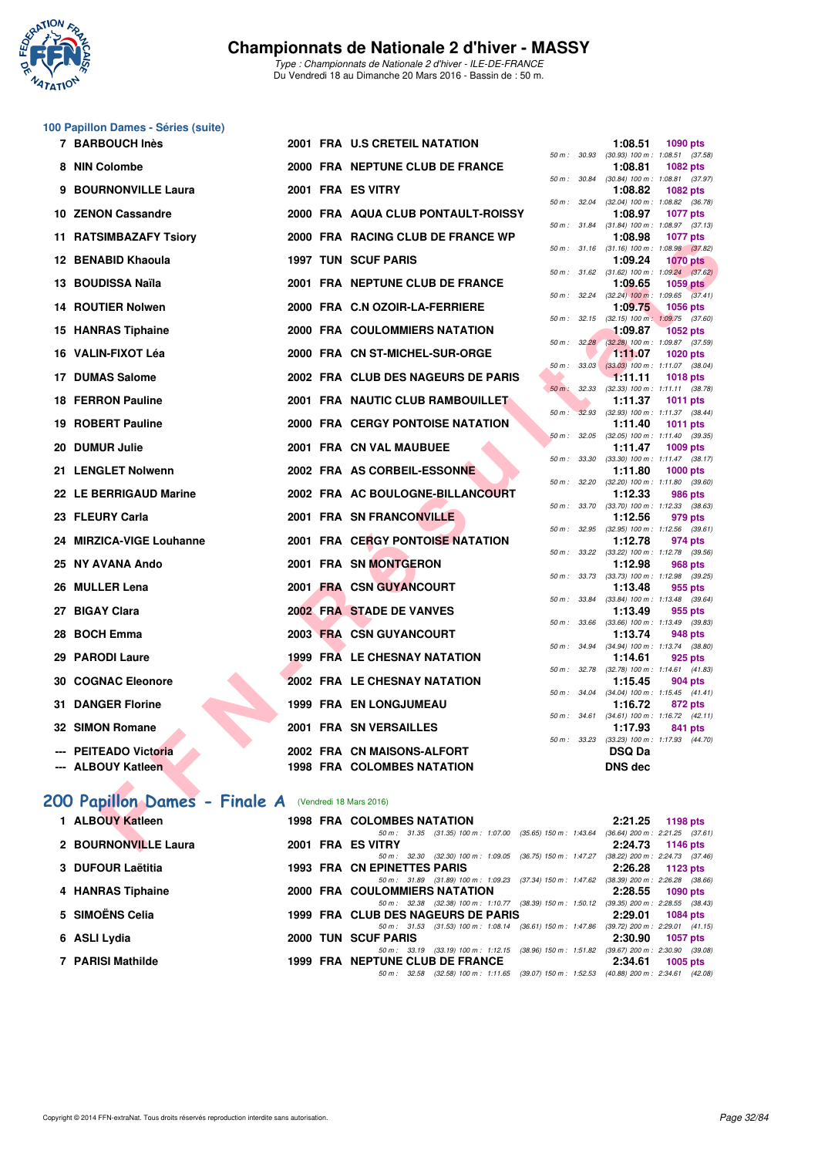

*Type : Championnats de Nationale 2 d'hiver - ILE-DE-FRANCE* Du Vendredi 18 au Dimanche 20 Mars 2016 - Bassin de : 50 m.

#### **100 Papillon Dames - Séries (suite)**

| 7 BARBOUCH Inès                                             |  |  | 2001 FRA U.S CRETEIL NATATION                                                  |              |              | 1:08.51                                                     | <b>1090 pts</b> |  |
|-------------------------------------------------------------|--|--|--------------------------------------------------------------------------------|--------------|--------------|-------------------------------------------------------------|-----------------|--|
| 8 NIN Colombe                                               |  |  | 2000 FRA NEPTUNE CLUB DE FRANCE                                                | 50 m: 30.93  |              | $(30.93)$ 100 m : 1:08.51 $(37.58)$<br>1:08.81              | <b>1082 pts</b> |  |
| 9 BOURNONVILLE Laura                                        |  |  | 2001 FRA ES VITRY                                                              | 50 m : 30.84 |              | $(30.84)$ 100 m : 1:08.81 $(37.97)$<br>1:08.82              | 1082 pts        |  |
| 10 ZENON Cassandre                                          |  |  | 2000 FRA AQUA CLUB PONTAULT-ROISSY                                             | 50 m: 32.04  |              | (32.04) 100 m: 1:08.82 (36.78)<br>1:08.97                   | <b>1077 pts</b> |  |
|                                                             |  |  | 2000 FRA RACING CLUB DE FRANCE WP                                              |              |              | 50 m: 31.84 (31.84) 100 m: 1:08.97 (37.13)<br>1:08.98       | <b>1077 pts</b> |  |
| 11 RATSIMBAZAFY Tsiory                                      |  |  |                                                                                |              | 50 m: 31.16  | $(31.16)$ 100 m : 1:08.98 $(37.82)$                         |                 |  |
| 12 BENABID Khaoula                                          |  |  | <b>1997 TUN SCUF PARIS</b>                                                     |              |              | 1:09.24<br>50 m: 31.62 (31.62) 100 m: 1:09.24 (37.62)       | <b>1070 pts</b> |  |
| 13 BOUDISSA Naïla                                           |  |  | 2001 FRA NEPTUNE CLUB DE FRANCE                                                |              |              | 1:09.65                                                     | <b>1059 pts</b> |  |
| <b>14 ROUTIER Nolwen</b>                                    |  |  | 2000 FRA C.N OZOIR-LA-FERRIERE                                                 |              | 50 m: 32.24  | $(32.24)$ 100 m : 1:09.65 $(37.41)$<br>1:09.75              | 1056 pts        |  |
| 15 HANRAS Tiphaine                                          |  |  | 2000 FRA COULOMMIERS NATATION                                                  |              |              | 50 m: 32.15 (32.15) 100 m: 1:09.75 (37.60)<br>1:09.87       | <b>1052 pts</b> |  |
|                                                             |  |  |                                                                                |              |              | 50 m : 32.28 (32.28) 100 m : 1:09.87 (37.59)                |                 |  |
| 16 VALIN-FIXOT Léa                                          |  |  | 2000 FRA CN ST-MICHEL-SUR-ORGE                                                 |              | 50 m: 33.03  | 1:11.07<br>$(33.03)$ 100 m : 1:11.07 $(38.04)$              | <b>1020 pts</b> |  |
| 17 DUMAS Salome                                             |  |  | 2002 FRA CLUB DES NAGEURS DE PARIS                                             |              |              | 1:11.11                                                     | <b>1018 pts</b> |  |
|                                                             |  |  |                                                                                | $50 m$ :     | 32.33        | $(32.33)$ 100 m : 1:11.11 $(38.78)$                         |                 |  |
| <b>18 FERRON Pauline</b>                                    |  |  | 2001 FRA NAUTIC CLUB RAMBOUILLET                                               | $50 m$ :     | 32.93        | 1:11.37<br>$(32.93)$ 100 m : 1:11.37 $(38.44)$              | <b>1011 pts</b> |  |
| 19 ROBERT Pauline                                           |  |  | <b>2000 FRA CERGY PONTOISE NATATION</b>                                        |              |              | 1:11.40                                                     | 1011 pts        |  |
| 20 DUMUR Julie                                              |  |  | 2001 FRA CN VAL MAUBUEE                                                        |              |              | 50 m : 32.05 (32.05) 100 m : 1:11.40 (39.35)<br>1:11.47     | 1009 pts        |  |
| 21 LENGLET Nolwenn                                          |  |  | 2002 FRA AS CORBEIL-ESSONNE                                                    | 50 m: 33.30  |              | $(33.30)$ 100 m : 1:11.47 $(38.17)$<br>1:11.80              | <b>1000 pts</b> |  |
| 22 LE BERRIGAUD Marine                                      |  |  | 2002 FRA AC BOULOGNE-BILLANCOURT                                               |              |              | 50 m: 32.20 (32.20) 100 m: 1:11.80 (39.60)<br>1:12.33       | <b>986 pts</b>  |  |
|                                                             |  |  |                                                                                |              |              | 50 m: 33.70 (33.70) 100 m: 1:12.33 (38.63)                  |                 |  |
| 23 FLEURY Carla                                             |  |  | 2001 FRA SN FRANCONVILLE                                                       |              | 50 m : 32.95 | 1:12.56<br>$(32.95)$ 100 m : 1:12.56 $(39.61)$              | 979 pts         |  |
| 24 MIRZICA-VIGE Louhanne                                    |  |  | 2001 FRA CERGY PONTOISE NATATION                                               |              |              | 1:12.78<br>50 m: 33.22 (33.22) 100 m: 1:12.78 (39.56)       | 974 pts         |  |
| 25 NY AVANA Ando                                            |  |  | 2001 FRA SN MONTGERON                                                          |              |              | 1:12.98                                                     | 968 pts         |  |
| 26 MULLER Lena                                              |  |  | 2001 FRA CSN GUYANCOURT                                                        |              |              | 50 m: 33.73 (33.73) 100 m: 1:12.98 (39.25)<br>1:13.48       | 955 pts         |  |
|                                                             |  |  |                                                                                |              | 50 m : 33.84 | $(33.84)$ 100 m : 1:13.48 $(39.64)$                         |                 |  |
| 27 BIGAY Clara                                              |  |  | 2002 FRA STADE DE VANVES                                                       | 50 m : 33.66 |              | 1:13.49<br>$(33.66)$ 100 m : 1:13.49 $(39.83)$              | 955 pts         |  |
| 28 BOCH Emma                                                |  |  | <b>2003 FRA CSN GUYANCOURT</b>                                                 |              |              | 1:13.74                                                     | 948 pts         |  |
|                                                             |  |  |                                                                                |              |              | 50 m: 34.94 (34.94) 100 m: 1:13.74 (38.80)                  |                 |  |
| 29 PARODI Laure                                             |  |  | 1999 FRA LE CHESNAY NATATION                                                   | 50 m: 32.78  |              | 1:14.61                                                     | 925 pts         |  |
| <b>30 COGNAC Eleonore</b>                                   |  |  | 2002 FRA LE CHESNAY NATATION                                                   |              |              | $(32.78)$ 100 m : 1:14.61 $(41.83)$<br>1:15.45              | 904 pts         |  |
|                                                             |  |  |                                                                                |              |              | 50 m: 34.04 (34.04) 100 m: 1:15.45 (41.41)                  |                 |  |
| <b>31 DANGER Florine</b>                                    |  |  | <b>1999 FRA EN LONGJUMEAU</b>                                                  |              |              | 1:16.72<br>50 m: 34.61 (34.61) 100 m: 1:16.72 (42.11)       | 872 pts         |  |
| 32 SIMON Romane                                             |  |  | 2001 FRA SN VERSAILLES                                                         |              |              | 1:17.93                                                     | 841 pts         |  |
| --- PEITEADO Victoria                                       |  |  | 2002 FRA CN MAISONS-ALFORT                                                     |              |              | 50 m: 33.23 (33.23) 100 m: 1:17.93 (44.70)<br><b>DSQ Da</b> |                 |  |
| <b>ALBOUY Katleen</b>                                       |  |  | <b>1998 FRA COLOMBES NATATION</b>                                              |              |              | <b>DNS dec</b>                                              |                 |  |
|                                                             |  |  |                                                                                |              |              |                                                             |                 |  |
| <b>00 Papillon Dames - Finale A</b> (Vendredi 18 Mars 2016) |  |  |                                                                                |              |              |                                                             |                 |  |
|                                                             |  |  |                                                                                |              |              |                                                             |                 |  |
| 1 ALBOUY Katleen                                            |  |  | <b>1998 FRA COLOMBES NATATION</b>                                              |              |              | 2:21.25                                                     | 1198 pts        |  |
| 2 BOURNONVILLE Laura                                        |  |  | 50 m: 31.35 (31.35) 100 m: 1:07.00 (35.65) 150 m: 1:43.64<br>2001 FRA ES VITRY |              |              | $(36.64)$ 200 m : 2:21.25 $(37.61)$<br>2:24.73              | 1146 pts        |  |

#### [200 Papillon Dames - Finale A](http://www.ffnatation.fr/webffn/resultats.php?idact=nat&go=epr&idcpt=37307&idepr=33) (Vendredi 18 Mars 2016)

| 1 ALBOUY Katleen     |  | <b>1998 FRA COLOMBES NATATION</b>                                                        |         | $2:21.25$ 1198 pts                  |
|----------------------|--|------------------------------------------------------------------------------------------|---------|-------------------------------------|
|                      |  | 50 m: 31.35 (31.35) 100 m: 1:07.00 (35.65) 150 m: 1:43.64                                |         | $(36.64)$ 200 m : 2:21.25 $(37.61)$ |
| 2 BOURNONVILLE Laura |  | 2001 FRA ES VITRY                                                                        |         | 2:24.73 1146 pts                    |
|                      |  | 50 m: 32.30 (32.30) 100 m: 1:09.05 (36.75) 150 m: 1:47.27                                |         | $(38.22)$ 200 m : 2:24.73 $(37.46)$ |
| 3 DUFOUR Laëtitia    |  | <b>1993 FRA CN EPINETTES PARIS</b>                                                       |         | 2:26.28 1123 pts                    |
|                      |  | 50 m: 31.89 (31.89) 100 m: 1:09.23 (37.34) 150 m: 1:47.62                                |         | $(38.39)$ 200 m : 2:26.28 $(38.66)$ |
| 4 HANRAS Tiphaine    |  | <b>2000 FRA COULOMMIERS NATATION</b>                                                     |         | 2:28.55 1090 pts                    |
|                      |  | 50 m : 32.38 (32.38) 100 m : 1:10.77 (38.39) 150 m : 1:50.12                             |         | $(39.35)$ 200 m : 2:28.55 $(38.43)$ |
| 5   SIMOËNS Celia    |  | 1999 FRA CLUB DES NAGEURS DE PARIS                                                       |         | 2:29.01 1084 pts                    |
|                      |  | 50 m: 31.53 (31.53) 100 m: 1:08.14 (36.61) 150 m: 1:47.86                                |         | $(39.72)$ 200 m : 2:29.01 $(41.15)$ |
| 6 ASLI Lydia         |  | 2000 TUN SCUF PARIS                                                                      | 2:30.90 | 1057 pts                            |
|                      |  | 50 m: 33.19 (33.19) 100 m: 1:12.15 (38.96) 150 m: 1:51.82 (39.67) 200 m: 2:30.90 (39.08) |         |                                     |
| 7 PARISI Mathilde    |  | 1999 FRA NEPTUNE CLUB DE FRANCE                                                          | 2:34.61 | $1005$ pts                          |
|                      |  | 50 m: 32.58 (32.58) 100 m: 1:11.65 (39.07) 150 m: 1:52.53 (40.88) 200 m: 2:34.61 (42.08) |         |                                     |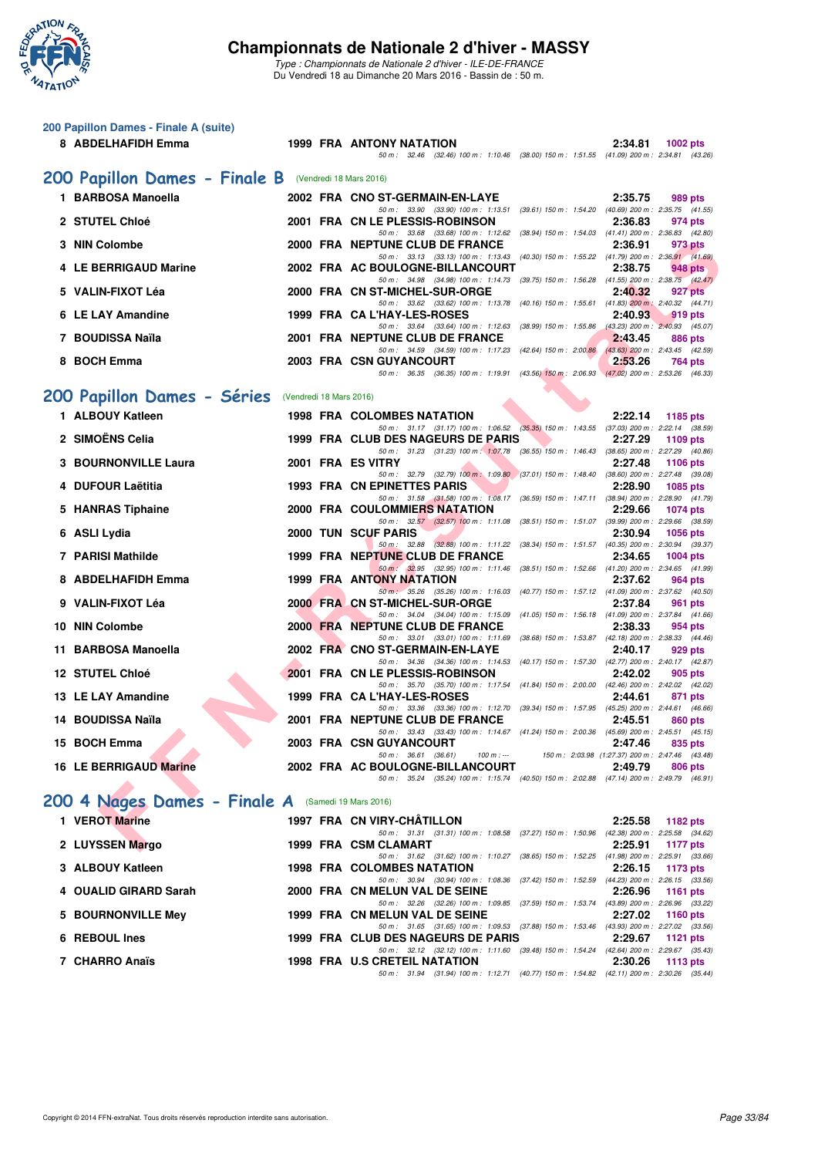

| 200 Papillon Dames - Finale A (suite)                 |                         |                                                                                                                                  |                                                              |                 |
|-------------------------------------------------------|-------------------------|----------------------------------------------------------------------------------------------------------------------------------|--------------------------------------------------------------|-----------------|
| 8 ABDELHAFIDH Emma                                    |                         | 1999 FRA ANTONY NATATION<br>50 m: 32.46 (32.46) 100 m: 1:10.46 (38.00) 150 m: 1:51.55 (41.09) 200 m: 2:34.81 (43.26)             | 2:34.81                                                      | <b>1002 pts</b> |
| 200 Papillon Dames - Finale B (Vendredi 18 Mars 2016) |                         |                                                                                                                                  |                                                              |                 |
| 1 BARBOSA Manoella                                    |                         | 2002 FRA CNO ST-GERMAIN-EN-LAYE                                                                                                  | 2:35.75                                                      | 989 pts         |
| 2 STUTEL Chloé                                        |                         | 50 m: 33.90 (33.90) 100 m: 1:13.51 (39.61) 150 m: 1:54.20 (40.69) 200 m: 2:35.75 (41.55)<br>2001 FRA CN LE PLESSIS-ROBINSON      | 2:36.83                                                      | 974 pts         |
| 3 NIN Colombe                                         |                         | 50 m: 33.68 (33.68) 100 m: 1:12.62 (38.94) 150 m: 1:54.03 (41.41) 200 m: 2:36.83 (42.80)<br>2000 FRA NEPTUNE CLUB DE FRANCE      | 2:36.91                                                      | 973 pts         |
| 4 LE BERRIGAUD Marine                                 |                         | 50 m: 33.13 (33.13) 100 m: 1:13.43 (40.30) 150 m: 1:55.22 (41.79) 200 m: 2:36.91 (41.69)<br>2002 FRA AC BOULOGNE-BILLANCOURT     | 2:38.75                                                      | 948 pts         |
| 5 VALIN-FIXOT Léa                                     |                         | 50 m: 34.98 (34.98) 100 m: 1:14.73 (39.75) 150 m: 1:56.28 (41.55) 200 m: 2:38.75 (42.47)<br>2000 FRA CN ST-MICHEL-SUR-ORGE       | 2:40.32                                                      | 927 pts         |
| 6 LE LAY Amandine                                     |                         | 50 m: 33.62 (33.62) 100 m: 1:13.78 (40.16) 150 m: 1:55.61 (41.83) 200 m: 2:40.32 (44.71)<br>1999 FRA CA L'HAY-LES-ROSES          |                                                              |                 |
|                                                       |                         | 50 m: 33.64 (33.64) 100 m: 1:12.63 (38.99) 150 m: 1:55.86 (43.23) 200 m: 2:40.93 (45.07)                                         | 2:40.93                                                      | 919 pts         |
| 7 BOUDISSA Naïla                                      |                         | 2001 FRA NEPTUNE CLUB DE FRANCE<br>50 m: 34.59 (34.59) 100 m: 1:17.23 (42.64) 150 m: 2:00.86 (43.63) 200 m: 2:43.45 (42.59)      | 2:43.45                                                      | <b>886 pts</b>  |
| 8 BOCH Emma                                           |                         | <b>2003 FRA CSN GUYANCOURT</b><br>50 m: 36.35 (36.35) 100 m: 1:19.91 (43.56) 150 m: 2:06.93 (47.02) 200 m: 2:53.26 (46.33)       | 2:53.26                                                      | 764 pts         |
| 200 Papillon Dames - Séries                           | (Vendredi 18 Mars 2016) |                                                                                                                                  |                                                              |                 |
| 1 ALBOUY Katleen                                      |                         | <b>1998 FRA COLOMBES NATATION</b>                                                                                                | 2:22.14                                                      | 1185 pts        |
| 2 SIMOËNS Celia                                       |                         | 50 m: 31.17 (31.17) 100 m: 1:06.52 (35.35) 150 m: 1:43.55 (37.03) 200 m: 2:22.14 (38.59)<br>1999 FRA CLUB DES NAGEURS DE PARIS   | 2:27.29                                                      | 1109 pts        |
| 3 BOURNONVILLE Laura                                  |                         | 50 m: 31.23 (31.23) 100 m: 1:07.78 (36.55) 150 m: 1:46.43 (38.65) 200 m: 2:27.29 (40.86)<br>2001 FRA ES VITRY                    | 2:27.48                                                      | 1106 pts        |
| 4 DUFOUR Laëtitia                                     |                         | 50 m: 32.79 (32.79) 100 m: 1:09.80 (37.01) 150 m: 1:48.40 (38.60) 200 m: 2:27.48 (39.08)<br><b>1993 FRA CN EPINETTES PARIS</b>   | 2:28.90                                                      | <b>1085 pts</b> |
| 5 HANRAS Tiphaine                                     |                         | 50 m: 31.58 (31.58) 100 m: 1:08.17 (36.59) 150 m: 1:47.11 (38.94) 200 m: 2:28.90 (41.79)<br><b>2000 FRA COULOMMIERS NATATION</b> | 2:29.66                                                      | 1074 pts        |
| 6 ASLI Lydia                                          |                         | 50 m: 32.57 (32.57) 100 m: 1:11.08 (38.51) 150 m: 1:51.07 (39.99) 200 m: 2:29.66 (38.59)<br>2000 TUN SCUF PARIS                  | 2:30.94                                                      | <b>1056 pts</b> |
| <b>7 PARISI Mathilde</b>                              |                         | 50 m: 32.88 (32.88) 100 m: 1:11.22 (38.34) 150 m: 1:51.57 (40.35) 200 m: 2:30.94 (39.37)<br>1999 FRA NEPTUNE CLUB DE FRANCE      | 2:34.65                                                      | 1004 pts        |
| 8 ABDELHAFIDH Emma                                    |                         | 50 m : 32.95 (32.95) 100 m : 1:11.46 (38.51) 150 m : 1:52.66 (41.20) 200 m : 2:34.65 (41.99)<br>1999 FRA ANTONY NATATION         | 2:37.62                                                      | 964 pts         |
| 9 VALIN-FIXOT Léa                                     |                         | 50 m: 35.26 (35.26) 100 m: 1:16.03 (40.77) 150 m: 1:57.12 (41.09) 200 m: 2:37.62 (40.50)<br>2000 FRA CN ST-MICHEL-SUR-ORGE       | 2:37.84                                                      | 961 pts         |
| 10 NIN Colombe                                        |                         | 50 m: 34.04 (34.04) 100 m: 1:15.09 (41.05) 150 m: 1:56.18 (41.09) 200 m: 2:37.84 (41.66)<br>2000 FRA NEPTUNE CLUB DE FRANCE      | 2:38.33                                                      |                 |
| 11 BARBOSA Manoella                                   |                         | 50 m: 33.01 (33.01) 100 m: 1:11.69 (38.68) 150 m: 1:53.87 (42.18) 200 m: 2:38.33 (44.46)<br>2002 FRA CNO ST-GERMAIN-EN-LAYE      |                                                              | 954 pts         |
|                                                       |                         | 50 m: 34.36 (34.36) 100 m: 1:14.53 (40.17) 150 m: 1:57.30 (42.77) 200 m: 2:40.17 (42.87)                                         | 2:40.17                                                      | 929 pts         |
| 12 STUTEL Chloé                                       |                         | 2001 FRA CN LE PLESSIS-ROBINSON<br>50 m: 35.70 (35.70) 100 m: 1:17.54 (41.84) 150 m: 2:00.00 (42.46) 200 m: 2:42.02 (42.02)      | 2:42.02                                                      | 905 pts         |
| 13 LE LAY Amandine                                    |                         | 1999 FRA CA L'HAY-LES-ROSES<br>50 m: 33.36 (33.36) 100 m: 1:12.70 (39.34) 150 m: 1:57.95 (45.25) 200 m: 2:44.61 (46.66)          | 2:44.61                                                      | 871 pts         |
| 14 BOUDISSA Naïla                                     |                         | 2001 FRA NEPTUNE CLUB DE FRANCE<br>50 m : 33.43 (33.43) 100 m : 1:14.67 (41.24) 150 m : 2:00.36 (45.69) 200 m : 2:45.51 (45.15)  | 2:45.51                                                      | 860 pts         |
| 15 BOCH Emma                                          |                         | 2003 FRA CSN GUYANCOURT<br>$50 m$ : $36.61$ (36.61)<br>$100 m : -$                                                               | 2:47.46<br>150 m : 2:03.98 (1:27.37) 200 m : 2:47.46 (43.48) | 835 pts         |
| <b>16 LE BERRIGAUD Marine</b>                         |                         | 2002 FRA AC BOULOGNE-BILLANCOURT<br>50 m: 35.24 (35.24) 100 m: 1:15.74 (40.50) 150 m: 2:02.88 (47.14) 200 m: 2:49.79 (46.91)     | 2:49.79                                                      | 806 pts         |
| 200 4 Nages Dames - Finale A (Samedi 19 Mars 2016)    |                         |                                                                                                                                  |                                                              |                 |
| 1 VEROT Marine                                        |                         | 1997 FRA CN VIRY-CHATILLON                                                                                                       | 2:25.58                                                      | 1182 pts        |
| 2 LUYSSEN Margo                                       |                         | 50 m: 31.31 (31.31) 100 m: 1:08.58 (37.27) 150 m: 1:50.96 (42.38) 200 m: 2:25.58 (34.62)<br>1999 FRA CSM CLAMART                 | 2:25.91                                                      | 1177 pts        |
| 3 ALBOUY Katleen                                      |                         | 50 m: 31.62 (31.62) 100 m: 1:10.27 (38.65) 150 m: 1:52.25 (41.98) 200 m: 2:25.91 (33.66)<br>1998 FRA COLOMBES NATATION           | 2:26.15                                                      | 1173 pts        |
| 4 OUALID GIRARD Sarah                                 |                         | 50 m: 30.94 (30.94) 100 m: 1:08.36 (37.42) 150 m: 1:52.59 (44.23) 200 m: 2:26.15 (33.56)<br>2000 FRA CN MELUN VAL DE SEINE       | 2:26.96                                                      | 1161 pts        |
| 5 BOURNONVILLE Mey                                    |                         | 50 m : 32.26 (32.26) 100 m : 1:09.85 (37.59) 150 m : 1:53.74 (43.89) 200 m : 2:26.96 (33.22)<br>1999 FRA CN MELUN VAL DE SEINE   | 2:27.02                                                      | 1160 pts        |
| 6 REBOUL Ines                                         |                         | 50 m: 31.65 (31.65) 100 m: 1:09.53 (37.88) 150 m: 1:53.46 (43.93) 200 m: 2:27.02 (33.56)<br>1999 FRA CLUB DES NAGEURS DE PARIS   | 2:29.67                                                      | 1121 pts        |
| 7 CHARRO Anaïs                                        |                         | 50 m: 32.12 (32.12) 100 m: 1:11.60 (39.48) 150 m: 1:54.24 (42.64) 200 m: 2:29.67 (35.43)<br>1998 FRA U.S CRETEIL NATATION        | 2:30.26                                                      | 1113 pts        |
|                                                       |                         | 50 m : 31.94 (31.94) 100 m : 1:12.71 (40.77) 150 m : 1:54.82 (42.11) 200 m : 2:30.26 (35.44)                                     |                                                              |                 |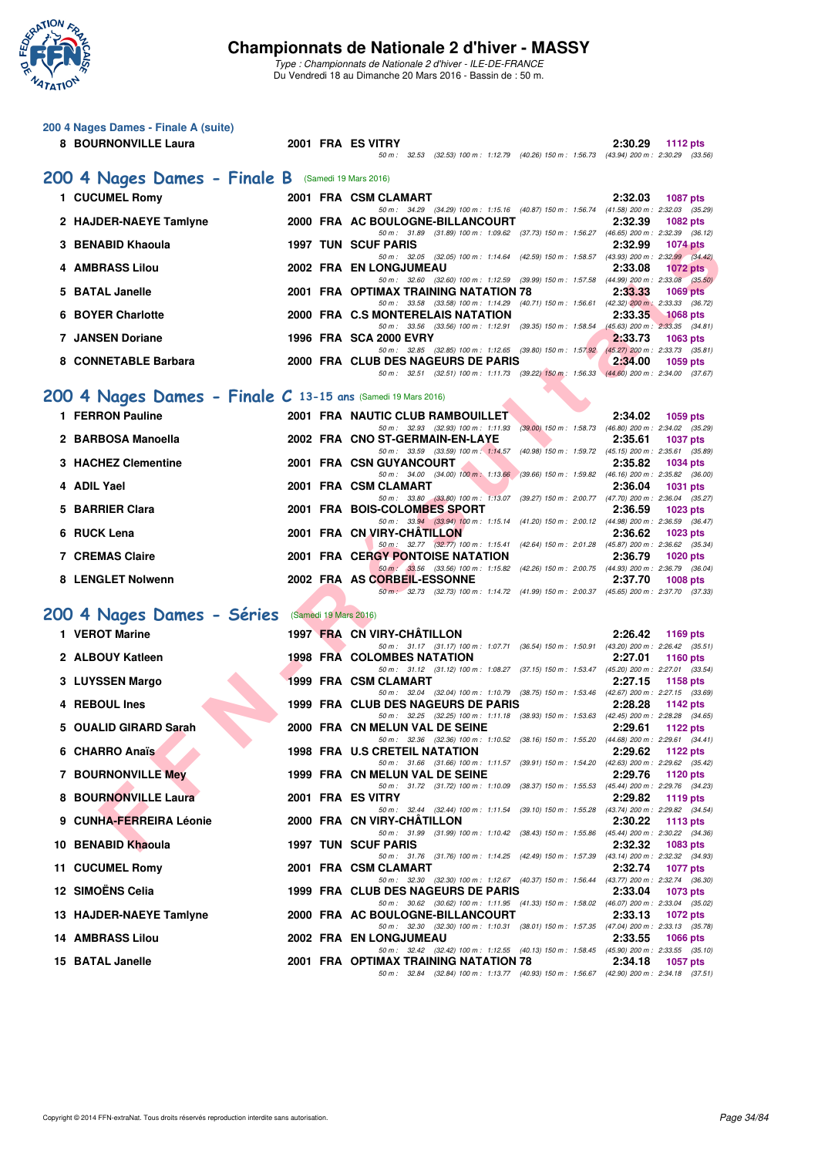

|   | 200 4 Nages Dames - Finale A (suite)<br>8 BOURNONVILLE Laura |                       | 2001 FRA ES VITRY                                                                                                                 | 2:30.29                    |
|---|--------------------------------------------------------------|-----------------------|-----------------------------------------------------------------------------------------------------------------------------------|----------------------------|
|   |                                                              |                       | 50 m: 32.53 (32.53) 100 m: 1:12.79 (40.26) 150 m: 1:56.73 (43.94) 200 m: 2:30.29 (33.56)                                          | <b>1112 pts</b>            |
|   | 200 4 Nages Dames - Finale B (Samedi 19 Mars 2016)           |                       |                                                                                                                                   |                            |
|   | 1 CUCUMEL Romy                                               |                       | 2001 FRA CSM CLAMART                                                                                                              | 2:32.03<br><b>1087 pts</b> |
|   | 2 HAJDER-NAEYE Tamlyne                                       |                       | 50 m: 34.29 (34.29) 100 m: 1:15.16 (40.87) 150 m: 1:56.74 (41.58) 200 m: 2:32.03 (35.29)<br>2000 FRA AC BOULOGNE-BILLANCOURT      | 2:32.39<br>1082 pts        |
|   | 3 BENABID Khaoula                                            |                       | 50 m: 31.89 (31.89) 100 m: 1:09.62 (37.73) 150 m: 1:56.27 (46.65) 200 m: 2:32.39 (36.12)<br><b>1997 TUN SCUF PARIS</b>            | 2:32.99<br><b>1074 pts</b> |
|   | 4 AMBRASS Lilou                                              |                       | 50 m: 32.05 (32.05) 100 m: 1:14.64 (42.59) 150 m: 1:58.57 (43.93) 200 m: 2:32.99 (34.42)<br>2002 FRA EN LONGJUMEAU                | 2:33.08<br><b>1072</b> pts |
|   | 5 BATAL Janelle                                              |                       | 50 m: 32.60 (32.60) 100 m: 1:12.59 (39.99) 150 m: 1:57.58 (44.99) 200 m: 2:33.08 (35.50)<br>2001 FRA OPTIMAX TRAINING NATATION 78 | 2:33.33<br><b>1069 pts</b> |
| 6 | <b>BOYER Charlotte</b>                                       |                       | 50 m: 33.58 (33.58) 100 m: 1:14.29 (40.71) 150 m: 1:56.61 (42.32) 200 m: 2:33.33 (36.72)<br>2000 FRA C.S MONTERELAIS NATATION     | 2:33.35<br><b>1068 pts</b> |
|   | <b>7 JANSEN Doriane</b>                                      |                       | 50 m: 33.56 (33.56) 100 m: 1:12.91 (39.35) 150 m: 1:58.54 (45.63) 200 m: 2:33.35 (34.81)<br>1996 FRA SCA 2000 EVRY                | 2:33.73<br>1063 pts        |
|   | 8 CONNETABLE Barbara                                         |                       | 50 m: 32.85 (32.85) 100 m: 1:12.65 (39.80) 150 m: 1:57.92 (45.27) 200 m: 2:33.73 (35.81)<br>2000 FRA CLUB DES NAGEURS DE PARIS    | 2:34.00<br>1059 pts        |
|   |                                                              |                       | 50 m: 32.51 (32.51) 100 m: 1:11.73 (39.22) 150 m: 1:56.33 (44.60) 200 m: 2:34.00 (37.67)                                          |                            |
|   | 200 4 Nages Dames - Finale C 13-15 ans (Samedi 19 Mars 2016) |                       |                                                                                                                                   |                            |
|   | 1 FERRON Pauline                                             |                       | 2001 FRA NAUTIC CLUB RAMBOUILLET<br>50 m: 32.93 (32.93) 100 m: 1:11.93 (39.00) 150 m: 1:58.73 (46.80) 200 m: 2:34.02 (35.29)      | 2:34.02<br>1059 pts        |
|   | 2 BARBOSA Manoella                                           |                       | 2002 FRA CNO ST-GERMAIN-EN-LAYE                                                                                                   | 2:35.61<br><b>1037 pts</b> |
|   | 3 HACHEZ Clementine                                          |                       | 50 m: 33.59 (33.59) 100 m: 1:14.57 (40.98) 150 m: 1:59.72 (45.15) 200 m: 2:35.61 (35.89)<br>2001 FRA CSN GUYANCOURT               | 2:35.82<br><b>1034 pts</b> |
|   | 4 ADIL Yael                                                  |                       | 50 m: 34.00 (34.00) 100 m: 1:13.66 (39.66) 150 m: 1:59.82 (46.16) 200 m: 2:35.82 (36.00)<br>2001 FRA CSM CLAMART                  | 2:36.04<br>1031 pts        |
|   | 5 BARRIER Clara                                              |                       | 50 m: 33.80 (33.80) 100 m: 1:13.07 (39.27) 150 m: 2:00.77 (47.70) 200 m: 2:36.04 (35.27)<br>2001 FRA BOIS-COLOMBES SPORT          | 2:36.59<br>1023 pts        |
|   | 6 RUCK Lena                                                  |                       | 50 m: 33.94 (33.94) 100 m: 1:15.14 (41.20) 150 m: 2:00.12 (44.98) 200 m: 2:36.59 (36.47)<br>2001 FRA CN VIRY-CHATILLON            | 2:36.62<br>1023 pts        |
|   | <b>7 CREMAS Claire</b>                                       |                       | 50 m: 32.77 (32.77) 100 m: 1:15.41 (42.64) 150 m: 2:01.28 (45.87) 200 m: 2:36.62 (35.34)<br>2001 FRA CERGY PONTOISE NATATION      | 2:36.79<br><b>1020 pts</b> |
|   | 8 LENGLET Nolwenn                                            |                       | 50 m : 33.56 (33.56) 100 m : 1:15.82 (42.26) 150 m : 2:00.75 (44.93) 200 m : 2:36.79 (36.04)<br>2002 FRA AS CORBEIL-ESSONNE       | 2:37.70<br><b>1008 pts</b> |
|   |                                                              |                       | 50 m: 32.73 (32.73) 100 m: 1:14.72 (41.99) 150 m: 2:00.37 (45.65) 200 m: 2:37.70 (37.33)                                          |                            |
|   | 200 4 Nages Dames - Séries                                   | (Samedi 19 Mars 2016) |                                                                                                                                   |                            |
|   | 1 VEROT Marine                                               |                       | 1997 FRA CN VIRY-CHATILLON<br>50 m: 31.17 (31.17) 100 m: 1:07.71 (36.54) 150 m: 1:50.91 (43.20) 200 m: 2:26.42 (35.51)            | 2:26.42<br>1169 pts        |
|   | 2 ALBOUY Katleen                                             |                       | <b>1998 FRA COLOMBES NATATION</b>                                                                                                 | 2:27.01<br><b>1160 pts</b> |
|   | 3 LUYSSEN Margo                                              |                       | 50 m: 31.12 (31.12) 100 m: 1:08.27 (37.15) 150 m: 1:53.47 (45.20) 200 m: 2:27.01 (33.54)<br>1999 FRA CSM CLAMART                  | 2:27.15<br>1158 pts        |
|   | 4 REBOUL Ines                                                |                       | 50 m: 32.04 (32.04) 100 m: 1:10.79 (38.75) 150 m: 1:53.46 (42.67) 200 m: 2:27.15 (33.69)<br>1999 FRA CLUB DES NAGEURS DE PARIS    | 2:28.28<br>1142 pts        |
|   | 5 OUALID GIRARD Sarah                                        |                       | 50 m: 32.25 (32.25) 100 m: 1:11.18 (38.93) 150 m: 1:53.63 (42.45) 200 m: 2:28.28 (34.65)<br>2000 FRA CN MELUN VAL DE SEINE        | 2:29.61<br>1122 pts        |
|   | 6 CHARRO Anaïs                                               |                       | 50 m : 32.36 (32.36) 100 m : 1:10.52 (38.16) 150 m : 1:55.20 (44.68) 200 m : 2:29.61 (34.41)<br>1998 FRA U.S CRETEIL NATATION     | 2:29.62<br><b>1122 pts</b> |
|   | <b>7 BOURNONVILLE Mey</b>                                    |                       | 50 m: 31.66 (31.66) 100 m: 1:11.57 (39.91) 150 m: 1:54.20 (42.63) 200 m: 2:29.62 (35.42)<br>1999 FRA CN MELUN VAL DE SEINE        | 2:29.76<br>1120 pts        |
|   | 8 BOURNONVILLE Laura                                         |                       | 50 m: 31.72 (31.72) 100 m: 1:10.09 (38.37) 150 m: 1:55.53 (45.44) 200 m: 2:29.76 (34.23)<br>2001 FRA ES VITRY                     | 2:29.82<br>1119 pts        |
|   | 9 CUNHA-FERREIRA Léonie                                      |                       | 50 m: 32.44 (32.44) 100 m: 1:11.54 (39.10) 150 m: 1:55.28 (43.74) 200 m: 2:29.82 (34.54)<br>2000 FRA CN VIRY-CHATILLON            | 2:30.22<br>1113 $pts$      |
|   | 10 BENABID Khaoula                                           |                       | 50 m: 31.99 (31.99) 100 m: 1:10.42 (38.43) 150 m: 1:55.86 (45.44) 200 m: 2:30.22 (34.36)<br><b>1997 TUN SCUF PARIS</b>            | 2:32.32<br>1083 pts        |
|   | 11 CUCUMEL Romy                                              |                       | 50 m: 31.76 (31.76) 100 m: 1:14.25 (42.49) 150 m: 1:57.39 (43.14) 200 m: 2:32.32 (34.93)<br>2001 FRA CSM CLAMART                  | 2:32.74<br>1077 pts        |
|   | 12 SIMOËNS Celia                                             |                       | 50 m: 32.30 (32.30) 100 m: 1:12.67 (40.37) 150 m: 1:56.44 (43.77) 200 m: 2:32.74 (36.30)<br>1999 FRA CLUB DES NAGEURS DE PARIS    | 2:33.04<br>1073 pts        |
|   | 13 HAJDER-NAEYE Tamlyne                                      |                       | 50 m: 30.62 (30.62) 100 m: 1:11.95 (41.33) 150 m: 1:58.02 (46.07) 200 m: 2:33.04 (35.02)<br>2000 FRA AC BOULOGNE-BILLANCOURT      | 2:33.13                    |
|   |                                                              |                       | 50 m: 32.30 (32.30) 100 m: 1:10.31 (38.01) 150 m: 1:57.35 (47.04) 200 m: 2:33.13 (35.78)                                          | 1072 pts                   |
|   | <b>14 AMBRASS Lilou</b>                                      |                       | 2002 FRA EN LONGJUMEAU<br>50 m: 32.42 (32.42) 100 m: 1:12.55 (40.13) 150 m: 1:58.45 (45.90) 200 m: 2:33.55 (35.10)                | 2:33.55<br>1066 pts        |
|   | 15 BATAL Janelle                                             |                       | 2001 FRA OPTIMAX TRAINING NATATION 78<br>50 m: 32.84 (32.84) 100 m: 1:13.77 (40.93) 150 m: 1:56.67 (42.90) 200 m: 2:34.18 (37.51) | 2:34.18<br>1057 pts        |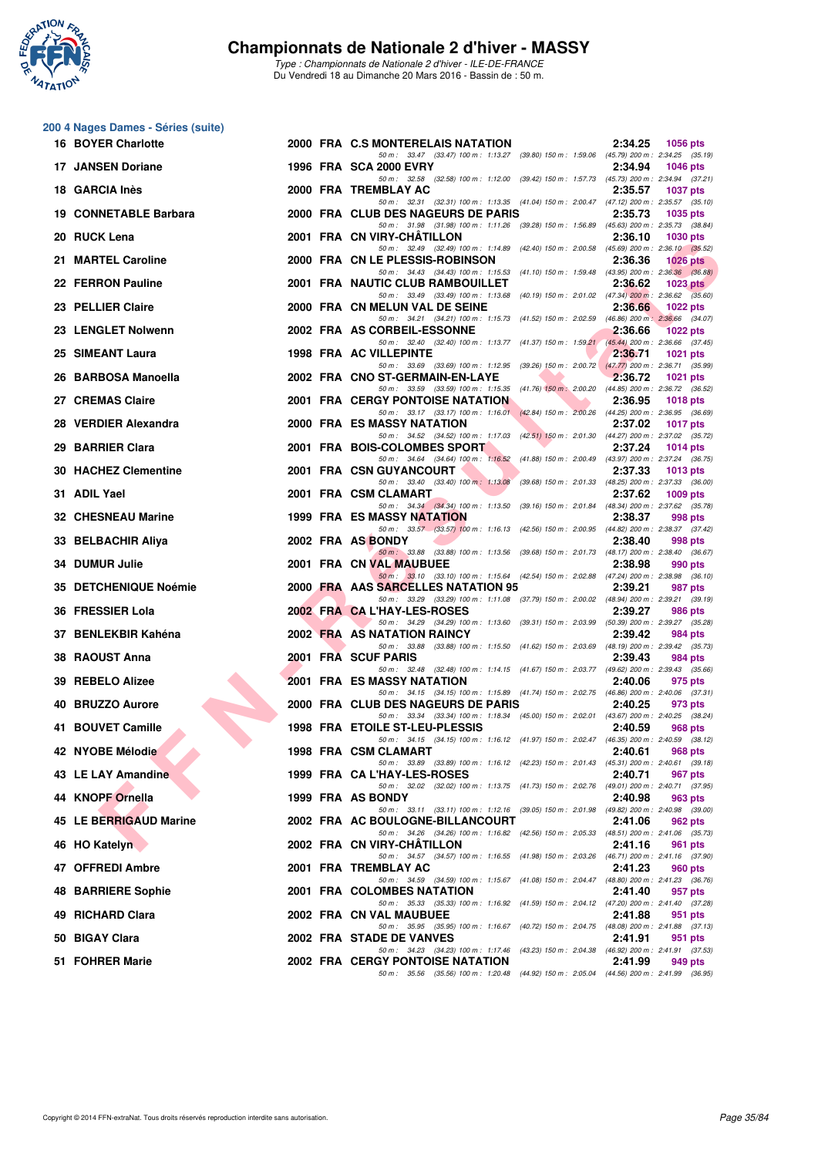

**200 4 Nages Dames - Séries (suite)**

#### **Championnats de Nationale 2 d'hiver - MASSY**

| <b>16 BOYER Charlotte</b>   | 2000 FRA C.S MONTERELAIS NATATION                                                                                                                                                                                  | 2:34.25<br>1056 pts        |
|-----------------------------|--------------------------------------------------------------------------------------------------------------------------------------------------------------------------------------------------------------------|----------------------------|
| 17 JANSEN Doriane           | 50 m: 33.47 (33.47) 100 m: 1:13.27 (39.80) 150 m: 1:59.06 (45.79) 200 m: 2:34.25 (35.19)<br><b>1996 FRA SCA 2000 EVRY</b>                                                                                          | 2:34.94<br><b>1046 pts</b> |
| 18 GARCIA Inès              | 50 m: 32.58 (32.58) 100 m: 1:12.00 (39.42) 150 m: 1:57.73 (45.73) 200 m: 2:34.94 (37.21)<br>2000 FRA TREMBLAY AC                                                                                                   | 2:35.57<br><b>1037 pts</b> |
| 19 CONNETABLE Barbara       | 50 m: 32.31 (32.31) 100 m: 1:13.35 (41.04) 150 m: 2:00.47 (47.12) 200 m: 2:35.57 (35.10)<br>2000 FRA CLUB DES NAGEURS DE PARIS                                                                                     | 2:35.73<br>1035 pts        |
| 20 RUCK Lena                | 50 m: 31.98 (31.98) 100 m: 1:11.26 (39.28) 150 m: 1:56.89 (45.63) 200 m: 2:35.73 (38.84)<br>2001 FRA CN VIRY-CHATILLON                                                                                             | 2:36.10<br><b>1030 pts</b> |
| 21 MARTEL Caroline          | 50 m: 32.49 (32.49) 100 m: 1:14.89 (42.40) 150 m: 2:00.58 (45.69) 200 m: 2:36.10 (35.52)<br>2000 FRA CN LE PLESSIS-ROBINSON                                                                                        | 2:36.36<br><b>1026 pts</b> |
| 22 FERRON Pauline           | 50 m: 34.43 (34.43) 100 m: 1:15.53 (41.10) 150 m: 1:59.48 (43.95) 200 m: 2:36.36 (36.88)<br>2001 FRA NAUTIC CLUB RAMBOUILLET                                                                                       | 2:36.62<br>1023 $pts2$     |
| 23 PELLIER Claire           | 50 m: 33.49 (33.49) 100 m: 1:13.68 (40.19) 150 m: 2:01.02 (47.34) 200 m: 2:36.62 (35.60)<br>2000 FRA CN MELUN VAL DE SEINE                                                                                         | 2:36.66<br>1022 $pts$      |
| 23 LENGLET Nolwenn          | 50 m: 34.21 (34.21) 100 m: 1:15.73 (41.52) 150 m: 2:02.59 (46.86) 200 m: 2:36.66 (34.07)<br>2002 FRA AS CORBEIL-ESSONNE                                                                                            | 2:36.66<br>1022 pts        |
| 25 SIMEANT Laura            | 50 m: 32.40 (32.40) 100 m: 1:13.77 (41.37) 150 m: 1:59.21 (45.44) 200 m: 2:36.66 (37.45)<br>1998 FRA AC VILLEPINTE                                                                                                 | 2:36.71<br>1021 $pts$      |
| 26 BARBOSA Manoella         | 50 m: 33.69 (33.69) 100 m: 1:12.95 (39.26) 150 m: 2:00.72 (47.77) 200 m: 2:36.71 (35.99)<br>2002 FRA CNO ST-GERMAIN-EN-LAYE<br>$\bullet$                                                                           | 2:36.72<br>1021 pts        |
| 27 CREMAS Claire            | 50 m: 33.59 (33.59) 100 m: 1:15.35 (41.76) 150 m: 2:00.20 (44.85) 200 m: 2:36.72 (36.52)<br><b>2001 FRA CERGY PONTOISE NATATION</b>                                                                                | 2:36.95<br><b>1018 pts</b> |
| 28 VERDIER Alexandra        | 50 m: 33.17 (33.17) 100 m: 1:16.01 (42.84) 150 m: 2:00.26 (44.25) 200 m: 2:36.95 (36.69)<br><b>2000 FRA ES MASSY NATATION</b>                                                                                      | 2:37.02<br><b>1017 pts</b> |
| 29 BARRIER Clara            | 50 m: 34.52 (34.52) 100 m: 1:17.03 (42.51) 150 m: 2:01.30 (44.27) 200 m: 2:37.02 (35.72)<br>2001 FRA BOIS-COLOMBES SPORT                                                                                           | 2:37.24<br>1014 pts        |
| <b>30 HACHEZ Clementine</b> | 50 m: 34.64 (34.64) 100 m: 1:16.52 (41.88) 150 m: 2:00.49 (43.97) 200 m: 2:37.24 (36.75)<br>2001 FRA CSN GUYANCOURT                                                                                                | 2:37.33<br>1013 $pts$      |
| 31 ADIL Yael                | 50 m : 33.40 (33.40) $100 \text{ m}$ : $1:13.08$ (39.68) $150 \text{ m}$ : 2:01.33 (48.25) $200 \text{ m}$ : 2:37.33 (36.00)<br>2001 FRA CSM CLAMART                                                               | 2:37.62                    |
|                             | 50 m: 34.34 (34.34) 100 m: 1:13.50 (39.16) 150 m: 2:01.84 (48.34) 200 m: 2:37.62 (35.78)<br><b>1999 FRA ES MASSY NATATION</b>                                                                                      | $1009$ pts                 |
| 32 CHESNEAU Marine          | 50 m: 33.57 (33.57) 100 m: 1:16.13 (42.56) 150 m: 2:00.95 (44.82) 200 m: 2:38.37 (37.42)                                                                                                                           | 2:38.37<br>998 pts         |
| 33 BELBACHIR Aliya          | 2002 FRA AS BONDY<br>50 m: 33.88 (33.88) 100 m: 1:13.56 (39.68) 150 m: 2:01.73 (48.17) 200 m: 2:38.40 (36.67)                                                                                                      | 2:38.40<br>998 pts         |
| 34 DUMUR Julie              | 2001 FRA CN VAL MAUBUEE<br>50 m: 33.10 (33.10) 100 m: 1:15.64 (42.54) 150 m: 2:02.88 (47.24) 200 m: 2:38.98 (36.10)                                                                                                | 2:38.98<br>990 pts         |
| 35 DETCHENIQUE Noémie       | 2000 FRA AAS SARCELLES NATATION 95<br>50 m: 33.29 (33.29) 100 m: 1:11.08 (37.79) 150 m: 2:00.02 (48.94) 200 m: 2:39.21 (39.19)                                                                                     | 2:39.21<br>987 pts         |
| 36 FRESSIER Lola            | 2002 FRA CA L'HAY-LES-ROSES<br>50 m: 34.29 (34.29) 100 m: 1:13.60 (39.31) 150 m: 2:03.99 (50.39) 200 m: 2:39.27 (35.28)                                                                                            | 2:39.27<br>986 pts         |
| 37 BENLEKBIR Kahéna         | 2002 FRA AS NATATION RAINCY<br>50 m: 33.88 (33.88) 100 m: 1:15.50 (41.62) 150 m: 2:03.69 (48.19) 200 m: 2:39.42 (35.73)                                                                                            | 2:39.42<br>984 pts         |
| 38 RAOUST Anna              | 2001 FRA SCUF PARIS<br>50 m: 32.48 (32.48) 100 m: 1:14.15 (41.67) 150 m: 2:03.77 (49.62) 200 m: 2:39.43 (35.66)                                                                                                    | 2:39.43<br>984 pts         |
| 39 REBELO Alizee            | <b>2001 FRA ES MASSY NATATION</b><br>50 m: 34.15 (34.15) 100 m: 1:15.89 (41.74) 150 m: 2:02.75 (46.86) 200 m: 2:40.06 (37.31)                                                                                      | 2:40.06<br>975 pts         |
| 40 BRUZZO Aurore            | 2000 FRA CLUB DES NAGEURS DE PARIS<br>50 m: 33.34 (33.34) 100 m: 1:18.34 (45.00) 150 m: 2:02.01 (43.67) 200 m: 2:40.25 (38.24)                                                                                     | 2:40.25<br>973 pts         |
| 41 BOUVET Camille           | 1998 FRA ETOILE ST-LEU-PLESSIS<br>50 m: 34.15 (34.15) 100 m: 1:16.12 (41.97) 150 m: 2:02.47 (46.35) 200 m: 2:40.59 (38.12)                                                                                         | 2:40.59<br>968 pts         |
| 42 NYOBE Mélodie            | 1998 FRA CSM CLAMART<br>50 m: 33.89 (33.89) 100 m: 1:16.12 (42.23) 150 m: 2:01.43 (45.31) 200 m: 2:40.61 (39.18)                                                                                                   | 2:40.61<br>968 pts         |
| 43 LE LAY Amandine          | 1999 FRA CA L'HAY-LES-ROSES<br>50 m: 32.02 (32.02) 100 m: 1:13.75 (41.73) 150 m: 2:02.76 (49.01) 200 m: 2:40.71 (37.95)                                                                                            | 2:40.71<br>967 pts         |
| 44 KNOPF Ornella            | 1999 FRA AS BONDY<br>50 m: 33.11 (33.11) 100 m: 1:12.16 (39.05) 150 m: 2:01.98 (49.82) 200 m: 2:40.98 (39.00)                                                                                                      | 2:40.98<br>963 pts         |
| 45 LE BERRIGAUD Marine      | 2002 FRA AC BOULOGNE-BILLANCOURT<br>50 m: 34.26 (34.26) 100 m: 1:16.82 (42.56) 150 m: 2:05.33 (48.51) 200 m: 2:41.06 (35.73)                                                                                       | 2:41.06<br>962 pts         |
| 46 HO Katelyn               | 2002 FRA CN VIRY-CHATILLON<br>50 m: 34.57 (34.57) 100 m: 1:16.55 (41.98) 150 m: 2:03.26 (46.71) 200 m: 2:41.16 (37.90)                                                                                             | 2:41.16<br>961 pts         |
| 47 OFFREDI Ambre            | 2001 FRA TREMBLAY AC                                                                                                                                                                                               | 2:41.23<br>960 pts         |
| <b>48 BARRIERE Sophie</b>   | 50 m: 34.59 (34.59) 100 m: 1:15.67 (41.08) 150 m: 2:04.47 (48.80) 200 m: 2:41.23 (36.76)<br>2001 FRA COLOMBES NATATION<br>50 m: 35.33 (35.33) 100 m: 1:16.92 (41.59) 150 m: 2:04.12 (47.20) 200 m: 2:41.40 (37.28) | 2:41.40<br>957 pts         |
| 49 RICHARD Clara            | 2002 FRA CN VAL MAUBUEE                                                                                                                                                                                            | 2:41.88<br>951 pts         |
| 50 BIGAY Clara              | 50 m: 35.95 (35.95) 100 m: 1:16.67 (40.72) 150 m: 2:04.75 (48.08) 200 m: 2:41.88 (37.13)<br>2002 FRA STADE DE VANVES                                                                                               | 2:41.91<br>951 pts         |
| 51 FOHRER Marie             | 50 m: 34.23 (34.23) 100 m: 1:17.46 (43.23) 150 m: 2:04.38 (46.92) 200 m: 2:41.91 (37.53)<br><b>2002 FRA CERGY PONTOISE NATATION</b>                                                                                | 2:41.99<br>949 pts         |
|                             | 50 m: 35.56 (35.56) 100 m: 1:20.48 (44.92) 150 m: 2:05.04 (44.56) 200 m: 2:41.99 (36.95)                                                                                                                           |                            |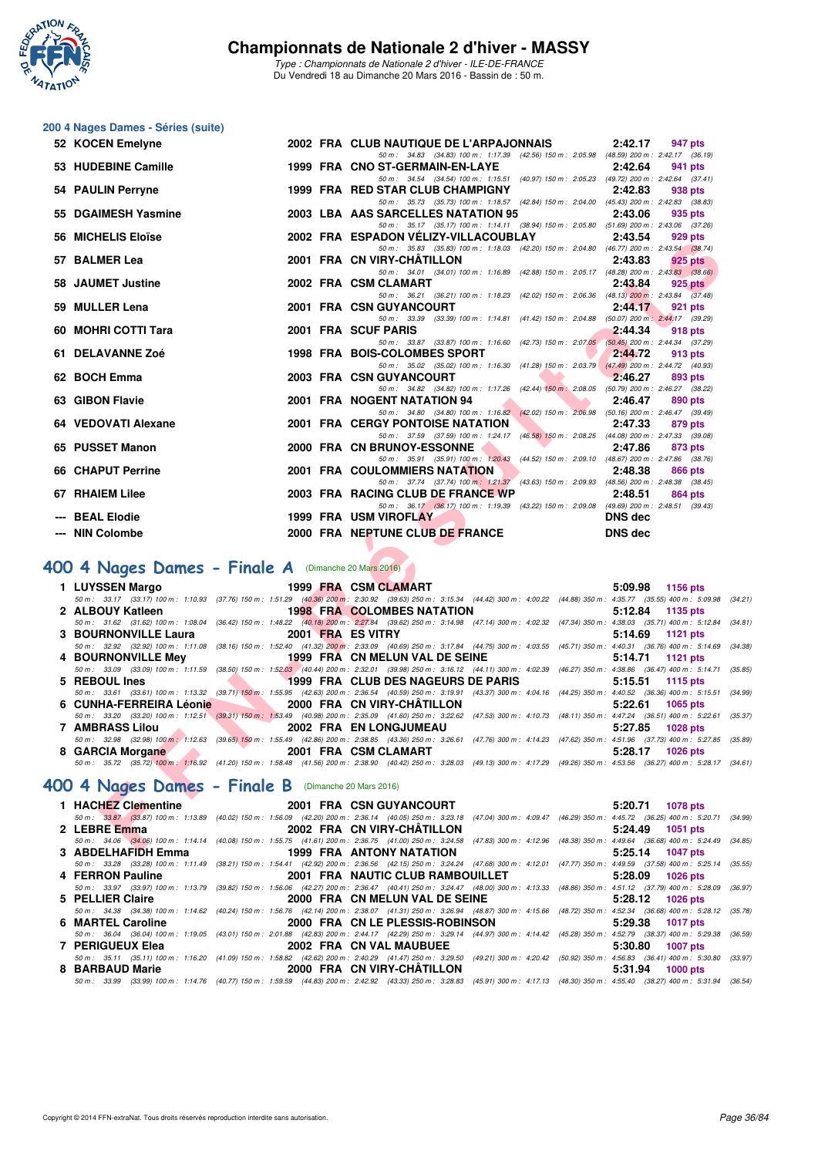

#### **200 4 Nages Dames - Séries (suite)**

| 52 KOCEN Emelyne                                                                                                                                                                                                                                      |  | 2002 FRA CLUB NAUTIQUE DE L'ARPAJONNAIS<br>2:42.17<br>947 pts                                                                                                                                                                                                              |  |
|-------------------------------------------------------------------------------------------------------------------------------------------------------------------------------------------------------------------------------------------------------|--|----------------------------------------------------------------------------------------------------------------------------------------------------------------------------------------------------------------------------------------------------------------------------|--|
| 53 HUDEBINE Camille                                                                                                                                                                                                                                   |  | 50 m: 34.83 (34.83) 100 m: 1:17.39 (42.56) 150 m: 2:05.98 (48.59) 200 m: 2:42.17 (36.19)<br>1999 FRA CNO ST-GERMAIN-EN-LAYE<br>2:42.64<br>941 pts                                                                                                                          |  |
| 54 PAULIN Perryne                                                                                                                                                                                                                                     |  | 50 m: 34.54 (34.54) 100 m: 1:15.51 (40.97) 150 m: 2:05.23 (49.72) 200 m: 2:42.64 (37.41)<br>1999 FRA RED STAR CLUB CHAMPIGNY<br>2:42.83<br>938 pts                                                                                                                         |  |
| 55 DGAIMESH Yasmine                                                                                                                                                                                                                                   |  | 50 m: 35.73 (35.73) 100 m: 1:18.57 (42.84) 150 m: 2:04.00 (45.43) 200 m: 2:42.83 (38.83)<br>2003 LBA AAS SARCELLES NATATION 95<br>2:43.06<br>935 pts                                                                                                                       |  |
|                                                                                                                                                                                                                                                       |  | 50 m: 35.17 (35.17) 100 m: 1:14.11 (38.94) 150 m: 2:05.80 (51.69) 200 m: 2:43.06 (37.26)                                                                                                                                                                                   |  |
| 56 MICHELIS Eloïse                                                                                                                                                                                                                                    |  | 2002 FRA ESPADON VELIZY-VILLACOUBLAY<br>2:43.54<br>929 pts<br>50 m: 35.83 (35.83) 100 m: 1:18.03 (42.20) 150 m: 2:04.80 (46.77) 200 m: 2:43.54 (38.74)                                                                                                                     |  |
| 57 BALMER Lea                                                                                                                                                                                                                                         |  | 2001 FRA CN VIRY-CHATILLON<br>2:43.83<br>925 pts<br>50 m: 34.01 (34.01) 100 m: 1:16.89 (42.88) 150 m: 2:05.17 (48.28) 200 m: 2:43.83 (38.66)                                                                                                                               |  |
| 58 JAUMET Justine                                                                                                                                                                                                                                     |  | 2002 FRA CSM CLAMART<br>2:43.84<br>$925$ pts                                                                                                                                                                                                                               |  |
| 59 MULLER Lena                                                                                                                                                                                                                                        |  | 50 m: 36.21 (36.21) 100 m: 1:18.23 (42.02) 150 m: 2:06.36 (48.13) 200 m: 2:43.84 (37.48)<br>2001 FRA CSN GUYANCOURT<br>2:44.17<br>921 pts                                                                                                                                  |  |
| 60 MOHRI COTTI Tara                                                                                                                                                                                                                                   |  | 50 m: 33.39 (33.39) 100 m: 1:14.81 (41.42) 150 m: 2:04.88 (50.07) 200 m: 2:44.17 (39.29)<br>2001 FRA SCUF PARIS<br>2:44.34<br>918 pts                                                                                                                                      |  |
|                                                                                                                                                                                                                                                       |  | 50 m: 33.87 (33.87) 100 m: 1:16.60 (42.73) 150 m: 2:07.05 (50.45) 200 m: 2:44.34 (37.29)                                                                                                                                                                                   |  |
| 61 DELAVANNE Zoé                                                                                                                                                                                                                                      |  | 1998 FRA BOIS-COLOMBES SPORT<br>2:44.72<br>913 pts<br>50 m: 35.02 (35.02) 100 m: 1:16.30 (41.28) 150 m: 2:03.79 (47.49) 200 m: 2:44.72 (40.93)                                                                                                                             |  |
| 62 BOCH Emma                                                                                                                                                                                                                                          |  | 2003 FRA CSN GUYANCOURT<br>2:46.27<br>893 pts<br>50 m: 34.82 (34.82) 100 m: 1:17.26 (42.44) 150 m: 2:08.05 (50.79) 200 m: 2:46.27 (38.22)                                                                                                                                  |  |
| 63 GIBON Flavie                                                                                                                                                                                                                                       |  | 2001 FRA NOGENT NATATION 94<br>2:46.47<br>890 pts                                                                                                                                                                                                                          |  |
| 64 VEDOVATI Alexane                                                                                                                                                                                                                                   |  | 50 m: 34.80 (34.80) 100 m: 1:16.82 (42.02) 150 m: 2:06.98 (50.16) 200 m: 2:46.47 (39.49)<br><b>2001 FRA CERGY PONTOISE NATATION</b><br>2:47.33<br>879 pts                                                                                                                  |  |
| 65 PUSSET Manon                                                                                                                                                                                                                                       |  | 50 m: 37.59 (37.59) 100 m: 1:24.17 (46.58) 150 m: 2:08.25 (44.08) 200 m: 2:47.33 (39.08)<br>2000 FRA CN BRUNOY-ESSONNE<br>2:47.86<br>873 pts                                                                                                                               |  |
|                                                                                                                                                                                                                                                       |  | 50 m: 35.91 (35.91) 100 m: 1:20.43 (44.52) 150 m: 2:09.10 (48.67) 200 m: 2:47.86 (38.76)                                                                                                                                                                                   |  |
| 66 CHAPUT Perrine                                                                                                                                                                                                                                     |  | 2001 FRA COULOMMIERS NATATION<br>2:48.38<br>866 pts<br>50 m: 37.74 (37.74) 100 m: 1:21.37 (43.63) 150 m: 2:09.93 (48.56) 200 m: 2:48.38 (38.45)                                                                                                                            |  |
| 67 RHAIEM Lilee                                                                                                                                                                                                                                       |  | 2003 FRA RACING CLUB DE FRANCE WP<br>2:48.51<br>864 pts                                                                                                                                                                                                                    |  |
| --- BEAL Elodie                                                                                                                                                                                                                                       |  | 50 m: 36.17 (36.17) 100 m: 1:19.39 (43.22) 150 m: 2:09.08 (49.69) 200 m: 2:48.51 (39.43)<br>1999 FRA USM VIROFLAY<br><b>DNS</b> dec                                                                                                                                        |  |
| --- NIN Colombe                                                                                                                                                                                                                                       |  | 2000 FRA NEPTUNE CLUB DE FRANCE<br><b>DNS</b> dec                                                                                                                                                                                                                          |  |
|                                                                                                                                                                                                                                                       |  |                                                                                                                                                                                                                                                                            |  |
| <b>00 4 Nages Dames - Finale A</b> (Dimanche 20 Ma <mark>rs 2016)</mark>                                                                                                                                                                              |  |                                                                                                                                                                                                                                                                            |  |
| 1 LUYSSEN Margo                                                                                                                                                                                                                                       |  | 1999 FRA CSM CLAMART<br>5:09.98<br>1156 pts<br>50 m: 33.17 (33.17) 100 m: 1:10.93 (37.76) 150 m: 1:51.29 (40.36) 200 m: 2:30.92 (39.63) 250 m: 3:15.34 (44.42) 300 m: 4:00.22 (44.88) 350 m: 4:35.77 (35.55) 400 m: 5:09.98 (3.                                            |  |
| 2 ALBOUY Katleen                                                                                                                                                                                                                                      |  | <b>1998 FRA COLOMBES NATATION</b><br>5:12.84<br>1135 pts                                                                                                                                                                                                                   |  |
| 3 BOURNONVILLE Laura                                                                                                                                                                                                                                  |  | 50 m: 31.62 (31.62) 100 m: 1:08.04 (36.42) 150 m: 1:48.22 (40.18) 200 m: 2:27.84 (39.62) 250 m: 3:14.98 (47.14) 300 m: 4:02.32 (47.34) 350 m: 4:38.03 (35.71) 400 m: 5:12.84 (3<br>2001 FRA ES VITRY<br>5:14.69<br><b>1121 pts</b>                                         |  |
|                                                                                                                                                                                                                                                       |  | 50 m: 32.92 (32.92) 100 m: 1:11.08 (38.16) 150 m: 1:52.40 (41.32) 200 m: 2:33.09 (40.69) 250 m: 3:17.84 (44.75) 300 m: 4:03.55 (45.71) 350 m: 4:40.31 (36.76) 400 m: 5:14.69 (3                                                                                            |  |
| 4 BOURNONVILLE Mey                                                                                                                                                                                                                                    |  | 1999 FRA CN MELUN VAL DE SEINE<br>5:14.71<br>1121 pts<br>50 m: 33.09 (33.09) 100 m: 1:11.59 (38.50) 150 m: 1:52.03 (40.44) 200 m: 2:32.01 (39.98) 250 m: 3:16.12 (44.11) 300 m: 4:02.39 (46.27) 350 m: 4:38.86 (36.47) 400 m: 5:14.71 (3                                   |  |
| 5 REBOUL Ines<br><u>and the second second in the second second in the second second in the second second in the second second in the second second in the second second in the second second second in the second second second in the second sec</u> |  | 1999 FRA CLUB DES NAGEURS DE PARIS<br>5:15.51<br>1115 pts                                                                                                                                                                                                                  |  |
| 6 CUNHA-FERREIRA Léonie                                                                                                                                                                                                                               |  | 50 m: 33.61 (33.61) 100 m: 1:13.32 (39.71) 150 m: 1:55.95 (42.63) 200 m: 2:36.54 (40.59) 250 m: 3:19.91 (43.37) 300 m: 4:04.16 (44.25) 350 m: 4:40.52 (36.36) 400 m: 5:15.51 (3<br>2000 FRA CN VIRY-CHATILLON<br>5:22.61<br><b>1065 pts</b>                                |  |
|                                                                                                                                                                                                                                                       |  | 50 m: 33.20 (33.20) 100 m: 1:12.51 (39.31) 150 m: 1:53.49 (40.98) 200 m: 2:35.09 (41.60) 250 m: 3:22.62 (47.53) 300 m: 4:10.73 (48.11) 350 m: 4:47.24 (36.51) 400 m: 5:22.61 (3                                                                                            |  |
| <b>7 AMBRASS Lilou</b>                                                                                                                                                                                                                                |  | 2002 FRA EN LONGJUMEAU<br>5:27.85<br>1028 pts<br>50 m: 32.98 (32.98) 100 m: 1:12.63 (39.65) 150 m: 1:55.49 (42.86) 200 m: 2:38.85 (43.36) 250 m: 3:26.61 (47.76) 300 m: 4:14.23 (47.62) 350 m: 4:51.96 (37.73) 400 m: 5:27.85 (3.                                          |  |
| 8 GARCIA Morgane And Allen Contracts                                                                                                                                                                                                                  |  | 2001 FRA CSM CLAMART<br>5:28.17<br>1026 pts                                                                                                                                                                                                                                |  |
|                                                                                                                                                                                                                                                       |  | 50 m: 35.72 (35.72) 100 m: 1:16.92 (41.20) 150 m: 1:58.48 (41.56) 200 m: 2:38.90 (40.42) 250 m: 3:28.03 (49.13) 300 m: 4:17.29 (49.26) 350 m: 4:53.56 (36.27) 400 m: 5:28.17 (3                                                                                            |  |
| <b>00 4 Nages Dames - Finale B</b> (Dimanche 20 Mars 2016)                                                                                                                                                                                            |  |                                                                                                                                                                                                                                                                            |  |
| 1 HACHEZ Clementine                                                                                                                                                                                                                                   |  | 2001 FRA CSN GUYANCOURT<br>5:20.71<br>1078 pts                                                                                                                                                                                                                             |  |
| 2 LEBRE Emma                                                                                                                                                                                                                                          |  | 50 m: 33.87 (33.87) 100 m: 1:13.89 (40.02) 150 m: 1:56.09 (42.20) 200 m: 2:36.14 (40.05) 250 m: 3:23.18 (47.04) 300 m: 4:09.47 (46.29) 350 m: 4:45.72 (36.25) 400 m: 5:20.71 (3<br>2002 FRA CN VIRY-CHATILLON<br>5:24.49<br>1051 pts                                       |  |
| $\alpha$ added uacing $\Gamma_{\rm max}$                                                                                                                                                                                                              |  | 50 m: 34.06 (34.06) 100 m: 1:14.14 (40.08) 150 m: 1:55.75 (41.61) 200 m: 2:36.75 (41.00) 250 m: 3:24.58 (47.83) 300 m: 4:12.96 (48.38) 350 m: 4:49.64 (36.68) 400 m: 5:24.49 (3<br>4000 FBA ANTONIVALATATION<br>$F \cdot \Omega F = 4A$<br>$\sim$ 40.477 $\sim$ 4.4 $\sim$ |  |
|                                                                                                                                                                                                                                                       |  |                                                                                                                                                                                                                                                                            |  |

## [400 4 Nages Dames - Finale A](http://www.ffnatation.fr/webffn/resultats.php?idact=nat&go=epr&idcpt=37307&idepr=42) (Dimanche 20 Mars 2016)

|                                        |                                                                                                                                                                                              |         | 5:09.98 1156 pts   |
|----------------------------------------|----------------------------------------------------------------------------------------------------------------------------------------------------------------------------------------------|---------|--------------------|
|                                        | 50 m : 33.17 (33.17) 100 m : 1:10.93 (37.76) 150 m : 1:51.29 (40.36) 200 m : 2:30.92 (39.63) 250 m : 3:15.34 (44.42) 300 m : 4:00.22 (44.88) 350 m : 4:35.77 (35.55) 400 m : 5:09.98 (34.21) |         |                    |
|                                        | 2 ALBOUY Katleen <b>1998 FRA COLOMBES NATATION</b>                                                                                                                                           |         | $5:12.84$ 1135 pts |
|                                        | 50 m: 31.62 (31.62) 100 m: 1:08.04 (36.42) 150 m: 1:48.22 (40.18) 200 m: 2:27.84 (39.62) 250 m: 3:14.98 (47.14) 300 m: 4:02.32 (47.34) 350 m: 4:38.03 (35.71) 400 m: 5:12.84 (34.81)         |         |                    |
| 3 BOURNONVILLE Laura 2001 FRA ES VITRY |                                                                                                                                                                                              |         | $5:14.69$ 1121 pts |
|                                        | 50 m : 32.92 (32.92) 100 m : 1:11.08 (38.16) 150 m : 1:52.40 (41.32) 200 m : 2:33.09 (40.69) 250 m : 3:17.84 (44.75) 300 m : 4:03.55 (45.71) 350 m : 4:40.31 (36.76) 400 m : 5:14.69 (34.38  |         |                    |
|                                        | 4 BOURNONVILLE Mey 1999 FRA CN MELUN VAL DE SEINE                                                                                                                                            |         | 5:14.71 1121 pts   |
|                                        | 50 m: 33.09 (33.09) 100 m: 1:11.59 (38.50) 150 m: 1:52.03 (40.44) 200 m: 2:32.01 (39.98) 250 m: 3:16.12 (44.11) 300 m: 4:02.39 (46.27) 350 m: 4:38.86 (36.47) 400 m: 5:14.71 (35.85          |         |                    |
| 5 REBOUL Ines                          | <b>1999 FRA CLUB DES NAGEURS DE PARIS</b>                                                                                                                                                    |         | $5:15.51$ 1115 pts |
|                                        | 50 m: 33.61 (33.61) 100 m: 1:13.32 (39.71) 150 m: 1:55.95 (42.63) 200 m: 2:36.54 (40.59) 250 m: 3:19.91 (43.37) 300 m: 4:04.16 (44.25) 350 m: 4:40.52 (36.36) 400 m: 5:15.51 (34.99,         |         |                    |
|                                        | 6 CUNHA-FERREIRA Léonie 2000 FRA CN VIRY-CHÂTILLON                                                                                                                                           |         | $5:22.61$ 1065 pts |
|                                        | 50 m: 33.20 (33.20) 100 m: 1:12.51 (39.31) 150 m: 1:53.49 (40.98) 200 m: 2:35.09 (41.60) 250 m: 3:22.62 (47.53) 300 m: 4:10.73 (48.11) 350 m: 4:47.24 (36.51) 400 m: 5:22.61 (35.37          |         |                    |
| 7 AMBRASS Lilou                        | <b>EXAMPLE 2002 FRA EN LONGJUMEAU</b>                                                                                                                                                        | 5:27.85 | 1028 pts           |
|                                        | 50 m : 32.98 (32.98) 100 m : 1:12.63 (39.65) 150 m : 1:55.49 (42.86) 200 m : 2:38.85 (43.36) 250 m : 3:26.61 (47.76) 300 m : 4:14.23 (47.62) 350 m : 4:51.96 (37.73) 400 m : 5:27.85 (35.89  |         |                    |
|                                        | 8 GARCIA Morgane 2001 FRA CSM CLAMART                                                                                                                                                        | 5:28.17 | 1026 pts           |
|                                        | 50 m: 35.72 (35.72) 100 m: 1:16.92 (41.20) 150 m: 1:58.48 (41.56) 200 m: 2:38.90 (40.42) 250 m: 3:28.03 (49.13) 300 m: 4:17.29 (49.26) 350 m: 4:53.56 (36.27) 400 m: 5:28.17 (34.61)         |         |                    |

## [400 4 Nages Dames - Finale B](http://www.ffnatation.fr/webffn/resultats.php?idact=nat&go=epr&idcpt=37307&idepr=42) (Dimanche 20 Mars 2016)

| 1 HACHEZ Clementine 2001 FRA CSN GUYANCOURT |                                                                                                                                                                                              | 5:20.71 1078 pts    |
|---------------------------------------------|----------------------------------------------------------------------------------------------------------------------------------------------------------------------------------------------|---------------------|
|                                             | 50 m: 33.87 (33.87) 100 m: 1:13.89 (40.02) 150 m: 1:56.09 (42.20) 200 m: 2:36.14 (40.05) 250 m: 3:23.18 (47.04) 300 m: 4:09.47 (46.29) 350 m: 4:45.72 (36.25) 400 m: 5:20.71 (34.99)         |                     |
| 2 LEBRE Emma                                | 2002 FRA CN VIRY-CHÂTILLON                                                                                                                                                                   | $5:24.49$ 1051 pts  |
|                                             | 50 m: 34.06 (34.06) 100 m: 1:14.14 (40.08) 150 m: 1:55.75 (41.61) 200 m: 2:36.75 (41.00) 250 m: 3:24.58 (47.83) 300 m: 4:12.96 (48.38) 350 m: 4:49.64 (36.68) 400 m: 5:24.49 (34.85)         |                     |
|                                             |                                                                                                                                                                                              | 5:25.14 1047 pts    |
|                                             | 50 m: 33.28 (33.28) 100 m: 1:11.49 (38.21) 150 m: 1:54.41 (42.92) 200 m: 2:36.56 (42.15) 250 m: 3:24.24 (47.68) 300 m: 4:12.01 (47.77) 350 m: 4:49.59 (37.58) 400 m: 5:25.14 (35.55)         |                     |
| 4 FERRON Pauline                            | 2001 FRA NAUTIC CLUB RAMBOUILLET                                                                                                                                                             | 5:28.09<br>1026 pts |
|                                             | 50 m: 33.97 (33.97) 100 m: 1:13.79 (39.82) 150 m: 1:56.06 (42.27) 200 m: 2:36.47 (40.41) 250 m: 3:24.47 (48.00) 300 m: 4:13.33 (48.86) 350 m: 4:51.12 (37.79) 400 m: 5:28.09 (36.97)         |                     |
| 5 PELLIER Claire                            | 2000 FRA CN MELUN VAL DE SEINE                                                                                                                                                               | $5:28.12$ 1026 pts  |
|                                             | 50 m: 34.38 (34.38) 100 m: 1:14.62 (40.24) 150 m: 1:56.76 (42.14) 200 m: 2:38.07 (41.31) 250 m: 3:26.94 (48.87) 300 m: 4:15.66 (48.72) 350 m: 4:52.34 (36.68) 400 m: 5:28.12 (35.78)         |                     |
|                                             |                                                                                                                                                                                              | 5:29.38 1017 pts    |
|                                             | 50 m : 36.04 (36.04) 100 m : 1:19.05 (43.01) 150 m : 2:01.88 (42.83) 200 m : 2:44.17 (42.29) 250 m : 3:29.14 (44.97) 300 m : 4:14.42 (45.28) 350 m : 4:52.79 (38.37) 400 m : 5:29.38 (36.59) |                     |
| 7 PERIGUEUX Elea                            | 2002 FRA CN VAL MAUBUEE                                                                                                                                                                      | 5:30.80<br>1007 pts |
|                                             | 50 m: 35.11 (35.11) 100 m: 1:16.20 (41.09) 150 m: 1:58.82 (42.62) 200 m: 2:40.29 (41.47) 250 m: 3:29.50 (49.21) 300 m: 4:20.42 (50.92) 350 m: 4:56.83 (36.41) 400 m: 5:30.80 (33.97)         |                     |
|                                             | 8 BARBAUD Marie 2000 FRA CN VIRY-CHÂTILLON                                                                                                                                                   | 5:31.94 1000 pts    |
|                                             | 50 m : 33.99 (33.99) 100 m : 1:14.76 (40.77) 150 m : 1:59.59 (44.83) 200 m : 2:42.92 (43.33) 250 m : 3:28.83 (45.91) 300 m : 4:17.13 (48.30) 350 m : 4:55.40 (38.27) 400 m : 5:31.94 (36.54) |                     |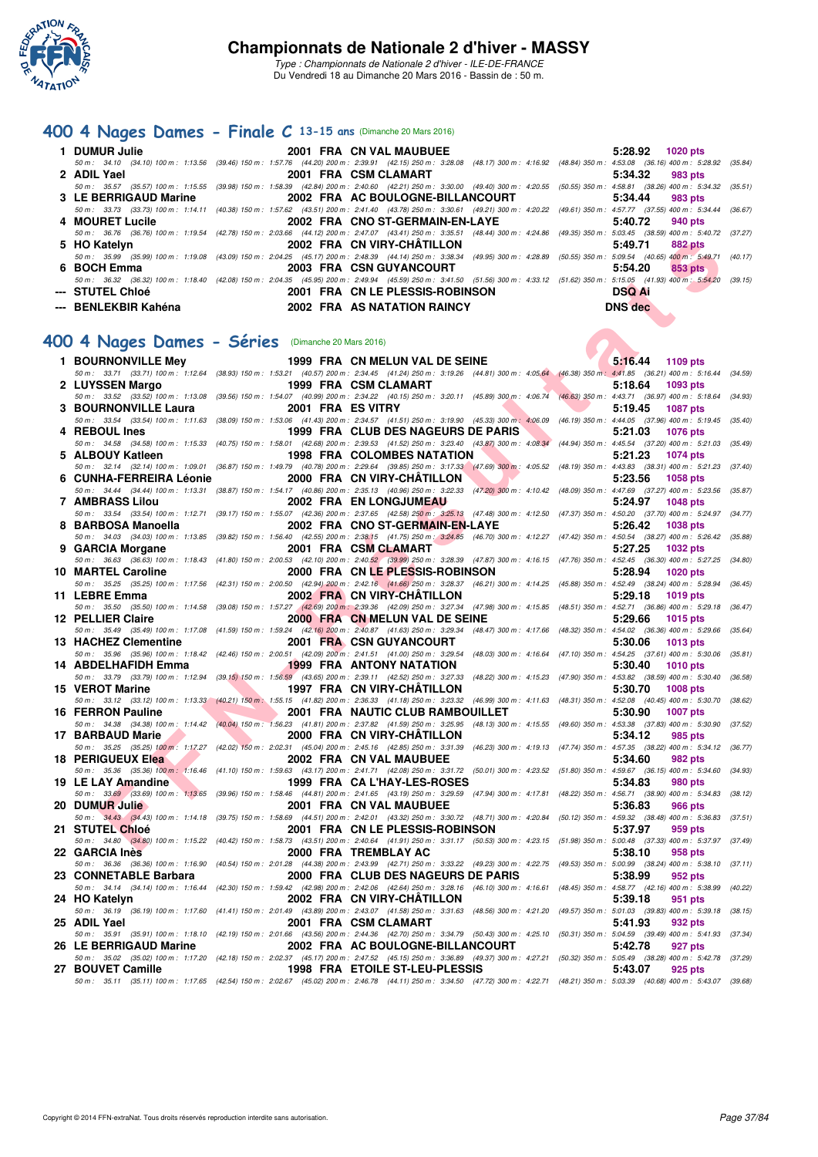

### **[400 4 Nages Dames - Finale C](http://www.ffnatation.fr/webffn/resultats.php?idact=nat&go=epr&idcpt=37307&idepr=42) 13-15 ans** (Dimanche 20 Mars 2016)

| 1 DUMUR Julie         | 2001 FRA CN VAL MAUBUEE          | $5:28.92$ 1020 pts                                                                                                                                                                   |
|-----------------------|----------------------------------|--------------------------------------------------------------------------------------------------------------------------------------------------------------------------------------|
|                       |                                  | 50 m: 34.10 (34.10) 100 m: 1:13.56 (39.46) 150 m: 1:57.76 (44.20) 200 m: 2:39.91 (42.15) 250 m: 3:28.08 (48.17) 300 m: 4:16.92 (48.84) 350 m: 4:53.08 (36.16) 400 m: 5:28.92 (35.84) |
| 2 ADIL Yael           | 2001 FRA CSM CLAMART             | 5:34.32<br>983 pts                                                                                                                                                                   |
|                       |                                  | 50 m: 35.57 (35.57) 100 m: 1:15.55 (39.98) 150 m: 1:58.39 (42.84) 200 m: 2:40.60 (42.21) 250 m: 3:30.00 (49.40) 300 m: 4:20.55 (50.55) 350 m: 4:58.81 (38.26) 400 m: 5:34.32 (35.51) |
| 3 LE BERRIGAUD Marine | 2002 FRA AC BOULOGNE-BILLANCOURT | 5:34.44<br>983 pts                                                                                                                                                                   |
|                       |                                  | 50 m: 33.73 (33.73) 100 m: 1:14.11 (40.38) 150 m: 1:57.62 (43.51) 200 m: 2:41.40 (43.78) 250 m: 3:30.61 (49.21) 300 m: 4:20.22 (49.61) 350 m: 4:57.77 (37.55) 400 m: 5:34.44 (36.67) |
| 4 MOURET Lucile       | 2002 FRA CNO ST-GERMAIN-EN-LAYE  | 5:40.72<br>940 pts                                                                                                                                                                   |
|                       |                                  | 50 m: 36.76 (36.76) 100 m: 1:19.54 (42.78) 150 m: 2:03.66 (44.12) 200 m: 2:47.07 (43.41) 250 m: 3:35.51 (48.44) 300 m: 4:24.86 (49.35) 350 m: 5:03.45 (38.59) 400 m: 5:40.72 (37.27) |
| 5 HO Katelyn          | 2002 FRA CN VIRY-CHÂTILLON       | 5:49.71<br>882 pts                                                                                                                                                                   |
|                       |                                  | 50 m: 35.99 (35.99) 100 m: 1:19.08 (43.09) 150 m: 2:04.25 (45.17) 200 m: 2:48.39 (44.14) 250 m: 3:38.34 (49.95) 300 m: 4:28.89 (50.55) 350 m: 5:09.54 (40.65) 400 m: 5:49.71 (40.17) |
| 6 BOCH Emma           | 2003 FRA CSN GUYANCOURT          | 5:54.20<br>853 pts                                                                                                                                                                   |
|                       |                                  | 50 m: 36.32 (36.32) 100 m: 1:18.40 (42.08) 150 m: 2:04.35 (45.95) 200 m: 2:49.94 (45.59) 250 m: 3:41.50 (51.56) 300 m: 4:33.12 (51.62) 350 m: 5:15.05 (41.93) 400 m: 5:54.20 (39.15) |
| --- STUTEL Chloé      | 2001 FRA CN LE PLESSIS-ROBINSON  | <b>DSQ Ai</b>                                                                                                                                                                        |
| --- BENLEKBIR Kahéna  | 2002 FRA AS NATATION RAINCY      | <b>DNS</b> dec                                                                                                                                                                       |

#### **[400 4 Nages Dames - Séries](http://www.ffnatation.fr/webffn/resultats.php?idact=nat&go=epr&idcpt=37307&idepr=42)** (Dimanche 20 Mars 2016)

| 5 HO Katelyn                                                                                                                                                                                                      |                                       | 2002 FRA CN VIRY-CHATILLON         |  | 5:49.71<br>882 pts         |         |
|-------------------------------------------------------------------------------------------------------------------------------------------------------------------------------------------------------------------|---------------------------------------|------------------------------------|--|----------------------------|---------|
| 50 m : 35.99 (35.99) 100 m : 1:19.08 (43.09) 150 m : 2:04.25 (45.17) 200 m : 2:48.39 (44.14) 250 m : 3:38.34 (49.95) 300 m : 4:28.89 (50.55) 350 m : 5:09.54 (40.65) 400 m : 5:49.71 (40.17)<br>6 BOCH Emma       |                                       | 2003 FRA CSN GUYANCOURT            |  | 5:54.20<br>853 pts         |         |
| 50 m: 36.32 (36.32) 100 m: 1:18.40 (42.08) 150 m: 2:04.35 (45.95) 200 m: 2:49.94 (45.59) 250 m: 3:41.50 (51.56) 300 m: 4:33.12 (51.62) 350 m: 5:15.05 (41.93) 400 m: 5:54.20 (39.15)<br>---   STUTEL Chloé        |                                       | 2001 FRA CN LE PLESSIS-ROBINSON    |  | <b>DSQ Ai</b>              |         |
| --- BENLEKBIR Kahéna                                                                                                                                                                                              |                                       | 2002 FRA AS NATATION RAINCY        |  | <b>DNS</b> dec             |         |
|                                                                                                                                                                                                                   |                                       |                                    |  |                            |         |
| 00 4 Nages Dames - Séries (Dimanche 20 Mars 2016)                                                                                                                                                                 |                                       |                                    |  |                            |         |
|                                                                                                                                                                                                                   |                                       |                                    |  |                            |         |
| 1 BOURNONVILLE Mey                                                                                                                                                                                                |                                       | 1999 FRA CN MELUN VAL DE SEINE     |  | 5:16.44<br>1109 pts        |         |
| 50 m: 33.71 (33.71) 100 m: 1:12.64 (38.93) 150 m: 1:53.21 (40.57) 200 m: 2:34.45 (41.24) 250 m: 3:19.26 (44.81) 300 m: 4:05.64 (46.38) 350 m: 4:41.85 (36.21) 400 m: 5:16.44 (34.59)<br>2 LUYSSEN Margo           |                                       | 1999 FRA CSM CLAMART               |  | 5:18.64<br>1093 pts        |         |
| 50 m : 33.52 (33.52) 100 m : 1:13.08 (39.56) 150 m : 1:54.07 (40.99) 200 m : 2:34.22 (40.15) 250 m : 3:20.11 (45.89) 300 m : 4:06.74 (46.63) 350 m : 4:43.71 (36.97) 400 m : 5:18.64 (34.93)                      |                                       |                                    |  |                            |         |
| 3 BOURNONVILLE Laura                                                                                                                                                                                              |                                       | 2001 FRA ES VITRY                  |  | 5:19.45<br><b>1087 pts</b> |         |
| 50 m: 33.54 (33.54) 100 m: 1:11.63 (38.09) 150 m: 1:53.06 (41.43) 200 m: 2:34.57 (41.51) 250 m: 3:19.90 (45.33) 300 m; 4:06.09 (46.19) 350 m: 4:44.05 (37.96) 400 m: 5:19.45                                      |                                       |                                    |  |                            | (35.40) |
| 4 REBOUL Ines                                                                                                                                                                                                     |                                       | 1999 FRA CLUB DES NAGEURS DE PARIS |  | 5:21.03<br><b>1076 pts</b> |         |
| 50 m : 34.58 (34.58) 100 m : 1:15.33 (40.75) 150 m : 1:58.01 (42.68) 200 m : 2:39.53 (41.52) 250 m : 3:23.40 (43.87) 300 m : 4:08.34 (44.94) 350 m : 4:45.54 (37.20) 400 m : 5:21.03 (35.49)<br>5 ALBOUY Katleen  |                                       | <b>1998 FRA COLOMBES NATATION</b>  |  | 5:21.23<br><b>1074 pts</b> |         |
| 50 m : 32.14 (32.14) 100 m : 1:09.01 (36.87) 150 m : 1:49.79 (40.78) 200 m : 2:29.64 (39.85) 250 m : 3:17.33 (47.69) 300 m : 4:05.52 (48.19) 350 m : 4:43.83 (38.31) 400 m : 5:21.23                              |                                       |                                    |  |                            | (37.40) |
| 6 CUNHA-FERREIRA Léonie                                                                                                                                                                                           |                                       | 2000 FRA CN VIRY-CHATILLON         |  | 5:23.56<br><b>1058 pts</b> |         |
| 50 m: 34.44 (34.44) 100 m: 1:13.31 (38.87) 150 m: 1:54.17 (40.86) 200 m: 2:35.13 (40.96) 250 m: 3:22.33 (47.20) 300 m: 4:10.42 (48.09) 350 m: 4:47.69 (37.27) 400 m: 5:23.56                                      |                                       |                                    |  |                            | (35.87) |
| 7 AMBRASS Lilou                                                                                                                                                                                                   |                                       | 2002 FRA EN LONGJUMEAU             |  | 5:24.97<br><b>1048 pts</b> |         |
| 50 m : 33.54 (33.54) 100 m : 1:12.71 (39.17) 150 m : 1:55.07 (42.36) 200 m : 2:37.65 (42.58) 250 m : 3:25.13 (47.48) 300 m : 4:12.50 (47.37) 350 m : 4:50.20 (37.70) 400 m : 5:24.97 (34.77)                      |                                       |                                    |  |                            |         |
| 8 BARBOSA Manoella<br>50 m: 34.03 (34.03) 100 m: 1:13.85 (39.82) 150 m: 1:56.40 (42.55) 200 m: 2:38.15 (41.75) 250 m: 3:24.85 (46.70) 300 m: 4:12.27 (47.42) 350 m: 4:50.54 (38.27) 400 m: 5:26.42                |                                       | 2002 FRA CNO ST-GERMAIN-EN-LAYE    |  | 5:26.42<br><b>1038 pts</b> | (35.88) |
| 9 GARCIA Morgane                                                                                                                                                                                                  |                                       | 2001 FRA CSM CLAMART               |  | 5:27.25<br><b>1032 pts</b> |         |
| 50 m : 36.63 (36.63) 100 m : 1:18.43 (41.80) 150 m : 2:00.53 (42.10) 200 m : 2:40.52 (39.99) 250 m : 3:28.39 (47.87) 300 m : 4:16.15 (47.76) 350 m : 4:52.45 (36.30) 400 m : 5:27.25 (34.80)                      |                                       |                                    |  |                            |         |
| 10 MARTEL Caroline                                                                                                                                                                                                |                                       | 2000 FRA CN LE PLESSIS-ROBINSON    |  | 5:28.94<br><b>1020 pts</b> |         |
| 50 m: 35.25 (35.25) 100 m: 1:17.56 (42.31) 150 m: 2:00.50 (42.94) 200 m: 2:42.16 (41.66) 250 m: 3:28.37 (46.21) 300 m: 4:14.25 (45.88) 350 m: 4:52.49 (38.24) 400 m: 5:28.94                                      |                                       |                                    |  |                            | (36.45) |
| 11 LEBRE Emma                                                                                                                                                                                                     |                                       | 2002 FRA CN VIRY-CHATILLON         |  | 5:29.18<br><b>1019 pts</b> |         |
| 50 m: 35.50 (35.50) 100 m: 1:14.58 (39.08) 150 m: 1:57.27 (42.69) 200 m: 2:39.36 (42.09) 250 m: 3:27.34 (47.98) 300 m: 4:15.85 (48.51) 350 m: 4:52.71 (36.86) 400 m: 5:29.18<br>12 PELLIER Claire                 |                                       | 2000 FRA CN MELUN VAL DE SEINE     |  | 5:29.66<br><b>1015 pts</b> | (36.47) |
| 50 m: 35.49 (35.49) 100 m: 1:17.08 (41.59) 150 m: 1:59.24 (42.16) 200 m: 2:40.87 (41.63) 250 m: 3:29.34 (48.47) 300 m: 4:17.66 (48.32) 350 m: 4:54.02 (36.36) 400 m: 5:29.66                                      |                                       |                                    |  |                            | (35.64) |
| 13 HACHEZ Clementine                                                                                                                                                                                              |                                       | 2001 FRA CSN GUYANCOURT            |  | 5:30.06<br><b>1013 pts</b> |         |
| 50 m : 35.96 (35.96) 100 m : 1:18.42 (42.46) 150 m : 2:00.51 (42.09) 200 m : 2:41.51 (41.00) 250 m : 3:29.54 (48.03) 300 m : 4:16.64 (47.10) 350 m : 4:54.25 (37.61) 400 m : 5:30.06 (35.81)                      |                                       |                                    |  |                            |         |
| 14 ABDELHAFIDH Emma                                                                                                                                                                                               |                                       | <b>1999 FRA ANTONY NATATION</b>    |  | 5:30.40<br><b>1010 pts</b> |         |
| 50 m: 33.79 (33.79) 100 m: 1:12.94 (39.15) 150 m: 1:56.59 (43.65) 200 m: 2:39.11 (42.52) 250 m: 3:27.33 (48.22) 300 m: 4:15.23 (47.90) 350 m: 4:53.82 (38.59) 400 m: 5:30.40<br>15 VEROT Marine                   | <b>The Contract of Street</b>         | 1997 FRA CN VIRY-CHATILLON         |  | 5:30.70<br><b>1008 pts</b> | (36.58) |
| 50 m: 33.12 (33.12) 100 m: 1:13.33 (40.21) 150 m: 1:55.15 (41.82) 200 m: 2:36.33 (41.18) 250 m: 3:23.32 (46.99) 300 m: 4:11.63 (48.31) 350 m: 4:52.08 (40.45) 400 m: 5:30.70                                      |                                       |                                    |  |                            | (38.62) |
| 16 FERRON Pauline                                                                                                                                                                                                 | a an                                  | 2001 FRA NAUTIC CLUB RAMBOUILLET   |  | 5:30.90<br><b>1007 pts</b> |         |
| 50 m : 34.38 (34.38) 100 m : 1:14.42 (40.04) 150 m : 1:56.23 (41.81) 200 m : 2:37.82 (41.59) 250 m : 3:25.95 (48.13) 300 m : 4:15.55 (49.60) 350 m : 4:53.38 (37.83) 400 m : 5:30.90 (37.52)                      |                                       |                                    |  |                            |         |
| 17 BARBAUD Marie                                                                                                                                                                                                  | <b>The Contract of Street</b>         | 2000 FRA CN VIRY-CHATILLON         |  | 5:34.12<br>985 pts         |         |
| 50 m: 35.25 (35.25) 100 m: 1:17.27 (42.02) 150 m: 2:02.31 (45.04) 200 m: 2:45.16 (42.85) 250 m: 3:31.39 (46.23) 300 m: 4:19.13 (47.74) 350 m: 4:57.35 (38.22) 400 m: 5:34.12<br>18 PERIGUEUX Elea                 |                                       | 2002 FRA CN VAL MAUBUEE            |  | 5:34.60<br>982 pts         | (36.77) |
| 50 m: 35.36 (35.36) 100 m: 1:16.46 (41.10) 150 m: 1:59.63 (43.17) 200 m: 2:41.71 (42.08) 250 m: 3:31.72 (50.01) 300 m: 4:23.52 (51.80) 350 m: 4:59.67 (36.15) 400 m: 5:34.60 (34.93)                              |                                       |                                    |  |                            |         |
| 19 LE LAY Amandine                                                                                                                                                                                                | <b>The Community of the Community</b> | 1999 FRA CA L'HAY-LES-ROSES        |  | 5:34.83<br>980 pts         |         |
| 50 m: 33,69 (33.69) 100 m: 1:13.65 (39.96) 150 m: 1:58.46 (44.81) 200 m: 2:41.65 (43.19) 250 m: 3:29.59 (47.94) 300 m: 4:17.81 (48.22) 350 m: 4:56.71 (38.90) 400 m: 5:34.83 (38.12)                              |                                       |                                    |  |                            |         |
| 20 DUMUR Julie -                                                                                                                                                                                                  |                                       | 2001 FRA CN VAL MAUBUEE            |  | 5:36.83<br>966 pts         |         |
| 50 m: 34.43 (34.43) 100 m: 1:14.18 (39.75) 150 m: 1:58.69 (44.51) 200 m: 2:42.01 (43.32) 250 m: 3:30.72 (48.71) 300 m: 4:20.84 (50.12) 350 m: 4:59.32 (38.48) 400 m: 5:36.83 (37.51)<br>21  STUTEL Chloé          |                                       | 2001 FRA CN LE PLESSIS-ROBINSON    |  | 5:37.97<br>959 pts         |         |
| 50 m: 34.80 (34.80) 100 m: 1:15.22 (40.42) 150 m: 1:58.73 (43.51) 200 m: 2:40.64 (41.91) 250 m: 3:31.17 (50.53) 300 m: 4:23.15 (51.98) 350 m: 5:00.48 (37.33) 400 m: 5:37.97 (37.49)                              |                                       |                                    |  |                            |         |
| 22 GARCIA Inès                                                                                                                                                                                                    |                                       | 2000 FRA TREMBLAY AC               |  | 5:38.10<br>958 pts         |         |
| 50 m: 36.36 (36.36) 100 m: 1:16.90 (40.54) 150 m: 2:01.28 (44.38) 200 m: 2:43.99 (42.71) 250 m: 3:33.22 (49.23) 300 m: 4:22.75 (49.53) 350 m: 5:00.99 (38.24) 400 m: 5:38.10 (37.11)                              |                                       |                                    |  |                            |         |
| 23 CONNETABLE Barbara                                                                                                                                                                                             |                                       | 2000 FRA CLUB DES NAGEURS DE PARIS |  | 5:38.99<br>952 pts         |         |
| 50 m: 34.14 (34.14) 100 m: 1:16.44 (42.30) 150 m: 1:59.42 (42.98) 200 m: 2:42.06 (42.64) 250 m: 3:28.16 (46.10) 300 m: 4:16.61 (48.45) 350 m: 4:58.77 (42.16) 400 m: 5:38.99                                      |                                       |                                    |  |                            | (40.22) |
| 24 HO Katelyn<br>50 m: 36.19 (36.19) 100 m: 1:17.60 (41.41) 150 m: 2:01.49 (43.89) 200 m: 2:43.07 (41.58) 250 m: 3:31.63 (48.56) 300 m: 4:21.20 (49.57) 350 m: 5:01.03 (39.83) 400 m: 5:39.18                     |                                       | 2002 FRA CN VIRY-CHATILLON         |  | 5:39.18<br>951 pts         | (38.15) |
| 25 ADIL Yael                                                                                                                                                                                                      |                                       | 2001 FRA CSM CLAMART               |  | 5:41.93<br>932 pts         |         |
| 50 m: 35.91 (35.91) 100 m: 1:18.10 (42.19) 150 m: 2:01.66 (43.56) 200 m: 2:44.36 (42.70) 250 m: 3:34.79 (50.43) 300 m: 4:25.10 (50.31) 350 m: 5:04.59 (39.49) 400 m: 5:41.93 (37.34)                              |                                       |                                    |  |                            |         |
| 26 LE BERRIGAUD Marine                                                                                                                                                                                            |                                       | 2002 FRA AC BOULOGNE-BILLANCOURT   |  | 5:42.78<br>927 pts         |         |
| 50 m : 35.02 (35.02) 100 m : 1:17.20 (42.18) 150 m : 2:02.37 (45.17) 200 m : 2:47.52 (45.15) 250 m : 3:36.89 (49.37) 300 m : 4:27.21 (50.32) 350 m : 5:05.49 (38.28) 400 m : 5:42.78 (37.29)                      |                                       |                                    |  |                            |         |
| 27 BOUVET Camille<br>50 m : 35.11 (35.11) 100 m : 1:17.65 (42.54) 150 m : 2:02.67 (45.02) 200 m : 2:46.78 (44.11) 250 m : 3:34.50 (47.72) 300 m : 4:22.71 (48.21) 350 m : 5:03.39 (40.68) 400 m : 5:43.07 (39.68) |                                       | 1998 FRA ETOILE ST-LEU-PLESSIS     |  | 5:43.07<br>925 pts         |         |
|                                                                                                                                                                                                                   |                                       |                                    |  |                            |         |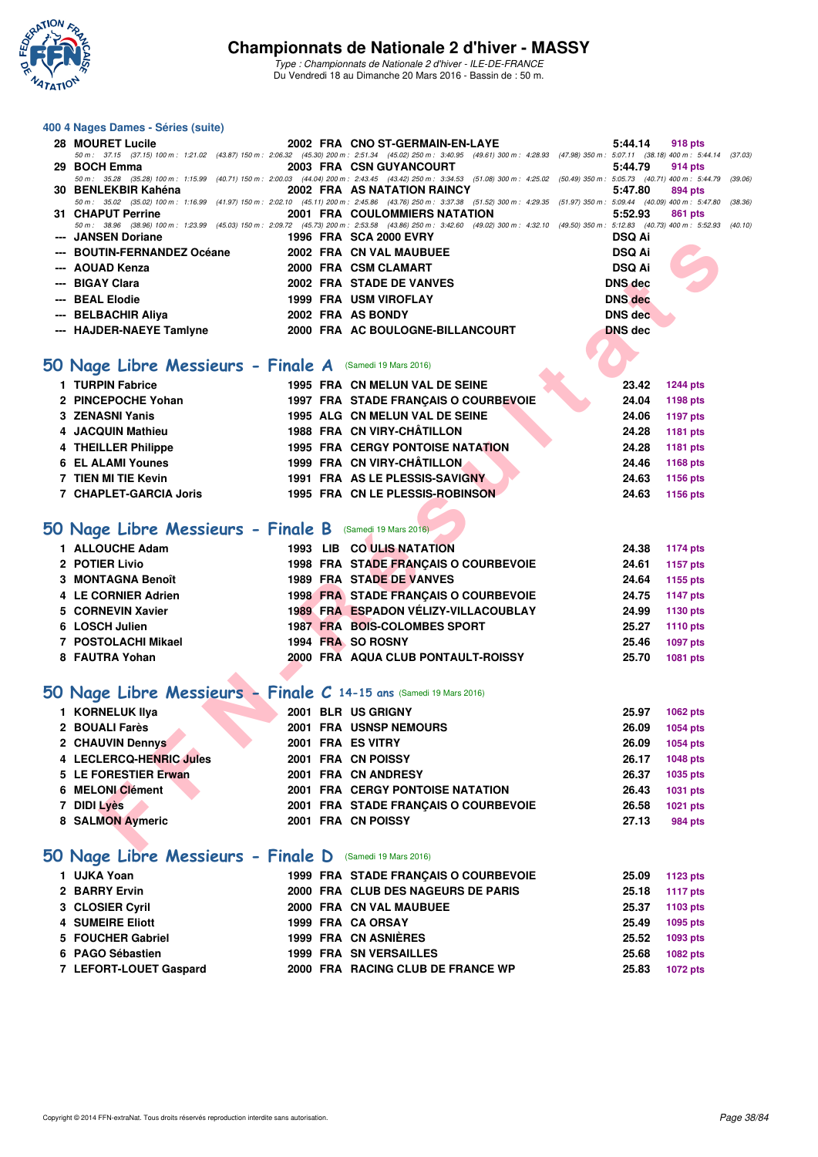

| 28 MOURET Lucile                                    | 2002 FRA CNO ST-GERMAIN-EN-LAYE                                                                                                                                                              | $5:44.14$ 918 pts                                                                                                                                                                                                                               |
|-----------------------------------------------------|----------------------------------------------------------------------------------------------------------------------------------------------------------------------------------------------|-------------------------------------------------------------------------------------------------------------------------------------------------------------------------------------------------------------------------------------------------|
|                                                     | 50 m: 37.15 (37.15) 100 m: 1:21.02 (43.87) 150 m: 2:06.32 (45.30) 200 m: 2:51.34 (45.02) 250 m: 3:40.95 (49.61) 300 m: 4:28.93 (47.98) 350 m: 5:07.11 (38.18) 400 m: 5:44.14 (37.03          |                                                                                                                                                                                                                                                 |
| 29 BOCH Emma                                        | 2003 FRA CSN GUYANCOURT                                                                                                                                                                      | 5:44.79 914 pts                                                                                                                                                                                                                                 |
|                                                     | 50 m: 35.28 (35.28) 100 m: 1:15.99 (40.71) 150 m: 2:00.03 (44.04) 200 m: 2:43.45 (43.42) 250 m: 3:34.53 (51.08) 300 m: 4:25.02 (50.49) 350 m: 5:05.73 (40.71) 400 m: 5:44.79 (39.06          |                                                                                                                                                                                                                                                 |
|                                                     |                                                                                                                                                                                              | 5:47.80 894 pts                                                                                                                                                                                                                                 |
|                                                     | 50 m: 35.02 (35.02) 100 m: 1:16.99 (41.97) 150 m: 2:02.10 (45.11) 200 m: 2:45.86 (43.76) 250 m: 3:37.38 (51.52) 300 m: 4:29.35 (51.97) 350 m: 5:09.44 (40.09) 400 m: 5:47.80 (38.36          |                                                                                                                                                                                                                                                 |
| 31 CHAPUT Perrine                                   | <b>2001 FRA COULOMMIERS NATATION</b>                                                                                                                                                         | 5:52.93<br>861 pts                                                                                                                                                                                                                              |
|                                                     | 50 m : 38.96 (38.96) 100 m : 1:23.99 (45.03) 150 m : 2:09.72 (45.73) 200 m : 2:53.58 (43.86) 250 m : 3:42.60 (49.02) 300 m : 4:32.10 (49.50) 350 m : 5:12.83 (40.73) 400 m : 5:52.93 (40.10) |                                                                                                                                                                                                                                                 |
| --- JANSEN Doriane                                  | 1996 FRA SCA 2000 EVRY                                                                                                                                                                       | <b>DSQ Ai</b>                                                                                                                                                                                                                                   |
| --- BOUTIN-FERNANDEZ Océane 2002 FRA CN VAL MAUBUEE |                                                                                                                                                                                              | <b>DSQ Ai</b>                                                                                                                                                                                                                                   |
| --- AOUAD Kenza                                     | 2000 FRA CSM CLAMART                                                                                                                                                                         | <b>DSQ Ai</b>                                                                                                                                                                                                                                   |
| --- BIGAY Clara                                     | 2002 FRA STADE DE VANVES                                                                                                                                                                     | <b>Contract on the Contract of the Contract of The Contract of The Contract of The Contract of The Contract of The Contract of The Contract of The Contract of The Contract of The Contract of The Contract of The Contract of T</b><br>DNS dec |
| --- BEAL Elodie                                     | 1999 FRA USM VIROFLAY                                                                                                                                                                        | <b>DNS</b> dec                                                                                                                                                                                                                                  |
| --- BELBACHIR Aliya                                 | 2002 FRA AS BONDY                                                                                                                                                                            | DNS dec                                                                                                                                                                                                                                         |
| --- HAJDER-NAEYE Tamlyne                            | 2000 FRA AC BOULOGNE-BILLANCOURT                                                                                                                                                             | <b>DNS</b> dec                                                                                                                                                                                                                                  |
|                                                     |                                                                                                                                                                                              |                                                                                                                                                                                                                                                 |

## **[50 Nage Libre Messieurs - Finale A](http://www.ffnatation.fr/webffn/resultats.php?idact=nat&go=epr&idcpt=37307&idepr=51)** (Samedi 19 Mars 2016)

| 1 TURPIN Fabrice       |  | 1995 FRA CN MELUN VAL DE SEINE       | 23.42 | 1244 pts |
|------------------------|--|--------------------------------------|-------|----------|
| 2 PINCEPOCHE Yohan     |  | 1997 FRA STADE FRANCAIS O COURBEVOIE | 24.04 | 1198 pts |
| 3 ZENASNI Yanis        |  | 1995 ALG CN MELUN VAL DE SEINE       | 24.06 | 1197 pts |
| 4 JACQUIN Mathieu      |  | 1988 FRA CN VIRY-CHÂTILLON           | 24.28 | 1181 pts |
| 4 THEILLER Philippe    |  | 1995 FRA CERGY PONTOISE NATATION     | 24.28 | 1181 pts |
| 6 EL ALAMI Younes      |  | 1999 FRA CN VIRY-CHÂTILLON           | 24.46 | 1168 pts |
| 7 TIEN MI TIE Kevin    |  | 1991 FRA AS LE PLESSIS-SAVIGNY       | 24.63 | 1156 pts |
| 7 CHAPLET-GARCIA Joris |  | 1995 FRA CN LE PLESSIS-ROBINSON      | 24.63 | 1156 pts |

## **[50 Nage Libre Messieurs - Finale B](http://www.ffnatation.fr/webffn/resultats.php?idact=nat&go=epr&idcpt=37307&idepr=51)** (Samedi 19 Mars 2016)

| 1 ALLOUCHE Adam     |  | 1993 LIB CO ULIS NATATION            | 24.38 | 1174 pts        |
|---------------------|--|--------------------------------------|-------|-----------------|
| 2 POTIER Livio      |  | 1998 FRA STADE FRANCAIS O COURBEVOIE | 24.61 | 1157 pts        |
| 3 MONTAGNA Benoît   |  | <b>1989 FRA STADE DE VANVES</b>      | 24.64 | 1155 pts        |
| 4 LE CORNIER Adrien |  | 1998 FRA STADE FRANCAIS O COURBEVOIE | 24.75 | 1147 pts        |
| 5 CORNEVIN Xavier   |  | 1989 FRA ESPADON VÉLIZY-VILLACOUBLAY | 24.99 | 1130 pts        |
| 6 LOSCH Julien      |  | <b>1987 FRA BOIS-COLOMBES SPORT</b>  | 25.27 | 1110 pts        |
| 7 POSTOLACHI Mikael |  | 1994 FRA SO ROSNY                    | 25.46 | <b>1097 pts</b> |
| 8 FAUTRA Yohan      |  | 2000 FRA AQUA CLUB PONTAULT-ROISSY   | 25.70 | 1081 pts        |

## **[50 Nage Libre Messieurs - Finale C](http://www.ffnatation.fr/webffn/resultats.php?idact=nat&go=epr&idcpt=37307&idepr=51) 14-15 ans** (Samedi 19 Mars 2016)

| <b>JANJEN DUI GIIC</b>                                            |  | 1990 FRA SUAZUUU EVRI                   | וא שטע         |                 |
|-------------------------------------------------------------------|--|-----------------------------------------|----------------|-----------------|
| --- BOUTIN-FERNANDEZ Océane                                       |  | 2002 FRA CN VAL MAUBUEE                 | <b>DSQ Ai</b>  |                 |
| --- AOUAD Kenza                                                   |  | 2000 FRA CSM CLAMART                    | <b>DSQ Ai</b>  |                 |
| --- BIGAY Clara                                                   |  | 2002 FRA STADE DE VANVES                | <b>DNS</b> dec |                 |
| --- BEAL Elodie                                                   |  | <b>1999 FRA USM VIROFLAY</b>            | <b>DNS</b> dec |                 |
| --- BELBACHIR Aliya                                               |  | 2002 FRA AS BONDY                       | <b>DNS</b> dec |                 |
| --- HAJDER-NAEYE Tamlyne                                          |  | 2000 FRA AC BOULOGNE-BILLANCOURT        | <b>DNS dec</b> |                 |
|                                                                   |  |                                         |                |                 |
| O Nage Libre Messieurs - Finale A (Samedi 19 Mars 2016)           |  |                                         |                |                 |
| 1 TURPIN Fabrice                                                  |  | 1995 FRA CN MELUN VAL DE SEINE          | 23.42          | <b>1244 pts</b> |
| 2 PINCEPOCHE Yohan                                                |  | 1997 FRA STADE FRANÇAIS O COURBEVOIE    | 24.04          | 1198 pts        |
| 3 ZENASNI Yanis                                                   |  | 1995 ALG CN MELUN VAL DE SEINE          | 24.06          | 1197 pts        |
| 4 JACQUIN Mathieu                                                 |  | 1988 FRA CN VIRY-CHÂTILLON              | 24.28          | 1181 pts        |
| 4 THEILLER Philippe                                               |  | 1995 FRA CERGY PONTOISE NATATION        | 24.28          | 1181 pts        |
| <b>6 EL ALAMI Younes</b>                                          |  | 1999 FRA CN VIRY-CHÂTILLON              | 24.46          | 1168 pts        |
| 7 TIEN MI TIE Kevin                                               |  | 1991 FRA AS LE PLESSIS-SAVIGNY          | 24.63          | 1156 pts        |
| 7 CHAPLET-GARCIA Joris                                            |  | 1995 FRA CN LE PLESSIS-ROBINSON         | 24.63          | 1156 pts        |
|                                                                   |  |                                         |                |                 |
| O Nage Libre Messieurs - Finale B (Samedi 19 Mars 2016)           |  |                                         |                |                 |
| 1 ALLOUCHE Adam                                                   |  | 1993 LIB CO ULIS NATATION               | 24.38          | <b>1174 pts</b> |
| 2 POTIER Livio                                                    |  | 1998 FRA STADE FRANÇAIS O COURBEVOIE    | 24.61          | 1157 pts        |
| 3 MONTAGNA Benoît                                                 |  | <b>1989 FRA STADE DE VANVES</b>         | 24.64          | 1155 pts        |
| 4 LE CORNIER Adrien                                               |  | 1998 FRA STADE FRANÇAIS O COURBEVOIE    | 24.75          | 1147 pts        |
| 5 CORNEVIN Xavier                                                 |  | 1989 FRA ESPADON VÉLIZY-VILLACOUBLAY    | 24.99          | 1130 pts        |
| 6 LOSCH Julien                                                    |  | 1987 FRA BOIS-COLOMBES SPORT            | 25.27          | 1110 pts        |
| 7 POSTOLACHI Mikael                                               |  | 1994 FRA SO ROSNY                       | 25.46          | <b>1097 pts</b> |
| 8 FAUTRA Yohan                                                    |  | 2000 FRA AQUA CLUB PONTAULT-ROISSY      | 25.70          | 1081 pts        |
|                                                                   |  |                                         |                |                 |
| O Nage Libre Messieurs - Finale C 14-15 ans (Samedi 19 Mars 2016) |  |                                         |                |                 |
| 1 KORNELUK IIya                                                   |  | 2001 BLR US GRIGNY                      | 25.97          | 1062 pts        |
| 2 BOUALI Farès                                                    |  | 2001 FRA USNSP NEMOURS                  | 26.09          | <b>1054 pts</b> |
| 2 CHAUVIN Dennys                                                  |  | 2001 FRA ES VITRY                       | 26.09          | <b>1054 pts</b> |
| 4 LECLERCQ-HENRIC Jules                                           |  | 2001 FRA CN POISSY                      | 26.17          | 1048 pts        |
| 5 LE FORESTIER Erwan                                              |  | 2001 FRA CN ANDRESY                     | 26.37          | 1035 pts        |
| 6 MELONI Clément                                                  |  | <b>2001 FRA CERGY PONTOISE NATATION</b> | 26.43          | 1031 pts        |
| 7 DIDI Lyès                                                       |  | 2001 FRA STADE FRANÇAIS O COURBEVOIE    | 26.58          | <b>1021 pts</b> |
| 8 SALMON Aymeric                                                  |  | 2001 FRA CN POISSY                      | 27.13          | 984 pts         |
|                                                                   |  |                                         |                |                 |
| .<br>.                                                            |  |                                         |                |                 |

## **[50 Nage Libre Messieurs - Finale D](http://www.ffnatation.fr/webffn/resultats.php?idact=nat&go=epr&idcpt=37307&idepr=51)** (Samedi 19 Mars 2016)

|                                                                                                                                               |  | 25.09                                                                                                                                                                                                                    | 1123 pts        |
|-----------------------------------------------------------------------------------------------------------------------------------------------|--|--------------------------------------------------------------------------------------------------------------------------------------------------------------------------------------------------------------------------|-----------------|
|                                                                                                                                               |  | 25.18                                                                                                                                                                                                                    | 1117 pts        |
|                                                                                                                                               |  | 25.37                                                                                                                                                                                                                    | 1103 pts        |
|                                                                                                                                               |  | 25.49                                                                                                                                                                                                                    | 1095 pts        |
|                                                                                                                                               |  | 25.52                                                                                                                                                                                                                    | 1093 pts        |
|                                                                                                                                               |  | 25.68                                                                                                                                                                                                                    | 1082 pts        |
|                                                                                                                                               |  | 25.83                                                                                                                                                                                                                    | <b>1072 pts</b> |
| 1 UJKA Yoan<br>2 BARRY Ervin<br>3 CLOSIER Cyril<br><b>4 SUMEIRE Eliott</b><br>5 FOUCHER Gabriel<br>6 PAGO Sébastien<br>7 LEFORT-LOUET Gaspard |  | 1999 FRA STADE FRANÇAIS O COURBEVOIE<br>2000 FRA CLUB DES NAGEURS DE PARIS<br>2000 FRA CN VAL MAUBUEE<br>1999 FRA CA ORSAY<br>1999 FRA CN ASNIÈRES<br><b>1999 FRA SN VERSAILLES</b><br>2000 FRA RACING CLUB DE FRANCE WP |                 |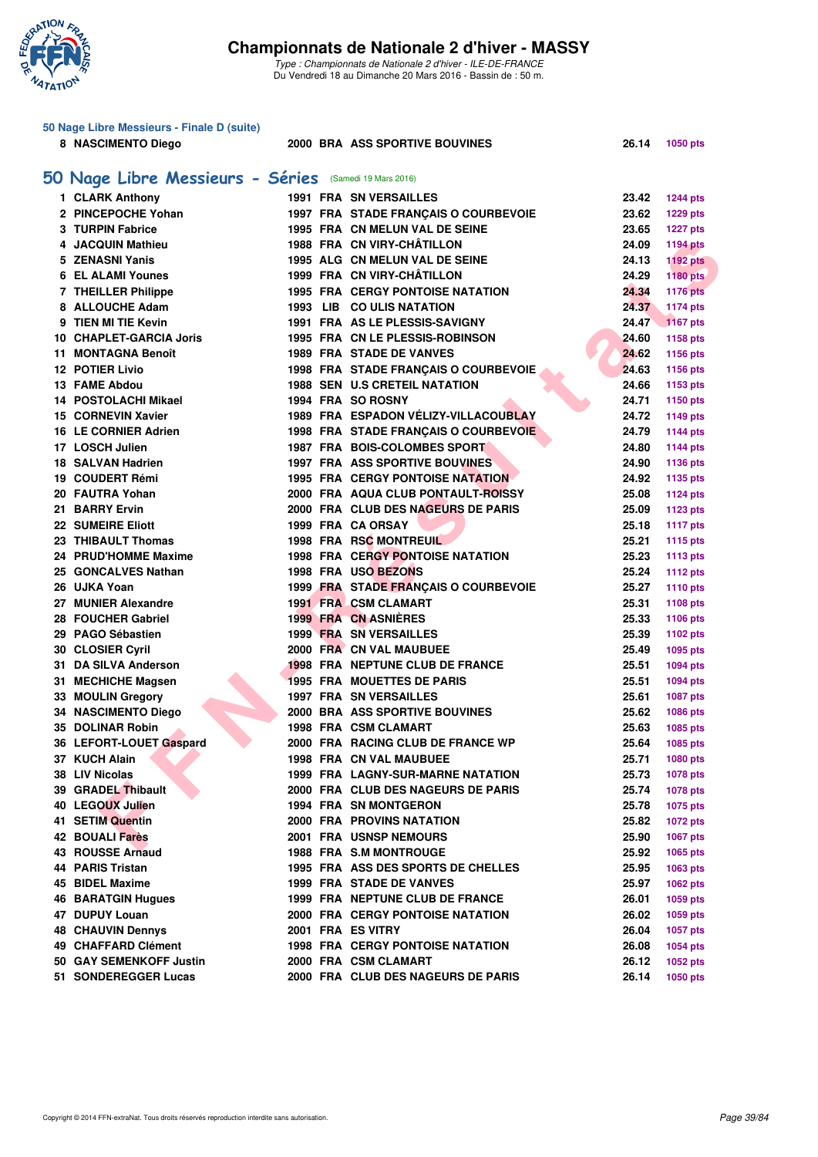

| 50 Nage Libre Messieurs - Finale D (suite)             |  |                                         |       |                 |
|--------------------------------------------------------|--|-----------------------------------------|-------|-----------------|
| 8 NASCIMENTO Diego                                     |  | 2000 BRA ASS SPORTIVE BOUVINES          | 26.14 | 1050 pts        |
|                                                        |  |                                         |       |                 |
| 50 Nage Libre Messieurs - Séries (Samedi 19 Mars 2016) |  |                                         |       |                 |
| 1 CLARK Anthony                                        |  | <b>1991 FRA SN VERSAILLES</b>           | 23.42 | <b>1244 pts</b> |
| 2 PINCEPOCHE Yohan                                     |  | 1997 FRA STADE FRANÇAIS O COURBEVOIE    | 23.62 | <b>1229 pts</b> |
| 3 TURPIN Fabrice                                       |  | 1995 FRA CN MELUN VAL DE SEINE          | 23.65 | <b>1227 pts</b> |
| 4 JACQUIN Mathieu                                      |  | 1988 FRA CN VIRY-CHÂTILLON              | 24.09 | <b>1194 pts</b> |
| 5 ZENASNI Yanis                                        |  | 1995 ALG CN MELUN VAL DE SEINE          | 24.13 | <b>1192 pts</b> |
| <b>6 EL ALAMI Younes</b>                               |  | 1999 FRA CN VIRY-CHÂTILLON              | 24.29 | <b>1180 pts</b> |
| 7 THEILLER Philippe                                    |  | <b>1995 FRA CERGY PONTOISE NATATION</b> | 24.34 | <b>1176 pts</b> |
| 8 ALLOUCHE Adam                                        |  | 1993 LIB CO ULIS NATATION               | 24.37 | <b>1174 pts</b> |
| 9 TIEN MI TIE Kevin                                    |  | 1991 FRA AS LE PLESSIS-SAVIGNY          | 24.47 | <b>1167 pts</b> |
| 10 CHAPLET-GARCIA Joris                                |  | 1995 FRA CN LE PLESSIS-ROBINSON         | 24.60 | 1158 pts        |
| 11 MONTAGNA Benoît                                     |  | <b>1989 FRA STADE DE VANVES</b>         | 24.62 | 1156 pts        |
| <b>12 POTIER Livio</b>                                 |  | 1998 FRA STADE FRANÇAIS O COURBEVOIE    | 24.63 | 1156 pts        |
| 13 FAME Abdou                                          |  | <b>1988 SEN U.S CRETEIL NATATION</b>    | 24.66 | 1153 pts        |
| 14 POSTOLACHI Mikael                                   |  | 1994 FRA SO ROSNY                       | 24.71 | 1150 pts        |
| <b>15 CORNEVIN Xavier</b>                              |  | 1989 FRA ESPADON VELIZY-VILLACOUBLAY    | 24.72 | 1149 pts        |
| <b>16 LE CORNIER Adrien</b>                            |  | 1998 FRA STADE FRANÇAIS O COURBEVOIE    | 24.79 | <b>1144 pts</b> |
| 17 LOSCH Julien                                        |  | 1987 FRA BOIS-COLOMBES SPORT            | 24.80 | <b>1144 pts</b> |
| 18 SALVAN Hadrien                                      |  | <b>1997 FRA ASS SPORTIVE BOUVINES</b>   | 24.90 | 1136 pts        |
| 19 COUDERT Rémi                                        |  | <b>1995 FRA CERGY PONTOISE NATATION</b> | 24.92 | 1135 pts        |
| 20 FAUTRA Yohan                                        |  | 2000 FRA AQUA CLUB PONTAULT-ROISSY      | 25.08 | <b>1124 pts</b> |
| 21 BARRY Ervin                                         |  | 2000 FRA CLUB DES NAGEURS DE PARIS      | 25.09 | 1123 pts        |
| <b>22 SUMEIRE Eliott</b>                               |  | 1999 FRA CA ORSAY                       | 25.18 | <b>1117 pts</b> |
| 23 THIBAULT Thomas                                     |  | <b>1998 FRA RSC MONTREUIL</b>           | 25.21 | 1115 pts        |
| 24 PRUD'HOMME Maxime                                   |  | 1998 FRA CERGY PONTOISE NATATION        | 25.23 | <b>1113 pts</b> |
| 25 GONCALVES Nathan                                    |  | 1998 FRA USO BEZONS                     | 25.24 | <b>1112 pts</b> |
| 26 UJKA Yoan                                           |  | 1999 FRA STADE FRANÇAIS O COURBEVOIE    | 25.27 | 1110 pts        |
| 27 MUNIER Alexandre                                    |  | 1991 FRA CSM CLAMART                    | 25.31 | 1108 pts        |
| 28 FOUCHER Gabriel                                     |  | <b>1999 FRA CN ASNIERES</b>             | 25.33 | 1106 pts        |
| 29 PAGO Sébastien                                      |  | <b>1999 FRA SN VERSAILLES</b>           | 25.39 | 1102 pts        |
| 30 CLOSIER Cyril                                       |  | 2000 FRA CN VAL MAUBUEE                 | 25.49 |                 |
| 31 DA SILVA Anderson                                   |  | 1998 FRA NEPTUNE CLUB DE FRANCE         | 25.51 | 1095 pts        |
|                                                        |  | <b>1995 FRA MOUETTES DE PARIS</b>       | 25.51 | 1094 pts        |
| 31 MECHICHE Magsen                                     |  | <b>1997 FRA SN VERSAILLES</b>           |       | 1094 pts        |
| 33 MOULIN Gregory<br>34 NASCIMENTO Diego               |  | 2000 BRA ASS SPORTIVE BOUVINES          | 25.61 | <b>1087 pts</b> |
|                                                        |  |                                         | 25.62 | 1086 pts        |
| <b>35 DOLINAR Robin</b>                                |  | 1998 FRA CSM CLAMART                    | 25.63 | 1085 pts        |
| 36 LEFORT-LOUET Gaspard                                |  | 2000 FRA RACING CLUB DE FRANCE WP       | 25.64 | 1085 pts        |
| 37 KUCH Alain                                          |  | 1998 FRA CN VAL MAUBUEE                 | 25.71 | 1080 pts        |
| 38 LIV Nicolas                                         |  | 1999 FRA LAGNY-SUR-MARNE NATATION       | 25.73 | 1078 pts        |
| 39 GRADEL Thibault                                     |  | 2000 FRA CLUB DES NAGEURS DE PARIS      | 25.74 | 1078 pts        |
| 40 LEGOUX Julien                                       |  | <b>1994 FRA SN MONTGERON</b>            | 25.78 | 1075 pts        |
| 41 SETIM Quentin                                       |  | 2000 FRA PROVINS NATATION               | 25.82 | 1072 pts        |
| 42 BOUALI Farès                                        |  | <b>2001 FRA USNSP NEMOURS</b>           | 25.90 | 1067 pts        |
| 43 ROUSSE Arnaud                                       |  | <b>1988 FRA S.M MONTROUGE</b>           | 25.92 | 1065 pts        |
| 44 PARIS Tristan                                       |  | 1995 FRA ASS DES SPORTS DE CHELLES      | 25.95 | 1063 pts        |
| 45 BIDEL Maxime                                        |  | <b>1999 FRA STADE DE VANVES</b>         | 25.97 | 1062 pts        |
| <b>46 BARATGIN Hugues</b>                              |  | 1999 FRA NEPTUNE CLUB DE FRANCE         | 26.01 | 1059 pts        |
| 47 DUPUY Louan                                         |  | <b>2000 FRA CERGY PONTOISE NATATION</b> | 26.02 | 1059 pts        |
| <b>48 CHAUVIN Dennys</b>                               |  | 2001 FRA ES VITRY                       | 26.04 | 1057 pts        |
| 49 CHAFFARD Clément                                    |  | <b>1998 FRA CERGY PONTOISE NATATION</b> | 26.08 | 1054 pts        |
| 50 GAY SEMENKOFF Justin                                |  | 2000 FRA CSM CLAMART                    | 26.12 | 1052 pts        |
| 51 SONDEREGGER Lucas                                   |  | 2000 FRA CLUB DES NAGEURS DE PARIS      | 26.14 | <b>1050 pts</b> |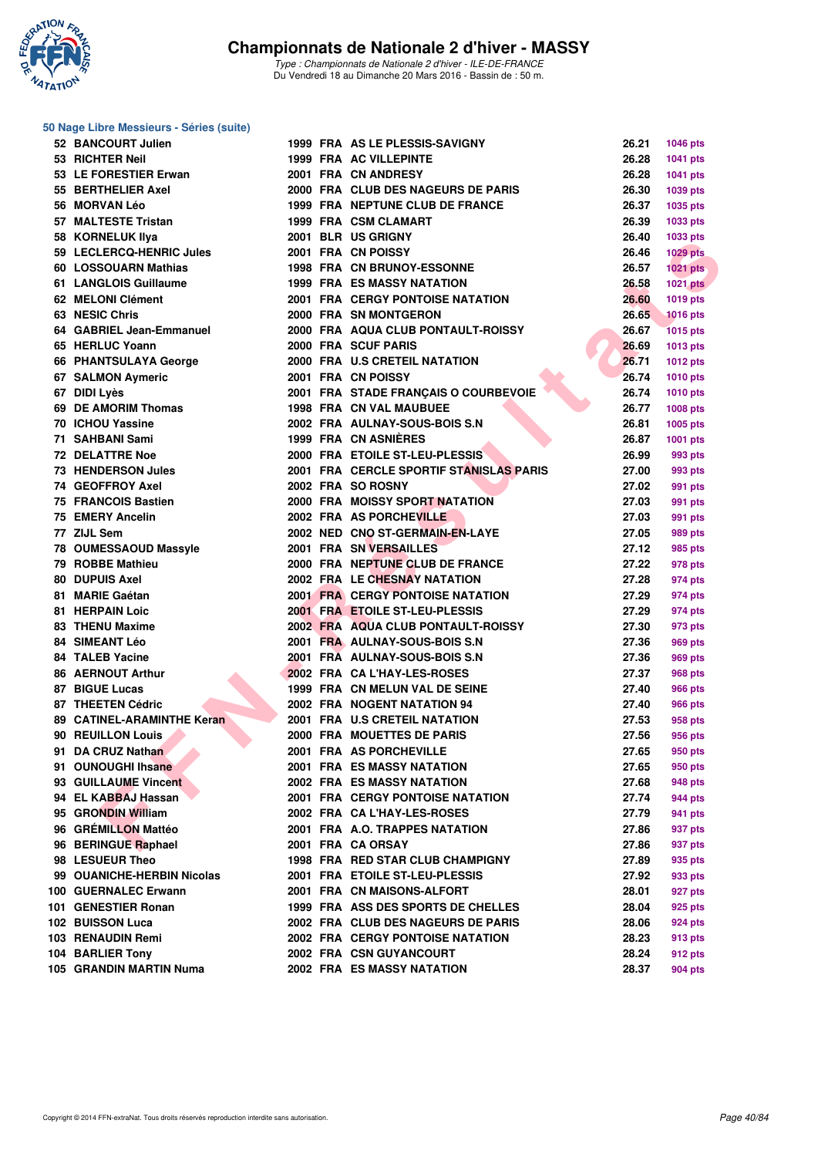

#### **FERO-HENICAL MANY SOURCES (ENCORRENT SOURCES)**<br> **FROM HENCOLUMENTAL SOURCES AND MANY AND SOLUTION AND SOLUTION AND SOLUTION AND SOLUTION CONTINUES.<br>
CASE CONTINUES THAT A CONTINUES AND MANY CONTINUES AND SOLUTION AND SOLU 50 Nage Libre Messieurs - Séries (suite) 52 BANCOURT Julien 1999 FRA AS LE PLESSIS-SAVIGNY 26.21 1046 pts 53 RICHTER Neil 1999 FRA AC VILLEPINTE 26.28 1041 pts 53 LE FORESTIER Erwan 2001 FRA CN ANDRESY 26.28 1041 pts 55 BERTHELIER Axel 2000 FRA CLUB DES NAGEURS DE PARIS 26.30 1039 pts 56 MORVAN Léo 1999 FRA NEPTUNE CLUB DE FRANCE 26.37 1035 pts 57 MALTESTE Tristan 1999 FRA CSM CLAMART 26.39 1033 pts 58 KORNELUK Ilya 2001 BLR US GRIGNY 26.40 1033 pts 59 LECLERCQ-HENRIC Jules 2001 FRA CN POISSY 26.46 1029 pts 60 LOSSOUARN Mathias 1998 FRA CN BRUNOY-ESSONNE 26.57 1021 pts 61 LANGLOIS Guillaume 1999 FRA ES MASSY NATATION 26.58 1021 pts 62 MELONI Clément 2001 FRA CERGY PONTOISE NATATION 26.60 1019 pts 63 NESIC Chris 2000 FRA SN MONTGERON 26.65 1016 pts 64 GABRIEL Jean-Emmanuel 2000 FRA AQUA CLUB PONTAULT-ROISSY 26.67 1015 pts 65 HERLUC Yoann 2000 FRA SCUF PARIS 26.69 1013 pts 66 PHANTSULAYA George 2000 FRA U.S CRETEIL NATATION 26.71 1012 pts 67 SALMON Aymeric 2001 FRA CN POISSY 26.74 1010 pts 67 DIDI Lyès 2001 FRA STADE FRANÇAIS O COURBEVOIE 26.74 1010 pts 69 DE AMORIM Thomas 1998 FRA CN VAL MAUBUEE 26.77 1008 pts 70 ICHOU Yassine 2002 FRA AULNAY-SOUS-BOIS S.N 26.81 1005 pts 71 SAHBANI Sami 1999 FRA CN ASNIÈRES 26.87 1001 pts 72 DELATTRE Noe 2000 FRA ETOILE ST-LEU-PLESSIS 26.99 993 pts 73 HENDERSON Jules 2001 FRA CERCLE SPORTIF STANISLAS PARIS 27.00 993 pts 74 GEOFFROY Axel 2002 FRA SO ROSNY 27.02 991 pts 75 FRANCOIS Bastien 2000 FRA MOISSY SPORT NATATION 27.03 991 pts 75 EMERY Ancelin 2002 FRA AS PORCHEVILLE 27.03 991 pts 77 ZIJL Sem 2002 NED CNO ST-GERMAIN-EN-LAYE 27.05 989 pts 78 OUMESSAOUD Massyle 2001 FRA SN VERSAILLES 27.12 985 pts 79 ROBBE Mathieu 2000 FRA NEPTUNE CLUB DE FRANCE 27.22 978 pts 80 DUPUIS Axel 2002 FRA LE CHESNAY NATATION 27.28 974 pts 81 MARIE Gaétan 2001 FRA CERGY PONTOISE NATATION 27.29 974 pts 81 HERPAIN Loic 2001 FRA ETOILE ST-LEU-PLESSIS 27.29 974 pts 83 THENU Maxime 2002 FRA AQUA CLUB PONTAULT-ROISSY 27.30 973 pts 84 SIMEANT Léo 2001 FRA AULNAY-SOUS-BOIS S.N 27.36 969 pts 84 TALEB Yacine 2001 FRA AULNAY-SOUS-BOIS S.N 27.36 969 pts 86 AERNOUT Arthur 2002 FRA CA L'HAY-LES-ROSES 27.37 968 pts 87 BIGUE Lucas** 1999 FRA CN MELUN VAL DE SEINE 27.40 966 pts **87 THEETEN Cédric 2002 FRA NOGENT NATATION 94** 27.40 966 pts **89 CATINEL-ARAMINTHE Keran 2001 FRA U.S CRETEIL NATATION 27.53 958 pts 90 REUILLON Louis 2000 FRA MOUETTES DE PARIS 27.56 956 pts 91 DA CRUZ Nathan 2001 FRA AS PORCHEVILLE 27.65 950 pts 91 OUNOUGHI Ihsane 2001 FRA ES MASSY NATATION 27.65 950 pts 93 GUILLAUME Vincent 2002 FRA ES MASSY NATATION 27.68 948 pts 94 EL KABBAJ Hassan 2001 FRA CERGY PONTOISE NATATION 27.74 944 pts 95 GRONDIN William 2002 FRA CA L'HAY-LES-ROSES 27.79 941 pts 96 GRÉMILLON Mattéo 2001 FRA A.O. TRAPPES NATATION 27.86 937 pts 96 BERINGUE Raphael 2001 FRA CA ORSAY 27.86 937 pts 98 LESUEUR Theo 1998 FRA RED STAR CLUB CHAMPIGNY 27.89 935 pts 99 OUANICHE-HERBIN Nicolas 2001 FRA ETOILE ST-LEU-PLESSIS 27.92 933 pts 100 GUERNALEC Erwann 2001 FRA CN MAISONS-ALFORT 28.01 927 pts 101 GENESTIER Ronan 1999 FRA ASS DES SPORTS DE CHELLES 28.04 925 pts 102 BUISSON Luca 2002 FRA CLUB DES NAGEURS DE PARIS 28.06 924 pts 103 RENAUDIN Remi 2002 FRA CERGY PONTOISE NATATION 28.23 913 pts 104 BARLIER Tony 2002 FRA CSN GUYANCOURT 28.24 912 pts**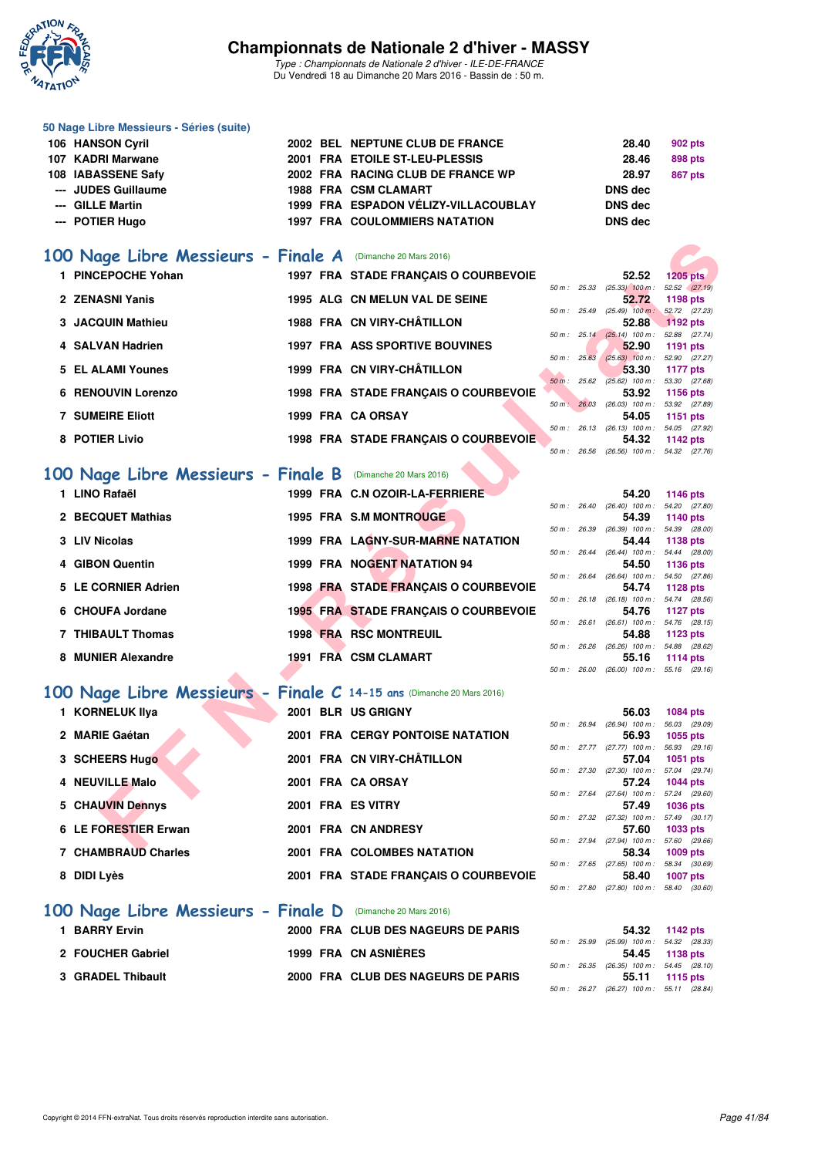

*Type : Championnats de Nationale 2 d'hiver - ILE-DE-FRANCE* Du Vendredi 18 au Dimanche 20 Mars 2016 - Bassin de : 50 m.

| 50 Nage Libre Messieurs - Séries (suite) |  |                                      |                |                |
|------------------------------------------|--|--------------------------------------|----------------|----------------|
| 106 HANSON Cyril                         |  | 2002 BEL NEPTUNE CLUB DE FRANCE      | 28.40          | 902 pts        |
| 107 KADRI Marwane                        |  | 2001 FRA ETOILE ST-LEU-PLESSIS       | 28.46          | 898 pts        |
| 108 IABASSENE Safy                       |  | 2002 FRA RACING CLUB DE FRANCE WP    | 28.97          | <b>867 pts</b> |
| --- JUDES Guillaume                      |  | <b>1988 FRA CSM CLAMART</b>          | <b>DNS</b> dec |                |
| --- GILLE Martin                         |  | 1999 FRA ESPADON VÉLIZY-VILLACOUBLAY | DNS dec        |                |
| --- POTIER Hugo                          |  | <b>1997 FRA COULOMMIERS NATATION</b> | DNS dec        |                |
|                                          |  |                                      |                |                |

## **[100 Nage Libre Messieurs - Finale A](http://www.ffnatation.fr/webffn/resultats.php?idact=nat&go=epr&idcpt=37307&idepr=52)** (Dimanche 20 Mars 2016)

| 00 Nage Libre Messieurs - Finale A (Dimanche 20 Mars 2016)           |                   |                                             |             |                                                     |                                  |
|----------------------------------------------------------------------|-------------------|---------------------------------------------|-------------|-----------------------------------------------------|----------------------------------|
| 1 PINCEPOCHE Yohan                                                   |                   | 1997 FRA STADE FRANÇAIS O COURBEVOIE        |             | 52.52                                               | $1205$ pts                       |
| 2 ZENASNI Yanis                                                      |                   | 1995 ALG CN MELUN VAL DE SEINE              |             | $50 m$ : $25.33$ $(25.33)$ $100 m$ :<br>52.72       | 52.52 (27.19)<br>1198 pts        |
|                                                                      |                   |                                             |             | 50 m : 25.49 (25.49) 100 m : 52.72 (27.23)          |                                  |
| <b>3 JACQUIN Mathieu</b>                                             |                   | 1988 FRA CN VIRY-CHÂTILLON                  |             | 52.88                                               | 1192 pts                         |
| 4 SALVAN Hadrien                                                     |                   |                                             |             | 50 m: 25.14 (25.14) 100 m: 52.88 (27.74)            |                                  |
|                                                                      |                   | <b>1997 FRA ASS SPORTIVE BOUVINES</b>       | 50 m: 25.63 | 52.90<br>$(25.63)$ 100 m : 52.90 $(27.27)$          | 1191 pts                         |
| 5 EL ALAMI Younes                                                    |                   | 1999 FRA CN VIRY-CHÂTILLON                  |             | 53.30                                               | 1177 pts                         |
|                                                                      |                   |                                             |             | 50 m : 25.62 (25.62) 100 m : 53.30 (27.68)          |                                  |
| <b>6 RENOUVIN Lorenzo</b>                                            |                   | 1998 FRA STADE FRANÇAIS O COURBEVOIE        | 50 m: 26.03 | 53.92<br>(26.03) 100 m : 53.92 (27.89)              | 1156 pts                         |
| <b>7 SUMEIRE Eliott</b>                                              |                   | 1999 FRA CA ORSAY                           |             | 54.05                                               | 1151 pts                         |
|                                                                      |                   |                                             |             | 50 m: 26.13 (26.13) 100 m: 54.05 (27.92)            |                                  |
| 8 POTIER Livio                                                       |                   | 1998 FRA STADE FRANÇAIS O COURBEVOIE        |             | 54.32                                               | 1142 pts                         |
|                                                                      |                   |                                             |             | 50 m: 26.56 (26.56) 100 m: 54.32 (27.76)            |                                  |
| 00 Nage Libre Messieurs - Finale B (Dimanche 20 Mars 2016)           |                   |                                             |             |                                                     |                                  |
| 1 LINO Rafaël                                                        |                   | 1999 FRA C.N OZOIR-LA-FERRIERE              |             | 54.20                                               |                                  |
|                                                                      |                   |                                             | 50 m: 26.40 | $(26.40)$ 100 m : 54.20 $(27.80)$                   | 1146 pts                         |
| 2 BECQUET Mathias                                                    |                   | 1995 FRA S.M MONTROUGE                      |             | 54.39                                               | 1140 pts                         |
|                                                                      |                   |                                             |             | 50 m : 26.39 (26.39) 100 m : 54.39 (28.00)          |                                  |
| 3 LIV Nicolas                                                        |                   | 1999 FRA LAGNY-SUR-MARNE NATATION           |             | 54.44<br>$50 m$ : 26.44 (26.44) 100 m :             | <b>1138 pts</b><br>54.44 (28.00) |
| 4 GIBON Quentin                                                      |                   | 1999 FRA NOGENT NATATION 94                 |             | 54.50                                               | <b>1136 pts</b>                  |
|                                                                      |                   |                                             |             | 50 m: 26.64 (26.64) 100 m: 54.50 (27.86)            |                                  |
| 5 LE CORNIER Adrien                                                  |                   | 1998 FRA STADE FRANÇAIS O COURBEVOIE        |             | 54.74                                               | <b>1128 pts</b>                  |
| 6 CHOUFA Jordane                                                     |                   | <b>1995 FRA STADE FRANÇAIS O COURBEVOIE</b> | 50 m: 26.18 | $(26.18)$ 100 m : 54.74 $(28.56)$<br>54.76          | <b>1127 pts</b>                  |
|                                                                      |                   |                                             |             | 50 m: 26.61 (26.61) 100 m: 54.76 (28.15)            |                                  |
| 7 THIBAULT Thomas                                                    |                   | <b>1998 FRA RSC MONTREUIL</b>               |             | 54.88                                               | 1123 pts                         |
|                                                                      |                   |                                             | 50 m: 26.26 | (26.26) 100 m : 54.88 (28.62)                       |                                  |
| 8 MUNIER Alexandre                                                   |                   | 1991 FRA CSM CLAMART                        |             | 55.16<br>50 m : 26.00 (26.00) 100 m : 55.16 (29.16) | 1114 $pts$                       |
|                                                                      |                   |                                             |             |                                                     |                                  |
| 00 Nage Libre Messieurs - Finale C 14-15 ans (Dimanche 20 Mars 2016) |                   |                                             |             |                                                     |                                  |
| 1 KORNELUK Ilya                                                      |                   | 2001 BLR US GRIGNY                          |             | 56.03                                               | <b>1084 pts</b>                  |
|                                                                      |                   |                                             |             | 50 m : 26.94 (26.94) 100 m :                        | 56.03 (29.09)                    |
| 2 MARIE Gaétan                                                       |                   | <b>2001 FRA CERGY PONTOISE NATATION</b>     |             | 56.93                                               | 1055 pts                         |
| 3 SCHEERS Hugo                                                       |                   | 2001 FRA CN VIRY-CHÂTILLON                  |             | 50 m : 27.77 (27.77) 100 m :<br>57.04               | 56.93 (29.16)<br><b>1051 pts</b> |
|                                                                      |                   |                                             |             | 50 m : 27.30 (27.30) 100 m :                        | 57.04 (29.74)                    |
| 4 NEUVILLE Malo                                                      |                   | 2001 FRA CA ORSAY                           |             | 57.24                                               | <b>1044 pts</b>                  |
|                                                                      |                   |                                             | 50 m: 27.64 | $(27.64)$ 100 m :                                   | 57.24 (29.60)                    |
| 5 CHAUVIN Dennys                                                     | 2001 FRA ES VITRY |                                             |             | 57.49<br>50 m: 27.32 (27.32) 100 m: 57.49 (30.17)   | <b>1036 pts</b>                  |
| 6 LE FORESTIER Erwan                                                 |                   | 2001 FRA CN ANDRESY                         |             | 57.60                                               | 1033 pts                         |
|                                                                      |                   |                                             |             | 50 m: 27.94 (27.94) 100 m: 57.60 (29.66)            |                                  |
| 7. CUAMBRAIL Charles                                                 |                   | <b>2004 EDA COLOMBER MATATION</b>           |             | EO OA                                               | $1000 - 1$                       |

## **[100 Nage Libre Messieurs - Finale B](http://www.ffnatation.fr/webffn/resultats.php?idact=nat&go=epr&idcpt=37307&idepr=52)** (Dimanche 20 Mars 2016)

| 54.20 (27.<br>$(26.40)$ 100 m :<br>$50 m$ : 26.40<br>2 BECQUET Mathias<br>1995 FRA S.M MONTROUGE<br>54.39<br>1140 pts<br>54.39 (28.<br>50 m: 26.39<br>$(26.39)$ 100 m :<br><b>1999 FRA LAGNY-SUR-MARNE NATATION</b><br>3 LIV Nicolas<br>54.44<br>1138 pts<br>$(26.44)$ 100 m : 54.44 (28.<br>$50 \text{ m}$ : 26.44<br>1999 FRA NOGENT NATATION 94<br>4 GIBON Quentin<br>54.50<br>1136 pts<br>$(26.64)$ 100 m : 54.50 (27.<br>$50 \text{ m}$ : 26.64<br>1998 FRA STADE FRANCAIS O COURBEVOIE<br>5 LE CORNIER Adrien<br>54.74<br>1128 pts<br>$50 m$ : 26.18<br>$(26.18)$ 100 m : 54.74 $(28.$<br><b>1995 FRA STADE FRANCAIS O COURBEVOIE</b><br>6 CHOUFA Jordane<br>54.76<br>1127 pts<br>$(26.61)$ 100 m : 54.76 (28.<br>$50 m$ : 26.61<br><b>1998 FRA RSC MONTREUIL</b><br>7 THIBAULT Thomas<br>54.88<br>1123 pts<br>$(26.26)$ 100 m : 54.88 (28.<br>$50 \text{ m}$ : 26.26<br>1991 FRA CSM CLAMART<br>8 MUNIER Alexandre<br>55.16<br>1114 pts | 1 LINO Rafaël |  | 1999 FRA C.N OZOIR-LA-FERRIERE |  | 54.20 | 1146 pts |  |
|------------------------------------------------------------------------------------------------------------------------------------------------------------------------------------------------------------------------------------------------------------------------------------------------------------------------------------------------------------------------------------------------------------------------------------------------------------------------------------------------------------------------------------------------------------------------------------------------------------------------------------------------------------------------------------------------------------------------------------------------------------------------------------------------------------------------------------------------------------------------------------------------------------------------------------------------|---------------|--|--------------------------------|--|-------|----------|--|
|                                                                                                                                                                                                                                                                                                                                                                                                                                                                                                                                                                                                                                                                                                                                                                                                                                                                                                                                                |               |  |                                |  |       |          |  |
|                                                                                                                                                                                                                                                                                                                                                                                                                                                                                                                                                                                                                                                                                                                                                                                                                                                                                                                                                |               |  |                                |  |       |          |  |
|                                                                                                                                                                                                                                                                                                                                                                                                                                                                                                                                                                                                                                                                                                                                                                                                                                                                                                                                                |               |  |                                |  |       |          |  |
|                                                                                                                                                                                                                                                                                                                                                                                                                                                                                                                                                                                                                                                                                                                                                                                                                                                                                                                                                |               |  |                                |  |       |          |  |
|                                                                                                                                                                                                                                                                                                                                                                                                                                                                                                                                                                                                                                                                                                                                                                                                                                                                                                                                                |               |  |                                |  |       |          |  |
|                                                                                                                                                                                                                                                                                                                                                                                                                                                                                                                                                                                                                                                                                                                                                                                                                                                                                                                                                |               |  |                                |  |       |          |  |
|                                                                                                                                                                                                                                                                                                                                                                                                                                                                                                                                                                                                                                                                                                                                                                                                                                                                                                                                                |               |  |                                |  |       |          |  |
|                                                                                                                                                                                                                                                                                                                                                                                                                                                                                                                                                                                                                                                                                                                                                                                                                                                                                                                                                |               |  |                                |  |       |          |  |
|                                                                                                                                                                                                                                                                                                                                                                                                                                                                                                                                                                                                                                                                                                                                                                                                                                                                                                                                                |               |  |                                |  |       |          |  |
|                                                                                                                                                                                                                                                                                                                                                                                                                                                                                                                                                                                                                                                                                                                                                                                                                                                                                                                                                |               |  |                                |  |       |          |  |
|                                                                                                                                                                                                                                                                                                                                                                                                                                                                                                                                                                                                                                                                                                                                                                                                                                                                                                                                                |               |  |                                |  |       |          |  |
|                                                                                                                                                                                                                                                                                                                                                                                                                                                                                                                                                                                                                                                                                                                                                                                                                                                                                                                                                |               |  |                                |  |       |          |  |
|                                                                                                                                                                                                                                                                                                                                                                                                                                                                                                                                                                                                                                                                                                                                                                                                                                                                                                                                                |               |  |                                |  |       |          |  |
|                                                                                                                                                                                                                                                                                                                                                                                                                                                                                                                                                                                                                                                                                                                                                                                                                                                                                                                                                |               |  |                                |  |       |          |  |

## **[100 Nage Libre Messieurs - Finale C](http://www.ffnatation.fr/webffn/resultats.php?idact=nat&go=epr&idcpt=37307&idepr=52) 14-15 ans** (Dimanche 20 Mars 2016)

| 1 KORNELUK IIya      |  | 2001 BLR US GRIGNY                   |              | 56.03                                  | 1084 pts               |  |
|----------------------|--|--------------------------------------|--------------|----------------------------------------|------------------------|--|
|                      |  |                                      |              | $50 m$ : 26.94 (26.94) 100 m :         | 56.03 (29.             |  |
| 2 MARIE Gaétan       |  | 2001 FRA CERGY PONTOISE NATATION     |              | 56.93                                  | 1055 pts               |  |
| 3 SCHEERS Hugo       |  | 2001 FRA CN VIRY-CHÂTILLON           |              | 50 m : 27.77 (27.77) 100 m :<br>57.04  | 56.93 (29.<br>1051 pts |  |
|                      |  |                                      |              | 50 m : 27.30 (27.30) 100 m :           | 57.04 (29.             |  |
| 4 NEUVILLE Malo      |  | 2001 FRA CA ORSAY                    |              | 57.24                                  | 1044 pts               |  |
|                      |  |                                      |              | $50 \text{ m}$ : 27.64 (27.64) 100 m : | 57.24 (29.             |  |
| 5 CHAUVIN Dennys     |  | 2001 FRA ES VITRY                    |              | 57.49                                  | 1036 pts               |  |
|                      |  |                                      |              | 50 m : 27.32 (27.32) 100 m :           | 57.49 (30.             |  |
| 6 LE FORESTIER Erwan |  | 2001 FRA CN ANDRESY                  |              | 57.60                                  | 1033 pts               |  |
|                      |  |                                      |              | 50 m : 27.94 (27.94) 100 m :           | 57.60 (29.             |  |
| 7 CHAMBRAUD Charles  |  | 2001 FRA COLOMBES NATATION           |              | 58.34                                  | 1009 pts               |  |
|                      |  |                                      |              | $50 m$ : 27.65 (27.65) 100 m :         | 58.34 (30.             |  |
| 8 DIDI Lyès          |  | 2001 FRA STADE FRANCAIS O COURBEVOIE |              | 58.40                                  | 1007 pts               |  |
|                      |  |                                      | 50 m : 27.80 | $(27.80)$ 100 m :                      | 58.40 (30.             |  |
|                      |  |                                      |              |                                        |                        |  |

## **[100 Nage Libre Messieurs - Finale D](http://www.ffnatation.fr/webffn/resultats.php?idact=nat&go=epr&idcpt=37307&idepr=52)** (Dimanche 20 Mars 2016)

| <b>BARRY Ervin</b> | 2000 FRA CLUB DES NAGEURS DE PARIS |  | 54.32                                   | 1142 pts        |  |
|--------------------|------------------------------------|--|-----------------------------------------|-----------------|--|
|                    |                                    |  | 50 m : 25.99 (25.99) 100 m : 54.32 (28. |                 |  |
| 2 FOUCHER Gabriel  | 1999 FRA CN ASNIÈRES               |  | 54.45 1138 pts                          |                 |  |
|                    |                                    |  | 50 m: 26.35 (26.35) 100 m: 54.45 (28.   |                 |  |
| 3 GRADEL Thibault  | 2000 FRA CLUB DES NAGEURS DE PARIS |  | 55.11                                   | <b>1115 pts</b> |  |
|                    |                                    |  |                                         |                 |  |

|                |                              | 1146 $pts$                                                                                                                                                                          |                                                                  |
|----------------|------------------------------|-------------------------------------------------------------------------------------------------------------------------------------------------------------------------------------|------------------------------------------------------------------|
| 26.40          |                              |                                                                                                                                                                                     | 54.20 (27.80)                                                    |
|                |                              | 1140 pts                                                                                                                                                                            |                                                                  |
| 50 m: 26.39    |                              |                                                                                                                                                                                     | 54.39 (28.00)                                                    |
|                |                              | 1138 pts                                                                                                                                                                            |                                                                  |
| $50 m$ : 26.44 |                              |                                                                                                                                                                                     | 54.44 (28.00)                                                    |
|                |                              | 1136 pts                                                                                                                                                                            |                                                                  |
| 50 m: 26.64    |                              |                                                                                                                                                                                     | 54.50 (27.86)                                                    |
|                |                              | 1128 $pts$                                                                                                                                                                          |                                                                  |
|                |                              |                                                                                                                                                                                     | 54.74 (28.56)                                                    |
|                |                              | 1127 $p$ ts                                                                                                                                                                         |                                                                  |
|                |                              |                                                                                                                                                                                     | 54.76 (28.15)                                                    |
|                |                              | 1123 $pts$                                                                                                                                                                          |                                                                  |
| 50 m : 26.26   |                              |                                                                                                                                                                                     | 54.88 (28.62)                                                    |
|                |                              | 1114 $pts$                                                                                                                                                                          |                                                                  |
|                |                              |                                                                                                                                                                                     | 55.16 (29.16)                                                    |
|                | 50 m : 26.18<br>50 m : 26.61 | 54.20<br>$(26.40)$ 100 m :<br>$(26.39)$ 100 m :<br>54.44<br>$(26.44)$ 100 m :<br>$(26.64)$ 100 m :<br>54.74<br>$(26.18)$ 100 m :<br>$(26.61)$ 100 m :<br>54.88<br>$(26.26)$ 100 m : | 54.39<br>54.50<br>54.76<br>55.16<br>50 m : 26.00 (26.00) 100 m : |

|  | 56.03                        | 1084 pts       |
|--|------------------------------|----------------|
|  | 50 m: 26.94 (26.94) 100 m:   | 56.03 (29.09)  |
|  |                              | 56.93 1055 pts |
|  | 50 m: 27.77 (27.77) 100 m:   | 56.93 (29.16)  |
|  |                              | 57.04 1051 pts |
|  | 50 m: 27.30 (27.30) 100 m:   | 57.04 (29.74)  |
|  |                              | 57.24 1044 pts |
|  | 50 m: 27.64 (27.64) 100 m:   | 57.24 (29.60)  |
|  |                              | 57.49 1036 pts |
|  | 50 m: 27.32 (27.32) 100 m:   | 57.49 (30.17)  |
|  |                              |                |
|  | 57.60                        | 1033 pts       |
|  | 50 m: 27.94 (27.94) 100 m:   | 57.60 (29.66)  |
|  |                              | 58.34 1009 pts |
|  | 50 m: 27.65 (27.65) 100 m:   | 58.34 (30.69)  |
|  |                              | 58.40 1007 pts |
|  | 50 m : 27.80 (27.80) 100 m : | 58.40 (30.60)  |

|  |                              | 54.32 1142 pts                           |
|--|------------------------------|------------------------------------------|
|  | 50 m : 25.99 (25.99) 100 m : | 54.32 (28.33)                            |
|  |                              | 54.45 1138 pts                           |
|  |                              | 50 m: 26.35 (26.35) 100 m: 54.45 (28.10) |
|  |                              | 55.11 1115 pts                           |
|  |                              | 50 m: 26.27 (26.27) 100 m: 55.11 (28.84) |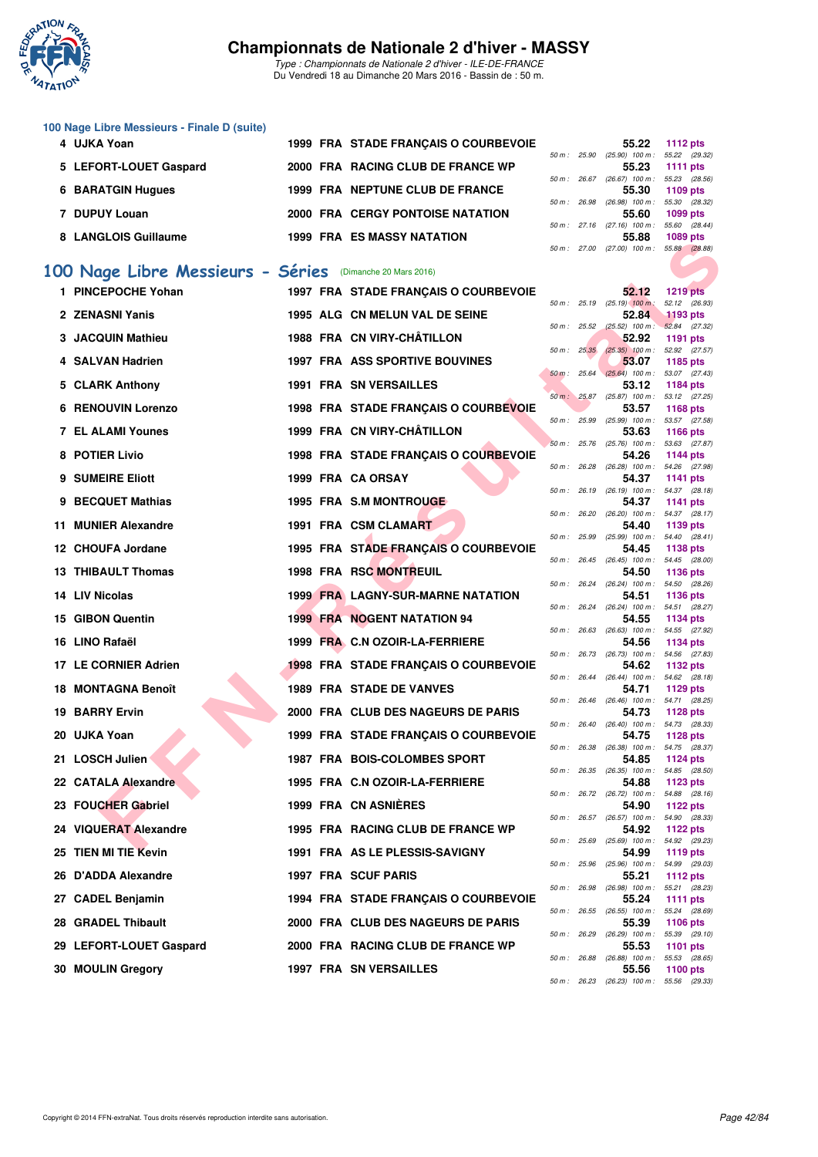

|   | 100 Nage Libre Messieurs - Finale D (suite) |  |                                          |              |              |                                                     |                           |
|---|---------------------------------------------|--|------------------------------------------|--------------|--------------|-----------------------------------------------------|---------------------------|
|   | 4 UJKA Yoan                                 |  | 1999 FRA STADE FRANÇAIS O COURBEVOIE     | 50 m : 25.90 |              | 55.22<br>(25.90) 100 m : 55.22 (29.32)              | <b>1112 pts</b>           |
|   | 5 LEFORT-LOUET Gaspard                      |  | 2000 FRA RACING CLUB DE FRANCE WP        |              |              | 55.23<br>50 m: 26.67 (26.67) 100 m: 55.23 (28.56)   | 1111 $pts$                |
|   | <b>6 BARATGIN Hugues</b>                    |  | 1999 FRA NEPTUNE CLUB DE FRANCE          |              |              | 55.30<br>50 m : 26.98 (26.98) 100 m :               | 1109 pts<br>55.30 (28.32) |
|   | 7 DUPUY Louan                               |  | <b>2000 FRA CERGY PONTOISE NATATION</b>  |              |              | 55.60                                               | 1099 pts                  |
|   | 8 LANGLOIS Guillaume                        |  | <b>1999 FRA ES MASSY NATATION</b>        |              |              | 50 m: 27.16 (27.16) 100 m: 55.60 (28.44)<br>55.88   | 1089 pts                  |
|   |                                             |  |                                          |              |              | 50 m: 27.00 (27.00) 100 m: 55.88 (28.88)            |                           |
|   | 100 Nage Libre Messieurs - Séries           |  | (Dimanche 20 Mars 2016)                  |              |              |                                                     |                           |
|   | 1 PINCEPOCHE Yohan                          |  | 1997 FRA STADE FRANCAIS O COURBEVOIE     |              |              | 52.12<br>50 m : 25.19 (25.19) 100 m : 52.12 (26.93) | <b>1219 pts</b>           |
|   | 2 ZENASNI Yanis                             |  | 1995 ALG CN MELUN VAL DE SEINE           |              |              | 52.84<br>50 m : 25.52 (25.52) 100 m : 52.84 (27.32) | 1193 pts                  |
|   | 3 JACQUIN Mathieu                           |  | 1988 FRA CN VIRY-CHÂTILLON               | 50 m : 25.35 |              | 52.92<br>$(25.35)$ 100 m : 52.92 (27.57)            | 1191 pts                  |
|   | 4 SALVAN Hadrien                            |  | <b>1997 FRA ASS SPORTIVE BOUVINES</b>    | 50 m: 25.64  |              | 53.07<br>$(25.64)$ 100 m : 53.07 (27.43)            | 1185 pts                  |
|   | 5 CLARK Anthony                             |  | 1991 FRA SN VERSAILLES                   | 50 m: 25.87  |              | 53.12<br>$(25.87)$ 100 m : 53.12 $(27.25)$          | 1184 pts                  |
|   | <b>6 RENOUVIN Lorenzo</b>                   |  | 1998 FRA STADE FRANÇAIS O COURBEVOIE     | 50 m : 25.99 |              | 53.57<br>(25.99) 100 m: 53.57 (27.58)               | <b>1168 pts</b>           |
|   | <b>7 EL ALAMI Younes</b>                    |  | 1999 FRA CN VIRY-CHÂTILLON               |              |              | 53.63<br>50 m : 25.76 (25.76) 100 m : 53.63 (27.87) | <b>1166 pts</b>           |
|   | 8 POTIER Livio                              |  | 1998 FRA STADE FRANCAIS O COURBEVOIE     | 50 m : 26.28 |              | 54.26<br>(26.28) 100 m: 54.26 (27.98)               | 1144 pts                  |
|   | 9 SUMEIRE Eliott                            |  | 1999 FRA CA ORSAY                        |              |              | 54.37                                               | <b>1141 pts</b>           |
| 9 | <b>BECQUET Mathias</b>                      |  | 1995 FRA S.M MONTROUGE                   |              |              | 50 m: 26.19 (26.19) 100 m: 54.37 (28.18)<br>54.37   | 1141 pts                  |
|   | 11 MUNIER Alexandre                         |  | 1991 FRA CSM CLAMART                     | 50 m : 26.20 |              | (26.20) 100 m: 54.37 (28.17)<br>54.40               | 1139 pts                  |
|   | 12 CHOUFA Jordane                           |  | 1995 FRA STADE FRANÇAIS O COURBEVOIE     |              |              | 50 m: 25.99 (25.99) 100 m: 54.40 (28.41)<br>54.45   | 1138 pts                  |
|   | 13 THIBAULT Thomas                          |  | <b>1998 FRA RSC MONTREUIL</b>            |              |              | 50 m: 26.45 (26.45) 100 m: 54.45 (28.00)<br>54.50   | 1136 pts                  |
|   | 14 LIV Nicolas                              |  | <b>1999 FRA LAGNY-SUR-MARNE NATATION</b> |              | 50 m : 26.24 | (26.24) 100 m: 54.50 (28.26)<br>54.51               | <b>1136 pts</b>           |
|   | 15 GIBON Quentin                            |  | <b>1999 FRA NOGENT NATATION 94</b>       |              |              | 50 m: 26.24 (26.24) 100 m: 54.51 (28.27)<br>54.55   | 1134 pts                  |
|   | 16 LINO Rafaël                              |  | 1999 FRA C.N OZOIR-LA-FERRIERE           | 50 m: 26.63  |              | (26.63) 100 m: 54.55 (27.92)<br>54.56               | <b>1134 pts</b>           |
|   | 17 LE CORNIER Adrien                        |  | 1998 FRA STADE FRANÇAIS O COURBEVOIE     |              |              | 50 m: 26.73 (26.73) 100 m: 54.56 (27.83)<br>54.62   | 1132 pts                  |
|   | <b>18 MONTAGNA Benoît</b>                   |  | <b>1989 FRA STADE DE VANVES</b>          |              |              | 50 m: 26.44 (26.44) 100 m: 54.62 (28.18)<br>54.71   | 1129 pts                  |
|   | <b>19 BARRY Ervin</b>                       |  | 2000 FRA CLUB DES NAGEURS DE PARIS       |              |              | 50 m: 26.46 (26.46) 100 m: 54.71 (28.25)<br>54.73   | <b>1128 pts</b>           |
|   | 20 UJKA Yoan                                |  | 1999 FRA STADE FRANÇAIS O COURBEVOIE     |              |              | 50 m: 26.40 (26.40) 100 m: 54.73 (28.33)<br>54.75   | 1128 pts                  |
|   |                                             |  |                                          |              |              | 50 m: 26.38 (26.38) 100 m: 54.75 (28.37)            |                           |
|   | 21 LOSCH Julien                             |  | 1987 FRA BOIS-COLOMBES SPORT             |              |              | 54.85<br>50 m: 26.35 (26.35) 100 m: 54.85 (28.50)   | 1124 pts                  |
|   | 22 CATALA Alexandre                         |  | 1995 FRA C.N OZOIR-LA-FERRIERE           |              |              | 54.88<br>50 m : 26.72 (26.72) 100 m : 54.88 (28.16) | <b>1123 pts</b>           |
|   | 23 FOUCHER Gabriel                          |  | 1999 FRA CN ASNIERES                     |              |              | 54.90<br>50 m : 26.57 (26.57) 100 m : 54.90 (28.33) | 1122 pts                  |
|   | 24 VIQUERAT Alexandre                       |  | 1995 FRA RACING CLUB DE FRANCE WP        |              |              | 54.92<br>50 m : 25.69 (25.69) 100 m : 54.92 (29.23) | 1122 pts                  |
|   | 25 TIEN MI TIE Kevin                        |  | 1991 FRA AS LE PLESSIS-SAVIGNY           |              |              | 54.99<br>50 m: 25.96 (25.96) 100 m: 54.99 (29.03)   | 1119 pts                  |
|   | 26 D'ADDA Alexandre                         |  | 1997 FRA SCUF PARIS                      |              |              | 55.21<br>50 m : 26.98 (26.98) 100 m : 55.21 (28.23) | 1112 pts                  |
|   | 27 CADEL Benjamin                           |  | 1994 FRA STADE FRANÇAIS O COURBEVOIE     |              |              | 55.24<br>50 m: 26.55 (26.55) 100 m: 55.24 (28.69)   | <b>1111 pts</b>           |
|   | 28 GRADEL Thibault                          |  | 2000 FRA CLUB DES NAGEURS DE PARIS       |              |              | 55.39<br>50 m : 26.29 (26.29) 100 m : 55.39 (29.10) | 1106 pts                  |
|   | 29 LEFORT-LOUET Gaspard                     |  | 2000 FRA RACING CLUB DE FRANCE WP        |              |              | 55.53<br>50 m : 26.88 (26.88) 100 m : 55.53 (28.65) | 1101 pts                  |
|   | 30 MOULIN Gregory                           |  | <b>1997 FRA SN VERSAILLES</b>            |              |              | 55.56                                               | 1100 pts                  |
|   |                                             |  |                                          |              |              | 50 m : 26.23 (26.23) 100 m : 55.56 (29.33)          |                           |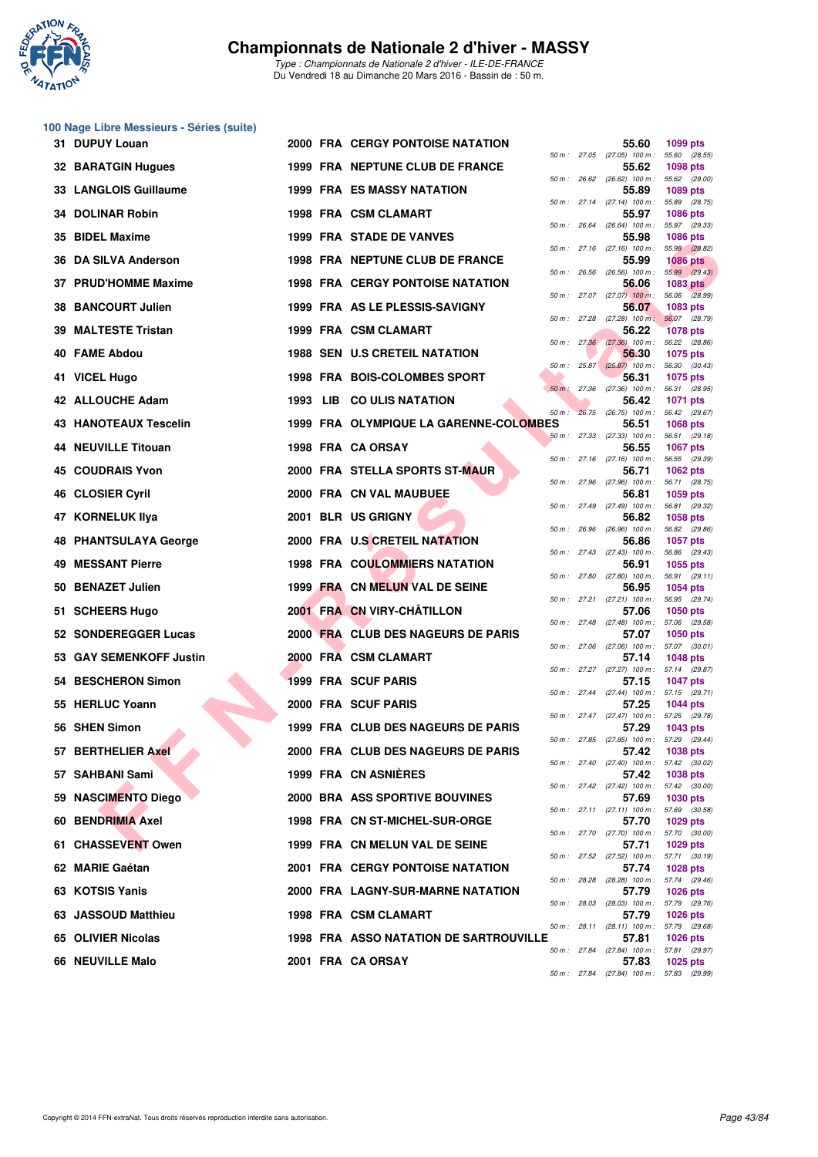

|    | 100 Nage Libre Messieurs - Séries (suite) |  |                                               |             |                                                     |                                  |
|----|-------------------------------------------|--|-----------------------------------------------|-------------|-----------------------------------------------------|----------------------------------|
|    | 31 DUPUY Louan                            |  | <b>2000 FRA CERGY PONTOISE NATATION</b>       |             | 55.60<br>50 m: 27.05 (27.05) 100 m: 55.60 (28.55)   | 1099 pts                         |
|    | 32 BARATGIN Hugues                        |  | 1999 FRA NEPTUNE CLUB DE FRANCE               |             | 55.62<br>50 m: 26.62 (26.62) 100 m: 55.62 (29.00)   | <b>1098 pts</b>                  |
|    | 33 LANGLOIS Guillaume                     |  | <b>1999 FRA ES MASSY NATATION</b>             |             | 55.89                                               | 1089 pts                         |
|    | 34 DOLINAR Robin                          |  | 1998 FRA CSM CLAMART                          |             | 50 m: 27.14 (27.14) 100 m:<br>55.97                 | 55.89 (28.75)<br><b>1086 pts</b> |
| 35 | <b>BIDEL Maxime</b>                       |  | <b>1999 FRA STADE DE VANVES</b>               |             | 50 m: 26.64 (26.64) 100 m: 55.97 (29.33)<br>55.98   | 1086 pts                         |
|    | 36 DA SILVA Anderson                      |  | 1998 FRA NEPTUNE CLUB DE FRANCE               |             | 50 m: 27.16 (27.16) 100 m: 55.98 (28.82)<br>55.99   | <b>1086 pts</b>                  |
|    | 37 PRUD'HOMME Maxime                      |  | 1998 FRA CERGY PONTOISE NATATION              | 50 m: 26.56 | $(26.56)$ 100 m : 55.99 $(29.43)$<br>56.06          | <b>1083 pts</b>                  |
|    | 38 BANCOURT Julien                        |  | 1999 FRA AS LE PLESSIS-SAVIGNY                |             | 50 m : 27.07 (27.07) 100 m : 56.06 (28.99)<br>56.07 | 1083 pts                         |
| 39 | <b>MALTESTE Tristan</b>                   |  | 1999 FRA CSM CLAMART                          |             | $50 m$ : 27.28 (27.28) $100 m$ :<br>56.22           | 56.07 (28.79)<br><b>1078 pts</b> |
|    | 40 FAME Abdou                             |  | <b>1988 SEN U.S CRETEIL NATATION</b>          |             | 50 m : 27.36 (27.36) 100 m : 56.22 (28.86)<br>56.30 | <b>1075 pts</b>                  |
|    | 41 VICEL Hugo                             |  | 1998 FRA BOIS-COLOMBES SPORT                  |             | 50 m : 25.87 (25.87) 100 m : 56.30 (30.43)<br>56.31 | 1075 pts                         |
|    | 42 ALLOUCHE Adam                          |  | 1993 LIB COULIS NATATION                      | 50 m: 27.36 | (27.36) 100 m: 56.31 (28.95)<br>56.42               | 1071 pts                         |
|    | <b>43 HANOTEAUX Tescelin</b>              |  | 1999 FRA OLYMPIQUE LA GARENNE-COLOMBES        |             | 50 m : 26.75 (26.75) 100 m : 56.42 (29.67)<br>56.51 | 1068 pts                         |
|    | <b>44 NEUVILLE Titouan</b>                |  | 1998 FRA CA ORSAY                             |             | 50 m: 27.33 (27.33) 100 m: 56.51 (29.18)<br>56.55   | <b>1067 pts</b>                  |
|    | <b>45 COUDRAIS Yvon</b>                   |  | 2000 FRA STELLA SPORTS ST-MAUR                |             | 50 m : 27.16 (27.16) 100 m :<br>56.71               | 56.55 (29.39)<br>1062 pts        |
|    | 46 CLOSIER Cyril                          |  | 2000 FRA CN VAL MAUBUEE                       |             | 50 m: 27.96 (27.96) 100 m:<br>56.81                 | 56.71 (28.75)<br>1059 pts        |
|    | 47 KORNELUK Ilya                          |  | 2001 BLR US GRIGNY                            |             | 50 m: 27.49 (27.49) 100 m: 56.81 (29.32)<br>56.82   | <b>1058 pts</b>                  |
|    | 48 PHANTSULAYA George                     |  | 2000 FRA U.S CRETEIL NATATION                 |             | 50 m: 26.96 (26.96) 100 m: 56.82 (29.86)<br>56.86   | 1057 pts                         |
| 49 | <b>MESSANT Pierre</b>                     |  | <b>1998 FRA COULOMMIERS NATATION</b>          |             | 50 m: 27.43 (27.43) 100 m: 56.86 (29.43)<br>56.91   | 1055 pts                         |
|    | 50 BENAZET Julien                         |  | 1999 FRA CN MELUN VAL DE SEINE                |             | 50 m: 27.80 (27.80) 100 m: 56.91 (29.11)<br>56.95   | <b>1054 pts</b>                  |
|    | 51 SCHEERS Hugo                           |  | 2001 FRA CN VIRY-CHÂTILLON                    |             | 50 m: 27.21 (27.21) 100 m: 56.95 (29.74)<br>57.06   | 1050 pts                         |
|    | 52 SONDEREGGER Lucas                      |  | 2000 FRA CLUB DES NAGEURS DE PARIS            |             | 50 m: 27.48 (27.48) 100 m: 57.06 (29.58)<br>57.07   | 1050 pts                         |
|    | 53 GAY SEMENKOFF Justin                   |  | 2000 FRA CSM CLAMART                          |             | 50 m : 27.06 (27.06) 100 m :<br>57.14               | 57.07 (30.01)<br>1048 pts        |
|    | 54 BESCHERON Simon                        |  | <b>1999 FRA SCUF PARIS</b>                    |             | 50 m: 27.27 (27.27) 100 m: 57.14 (29.87)<br>57.15   | <b>1047 pts</b>                  |
|    | 55 HERLUC Yoann                           |  | 2000 FRA SCUF PARIS                           |             | 50 m: 27.44 (27.44) 100 m: 57.15 (29.71)<br>57.25   | 1044 pts                         |
|    | 56 SHEN Simon                             |  | 1999 FRA CLUB DES NAGEURS DE PARIS            |             | 50 m: 27.47 (27.47) 100 m: 57.25 (29.78)<br>57.29   | 1043 pts                         |
|    | 57 BERTHELIER Axel                        |  | 2000 FRA CLUB DES NAGEURS DE PARIS            |             | 50 m : 27.85 (27.85) 100 m : 57.29 (29.44)<br>57.42 | 1038 pts                         |
|    | 57 SAHBANI Sami                           |  | 1999 FRA CN ASNIERES                          |             | 50 m: 27.40 (27.40) 100 m: 57.42 (30.02)<br>57.42   | 1038 pts                         |
|    | 59 NASCIMENTO Diego                       |  | 2000 BRA ASS SPORTIVE BOUVINES                |             | 50 m: 27.42 (27.42) 100 m: 57.42 (30.00)<br>57.69   | 1030 pts                         |
|    | 60 BENDRIMIA Axel                         |  | 1998 FRA CN ST-MICHEL-SUR-ORGE                |             | 50 m: 27.11 (27.11) 100 m: 57.69 (30.58)<br>57.70   | 1029 pts                         |
|    | 61 CHASSEVENT Owen                        |  | 1999 FRA CN MELUN VAL DE SEINE                |             | 50 m: 27.70 (27.70) 100 m: 57.70 (30.00)<br>57.71   | 1029 pts                         |
|    | 62 MARIE Gaétan                           |  | <b>2001 FRA CERGY PONTOISE NATATION</b>       |             | 50 m: 27.52 (27.52) 100 m: 57.71 (30.19)<br>57.74   | <b>1028 pts</b>                  |
|    | 63 KOTSIS Yanis                           |  | 2000 FRA LAGNY-SUR-MARNE NATATION             |             | 50 m: 28.28 (28.28) 100 m: 57.74 (29.46)<br>57.79   | 1026 pts                         |
|    | 63 JASSOUD Matthieu                       |  | 1998 FRA CSM CLAMART                          |             | 50 m : 28.03 (28.03) 100 m : 57.79 (29.76)<br>57.79 | <b>1026 pts</b>                  |
|    | 65 OLIVIER Nicolas                        |  | <b>1998 FRA ASSO NATATION DE SARTROUVILLE</b> |             | 50 m: 28.11 (28.11) 100 m: 57.79 (29.68)<br>57.81   | <b>1026 pts</b>                  |
|    | 66 NEUVILLE Malo                          |  | 2001 FRA CA ORSAY                             |             | 50 m: 27.84 (27.84) 100 m: 57.81 (29.97)<br>57.83   | 1025 pts                         |
|    |                                           |  |                                               |             | 50 m: 27.84 (27.84) 100 m: 57.83 (29.99)            |                                  |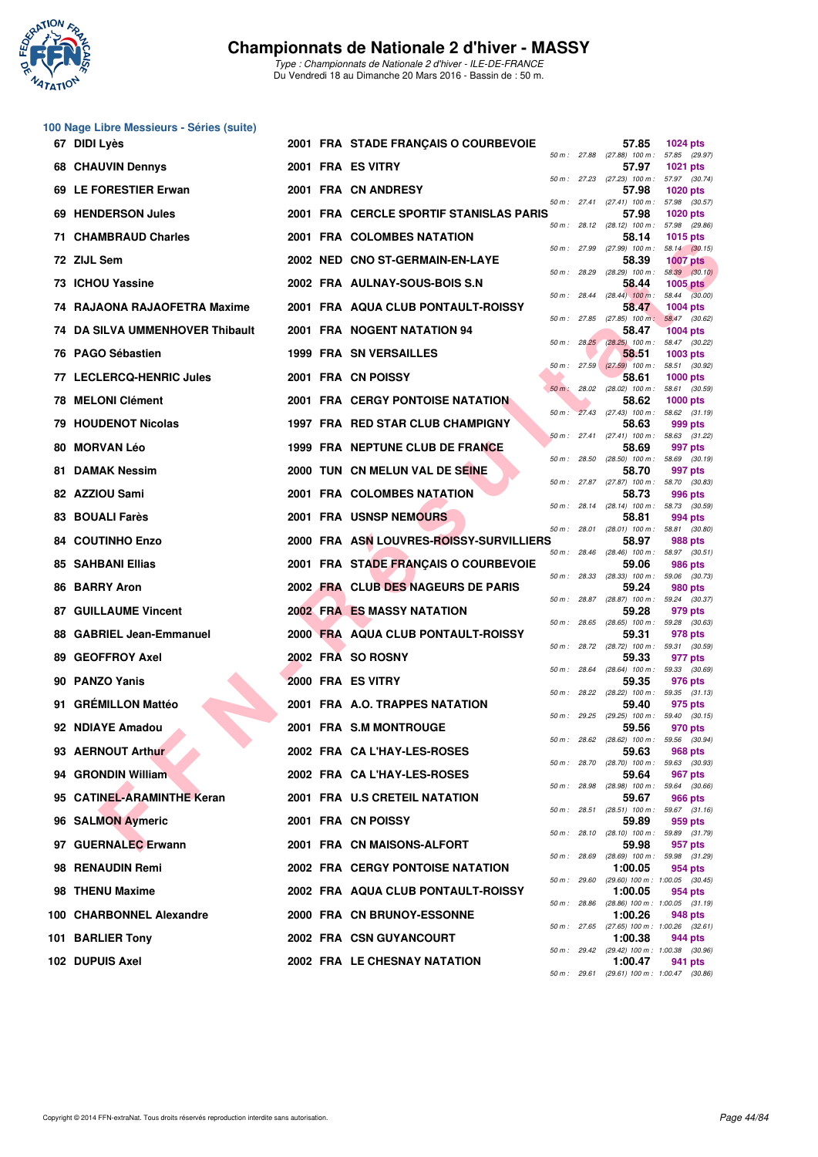

| 50 m : 27.88<br>50 m : 28.29 | 57.85<br>(27.88) 100 m: 57.85 (29.97)<br>57.97<br>50 m: 27.23 (27.23) 100 m: 57.97 (30.74)<br>57.98<br>$50 m$ : 27.41 (27.41) 100 m :<br>57.98<br>50 m: 28.12 (28.12) 100 m: 57.98 (29.86)<br>58.14<br>50 m: 27.99 (27.99) 100 m: 58.14 (30.15)<br>58.39<br>$(28.29)$ 100 m : 58.39 $(30.10)$<br>58.44 | <b>1024 pts</b><br><b>1021 pts</b><br><b>1020 pts</b><br>57.98 (30.57)<br><b>1020 pts</b><br>1015 pts<br><b>1007 pts</b>                                                                                                                                                                                                                                                                                                                                                                                                                                                                                                                                                                                                                                                                                                                                                                                                                                                                                                                                                    |
|------------------------------|--------------------------------------------------------------------------------------------------------------------------------------------------------------------------------------------------------------------------------------------------------------------------------------------------------|-----------------------------------------------------------------------------------------------------------------------------------------------------------------------------------------------------------------------------------------------------------------------------------------------------------------------------------------------------------------------------------------------------------------------------------------------------------------------------------------------------------------------------------------------------------------------------------------------------------------------------------------------------------------------------------------------------------------------------------------------------------------------------------------------------------------------------------------------------------------------------------------------------------------------------------------------------------------------------------------------------------------------------------------------------------------------------|
|                              |                                                                                                                                                                                                                                                                                                        |                                                                                                                                                                                                                                                                                                                                                                                                                                                                                                                                                                                                                                                                                                                                                                                                                                                                                                                                                                                                                                                                             |
|                              |                                                                                                                                                                                                                                                                                                        |                                                                                                                                                                                                                                                                                                                                                                                                                                                                                                                                                                                                                                                                                                                                                                                                                                                                                                                                                                                                                                                                             |
|                              |                                                                                                                                                                                                                                                                                                        |                                                                                                                                                                                                                                                                                                                                                                                                                                                                                                                                                                                                                                                                                                                                                                                                                                                                                                                                                                                                                                                                             |
|                              |                                                                                                                                                                                                                                                                                                        |                                                                                                                                                                                                                                                                                                                                                                                                                                                                                                                                                                                                                                                                                                                                                                                                                                                                                                                                                                                                                                                                             |
|                              |                                                                                                                                                                                                                                                                                                        |                                                                                                                                                                                                                                                                                                                                                                                                                                                                                                                                                                                                                                                                                                                                                                                                                                                                                                                                                                                                                                                                             |
|                              |                                                                                                                                                                                                                                                                                                        |                                                                                                                                                                                                                                                                                                                                                                                                                                                                                                                                                                                                                                                                                                                                                                                                                                                                                                                                                                                                                                                                             |
|                              |                                                                                                                                                                                                                                                                                                        | <b>1005 pts</b>                                                                                                                                                                                                                                                                                                                                                                                                                                                                                                                                                                                                                                                                                                                                                                                                                                                                                                                                                                                                                                                             |
|                              | 50 m : 28.44 (28.44) 100 m : 58.44 (30.00)<br>58.47                                                                                                                                                                                                                                                    | $1004$ pts                                                                                                                                                                                                                                                                                                                                                                                                                                                                                                                                                                                                                                                                                                                                                                                                                                                                                                                                                                                                                                                                  |
|                              | 50 m: 27.85 (27.85) 100 m: 58.47 (30.62)<br>58.47                                                                                                                                                                                                                                                      | <b>1004 pts</b>                                                                                                                                                                                                                                                                                                                                                                                                                                                                                                                                                                                                                                                                                                                                                                                                                                                                                                                                                                                                                                                             |
|                              | 50 m: 28.25 (28.25) 100 m: 58.47 (30.22)<br>58.51                                                                                                                                                                                                                                                      | 1003 pts                                                                                                                                                                                                                                                                                                                                                                                                                                                                                                                                                                                                                                                                                                                                                                                                                                                                                                                                                                                                                                                                    |
|                              | $50 m$ : 27.59 (27.59) 100 m :                                                                                                                                                                                                                                                                         | 58.51 (30.92)<br>$1000$ pts                                                                                                                                                                                                                                                                                                                                                                                                                                                                                                                                                                                                                                                                                                                                                                                                                                                                                                                                                                                                                                                 |
|                              |                                                                                                                                                                                                                                                                                                        |                                                                                                                                                                                                                                                                                                                                                                                                                                                                                                                                                                                                                                                                                                                                                                                                                                                                                                                                                                                                                                                                             |
|                              |                                                                                                                                                                                                                                                                                                        | $1000$ pts                                                                                                                                                                                                                                                                                                                                                                                                                                                                                                                                                                                                                                                                                                                                                                                                                                                                                                                                                                                                                                                                  |
|                              |                                                                                                                                                                                                                                                                                                        | 999 pts                                                                                                                                                                                                                                                                                                                                                                                                                                                                                                                                                                                                                                                                                                                                                                                                                                                                                                                                                                                                                                                                     |
|                              | 58.69                                                                                                                                                                                                                                                                                                  | 997 pts                                                                                                                                                                                                                                                                                                                                                                                                                                                                                                                                                                                                                                                                                                                                                                                                                                                                                                                                                                                                                                                                     |
|                              | 58.70                                                                                                                                                                                                                                                                                                  | 997 pts                                                                                                                                                                                                                                                                                                                                                                                                                                                                                                                                                                                                                                                                                                                                                                                                                                                                                                                                                                                                                                                                     |
|                              | 58.73                                                                                                                                                                                                                                                                                                  | 996 pts                                                                                                                                                                                                                                                                                                                                                                                                                                                                                                                                                                                                                                                                                                                                                                                                                                                                                                                                                                                                                                                                     |
|                              | 58.81                                                                                                                                                                                                                                                                                                  | 994 pts                                                                                                                                                                                                                                                                                                                                                                                                                                                                                                                                                                                                                                                                                                                                                                                                                                                                                                                                                                                                                                                                     |
|                              | 58.97                                                                                                                                                                                                                                                                                                  | 988 pts                                                                                                                                                                                                                                                                                                                                                                                                                                                                                                                                                                                                                                                                                                                                                                                                                                                                                                                                                                                                                                                                     |
|                              | 59.06                                                                                                                                                                                                                                                                                                  | 986 pts                                                                                                                                                                                                                                                                                                                                                                                                                                                                                                                                                                                                                                                                                                                                                                                                                                                                                                                                                                                                                                                                     |
|                              | 59.24                                                                                                                                                                                                                                                                                                  | 980 pts                                                                                                                                                                                                                                                                                                                                                                                                                                                                                                                                                                                                                                                                                                                                                                                                                                                                                                                                                                                                                                                                     |
|                              | 59.28                                                                                                                                                                                                                                                                                                  | $(28.87)$ 100 m : 59.24 $(30.37)$<br>979 pts                                                                                                                                                                                                                                                                                                                                                                                                                                                                                                                                                                                                                                                                                                                                                                                                                                                                                                                                                                                                                                |
|                              | 59.31                                                                                                                                                                                                                                                                                                  | 978 pts                                                                                                                                                                                                                                                                                                                                                                                                                                                                                                                                                                                                                                                                                                                                                                                                                                                                                                                                                                                                                                                                     |
|                              | 59.33                                                                                                                                                                                                                                                                                                  | 59.31 (30.59)<br>977 pts                                                                                                                                                                                                                                                                                                                                                                                                                                                                                                                                                                                                                                                                                                                                                                                                                                                                                                                                                                                                                                                    |
|                              | $(28.64)$ 100 m : 59.33 $(30.69)$                                                                                                                                                                                                                                                                      | 976 pts                                                                                                                                                                                                                                                                                                                                                                                                                                                                                                                                                                                                                                                                                                                                                                                                                                                                                                                                                                                                                                                                     |
|                              |                                                                                                                                                                                                                                                                                                        | 975 pts                                                                                                                                                                                                                                                                                                                                                                                                                                                                                                                                                                                                                                                                                                                                                                                                                                                                                                                                                                                                                                                                     |
|                              |                                                                                                                                                                                                                                                                                                        | 970 pts                                                                                                                                                                                                                                                                                                                                                                                                                                                                                                                                                                                                                                                                                                                                                                                                                                                                                                                                                                                                                                                                     |
|                              |                                                                                                                                                                                                                                                                                                        | 968 pts                                                                                                                                                                                                                                                                                                                                                                                                                                                                                                                                                                                                                                                                                                                                                                                                                                                                                                                                                                                                                                                                     |
|                              |                                                                                                                                                                                                                                                                                                        | 967 pts                                                                                                                                                                                                                                                                                                                                                                                                                                                                                                                                                                                                                                                                                                                                                                                                                                                                                                                                                                                                                                                                     |
|                              |                                                                                                                                                                                                                                                                                                        |                                                                                                                                                                                                                                                                                                                                                                                                                                                                                                                                                                                                                                                                                                                                                                                                                                                                                                                                                                                                                                                                             |
|                              |                                                                                                                                                                                                                                                                                                        | 966 pts                                                                                                                                                                                                                                                                                                                                                                                                                                                                                                                                                                                                                                                                                                                                                                                                                                                                                                                                                                                                                                                                     |
|                              |                                                                                                                                                                                                                                                                                                        | 959 pts                                                                                                                                                                                                                                                                                                                                                                                                                                                                                                                                                                                                                                                                                                                                                                                                                                                                                                                                                                                                                                                                     |
|                              |                                                                                                                                                                                                                                                                                                        | 957 pts                                                                                                                                                                                                                                                                                                                                                                                                                                                                                                                                                                                                                                                                                                                                                                                                                                                                                                                                                                                                                                                                     |
|                              | 1:00.05                                                                                                                                                                                                                                                                                                | 954 pts                                                                                                                                                                                                                                                                                                                                                                                                                                                                                                                                                                                                                                                                                                                                                                                                                                                                                                                                                                                                                                                                     |
|                              | 1:00.05                                                                                                                                                                                                                                                                                                | 954 pts                                                                                                                                                                                                                                                                                                                                                                                                                                                                                                                                                                                                                                                                                                                                                                                                                                                                                                                                                                                                                                                                     |
|                              | 1:00.26<br>50 m: 27.65 (27.65) 100 m: 1:00.26 (32.61)                                                                                                                                                                                                                                                  | 948 pts                                                                                                                                                                                                                                                                                                                                                                                                                                                                                                                                                                                                                                                                                                                                                                                                                                                                                                                                                                                                                                                                     |
|                              | 1:00.38<br>50 m: 29.42 (29.42) 100 m: 1:00.38 (30.96)                                                                                                                                                                                                                                                  | 944 pts                                                                                                                                                                                                                                                                                                                                                                                                                                                                                                                                                                                                                                                                                                                                                                                                                                                                                                                                                                                                                                                                     |
|                              |                                                                                                                                                                                                                                                                                                        |                                                                                                                                                                                                                                                                                                                                                                                                                                                                                                                                                                                                                                                                                                                                                                                                                                                                                                                                                                                                                                                                             |
|                              | 50 m : 28.87                                                                                                                                                                                                                                                                                           | 58.61<br>50 m : 28.02 (28.02) 100 m : 58.61 (30.59)<br>58.62<br>50 m: 27.43 (27.43) 100 m: 58.62 (31.19)<br>58.63<br>50 m: 27.41 (27.41) 100 m: 58.63 (31.22)<br>50 m: 28.50 (28.50) 100 m: 58.69 (30.19)<br>50 m: 27.87 (27.87) 100 m: 58.70 (30.83)<br>50 m: 28.14 (28.14) 100 m: 58.73 (30.59)<br>50 m: 28.01 (28.01) 100 m: 58.81 (30.80)<br>50 m: 28.46 (28.46) 100 m: 58.97 (30.51)<br>50 m: 28.33 (28.33) 100 m: 59.06 (30.73)<br>50 m: 28.65 (28.65) 100 m: 59.28 (30.63)<br>50 m : 28.72 (28.72) 100 m :<br>50 m : 28.64<br>59.35<br>50 m: 28.22 (28.22) 100 m: 59.35 (31.13)<br>59.40<br>50 m: 29.25 (29.25) 100 m: 59.40 (30.15)<br>59.56<br>50 m : 28.62 (28.62) 100 m : 59.56 (30.94)<br>59.63<br>50 m: 28.70 (28.70) 100 m: 59.63 (30.93)<br>59.64<br>50 m: 28.98 (28.98) 100 m: 59.64 (30.66)<br>59.67<br>50 m: 28.51 (28.51) 100 m: 59.67 (31.16)<br>59.89<br>50 m: 28.10 (28.10) 100 m: 59.89 (31.79)<br>59.98<br>50 m : 28.69 (28.69) 100 m : 59.98 (31.29)<br>50 m: 29.60 (29.60) 100 m: 1:00.05 (30.45)<br>50 m : 28.86 (28.86) 100 m : 1:00.05 (31.19) |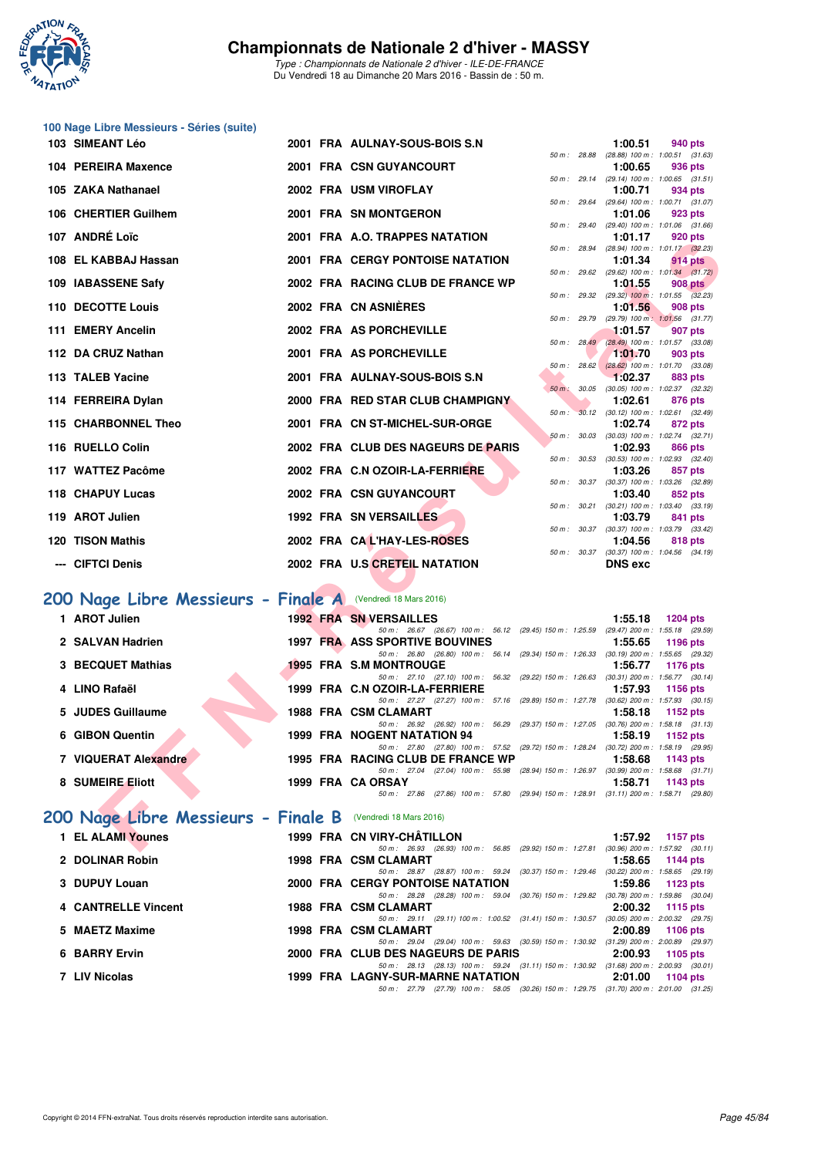

| 100 Nage Libre Messieurs - Séries (suite)                   |  |                                                                                                                                                                   |              |                    |                                                         |
|-------------------------------------------------------------|--|-------------------------------------------------------------------------------------------------------------------------------------------------------------------|--------------|--------------------|---------------------------------------------------------|
| 103 SIMEANT Léo                                             |  | 2001 FRA AULNAY-SOUS-BOIS S.N                                                                                                                                     | 50 m : 28.88 | 1:00.51            | 940 pts<br>(28.88) 100 m: 1:00.51 (31.63)               |
| 104 PEREIRA Maxence                                         |  | 2001 FRA CSN GUYANCOURT                                                                                                                                           |              | 1:00.65            | 936 pts<br>50 m: 29.14 (29.14) 100 m: 1:00.65 (31.51)   |
| 105 ZAKA Nathanael                                          |  | 2002 FRA USM VIROFLAY                                                                                                                                             | 50 m : 29.64 | 1:00.71            | 934 pts<br>(29.64) 100 m: 1:00.71 (31.07)               |
| 106 CHERTIER Guilhem                                        |  | 2001 FRA SN MONTGERON                                                                                                                                             | 50 m : 29.40 | 1:01.06            | 923 pts<br>(29.40) 100 m: 1:01.06 (31.66)               |
| 107 ANDRÉ Loïc                                              |  | 2001 FRA A.O. TRAPPES NATATION                                                                                                                                    | 50 m : 28.94 | 1:01.17            | 920 pts<br>(28.94) 100 m : 1:01.17 (32.23)              |
| 108 EL KABBAJ Hassan                                        |  | <b>2001 FRA CERGY PONTOISE NATATION</b>                                                                                                                           |              | 1:01.34            | 914 pts<br>50 m: 29.62 (29.62) 100 m: 1:01.34 (31.72)   |
| 109 IABASSENE Safy                                          |  | 2002 FRA RACING CLUB DE FRANCE WP                                                                                                                                 |              | 1:01.55            | <b>908 pts</b>                                          |
| 110 DECOTTE Louis                                           |  | 2002 FRA CN ASNIÈRES                                                                                                                                              |              | 1:01.56            | 50 m: 29.32 (29.32) 100 m: 1:01.55 (32.23)<br>908 pts   |
| 111 EMERY Ancelin                                           |  | 2002 FRA AS PORCHEVILLE                                                                                                                                           |              | 1:01.57            | 50 m : 29.79 (29.79) 100 m : 1:01.56 (31.77)<br>907 pts |
| 112 DA CRUZ Nathan                                          |  | 2001 FRA AS PORCHEVILLE                                                                                                                                           |              | 1:01.70            | 50 m: 28.49 (28.49) 100 m: 1:01.57 (33.08)<br>903 pts   |
| 113 TALEB Yacine                                            |  | 2001 FRA AULNAY-SOUS-BOIS S.N                                                                                                                                     | 50 m: 28.62  | 1:02.37            | $(28.62)$ 100 m : 1:01.70 $(33.08)$<br>883 pts          |
| 114 FERREIRA Dylan                                          |  | 2000 FRA RED STAR CLUB CHAMPIGNY                                                                                                                                  | 50 m: 30.05  | 1:02.61            | $(30.05)$ 100 m : 1:02.37 $(32.32)$<br>876 pts          |
| 115 CHARBONNEL Theo                                         |  | 2001 FRA CN ST-MICHEL-SUR-ORGE                                                                                                                                    | 50 m:        | 1:02.74            | 30.12 (30.12) 100 m : 1:02.61 (32.49)<br>872 pts        |
| 116 RUELLO Colin                                            |  | 2002 FRA CLUB DES NAGEURS DE PARIS                                                                                                                                | 50 m: 30.03  | 1:02.93            | $(30.03)$ 100 m : 1:02.74 $(32.71)$<br>866 pts          |
| 117 WATTEZ Pacôme                                           |  | 2002 FRA C.N OZOIR-LA-FERRIERE                                                                                                                                    |              | 1:03.26            | 50 m: 30.53 (30.53) 100 m: 1:02.93 (32.40)<br>857 pts   |
| 118 CHAPUY Lucas                                            |  | 2002 FRA CSN GUYANCOURT                                                                                                                                           |              | 1:03.40            | 50 m: 30.37 (30.37) 100 m: 1:03.26 (32.89)<br>852 pts   |
| 119 AROT Julien                                             |  | <b>1992 FRA SN VERSAILLES</b>                                                                                                                                     |              | 1:03.79            | 50 m : 30.21 (30.21) 100 m : 1:03.40 (33.19)<br>841 pts |
| 120 TISON Mathis                                            |  | 2002 FRA CAL'HAY-LES-ROSES                                                                                                                                        |              | 1:04.56            | 50 m: 30.37 (30.37) 100 m: 1:03.79 (33.42)<br>818 pts   |
|                                                             |  |                                                                                                                                                                   | 50 m : 30.37 |                    | $(30.37)$ 100 m : 1:04.56 $(34.19)$                     |
| --- CIFTCI Denis                                            |  | 2002 FRA U.S CRETEIL NATATION                                                                                                                                     |              | <b>DNS</b> exc     |                                                         |
|                                                             |  |                                                                                                                                                                   |              |                    |                                                         |
| 200 Nage Libre Messieurs - Finale A (Vendredi 18 Mars 2016) |  |                                                                                                                                                                   |              |                    |                                                         |
| 1 AROT Julien                                               |  | <b>1992 FRA SN VERSAILLES</b><br>50 m: 26.67 (26.67) 100 m: 56.12 (29.45) 150 m: 1:25.59 (29.47) 200 m: 1:55.18 (29.59)                                           |              | 1:55.18            | 1204 pts                                                |
| 2 SALVAN Hadrien                                            |  | <b>1997 FRA ASS SPORTIVE BOUVINES</b><br>50 m : 26.80 (26.80) 100 m : 56.14 (29.34) 150 m : 1:26.33                                                               |              | 1:55.65            | <b>1196 pts</b><br>$(30.19)$ 200 m : 1:55.65 $(29.32)$  |
| 3 BECQUET Mathias                                           |  | <b>1995 FRA S.M MONTROUGE</b><br>50 m: 27.10 (27.10) 100 m: 56.32 (29.22) 150 m: 1:26.63 (30.31) 200 m: 1:56.77 (30.14)                                           |              | 1:56.77            | <b>1176 pts</b>                                         |
| 4 LINO Rafaël                                               |  | 1999 FRA C.N OZOIR-LA-FERRIERE<br>50 m: 27.27 (27.27) 100 m: 57.16 (29.89) 150 m: 1:27.78 (30.62) 200 m: 1:57.93 (30.15)                                          |              | 1:57.93            | 1156 pts                                                |
| 5 JUDES Guillaume                                           |  | 1988 FRA CSM CLAMART                                                                                                                                              |              | 1:58.18            | 1152 pts                                                |
| 6 GIBON Quentin                                             |  | 50 m: 26.92 (26.92) 100 m: 56.29 (29.37) 150 m: 1:27.05 (30.76) 200 m: 1:58.18 (31.13)<br>1999 FRA NOGENT NATATION 94                                             |              |                    | 1:58.19 1152 pts                                        |
| 7 VIQUERAT Alexandre                                        |  | 50 m: 27.80 (27.80) 100 m: 57.52 (29.72) 150 m: 1:28.24 (30.72) 200 m: 1:58.19 (29.95)<br>1995 FRA RACING CLUB DE FRANCE WP                                       |              | 1:58.68 1143 pts   |                                                         |
| 8 SUMEIRE Eliott                                            |  | 50 m: 27.04 (27.04) 100 m: 55.98 (28.94) 150 m: 1:26.97 (30.99) 200 m: 1:58.68 (31.71)<br>1999 FRA CA ORSAY                                                       |              | 1:58.71            | 1143 pts                                                |
|                                                             |  | 50 m: 27.86 (27.86) 100 m: 57.80 (29.94) 150 m: 1:28.91 (31.11) 200 m: 1:58.71 (29.80)                                                                            |              |                    |                                                         |
| 200 Nage Libre Messieurs - Finale B (Vendredi 18 Mars 2016) |  |                                                                                                                                                                   |              |                    | 1157 pts                                                |
| 1 EL ALAMI Younes                                           |  | 1999 FRA CN VIRY-CHATILLON<br>50 m: 26.93 (26.93) 100 m: 56.85 (29.92) 150 m: 1.27.81 (30.96) 200 m: 1.57.92 (30.11)                                              |              | 1:57.92            |                                                         |
| 2 DOLINAR Robin                                             |  | 1998 FRA CSM CLAMART<br>50 m: 28.87 (28.87) 100 m: 59.24 (30.37) 150 m: 1:29.46 (30.22) 200 m: 1:58.65 (29.19)                                                    |              | 1:58.65            | 1144 pts                                                |
| 3 DUPUY Louan                                               |  | <b>2000 FRA CERGY PONTOISE NATATION</b><br>50 m: 28.28 (28.28) 100 m: 59.04 (30.76) 150 m: 1:29.82 (30.78) 200 m: 1:59.86 (30.04)                                 |              | 1:59.86            | 1123 pts                                                |
| 4 CANTRELLE Vincent                                         |  | 1988 FRA CSM CLAMART<br>50 m: 29.11 (29.11) 100 m: 1:00.52 (31.41) 150 m: 1:30.57 (30.05) 200 m: 2:00.32 (29.75)                                                  |              | 2:00.32            | 1115 pts                                                |
| 5 MAETZ Maxime                                              |  | 1998 FRA CSM CLAMART<br>50 m: 29.04 (29.04) 100 m: 59.63 (30.59) 150 m: 1:30.92 (31.29) 200 m: 2:00.89 (29.97)                                                    |              | 2:00.89            | 1106 pts                                                |
| 6 BARRY Ervin<br>7 LIV Nicolas                              |  | 2000 FRA CLUB DES NAGEURS DE PARIS<br>50 m: 28.13 (28.13) 100 m: 59.24 (31.11) 150 m: 1:30.92 (31.68) 200 m: 2:00.93 (30.01)<br>1999 FRA LAGNY-SUR-MARNE NATATION |              | 2:00.93<br>2:01.00 | 1105 pts<br>1104 pts                                    |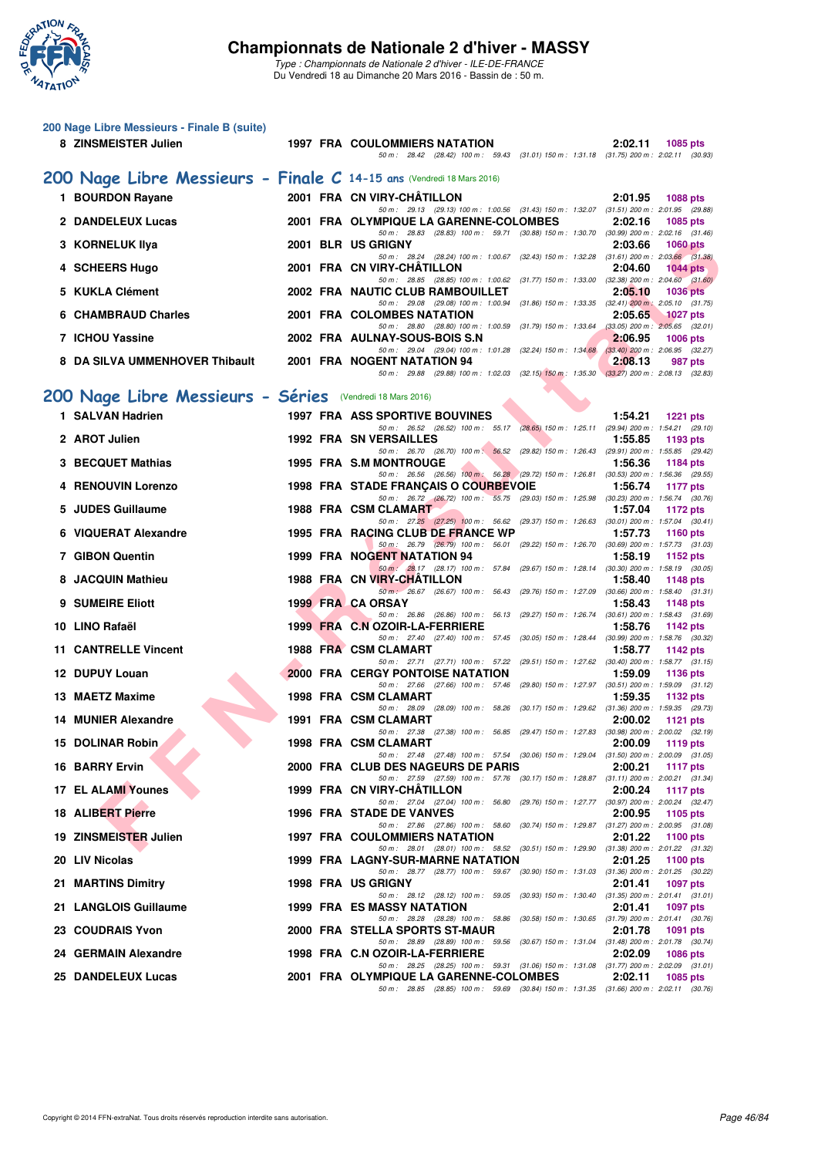

|   | 200 Nage Libre Messieurs - Finale B (suite)<br>8 ZINSMEISTER Julien   |  | <b>1997 FRA COULOMMIERS NATATION</b>                                                                                                 | 2:02.11<br>1085 pts                                        |
|---|-----------------------------------------------------------------------|--|--------------------------------------------------------------------------------------------------------------------------------------|------------------------------------------------------------|
|   |                                                                       |  | 50 m: 28.42 (28.42) 100 m: 59.43 (31.01) 150 m: 1:31.18 (31.75) 200 m: 2:02.11 (30.93)                                               |                                                            |
|   | 200 Nage Libre Messieurs - Finale C 14-15 ans (Vendredi 18 Mars 2016) |  |                                                                                                                                      |                                                            |
|   | 1 BOURDON Rayane                                                      |  | 2001 FRA CN VIRY-CHATILLON<br>50 m: 29.13 (29.13) 100 m: 1:00.56 (31.43) 150 m: 1:32.07 (31.51) 200 m: 2:01.95 (29.88)               | 2:01.95<br><b>1088 pts</b>                                 |
|   | 2 DANDELEUX Lucas                                                     |  | 2001 FRA OLYMPIQUE LA GARENNE-COLOMBES                                                                                               | 2:02.16<br>1085 pts                                        |
|   | 3 KORNELUK IIya                                                       |  | 50 m: 28.83 (28.83) 100 m: 59.71 (30.88) 150 m: 1:30.70 (30.99) 200 m: 2:02.16 (31.46)<br>2001 BLR US GRIGNY                         | 2:03.66<br><b>1060 pts</b>                                 |
|   | 4 SCHEERS Hugo                                                        |  | 50 m: 28.24 (28.24) 100 m: 1:00.67 (32.43) 150 m: 1:32.28 (31.61) 200 m: 2:03.66 (31.38)<br>2001 FRA CN VIRY-CHATILLON               | 2:04.60<br>$1044$ pts                                      |
|   |                                                                       |  | 50 m: 28.85 (28.85) 100 m: 1:00.62 (31.77) 150 m: 1:33.00 (32.38) 200 m: 2:04.60 (31.60)                                             |                                                            |
|   | 5 KUKLA Clément                                                       |  | 2002 FRA NAUTIC CLUB RAMBOUILLET<br>50 m: 29.08 (29.08) 100 m: 1:00.94 (31.86) 150 m: 1:33.35 (32.41) 200 m: 2:05.10 (31.75)         | 2:05.10<br><b>1036 pts</b>                                 |
|   | <b>CHAMBRAUD Charles</b>                                              |  | 2001 FRA COLOMBES NATATION<br>50 m: 28.80 (28.80) 100 m: 1:00.59 (31.79) 150 m: 1:33.64 (33.05) 200 m: 2:05.65 (32.01)               | 2:05.65<br>1027 pts                                        |
|   | 7 ICHOU Yassine                                                       |  | 2002 FRA AULNAY-SOUS-BOIS S.N                                                                                                        | 2:06.95<br><b>1006 pts</b>                                 |
|   | 8 DA SILVA UMMENHOVER Thibault                                        |  | 50 m: 29.04 (29.04) 100 m: 1:01.28 (32.24) 150 m: 1:34.68 (33.40) 200 m: 2:06.95 (32.27)<br>2001 FRA NOGENT NATATION 94              | 2:08.13<br>987 pts                                         |
|   |                                                                       |  | 50 m: 29.88 (29.88) 100 m: 1:02.03 (32.15) 150 m: 1:35.30 (33.27) 200 m: 2:08.13 (32.83)                                             |                                                            |
|   | 200 Nage Libre Messieurs - Séries (Vendredi 18 Mars 2016)             |  |                                                                                                                                      |                                                            |
|   | 1 SALVAN Hadrien                                                      |  | <b>1997 FRA ASS SPORTIVE BOUVINES</b><br>50 m: 26.52 (26.52) 100 m: 55.17 (28.65) 150 m: 1.25.11 (29.94) 200 m: 1.54.21 (29.10)      | 1:54.21<br><b>1221 pts</b>                                 |
|   | 2 AROT Julien                                                         |  | <b>1992 FRA SN VERSAILLES</b><br>50 m: 26.70 (26.70) 100 m: 56.52 (29.82) 150 m: 1:26.43 (29.91) 200 m: 1:55.85 (29.42)              | 1:55.85<br>1193 pts                                        |
|   | 3 BECQUET Mathias                                                     |  | <b>1995 FRA S.M MONTROUGE</b>                                                                                                        | 1:56.36<br>1184 pts                                        |
|   | 4 RENOUVIN Lorenzo                                                    |  | 50 m: 26.56 (26.56) 100 m: 56.28 (29.72) 150 m: 1:26.81 (30.53) 200 m: 1:56.36 (29.55)<br>1998 FRA STADE FRANÇAIS O COURBEVOIE       | 1:56.74<br><b>1177 pts</b>                                 |
|   | 5 JUDES Guillaume                                                     |  | 50 m: 26.72 (26.72) 100 m: 55.75 (29.03) 150 m: 1:25.98 (30.23) 200 m: 1:56.74 (30.76)<br>1988 FRA CSM CLAMART                       | 1:57.04<br><b>1172 pts</b>                                 |
|   | <b>VIQUERAT Alexandre</b>                                             |  | 50 m: 27.25 (27.25) 100 m: 56.62 (29.37) 150 m: 1:26.63 (30.01) 200 m: 1:57.04 (30.41)<br>1995 FRA RACING CLUB DE FRANCE WP          | 1:57.73<br><b>1160 pts</b>                                 |
|   |                                                                       |  | 50 m: 26.79 (26.79) 100 m: 56.01 (29.22) 150 m: 1:26.70 (30.69) 200 m: 1:57.73 (31.03)                                               |                                                            |
|   | 7 GIBON Quentin                                                       |  | 1999 FRA NOGENT NATATION 94<br>50 m: 28.17 (28.17) 100 m: 57.84 (29.67) 150 m: 1:28.14 (30.30) 200 m: 1:58.19 (30.05)                | 1:58.19<br>1152 pts                                        |
| 8 | <b>JACQUIN Mathieu</b>                                                |  | 1988 FRA CN VIRY-CHATILLON<br>50 m : 26.67 (26.67) 100 m : 56.43 (29.76) 150 m : 1:27.09 (30.66) 200 m : 1:58.40 (31.31)             | 1:58.40<br>1148 pts                                        |
|   | 9 SUMEIRE Eliott                                                      |  | 1999 FRA CA ORSAY<br>50 m: 26.86 (26.86) 100 m: 56.13 (29.27) 150 m: 1:26.74 (30.61) 200 m: 1:58.43 (31.69)                          | 1:58.43<br>1148 pts                                        |
|   | 10 LINO Rafaël                                                        |  | 1999 FRA C.N OZOIR-LA-FERRIERE                                                                                                       | 1:58.76<br>1142 pts                                        |
|   | <b>11 CANTRELLE Vincent</b>                                           |  | 50 m : 27.40 (27.40) 100 m : 57.45 (30.05) 150 m : 1:28.44<br>1988 FRA CSM CLAMART                                                   | $(30.99)$ 200 m : 1:58.76 $(30.32)$<br>1:58.77<br>1142 pts |
|   | 12 DUPUY Louan                                                        |  | 50 m: 27.71 (27.71) 100 m: 57.22 (29.51) 150 m: 1:27.62 (30.40) 200 m: 1:58.77 (31.15)<br><b>2000 FRA CERGY PONTOISE NATATION</b>    | 1:59.09<br><b>1136 pts</b>                                 |
|   | 13 MAETZ Maxime                                                       |  | 50 m: 27.66 (27.66) 100 m: 57.46 (29.80) 150 m: 1:27.97 (30.51) 200 m: 1:59.09 (31.12)<br>1998 FRA CSM CLAMART                       | 1:59.35<br>1132 pts                                        |
|   | <b>14 MUNIER Alexandre</b>                                            |  | 50 m: 28.09 (28.09) 100 m: 58.26 (30.17) 150 m: 1:29.62 (31.36) 200 m: 1:59.35 (29.73)<br>1991 FRA CSM CLAMART                       | 2:00.02                                                    |
|   |                                                                       |  | 50 m: 27.38 (27.38) 100 m: 56.85 (29.47) 150 m: 1:27.83 (30.98) 200 m: 2:00.02 (32.19)                                               | <b>1121 pts</b>                                            |
|   | 15 DOLINAR Robin                                                      |  | 1998 FRA CSM CLAMART<br>50 m: 27.48 (27.48) 100 m: 57.54 (30.06) 150 m: 1:29.04 (31.50) 200 m: 2:00.09 (31.05)                       | 2:00.09<br>1119 pts                                        |
|   | <b>16 BARRY Ervin</b>                                                 |  | 2000 FRA CLUB DES NAGEURS DE PARIS<br>50 m: 27.59 (27.59) 100 m: 57.76 (30.17) 150 m: 1:28.87 (31.11) 200 m: 2:00.21 (31.34)         | 2:00.21<br><b>1117 pts</b>                                 |
|   | <b>17 EL ALAMI Younes</b>                                             |  | 1999 FRA CN VIRY-CHATILLON                                                                                                           | 2:00.24<br>1117 $pts$                                      |
|   | <b>18 ALIBERT Pierre</b>                                              |  | 50 m: 27.04 (27.04) 100 m: 56.80 (29.76) 150 m: 1:27.77 (30.97) 200 m: 2:00.24 (32.47)<br>1996 FRA STADE DE VANVES                   | 2:00.95<br>1105 pts                                        |
|   | 19 ZINSMEISTER Julien                                                 |  | 50 m: 27.86 (27.86) 100 m: 58.60 (30.74) 150 m: 1:29.87 (31.27) 200 m: 2:00.95 (31.08)<br>1997 FRA COULOMMIERS NATATION              | 2:01.22<br>1100 pts                                        |
|   | 20 LIV Nicolas                                                        |  | 50 m: 28.01 (28.01) 100 m: 58.52 (30.51) 150 m: 1:29.90 (31.38) 200 m: 2:01.22 (31.32)<br>1999 FRA LAGNY-SUR-MARNE NATATION          | 2:01.25<br>1100 pts                                        |
|   | 21 MARTINS Dimitry                                                    |  | 50 m: 28.77 (28.77) 100 m: 59.67 (30.90) 150 m: 1:31.03 (31.36) 200 m: 2:01.25 (30.22)<br>1998 FRA US GRIGNY                         | 2:01.41<br>1097 pts                                        |
|   |                                                                       |  | 50 m: 28.12 (28.12) 100 m: 59.05 (30.93) 150 m: 1:30.40 (31.35) 200 m: 2:01.41 (31.01)                                               |                                                            |
|   | 21 LANGLOIS Guillaume                                                 |  | <b>1999 FRA ES MASSY NATATION</b><br>50 m: 28.28 (28.28) 100 m: 58.86 (30.58) 150 m: 1:30.65 (31.79) 200 m: 2:01.41 (30.76)          | 2:01.41<br>1097 pts                                        |
|   | 23 COUDRAIS Yvon                                                      |  | 2000 FRA STELLA SPORTS ST-MAUR<br>50 m: 28.89 (28.89) 100 m: 59.56 (30.67) 150 m: 1:31.04 (31.48) 200 m: 2:01.78 (30.74)             | 2:01.78<br>1091 pts                                        |
|   | 24 GERMAIN Alexandre                                                  |  | 1998 FRA C.N OZOIR-LA-FERRIERE                                                                                                       | 2:02.09<br>1086 pts                                        |
|   | 25 DANDELEUX Lucas                                                    |  | 50 m : 28.25 (28.25) 100 m : 59.31 (31.06) 150 m : 1:31.08 (31.77) 200 m : 2:02.09 (31.01)<br>2001 FRA OLYMPIQUE LA GARENNE-COLOMBES | 2:02.11<br>1085 pts                                        |
|   |                                                                       |  | 50 m : 28.85 (28.85) 100 m : 59.69 (30.84) 150 m : 1:31.35 (31.66) 200 m : 2:02.11 (30.76)                                           |                                                            |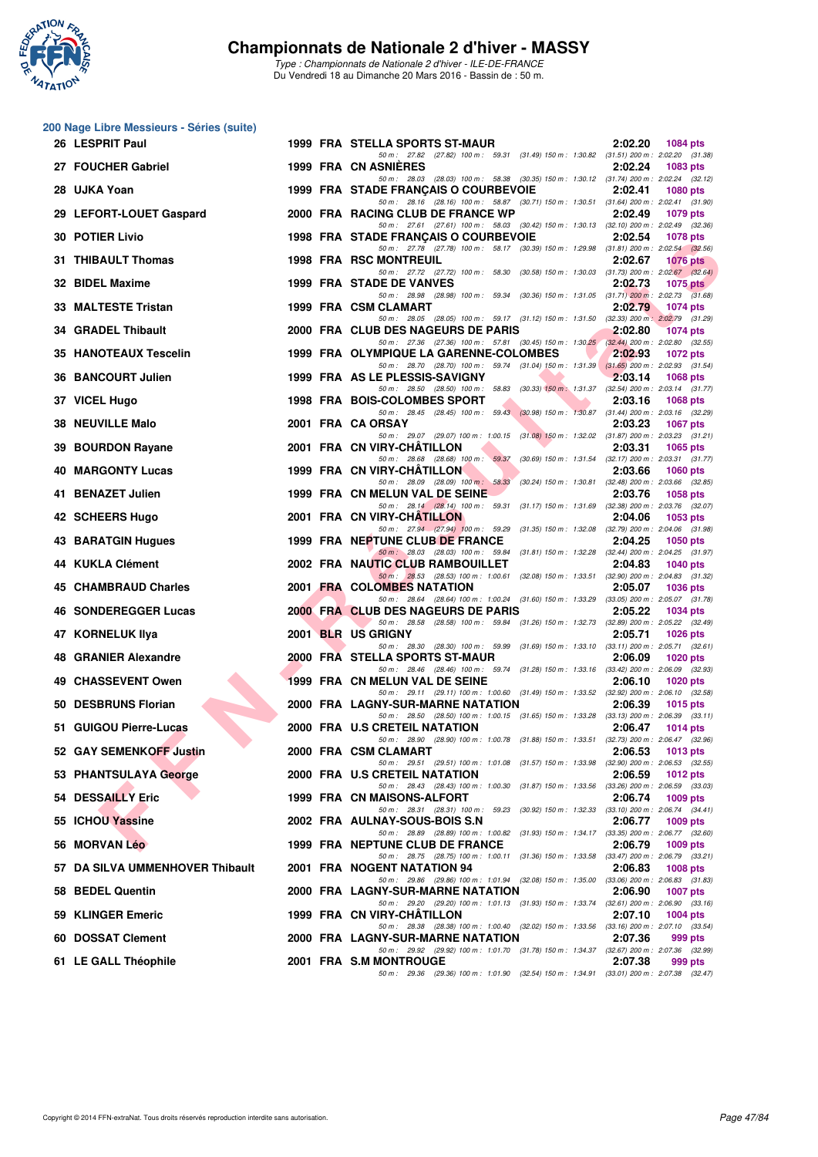

|    | 200 Nage Libre Messieurs - Séries (suite) |  |                                                                                                                                   |                            |
|----|-------------------------------------------|--|-----------------------------------------------------------------------------------------------------------------------------------|----------------------------|
|    | 26 LESPRIT Paul                           |  | 1999 FRA STELLA SPORTS ST-MAUR<br>50 m: 27.82 (27.82) 100 m: 59.31 (31.49) 150 m: 1:30.82 (31.51) 200 m: 2:02.20 (31.38)          | 2:02.20<br><b>1084 pts</b> |
|    | 27 FOUCHER Gabriel                        |  | 1999 FRA CN ASNIERES<br>50 m: 28.03 (28.03) 100 m: 58.38 (30.35) 150 m: 1:30.12 (31.74) 200 m: 2:02.24 (32.12)                    | 2:02.24<br>1083 pts        |
|    | 28 UJKA Yoan                              |  | 1999 FRA STADE FRANCAIS O COURBEVOIE                                                                                              | 2:02.41<br>1080 pts        |
|    | 29 LEFORT-LOUET Gaspard                   |  | 50 m: 28.16 (28.16) 100 m: 58.87 (30.71) 150 m: 1:30.51 (31.64) 200 m: 2:02.41 (31.90)<br>2000 FRA RACING CLUB DE FRANCE WP       | 2:02.49<br><b>1079 pts</b> |
|    | <b>30 POTIER Livio</b>                    |  | 50 m: 27.61 (27.61) 100 m: 58.03 (30.42) 150 m: 1:30.13 (32.10) 200 m: 2:02.49 (32.36)<br>1998 FRA STADE FRANÇAIS O COURBEVOIE    | 2:02.54<br><b>1078 pts</b> |
|    | 31 THIBAULT Thomas                        |  | 50 m: 27.78 (27.78) 100 m: 58.17 (30.39) 150 m: 1:29.98 (31.81) 200 m: 2:02.54 (32.56)<br><b>1998 FRA RSC MONTREUIL</b>           | 2:02.67<br><b>1076 pts</b> |
|    | 32 BIDEL Maxime                           |  | 50 m: 27.72 (27.72) 100 m: 58.30 (30.58) 150 m: 1:30.03 (31.73) 200 m: 2:02.67 (32.64)<br><b>1999 FRA STADE DE VANVES</b>         | 2:02.73<br>1075 pts        |
|    | 33 MALTESTE Tristan                       |  | 50 m: 28.98 (28.98) 100 m: 59.34 (30.36) 150 m: 1.31.05 (31.71) 200 m: 2:02.73 (31.68)<br>1999 FRA CSM CLAMART                    | 2:02.79<br><b>1074 pts</b> |
|    | 34 GRADEL Thibault                        |  | 50 m: 28.05 (28.05) 100 m: 59.17 (31.12) 150 m: 1:31.50 (32.33) 200 m: 2:02.79 (31.29)<br>2000 FRA CLUB DES NAGEURS DE PARIS      | 2:02.80<br><b>1074 pts</b> |
|    | 35 HANOTEAUX Tescelin                     |  | 50 m: 27.36 (27.36) 100 m: 57.81 (30.45) 150 m: 1:30.25 (32.44) 200 m: 2:02.80 (32.55)<br>1999 FRA OLYMPIQUE LA GARENNE-COLOMBES  | 2:02.93<br><b>1072 pts</b> |
|    | 36 BANCOURT Julien                        |  | 50 m: 28.70 (28.70) 100 m: 59.74 (31.04) 150 m: 1:31.39 (31.65) 200 m: 2:02.93 (31.54)<br>1999 FRA AS LE PLESSIS-SAVIGNY          | 2:03.14<br>1068 pts        |
|    | 37 VICEL Hugo                             |  | 50 m: 28.50 (28.50) 100 m: 58.83 (30.33) 150 m: 1:31.37 (32.54) 200 m: 2:03.14 (31.77)<br>1998 FRA BOIS-COLOMBES SPORT            | 2:03.16<br>1068 pts        |
|    | <b>38 NEUVILLE Malo</b>                   |  | 50 m: 28.45 (28.45) 100 m: 59.43 (30.98) 150 m: 1:30.87 (31.44) 200 m: 2:03.16 (32.29)<br>2001 FRA CA ORSAY                       | 2:03.23<br><b>1067 pts</b> |
| 39 | <b>BOURDON Rayane</b>                     |  | 50 m: 29.07 (29.07) 100 m: 1:00.15 (31.08) 150 m: 1:32.02 (31.87) 200 m: 2:03.23 (31.21)<br>2001 FRA CN VIRY-CHATILLON            | 2:03.31<br>1065 pts        |
|    | <b>40 MARGONTY Lucas</b>                  |  | 50 m: 28.68 (28.68) 100 m: 59.37 (30.69) 150 m: 1:31.54 (32.17) 200 m: 2:03.31 (31.77)<br>1999 FRA CN VIRY-CHATILLON              | 2:03.66<br><b>1060 pts</b> |
|    | 41 BENAZET Julien                         |  | 50 m: 28.09 (28.09) 100 m: 58.33 (30.24) 150 m: 1:30.81 (32.48) 200 m: 2:03.66 (32.85)<br>1999 FRA CN MELUN VAL DE SEINE          | 2:03.76<br>1058 pts        |
|    | 42 SCHEERS Hugo                           |  | 50 m: 28.14 (28.14) 100 m: 59.31 (31.17) 150 m: 1:31.69 (32.38) 200 m: 2:03.76 (32.07)<br>2001 FRA CN VIRY-CHATILLON              | 2:04.06<br>1053 pts        |
|    | 43 BARATGIN Hugues                        |  | 50 m: 27.94 (27.94) 100 m: 59.29 (31.35) 150 m: 1:32.08 (32.79) 200 m: 2:04.06 (31.98)<br>1999 FRA NEPTUNE CLUB DE FRANCE         | 2:04.25<br>1050 pts        |
|    | 44 KUKLA Clément                          |  | 50 m: 28.03 (28.03) 100 m: 59.84 (31.81) 150 m: 1:32.28 (32.44) 200 m: 2:04.25 (31.97)<br>2002 FRA NAUTIC CLUB RAMBOUILLET        | 2:04.83<br>1040 pts        |
|    | 45 CHAMBRAUD Charles                      |  | 50 m: 28.53 (28.53) 100 m: 1:00.61 (32.08) 150 m: 1:33.51 (32.90) 200 m: 2:04.83 (31.32)<br>2001 FRA COLOMBES NATATION            | 2:05.07<br><b>1036 pts</b> |
|    | <b>46 SONDEREGGER Lucas</b>               |  | 50 m: 28.64 (28.64) 100 m: 1:00.24 (31.60) 150 m: 1:33.29 (33.05) 200 m: 2:05.07 (31.78)<br>2000 FRA CLUB DES NAGEURS DE PARIS    | 2:05.22<br>1034 pts        |
|    | 47 KORNELUK IIya                          |  | 50 m: 28.58 (28.58) 100 m: 59.84 (31.26) 150 m: 1:32.73 (32.89) 200 m: 2:05.22 (32.49)<br>2001 BLR US GRIGNY                      | 2:05.71<br><b>1026 pts</b> |
|    | 48 GRANIER Alexandre                      |  | 50 m: 28.30 (28.30) 100 m: 59.99 (31.69) 150 m: 1:33.10 (33.11) 200 m: 2:05.71 (32.61)<br>2000 FRA STELLA SPORTS ST-MAUR          | 2:06.09<br><b>1020 pts</b> |
| 49 | <b>CHASSEVENT Owen</b>                    |  | 50 m: 28.46 (28.46) 100 m: 59.74 (31.28) 150 m: 1:33.16 (33.42) 200 m: 2:06.09 (32.93)<br>1999 FRA CN MELUN VAL DE SEINE          | 2:06.10<br>$1020$ pts      |
|    | 50 DESBRUNS Florian                       |  | 50 m: 29.11 (29.11) 100 m: 1:00.60 (31.49) 150 m: 1:33.52 (32.92) 200 m: 2:06.10 (32.58)<br>2000 FRA LAGNY-SUR-MARNE NATATION     | 2:06.39<br><b>1015 pts</b> |
|    | 51 GUIGOU Pierre-Lucas                    |  | 50 m: 28.50 (28.50) 100 m: 1:00.15 (31.65) 150 m: 1:33.28 (33.13) 200 m: 2:06.39 (33.11)<br>2000 FRA U.S CRETEIL NATATION         | 2:06.47<br><b>1014 pts</b> |
|    | 52 GAY SEMENKOFF Justin                   |  | 50 m : 28.90 (28.90) 100 m : 1:00.78 (31.88) 150 m : 1:33.51 (32.73) 200 m : 2:06.47 (32.96)<br>2000 FRA CSM CLAMART              | 2:06.53<br>1013 pts        |
|    | 53 PHANTSULAYA George                     |  | 50 m: 29.51 (29.51) 100 m: 1:01.08 (31.57) 150 m: 1:33.98 (32.90) 200 m: 2:06.53 (32.55)<br>2000 FRA U.S CRETEIL NATATION         | 2:06.59<br>1012 pts        |
|    | 54 DESSAILLY Eric                         |  | 50 m: 28.43 (28.43) 100 m: 1:00.30 (31.87) 150 m: 1:33.56 (33.26) 200 m: 2:06.59 (33.03)<br>1999 FRA CN MAISONS-ALFORT            | 2:06.74<br>1009 pts        |
|    | 55 ICHOU Yassine                          |  | 50 m: 28.31 (28.31) 100 m: 59.23 (30.92) 150 m: 1:32.33 (33.10) 200 m: 2:06.74 (34.41)<br>2002 FRA AULNAY-SOUS-BOIS S.N           | 2:06.77<br>1009 pts        |
|    | 56 MORVAN Léo                             |  | 50 m: 28.89 (28.89) 100 m: 1:00.82 (31.93) 150 m: 1:34.17 (33.35) 200 m: 2:06.77 (32.60)<br>1999 FRA NEPTUNE CLUB DE FRANCE       | 2:06.79<br>1009 pts        |
|    | 57 DA SILVA UMMENHOVER Thibault           |  | 50 m : 28.75 (28.75) 100 m : 1:00.11 (31.36) 150 m : 1:33.58 (33.47) 200 m : 2:06.79 (33.21)<br>2001 FRA NOGENT NATATION 94       | 2:06.83<br><b>1008 pts</b> |
|    | 58 BEDEL Quentin                          |  | 50 m: 29.86 (29.86) 100 m: 1:01.94 (32.08) 150 m: 1:35.00 (33.06) 200 m: 2:06.83 (31.83)<br>2000 FRA LAGNY-SUR-MARNE NATATION     | 2:06.90<br><b>1007 pts</b> |
|    | 59 KLINGER Emeric                         |  | 50 m: 29.20 (29.20) 100 m: 1:01.13 (31.93) 150 m: 1:33.74 (32.61) 200 m: 2:06.90 (33.16)<br>1999 FRA CN VIRY-CHATILLON            | 2:07.10<br>1004 pts        |
|    | 60 DOSSAT Clement                         |  | 50 m : 28.38 (28.38) 100 m : 1:00.40 (32.02) 150 m : 1:33.56 (33.16) 200 m : 2:07.10 (33.54)<br>2000 FRA LAGNY-SUR-MARNE NATATION | 2:07.36<br>999 pts         |
|    | 61 LE GALL Théophile                      |  | 50 m : 29.92 (29.92) 100 m : 1:01.70 (31.78) 150 m : 1:34.37 (32.67) 200 m : 2:07.36 (32.99)<br>2001 FRA S.M MONTROUGE            | 2:07.38<br>999 pts         |
|    |                                           |  | 50 m: 29.36 (29.36) 100 m: 1:01.90 (32.54) 150 m: 1:34.91 (33.01) 200 m: 2:07.38 (32.47)                                          |                            |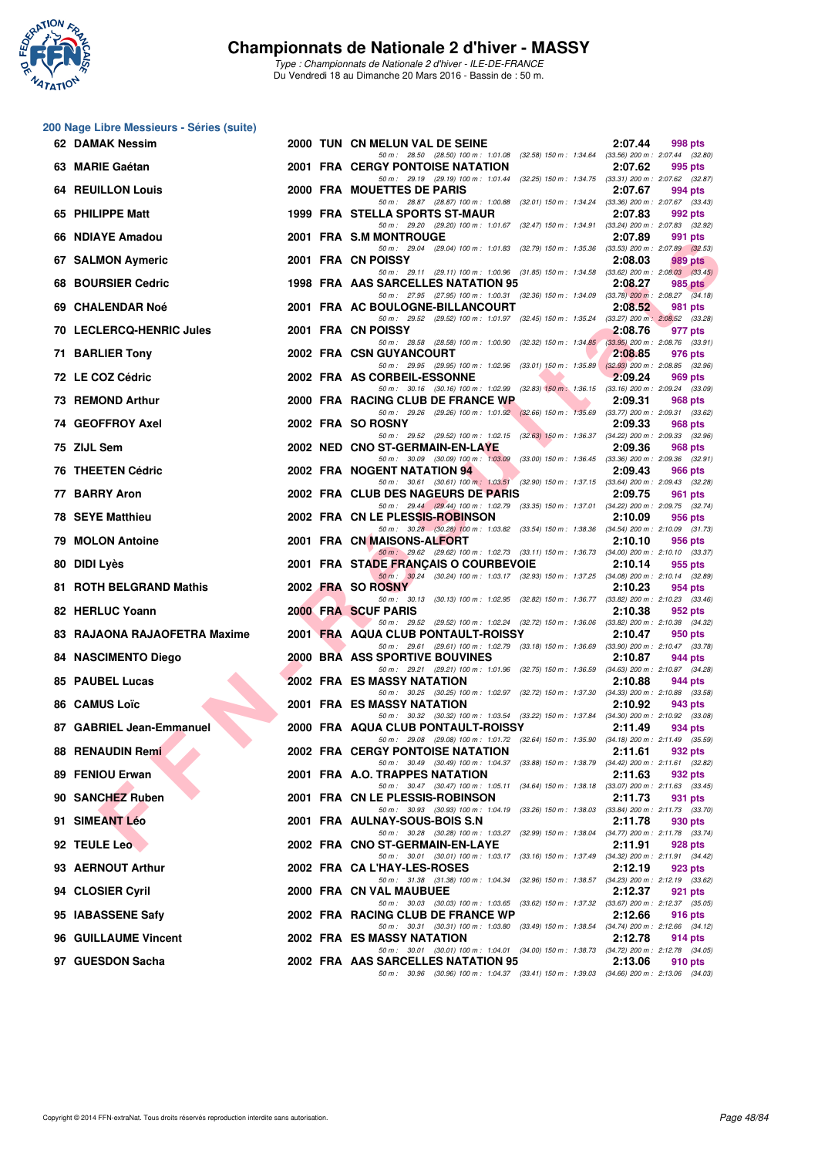

| 200 Nage Libre Messieurs - Séries (suite) |  |                                                                                                                                     |         |         |
|-------------------------------------------|--|-------------------------------------------------------------------------------------------------------------------------------------|---------|---------|
| 62 DAMAK Nessim                           |  | 2000 TUN CN MELUN VAL DE SEINE<br>50 m: 28.50 (28.50) 100 m: 1:01.08 (32.58) 150 m: 1:34.64 (33.56) 200 m: 2:07.44 (32.80)          | 2:07.44 | 998 pts |
| 63 MARIE Gaétan                           |  | <b>2001 FRA CERGY PONTOISE NATATION</b>                                                                                             | 2:07.62 | 995 pts |
| <b>64 REUILLON Louis</b>                  |  | 50 m: 29.19 (29.19) 100 m: 1:01.44 (32.25) 150 m: 1:34.75 (33.31) 200 m: 2:07.62 (32.87)<br>2000 FRA MOUETTES DE PARIS              | 2:07.67 | 994 pts |
| 65 PHILIPPE Matt                          |  | 50 m: 28.87 (28.87) 100 m: 1:00.88 (32.01) 150 m: 1:34.24 (33.36) 200 m: 2:07.67 (33.43)<br>1999 FRA STELLA SPORTS ST-MAUR          | 2:07.83 | 992 pts |
| 66 NDIAYE Amadou                          |  | 50 m: 29.20 (29.20) 100 m: 1:01.67 (32.47) 150 m: 1:34.91 (33.24) 200 m: 2:07.83 (32.92)<br>2001 FRA S.M MONTROUGE                  | 2:07.89 | 991 pts |
| 67 SALMON Aymeric                         |  | 50 m: 29.04 (29.04) 100 m: 1:01.83 (32.79) 150 m: 1:35.36 (33.53) 200 m: 2:07.89 (32.53)<br>2001 FRA CN POISSY                      | 2:08.03 | 989 pts |
| 68 BOURSIER Cedric                        |  | 50 m: 29.11 (29.11) 100 m: 1:00.96 (31.85) 150 m: 1:34.58 (33.62) 200 m: 2:08.03 (33.45)<br>1998 FRA AAS SARCELLES NATATION 95      | 2:08.27 | 985 pts |
| 69 CHALENDAR Noé                          |  | 50 m: 27.95 (27.95) 100 m: 1:00.31 (32.36) 150 m: 1:34.09 (33.78) 200 m: 2:08.27 (34.18)<br>2001 FRA AC BOULOGNE-BILLANCOURT        | 2:08.52 | 981 pts |
| 70 LECLERCQ-HENRIC Jules                  |  | 50 m: 29.52 (29.52) 100 m: 1:01.97 (32.45) 150 m: 1:35.24 (33.27) 200 m: 2:08.52 (33.28)<br>2001 FRA CN POISSY                      |         |         |
|                                           |  | 50 m: 28.58 (28.58) 100 m: 1:00.90 (32.32) 150 m: 1:34.85 (33.95) 200 m: 2:08.76 (33.91)                                            | 2:08.76 | 977 pts |
| 71 BARLIER Tony                           |  | 2002 FRA CSN GUYANCOURT<br>50 m: 29.95 (29.95) 100 m: 1:02.96 (33.01) 150 m: 1:35.89 (32.93) 200 m: 2:08.85 (32.96)                 | 2:08.85 | 976 pts |
| 72 LE COZ Cédric                          |  | 2002 FRA AS CORBEIL-ESSONNE<br>50 m: 30.16 (30.16) 100 m: 1:02.99 (32.83) 150 m: 1:36.15 (33.16) 200 m: 2:09.24 (33.09)             | 2:09.24 | 969 pts |
| 73 REMOND Arthur                          |  | 2000 FRA RACING CLUB DE FRANCE WP<br>50 m: 29.26 (29.26) 100 m: 1:01.92 (32.66) 150 m: 1:35.69 (33.77) 200 m: 2:09.31 (33.62)       | 2:09.31 | 968 pts |
| 74 GEOFFROY Axel                          |  | 2002 FRA SO ROSNY<br>50 m: 29.52 (29.52) 100 m: 1:02.15 (32.63) 150 m: 1:36.37 (34.22) 200 m: 2:09.33 (32.96)                       | 2:09.33 | 968 pts |
| 75 ZIJL Sem                               |  | 2002 NED CNO ST-GERMAIN-EN-LAYE<br>50 m: 30.09 (30.09) 100 m: 1:03.09 (33.00) 150 m: 1:36.45 (33.36) 200 m: 2:09.36 (32.91)         | 2:09.36 | 968 pts |
| 76 THEETEN Cédric                         |  | 2002 FRA NOGENT NATATION 94                                                                                                         | 2:09.43 | 966 pts |
| 77 BARRY Aron                             |  | 50 m: 30.61 (30.61) 100 m: 1:03.51 (32.90) 150 m: 1:37.15 (33.64) 200 m: 2:09.43 (32.28)<br>2002 FRA CLUB DES NAGEURS DE PARIS      | 2:09.75 | 961 pts |
| <b>78 SEYE Matthieu</b>                   |  | 50 m: 29.44 (29.44) 100 m: 1:02.79 (33.35) 150 m: 1:37.01 (34.22) 200 m: 2:09.75 (32.74)<br>2002 FRA CN LE PLESSIS-ROBINSON         | 2:10.09 | 956 pts |
| 79 MOLON Antoine                          |  | 50 m: 30.28 (30.28) 100 m: 1:03.82 (33.54) 150 m: 1:38.36 (34.54) 200 m: 2:10.09 (31.73)<br>2001 FRA CN MAISONS-ALFORT              | 2:10.10 | 956 pts |
| 80 DIDI Lyès                              |  | 50 m: 29.62 (29.62) 100 m: 1:02.73 (33.11) 150 m: 1:36.73 (34.00) 200 m: 2:10.10 (33.37)<br>2001 FRA STADE FRANÇAIS O COURBEVOIE    | 2:10.14 | 955 pts |
| 81 ROTH BELGRAND Mathis                   |  | 50 m: 30.24 (30.24) 100 m: 1:03.17 (32.93) 150 m: 1:37.25 (34.08) 200 m: 2:10.14 (32.89)<br>2002 FRA SO ROSNY                       | 2:10.23 | 954 pts |
| 82 HERLUC Yoann                           |  | 50 m: 30.13 (30.13) 100 m: 1:02.95 (32.82) 150 m: 1:36.77 (33.82) 200 m: 2:10.23 (33.46)<br>2000 FRA SCUF PARIS                     | 2:10.38 | 952 pts |
| 83 RAJAONA RAJAOFETRA Maxime              |  | 50 m: 29.52 (29.52) 100 m: 1:02.24 (32.72) 150 m: 1:36.06 (33.82) 200 m: 2:10.38 (34.32)<br>2001 FRA AQUA CLUB PONTAULT-ROISSY      | 2:10.47 | 950 pts |
| <b>84 NASCIMENTO Diego</b>                |  | 50 m: 29.61 (29.61) 100 m: 1:02.79 (33.18) 150 m: 1:36.69 (33.90) 200 m: 2:10.47 (33.78)<br><b>2000 BRA ASS SPORTIVE BOUVINES</b>   | 2:10.87 | 944 pts |
| <b>85 PAUBEL Lucas</b>                    |  | 50 m: 29.21 (29.21) 100 m: 1:01.96 (32.75) 150 m: 1:36.59 (34.63) 200 m: 2:10.87 (34.28)<br><b>2002 FRA ES MASSY NATATION</b>       | 2:10.88 | 944 pts |
| 86 CAMUS Loïc                             |  | 50 m: 30.25 (30.25) 100 m: 1:02.97 (32.72) 150 m: 1:37.30 (34.33) 200 m: 2:10.88 (33.58)<br>2001 FRA ES MASSY NATATION              | 2:10.92 | 943 pts |
| 87 GABRIEL Jean-Emmanuel                  |  | 50 m: 30.32 (30.32) 100 m: 1:03.54 (33.22) 150 m: 1:37.84 (34.30) 200 m: 2:10.92 (33.08)<br>2000 FRA AQUA CLUB PONTAULT-ROISSY      | 2:11.49 | 934 pts |
| 88 RENAUDIN Remi                          |  | 50 m: 29.08 (29.08) 100 m: 1:01.72 (32.64) 150 m: 1:35.90 (34.18) 200 m: 2:11.49 (35.59)                                            | 2:11.61 |         |
|                                           |  | <b>2002 FRA CERGY PONTOISE NATATION</b><br>50 m: 30.49 (30.49) 100 m: 1:04.37 (33.88) 150 m: 1:38.79 (34.42) 200 m: 2:11.61 (32.82) |         | 932 pts |
| 89 FENIOU Erwan                           |  | 2001 FRA A.O. TRAPPES NATATION<br>50 m: 30.47 (30.47) 100 m: 1:05.11 (34.64) 150 m: 1:38.18 (33.07) 200 m: 2:11.63 (33.45)          | 2:11.63 | 932 pts |
| 90 SANCHEZ Ruben                          |  | 2001 FRA CN LE PLESSIS-ROBINSON<br>50 m: 30.93 (30.93) 100 m: 1:04.19 (33.26) 150 m: 1:38.03 (33.84) 200 m: 2:11.73 (33.70)         | 2:11.73 | 931 pts |
| 91 SIMEANT Léo                            |  | 2001 FRA AULNAY-SOUS-BOIS S.N<br>50 m: 30.28 (30.28) 100 m: 1:03.27 (32.99) 150 m: 1:38.04 (34.77) 200 m: 2:11.78 (33.74)           | 2:11.78 | 930 pts |
| 92 TEULE Leo                              |  | 2002 FRA CNO ST-GERMAIN-EN-LAYE<br>50 m: 30.01 (30.01) 100 m: 1:03.17 (33.16) 150 m: 1:37.49 (34.32) 200 m: 2:11.91 (34.42)         | 2:11.91 | 928 pts |
| 93 AERNOUT Arthur                         |  | 2002 FRA CA L'HAY-LES-ROSES<br>50 m: 31.38 (31.38) 100 m: 1:04.34 (32.96) 150 m: 1:38.57 (34.23) 200 m: 2:12.19 (33.62)             | 2:12.19 | 923 pts |
| 94 CLOSIER Cyril                          |  | 2000 FRA CN VAL MAUBUEE                                                                                                             | 2:12.37 | 921 pts |
| 95 IABASSENE Safy                         |  | 50 m: 30.03 (30.03) 100 m: 1:03.65 (33.62) 150 m: 1:37.32 (33.67) 200 m: 2:12.37 (35.05)<br>2002 FRA RACING CLUB DE FRANCE WP       | 2:12.66 | 916 pts |
| 96 GUILLAUME Vincent                      |  | 50 m: 30.31 (30.31) 100 m: 1:03.80 (33.49) 150 m: 1:38.54 (34.74) 200 m: 2:12.66 (34.12)<br>2002 FRA ES MASSY NATATION              | 2:12.78 | 914 pts |
| 97 GUESDON Sacha                          |  | 50 m: 30.01 (30.01) 100 m: 1:04.01 (34.00) 150 m: 1:38.73 (34.72) 200 m: 2:12.78 (34.05)<br>2002 FRA AAS SARCELLES NATATION 95      | 2:13.06 | 910 pts |
|                                           |  | 50 m: 30.96 (30.96) 100 m: 1:04.37 (33.41) 150 m: 1:39.03 (34.66) 200 m: 2:13.06 (34.03)                                            |         |         |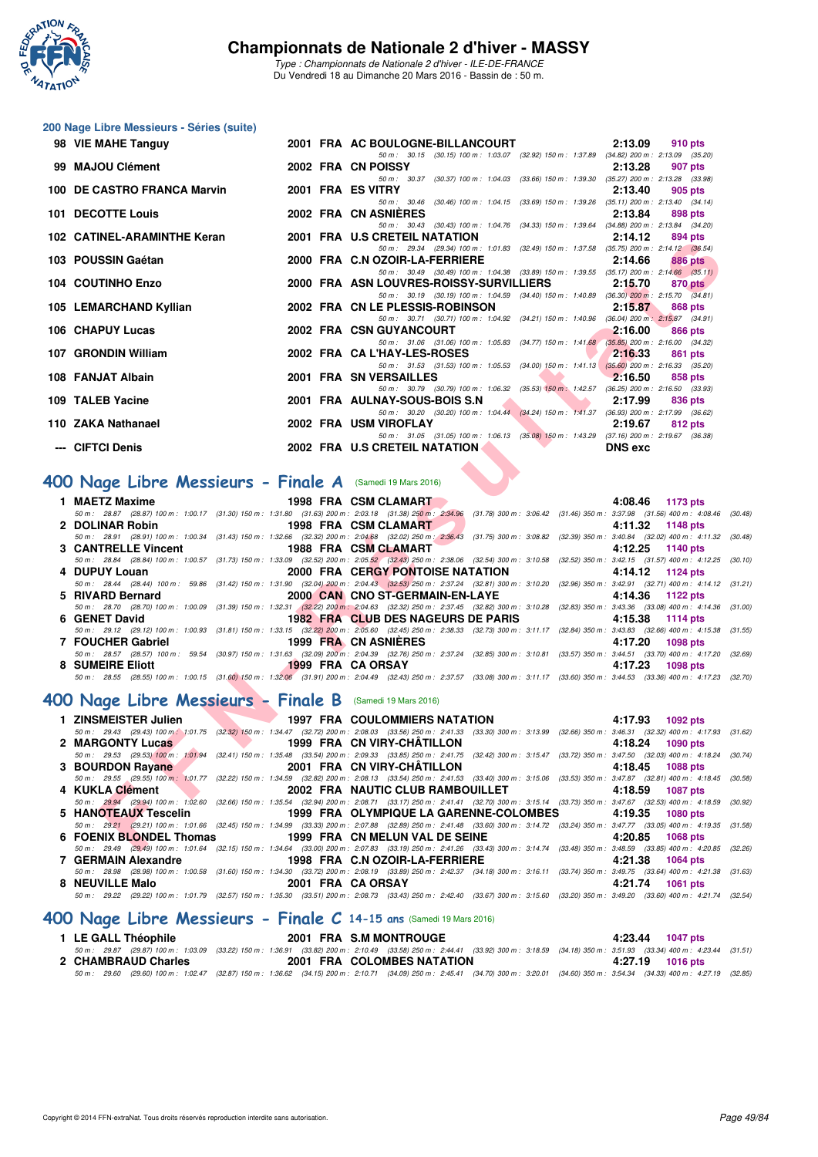

*Type : Championnats de Nationale 2 d'hiver - ILE-DE-FRANCE* Du Vendredi 18 au Dimanche 20 Mars 2016 - Bassin de : 50 m.

## **200 Nage Libre Messieurs - Séries (suite)**

| 98 VIE MAHE Tanguy                                                                                                                                                                                                                                           |                   | 2:13.09<br>2001 FRA AC BOULOGNE-BILLANCOURT<br>910 pts                                                                                                                                                                                                                          |  |
|--------------------------------------------------------------------------------------------------------------------------------------------------------------------------------------------------------------------------------------------------------------|-------------------|---------------------------------------------------------------------------------------------------------------------------------------------------------------------------------------------------------------------------------------------------------------------------------|--|
| 99 MAJOU Clément                                                                                                                                                                                                                                             |                   | 50 m: 30.15 (30.15) 100 m: 1:03.07 (32.92) 150 m: 1:37.89 (34.82) 200 m: 2:13.09 (35.20)<br>2002 FRA CN POISSY<br>2:13.28<br>907 pts                                                                                                                                            |  |
| 100 DE CASTRO FRANCA Marvin                                                                                                                                                                                                                                  | 2001 FRA ES VITRY | 50 m: 30.37 (30.37) 100 m: 1:04.03 (33.66) 150 m: 1:39.30 (35.27) 200 m: 2:13.28 (33.98)<br>2:13.40<br>905 pts                                                                                                                                                                  |  |
|                                                                                                                                                                                                                                                              |                   | 50 m: 30.46 (30.46) 100 m: 1:04.15 (33.69) 150 m: 1:39.26 (35.11) 200 m: 2:13.40 (34.14)                                                                                                                                                                                        |  |
| 101 DECOTTE Louis                                                                                                                                                                                                                                            |                   | 2002 FRA CN ASNIERES<br>2:13.84<br>898 pts<br>50 m: 30.43 (30.43) 100 m: 1:04.76 (34.33) 150 m: 1:39.64 (34.88) 200 m: 2:13.84 (34.20)                                                                                                                                          |  |
| 102 CATINEL-ARAMINTHE Keran                                                                                                                                                                                                                                  |                   | 2001 FRA U.S CRETEIL NATATION<br>2:14.12<br>894 pts                                                                                                                                                                                                                             |  |
| 103 POUSSIN Gaétan                                                                                                                                                                                                                                           |                   | 50 m: 29.34 (29.34) 100 m: 1:01.83 (32.49) 150 m: 1:37.58 (35.75) 200 m: 2:14.12 (36.54)<br>2000 FRA C.N OZOIR-LA-FERRIERE<br>2:14.66<br>886 pts                                                                                                                                |  |
| 104 COUTINHO Enzo                                                                                                                                                                                                                                            |                   | 50 m: 30.49 (30.49) 100 m: 1:04.38 (33.89) 150 m: 1:39.55 (35.17) 200 m: 2:14.66 (35.11)<br>2000 FRA ASN LOUVRES-ROISSY-SURVILLIERS 2:15.70<br>870 pts                                                                                                                          |  |
|                                                                                                                                                                                                                                                              |                   | 50 m: 30.19 (30.19) 100 m: 1:04.59 (34.40) 150 m: 1:40.89 (36.30) 200 m: 2:15.70 (34.81)                                                                                                                                                                                        |  |
| 105 LEMARCHAND Kyllian                                                                                                                                                                                                                                       |                   | 2002 FRA CN LE PLESSIS-ROBINSON<br>2:15.87<br>868 pts<br>50 m: 30.71 (30.71) 100 m: 1:04.92 (34.21) 150 m: 1:40.96 (36.04) 200 m: 2:15.87 (34.91)                                                                                                                               |  |
| 106 CHAPUY Lucas                                                                                                                                                                                                                                             |                   | 2002 FRA CSN GUYANCOURT<br>2:16.00<br>866 pts                                                                                                                                                                                                                                   |  |
| 107 GRONDIN William                                                                                                                                                                                                                                          |                   | 50 m: 31.06 (31.06) 100 m: 1:05.83 (34.77) 150 m: 1:41.68 (35.85) 200 m: 2:16.00 (34.32)<br>2002 FRA CA L'HAY-LES-ROSES<br>2:16.33<br>861 pts                                                                                                                                   |  |
| 108 FANJAT Albain                                                                                                                                                                                                                                            |                   | 50 m: 31.53 (31.53) 100 m: 1:05.53 (34.00) 150 m: 1:41.13 (35.60) 200 m: 2:16.33 (35.20)<br>2001 FRA SN VERSAILLES<br><b>Contract Contract Contract</b><br>2:16.50<br>858 pts                                                                                                   |  |
|                                                                                                                                                                                                                                                              |                   | 50 m: 30.79 (30.79) 100 m: 1:06.32 (35.53) 150 m: 1:42.57 (36.25) 200 m: 2:16.50 (33.93)                                                                                                                                                                                        |  |
| 109 TALEB Yacine                                                                                                                                                                                                                                             |                   | 2001 FRA AULNAY-SOUS-BOIS S.N<br><b>The Contract of Street</b><br>2:17.99<br>836 pts<br>$50 m: 30.20 (30.20) 100 m: 1.04.44 (34.24) 150 m: 1.41.37 (36.93) 200 m: 2.17.99 (36.62)$                                                                                              |  |
| 110 ZAKA Nathanael                                                                                                                                                                                                                                           |                   | 2002 FRA USM VIROFLAY<br>2:19.67<br>812 pts                                                                                                                                                                                                                                     |  |
| --- CIFTCI Denis                                                                                                                                                                                                                                             |                   | 50 m: 31.05 (31.05) 100 m: 1:06.13 (35.08) 150 m: 1:43.29 (37.16) 200 m: 2:19.67 (36.38)<br>2002 FRA U.S CRETEIL NATATION<br><b>DNS</b> exc                                                                                                                                     |  |
|                                                                                                                                                                                                                                                              |                   |                                                                                                                                                                                                                                                                                 |  |
| 400 Nage Libre Messieurs - Finale A (Samedi 19 Mars 2016)                                                                                                                                                                                                    |                   |                                                                                                                                                                                                                                                                                 |  |
| 1 MAETZ Maxime                                                                                                                                                                                                                                               |                   | 1998 FRA CSM CLAMART<br>4:08.46 1173 pts                                                                                                                                                                                                                                        |  |
| <b>1998 FRA CSM CLAMART</b><br>2 DOLINAR Robin                                                                                                                                                                                                               |                   | 50 m: 28.87 (28.87) 100 m: 1:00.17 (31.30) 150 m: 1:31.80 (31.63) 200 m: 2:03.18 (31.38) 250 m: 2:34.96 (31.78) 300 m: 3:06.42 (31.46) 350 m: 3:37.98 (31.56) 400 m: 4:08.46 (31<br>4:11.32 1148 pts                                                                            |  |
|                                                                                                                                                                                                                                                              |                   | 50 m: 28.91 (28.91) 100 m: 1:00.34 (31.43) 150 m: 1:32.66 (32.32) 200 m: 2:04.68 (32.02) 250 m: 2:36.43 (31.75) 300 m: 3:08.82 (32.39) 350 m: 3:40.84 (32.02) 400 m: 4:11.32 (30                                                                                                |  |
| 3 CANTRELLE Vincent                                                                                                                                                                                                                                          |                   | 1988 FRA CSM CLAMART<br>4:12.25 1140 pts<br>50 m: 28.84 (28.84) 100 m: 1:00.57 (31.73) 150 m: 1:33.09 (32.52) 200 m: 2:05.52 (32.43) 250 m: 2:38.06 (32.54) 300 m: 3:10.58 (32.52) 350 m: 3:42.15 (31.57) 400 m: 4:12.25 (31                                                    |  |
| 4 DUPUY Louan                                                                                                                                                                                                                                                |                   | 2000 FRA CERGY PONTOISE NATATION 4:14.12 1124 pts                                                                                                                                                                                                                               |  |
| 5 RIVARD Bernard                                                                                                                                                                                                                                             |                   | 50 m: 28.44 (28.44) 100 m: 59.86 (31.42) 150 m: 1:31.90 (32.04) 200 m: 2:04.43 (32.53) 250 m: 2:37.24 (32.81) 300 m: 3:10.20 (32.96) 350 m: 3:42.91 (32.71) 400 m: 4:14.12 (3<br>2000 CAN CNO ST-GERMAIN-EN-LAYE 4:14.36<br>1122 pts                                            |  |
|                                                                                                                                                                                                                                                              |                   | 50 m: 28.70 (28.70) 100 m: 1:00.09 (31.39) 150 m: 1:32.31 (32.22) 200 m: 2:04.63 (32.32) 250 m: 2:37.45 (32.82) 300 m: 3:10.28 (32.83) 350 m: 3:43.36 (33.08) 400 m: 4:14.36 (3                                                                                                 |  |
| 6 GENET David                                                                                                                                                                                                                                                |                   | <b>1982 FRA CLUB DES NAGEURS DE PARIS</b><br>4:15.38<br>1114 pts<br>50 m: 29.12 (29.12) 100 m: 1:00.93 (31.81) 150 m: 1:33.15 (32.22) 200 m: 2:05.60 (32.45) 250 m: 2:38.33 (32.73) 300 m: 3:11.17 (32.84) 350 m: 3:43.83 (32.66) 400 m: 4:15.38 (3                             |  |
| 7 FOUCHER Gabriel                                                                                                                                                                                                                                            |                   | 1999 FRA CN ASNIERES<br>4:17.20<br>1098 pts<br>50 m: 28.57 (28.57) 100 m: 59.54 (30.97) 150 m: 1:31.63 (32.09) 200 m: 2:04.39 (32.76) 250 m: 2:37.24 (32.85) 300 m: 3:10.81 (33.57) 350 m: 3:44.51 (33.70) 400 m: 4:17.20 (3.                                                   |  |
| 8 SUMEIRE Eliott                                                                                                                                                                                                                                             |                   | 1999 FRA CA ORSAY<br>4:17.23<br>1098 pts                                                                                                                                                                                                                                        |  |
|                                                                                                                                                                                                                                                              |                   | 50 m: 28.55 (28.55) 100 m: 1:00.15 (31.60) 150 m: 1:32.06 (31.91) 200 m: 2:04.49 (32.43) 250 m: 2:37.57 (33.08) 300 m: 3:11.17 (33.60) 350 m: 3:44.53 (33.36) 400 m: 4:17.23 (3                                                                                                 |  |
| 400 Nage Libre Messieurs - Finale B (Samedi 19 Mars 2016)                                                                                                                                                                                                    |                   |                                                                                                                                                                                                                                                                                 |  |
| <b>The Contract of the Contract of the Contract of the Contract of the Contract of the Contract of the Contract of the Contract of the Contract of the Contract of the Contract of the Contract of the Contract of the Contract </b><br>1 ZINSMEISTER Julien |                   | <b>1997 FRA COULOMMIERS NATATION</b><br>4:17.93 1092 pts                                                                                                                                                                                                                        |  |
| 2 MARGONTY Lucas                                                                                                                                                                                                                                             |                   | 50 m : 29.43 (29.43) 100 m : 1:01.75 (32.32) 150 m : 1:34.47 (32.72) 200 m : 2:08.03 (33.56) 250 m : 2:41.33 (33.30) 300 m : 3:13.99 (32.66) 350 m : 3:46.31 (32.32) 400 m : 4:17.93 (3<br>1999 FRA CN VIRY-CHÂTILLON<br>4:18.24<br>1090 pts                                    |  |
|                                                                                                                                                                                                                                                              |                   | 50 m: 29.53 (29.53) 100 m: 1:01.94 (32.41) 150 m: 1:35.48 (33.54) 200 m: 2:09.33 (33.85) 250 m: 2:41.75 (32.42) 300 m: 3:15.47 (33.72) 350 m: 3:47.50 (32.03) 400 m: 4:18.24 (30.64)                                                                                            |  |
| 3 BOURDON Rayane                                                                                                                                                                                                                                             |                   | <b>2001 FRA CN VIRY-CHATILLON</b><br>4:18.45<br>1088 pts<br>50 m: 29.55 (29.55) 100 m: 1:01.77 (32.22) 150 m: 1:34.59 (32.82) 200 m: 2:08.13 (33.54) 250 m: 2:41.53 (33.40) 300 m: 3:15.06 (33.53) 350 m: 3:47.87 (32.81) 400 m: 4:18.45 (31                                    |  |
| <b>Contract Contract Contract Contract</b><br>4 KUKLA Clément                                                                                                                                                                                                |                   | 2002 FRA NAUTIC CLUB RAMBOUILLET<br>1087 pts<br>4:18.59                                                                                                                                                                                                                         |  |
|                                                                                                                                                                                                                                                              |                   | 50 m: 29.94 (29.94) 100 m: 1:02.60 (32.66) 150 m: 1:35.54 (32.94) 200 m: 2:08.71 (33.17) 250 m: 2:41.41 (32.70) 300 m: 3:15.14 (33.73) 350 m: 3:47.67 (32.53) 400 m: 4:18.59 (30.75)<br>5 HANOTEAUX Tescelin 4:19.35 1999 FRA OLYMPIQUE LA GARENNE-COLOMBES 4:19.35<br>1080 pts |  |
|                                                                                                                                                                                                                                                              |                   | 50 m: 29.21 (29.21) 100 m: 1:01.66 (32.45) 150 m: 1:34.99 (33.33) 200 m: 2:07.88 (32.89) 250 m: 2:41.48 (33.60) 300 m: 3:14.72 (33.24) 350 m: 3:47.77 (33.05) 400 m: 4:19.35 (3                                                                                                 |  |
| 6 FOENIX BLONDEL Thomas 1999 FRA CN MELUN VAL DE SEINE                                                                                                                                                                                                       |                   | 4:20.85 1068 pts<br>50 m; 29.49 (29.49) 100 m; 1:01.64 (32.15) 150 m; 1:34.64 (33.00) 200 m; 2:07.83 (33.19) 250 m; 2:41.26 (33.43) 300 m; 3:14.74 (33.48) 350 m; 3:48.59 (33.85) 400 m; 4:20.85 (33.                                                                           |  |

## **[400 Nage Libre Messieurs - Finale A](http://www.ffnatation.fr/webffn/resultats.php?idact=nat&go=epr&idcpt=37307&idepr=54)** (Samedi 19 Mars 2016)

| 1 MAETZ Maxime      | 1998 FRA CSM CLAMART |                                    | 4:08.46 1173 pts                                                                                                                                                                     |
|---------------------|----------------------|------------------------------------|--------------------------------------------------------------------------------------------------------------------------------------------------------------------------------------|
|                     |                      |                                    | 50 m: 28.87 (28.87) 100 m: 1:00.17 (31.30) 150 m: 1:31.80 (31.63) 200 m: 2:03.18 (31.38) 250 m: 2:34.96 (31.78) 300 m: 3:06.42 (31.46) 350 m: 3:37.98 (31.56) 400 m: 4:08.46 (30.48) |
| 2 DOLINAR Robin     | 1998 FRA CSM CLAMART |                                    | 4:11.32 1148 pts                                                                                                                                                                     |
|                     |                      |                                    | 50 m: 28.91 (28.91) 100 m: 1:00.34 (31.43) 150 m: 1:32.66 (32.32) 200 m: 2:04.68 (32.02) 250 m: 2:36.43 (31.75) 300 m: 3:08.82 (32.39) 350 m: 3:40.84 (32.02) 400 m: 4:11.32 (30.48) |
| 3 CANTRELLE Vincent | 1988 FRA CSM CLAMART |                                    | 4:12.25 1140 pts                                                                                                                                                                     |
|                     |                      |                                    | 50 m: 28.84 (28.84) 100 m: 1:00.57 (31.73) 150 m: 1:33.09 (32.52) 200 m: 2:05.52 (32.43) 250 m: 2:38.06 (32.54) 300 m: 3:10.58 (32.52) 350 m: 3:42.15 (31.57) 400 m: 4:12.25 (30.10) |
| 4 DUPUY Louan       |                      | 2000 FRA CERGY PONTOISE NATATION   | 4:14.12 1124 pts                                                                                                                                                                     |
|                     |                      |                                    | 50 m: 28.44 (28.44) 100 m: 59.86 (31.42) 150 m: 1:31.90 (32.04) 200 m: 2:04.43 (32.53) 250 m: 2:37.24 (32.81) 300 m: 3:10.20 (32.96) 350 m: 3:42.91 (32.71) 400 m: 4:14.12 (31.21)   |
|                     |                      |                                    |                                                                                                                                                                                      |
| 5 RIVARD Bernard    |                      | 2000 CAN CNO ST-GERMAIN-EN-LAYE    | 4:14.36 1122 pts                                                                                                                                                                     |
|                     |                      |                                    | 50 m: 28.70 (28.70) 100 m: 1:00.09 (31.39) 150 m: 1:32.31 (32.22) 200 m: 2:04.63 (32.32) 250 m: 2:37.45 (32.82) 300 m: 3:10.28 (32.83) 350 m: 3:43.36 (33.08) 400 m: 4:14.36 (31.00) |
| 6 GENET David       |                      | 1982 FRA CLUB DES NAGEURS DE PARIS | 4:15.38 1114 pts                                                                                                                                                                     |
|                     |                      |                                    | 50 m: 29.12 (29.12) 100 m: 1:00.93 (31.81) 150 m: 1:33.15 (32.22) 200 m: 2:05.60 (32.45) 250 m: 2:38.33 (32.73) 300 m: 3:11.17 (32.84) 350 m: 3:43.83 (32.66) 400 m: 4:15.38 (31.55) |
| 7 FOUCHER Gabriel   | 1999 FRA CN ASNIERES |                                    | 4:17.20 1098 pts                                                                                                                                                                     |
|                     |                      |                                    | 50 m: 28.57 (28.57) 100 m: 59.54 (30.97) 150 m: 1:31.63 (32.09) 200 m: 2:04.39 (32.76) 250 m: 2:37.24 (32.85) 300 m: 3:10.81 (33.57) 350 m: 3:44.51 (33.70) 400 m: 4:17.20 (32.69)   |
| 8 SUMEIRE Eliott    | 1999 FRA CAORSAY     |                                    | 4:17.23 1098 pts                                                                                                                                                                     |

## **[400 Nage Libre Messieurs - Finale B](http://www.ffnatation.fr/webffn/resultats.php?idact=nat&go=epr&idcpt=37307&idepr=54)** (Samedi 19 Mars 2016)

| 1997 FRA COULOMMIERS NATATION 4:17.93 1092 pts                          |                                                                                                                                                                                            |                     |
|-------------------------------------------------------------------------|--------------------------------------------------------------------------------------------------------------------------------------------------------------------------------------------|---------------------|
|                                                                         | 50 m : 29.43 (29.43) 100 m 1:01.75 (32.32) 150 m : 1:34.47 (32.72) 200 m : 2:08.03 (33.56) 250 m : 2:41.33 (33.30) 300 m : 3:13.99 (32.66) 350 m : 3:46.31 (32.32) 400 m : 4:17.93 (31.62) |                     |
| 2 MARGONTY Lucas                                                        | 1999 FRA CN VIRY-CHÂTILLON                                                                                                                                                                 | 4:18.24 1090 pts    |
|                                                                         | 50 m: 29.53 (29.53) 100 m: 1:01.94 (32.41) 150 m: 1:35.48 (33.54) 200 m: 2:09.33 (33.85) 250 m: 2:41.75 (32.42) 300 m: 3:15.47 (33.72) 350 m: 3:47.50 (32.03) 400 m: 4:18.24 (30.74)       |                     |
| 3 BOURDON Rayane                                                        | 2001 FRA CN VIRY-CHÂTILLON                                                                                                                                                                 | 4:18.45 1088 pts    |
|                                                                         | 50 m: 29.55 (29.55) 100 m: 1:01.77 (32.22) 150 m: 1:34.59 (32.82) 200 m: 2:08.13 (33.54) 250 m: 2:41.53 (33.40) 300 m: 3:15.06 (33.53) 350 m: 3:47.87 (32.81) 400 m: 4:18.45 (30.58)       |                     |
| 4 KUKLA Clément                                                         | 2002 FRA NAUTIC CLUB RAMBOUILLET 4:18.59                                                                                                                                                   | 1087 pts            |
|                                                                         | 50 m: 29.94 (29.94) 100 m: 1:02.60 (32.66) 150 m: 1:35.54 (32.94) 200 m: 2:08.71 (33.17) 250 m: 2:41.41 (32.70) 300 m: 3:15.14 (33.73) 350 m: 3:47.67 (32.53) 400 m: 4:18.59 (30.92)       |                     |
| 5. HANOTEAUX Tescelin 1999 FRA OLYMPIQUE LA GARENNE-COLOMBES 4:19.35    |                                                                                                                                                                                            | 1080 pts            |
|                                                                         |                                                                                                                                                                                            |                     |
|                                                                         | 50 m: 29.21 (29.21) 100 m: 1:01.66 (32.45) 150 m: 1:34.99 (33.33) 200 m: 2:07.88 (32.89) 250 m: 2:41.48 (33.60) 300 m: 3:14.72 (33.24) 350 m: 3:47.77 (33.05) 400 m: 4:19.35 (31.58)       |                     |
| 6 FOENIX BLONDEL Thomas 1999 FRA CN MELUN VAL DE SEINE 4:20.85 1068 pts |                                                                                                                                                                                            |                     |
|                                                                         | 50 m: 29.49 (29.49) 100 m: 1:01.64 (32.15) 150 m: 1:34.64 (33.00) 200 m: 2:07.83 (33.19) 250 m: 2:41.26 (33.43) 300 m: 3:14.74 (33.48) 350 m: 3:48.59 (33.85) 400 m: 4:20.85 (32.26)       |                     |
|                                                                         |                                                                                                                                                                                            | 4:21.38<br>1064 pts |
|                                                                         | 50 m: 28.98 (28.98) 100 m: 1:00.58 (31.60) 150 m: 1:34.30 (33.72) 200 m: 2:08.19 (33.89) 250 m: 2:42.37 (34.18) 300 m: 3:16.11 (33.74) 350 m: 3:49.75 (33.64) 400 m: 4:21.38 (31.63)       |                     |
| 8 NEUVILLE Malo                                                         | 2001 FRA CAORSAY                                                                                                                                                                           | 4:21.74 1061 pts    |

## **[400 Nage Libre Messieurs - Finale C](http://www.ffnatation.fr/webffn/resultats.php?idact=nat&go=epr&idcpt=37307&idepr=54) 14-15 ans** (Samedi 19 Mars 2016)

| 1 LE GALL Théophile | 2001 FRA S.M MONTROUGE     | 4:23.44 1047 pts                                                                                                                                                                             |
|---------------------|----------------------------|----------------------------------------------------------------------------------------------------------------------------------------------------------------------------------------------|
|                     |                            | 50 m: 29.87 (29.87) 100 m: 1:03.09 (33.22) 150 m: 1:36.91 (33.82) 200 m: 2:10.49 (33.58) 250 m: 2:44.41 (33.92) 300 m: 3:18.59 (34.18) 350 m: 3:51.93 (33.34) 400 m: 4:23.44 (31.51)         |
| 2 CHAMBRAUD Charles | 2001 FRA COLOMBES NATATION | 4:27.19 1016 pts                                                                                                                                                                             |
|                     |                            | 50 m : 29.60 (29.60) 100 m : 1:02.47 (32.87) 150 m : 1:36.62 (34.15) 200 m : 2:10.71 (34.09) 250 m : 2:45.41 (34.70) 300 m : 3:20.01 (34.60) 350 m : 3:54.34 (34.33) 400 m : 4:27.19 (32.85) |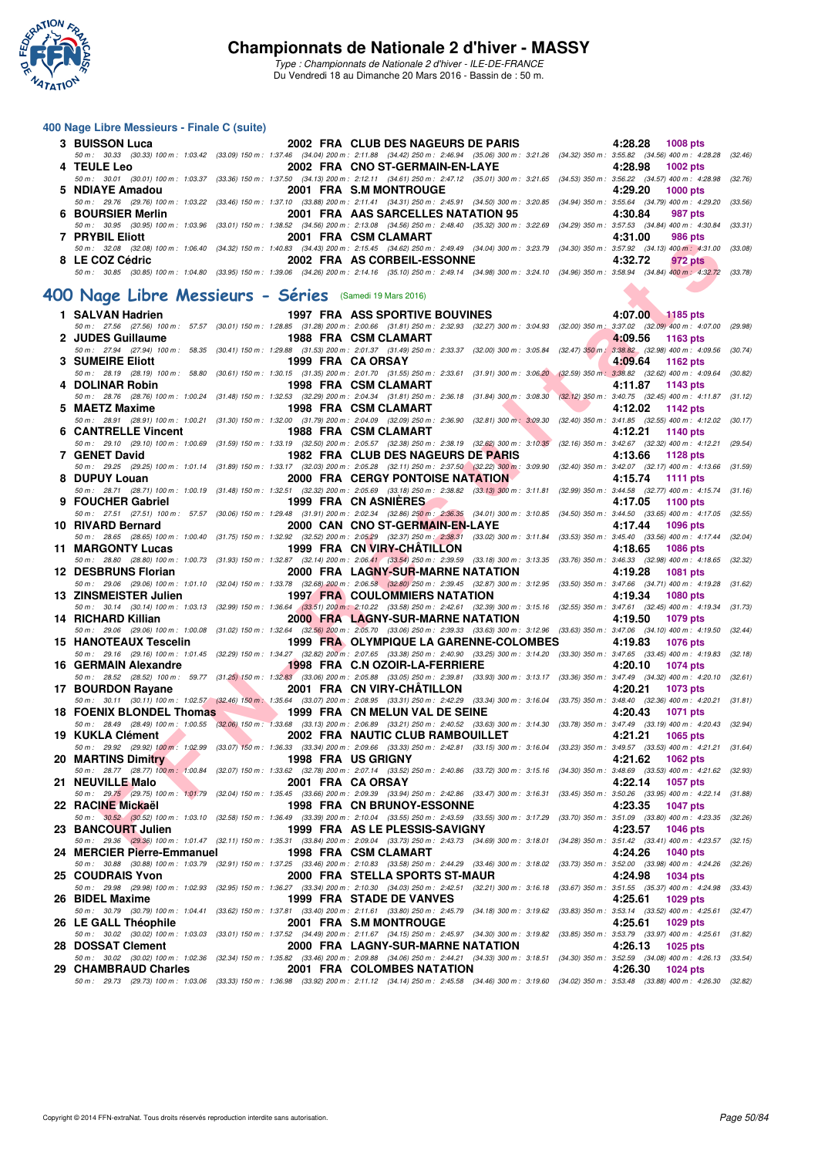

*Type : Championnats de Nationale 2 d'hiver - ILE-DE-FRANCE* Du Vendredi 18 au Dimanche 20 Mars 2016 - Bassin de : 50 m.

#### **400 Nage Libre Messieurs - Finale C (suite)**

| 3 BUISSON Luca                                         | 2002 FRA CLUB DES NAGEURS DE PARIS | 4:28.28 1008 pts                                                                                                                                                                             |
|--------------------------------------------------------|------------------------------------|----------------------------------------------------------------------------------------------------------------------------------------------------------------------------------------------|
|                                                        |                                    | 50 m : 30.33 (30.33) 100 m : 1:03.42 (33.09) 150 m : 1:37.46 (34.04) 200 m : 2:11.88 (34.42) 250 m : 2:46.94 (35.06) 300 m : 3:21.26 (34.32) 350 m : 3:55.82 (34.56) 400 m : 4:28.28 (32.46) |
| 4 TEULE Leo                                            | 2002 FRA CNO ST-GERMAIN-EN-LAYE    | 4:28.98 1002 pts                                                                                                                                                                             |
|                                                        |                                    | 50 m: 30.01 (30.01) 100 m: 1:03.37 (33.36) 150 m: 1:37.50 (34.13) 200 m: 2:12.11 (34.61) 250 m: 2:47.12 (35.01) 300 m: 3:21.65 (34.53) 350 m: 3:56.22 (34.57) 400 m: 4:28.98 (32.76)         |
| 5 NDIAYE Amadou                                        | 2001 FRA S.M MONTROUGE 2001 FRA    | 4:29.20 1000 pts                                                                                                                                                                             |
|                                                        |                                    | 50 m: 29.76 (29.76) 100 m: 1:03.22 (33.46) 150 m: 1:37.10 (33.88) 200 m: 2:11.41 (34.31) 250 m: 2:45.91 (34.50) 300 m: 3:20.85 (34.94) 350 m: 3:55.64 (34.79) 400 m: 4:29.20 (33.56)         |
| 6 BOURSIER Merlin                                      | 2001 FRA AAS SARCELLES NATATION 95 | 4:30.84<br>987 pts                                                                                                                                                                           |
|                                                        |                                    | 50 m : 30.95 (30.95) 100 m : 1:03.96 (33.01) 150 m : 1:38.52 (34.56) 200 m : 2:13.08 (34.56) 250 m : 2:48.40 (35.32) 300 m : 3:22.69 (34.29) 350 m : 3:57.53 (34.84) 400 m : 4:30.84 (33.31) |
| 7 PRYBIL Eliott                                        | 2001 FRA CSM CLAMART               | 4:31.00<br>986 pts                                                                                                                                                                           |
|                                                        |                                    | 50 m : 32.08 (32.08) 100 m : 1:06.40 (34.32) 150 m : 1:40.83 (34.43) 200 m : 2:15.45 (34.62) 250 m : 2:49.49 (34.04) 300 m : 3:23.79 (34.30) 350 m : 3:57.92 (34.13) 400 m : 4:31.00 (33.08) |
| 8 LE COZ Cédric                                        | 2002 FRA AS CORBEIL-ESSONNE        | 4:32.72<br>972 pts                                                                                                                                                                           |
|                                                        |                                    | 50 m: 30.85 (30.85) 100 m: 1:04.80 (33.95) 150 m: 1:39.06 (34.26) 200 m: 2:14.16 (35.10) 250 m: 2:49.14 (34.98) 300 m: 3:24.10 (34.96) 350 m: 3:58.94 (34.84) 400 m: 4:32.72 (33.78)         |
| 00 Nage Libre Messieurs - Séries (Samedi 19 Mars 2016) |                                    |                                                                                                                                                                                              |

## **[400 Nage Libre Messieurs - Séries](http://www.ffnatation.fr/webffn/resultats.php?idact=nat&go=epr&idcpt=37307&idepr=54)** (Samedi 19 Mars 2016)

| <b>FRIBIL EINIL</b>                                                                                                                                                                                              |                                                     | ZUU LINA COMUCLAMANI                    |           | 4.91.00<br>ี ฮิบบ pเจ      |         |
|------------------------------------------------------------------------------------------------------------------------------------------------------------------------------------------------------------------|-----------------------------------------------------|-----------------------------------------|-----------|----------------------------|---------|
| 50 m : 32.08 (32.08) 100 m : 1:06.40 (34.32) 150 m : 1:40.83 (34.43) 200 m : 2:15.45 (34.62) 250 m : 2:49.49 (34.04) 300 m : 3:23.79 (34.30) 350 m : 3:57.92 (34.13) 400 m : 4:31.00 (33.08)                     |                                                     |                                         |           |                            |         |
| 8 LE COZ Cédric                                                                                                                                                                                                  |                                                     | 2002 FRA AS CORBEIL-ESSONNE             |           | 4:32.72<br>972 pts         |         |
| 50 m : 30.85 (30.85) 100 m : 1:04.80 (33.95) 150 m : 1:39.06 (34.26) 200 m : 2:14.16 (35.10) 250 m : 2:49.14 (34.98) 300 m : 3:24.10 (34.96) 350 m : 3:58.94 (34.84) 400 m : 4:32.72 (33.78)                     |                                                     |                                         |           |                            |         |
|                                                                                                                                                                                                                  |                                                     |                                         |           |                            |         |
| 00 Nage Libre Messieurs - Séries (Samedi 19 Mars 2016)                                                                                                                                                           |                                                     |                                         |           |                            |         |
| 1 SALVAN Hadrien                                                                                                                                                                                                 |                                                     | <b>1997 FRA ASS SPORTIVE BOUVINES</b>   |           | 4:07.00 1185 pts           |         |
| 50 m: 27.56 (27.56) 100 m: 57.57 (30.01) 150 m: 1:28.85 (31.28) 200 m: 2:00.66 (31.81) 250 m: 2:32.93 (32.27) 300 m: 3:04.93 (32.00) 350 m: 3:37.02 (32.09) 400 m: 4:07.00                                       |                                                     |                                         |           |                            | (29.98) |
| 2 JUDES Guillaume                                                                                                                                                                                                |                                                     | 1988 FRA CSM CLAMART                    |           | 4:09.56<br>1163 pts        |         |
| 50 m: 27.94 (27.94) 100 m: 58.35 (30.41) 150 m: 1:29.88 (31.53) 200 m: 2:01.37 (31.49) 250 m: 2:33.37 (32.00) 300 m: 3:05.84 (32.47) 350 m; 3:38.82 (32.98) 400 m: 4:09.56 (30.74)                               |                                                     |                                         |           |                            |         |
| 3 SUMEIRE Eliott                                                                                                                                                                                                 |                                                     | 1999 FRA CA ORSAY                       |           | 4:09.64<br>1162 pts        |         |
| 50 m : 28.19 (28.19) 100 m : 58.80 (30.61) 150 m : 1:30.15 (31.35) 200 m : 2:01.70 (31.55) 250 m : 2:33.61 (31.91) 300 m : 3:06.20 (32.59) 350 m : 3:38.82 (32.62) 400 m : 4:09.64                               |                                                     |                                         |           |                            | (30.82) |
| 4 DOLINAR Robin                                                                                                                                                                                                  |                                                     | 1998 FRA CSM CLAMART                    |           | 4:11.87<br>1143 pts        |         |
| 50 m : 28.76 (28.76) 100 m : 1:00.24 (31.48) 150 m : 1:32.53 (32.29) 200 m : 2:04.34 (31.81) 250 m : 2:36.18 (31.84) 300 m : 3:08.30 (32.12) 350 m : 3:40.75 (32.45) 400 m : 4:11.87 (31.12)                     |                                                     |                                         |           |                            |         |
| 5 MAETZ Maxime                                                                                                                                                                                                   |                                                     | 1998 FRA CSM CLAMART                    | $\bullet$ | 4:12.02<br>1142 pts        |         |
| 50 m: 28.91 (28.91) 100 m: 1:00.21 (31.30) 150 m: 1:32.00 (31.79) 200 m: 2:04.09 (32.09) 250 m: 2:36.90 (32.81) 300 m; 3:09.30 (32.40) 350 m: 3:41.85 (32.55) 400 m: 4:12.02 (30.17)                             |                                                     |                                         |           |                            |         |
| <b>6 CANTRELLE Vincent</b>                                                                                                                                                                                       |                                                     | 1988 FRA CSM CLAMART                    |           | 4:12.21<br>1140 pts        |         |
| 50 m: 29.10 (29.10) 100 m: 1:00.69 (31.59) 150 m: 1:33.19 (32.50) 200 m: 2:05.57 (32.38) 250 m: 2:38.19 (32.62) 300 m: 3:10.35 (32.16) 350 m: 3:42.67 (32.32) 400 m: 4:12.21                                     |                                                     |                                         |           |                            | (29.54) |
| 7 GENET David                                                                                                                                                                                                    |                                                     | 1982 FRA CLUB DES NAGEURS DE PARIS      |           | 4:13.66<br>1128 pts        |         |
| 50 m: 29.25 (29.25) 100 m: 1:01.14 (31.89) 150 m: 1:33.17 (32.03) 200 m: 2:05.28 (32.11) 250 m: 2:37.50 (32.22) 300 m: 3:09.90 (32.40) 350 m: 3:42.07 (32.17) 400 m: 4:13.66 (31.59)                             |                                                     |                                         |           |                            |         |
| 8 DUPUY Louan                                                                                                                                                                                                    |                                                     | <b>2000 FRA CERGY PONTOISE NATATION</b> |           | 4:15.74<br>1111 pts        |         |
| 50 m : 28.71 (28.71) 100 m : 1:00.19 (31.48) 150 m : 1:32.51 (32.32) 200 m : 2:05.69 (33.18) 250 m : 2:38.82 (33.13) 300 m : 3:11.81 (32.99) 350 m : 3:44.58 (32.77) 400 m : 4:15.74 (31.16)                     |                                                     |                                         |           |                            |         |
| 9 FOUCHER Gabriel                                                                                                                                                                                                |                                                     | 1999 FRA CN ASNIERES                    |           | 4:17.05<br>1100 pts        |         |
| 50 m: 27.51 (27.51) 100 m: 57.57 (30.06) 150 m: 1:29.48 (31.91) 200 m: 2:02.34 (32.86) 250 m: 2:36.35 (34.01) 300 m: 3:10.85 (34.50) 350 m: 3:44.50 (33.65) 400 m: 4:17.05 (32.55)                               |                                                     |                                         |           |                            |         |
| 10 RIVARD Bernard                                                                                                                                                                                                |                                                     | 2000 CAN CNO ST-GERMAIN-EN-LAYE         |           | 4:17.44<br>1096 pts        |         |
| 50 m: 28.65 (28.65) 100 m: 1:00.40 (31.75) 150 m: 1:32.92 (32.52) 200 m: 2:05.29 (32.37) 250 m: 2:38.31 (33.02) 300 m: 3:11.84 (33.53) 350 m: 3:45.40 (33.56) 400 m: 4:17.44 (32.04)                             |                                                     |                                         |           |                            |         |
| 11 MARGONTY Lucas                                                                                                                                                                                                |                                                     | 1999 FRA CN VIRY-CHATILLON              |           | 4:18.65<br>1086 pts        |         |
| 50 m: 28.80 (28.80) 100 m: 1:00.73 (31.93) 150 m: 1:32.87 (32.14) 200 m: 2:06.41 (33.54) 250 m: 2:39.59 (33.18) 300 m: 3:13.35 (33.76) 350 m: 3:46.33 (32.98) 400 m: 4:18.65 (32.32)                             |                                                     |                                         |           |                            |         |
| 12 DESBRUNS Florian                                                                                                                                                                                              |                                                     | 2000 FRA LAGNY-SUR-MARNE NATATION       |           | 4:19.28<br><b>1081 pts</b> |         |
| 50 m : 29.06 (29.06) 100 m : 1:01.10 (32.04) 150 m : 1:33.78 (32.68) 200 m : 2:06.58 (32.80) 250 m : 2:39.45 (32.87) 300 m : 3:12.95 (33.50) 350 m : 3:47.66 (34.71) 400 m : 4:19.28                             |                                                     |                                         |           |                            | (31.62) |
| <b>13 ZINSMEISTER Julien</b>                                                                                                                                                                                     |                                                     | <b>1997 FRA COULOMMIERS NATATION</b>    |           | 4:19.34<br><b>1080 pts</b> |         |
| 50 m: 30.14 (30.14) 100 m: 1:03.13 (32.99) 150 m: 1:36.64 (33.51) 200 m: 2:10.22 (33.58) 250 m: 2:42.61 (32.39) 300 m: 3:15.16 (32.55) 350 m: 3:47.61 (32.45) 400 m: 4:19.34 (31.73)                             |                                                     |                                         |           |                            |         |
| 14 RICHARD Killian                                                                                                                                                                                               |                                                     | 2000 FRA LAGNY-SUR-MARNE NATATION       |           | 4:19.50<br><b>1079 pts</b> |         |
| 50 m: 29.06 (29.06) 100 m: 1:00.08 (31.02) 150 m: 1:32.64 (32.56) 200 m: 2:05.70 (33.06) 250 m: 2:39.33 (33.63) 300 m: 3:12.96 (33.63) 350 m: 3:47.06 (34.10) 400 m: 4:19.50 (32.44)                             |                                                     |                                         |           |                            |         |
| 15 HANOTEAUX Tescelin                                                                                                                                                                                            |                                                     | 1999 FRA OLYMPIQUE LA GARENNE-COLOMBES  |           | 4:19.83<br>1076 pts        |         |
| 50 m : 29.16 (29.16) 100 m : 1:01.45 (32.29) 150 m : 1:34.27 (32.82) 200 m : 2:07.65 (33.38) 250 m : 2:40.90 (33.25) 300 m : 3:14.20 (33.30) 350 m : 3:47.65 (33.45) 400 m : 4:19.83                             |                                                     |                                         |           |                            | (32.18) |
| 16 GERMAIN Alexandre                                                                                                                                                                                             |                                                     | 1998 FRA C.N OZOIR-LA-FERRIERE          |           | 4:20.10<br><b>1074 pts</b> |         |
| 50 m: 28.52 (28.52) 100 m: 59.77 (31.25) 150 m: 1:32.83 (33.06) 200 m: 2:05.88 (33.05) 250 m: 2:39.81 (33.93) 300 m: 3:13.17 (33.36) 350 m: 3:47.49 (34.32) 400 m: 4:20.10 (32.61)                               |                                                     |                                         |           |                            |         |
| 17 BOURDON Rayane                                                                                                                                                                                                | <b>Contract Contract Contract Contract Contract</b> | 2001 FRA CN VIRY-CHATILLON              |           | 4:20.21<br>1073 pts        |         |
| 50 m: 30.11 (30.11) 100 m: 1:02.57 (32.46) 150 m: 1:35.64 (33.07) 200 m: 2:08.95 (33.31) 250 m: 2:42.29 (33.34) 300 m: 3:16.04 (33.75) 350 m: 3:48.40 (32.36) 400 m: 4:20.21                                     |                                                     |                                         |           |                            | (31.81) |
| 18 FOENIX BLONDEL Thomas 1999 FRA CN MELUN VAL DE SEINE                                                                                                                                                          |                                                     |                                         |           | 4:20.43<br><b>1071 pts</b> |         |
| 50 m: 28.49 (28.49) 100 m: 1:00.55 (32.06) 150 m: 1:33.68 (33.13) 200 m: 2:06.89 (33.21) 250 m: 2:40.52 (33.63) 300 m: 3:14.30 (33.78) 350 m: 3:47.49 (33.19) 400 m: 4:20.43 (32.94)<br><b>Service</b> Service   | <b>The Contract of Street</b>                       | 2002 FRA NAUTIC CLUB RAMBOUILLET        |           |                            |         |
| 19 KUKLA Clément<br>50 m : 29.92 (29.92) 100 m : 1:02.99 (33.07) 150 m : 1:36.33 (33.34) 200 m : 2:09.66 (33.33) 250 m : 2:42.81 (33.15) 300 m : 3:16.04 (33.23) 350 m : 3:49.57 (33.53) 400 m : 4:21.21 (31.64) |                                                     |                                         |           | 4:21.21<br><b>1065 pts</b> |         |
| 20 MARTINS Dimitry                                                                                                                                                                                               |                                                     | 1998 FRA US GRIGNY                      |           | 4:21.62<br><b>1062 pts</b> |         |
| 50 m: 28.77 (28.77) 100 m: 1:00.84 (32.07) 150 m: 1:33.62 (32.78) 200 m: 2:07.14 (33.52) 250 m: 2:40.86 (33.72) 300 m: 3:15.16 (34.30) 350 m: 3:48.69 (33.53) 400 m: 4:21.62 (32.93)                             |                                                     |                                         |           |                            |         |
| 21 NEUVILLE Malo                                                                                                                                                                                                 | the company of the company of the                   | 2001 FRA CA ORSAY                       |           | 4:22.14<br>1057 pts        |         |
| 50 m: 29.75 (29.75) 100 m: 1:01.79 (32.04) 150 m: 1:35.45 (33.66) 200 m: 2:09.39 (33.94) 250 m: 2:42.86 (33.47) 300 m: 3:16.31 (33.45) 350 m: 3:50.26 (33.95) 400 m: 4:22.14 (31.88)                             |                                                     |                                         |           |                            |         |
| 22 RACINE Mickaël                                                                                                                                                                                                |                                                     | <b>1998 FRA CN BRUNOY-ESSONNE</b>       |           | 4:23.35<br><b>1047 pts</b> |         |
|                                                                                                                                                                                                                  |                                                     |                                         |           |                            |         |
|                                                                                                                                                                                                                  |                                                     |                                         |           |                            |         |
| 50 m: 30.52 (30.52) 100 m: 1:03.10 (32.58) 150 m: 1:36.49 (33.39) 200 m: 2:10.04 (33.55) 250 m: 2:43.59 (33.55) 300 m: 3:17.29 (33.70) 350 m: 3:51.09 (33.80) 400 m: 4:23.35 (32.26)                             |                                                     |                                         |           |                            |         |
| 23 BANCOURT Julien                                                                                                                                                                                               |                                                     | 1999 FRA AS LE PLESSIS-SAVIGNY          |           | 4:23.57<br><b>1046 pts</b> |         |
| 50 m: 29.36 (29.36) 100 m: 1:01.47 (32.11) 150 m: 1:35.31 (33.84) 200 m: 2:09.04 (33.73) 250 m: 2:43.73 (34.69) 300 m: 3:18.01 (34.28) 350 m: 3:51.42 (33.41) 400 m: 4:23.57 (32.15)                             |                                                     |                                         |           |                            |         |
| 24 MERCIER Pierre-Emmanuel 1998 FRA CSM CLAMART                                                                                                                                                                  |                                                     |                                         |           | 4:24.26 1040 pts           |         |
| 50 m : 30.88 (30.88) 100 m : 1:03.79 (32.91) 150 m : 1:37.25 (33.46) 200 m : 2:10.83 (33.58) 250 m : 2:44.29 (33.46) 300 m : 3:18.02 (33.73) 350 m : 3:52.00 (33.98) 400 m : 4:24.26 (32.26)                     |                                                     |                                         |           |                            |         |
| 25 COUDRAIS Yvon<br>50 m: 29.98 (29.98) 100 m: 1:02.93 (32.95) 150 m: 1:36.27 (33.34) 200 m: 2:10.30 (34.03) 250 m: 2:42.51 (32.21) 300 m: 3:16.18 (33.67) 350 m: 3:51.55 (35.37) 400 m: 4:24.98                 |                                                     | 2000 FRA STELLA SPORTS ST-MAUR          |           | 4:24.98<br>1034 pts        | (33.43) |
|                                                                                                                                                                                                                  |                                                     |                                         |           |                            |         |
| 26 BIDEL Maxime<br>50 m : 30.79 (30.79) 100 m : 1:04.41 (33.62) 150 m : 1:37.81 (33.40) 200 m : 2:11.61 (33.80) 250 m : 2:45.79 (34.18) 300 m : 3:19.62 (33.83) 350 m : 3:53.14 (33.52) 400 m : 4:25.61          |                                                     | 1999 FRA STADE DE VANVES                |           | 4:25.61<br>1029 pts        | (32.47) |
|                                                                                                                                                                                                                  |                                                     | 2001 FRA S.M MONTROUGE                  |           | 4:25.61<br>1029 pts        |         |
| 26 LE GALL Théophile<br>50 m: 30.02 (30.02) 100 m: 1:03.03 (33.01) 150 m: 1:37.52 (34.49) 200 m: 2:11.67 (34.15) 250 m: 2:45.97 (34.30) 300 m: 3:19.82 (33.85) 350 m: 3:53.79 (33.97) 400 m: 4:25.61 (31.82)     |                                                     |                                         |           |                            |         |
| 28 DOSSAT Clement                                                                                                                                                                                                |                                                     | 2000 FRA LAGNY-SUR-MARNE NATATION       |           | 4:26.13<br>1025 pts        |         |
| 50 m: 30.02 (30.02) 100 m: 1:02.36 (32.34) 150 m: 1:35.82 (33.46) 200 m: 2:09.88 (34.06) 250 m: 2:44.21 (34.33) 300 m: 3:18.51 (34.30) 350 m: 3:52.59 (34.08) 400 m: 4:26.13 (33.54)                             |                                                     |                                         |           |                            |         |
| 29 CHAMBRAUD Charles                                                                                                                                                                                             |                                                     | 2001 FRA COLOMBES NATATION              |           | 4:26.30<br>1024 pts        |         |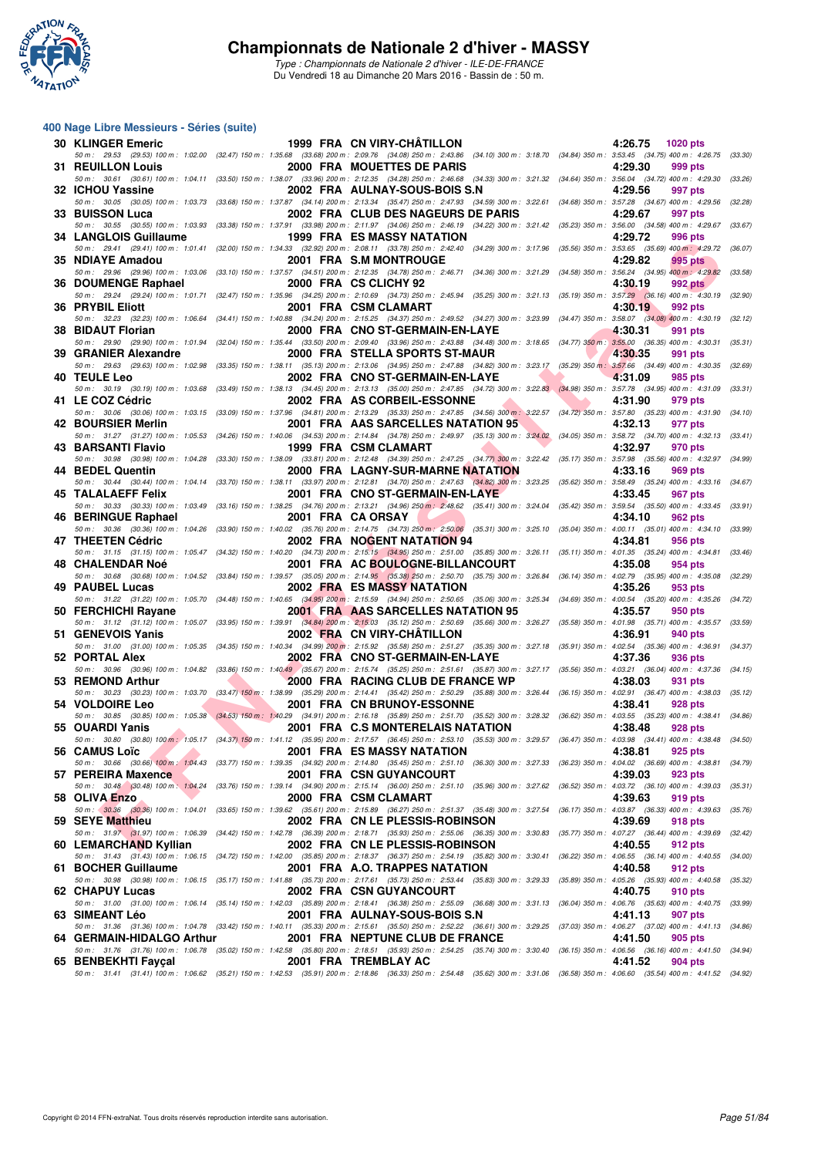

#### **400 Nage Libre Messieurs - Séries (suite)**

| <b>30 KLINGER Emeric</b>  | 1999 FRA CN VIRY-CHÂTILLON                                                                                                                                                                                                      |                   | 4:26.75<br>1020 pts       |         |
|---------------------------|---------------------------------------------------------------------------------------------------------------------------------------------------------------------------------------------------------------------------------|-------------------|---------------------------|---------|
| <b>31 REUILLON Louis</b>  | 50 m: 29.53 (29.53) 100 m: 1:02.00 (32.47) 150 m: 1:35.68 (33.68) 200 m: 2:09.76 (34.08) 250 m: 2:43.86 (34.10) 300 m: 3:18.70 (34.84) 350 m: 3:53.45 (34.75) 400 m: 4:26.75 (33.30)<br>2000 FRA MOUETTES DE PARIS              |                   | 4:29.30<br>999 pts        |         |
| 32 ICHOU Yassine          | 50 m : 30.61 (30.61) 100 m : 1:04.11 (33.50) 150 m : 1:38.07 (33.96) 200 m : 2:12.35 (34.28) 250 m : 2:46.68 (34.33) 300 m : 3:21.32 (34.64) 350 m : 3:56.04 (34.72) 400 m : 4:29.30<br>2002 FRA AULNAY-SOUS-BOIS S.N           |                   | 4:29.56<br>997 pts        | (33.26) |
| 33 BUISSON Luca           | 50 m: 30.05 (30.05) 100 m: 1:03.73 (33.68) 150 m: 1:37.87 (34.14) 200 m: 2:13.34 (35.47) 250 m: 2:47.93 (34.59) 300 m: 3:22.61 (34.68) 350 m: 3:57.28 (34.67) 400 m: 4:29.56<br>2002 FRA CLUB DES NAGEURS DE PARIS              |                   | 4:29.67<br>997 pts        | (32.28) |
|                           | 50 m: 30.55 (30.55) 100 m: 1:03.93 (33.38) 150 m: 1:37.91 (33.98) 200 m: 2:11.97 (34.06) 250 m: 2:46.19 (34.22) 300 m: 3:21.42 (35.23) 350 m: 3:56.00 (34.58) 400 m: 4:29.67                                                    |                   |                           | (33.67) |
| 34 LANGLOIS Guillaume     | <b>1999 FRA ES MASSY NATATION</b><br>50 m: 29.41 (29.41) 100 m: 1:01.41 (32.00) 150 m: 1:34.33 (32.92) 200 m: 2:08.11 (33.78) 250 m: 2:42.40 (34.29) 300 m: 3:17.96 (35.56) 350 m: 3:53.65 (35.69) 400 m: 4:29.72               |                   | 4:29.72<br>996 pts        | (36.07) |
| 35 NDIAYE Amadou          | 2001 FRA S.M MONTROUGE                                                                                                                                                                                                          |                   | 4:29.82<br>995 pts        |         |
| 36 DOUMENGE Raphael       | 50 m: 29.96 (29.96) 100 m: 1:03.06 (33.10) 150 m: 1:37.57 (34.51) 200 m: 2:12.35 (34.78) 250 m: 2:46.71 (34.36) 300 m: 3:21.29 (34.55) 350 m: 3:56.24 (34.95) 400 m: 4:29.82<br>2000 FRA CS CLICHY 92                           |                   | 4:30.19<br><b>992 pts</b> | (33.58) |
|                           | 50 m: 29.24 (29.24) 100 m: 1:01.71 (32.47) 150 m: 1:35.96 (34.25) 200 m: 2:10.69 (34.73) 250 m: 2:45.94 (35.25) 300 m: 3:21.13 (35.19) 350 m: 3:57.29 (36.16) 400 m: 4:30.19 (32.90)                                            |                   |                           |         |
| <b>36 PRYBIL Eliott</b>   | 2001 FRA CSM CLAMART<br>50 m: 32.23 (32.23) 100 m: 1:06.64 (34.41) 150 m: 1:40.88 (34.24) 200 m: 2:15.25 (34.37) 250 m: 2:49.52 (34.27) 300 m: 3:23.99 (34.47) 350 m: 3:58.07 (34.08) 400 m: 4:30.19                            |                   | 4:30.19<br>992 pts        | (32.12) |
| 38 BIDAUT Florian         | 2000 FRA CNO ST-GERMAIN-EN-LAYE<br>50 m: 29.90 (29.90) 100 m: 1:01.94 (32.04) 150 m: 1:35.44 (33.50) 200 m: 2:09.40 (33.96) 250 m: 2:43.88 (34.48) 300 m: 3:18.65 (34.77) 350 m: 3:55.00 (36.35) 400 m: 4:30.31 (35.31)         |                   | 4:30.31<br>991 pts        |         |
| 39 GRANIER Alexandre      | 2000 FRA STELLA SPORTS ST-MAUR                                                                                                                                                                                                  |                   | 4:30.35<br>991 pts        |         |
|                           | 50 m: 29.63 (29.63) 100 m: 1:02.98 (33.35) 150 m: 1:38.11 (35.13) 200 m: 2:13.06 (34.95) 250 m: 2:47.88 (34.82) 300 m: 3:23.17 (35.29) 350 m: 3:57.66 (34.49) 400 m: 4:30.35                                                    |                   |                           | (32.69) |
| 40 TEULE Leo              | 2002 FRA CNO ST-GERMAIN-EN-LAYE<br>50 m: 30.19 (30.19) 100 m: 1:03.68 (33.49) 150 m: 1:38.13 (34.45) 200 m: 2:13.13 (35.00) 250 m: 2:47.85 (34.72) 300 m: 3:22.83 (34.98) 350 m: 3:57.78 (34.95) 400 m: 4:31.09                 |                   | 4:31.09<br>985 pts        | (33.31) |
| 41 LE COZ Cédric          | 2002 FRA AS CORBEIL-ESSONNE                                                                                                                                                                                                     |                   | 4:31.90<br>979 pts        |         |
| 42 BOURSIER Merlin        | 50 m : 30.06 (30.06) 100 m : 1:03.15 (33.09) 150 m : 1:37.96 (34.81) 200 m : 2:13.29 (35.33) 250 m : 2:47.85 (34.56) 300 m : 3:22.57 (34.72) 350 m : 3:57.80 (35.23) 400 m : 4:31.90<br>2001 FRA AAS SARCELLES NATATION 95      |                   | 4:32.13<br>977 pts        | (34.10) |
|                           | 50 m: 31.27 (31.27) 100 m: 1:05.53 (34.26) 150 m: 1:40.06 (34.53) 200 m: 2:14.84 (34.78) 250 m: 2:49.97 (35.13) 300 m: 3:24.02 (34.05) 350 m: 3:58.72 (34.70) 400 m: 4:32.13 (33.41)                                            |                   |                           |         |
| 43 BARSANTI Flavio        | 1999 FRA CSM CLAMART<br>50 m : 30.98 (30.98) 100 m : 1:04.28 (33.30) 150 m : 1:38.09 (33.81) 200 m : 2:12.48 (34.39) 250 m : 2:47.25 (34.77) 300 m : 3:22.42 (35.17) 350 m : 3:57.98 (35.56) 400 m : 4:32.97 (34.99)            |                   | 4:32.97<br>970 pts        |         |
| 44 BEDEL Quentin          | <b>2000 FRA LAGNY-SUR-MARNE NATATION</b>                                                                                                                                                                                        |                   | 4:33.16<br>969 pts        |         |
| 45 TALALAEFF Felix        | 50 m: 30.44 (30.44) 100 m: 1:04.14 (33.70) 150 m: 1:38.11 (33.97) 200 m: 2:12.81 (34.70) 250 m: 2:47.63 (34.82) 300 m: 3:23.25 (35.62) 350 m: 3:58.49 (35.24) 400 m: 4:33.16 (34.67)<br>2001 FRA CNO ST-GERMAIN-EN-LAYE         |                   | 4:33.45<br>967 pts        |         |
| 46 BERINGUE Raphael       | 50 m: 30.33 (30.33) 100 m: 1:03.49 (33.16) 150 m: 1:38.25 (34.76) 200 m: 2:13.21 (34.96) 250 m: 2:48.62 (35.41) 300 m: 3:24.04 (35.42) 350 m: 3:59.54 (35.50) 400 m: 4:33.45 (33.91)<br>2001 FRA CA ORSAY                       |                   | 4:34.10<br>962 pts        |         |
|                           | 50 m: 30.36 (30.36) 100 m: 1:04.26 (33.90) 150 m: 1:40.02 (35.76) 200 m: 2:14.75 (34.73) 250 m: 2:50.06 (35.31) 300 m: 3:25.10 (35.04) 350 m: 4:00.11 (35.01) 400 m: 4:34.10                                                    |                   |                           | (33.99) |
| 47 THEETEN Cédric         | 2002 FRA NOGENT NATATION 94<br>50 m: 31.15 (31.15) 100 m: 1:05.47 (34.32) 150 m: 1:40.20 (34.73) 200 m: 2:15.15 (34.95) 250 m: 2:51.00 (35.85) 300 m: 3:26.11 (35.11) 350 m: 4:01.35 (35.24) 400 m: 4:34.81                     |                   | 4:34.81<br>956 pts        | (33.46) |
| 48 CHALENDAR Noé          | 2001 FRA AC BOULOGNE-BILLANCOURT                                                                                                                                                                                                |                   | 4:35.08<br>954 pts        |         |
| 49 PAUBEL Lucas           | 50 m: 30.68 (30.68) 100 m: 1:04.52 (33.84) 150 m: 1:39.57 (35.05) 200 m: 2:14.95 (35.38) 250 m: 2:50.70 (35.75) 300 m: 3:26.84 (36.14) 350 m: 4:02.79 (35.95) 400 m: 4:35.08<br>2002 FRA ES MASSY NATATION                      |                   | 4:35.26<br>953 pts        | (32.29) |
|                           | 50 m: 31.22 (31.22) 100 m: 1:05.70 (34.48) 150 m: 1:40.65 (34.95) 200 m: 2:15.59 (34.94) 250 m: 2:50.65 (35.06) 300 m: 3:25.34 (34.69) 350 m: 4:00.54 (35.20) 400 m: 4:35.26                                                    |                   |                           | (34.72) |
| 50 FERCHICHI Rayane       | 2001 FRA AAS SARCELLES NATATION 95<br>50 m: 31.12 (31.12) 100 m: 1:05.07 (33.95) 150 m: 1:39.91 (34.84) 200 m: 2:15.03 (35.12) 250 m: 2:50.69 (35.66) 300 m: 3:26.27 (35.58) 350 m: 4:01.98 (35.71) 400 m: 4:35.57 (33.59)      |                   | 4:35.57<br>950 pts        |         |
| 51 GENEVOIS Yanis         | 2002 FRA CN VIRY-CHATILLON                                                                                                                                                                                                      |                   | 4:36.91<br>940 pts        |         |
| 52 PORTAL Alex            | 50 m: 31.00 (31.00) 100 m: 1:05.35 (34.35) 150 m: 1:40.34 (34.99) 200 m: 2:15.92 (35.58) 250 m: 2:51.27 (35.35) 300 m: 3:27.18 (35.91) 350 m: 4:02.54 (35.36) 400 m: 4:36.91<br>2002 FRA CNO ST-GERMAIN-EN-LAYE                 |                   | 4:37.36<br>936 pts        | (34.37) |
| 53 REMOND Arthur          | 50 m: 30.96 (30.96) 100 m: 1:04.82 (33.86) 150 m: 1:40.49 (35.67) 200 m: 2:15.74 (35.25) 250 m: 2:51.61 (35.87) 300 m: 3:27.17 (35.56) 350 m: 4:03.21 (36.04) 400 m: 4:37.36<br>2000 FRA RACING CLUB DE FRANCE WP               |                   | 4:38.03<br>931 pts        | (34.15) |
|                           | 50 m : 30.23 (30.23) 100 m : 1:03.70 (33.47) 150 m : 1:38.99 (35.29) 200 m : 2:14.41 (35.42) 250 m : 2:50.29 (35.88) 300 m : 3:26.44 (36.15) 350 m : 4:02.91 (36.47) 400 m : 4:38.03                                            |                   |                           | (35.12) |
| 54 VOLDOIRE Leo           | <b>2001 FRA CN BRUNOY-ESSONNE</b><br>50 m: 30.85 (30.85) 100 m: 1:05.38 (34.53) 150 m: 1:40.29 (34.91) 200 m: 2:16.18 (35.89) 250 m: 2:51.70 (35.52) 300 m: 3:28.32 (36.62) 350 m: 4:03.55 (35.23) 400 m: 4:38.41 (34.86)       |                   | 4:38.41<br><b>928 pts</b> |         |
| 55 OUARDI Yanis           | 2001 FRA C.S MONTERELAIS NATATION                                                                                                                                                                                               |                   | 4:38.48<br>928 pts        |         |
| 56 CAMUS Loïc             | 50 m: 30.80 (30.80) 100 m: 1:05.17 (34.37) 150 m: 1:41.12 (35.95) 200 m: 2:17.57 (36.45) 250 m: 2:53.10 (35.53) 300 m: 3:29.57 (36.47) 350 m: 4:03.98 (34.41) 400 m: 4:38.48 (34.50)<br><b>2001 FRA ES MASSY NATATION</b>       | $4:38.81$ 925 pts |                           |         |
|                           | 50 m: 30.66 (30.66) 100 m: 1:04.43 (33.77) 150 m: 1:39.35 (34.92) 200 m: 2:14.80 (35.45) 250 m: 2:51.10 (36.30) 300 m: 3:27.33 (36.23) 350 m: 4:04.02 (36.69) 400 m: 4:38.81 (34.79)                                            |                   |                           |         |
| 57 PEREIRA Maxence        | 2001 FRA CSN GUYANCOURT<br>50 m: 30.48 (30.48) 100 m: 1:04.24 (33.76) 150 m: 1:39.14 (34.90) 200 m: 2:15.14 (36.00) 250 m: 2:51.10 (35.96) 300 m: 3:27.62 (36.52) 350 m: 4:03.72 (36.10) 400 m: 4:39.03 (35.31)                 |                   | 4:39.03<br>923 pts        |         |
| 58 OLIVA Enzo             | 2000 FRA CSM CLAMART                                                                                                                                                                                                            |                   | 4:39.63<br>919 pts        |         |
| 59 SEYE Matthieu          | 50 m: 30.36 (30.36) 100 m: 1:04.01 (33.65) 150 m: 1:39.62 (35.61) 200 m: 2:15.89 (36.27) 250 m: 2:51.37 (35.48) 300 m: 3:27.54 (36.17) 350 m: 4:03.87 (36.33) 400 m: 4:39.63<br>2002 FRA CN LE PLESSIS-ROBINSON                 |                   | 4:39.69<br>918 pts        | (35.76) |
|                           | 50 m: 31.97 (31.97) 100 m: 1:06.39 (34.42) 150 m: 1:42.78 (36.39) 200 m: 2:18.71 (35.93) 250 m: 2:55.06 (36.35) 300 m: 3:30.83 (35.77) 350 m: 4:07.27 (36.44) 400 m: 4:39.69 (32.42)                                            |                   |                           |         |
| 60 LEMARCHAND Kyllian     | 2002 FRA CN LE PLESSIS-ROBINSON<br>50 m: 31.43 (31.43) 100 m: 1:06.15 (34.72) 150 m: 1:42.00 (35.85) 200 m: 2:18.37 (36.37) 250 m: 2:54.19 (35.82) 300 m: 3:30.41 (36.22) 350 m: 4:06.55 (36.14) 400 m: 4:40.55 (34.00)         |                   | 4:40.55<br>912 pts        |         |
| 61 BOCHER Guillaume       | 2001 FRA A.O. TRAPPES NATATION                                                                                                                                                                                                  |                   | 4:40.58<br>912 pts        |         |
| 62 CHAPUY Lucas           | 50 m : 30.98 (30.98) 100 m : 1:06.15 (35.17) 150 m : 1:41.88 (35.73) 200 m : 2:17.61 (35.73) 250 m : 2:53.44 (35.83) 300 m : 3:29.33 (35.89) 350 m : 4:05.26 (35.93) 400 m : 4:40.58 (35.32)<br>2002 FRA CSN GUYANCOURT         |                   | 4:40.75<br>910 pts        |         |
|                           | 50 m: 31.00 (31.00) 100 m: 1:06.14 (35.14) 150 m: 1:42.03 (35.89) 200 m: 2:18.41 (36.38) 250 m: 2:55.09 (36.68) 300 m: 3:31.13 (36.04) 350 m: 4:06.76 (35.63) 400 m: 4:40.75 (33.99)                                            |                   |                           |         |
| 63 SIMEANT Léo            | 2001 FRA AULNAY-SOUS-BOIS S.N<br>50 m: 31.36 (31.36) 100 m: 1:04.78 (33.42) 150 m: 1:40.11 (35.33) 200 m: 2:15.61 (35.50) 250 m: 2:52.22 (36.61) 300 m: 3:29.25 (37.03) 350 m: 4:06.27 (37.02) 400 m: 4:41.13 (34.86)           |                   | 4:41.13<br>907 pts        |         |
| 64 GERMAIN-HIDALGO Arthur | 2001 FRA NEPTUNE CLUB DE FRANCE<br>50 m : 31.76 (31.76) 100 m : 1:06.78 (35.02) 150 m : 1:42.58 (35.80) 200 m : 2:18.51 (35.93) 250 m : 2:54.25 (35.74) 300 m : 3:30.40 (36.15) 350 m : 4:06.56 (36.16) 400 m : 4:41.50 (34.94) |                   | 4:41.50<br>905 pts        |         |
| 65 BENBEKHTI Fayçal       | 2001 FRA TREMBLAY AC                                                                                                                                                                                                            |                   | 4:41.52<br>904 pts        |         |
|                           | 50 m : 31.41 (31.41) 100 m : 1:06.62 (35.21) 150 m : 1:42.53 (35.91) 200 m : 2:18.86 (36.33) 250 m : 2:54.48 (35.62) 300 m : 3:31.06 (36.58) 350 m : 4:06.60 (35.54) 400 m : 4:41.52 (34.92)                                    |                   |                           |         |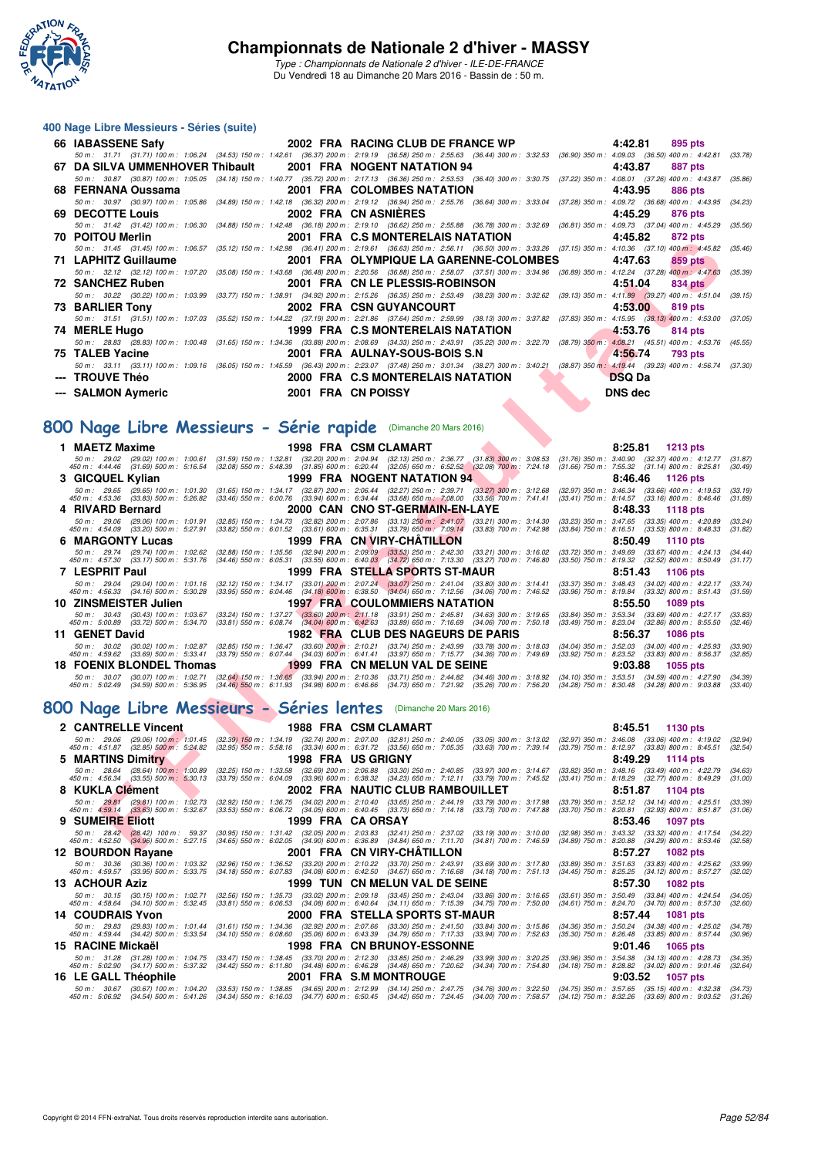

*Type : Championnats de Nationale 2 d'hiver - ILE-DE-FRANCE* Du Vendredi 18 au Dimanche 20 Mars 2016 - Bassin de : 50 m.

#### **400 Nage Libre Messieurs - Séries (suite)**

| 66 IABASSENE Safy                                                                                                                                                                    |                    | <b>2002 FRA RACING CLUB DE FRANCE WP</b> | 4:42.81       | 895 pts |
|--------------------------------------------------------------------------------------------------------------------------------------------------------------------------------------|--------------------|------------------------------------------|---------------|---------|
| 50 m: 31.71 (31.71) 100 m: 1:06.24 (34.53) 150 m: 1:42.61 (36.37) 200 m: 2:19.19 (36.58) 250 m: 2:55.63 (36.44) 300 m: 3:32.53 (36.90) 350 m: 4:09.03 (36.50) 400 m: 4:42.81 (33.78) |                    |                                          |               |         |
| 67 DA SILVA UMMENHOVER Thibault    2001 FRA NOGENT NATATION 94                                                                                                                       |                    |                                          | 4:43.87       | 887 pts |
| 50 m: 30.87 (30.87) 100 m: 1:05.05 (34.18) 150 m: 1:40.77 (35.72) 200 m: 2:17.13 (36.36) 250 m: 2:53.53 (36.40) 300 m: 3:30.75 (37.22) 350 m: 4:08.01 (37.26) 400 m: 4:43.87 (35.86) |                    |                                          |               |         |
|                                                                                                                                                                                      |                    |                                          | 4:43.95       | 886 pts |
| 50 m: 30.97 (30.97) 100 m: 1:05.86 (34.89) 150 m: 1:42.18 (36.32) 200 m: 2:19.12 (36.94) 250 m: 2:55.76 (36.64) 300 m: 3:33.04 (37.28) 350 m: 4:09.72 (36.68) 400 m: 4:43.95 (34.23) |                    |                                          |               |         |
| 69 DECOTTE Louis                                                                                                                                                                     |                    | 2002 FRA CN ASNIERES                     | 4:45.29       | 876 pts |
| 50 m: 31.42 (31.42) 100 m: 1:06.30 (34.88) 150 m: 1:42.48 (36.18) 200 m: 2:19.10 (36.62) 250 m: 2:55.88 (36.78) 300 m: 3:32.69 (36.81) 350 m: 4:09.73 (37.04) 400 m: 4:45.29 (35.56) |                    |                                          |               |         |
| <b>70 POITOU Merlin</b>                                                                                                                                                              |                    | 2001 FRA C.S MONTERELAIS NATATION        | 4:45.82       | 872 pts |
| 50 m: 31.45 (31.45) 100 m: 1:06.57 (35.12) 150 m: 1:42.98 (36.41) 200 m: 2:19.61 (36.63) 250 m: 2:56.11 (36.50) 300 m: 3:33.26 (37.15) 350 m: 4:10.36 (37.10) 400 m: 4:45.82 (35.46) |                    |                                          |               |         |
| 71 LAPHITZ Guillaume                                                                                                                                                                 |                    | 2001 FRA OLYMPIQUE LA GARENNE-COLOMBES   | 4:47.63       | 859 pts |
| 50 m: 32.12 (32.12) 100 m: 1:07.20 (35.08) 150 m: 1:43.68 (36.48) 200 m: 2:20.56 (36.88) 250 m: 2:58.07 (37.51) 300 m: 3:34.96 (36.89) 350 m: 4:12.24 (37.28) 400 m: 4:47.63 (35.39) |                    |                                          |               |         |
| 72 SANCHEZ Ruben                                                                                                                                                                     |                    | 2001 FRA CN LE PLESSIS-ROBINSON          | 4:51.04       | 834 pts |
| 50 m : 30.22 (30.22) 100 m : 1:03.99 (33.77) 150 m : 1:38.91 (34.92) 200 m : 2:15.26 (36.35) 250 m : 2:53.49 (38.23) 300 m : 3:32.62 (39.13) 350 m : 4:11.89 (39.27) 400 m : 4:51.04 |                    |                                          |               | (39.15) |
| 73 BARLIER Tony                                                                                                                                                                      |                    | 2002 FRA CSN GUYANCOURT                  | 4:53.00       | 819 pts |
| 50 m: 31.51 (31.51) 100 m: 1:07.03 (35.52) 150 m: 1:44.22 (37.19) 200 m: 2:21.86 (37.64) 250 m: 2:59.99 (38.13) 300 m: 3:37.82 (37.83) 350 m: 4:15.95 (38.13) 400 m: 4:53.00 (37.05) |                    |                                          |               |         |
| 74 MERLE Hugo                                                                                                                                                                        |                    | 1999 FRA C.S MONTERELAIS NATATION        | 4:53.76       | 814 pts |
| 50 m: 28.83 (28.83) 100 m: 1:00.48 (31.65) 150 m: 1:34.36 (33.88) 200 m: 2:08.69 (34.33) 250 m: 2:43.91 (35.22) 300 m: 3:22.70 (38.79) 350 m: 4:08.21 (45.51) 400 m: 4:53.76 (45.55) |                    |                                          |               |         |
| 75 TALEB Yacine                                                                                                                                                                      |                    | <b>2001 FRA AULNAY-SOUS-BOIS S.N</b>     | 4:56.74       | 793 pts |
| 50 m: 33.11 (33.11) 100 m: 1:09.16 (36.05) 150 m: 1:45.59 (36.43) 200 m: 2:23.07 (37.48) 250 m: 3:01.34 (38.27) 300 m: 3:40.21 (38.87) 350 m: 4:19.44 (39.23) 400 m: 4:56.74 (37.30) |                    |                                          |               |         |
| --- TROUVE Théo                                                                                                                                                                      |                    | 2000 FRA C.S MONTERELAIS NATATION        | <b>DSQ Da</b> |         |
| --- SALMON Aymeric                                                                                                                                                                   | 2001 FRA CN POISSY |                                          | DNS dec       |         |

## **[800 Nage Libre Messieurs - Série rapide](http://www.ffnatation.fr/webffn/resultats.php?idact=nat&go=epr&idcpt=37307&idepr=55)** (Dimanche 20 Mars 2016)

| <b>FUITUU MEIIII</b>                                                                                                                                                                                                                                                            |                                                                                                                                                                                                                          | <b>ZUUT FRA U.S MUNTERELAIS NATATIUN</b>                                                                                                              | 4.4J.OZ                                             | $012 \mu s$                                                                                                |                    |
|---------------------------------------------------------------------------------------------------------------------------------------------------------------------------------------------------------------------------------------------------------------------------------|--------------------------------------------------------------------------------------------------------------------------------------------------------------------------------------------------------------------------|-------------------------------------------------------------------------------------------------------------------------------------------------------|-----------------------------------------------------|------------------------------------------------------------------------------------------------------------|--------------------|
| 50 m: 31.45 (31.45) 100 m: 1:06.57 (35.12) 150 m: 1:42.98 (36.41) 200 m: 2:19.61 (36.63) 250 m: 2:56.11 (36.50) 300 m: 3:33.26 (37.15) 350 m: 4:10.36 (37.10) 400 m: 4:45.82                                                                                                    |                                                                                                                                                                                                                          |                                                                                                                                                       |                                                     |                                                                                                            | (35.46)            |
| <b>71 LAPHITZ Guillaume</b>                                                                                                                                                                                                                                                     |                                                                                                                                                                                                                          | 2001 FRA OLYMPIQUE LA GARENNE-COLOMBES                                                                                                                | 4:47.63                                             | 859 pts                                                                                                    |                    |
| 50 m : 32.12 (32.12) 100 m : 1:07.20 (35.08) 150 m : 1:43.68 (36.48) 200 m : 2:20.56 (36.88) 250 m : 2:58.07 (37.51) 300 m : 3:34.96 (36.89) 350 m : 4:12.24 (37.28) 400 m : 4:47.63                                                                                            |                                                                                                                                                                                                                          |                                                                                                                                                       |                                                     |                                                                                                            | (35.39)            |
| <b>72 SANCHEZ Ruben</b>                                                                                                                                                                                                                                                         |                                                                                                                                                                                                                          | 2001 FRA CN LE PLESSIS-ROBINSON                                                                                                                       | 4:51.04                                             | 834 pts                                                                                                    |                    |
| 50 m : 30.22 (30.22) 100 m : 1:03.99 (33.77) 150 m : 1:38.91 (34.92) 200 m : 2:15.26 (36.35) 250 m : 2:53.49 (38.23) 300 m : 3:32.62 (39.13) 350 m : 4:11.89 (39.27) 400 m : 4:51.04                                                                                            |                                                                                                                                                                                                                          |                                                                                                                                                       |                                                     |                                                                                                            | (39.15)            |
| <b>73 BARLIER Tony</b>                                                                                                                                                                                                                                                          |                                                                                                                                                                                                                          | <b>2002 FRA CSN GUYANCOURT</b>                                                                                                                        | 4:53.00                                             | 819 pts                                                                                                    |                    |
| 50 m : 31.51 (31.51) 100 m : 1:07.03 (35.52) 150 m : 1:44.22 (37.19) 200 m : 2:21.86 (37.64) 250 m : 2:59.99 (38.13) 300 m : 3:37.82 (37.83) 350 m : 4:15.95 (38.13) 400 m : 4:53.00                                                                                            |                                                                                                                                                                                                                          |                                                                                                                                                       |                                                     |                                                                                                            | (37.05)            |
|                                                                                                                                                                                                                                                                                 |                                                                                                                                                                                                                          |                                                                                                                                                       |                                                     |                                                                                                            |                    |
| 74 MERLE Hugo                                                                                                                                                                                                                                                                   |                                                                                                                                                                                                                          | 1999 FRA C.S MONTERELAIS NATATION                                                                                                                     | 4:53.76                                             | 814 pts                                                                                                    |                    |
| 50 m: 28.83 (28.83) 100 m: 1:00.48 (31.65) 150 m: 1:34.36 (33.88) 200 m: 2:08.69 (34.33) 250 m: 2:43.91 (35.22) 300 m: 3:22.70 (38.79) 350 m: 4:08.21 (45.51) 400 m: 4:53.76 (45.55)                                                                                            |                                                                                                                                                                                                                          |                                                                                                                                                       |                                                     |                                                                                                            |                    |
| 75 TALEB Yacine                                                                                                                                                                                                                                                                 |                                                                                                                                                                                                                          | 2001 FRA AULNAY-SOUS-BOIS S.N                                                                                                                         | 4:56.74                                             | 793 pts                                                                                                    |                    |
| 50 m : 33.11 (33.11) 100 m : 1:09.16 (36.05) 150 m : 1:45.59 (36.43) 200 m : 2:23.07 (37.48) 250 m : 3:01.34 (38.27) 300 m : 3:40.21 (38.87) 350 m : 4:19.44 (39.23) 400 m : 4:56.74 (37.30)                                                                                    |                                                                                                                                                                                                                          |                                                                                                                                                       |                                                     |                                                                                                            |                    |
| <b>TROUVE Théo</b>                                                                                                                                                                                                                                                              |                                                                                                                                                                                                                          | 2000 FRA C.S MONTERELAIS NATATION                                                                                                                     | <b>DSQ Da</b>                                       |                                                                                                            |                    |
| --- SALMON Aymeric                                                                                                                                                                                                                                                              |                                                                                                                                                                                                                          | 2001 FRA CN POISSY                                                                                                                                    | <b>DNS</b> dec                                      |                                                                                                            |                    |
|                                                                                                                                                                                                                                                                                 |                                                                                                                                                                                                                          |                                                                                                                                                       |                                                     |                                                                                                            |                    |
|                                                                                                                                                                                                                                                                                 |                                                                                                                                                                                                                          |                                                                                                                                                       |                                                     |                                                                                                            |                    |
| 800 Nage Libre Messieurs - Série rapide (Dimanche 20 Mars 2016)                                                                                                                                                                                                                 |                                                                                                                                                                                                                          |                                                                                                                                                       |                                                     |                                                                                                            |                    |
|                                                                                                                                                                                                                                                                                 |                                                                                                                                                                                                                          |                                                                                                                                                       |                                                     |                                                                                                            |                    |
| 1 MAETZ Maxime                                                                                                                                                                                                                                                                  |                                                                                                                                                                                                                          | 1998 FRA CSM CLAMART                                                                                                                                  | 8:25.81                                             | <b>1213 pts</b>                                                                                            |                    |
| 50 m : 29.02 (29.02) 100 m : 1:00.61                                                                                                                                                                                                                                            | $(31.59)$ 150 m : 1:32.81                                                                                                                                                                                                | (32.20) 200 m : 2:04.94 (32.13) 250 m : 2:36.77 (31.83) 300 m : 3:08.53                                                                               |                                                     | $(31.76)$ 350 m : 3:40.90 $(32.37)$ 400 m : 4:12.77                                                        | (31.87)            |
| 450 m : 4:44.46 (31.69) 500 m : 5:16.54                                                                                                                                                                                                                                         | $(32.08)$ 550 m : 5:48.39                                                                                                                                                                                                | $(31.85)$ 600 m : 6:20.44 $(32.05)$ 650 m : 6:52.52 $(32.08)$ 700 m : 7:24.18                                                                         | $(31.66)$ 750 m : 7:55.32 $(31.14)$ 800 m : 8:25.81 |                                                                                                            | (30.49)            |
| 3 GICQUEL Kylian                                                                                                                                                                                                                                                                |                                                                                                                                                                                                                          | 1999 FRA NOGENT NATATION 94                                                                                                                           | 8:46.46                                             | 1126 pts                                                                                                   |                    |
| 50 m: 29.65 (29.65) 100 m: 1:01.30 (31.65) 150 m: 1:34.17 (32.87) 200 m: 2:06.44 (32.27) 250 m: 2:39.71 (33.27) 300 m: 3:12.68<br>450 m : 4:53.36 (33.83) 500 m : 5:26.82 (33.46) 550 m : 6:00.76 (33.94) 600 m : 6:34.44 (33.68) 650 m : 7:08.00 (33.56) 700 m : 7:41.41       |                                                                                                                                                                                                                          |                                                                                                                                                       |                                                     | (32.97) 350 m : 3:46.34 (33.66) 400 m : 4:19.53<br>$(33.41)$ 750 m : 8:14.57 $(33.16)$ 800 m : 8:46.46     | (33.19)<br>(31.89) |
|                                                                                                                                                                                                                                                                                 |                                                                                                                                                                                                                          |                                                                                                                                                       |                                                     |                                                                                                            |                    |
| 4 RIVARD Bernard                                                                                                                                                                                                                                                                |                                                                                                                                                                                                                          | 2000 CAN CNO ST-GERMAIN-EN-LAYE                                                                                                                       | 8:48.33                                             | <b>1118 pts</b>                                                                                            |                    |
| 50 m : 29.06 (29.06) 100 m : 1:01.91<br>450 m : 4:54.09 (33.20) 500 m : 5:27.91                                                                                                                                                                                                 | (32.85) 150 m: 1:34.73 (32.82) 200 m: 2:07.86 (33.13) 250 m: 2:41.07 (33.21) 300 m: 3:14.30<br>$(33.82)$ 550 m $: 6.01.52$ $(33.61)$ 600 m $: 6.35.31$ $(33.79)$ 650 m $: 7.09.14$ $(33.83)$ 700 m $: 7.42.98$           |                                                                                                                                                       |                                                     | $(33.23)$ 350 m : 3:47.65 $(33.35)$ 400 m : 4:20.89<br>$(33.84)$ 750 m : 8:16.51 $(33.53)$ 800 m : 8:48.33 | (33.24)<br>(31.82) |
| 6 MARGONTY Lucas                                                                                                                                                                                                                                                                |                                                                                                                                                                                                                          | 1999 FRA CN VIRY-CHATILLON                                                                                                                            | 8:50.49                                             | <b>1110 pts</b>                                                                                            |                    |
| 50 m : 29.74 (29.74) 100 m : 1:02.62                                                                                                                                                                                                                                            |                                                                                                                                                                                                                          |                                                                                                                                                       |                                                     | (33.72) 350 m : 3:49.69 (33.67) 400 m : 4:24.13                                                            | (34.44)            |
| 450 m : 4:57.30 (33.17) 500 m : 5:31.76                                                                                                                                                                                                                                         | $(32.88)$ 150 m : 1:35.56 $(32.94)$ 200 m : $2:09.09$ $(33.53)$ 250 m : $2:42.30$ $(33.21)$ 300 m : $3:16.02$<br>$(34.46)$ 550 m : 6:05.31 $(33.55)$ 600 m : 6:40.03 $(34.72)$ 650 m : 7:13.30 $(33.27)$ 700 m : 7:46.80 |                                                                                                                                                       |                                                     | $(33.50)$ 750 m $: 8.19.32$ $(32.52)$ 800 m $: 8.50.49$                                                    | (31.17)            |
| 7 LESPRIT Paul                                                                                                                                                                                                                                                                  |                                                                                                                                                                                                                          | 1999 FRA STELLA SPORTS ST-MAUR                                                                                                                        | 8:51.43                                             | <b>1106 pts</b>                                                                                            |                    |
| 50 m: 29.04 (29.04) 100 m: 1:01.16 (32.12) 150 m: 1:34.17 (33.01) 200 m: 2:07.24 (33.07) 250 m: 2:41.04 (33.80) 300 m: 3:14.41<br>50 m: 4:56.33 (34.16) 500 m: 5:30.28 (33.95) 550 m: 6:04.46 (34.18) 600 m: 6:38.50 (34.04) 650                                                |                                                                                                                                                                                                                          |                                                                                                                                                       |                                                     | (33.37) 350 m : 3:48.43 (34.02) 400 m : 4:22.17                                                            | (33.74)            |
| 450 m : 4:56.33 (34.16) 500 m : 5:30.28                                                                                                                                                                                                                                         |                                                                                                                                                                                                                          |                                                                                                                                                       |                                                     | (33.96) 750 m : 8:19.84 (33.32) 800 m : 8:51.43                                                            | (31.59)            |
| 10 ZINSMEISTER Julien                                                                                                                                                                                                                                                           |                                                                                                                                                                                                                          | <b>1997 FRA COULOMMIERS NATATION</b>                                                                                                                  | 8:55.50                                             | 1089 pts                                                                                                   |                    |
| 50 m : 30.43 (30.43) 100 m : 1:03.67 (33.24) 150 m : 1:37.27 <sup>(</sup> (33.60) 200 m : 2:11.18 (33.91) 250 m : 2:45.81 (34.63) 300 m : 3:19.65<br>50 m : 5:00.89 (33.72) 500 m : 5:34.70 (33.81) 550 m : 6:08.74 (34.04) 600 m : 6:42.63                                     |                                                                                                                                                                                                                          |                                                                                                                                                       |                                                     | (33.84) 350 m: 3:53.34 (33.69) 400 m: 4:27.17                                                              | (33.83)            |
| 450 m : 5:00.89 (33.72) 500 m : 5:34.70                                                                                                                                                                                                                                         |                                                                                                                                                                                                                          |                                                                                                                                                       |                                                     | (33.49) 750 m : 8:23.04 (32.86) 800 m : 8:55.50                                                            | (32.46)            |
| 11 GENET David                                                                                                                                                                                                                                                                  |                                                                                                                                                                                                                          | 1982 FRA CLUB DES NAGEURS DE PARIS                                                                                                                    | 8:56.37                                             | <b>1086 pts</b>                                                                                            |                    |
| 50 m: 30.02 (30.02) 100 m: 1:02.87 (32.85) 150 m: 1:36.47 (33.60) 200 m: 2:10.21 (33.74) 250 m: 2:43.99 (33.78) 300 m: 3:18.03<br>450 m : 4:59.62 (33.69) 500 m : 5:33.41 (33.79) 550 m : 6:07.44 (34.03) 600 m : 6:41.41 (33.97) 650 m : 7:15.77 (34.36) 700 m : 7:49.69       |                                                                                                                                                                                                                          |                                                                                                                                                       |                                                     | $(34.04)$ 350 m : 3:52.03 $(34.00)$ 400 m : 4:25.93<br>$(33.92)$ 750 m : 8:23.52 $(33.83)$ 800 m : 8:56.37 | (33.90)<br>(32.85) |
| <b>18 FOENIX BLONDEL Thomas</b>                                                                                                                                                                                                                                                 |                                                                                                                                                                                                                          | 1999 FRA CN MELUN VAL DE SEINE                                                                                                                        | 9:03.88                                             | 1055 pts                                                                                                   |                    |
|                                                                                                                                                                                                                                                                                 |                                                                                                                                                                                                                          |                                                                                                                                                       |                                                     | (34.10) 350 m: 3:53.51 (34.59) 400 m: 4:27.90 (34.39)                                                      |                    |
| 50 m : 30.07 (30.07) 100 m : 1:02.71 (32.64) 150 m : 1:36.65 (33.94) 200 m : 2:10.36 (33.71) 250 m : 2:44.82 (34.46) 300 m : 3:18.92<br>450 m : 5:02.49 (34.59) 500 m : 5:36.95 (34.46) 550 m : 6:11.93 (34.98) 600 m : 6:46.66 (                                               |                                                                                                                                                                                                                          |                                                                                                                                                       |                                                     | (34.28) 750 m : 8:30.48 (34.28) 800 m : 9:03.88 (33.40)                                                    |                    |
|                                                                                                                                                                                                                                                                                 |                                                                                                                                                                                                                          |                                                                                                                                                       |                                                     |                                                                                                            |                    |
| 800 Nage Libre Messieurs - Séries lentes (Dimanche 20 Mars 2016)                                                                                                                                                                                                                |                                                                                                                                                                                                                          |                                                                                                                                                       |                                                     |                                                                                                            |                    |
|                                                                                                                                                                                                                                                                                 |                                                                                                                                                                                                                          |                                                                                                                                                       |                                                     |                                                                                                            |                    |
| 2 CANTRELLE Vincent                                                                                                                                                                                                                                                             |                                                                                                                                                                                                                          | 1988 FRA CSM CLAMART                                                                                                                                  | 8:45.51                                             | 1130 pts                                                                                                   |                    |
| 50 m : 29.06 (29.06) 100 m : 1:01.45 (32.39) 150 m : 1:34.19 (32.74) 200 m : 2:07.00 (32.81) 250 m : 2:40.05 (33.05) 300 m : 3:13.02<br>450 m : 4:51.87 (32.85) 500 m : 5:24.82 (32.95) 550 m : 5:58.16 (33.34) 600 m : 6:31.72 (33.56) 650 m : 7:05.35 (33.63) 700 m : 7:39.14 |                                                                                                                                                                                                                          |                                                                                                                                                       |                                                     | (32.97) 350 m : 3:46.08 (33.06) 400 m : 4:19.02<br>$(33.79)$ 750 m : 8:12.97 $(33.83)$ 800 m : 8:45.51     | (32.94)<br>(32.54) |
|                                                                                                                                                                                                                                                                                 |                                                                                                                                                                                                                          |                                                                                                                                                       |                                                     |                                                                                                            |                    |
| 5 MARTINS Dimitry                                                                                                                                                                                                                                                               |                                                                                                                                                                                                                          | 1998 FRA US GRIGNY                                                                                                                                    | 8:49.29                                             | 1114 pts                                                                                                   |                    |
| 50 m : 28.64 (28.64) 100 m : 1:00.89 (32.25) 150 m : 1:33.58<br>450 m : 4:56.34                                                                                                                                                                                                 | $(33.55)$ 500 m : 5.30.13 $(33.79)$ 550 m : 6.04.09                                                                                                                                                                      | (32.69) 200 m: 2:06.88 (33.30) 250 m: 2:40.85 (33.97) 300 m: 3:14.67<br>$(33.96)$ 600 m : 6:38.32 $(34.23)$ 650 m : 7:12.11 $(33.79)$ 700 m : 7:45.52 | $(33.41)$ 750 m : 8:18.29                           | (33.82) 350 m: 3:48.16 (33.49) 400 m: 4:22.79<br>$(32.77)$ 800 m : 8:49.29                                 | (34.63)<br>(31.00) |
| 8 KUKLA Clément                                                                                                                                                                                                                                                                 |                                                                                                                                                                                                                          | 2002 FRA NAUTIC CLUB RAMBOUILLET                                                                                                                      | 8:51.87                                             | 1104 pts                                                                                                   |                    |
| 50 m : 29.81 (29.81) 100 m : 1:02.73                                                                                                                                                                                                                                            | (32.92) 150 m: 1:36.75 (34.02) 200 m: 2:10.40 (33.65) 250 m: 2:44.19 (33.79) 300 m: 3:17.98                                                                                                                              |                                                                                                                                                       |                                                     | (33.79) 350 m : 3:52.12 (34.14) 400 m : 4:25.51                                                            | (33.39)            |
| 450 m : 4:59.14 (33.63) 500 m : 5:32.67 (33.53) 550 m : 6:06.72 (34.05) 600 m : 6:40.45 (33.73) 650 m : 7:14.18 (33.73) 700 m : 7:47.88                                                                                                                                         |                                                                                                                                                                                                                          |                                                                                                                                                       | $(33.70)$ 750 m : 8:20.81                           | $(32.93)$ 800 m : 8:51.87                                                                                  | (31.06)            |
| <b>9 SUMEIRE Eliott</b>                                                                                                                                                                                                                                                         |                                                                                                                                                                                                                          | 1999 FRA CA ORSAY                                                                                                                                     | 8:53.46                                             | <b>1097 pts</b>                                                                                            |                    |
| 50 m : 28.42 (28.42) 100 m : 59.37 (30.95) 150 m : 1:31.42 (32.05) 200 m : 2:03.83 (32.41) 250 m : 2:37.02 (33.19) 300 m : 3:10.00                                                                                                                                              |                                                                                                                                                                                                                          |                                                                                                                                                       |                                                     | (32.98) 350 m : 3:43.32 (33.32) 400 m : 4:17.54                                                            | (34.22)            |
| 450 m : 4:52.50 (34.96) 500 m : 5:27.15 (34.65) 550 m : 6:02.05 (34.90) 600 m : 6:36.89 (34.84) 650 m : 7:11.70 (34.81) 700 m : 7:46.59 (34.89) 750 m : 8:20.88 (34.29) 800 m : 8:53.46                                                                                         |                                                                                                                                                                                                                          |                                                                                                                                                       |                                                     |                                                                                                            | (32.58)            |
| (0.50100010)                                                                                                                                                                                                                                                                    |                                                                                                                                                                                                                          | <b>2004 EDA CN VIDY CUÂTILI ON</b>                                                                                                                    | 0.57.07                                             | $1000 - 1$                                                                                                 |                    |

|                                                       | 2 CANTRELLE Vincent                                                                                                      |                   | 1988 FRA CSM CLAMART                                                                                                                                                                                                                                                                                                                                               |                                                                                                                                    | 8:45.51 | 1130 pts                                                                                                                                                             |                     |
|-------------------------------------------------------|--------------------------------------------------------------------------------------------------------------------------|-------------------|--------------------------------------------------------------------------------------------------------------------------------------------------------------------------------------------------------------------------------------------------------------------------------------------------------------------------------------------------------------------|------------------------------------------------------------------------------------------------------------------------------------|---------|----------------------------------------------------------------------------------------------------------------------------------------------------------------------|---------------------|
| $50 \text{ m}$ : 29.06                                | 450 m : 4:51.87 (32.85) 500 m : 5:24.82                                                                                  |                   | (29.06) 100 m: 1:01.45 (32.39) 150 m: 1:34.19 (32.74) 200 m: 2:07.00 (32.81) 250 m: 2:40.05<br>$(32.95)$ 550 m : 5:58.16 $(33.34)$ 600 m : 6:31.72 $(33.56)$ 650 m : 7:05.35                                                                                                                                                                                       |                                                                                                                                    |         | $(33.05)$ 300 m $: 3:13.02$ $(32.97)$ 350 m $: 3:46.08$ $(33.06)$ 400 m $: 4:19.02$<br>$(33.63)$ 700 m : 7:39.14 $(33.79)$ 750 m : 8:12.97 $(33.83)$ 800 m : 8:45.51 | (32.94)<br>(32.54)  |
| 5 MARTINS Dimitry                                     |                                                                                                                          |                   | 1998 FRA US GRIGNY                                                                                                                                                                                                                                                                                                                                                 |                                                                                                                                    |         | 8:49.29 1114 pts                                                                                                                                                     |                     |
| 50 m : 28.64<br>450 m : 4:56.34                       | (33.55) 500 m : 5:30.13                                                                                                  |                   | (28.64) 100 m : 1:00.89 (32.25) 150 m : 1:33.58 (32.69) 200 m : 2:06.88 (33.30) 250 m : 2:40.85 (33.97) 300 m : 3:14.67 (33.82) 350 m : 3:48.16 (33.49) 400 m : 4:22.79<br>(33.79) 550 m : 6:04.09 (33.96) 600 m : 6:38.32 (34.23) 650 m : 7:12.11 (33.79) 700 m : 7:45.52 (33.41) 750 m : 8:18.29 (32.77) 800 m : 8:49.29                                         |                                                                                                                                    |         |                                                                                                                                                                      | (34.63)<br>(31.00)  |
| 8 KUKLA Clément                                       |                                                                                                                          |                   | 2002 FRA NAUTIC CLUB RAMBOUILLET                                                                                                                                                                                                                                                                                                                                   |                                                                                                                                    |         | 8:51.87 1104 pts                                                                                                                                                     |                     |
| $50 \text{ m}$ : 29.81<br>$450 \text{ m}$ : $4:59.14$ |                                                                                                                          |                   | (29.81) 100 m : 1:02.73 (32.92) 150 m : 1:36.75 (34.02) 200 m : 2:10.40 (33.65) 250 m : 2:44.19 (33.79) 300 m : 3:17.98 (33.79) 350 m : 3:52.12 (34.14) 400 m : 4:25.51<br>(33.63) 500 m : 5:32.67 (33.53) 550 m : 6:06.72 (34.05) 600 m : 6:40.45 (33.73) 650 m : 7:14.18 (33.73) 700 m : 7:47.88 (33.70) 750 m : 8:20.81 (32.93) 800 m : 8:51.87                 |                                                                                                                                    |         |                                                                                                                                                                      | (33.39)<br>(31.06)  |
| <b>9 SUMEIRE Eliott</b>                               |                                                                                                                          | 1999 FRA CA ORSAY |                                                                                                                                                                                                                                                                                                                                                                    |                                                                                                                                    |         | 8:53.46 1097 pts                                                                                                                                                     |                     |
|                                                       | 450 m : 4:52.50 (34.96) 500 m : 5:27.15                                                                                  |                   | 50 m: 28.42 (28.42) 100 m: 59.37 (30.95) 150 m: 1:31.42 (32.05) 200 m: 2:03.83 (32.41) 250 m: 2:37.02 (33.19) 300 m: 3:10.00 (32.98) 350 m: 3:43.32 (33.32) 400 m: 4:17.54<br>$(34.65)$ 550 m : 6:02.05 $(34.90)$ 600 m : 6:36.89 $(34.84)$ 650 m : 7:11.70                                                                                                        | (34.81) 700 m : 7:46.59                                                                                                            |         | $(34.89)$ 750 m : $8.20.88$ $(34.29)$ 800 m : $8.53.46$                                                                                                              | (34.22)<br>(32.58)  |
| 12 BOURDON Rayane                                     |                                                                                                                          |                   | 2001 FRA CN VIRY-CHÂTILLON                                                                                                                                                                                                                                                                                                                                         |                                                                                                                                    |         | 8:57.27 1082 pts                                                                                                                                                     |                     |
|                                                       | 450 m : 4:59.57 (33.95) 500 m : 5:33.75                                                                                  |                   | 50 m: 30.36 (30.36) 100 m: 1:03.32 (32.96) 150 m: 1:36.52 (33.20) 200 m: 2:10.22 (33.70) 250 m: 2:43.91 (33.69) 300 m: 3:17.80<br>(34.18) 550 m: 6:07.83 (34.08) 600 m: 6:42.50 (34.67) 650 m: 7:16.68 (34.18) 700 m: 7:51.13                                                                                                                                      |                                                                                                                                    |         | $(33.89)$ 350 m : $3.51.63$ $(33.83)$ 400 m : 4.25.62<br>$(34.45)$ 750 m : 8:25.25 $(34.12)$ 800 m : 8:57.27                                                         | (33.99)<br>(32.02)  |
| 13 ACHOUR Aziz                                        |                                                                                                                          |                   | 1999 TUN CN MELUN VAL DE SEINE                                                                                                                                                                                                                                                                                                                                     |                                                                                                                                    | 8:57.30 | <b>1082 pts</b>                                                                                                                                                      |                     |
| 50 m : 30.15                                          |                                                                                                                          |                   | (30.15) 100 m : 1:02.71 (32.56) 150 m : 1:35.73 (33.02) 200 m : 2:09.18 (33.45) 250 m : 2:43.04 (33.86) 300 m : 3:16.65<br>450 m : 4:58.64 (34.10) 500 m : 5:32.45 (33.81) 550 m : 6:06.53 (34.08) 600 m : 6:40.64 (34.11) 650 m : 7:15.39 (34.75) 700 m : 7:50.00                                                                                                 |                                                                                                                                    |         | $(33.61)$ 350 m : 3:50.49 $(33.84)$ 400 m : 4:24.54<br>$(34.61)$ 750 m : 8:24.70 $(34.70)$ 800 m : 8:57.30                                                           | (34.05)<br>(32.60)  |
| <b>14 COUDRAIS Yvon</b>                               |                                                                                                                          |                   | 2000 FRA STELLA SPORTS ST-MAUR                                                                                                                                                                                                                                                                                                                                     |                                                                                                                                    |         | 8:57.44<br>1081 pts                                                                                                                                                  |                     |
| 50 m : 29.83                                          |                                                                                                                          |                   | (29.83) 100 m : 1:01.44 (31.61) 150 m : 1:34.36 (32.92) 200 m : 2:07.66 (33.30) 250 m : 2:41.50 (33.84) 300 m : 3:15.86 (34.36) 350 m : 3:50.24 (34.38) 400 m : 4:25.02<br>450 m : 4:59.44 (34.42) 500 m : 5:33.54 (34.10) 550 m : 6:08.60 (35.06) 600 m : 6:43.39 (34.79) 650 m : 7:17.33 (33.94) 700 m : 7:52.63 (35.30) 750 m : 8:26.48 (33.85) 800 m : 8:57.44 |                                                                                                                                    |         |                                                                                                                                                                      | (34.78)<br>(30.96)  |
| 15 RACINE Mickaël                                     |                                                                                                                          |                   | <b>1998 FRA CN BRUNOY-ESSONNE</b>                                                                                                                                                                                                                                                                                                                                  |                                                                                                                                    |         | 9:01.46<br>1065 pts                                                                                                                                                  |                     |
| $50 \text{ m}$ : 31.28                                | $(31.28)$ 100 m : 1:04.75 $(33.47)$ 150 m : 1:38.45 $(33.70)$ 200 m : 2:12.30<br>450 m : 5:02.90 (34.17) 500 m : 5:37.32 |                   | $(34.42)$ 550 m : 6:11.80 $(34.48)$ 600 m : 6:46.28 $(34.48)$ 650 m : 7:20.62                                                                                                                                                                                                                                                                                      | $(33.85)$ 250 m : 2:46.29 $(33.99)$ 300 m : 3:20.25 $(33.96)$ 350 m : 3:54.38 $(34.13)$ 400 m : 4:28.73<br>(34.34) 700 m : 7:54.80 |         | $(34.18)$ 750 m : 8:28.82 $(34.02)$ 800 m : 9:01.46                                                                                                                  | (34.35)<br>(32.64)  |
| 16 LE GALL Théophile                                  |                                                                                                                          |                   | 2001 FRA S.M MONTROUGE                                                                                                                                                                                                                                                                                                                                             |                                                                                                                                    | 9:03.52 | <b>1057 pts</b>                                                                                                                                                      |                     |
| 450 m : 5:06.92                                       |                                                                                                                          |                   | 50 m: 30.67 (30.67) 100 m: 1:04.20 (33.53) 150 m: 1:38.85 (34.65) 200 m: 2:12.99 (34.14) 250 m: 2:47.75 (34.76) 300 m: 3:22.50 (34.75) 350 m: 3:57.65 (35.15) 400 m: 4:32.38<br>(34.54) 500 m: 5:41.26 (34.34) 550 m: 6:16.03 (34.77) 600 m: 6:50.45 (34.42) 650 m: 7:24.45                                                                                        |                                                                                                                                    |         | (34.00) 700 m : 7:58.57 (34.12) 750 m : 8:32.26 (33.69) 800 m : 9:03.52                                                                                              | (34, 73)<br>(31.26) |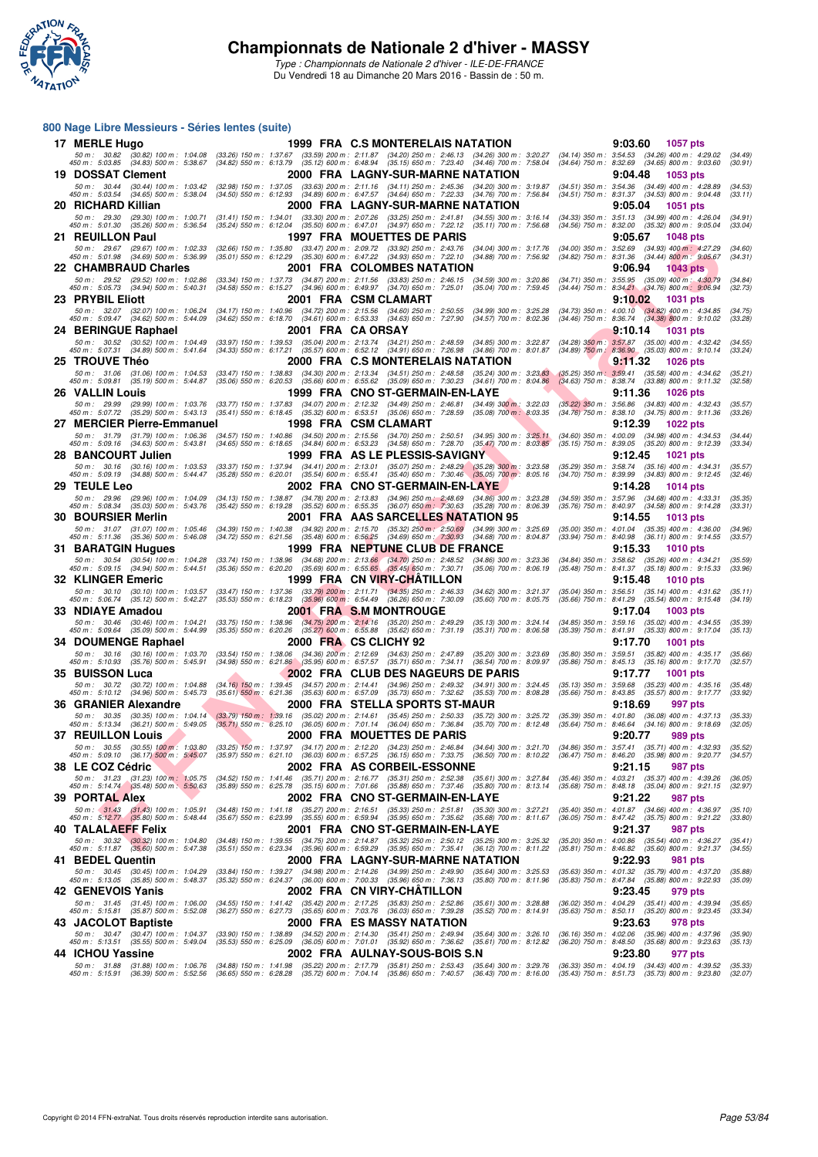

#### **800 Nage Libre Messieurs - Séries lentes (suite)**

| 17 MERLE Hugo                                                                                                                          |                                                                                                                                                                | 1999 FRA C.S MONTERELAIS NATATION                                                                                                                                                                                                                  | 9:03.60<br><b>1057 pts</b>                                                                                                             |
|----------------------------------------------------------------------------------------------------------------------------------------|----------------------------------------------------------------------------------------------------------------------------------------------------------------|----------------------------------------------------------------------------------------------------------------------------------------------------------------------------------------------------------------------------------------------------|----------------------------------------------------------------------------------------------------------------------------------------|
| 50 m: 30.82 (30.82) 100 m: 1:04.08<br>450 m : 5:03.85 (34.83) 500 m : 5:38.67                                                          |                                                                                                                                                                | (33.26) 150 m: 1:37.67 (33.59) 200 m: 2:11.87 (34.20) 250 m: 2:46.13 (34.26) 300 m: 3:20.27<br>(34.82) 550 m : 6:13.79 (35.12) 600 m : 6:48.94 (35.15) 650 m : 7:23.40 (34.46) 700 m : 7:58.04                                                     | $(34.14)$ 350 m : 3:54.53 $(34.26)$ 400 m : 4:29.02<br>(34.49)<br>(34.64) 750 m : 8:32.69 (34.65) 800 m : 9:03.60<br>(30.91)           |
| <b>19 DOSSAT Clement</b>                                                                                                               |                                                                                                                                                                | 2000 FRA LAGNY-SUR-MARNE NATATION                                                                                                                                                                                                                  | 9:04.48<br><b>1053 pts</b>                                                                                                             |
| 50 m: 30.44 (30.44) 100 m: 1:03.42                                                                                                     |                                                                                                                                                                | (32.98) 150 m: 1:37.05 (33.63) 200 m: 2:11.16 (34.11) 250 m: 2:45.36 (34.20) 300 m: 3:19.87                                                                                                                                                        | (34.51) 350 m: 3:54.36 (34.49) 400 m: 4:28.89<br>(34.53)                                                                               |
| 450 m : 5:03.54 (34.65) 500 m : 5:38.04                                                                                                |                                                                                                                                                                | (34.50) 550 m : 6:12.93 (34.89) 600 m : 6:47.57 (34.64) 650 m : 7:22.33 (34.76) 700 m : 7:56.84<br>2000 FRA LAGNY-SUR-MARNE NATATION                                                                                                               | (34.51) 750 m: 8:31.37 (34.53) 800 m: 9:04.48<br>(33.11)<br>9:05.04                                                                    |
| 20 RICHARD Killian<br>50 m: 29.30 (29.30) 100 m: 1:00.71                                                                               |                                                                                                                                                                | $(31.41)$ 150 m : 1:34.01 $(33.30)$ 200 m : 2:07.26 $(33.25)$ 250 m : 2:41.81 $(34.55)$ 300 m : 3:16.14                                                                                                                                            | <b>1051 pts</b><br>(34.33) 350 m: 3:51.13 (34.99) 400 m: 4:26.04<br>(34.91)                                                            |
| 450 m : 5:01.30 (35.26) 500 m : 5:36.54                                                                                                |                                                                                                                                                                | (35.24) 550 m: 6:12.04 (35.50) 600 m: 6:47.01 (34.97) 650 m: 7:22.12 (35.11) 700 m: 7:56.68                                                                                                                                                        | (34.56) 750 m : 8:32.00 (35.32) 800 m : 9:05.04<br>(33.04)                                                                             |
| 21 REUILLON Paul                                                                                                                       |                                                                                                                                                                | 1997 FRA MOUETTES DE PARIS                                                                                                                                                                                                                         | 9:05.67<br><b>1048 pts</b>                                                                                                             |
| 50 m: 29.67 (29.67) 100 m: 1:02.33<br>450 m : 5:01.98 (34.69) 500 m : 5:36.99                                                          | (32.66) 150 m: 1:35.80 (33.47) 200 m: 2:09.72 (33.92) 250 m: 2:43.76<br>$(35.01)$ 550 m : 6:12.29 $(35.30)$ 600 m : 6:47.22 $(34.93)$ 650 m : 7:22.10          | $(34.04)$ 300 m : 3:17.76<br>$(34.88)$ 700 m : 7:56.92                                                                                                                                                                                             | (34.00) 350 m: 3:52.69 (34.93) 400 m: 4:27.29<br>(34.60)<br>(34.82) 750 m: 8:31.36 (34.44) 800 m: 9:05.67<br>(34.31)                   |
| 22 CHAMBRAUD Charles                                                                                                                   |                                                                                                                                                                | 2001 FRA COLOMBES NATATION                                                                                                                                                                                                                         | 9:06.94<br><b>1043 pts</b>                                                                                                             |
| 50 m: 29.52<br>(29.52) 100 m : 1:02.86<br>450 m : 5:05.73 (34.94) 500 m : 5:40.31                                                      |                                                                                                                                                                | $(33.34) 150 m : 1:37.73 \t(34.87) 200 m : 2:11.56 \t(33.83) 250 m : 2:46.15 \t(34.59) 300 m : 3:20.86(34.58) 550 m : 6:15.27 \t(34.96) 600 m : 6:49.97 \t(34.70) 650 m : 7:25.01 \t(35.04) 700 m : 7:59.45$                                       | (34.71) 350 m: 3:55.95 (35.09) 400 m: 4:30.79<br>(34.84)<br>(34.44) 750 m : 8:34.21 (34.76) 800 m : 9:06.94<br>(32.73)                 |
| 23 PRYBIL Eliott                                                                                                                       |                                                                                                                                                                | 2001 FRA CSM CLAMART                                                                                                                                                                                                                               | 9:10.02<br><b>1031 pts</b>                                                                                                             |
| 50 m: 32.07 (32.07) 100 m: 1:06.24<br>450 m : 5:09.47 (34.62) 500 m : 5:44.09                                                          | $(34.62)$ 550 m : 6:18.70 $(34.61)$ 600 m : 6:53.33 $(34.63)$ 650 m : 7:27.90                                                                                  | (34.17) 150 m : 1:40.96 (34.72) 200 m : 2:15.56 (34.60) 250 m : 2:50.55 (34.99) 300 m : 3:25.28<br>$(34.57)$ 700 m : 8:02.36                                                                                                                       | $(34.73)$ 350 m : 4:00.10 $(34.82)$ 400 m : 4:34.85<br>(34.75)<br>(34.46) 750 m : 8:36.74 (34.38) 800 m : 9:10.02<br>(33.28)           |
| 24 BERINGUE Raphael                                                                                                                    | 2001 FRA CAORSAY                                                                                                                                               |                                                                                                                                                                                                                                                    | 9:10.14<br>1031 pts                                                                                                                    |
| 50 m: 30.52 (30.52) 100 m: 1:04.49                                                                                                     | (33.97) 150 m: 1:39.53 (35.04) 200 m: 2:13.74 (34.21) 250 m: 2:48.59                                                                                           | $(34.85)$ 300 m : 3:22.87                                                                                                                                                                                                                          | (34.28) 350 m : 3:57.87 (35.00) 400 m : 4:32.42<br>(34.55)                                                                             |
| 450 m: 5:07.31 (34.89) 500 m: 5:41.64<br>25 TROUVE Théo                                                                                |                                                                                                                                                                | (34.33) 550 m : 6:17.21 (35.57) 600 m : 6:52.12 (34.91) 650 m : 7:26.98 (34.86) 700 m : 8:01.87<br>2000 FRA C.S MONTERELAIS NATATION                                                                                                               | (34.89) 750 m: 8:36.90 (35.03) 800 m: 9:10.14<br>(33.24)<br><u>9:11.32</u><br><b>1026 pts</b>                                          |
| 50 m: 31.06 (31.06) 100 m: 1:04.53                                                                                                     | (33.47) 150 m : 1:38.83                                                                                                                                        | (34.30) 200 m : 2:13.34 (34.51) 250 m : 2:48.58<br>$(35.24)$ 300 m : 3:23.83                                                                                                                                                                       | $(35.25)$ 350 m : 3:59.41<br>$(35.58)$ 400 m : 4:34.62<br>(35.21)                                                                      |
| 450 m: 5:09.81 (35.19) 500 m: 5:44.87                                                                                                  | $(35.06)$ 550 m : 6:20.53                                                                                                                                      | (35.66) 600 m : 6:55.62 (35.09) 650 m : 7:30.23<br>$(34.61)$ 700 m : 8:04.86                                                                                                                                                                       | $(34.63)$ 750 m : 8:38.74<br>$(33.88)$ 800 m : 9:11.32<br>(32.58)                                                                      |
| <b>26 VALLIN Louis</b><br>50 m: 29.99 (29.99) 100 m: 1:03.76                                                                           |                                                                                                                                                                | 1999 FRA CNO ST-GERMAIN-EN-LAYE<br>(33.77) 150 m: 1:37.83 (34.07) 200 m: 2:12.32 (34.49) 250 m: 2:46.81 (34.49) 300 m: 3:22.03                                                                                                                     | 9:11.36<br><b>1026 pts</b><br>$(35.22)$ 350 m : 3:56.86 $(34.83)$ 400 m : 4:32.43<br>(35.57)                                           |
| 450 m: 5:07.72 (35.29) 500 m: 5:43.13                                                                                                  | (35.41) 550 m: 6:18.45 (35.32) 600 m: 6:53.51 (35.06) 650 m: 7:28.59                                                                                           | $(35.08)$ 700 m : 8:03.35                                                                                                                                                                                                                          | $(34.76)$ 750 m : 8:38.10<br>$(34.75)$ 800 m : 9:11.36<br>(33.26)                                                                      |
| 27 MERCIER Pierre-Emmanuel                                                                                                             |                                                                                                                                                                | 1998 FRA CSM CLAMART                                                                                                                                                                                                                               | 9:12.39<br><b>1022 pts</b>                                                                                                             |
| 50 m: 31.79 (31.79) 100 m: 1:06.36<br>450 m : 5:09.16 (34.63) 500 m : 5:43.81                                                          | (34.65) 550 m: 6:18.65 (34.84) 600 m: 6:53.23 (34.58) 650 m: 7:28.70                                                                                           | (34.57) 150 m: 1:40.86 (34.50) 200 m: 2:15.56 (34.70) 250 m: 2:50.51 (34.95) 300 m: 3:25.11<br>$(35.47)$ 700 m : 8:03.85                                                                                                                           | (34.60) 350 m : 4:00.09<br>$(34.98)$ 400 m : 4:34.53<br>(34.44)<br>$(35.15)$ 750 m : 8:39.05<br>$(35.20)$ 800 m : 9:12.39<br>(33.34)   |
| 28   BANCOURT Julien                                                                                                                   |                                                                                                                                                                | 1999 FRA AS LE PLESSIS-SAVIGNY                                                                                                                                                                                                                     | 9:12.45<br><b>1021 pts</b>                                                                                                             |
| 50 m: 30.16 (30.16) 100 m: 1:03.53<br>450 m : 5:09.19 (34.88) 500 m : 5:44.47                                                          |                                                                                                                                                                | (33.37) 150 m : 1:37.94 (34.41) 200 m : 2:13.01 (35.07) 250 m : 2:48.29 (35.28) 300 m : 3:23.58<br>(35.28) 550 m : 6:20.01 (35.54) 600 m : 6:55.41 (35.40) 650 m : 7:30.46 (35.05) 700 m : 8:05.16                                                 | (35.29) 350 m : 3:58.74<br>$(35.16)$ 400 m : 4:34.31<br>(35.57)<br>(34.70) 750 m : 8:39.99 (34.83) 800 m : 9:12.45<br>(32.46)          |
| 29 TEULE Leo                                                                                                                           |                                                                                                                                                                | 2002 FRA CNO ST-GERMAIN-EN-LAYE                                                                                                                                                                                                                    | 9:14.28<br><b>1014 pts</b>                                                                                                             |
| 50 m: 29.96 (29.96) 100 m: 1:04.09<br>450 m: 5:08.34 (35.03) 500 m: 5:43.76                                                            |                                                                                                                                                                | $(34.13) 150 \text{ m}: 1:38.87 \quad (34.78) 200 \text{ m}: 2:13.83 \quad (34.96) 250 \text{ m}: 2:48.69 \quad (34.86) 300 \text{ m}: 3:23.28$<br>(35.42) 550 m : 6:19.28 (35.52) 600 m : 6:55.35 (36.07) 650 m : 7:30.63 (35.28) 700 m : 8:06.39 | (34.59) 350 m: 3:57.96 (34.68) 400 m: 4:33.31<br>(35.35)<br>(35.76) 750 m: 8:40.97 (34.58) 800 m: 9:14.28<br>(33.31)                   |
| 30 BOURSIER Merlin                                                                                                                     |                                                                                                                                                                | 2001 FRA AAS SARCELLES NATATION 95                                                                                                                                                                                                                 | 9:14.55<br>1013 pts                                                                                                                    |
| 50 m: 31.07 (31.07) 100 m: 1:05.46                                                                                                     | $(34.39)$ 150 m : 1:40.38 $(34.92)$ 200 m : 2:15.70 $(35.32)$ 250 m : 2:50.69                                                                                  | (34.99) 300 m : 3:25.69                                                                                                                                                                                                                            | $(35.00)$ 350 m : 4:01.04 $(35.35)$ 400 m : 4:36.00<br>(34.96)                                                                         |
| 450 m : 5:11.36 (35.36) 500 m : 5:46.08                                                                                                | $(34.72)$ 550 m : 6:21.56 $(35.48)$ 600 m : 6:56.25 $(34.69)$ 650 m : 7:30.93                                                                                  | $(34.68)$ 700 m : 8:04.87<br>1999 FRA NEPTUNE CLUB DE FRANCE                                                                                                                                                                                       | (33.94) 750 m : 8:40.98 (36.11) 800 m : 9:14.55<br>(33.57)<br>9:15.33<br><b>1010 pts</b>                                               |
| 31 BARATGIN Hugues<br>50 m: 30.54 (30.54) 100 m: 1:04.28                                                                               |                                                                                                                                                                | $(34.86)$ 300 m : 3:23.36                                                                                                                                                                                                                          | (34.84) 350 m : 3:58.62 (35.26) 400 m : 4:34.21<br>(35.59)                                                                             |
| 450 m : 5:09.15 (34.94) 500 m : 5:44.51                                                                                                | $(33.74)$ 150 m : 1:38.96 $(34.68)$ 200 m : 2:13.66 $(34.70)$ 250 m : 2:48.52<br>$(35.36)$ 550 m : 6:20.20 $(35.69)$ 600 m : 6:55.65 $(35.45)$ 650 m : 7:30.71 | $(35.06)$ 700 m : 8:06.19                                                                                                                                                                                                                          | (35.48) 750 m: 8:41.37 (35.18) 800 m: 9:15.33<br>(33.96)                                                                               |
| 32 KLINGER Emeric<br>50 m : 30.10 (30.10) 100 m : 1:03.57                                                                              | $(33.47)$ 150 m : 1:37.36 $(33.79)$ 200 m : 2:11.71 $(34.35)$ 250 m : 2:46.33                                                                                  | 1999 FRA CN VIRY-CHATILLON<br>$(34.62)$ 300 m : 3:21.37                                                                                                                                                                                            | 9:15.48<br><b>1010 pts</b><br>$(35.04)$ 350 m : 3:56.51 $(35.14)$ 400 m : 4:31.62<br>(35.11)                                           |
| 450 m : 5:06.74 (35.12) 500 m : 5:42.27                                                                                                | (35.53) 550 m: 6:18.23 (35.96) 600 m: 6:54.49 (36.26) 650 m: 7:30.09                                                                                           | $(35.60)$ 700 m : 8:05.75                                                                                                                                                                                                                          | (35.66) 750 m: 8:41.29 (35.54) 800 m: 9:15.48<br>(34.19)                                                                               |
| <b>33 NDIAYE Amadou</b>                                                                                                                |                                                                                                                                                                | 2001 FRA S.M MONTROUGE                                                                                                                                                                                                                             | 9:17.04<br><b>1003 pts</b>                                                                                                             |
| 50 m: 30.46 (30.46) 100 m: 1:04.21<br>450 m: 5:09.64 (35.09) 500 m: 5:44.99                                                            | (33.75) 150 m : 1:38.96 (34.75) 200 m : 2:14.16 (35.20) 250 m : 2:49.29<br>(35.35) 550 m: 6:20.26 (35.27) 600 m: 6:55.88 (35.62) 650 m: 7:31.19                | $(35.13)$ 300 m : 3:24.14<br>$(35.31)$ 700 m : 8:06.58                                                                                                                                                                                             | (34.85) 350 m: 3:59.16 (35.02) 400 m: 4:34.55<br>(35.39)<br>(35.39) 750 m : 8:41.91 (35.33) 800 m : 9:17.04<br>(35.13)                 |
| <b>34 DOUMENGE Raphael</b>                                                                                                             |                                                                                                                                                                | 2000 FRA CS CLICHY 92                                                                                                                                                                                                                              | 9:17.70<br><b>1001 pts</b>                                                                                                             |
| 50 m: 30.16 (30.16) 100 m: 1:03.70<br>450 m : 5:10.93<br>(35.76) 500 m : 5:45.91                                                       | (33.54) 150 m : 1:38.06 (34.36) 200 m : 2:12.69 (34.63) 250 m : 2:47.89                                                                                        | $(35.20)$ 300 m : 3:23.69<br>(34.98) 550 m : 6:21.86 (35.95) 600 m : 6:57.57 (35.71) 650 m : 7:34.11 (36.54) 700 m : 8:09.97                                                                                                                       | $(35.80)$ 350 m : 3:59.51<br>$(35.82)$ 400 m : 4:35.17<br>(35.66)<br>$(35.86)$ 750 m : 8:45.13<br>$(35.16)$ 800 m : 9:17.70<br>(32.57) |
| <b>35 BUISSON Luca</b>                                                                                                                 |                                                                                                                                                                | 2002 FRA CLUB DES NAGEURS DE PARIS                                                                                                                                                                                                                 | 9:17.77<br><b>1001 pts</b>                                                                                                             |
| 50 m: 30.72 (30.72) 100 m: 1:04.88<br>450 m: 5:10.12 (34.96) 500 m: 5:45.73                                                            | (34.16) 150 m : 1:39.45 (34.57) 200 m : 2:14.41 (34.96) 250 m : 2:49.32<br>$(35.63)$ 600 m : 6:57.09<br>$(35.61)$ 550 m : 6:21.36                              | $(34.91)$ 300 m : 3:24.45<br>$(35.73)$ 650 m : 7:32.62<br>$(35.53)$ 700 m : 8:08.28                                                                                                                                                                | (35.13) 350 m : 3:59.68<br>$(35.23)$ 400 m : 4:35.16<br>(35.48)<br>$(35.66)$ 750 m : 8:43.85<br>(33.92)<br>$(35.57)$ 800 m : 9:17.77   |
| 36 GRANIER Alexandre                                                                                                                   |                                                                                                                                                                | 2000 FRA STELLA SPORTS ST-MAUR                                                                                                                                                                                                                     | 9:18.69<br>997 pts                                                                                                                     |
|                                                                                                                                        |                                                                                                                                                                | 50 m : 30.35 (30.35) 100 m : 1:04.14 (33.79) 150 m : 1:39.16 (35.02) 200 m : 2:14.61 (35.45) 250 m : 2:50.33 (35.72) 300 m : 3:25.72                                                                                                               | (35.39) 350 m : 4:01.80 (36.08) 400 m : 4:37.13<br>(35.33)                                                                             |
| 450 m : 5:13.34 (36.21) 500 m : 5:49.05 (35.71) 550 m : 6:25.10 (36.05) 600 m : 7:01.14 (36.04) 650 m : 7:36.84<br>37   REUILLON Louis |                                                                                                                                                                | (35.70) 700 m : 8:12.48<br>2000 FRA MOUETTES DE PARIS                                                                                                                                                                                              | (35.64) 750 m: 8:46.64 (34.16) 800 m: 9:18.69<br>(32.05)<br>9:20.77<br>989 pts                                                         |
|                                                                                                                                        |                                                                                                                                                                |                                                                                                                                                                                                                                                    |                                                                                                                                        |
|                                                                                                                                        |                                                                                                                                                                | 50 m: 30.55 (30.55) 100 m: 1:03.80 (33.25) 150 m: 1:37.97 (34.17) 200 m: 2:12.20 (34.23) 250 m: 2:46.84 (34.64) 300 m: 3:21.70 (34.86) 350 m: 3:57.41 (35.71) 400 m: 4:32.93 (35.52)<br>450 m: 5:09.10 (36.17) 500 m: 5:45,07 (35                  |                                                                                                                                        |
| 38 LE COZ Cédric<br>50 m: 31.23 (31.23) 100 m: 1:05.75                                                                                 |                                                                                                                                                                | 2002 FRA AS CORBEIL-ESSONNE<br>(34.52) 150 m: 1:41.46 (35.71) 200 m: 2:16.77 (35.31) 250 m: 2:52.38 (35.61) 300 m: 3:27.84                                                                                                                         | 9:21.15<br>987 pts<br>(35.46) 350 m: 4:03.21 (35.37) 400 m: 4:39.26<br>(36.05)                                                         |
| 450 m : 5:14.74 (35.48) 500 m : 5:50.63                                                                                                |                                                                                                                                                                | (35.89) 550 m : 6:25.78 (35.15) 600 m : 7:01.66 (35.88) 650 m : 7:37.46 (35.80) 700 m : 8:13.14                                                                                                                                                    | $(35.68)$ 750 m : 8:48.18 $(35.04)$ 800 m : 9:21.15<br>(32.97)                                                                         |
| 39 PORTAL Alex                                                                                                                         |                                                                                                                                                                | 2002 FRA CNO ST-GERMAIN-EN-LAYE                                                                                                                                                                                                                    | 9:21.22<br>987 pts                                                                                                                     |
| $50 \text{ m}:$ 31.43 (31.43) 100 m : 1:05.91<br>450 m : 5:12.77 (35.80) 500 m : 5:48.44                                               | (34.48) 150 m : 1:41.18 (35.27) 200 m : 2:16.51<br>$(35.55)$ 600 m : 6.59.94<br>$(35.67)$ 550 m : 6:23.99                                                      | $(35.33)$ 250 m : 2:51.81<br>$(35.30)$ 300 m : 3:27.21<br>$(35.95)$ 650 m : 7:35.62<br>$(35.68)$ 700 m : $8:11.67$                                                                                                                                 | (35.40) 350 m: 4:01.87 (34.66) 400 m: 4:36.97<br>(35.10)<br>(36.05) 750 m : 8:47.42 (35.75) 800 m : 9:21.22<br>(33.80)                 |
| 40 TALALAEFF Felix                                                                                                                     |                                                                                                                                                                | 2001 FRA CNO ST-GERMAIN-EN-LAYE                                                                                                                                                                                                                    | 9:21.37<br>987 pts                                                                                                                     |
| 50 m : 30.32 (30.32) 100 m : 1:04.80<br>450 m: 5:11.87 (35.60) 500 m: 5:47.38                                                          |                                                                                                                                                                | (34.48) 150 m : 1:39.55 (34.75) 200 m : 2:14.87 (35.32) 250 m : 2:50.12 (35.25) 300 m : 3:25.32<br>(35.51) 550 m : 6:23.34 (35.96) 600 m : 6:59.29 (35.95) 650 m : 7:35.41 (36.12) 700 m : 8:11.22                                                 | (35.20) 350 m : 4:00.86 (35.54) 400 m : 4:36.27<br>(35.41)<br>(35.81) 750 m: 8:46.82 (35.60) 800 m: 9:21.37<br>(34.55)                 |
| 41 BEDEL Quentin                                                                                                                       |                                                                                                                                                                | 2000 FRA LAGNY-SUR-MARNE NATATION                                                                                                                                                                                                                  | 9:22.93<br>981 pts                                                                                                                     |
| 50 m: 30.45 (30.45) 100 m: 1:04.29<br>450 m: 5:13.05 (35.85) 500 m: 5:48.37                                                            | (33.84) 150 m: 1:39.27 (34.98) 200 m: 2:14.26 (34.99) 250 m: 2:49.90<br>(35.32) 550 m: 6:24.37 (36.00) 600 m: 7:00.33 (35.96) 650 m: 7:36.13                   | $(35.64)$ 300 m : 3:25.53<br>$(35.80)$ 700 m : 8:11.96                                                                                                                                                                                             | (35.63) 350 m: 4:01.32 (35.79) 400 m: 4:37.20<br>(35.88)<br>(35.83) 750 m: 8:47.84 (35.88) 800 m: 9:22.93<br>(35.09)                   |
| 42 GENEVOIS Yanis                                                                                                                      |                                                                                                                                                                | 2002 FRA CN VIRY-CHATILLON                                                                                                                                                                                                                         | 9:23.45<br>979 pts                                                                                                                     |
| 50 m: 31.45 (31.45) 100 m: 1:06.00                                                                                                     | (34.55) 150 m: 1:41.42 (35.42) 200 m: 2:17.25 (35.83) 250 m: 2:52.86                                                                                           | $(35.61)$ 300 m : 3:28.88                                                                                                                                                                                                                          | (36.02) 350 m : 4:04.29 (35.41) 400 m : 4:39.94<br>(35.65)                                                                             |
| 450 m: 5:15.81 (35.87) 500 m: 5:52.08<br>43 JACOLOT Baptiste                                                                           | (36.27) 550 m: 6:27.73 (35.65) 600 m: 7:03.76 (36.03) 650 m: 7:39.28                                                                                           | $(35.52)$ 700 m : 8:14.91<br>2000 FRA ES MASSY NATATION                                                                                                                                                                                            | (35.63) 750 m: 8:50.11 (35.20) 800 m: 9:23.45<br>(33.34)<br>9:23.63<br>978 pts                                                         |
| 50 m : 30.47 (30.47) 100 m : 1:04.37                                                                                                   | (33.90) 150 m: 1:38.89 (34.52) 200 m: 2:14.30 (35.41) 250 m: 2:49.94                                                                                           | $(35.64)$ 300 m : 3:26.10                                                                                                                                                                                                                          | $(36.16)$ 350 m : 4:02.06 $(35.96)$ 400 m : 4:37.96<br>(35.90)                                                                         |
| 450 m : 5:13.51 (35.55) 500 m : 5:49.04                                                                                                | (35.53) 550 m: 6:25.09 (36.05) 600 m: 7:01.01 (35.92) 650 m: 7:36.62                                                                                           | $(35.61)$ 700 m : 8:12.82                                                                                                                                                                                                                          | (36.20) 750 m : 8:48.50 (35.68) 800 m : 9:23.63<br>(35.13)                                                                             |
| 44 ICHOU Yassine<br>50 m: 31.88 (31.88) 100 m: 1:06.76                                                                                 | (34.88) 150 m: 1:41.98 (35.22) 200 m: 2:17.79 (35.81) 250 m: 2:53.43                                                                                           | 2002 FRA AULNAY-SOUS-BOIS S.N<br>$(35.64)$ 300 m : 3:29.76                                                                                                                                                                                         | 9:23.80<br>977 pts<br>(36.33) 350 m : 4:04.19 (34.43) 400 m : 4:39.52<br>(35.33)                                                       |
| 450 m : 5:15.91 (36.39) 500 m : 5:52.56                                                                                                | (36.65) 550 m : 6:28.28 (35.72) 600 m : 7:04.14                                                                                                                | $(35.86)$ 650 m : 7:40.57<br>$(36.43)$ 700 m : 8:16.00                                                                                                                                                                                             | (35.43) 750 m : 8:51.73 (35.73) 800 m : 9:23.80<br>(32.07)                                                                             |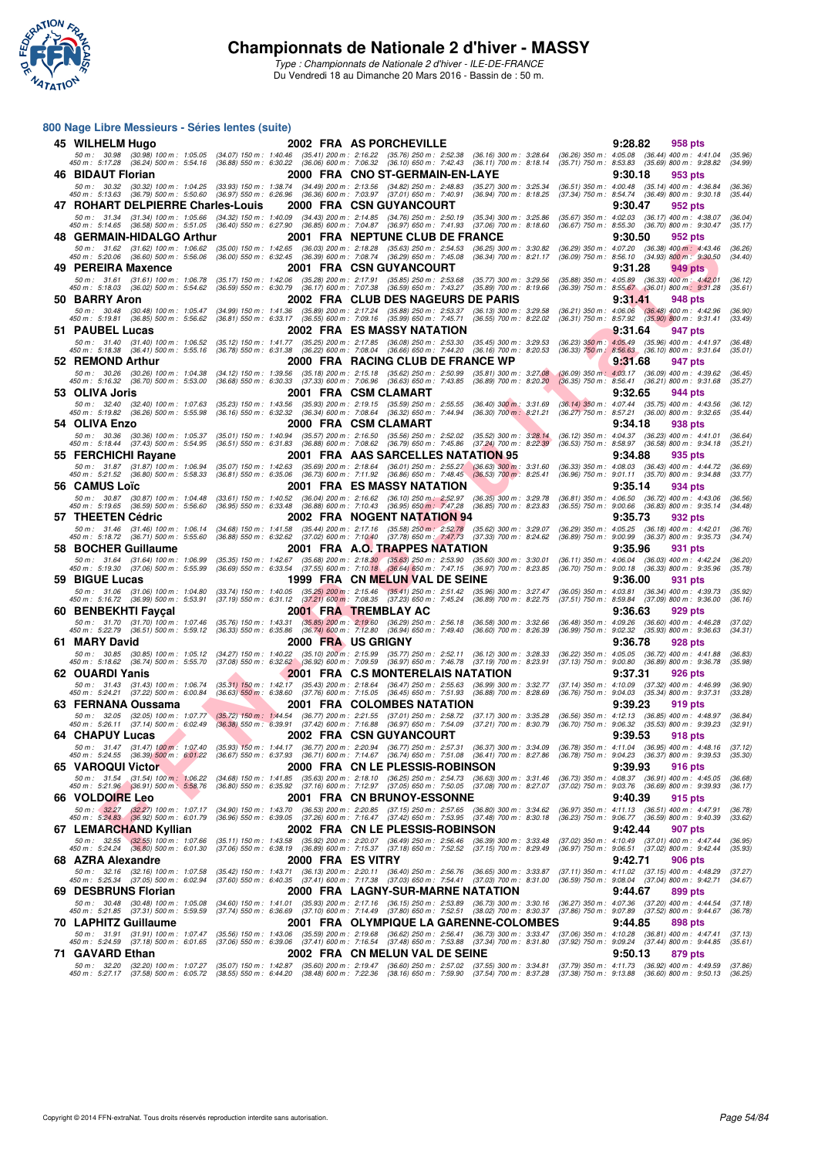

#### **800 Nage Libre Messieurs - Séries lentes (suite)**

| 45 WILHELM Hugo                                                                                                                                                                                                                 |                                                                                                                                                    | 2002 FRA AS PORCHEVILLE                                                                                                                                                                                                                                                                          | 9:28.82<br>958 pts                                                                                                                 |
|---------------------------------------------------------------------------------------------------------------------------------------------------------------------------------------------------------------------------------|----------------------------------------------------------------------------------------------------------------------------------------------------|--------------------------------------------------------------------------------------------------------------------------------------------------------------------------------------------------------------------------------------------------------------------------------------------------|------------------------------------------------------------------------------------------------------------------------------------|
| 50 m : 30.98 (30.98) 100 m : 1:05.05 (34.07) 150 m : 1:40.46 (35.41) 200 m : 2:16.22 (35.76) 250 m : 2:52.38<br>450 m: 5:17.28 (36.24) 500 m: 5:54.16 (36.88) 550 m: 6:30.22 (36.06) 600 m: 7:06.32 (36.10) 650 m: 7:42.43      |                                                                                                                                                    | $(36.16)$ 300 m : 3:28.64<br>$(36.11)$ 700 m : 8:18.14                                                                                                                                                                                                                                           | $(36.26)$ 350 m : 4:05.08 $(36.44)$ 400 m : 4:41.04<br>(35.96)<br>(35.71) 750 m: 8:53.83 (35.69) 800 m: 9:28.82<br>(34.99)         |
| 46 BIDAUT Florian                                                                                                                                                                                                               |                                                                                                                                                    | 2000 FRA CNO ST-GERMAIN-EN-LAYE                                                                                                                                                                                                                                                                  | 9:30.18<br>953 pts                                                                                                                 |
| 50 m: 30.32 (30.32) 100 m: 1:04.25<br>450 m : 5:13.63 (36.79) 500 m : 5:50.60                                                                                                                                                   | (33.93) 150 m : 1:38.74 (34.49) 200 m : 2:13.56 (34.82) 250 m : 2:48.83                                                                            | (35.27) 300 m : 3:25.34<br>(36.97) 550 m : 6:26.96 (36.36) 600 m : 7:03.97 (37.01) 650 m : 7:40.91 (36.94) 700 m : 8:18.25                                                                                                                                                                       | (36.51) 350 m: 4:00.48 (35.14) 400 m: 4:36.84<br>(36.36)<br>(37.34) 750 m : 8:54.74 (36.49) 800 m : 9:30.18<br>(35.44)             |
| 47 ROHART DELPIERRE Charles-Louis                                                                                                                                                                                               |                                                                                                                                                    | 2000 FRA CSN GUYANCOURT                                                                                                                                                                                                                                                                          | 9:30.47<br>952 pts                                                                                                                 |
| 50 m : 31.34 (31.34) 100 m : 1:05.66 (34.32) 150 m : 1:40.09 (34.43) 200 m : 2:14.85 (34.76) 250 m : 2:50.19<br>450 m : 5:14.65 (36.58) 500 m : 5:51.05 (36.40) 550 m : 6:27.90 (36.85) 600 m : 7:04.87 (36.97) 650 m : 7:41.93 |                                                                                                                                                    | (35.34) 300 m : 3:25.86<br>(37.06) 700 m : 8:18.60                                                                                                                                                                                                                                               | (35.67) 350 m : 4:02.03 (36.17) 400 m : 4:38.07<br>(36.04)<br>(36.67) 750 m : 8:55.30 (36.70) 800 m : 9:30.47<br>(35.17)           |
| 48 GERMAIN-HIDALGO Arthur                                                                                                                                                                                                       |                                                                                                                                                    | 2001 FRA NEPTUNE CLUB DE FRANCE                                                                                                                                                                                                                                                                  | 9:30.50<br>952 pts                                                                                                                 |
| 50 m : 31.62 (31.62) 100 m : 1:06.62                                                                                                                                                                                            | (35.00) 150 m: 1:42.65 (36.03) 200 m: 2:18.28 (35.63) 250 m: 2:54.53                                                                               | $(36.25)$ 300 m : 3:30.82                                                                                                                                                                                                                                                                        | $(36.29)$ 350 m : 4:07.20 $(36.38)$ 400 m : 4:43.46<br>(36.26)                                                                     |
| 450 m: 5:20.06 (36.60) 500 m: 5:56.06<br>49 PEREIRA Maxence                                                                                                                                                                     | (36.00) 550 m : 6:32.45 (36.39) 600 m : 7:08.74 (36.29) 650 m : 7:45.08                                                                            | $(36.34)$ 700 m : 8:21.17<br>2001 FRA CSN GUYANCOURT                                                                                                                                                                                                                                             | (36.09) 750 m : 8:56.10 (34.93) 800 m : 9:30.50<br>(34.40)<br>9:31.28<br>949 pts                                                   |
| 50 m : 31.61 (31.61) 100 m : 1:06.78                                                                                                                                                                                            | (35.17) 150 m: 1:42.06 (35.28) 200 m: 2:17.91 (35.85) 250 m: 2:53.68                                                                               | (35.77) 300 m : 3:29.56                                                                                                                                                                                                                                                                          | (35.88) 350 m : 4:05.89 (36.33) 400 m : 4:42.01<br>(36.12)                                                                         |
| 450 m : 5:18.03 (36.02) 500 m : 5:54.62<br>50 BARRY Aron                                                                                                                                                                        |                                                                                                                                                    | (36.59) 550 m : 6:30.79 (36.17) 600 m : 7:07.38 (36.59) 650 m : 7:43.27 (35.89) 700 m : 8:19.66<br>2002 FRA CLUB DES NAGEURS DE PARIS                                                                                                                                                            | $(36.39)$ 750 m : 8:55.67 $(36.01)$ 800 m : 9:31.28<br>(35.61)<br>9:31.41<br>948 pts                                               |
| 50 m: 30.48<br>(30.48) 100 m : 1:05.47                                                                                                                                                                                          |                                                                                                                                                    | $(34.99) 150 m : 1:41.36 (35.89) 200 m : 2:17.24 (35.88) 250 m : 2:53.37 (36.13) 300 m : 3:29.58(36.81) 550 m : 6:33.17 (36.55) 600 m : 7:09.16 (35.99) 650 m : 7:45.71 (36.55) 700 m : 8:22.02$                                                                                                 | $(36.21)$ 350 m : 4:06.06<br>$(36.48)$ 400 m : 4:42.96<br>(36.90)                                                                  |
| 450 m : 5:19.81 (36.85) 500 m : 5:56.62                                                                                                                                                                                         |                                                                                                                                                    |                                                                                                                                                                                                                                                                                                  | (36.31) 750 m : 8:57.92 (35.90) 800 m : 9:31.41<br>(33.49)                                                                         |
| 51 PAUBEL Lucas<br>50 m: 31.40 (31.40) 100 m: 1:06.52                                                                                                                                                                           | (35.12) 150 m: 1:41.77 (35.25) 200 m: 2:17.85 (36.08) 250 m: 2:53.30                                                                               | 2002 FRA ES MASSY NATATION<br>$(35.45)$ 300 m : 3:29.53                                                                                                                                                                                                                                          | 9:31.64<br>947 pts<br>(36.23) 350 m: 4:05.49 (35.96) 400 m: 4:41.97<br>(36.48)                                                     |
| 450 m : 5:18.38 (36.41) 500 m : 5:55.16                                                                                                                                                                                         | (36.78) 550 m : 6:31.38 (36.22) 600 m : 7:08.04 (36.66) 650 m : 7:44.20                                                                            | $(36.16)$ 700 m : 8:20.53                                                                                                                                                                                                                                                                        | $(36.33)$ 750 m $: 8.56.63$ $(36.10)$ 800 m $: 9.31.64$<br>(35.01)                                                                 |
| 52 REMOND Arthur<br>50 m: 30.26 (30.26) 100 m: 1:04.38                                                                                                                                                                          | $(34.12)$ 150 m : 1:39.56                                                                                                                          | 2000 FRA RACING CLUB DE FRANCE WP<br>(35.18) 200 m : 2:15.18 (35.62) 250 m : 2:50.99<br>$(35.81)$ 300 m : 3:27.08                                                                                                                                                                                | 9:31.68<br>947 pts<br>$(36.09)$ 350 m : 4:03.17<br>$(36.09)$ 400 m : 4:39.62<br>(36.45)                                            |
| 450 m: 5:16.32 (36.70) 500 m: 5:53.00                                                                                                                                                                                           | $(37.33)$ 600 m : 7:06.96<br>$(36.68)$ 550 m : 6:30.33                                                                                             | $(36.63)$ 650 m : 7:43.85<br>$(36.89)$ 700 m : 8:20.20                                                                                                                                                                                                                                           | (35.27)<br>$(36.35)$ 750 m : 8:56.41<br>$(36.21)$ 800 m : 9:31.68                                                                  |
| 53 OLIVA Joris<br>50 m : 32.40 (32.40) 100 m : 1:07.63                                                                                                                                                                          | (35.23) 150 m: 1:43.56 (35.93) 200 m: 2:19.15 (35.59) 250 m: 2:55.55                                                                               | 2001 FRA CSM CLAMART<br>$(36.40)$ 300 m; 3:31.69                                                                                                                                                                                                                                                 | 9:32.65<br>944 pts<br>$(36.14)$ 350 m : 4:07.44 $(35.75)$ 400 m : 4:43.56<br>(36.12)                                               |
| 450 m : 5:19.82 (36.26) 500 m : 5:55.98                                                                                                                                                                                         | $(36.16)$ 550 m : 6:32.32                                                                                                                          | (36.34) 600 m : 7:08.64 (36.32) 650 m : 7:44.94<br>$(36.30)$ 700 m : 8:21.21                                                                                                                                                                                                                     | (36.27) 750 m: 8:57.21 (36.00) 800 m: 9:32.65<br>(35.44)                                                                           |
| 54 OLIVA Enzo                                                                                                                                                                                                                   |                                                                                                                                                    | 2000 FRA CSM CLAMART                                                                                                                                                                                                                                                                             | 9:34.18<br>938 pts                                                                                                                 |
| 50 m: 30.36 (30.36) 100 m: 1:05.37<br>450 m : 5:18.44 (37.43) 500 m : 5:54.95                                                                                                                                                   | (35.01) 150 m : 1:40.94 (35.57) 200 m : 2:16.50 (35.56) 250 m : 2:52.02<br>(36.51) 550 m : 6:31.83 (36.88) 600 m : 7:08.62 (36.79) 650 m : 7:45.86 | $(35.52)$ 300 m : 3:28.14<br>$(37.24)$ 700 m : 8:22.39                                                                                                                                                                                                                                           | (36.12) 350 m : 4:04.37<br>$(36.23)$ 400 m : 4:41.01<br>(36.64)<br>(36.53) 750 m : 8:58.97<br>$(36.58)$ 800 m : 9:34.18<br>(35.21) |
| 55 FERCHICHI Rayane                                                                                                                                                                                                             |                                                                                                                                                    | <b>2001 FRA AAS SARCELLES NATATION 95</b>                                                                                                                                                                                                                                                        | 9:34.88<br>935 pts                                                                                                                 |
| 50 m: 31.87 (31.87) 100 m: 1:06.94<br>450 m : 5:21.52 (36.80) 500 m : 5:58.33                                                                                                                                                   |                                                                                                                                                    | (35.07) 150 m : 1:42.63 (35.69) 200 m : 2:18.64 (36.01) 250 m : 2:55.27 (36.63) 300 m : 3:31.60<br>(36.81) 550 m: 6:35.06 (36.73) 600 m: 7:11.92 (36.86) 650 m: 7:48.45 (36.53) 700 m: 8:25.41                                                                                                   | (36.33) 350 m: 4:08.03 (36.43) 400 m: 4:44.72<br>(36.69)<br>(36.96) 750 m : 9:01.11 (35.70) 800 m : 9:34.88<br>(33.77)             |
| 56 CAMUS Loïc                                                                                                                                                                                                                   |                                                                                                                                                    | 2001 FRA ES MASSY NATATION                                                                                                                                                                                                                                                                       | 9:35.14<br>934 pts                                                                                                                 |
| 50 m: 30.87 (30.87) 100 m: 1:04.48<br>450 m : 5:19.65 (36.59) 500 m : 5:56.60                                                                                                                                                   | (36.95) 550 m : 6:33.48 (36.88) 600 m : 7:10.43 (36.95) 650 m : 7:47.28                                                                            | (33.61) 150 m : 1:40.52 (36.04) 200 m : 2:16.62 (36.10) 250 m : 2:52.97 (36.35) 300 m : 3:29.78<br>(36.85) 700 m : 8:23.83                                                                                                                                                                       | $(36.81)$ 350 m : 4:06.50 $(36.72)$ 400 m : 4:43.06<br>(36.56)<br>(36.55) 750 m : 9:00.66 (36.83) 800 m : 9:35.14<br>(34.48)       |
| 57 THEETEN Cédric                                                                                                                                                                                                               |                                                                                                                                                    | 2002 FRA NOGENT NATATION 94                                                                                                                                                                                                                                                                      | 9:35.73<br>932 pts                                                                                                                 |
| 50 m : 31.46 (31.46) 100 m : 1:06.14<br>450 m : 5:18.72 (36.71) 500 m : 5:55.60                                                                                                                                                 | (36.88) 550 m : 6:32.62 (37.02) 600 m : 7:10.40 (37.78) 650 m : 7:47.73                                                                            | (34.68) 150 m : 1:41.58 (35.44) 200 m : 2:17.16 (35.58) 250 m : 2:52.78 (35.62) 300 m : 3:29.07<br>$(37.33)$ 700 m : 8:24.62                                                                                                                                                                     | $(36.29)$ 350 m : 4:05.25 $(36.18)$ 400 m : 4:42.01<br>(36.76)<br>(36.89) 750 m : 9:00.99 (36.37) 800 m : 9:35.73<br>(34.74)       |
| 58 BOCHER Guillaume                                                                                                                                                                                                             |                                                                                                                                                    | 2001 FRA A.O. TRAPPES NATATION                                                                                                                                                                                                                                                                   | 9:35.96<br>931 pts                                                                                                                 |
| 50 m: 31.64 (31.64) 100 m: 1:06.99                                                                                                                                                                                              |                                                                                                                                                    | $\begin{array}{cccc} (35.35) \ 150 \ m : \ 1.42.67 & (35.68) \ 200 \ m : \ 2.18.30 & (35.63) \ 250 \ m : \ 2.53.90 & (35.60) \ 300 \ m : \ 3.30.01 \\ (36.69) \ 550 \ m : \ 6.33.54 & (37.55) \ 600 \ m : \ 7.10.18 & (36.64) \ 650 \ m : \ 7.47.15 & (36.97) \ 700 \ m : \ 8.23.85 \end{array}$ | (36.11) 350 m: 4:06.04 (36.03) 400 m: 4:42.24<br>(36.20)                                                                           |
| 450 m : 5:19.30 (37.06) 500 m : 5:55.99<br>59 BIGUE Lucas                                                                                                                                                                       |                                                                                                                                                    | 1999 FRA CN MELUN VAL DE SEINE                                                                                                                                                                                                                                                                   | (36.70) 750 m : 9:00.18 (36.33) 800 m : 9:35.96<br>(35.78)<br>9:36.00<br>931 pts                                                   |
| 50 m: 31.06 (31.06) 100 m: 1:04.80                                                                                                                                                                                              |                                                                                                                                                    | (33.74) 150 m : 1:40.05 (35.25) 200 m : 2:15.46 (35.41) 250 m : 2:51.42 (35.96) 300 m : 3:27.47                                                                                                                                                                                                  | (36.05) 350 m : 4:03.81 (36.34) 400 m : 4:39.73<br>(35.92)                                                                         |
| 450 m : 5:16.72 (36.99) 500 m : 5:53.91<br>60 BENBEKHTI Fayçal                                                                                                                                                                  |                                                                                                                                                    | (37.19) 550 m : 6:31.12 (37.21) 600 m : 7:08.35 (37.23) 650 m : 7:45.24 (36.89) 700 m : 8:22.75<br>2001 FRA TREMBLAY AC                                                                                                                                                                          | (37.51) 750 m : 8:59.84 (37.09) 800 m : 9:36.00<br>(36.16)<br>9:36.63<br>929 pts                                                   |
| 50 m: 31.70 (31.70) 100 m: 1:07.46                                                                                                                                                                                              |                                                                                                                                                    | (35.76) 150 m : 1:43.31 (35.85) 200 m : 2:19.60 (36.29) 250 m : 2:56.18 (36.58) 300 m : 3:32.66                                                                                                                                                                                                  | (36.48) 350 m: 4:09.26 (36.60) 400 m: 4:46.28<br>(37.02)                                                                           |
| 450 m : 5:22.79 (36.51) 500 m : 5:59.12                                                                                                                                                                                         |                                                                                                                                                    | (36.33) 550 m : 6:35.86 (36.74) 600 m : 7:12.80 (36.94) 650 m : 7:49.40 (36.60) 700 m : 8:26.39                                                                                                                                                                                                  | (36.99) 750 m : 9:02.32 (35.93) 800 m : 9:36.63<br>(34.31)<br>9:36.78<br>928 pts                                                   |
| 61 MARY David<br>50 m : 30.85 (30.85) 100 m : 1:05.12                                                                                                                                                                           |                                                                                                                                                    | 2000 FRA US GRIGNY<br>(34.27) 150 m : 1:40.22 (35.10) 200 m : 2:15.99 (35.77) 250 m : 2:52.11 (36.12) 300 m : 3:28.33                                                                                                                                                                            | (36.22) 350 m: 4:05.05 (36.72) 400 m: 4:41.88<br>(36.83)                                                                           |
| 450 m: 5:18.62 (36.74) 500 m: 5:55.70                                                                                                                                                                                           |                                                                                                                                                    | (37.08) 550 m : 6:32.62 (36.92) 600 m : 7:09.59 (36.97) 650 m : 7:46.78 (37.19) 700 m : 8:23.91                                                                                                                                                                                                  | $(37.13)$ 750 m : $9.00.80$<br>(35.98)<br>$(36.89)$ 800 m : 9:36.78                                                                |
| 62 OUARDI Yanis<br>50 m: 31.43 (31.43) 100 m: 1:06.74                                                                                                                                                                           | (35.31) 150 m : 1:42.17 (35.43) 200 m : 2:18.64 (36.47) 250 m : 2:55.63                                                                            | 2001 FRA C.S MONTERELAIS NATATION<br>$(36.99)$ 300 m : 3:32.77                                                                                                                                                                                                                                   | 9:37.31<br>926 pts<br>(37.14) 350 m : 4:10.09<br>$(37.32)$ 400 m : 4:46.99<br>(36.90)                                              |
| 450 m : 5:24.21 (37.22) 500 m : 6:00.84                                                                                                                                                                                         | $(37.76)$ 600 m : 7:15.05<br>$(36.63)$ 550 m : 6:38.60                                                                                             | (36.45) 650 m : 7:51.93<br>$(36.88)$ 700 m : 8:28.69                                                                                                                                                                                                                                             | $(36.76)$ 750 m : 9:04.03<br>(33.28)<br>$(35.34)$ 800 m : 9:37.31                                                                  |
| 63 FERNANA Oussama                                                                                                                                                                                                              |                                                                                                                                                    | 2001 FRA COLOMBES NATATION<br>50 m : 32.05 (32.05) 100 m : 1:07.77 (35.72) 150 m : 1:44.54 (36.77) 200 m : 2:21.55 (37.01) 250 m : 2:58.72 (37.17) 300 m : 3:35.28                                                                                                                               | 9:39.23<br>919 pts<br>(36.56) 350 m: 4:12.13 (36.85) 400 m: 4:48.97<br>(36.84)                                                     |
|                                                                                                                                                                                                                                 |                                                                                                                                                    | 450 m : 5:26.11 (37.14) 500 m : 6:02.49 (36.38) 550 m : 6:39.91 (37.42) 600 m : 7:16.88 (36.97) 650 m : 7:54.09 (37.21) 700 m : 8:30.79                                                                                                                                                          | $(36.70)$ 750 m : $9.06.32$<br>(32.91)<br>(35.53) 800 m : 9:39.23                                                                  |
| 64 CHAPUY Lucas                                                                                                                                                                                                                 |                                                                                                                                                    | 2002 FRA CSN GUYANCOURT                                                                                                                                                                                                                                                                          | 9:39.53<br>918 pts                                                                                                                 |
|                                                                                                                                                                                                                                 |                                                                                                                                                    | 50 m: 31.47 (31.47) 100 m: 1:07.40 (35.93) 150 m: 1:44.17 (36.77) 200 m: 2:20.94 (36.77) 250 m: 2:57.31 (36.37) 300 m: 3:34.09 (36.78) 350 m: 4:11.04 (36.95) 400 m: 4:48.16 (37.12)<br>450 m: 5:24.55 (36.39) 500 m: 6:01,22 (36                                                                |                                                                                                                                    |
| 65 VAROQUI Victor                                                                                                                                                                                                               |                                                                                                                                                    | 2000 FRA CN LE PLESSIS-ROBINSON                                                                                                                                                                                                                                                                  | 9:39.93<br>916 pts                                                                                                                 |
| 50 m: 31.54 (31.54) 100 m: 1:06.22<br>450 m : 5:21.96 (36.91) 500 m : 5:58.76                                                                                                                                                   |                                                                                                                                                    | (34.68) 150 m: 1:41.85 (35.63) 200 m: 2:18.10 (36.25) 250 m: 2:54.73 (36.63) 300 m: 3:31.46<br>(36.80) 550 m: 6:35.92 (37.16) 600 m: 7:12.97 (37.05) 650 m: 7:50.05 (37.08) 700 m: 8:27.07                                                                                                       | (36.73) 350 m : 4:08.37 (36.91) 400 m : 4:45.05<br>(36.68)<br>(37.02) 750 m : 9:03.76 (36.69) 800 m : 9:39.93<br>(36.17)           |
| 66 VOLDOIRE Leo                                                                                                                                                                                                                 |                                                                                                                                                    | <b>2001 FRA CN BRUNOY-ESSONNE</b>                                                                                                                                                                                                                                                                | 9:40.39<br>915 pts                                                                                                                 |
| 50 m : 32.27 (32.27) 100 m : 1:07.17<br>450 m : 5:24.83 (36.92) 500 m : 6:01.79                                                                                                                                                 | (34.90) 150 m : 1:43.70 (36.53) 200 m : 2:20.85 (37.15) 250 m : 2:57.65<br>(36.96) 550 m: 6:39.05 (37.26) 600 m: 7:16.47 (37.42) 650 m: 7:53.95    | $(36.80)$ 300 m : 3:34.62<br>$(37.48)$ 700 m : 8:30.18                                                                                                                                                                                                                                           | (36.97) 350 m: 4:11.13 (36.51) 400 m: 4:47.91<br>(36.78)<br>(36.23) 750 m : 9:06.77 (36.59) 800 m : 9:40.39<br>(33.62)             |
| 67 LEMARCHAND Kyllian                                                                                                                                                                                                           |                                                                                                                                                    | 2002 FRA CN LE PLESSIS-ROBINSON                                                                                                                                                                                                                                                                  | 9:42.44<br>907 pts                                                                                                                 |
| 50 m : 32.55 (32.55) 100 m : 1:07.66<br>450 m : 5:24.24 (36.80) 500 m : 6:01.30                                                                                                                                                 | (35.11) 150 m: 1:43.58 (35.92) 200 m: 2:20.07 (36.49) 250 m: 2:56.46<br>(37.06) 550 m: 6:38.19 (36.89) 600 m: 7:15.37 (37.18) 650 m: 7:52.52       | $(36.39)$ 300 m : 3:33.48<br>$(37.15)$ 700 m : 8:29.49                                                                                                                                                                                                                                           | (37.02) 350 m : 4:10.49 (37.01) 400 m : 4:47.44<br>(36.95)<br>(36.97) 750 m : 9:06.51 (37.02) 800 m : 9:42.44<br>(35.93)           |
| 68 AZRA Alexandre                                                                                                                                                                                                               | 2000 FRA ES VITRY                                                                                                                                  |                                                                                                                                                                                                                                                                                                  | 9:42.71<br>906 pts                                                                                                                 |
| 50 m: 32.16 (32.16) 100 m: 1:07.58                                                                                                                                                                                              | (35.42) 150 m : 1:43.71 (36.13) 200 m : 2:20.11 (36.40) 250 m : 2:56.76                                                                            | $(36.65)$ 300 m : 3:33.87<br>$(37.03)$ 700 m : 8:31.00                                                                                                                                                                                                                                           | (37.11) 350 m: 4:11.02 (37.15) 400 m: 4:48.29<br>(37.27)                                                                           |
| 450 m: 5:25.34 (37.05) 500 m: 6:02.94<br>69 DESBRUNS Florian                                                                                                                                                                    | (37.60) 550 m : 6:40.35 (37.41) 600 m : 7:17.38 (37.03) 650 m : 7:54.41                                                                            | 2000 FRA LAGNY-SUR-MARNE NATATION                                                                                                                                                                                                                                                                | (36.59) 750 m : 9:08.04 (37.04) 800 m : 9:42.71<br>(34.67)<br>9:44.67<br>899 pts                                                   |
| 50 m: 30.48 (30.48) 100 m: 1:05.08                                                                                                                                                                                              |                                                                                                                                                    | (34.60) 150 m: 1:41.01 (35.93) 200 m: 2:17.16 (36.15) 250 m: 2:53.89 (36.73) 300 m: 3:30.16                                                                                                                                                                                                      | (36.27) 350 m : 4:07.36 (37.20) 400 m : 4:44.54<br>(37.18)                                                                         |
| 450 m: 5:21.85 (37.31) 500 m: 5:59.59<br><b>70 LAPHITZ Guillaume</b>                                                                                                                                                            |                                                                                                                                                    | (37.74) 550 m : 6:36.69 (37.10) 600 m : 7:14.49 (37.80) 650 m : 7:52.51 (38.02) 700 m : 8:30.37<br>2001 FRA OLYMPIQUE LA GARENNE-COLOMBES                                                                                                                                                        | (37.86) 750 m : 9:07.89 (37.52) 800 m : 9:44.67<br>(36.78)<br>9:44.85<br>898 pts                                                   |
| 50 m : 31.91 (31.91) 100 m : 1:07.47                                                                                                                                                                                            | (35.56) 150 m : 1:43.06 (35.59) 200 m : 2:19.68 (36.62) 250 m : 2:56.41                                                                            | $(36.73)$ 300 m : 3:33.47                                                                                                                                                                                                                                                                        | (37.06) 350 m : 4:10.28 (36.81) 400 m : 4:47.41<br>(37.13)                                                                         |
| 450 m : 5:24.59 (37.18) 500 m : 6:01.65                                                                                                                                                                                         | (37.06) 550 m: 6:39.06 (37.41) 600 m: 7:16.54 (37.48) 650 m: 7:53.88                                                                               | $(37.34)$ 700 m : 8:31.80                                                                                                                                                                                                                                                                        | (37.92) 750 m : 9:09.24 (37.44) 800 m : 9:44.85<br>(35.61)                                                                         |
| 71 GAVARD Ethan<br>50 m : 32.20 (32.20) 100 m : 1:07.27                                                                                                                                                                         |                                                                                                                                                    | 2002 FRA CN MELUN VAL DE SEINE<br>(35.07) 150 m : 1:42.87 (35.60) 200 m : 2:19.47 (36.60) 250 m : 2:57.02 (37.55) 300 m : 3:34.81                                                                                                                                                                | 9:50.13<br>879 pts<br>(37.79) 350 m : 4:11.73 (36.92) 400 m : 4:49.59<br>(37.86)                                                   |
| 450 m : 5:27.17<br>(37.58) 500 m : 6:05.72                                                                                                                                                                                      | $(38.48)$ 600 m : 7:22.36<br>(38.55) 550 m : 6:44.20                                                                                               | $(38.16)$ 650 m : 7:59.90<br>$(37.54)$ 700 m : 8:37.28                                                                                                                                                                                                                                           | (37.38) 750 m : 9:13.88<br>$(36.60)$ 800 m : 9:50.13 $(36.25)$                                                                     |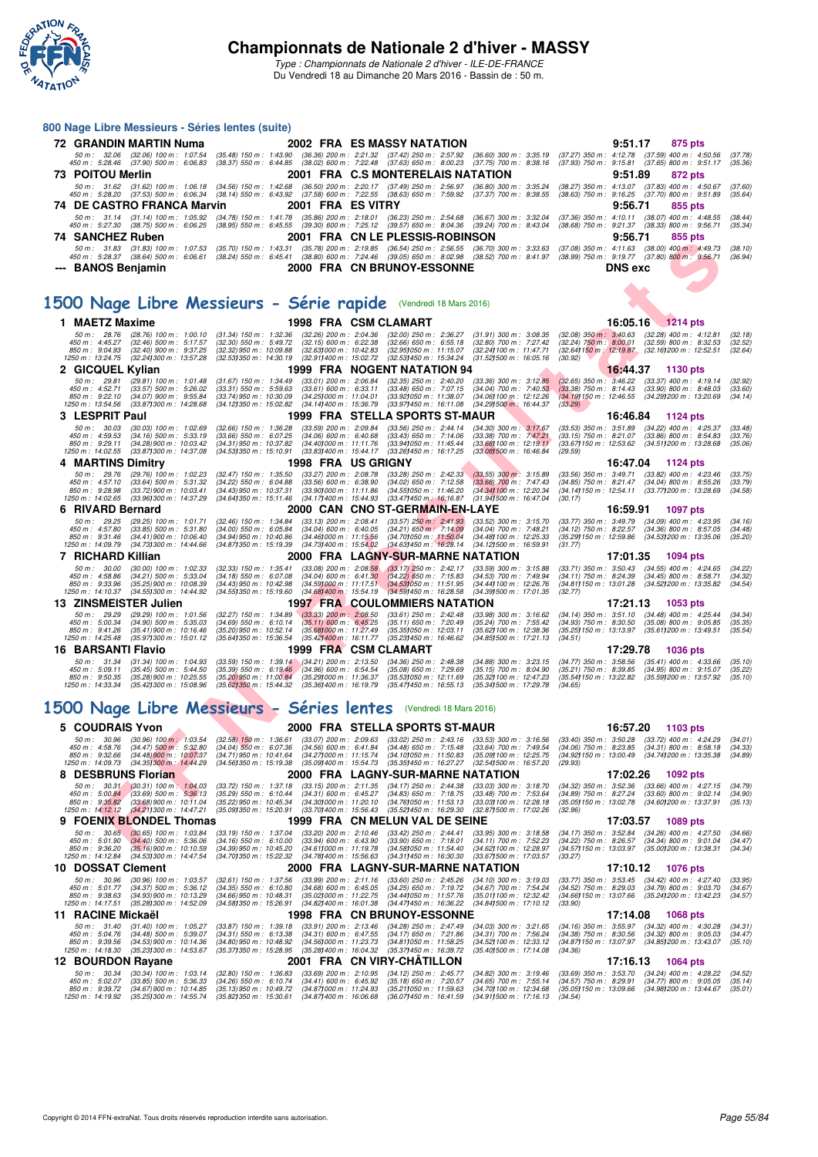

#### **800 Nage Libre Messieurs - Séries lentes (suite)**

| 72 GRANDIN MARTIN Numa                                                                                     | <b>2002 FRA ES MASSY NATATION</b>                                                                                                                                                                                                                                                                                                                                               | 9:51.17<br>875 pts                                                                                                    |
|------------------------------------------------------------------------------------------------------------|---------------------------------------------------------------------------------------------------------------------------------------------------------------------------------------------------------------------------------------------------------------------------------------------------------------------------------------------------------------------------------|-----------------------------------------------------------------------------------------------------------------------|
|                                                                                                            | 50 m : 32.06 (32.06) 100 m : 1:07.54 (35.48) 150 m : 1:43.90 (36.36) 200 m : 2:21.32 (37.42) 250 m : 2:57.92 (36.60) 300 m : 3:35.19 (37.27) 350 m : 4:12.78 (37.59) 400 m : 4:50.56<br>450 m : 5:28.46 (37.90) 500 m : 6:06.83 (38.37) 550 m : 6:44.85 (38.02) 600 m : 7:22.48 (37.63) 650 m : 8:00.23 (37.75) 700 m : 8:38.16 (37.93) 750 m : 9:15.81 (37.65) 800 m : 9:51.17 | (37,78)<br>(35.36)                                                                                                    |
| 73 POITOU Merlin                                                                                           | 2001 FRA C.S MONTERELAIS NATATION                                                                                                                                                                                                                                                                                                                                               | 9:51.89<br>872 pts                                                                                                    |
|                                                                                                            | 50 m: 31.62 (31.62) 100 m: 1:06.18 (34.56) 150 m: 1:42.68 (36.50) 200 m: 2:20.17 (37.49) 250 m: 2:56.97 (36.80) 300 m: 3:35.24 (38.27) 350 m: 4:13.07 (37.83) 400 m: 4:50.67<br>450 m : 5:28.20 (37.53) 500 m : 6:06.34 (38.14) 550 m : 6:43.92 (37.58) 600 m : 7:22.55 (38.63) 650 m : 7:59.92 (37.37) 700 m : 8:38.55 (38.63) 750 m : 9:16.25 (37.70) 800 m : 9:51.89         | (37.60)<br>(35.64)                                                                                                    |
| 74 DE CASTRO FRANCA Marvin                                                                                 | 2001 FRA ES VITRY                                                                                                                                                                                                                                                                                                                                                               | 9:56.71<br>855 pts                                                                                                    |
|                                                                                                            | 50 m: 31.14 (31.14) 100 m: 1:05.92 (34.78) 150 m: 1:41.78 (35.86) 200 m: 2:18.01 (36.23) 250 m: 2:54.68 (36.67) 300 m: 3:32.04 (37.36) 350 m: 4:10.11 (38.07) 400 m: 4:48.55<br>450 m : 5:27.30 (38.75) 500 m : 6:06.25 (38.95) 550 m : 6:45.55 (39.30) 600 m : 7:25.12 (39.57) 650 m : 8:04.36 (39.24) 700 m : 8:43.04 (38.68) 750 m : 9:21.37 (38.33) 800 m : 9:56.71         | (38.44)<br>(35.34)                                                                                                    |
| 74 SANCHEZ Ruben                                                                                           | 2001 FRA CN LE PLESSIS-ROBINSON                                                                                                                                                                                                                                                                                                                                                 | 9:56.71<br>855 pts                                                                                                    |
| 50 m : 31.83 (31.83) 100 m : 1:07.53 (35.70) 150 m : 1:43.31<br>450 m : 5:28.37<br>(38.64) 500 m : 6:06.61 | (35.78) 200 m : 2:19.85<br>(38.80) 600 m : 7:24.46 (39.05) 650 m : 8:02.98 (38.52) 700 m : 8:41.97 (38.99) 750 m : 9:19.77 (37.80) 800 m : 9:56.71<br>$(38.24)$ 550 m : 6:45.41                                                                                                                                                                                                 | (36.54) 250 m : 2:56.55 (36.70) 300 m : 3:33.63 (37.08) 350 m : 4:11.63 (38.00) 400 m : 4:49.73<br>(38.10)<br>(36.94) |
| --- BANOS Benjamin                                                                                         | 2000 FRA CN BRUNOY-ESSONNE                                                                                                                                                                                                                                                                                                                                                      | <b>DNS</b> exc                                                                                                        |

## **[1500 Nage Libre Messieurs - Série rapide](http://www.ffnatation.fr/webffn/resultats.php?idact=nat&go=epr&idcpt=37307&idepr=56)** (Vendredi 18 Mars 2016)

|                                                                  |                                     | 50 m : 31.83 (31.83) 100 m : 1:07.53 (35.70) 150 m : 1:43.31 |                                                                             | UI FNA                                                         |  | (35.78) 200 m : 2:19.85 (36.54) 250 m : 2:56.55 (36.70) 300 m : 3:33.63 (37.08) 350 m : 4:11.63 (38.00) 400 m : 4:49.73                                                                 |                                                               | 9.JU.I I                                                | ບວວ ນເວ                                                                                              | (38.10)            |  |
|------------------------------------------------------------------|-------------------------------------|--------------------------------------------------------------|-----------------------------------------------------------------------------|----------------------------------------------------------------|--|-----------------------------------------------------------------------------------------------------------------------------------------------------------------------------------------|---------------------------------------------------------------|---------------------------------------------------------|------------------------------------------------------------------------------------------------------|--------------------|--|
|                                                                  |                                     |                                                              |                                                                             |                                                                |  | 450 m : 5:28.37 (38.64) 500 m : 6:06.61 (38.24) 550 m : 6:45.41 (38.80) 600 m : 7:24.46 (39.05) 650 m : 8:02.98 (38.52) 700 m : 8:41.97 (38.99) 750 m : 9:19.77 (37.80) 800 m : 9:56.71 |                                                               |                                                         |                                                                                                      | (36.94)            |  |
|                                                                  | --- BANOS Benjamin                  |                                                              |                                                                             |                                                                |  | <b>2000 FRA CN BRUNOY-ESSONNE</b>                                                                                                                                                       |                                                               | <b>DNS</b> exc                                          |                                                                                                      |                    |  |
|                                                                  |                                     |                                                              |                                                                             |                                                                |  |                                                                                                                                                                                         |                                                               |                                                         |                                                                                                      |                    |  |
| 1500 Nage Libre Messieurs - Série rapide (Vendredi 18 Mars 2016) |                                     |                                                              |                                                                             |                                                                |  |                                                                                                                                                                                         |                                                               |                                                         |                                                                                                      |                    |  |
|                                                                  |                                     |                                                              |                                                                             |                                                                |  |                                                                                                                                                                                         |                                                               |                                                         |                                                                                                      |                    |  |
|                                                                  | 1 MAETZ Maxime                      |                                                              |                                                                             | 1998 FRA CSM CLAMART                                           |  |                                                                                                                                                                                         |                                                               |                                                         | 16:05.16 1214 pts                                                                                    |                    |  |
|                                                                  | 50 m: 28.76                         | $(28.76)$ 100 m : 1.00.10                                    | $(31.34)$ 150 m : 1:32.36                                                   | $(32.26)$ 200 m : 2:04.36                                      |  | $(32.00)$ 250 m : 2:36.27                                                                                                                                                               | $(31.91)$ 300 m : 3:08.35                                     |                                                         | $(32.08)$ 350 m : 3:40.63 $(32.28)$ 400 m : 4:12.81                                                  | (32.18)            |  |
|                                                                  | 450 m : 4:45.27                     | $(32.46)$ 500 m : 5:17.57                                    | $(32.30)$ 550 m : 5:49.72                                                   | $(32.15)$ 600 m : 6:22.38                                      |  | $(32.66)$ 650 m : 6:55.18                                                                                                                                                               | $(32.80)$ 700 m : 7:27.42                                     | $(32.24)$ 750 m : 8:00.01                               | $(32.59)$ 800 m : 8:32.53                                                                            | (32.52)            |  |
|                                                                  | 850 m : 9:04.93<br>1250 m: 13:24.75 | $(32.40)$ 900 m : 9:37.25<br>(32.24) 300 m : 13:57.28        | (32.32) 950 m : 10:09.88<br>(32.53) 350 m : 14:30.19                        | (32.631000 m: 10:42.83<br>(32.911400 m: 15:02.72)              |  | (32.95) 050 m: 11:15.07<br>(32.53) 450 m : 15:34.24                                                                                                                                     | (32.24) 100 m : 11:47.71<br>$(31.52)500 \text{ m}$ : 16:05.16 | (30.92)                                                 | (32.64) 150 m : 12:19.87 (32.16) 200 m : 12:52.51                                                    | (32.64)            |  |
|                                                                  | 2 GICQUEL Kylian                    |                                                              |                                                                             |                                                                |  | 1999 FRA NOGENT NATATION 94                                                                                                                                                             |                                                               | 16:44.37                                                | 1130 pts                                                                                             |                    |  |
|                                                                  | 50 m: 29.81                         | $(29.81)$ 100 m : 1:01.48                                    | $(31.67)$ 150 m : 1:34.49                                                   | $(33.01)$ 200 m : 2:06.84                                      |  | $(32.35)$ 250 m : 2:40.20                                                                                                                                                               | $(33.36)$ 300 m : $3:12.85$                                   | $(32.65)$ 350 m : 3:46.22                               | $(33.37)$ 400 m : 4:19.14                                                                            | (32.92)            |  |
|                                                                  | 450 m: 4:52.71                      | $(33.57)$ 500 m : 5:26.02                                    | $(33.31)$ 550 m : 5:59.63                                                   | $(33.61)$ 600 m : 6:33.11                                      |  | $(33.48)$ 650 m : 7:07.15                                                                                                                                                               | $(34.04)$ 700 m : 7:40.53                                     | $(33.38)$ 750 m : 8:14.43                               | $(33.90)$ 800 m : 8:48.03                                                                            | (33.60)            |  |
|                                                                  | 850 m: 9:22.10<br>1250 m: 13:54.56  | $(34.07)$ 900 m : 9:55.84<br>(33.87) 300 m : 14:28.68        | (33.74) 950 m : 10:30.09<br>(34.12) 350 m : 15:02.82                        | (34.25) 000 m: 11:04.01<br>(34.141400 m: 15:36.79)             |  | (33.92) 050 m: 11:38.07<br>(33.971450 m: 16:11.08                                                                                                                                       | (34.06) 100 m : 12:12.26<br>(34.291500 m: 16:44.37)           | (34.19) 150 m : 12:46.55<br>(33.29)                     | (34.29) 200 m : 13:20.69                                                                             | (34.14)            |  |
|                                                                  | 3 LESPRIT Paul                      |                                                              |                                                                             |                                                                |  | 1999 FRA STELLA SPORTS ST-MAUR                                                                                                                                                          |                                                               | 16:46.84                                                | 1124 pts                                                                                             |                    |  |
|                                                                  | 50 m: 30.03                         | $(30.03)$ 100 m : 1:02.69                                    | $(32.66)$ 150 m : 1:36.28                                                   | $(33.59)$ 200 m : 2:09.84                                      |  | $(33.56)$ 250 m : 2:44.14                                                                                                                                                               | $(34.30)$ 300 m : 3:17.67                                     |                                                         | (33.53) 350 m: 3:51.89 (34.22) 400 m: 4:25.37                                                        | (33.48)            |  |
|                                                                  | 450 m: 4:59.53                      | $(34.16)$ 500 m : 5:33.19                                    | $(33.66)$ 550 m : 6:07.25                                                   | $(34.06)$ 600 m : 6:40.68                                      |  | $(33.43)$ 650 m : 7:14.06                                                                                                                                                               | $(33.38)$ 700 m : 7:47.21                                     | $(33.15)$ 750 m : 8:21.07                               | $(33.86)$ 800 m : 8:54.83                                                                            | (33.76)            |  |
|                                                                  | 850 m : 9:29.11<br>1250 m: 14:02.55 | $(34.28)$ 900 m : 10:03.42<br>(33.87) 300 m : 14:37.08       | (34.31) 950 m : 10:37.82<br>(34.53)350 m : 15:10.91                         | (34.401000 m: 11:11.76<br>(33.83) 400 m : 15:44.17             |  | (33.94) 050 m: 11:45.44<br>(33.26) 450 m : 16:17.25                                                                                                                                     | (33.681100 m: 12:19.11<br>$(33.08)500$ m : 16:46.84           | (29.59)                                                 | (33.67) 150 m: 12:53.62 (34.51) 200 m: 13:28.68                                                      | (35.06)            |  |
|                                                                  | <b>MARTINS Dimitry</b><br>4         |                                                              |                                                                             | 1998 FRA USGRIGNY                                              |  |                                                                                                                                                                                         |                                                               | 16:47.04                                                | 1124 pts                                                                                             |                    |  |
|                                                                  | 50 m: 29.76                         | (29.76) 100 m : 1:02.23                                      | $(32.47)$ 150 m : 1:35.50                                                   | (33.27) 200 m : 2:08.78                                        |  | $(33.28)$ 250 m : 2:42.33                                                                                                                                                               | $(33.55)$ 300 m : 3:15.89                                     | $(33.56)$ 350 m : 3:49.71                               | $(33.82)$ 400 m : 4:23.46                                                                            | (33.75)            |  |
|                                                                  | 450 m: 4:57.10<br>850 m : 9:28.98   | $(33.64)$ 500 m : 5:31.32<br>$(33.72)$ 900 m : 10:03.41      | $(34.22)$ 550 m : 6:04.88<br>$(34.43)$ 950 m : 10:37.31                     | $(33.56)$ 600 m : 6:38.90<br>$(33.90)000 \text{ m}$ : 11:11.86 |  | $(34.02)$ 650 m : 7:12.58<br>(34.55) 050 m: 11:46.20                                                                                                                                    | $(33.68)$ 700 m : 7:47.43<br>(34.34) 100 m : 12:20.34         | $(34.85)$ 750 m : 8:21.47                               | $(34.04)$ 800 m : 8:55.26<br>(34.14) 150 m : 12:54.11 (33.77) 200 m : 13:28.69                       | (33.79)<br>(34.58) |  |
|                                                                  | 1250 m: 14:02.65                    | (33.96) 300 m : 14:37.29                                     | (34.641350 m: 15:11.46)                                                     | (34.17) 400 m : 15:44.93                                       |  | $(33.47)450 \text{ m}$ : 16:16.87                                                                                                                                                       | (31.941500 m: 16:47.04                                        | (30.17)                                                 |                                                                                                      |                    |  |
|                                                                  | 6 RIVARD Bernard                    |                                                              |                                                                             |                                                                |  | 2000 CAN CNO ST-GERMAIN-EN-LAYE                                                                                                                                                         |                                                               | 16:59.91                                                | 1097 pts                                                                                             |                    |  |
|                                                                  | 50 m: 29.25                         | (29.25) 100 m : 1:01.71                                      | (32.46) 150 m : 1:34.84                                                     | $(33.13)$ 200 m : 2:08.41                                      |  | $(33.57)$ 250 m : 2:41.93                                                                                                                                                               | $(33.52)$ 300 m : 3:15.70                                     | (33.77) 350 m : 3:49.79                                 | $(34.09)$ 400 m : 4:23.95                                                                            | (34.16)            |  |
|                                                                  | 450 m: 4:57.80<br>850 m: 9:31.46    | $(33.85)$ 500 m : 5:31.80<br>$(34.41)$ 900 m : 10:06.40      | $(34.00)$ 550 m : 6:05.84<br>(34.94) 950 m : 10:40.86                       | $(34.04)$ 600 m : 6:40.05<br>(34.461000 m: 11:15.56            |  | $(34.21)$ 650 m : 7:14.09<br>(34.70) 050 m : 11:50.04                                                                                                                                   | $(34.04)$ 700 m : 7:48.21<br>(34.48) 100 m : 12:25.33         | (34.12) 750 m : 8:22.57<br>(35.29) 150 m : 12:59.86     | $(34.36)$ 800 m : 8:57.05<br>(34.53) 200 m : 13:35.06                                                | (34.48)<br>(35.20) |  |
|                                                                  | 1250 m: 14:09.79                    | (34.73) 300 m : 14:44.66                                     | (34.87) 350 m : 15:19.39                                                    | (34.73) 400 m : 15:54.02                                       |  | (34.63) 450 m : 16:28.14                                                                                                                                                                | (34.12) 500 m : 16:59.91                                      | (31.77)                                                 |                                                                                                      |                    |  |
|                                                                  | 7 RICHARD Killian                   |                                                              |                                                                             |                                                                |  | 2000 FRA LAGNY-SUR-MARNE NATATION                                                                                                                                                       |                                                               | 17:01.35                                                | 1094 pts                                                                                             |                    |  |
|                                                                  | 50 m: 30.00                         | $(30.00)$ 100 m : 1:02.33                                    | (32.33) 150 m : 1:35.41                                                     | $(33.08)$ 200 m : 2:08.58                                      |  | $(33.17)$ 250 m : 2:42.17                                                                                                                                                               | $(33.59)$ 300 m : 3:15.88                                     |                                                         | (33.71) 350 m: 3:50.43 (34.55) 400 m: 4:24.65                                                        | (34.22)            |  |
|                                                                  | 450 m: 4:58.86<br>850 m : 9:33.96   | $(34.21)$ 500 m : 5:33.04<br>(35.25) 900 m : 10.08.39        | $(34.18)$ 550 m : 6:07.08<br>(34.43) 950 m : 10:42.98                       | $(34.04)$ 600 m : 6:41.30<br>(34.591000 m: 11:17.51)           |  | $(34.22)$ 650 m : 7:15.83<br>(34.53) 050 m: 11:51.95                                                                                                                                    | $(34.53)$ 700 m : 7:49.94<br>(34.44) 100 m : 12:26.76         | $(34.11)$ 750 m : 8:24.39<br>(34.81) 150 m : 13:01.28   | $(34.45)$ 800 m : 8:58.71<br>(34.52) 200 m : 13:35.82                                                | (34.32)<br>(34.54) |  |
|                                                                  | 1250 m: 14:10.37                    | (34.55) 300 m : 14:44.92                                     | (34.55)350 m : 15:19.60                                                     | (34.68) 400 m : 15:54.19                                       |  | (34.59)450 m : 16.28.58                                                                                                                                                                 | (34.39) 500 m : 17:01.35                                      | (32.77)                                                 |                                                                                                      |                    |  |
|                                                                  | 13 ZINSMEISTER Julien               |                                                              |                                                                             |                                                                |  | <b>1997 FRA COULOMMIERS NATATION</b>                                                                                                                                                    |                                                               | 17:21.13                                                | 1053 pts                                                                                             |                    |  |
|                                                                  | 50 m: 29.29                         | $(29.29)$ 100 m : 1:01.56                                    | (32.27) 150 m : 1:34.89                                                     | $(33.33)$ 200 m : 2:08.50                                      |  | $(33.61)$ $250$ m : $2:42.48$                                                                                                                                                           | $(33.98)$ 300 m : 3:16.62                                     | (34.14) 350 m : 3:51.10                                 | $(34.48)$ 400 m : 4:25.44                                                                            | (34.34)            |  |
|                                                                  | 450 m : 5:00.34<br>850 m : 9:41.26  | $(34.90)$ 500 m : 5:35.03<br>$(35.41)$ 900 m : 10:16.46      | $(34.69)$ 550 m : 6:10.14<br>(35.20) 950 m : 10:52.14                       | $(35.11)$ 600 m : 6:45.25<br>(35.681000 m: 11:27.49)           |  | $(35.11)$ 650 m : 7:20.49<br>(35.351050 m: 12:03.11                                                                                                                                     | (35.24) 700 m : 7:55.42<br>(35.62) 100 m : 12:38.36           | $(34.93)$ 750 m : $8:30.50$<br>(35.25) 150 m : 13:13.97 | $(35.08)$ 800 m : 9:05.85<br>(35.61) 200 m : 13:49.51                                                | (35.35)<br>(35.54) |  |
|                                                                  | 1250 m: 14:25.48                    | (35.97) 300 m : 15:01.12                                     | (35.641350 m : 15:36.54                                                     | (35.42) 400 m : 16:11.77                                       |  | (35.23) 450 m : 16:46.62                                                                                                                                                                | $(34.85)500 \text{ m}$ : 17:21.13                             | (34.51)                                                 |                                                                                                      |                    |  |
|                                                                  | 16 BARSANTI Flavio                  |                                                              |                                                                             | 1999 FRA CSM CLAMART                                           |  |                                                                                                                                                                                         |                                                               | 17:29.78                                                | <b>1036 pts</b>                                                                                      |                    |  |
|                                                                  | 50 m: 31.34                         | $(31.34)$ 100 m : 1:04.93                                    | $(33.59)$ 150 m : 1:39.14 $(34.21)$ 200 m : 2:13.50                         |                                                                |  | (34.36) 250 m : 2:48.38                                                                                                                                                                 | $(34.88)$ 300 m : 3:23.15                                     | $(34.77)$ 350 m : 3:58.56                               | $(35.41)$ 400 m : 4:33.66                                                                            | (35.10)            |  |
|                                                                  | 450 m : 5:09.11<br>850 m : 9:50.35  | $(35.45)$ 500 m : 5:44.50<br>(35.28) 900 m : 10:25.55        | (35.39) 550 m : 6:19.46 (34.96) 600 m : 6:54.54<br>(35.20) 950 m : 11:00.84 | (35.29) 000 m: 11:36.37                                        |  | $(35.08)$ 650 m : 7:29.69<br>(35.53) 050 m: 12:11.69                                                                                                                                    | $(35.15)$ 700 m : 8:04.90<br>(35.32) 100 m : 12:47.23         | (35.21) 750 m : 8:39.85<br>(35.54) 150 m : 13:22.82     | $(34.95)$ 800 m : 9:15.07<br>(35.59) 200 m : 13:57.92                                                | (35.22)<br>(35.10) |  |
|                                                                  | 1250 m: 14:33.34                    | (35.42) 300 m : 15:08.96                                     | (35.62)350 m : 15:44.32                                                     | (35.36) 400 m : 16:19.79                                       |  | $(35.47)450 \text{ m}$ : 16:55.13                                                                                                                                                       | (35.341500 m: 17:29.78                                        | (34.65)                                                 |                                                                                                      |                    |  |
|                                                                  |                                     |                                                              |                                                                             |                                                                |  |                                                                                                                                                                                         |                                                               |                                                         |                                                                                                      |                    |  |
|                                                                  |                                     |                                                              |                                                                             |                                                                |  | 1500 Nage Libre Messieurs - Séries lentes (Vendredi 18 Mars 2016)                                                                                                                       |                                                               |                                                         |                                                                                                      |                    |  |
|                                                                  | 5 COUDRAIS Yvon                     |                                                              |                                                                             |                                                                |  | 2000 FRA STELLA SPORTS ST-MAUR                                                                                                                                                          |                                                               | 16:57.20                                                | 1103 pts                                                                                             |                    |  |
|                                                                  | 50 m : 30.96                        | $(30.96)$ 100 m : 1:03.54                                    | $(32.58)$ 150 m : 1:36.61                                                   | $(33.07)$ 200 m : 2:09.63                                      |  | $(33.02)$ 250 m : 2:43.16                                                                                                                                                               | $(33.53)$ 300 m : 3:16.56                                     | $(33.40)$ 350 m : 3:50.28                               | $(33.72)$ 400 m : 4:24.29                                                                            | (34.01)            |  |
|                                                                  | 450 m : 4:58.76                     | $(34.47)$ 500 m : 5:32.80                                    | $(34.04)$ 550 m : 6:07.36                                                   | $(34.56)$ 600 m : 6:41.84                                      |  | $(34.48)$ 650 m : 7:15.48                                                                                                                                                               | $(33.64)$ 700 m : 7:49.54                                     | $(34.06)$ 750 m : 8:23.85                               | $(34.31)$ 800 m : 8:58.18                                                                            | (34.33)            |  |
|                                                                  | 850 m: 9:32.66<br>1250 m: 14:09.73  | (34.48) 900 m : 10:07.37<br>(34.35) 300 m : 14:44.29         | (34.71) 950 m : 10:41.64<br>(34.56)350 m : 15:19.38                         | (34.271000 m: 11:15.74<br>(35.091400 m : 15:54.73)             |  | (34.10) 050 m: 11:50.83<br>(35.351450 m : 16:27.27                                                                                                                                      | (35.09) 100 m : 12:25.75<br>(32.541500 m : 16:57.20           | (34.92) 150 m : 13:00.49<br>(29.93)                     | (34.74) 200 m : 13:35.38                                                                             | (34.89)            |  |
|                                                                  | <b>DESBRUNS Florian</b><br>8        |                                                              |                                                                             |                                                                |  | 2000 FRA LAGNY-SUR-MARNE NATATION                                                                                                                                                       |                                                               | 17:02.26                                                | 1092 pts                                                                                             |                    |  |
|                                                                  | 50 m: 30.31                         | $(30.31)$ 100 m : 1:04.03                                    | $(33.72)$ 150 m : 1:37.18                                                   | $(33.15)$ 200 m : 2:11.35                                      |  | $(34.17)$ 250 m : 2:44.38                                                                                                                                                               | (33.03) 300 m : 3:18.70                                       | $(34.32)$ 350 m : 3:52.36                               | $(33.66)$ 400 m : 4:27.15                                                                            | (34.79)            |  |
|                                                                  | 450 m : 5:00.84<br>850 m : 9:35.82  | $(33.69)$ 500 m : 5:36.13<br>$(33.68)$ 900 m : 10:11.04      | $(35.29)$ 550 m : 6:10.44<br>(35.22) 950 m : 10:45.34                       | $(34.31)$ 600 m : 6:45.27<br>(34.301000 m: 11:20.10            |  | $(34.83)$ 650 m : 7:18.75<br>(34.761050 m: 11:53.13)                                                                                                                                    | $(33.48)$ 700 m : 7:53.64<br>(33.03) 100 m : 12:28.18         | $(34.89)$ 750 m : 8:27.24<br>(35.05) 150 m : 13:02.78   | $(33.60)$ 800 m : 9:02.14<br>(34.60) 200 m : 13:37.91                                                | (34.90)<br>(35.13) |  |
|                                                                  | 1250 m: 14:12.12                    | (34.211300 m : 14:47.21                                      | (35.091350 m: 15:20.91                                                      | (33.70) 400 m : 15:56.43                                       |  | (35.52) 450 m : 16:29.30                                                                                                                                                                | (32.871500 m : 17:02.26                                       | (32.96)                                                 |                                                                                                      |                    |  |
|                                                                  |                                     | 9 FOENIX BLONDEL Thomas                                      |                                                                             |                                                                |  | 1999 FRA CN MELUN VAL DE SEINE                                                                                                                                                          |                                                               | 17:03.57                                                | <b>1089 pts</b>                                                                                      |                    |  |
|                                                                  | 50 m: 30.65                         | $(30.65)$ 100 m : 1:03.84                                    | $(33.19)$ 150 m : 1:37.04                                                   | $(33.20)$ 200 m : 2:10.46                                      |  | $(33.42)$ 250 m : 2:44.41                                                                                                                                                               | $(33.95)$ 300 m : 3:18.58                                     |                                                         | (34.17) 350 m: 3:52.84 (34.26) 400 m: 4:27.50                                                        | (34.66)            |  |
|                                                                  | 450 m : 5:01.90<br>850 m : 9:36.20  | $(34.40)$ 500 m : 5:36.06<br>(35.16) 900 m : 10:10.59        | $(34.16)$ 550 m : 6:10.00<br>(34.39) 950 m : 10:45.20                       | $(33.94)$ 600 m : 6:43.90<br>(34.611000 m : 11:19.78           |  | $(33.90)$ 650 m : 7:18.01<br>(34.58) 050 m: 11:54.40                                                                                                                                    | $(34.11)$ 700 m : 7:52.23<br>(34.62) 100 m : 12:28.97         |                                                         | (34.22) 750 m : 8:26.57 (34.34) 800 m : 9:01.04<br>(34.57) 150 m : 13:03.97 (35.00) 200 m : 13:38.31 | (34.47)<br>(34.34) |  |
|                                                                  |                                     | 1250 m : 14:12.84     (34.53 <b>)</b> 300 m : 14:47.54       |                                                                             |                                                                |  | (34.701350 m:15:22.32  (34.781400 m:15:56.63  (34.311450 m:16:30.30  (33.671500 m:17:03.57                                                                                              |                                                               | (33.27)                                                 |                                                                                                      |                    |  |
|                                                                  | 10 DOSSAT Clement                   |                                                              |                                                                             |                                                                |  | 2000 FRA LAGNY-SUR-MARNE NATATION                                                                                                                                                       |                                                               | 17:10.12                                                | <b>1076 pts</b>                                                                                      |                    |  |
|                                                                  | 50 m : 30.96                        | $(30.96)$ 100 m : 1:03.57                                    | $(32.61)$ 150 m : 1:37.56                                                   | $(33.99)$ 200 m : 2:11.16                                      |  | $(33.60)$ 250 m : 2:45.26                                                                                                                                                               | (34.10) 300 m : 3:19.03                                       | $(33.77)$ 350 m : 3:53.45                               | $(34.42)$ 400 m : 4:27.40                                                                            | (33.95)            |  |
|                                                                  | 450 m: 5:01.77<br>850 m: 9:38.63    | $(34.37)$ 500 m : 5:36.12<br>(34.93) 900 m : 10:13.29        | $(34.35)$ 550 m : 6:10.80<br>$(34.66)$ 950 m : 10:48.31                     | $(34.68)$ 600 m : 6:45.05<br>(35.02) 000 m: 11:22.75           |  | $(34.25)$ 650 m : 7:19.72<br>(34.441050 m: 11.57.76)                                                                                                                                    | $(34.67)$ 700 m : 7:54.24<br>(35.011100 m: 12:32.42)          | $(34.52)$ 750 m : 8:29.03                               | $(34.79)$ 800 m : 9:03.70<br>(34.66) 150 m: 13:07.66 (35.24) 200 m: 13:42.23                         | (34.67)<br>(34.57) |  |
|                                                                  | 1250 m : 14:17.51                   | (35.28) 300 m : 14:52.09                                     | (34.58) 350 m : 15:26.91                                                    | (34.82) 400 m : 16:01.38                                       |  | (34.47) 450 m : 16:36.22                                                                                                                                                                | (34.841500 m: 17:10.12)                                       | (33.90)                                                 |                                                                                                      |                    |  |
|                                                                  | 11 RACINE Mickaël                   |                                                              |                                                                             |                                                                |  | <b>1998 FRA CN BRUNOY-ESSONNE</b>                                                                                                                                                       |                                                               | 17:14.08                                                | <b>1068 pts</b>                                                                                      |                    |  |
|                                                                  | $50 m$ : $31.40$                    | $(31.40)$ 100 m : 1:05.27                                    | $(33.87)$ 150 m : 1:39.18                                                   | $(33.91)$ 200 m : 2:13.46                                      |  | $(34.28)$ 250 m : 2:47.49                                                                                                                                                               | $(34.03)$ 300 m : 3:21.65                                     | (34.16) 350 m : 3:55.97                                 | $(34.32)$ 400 m : 4:30.28                                                                            | (34.31)            |  |
|                                                                  | 450 m : 5:04.76<br>850 m : 9:39.56  | $(34.48)$ 500 m : 5:39.07<br>$(34.53)$ 900 m : 10:14.36      | $(34.31)$ 550 m : 6:13.38<br>$(34.80)$ 950 m : 10:48.92                     | $(34.31)$ 600 m : 6:47.55<br>(34.561000 m: 11:23.73)           |  | $(34.17)$ 650 m : 7:21.86<br>(34.811050 m: 11:58.25)                                                                                                                                    | $(34.31)$ 700 m : 7:56.24<br>(34.52) 100 m : 12:33.12         | (34.38) 750 m : 8:30.56                                 | $(34.32)$ 800 m : 9:05.03<br>(34.87) 150 m : 13:07.97 (34.85) 200 m : 13:43.07                       | (34.47)<br>(35.10) |  |
|                                                                  | 1250 m : 14:18.30                   | (35.231300 m: 14:53.67                                       | (35.37) 350 m : 15:28.95                                                    | (35.28) 400 m : 16:04.32                                       |  | (35.37) 450 m : 16:39.72                                                                                                                                                                | $(35.401500 \text{ m} : 17.14.08)$                            | (34.36)                                                 |                                                                                                      |                    |  |
|                                                                  | 12 BOURDON Rayane                   |                                                              |                                                                             |                                                                |  | 2001 FRA CN VIRY-CHATILLON                                                                                                                                                              |                                                               | 17:16.13                                                | 1064 pts                                                                                             |                    |  |
|                                                                  | 50 m: 30.34<br>450 m : 5:02.07      | $(30.34)$ 100 m : 1:03.14<br>$(33.85)$ 500 m : 5:36.33       | $(32.80)$ 150 m : 1:36.83<br>$(34.26)$ 550 m : 6:10.74                      | $(33.69)$ 200 m : 2:10.95<br>$(34.41)$ 600 m : 6:45.92         |  | (34.12) 250 m : 2:45.77<br>$(35.18)$ 650 m : 7:20.57                                                                                                                                    | $(34.82)$ 300 m : 3:19.46<br>$(34.65)$ 700 m : 7:55.14        | $(33.69)$ 350 m : 3:53.70<br>$(34.57)$ 750 m : 8:29.91  | $(34.24)$ 400 m : 4:28.22<br>$(34.77)$ 800 m : 9:05.05                                               | (34.52)<br>(35.14) |  |
|                                                                  | 850 m : 9:39.72                     | $(34.67)$ 900 m : 10:14.85                                   | (35.13) 950 m : 10:49.72                                                    | (34.87) 000 m: 11:24.93                                        |  | (35.211050 m: 11:59.63                                                                                                                                                                  | (34.70) 100 m : 12:34.68                                      | (35.05) 150 m : 13:09.66                                | (34.98) 200 m : 13:44.67                                                                             | (35.01)            |  |
|                                                                  | 1250 m : 14:19.92                   | (35.25) 300 m : 14:55.74                                     | (35.82) 350 m : 15:30.61                                                    | (34.87) 400 m : 16:06.68                                       |  | (36.07) 450 m : 16:41.59                                                                                                                                                                | (34.911500 m: 17:16.13)                                       | (34.54)                                                 |                                                                                                      |                    |  |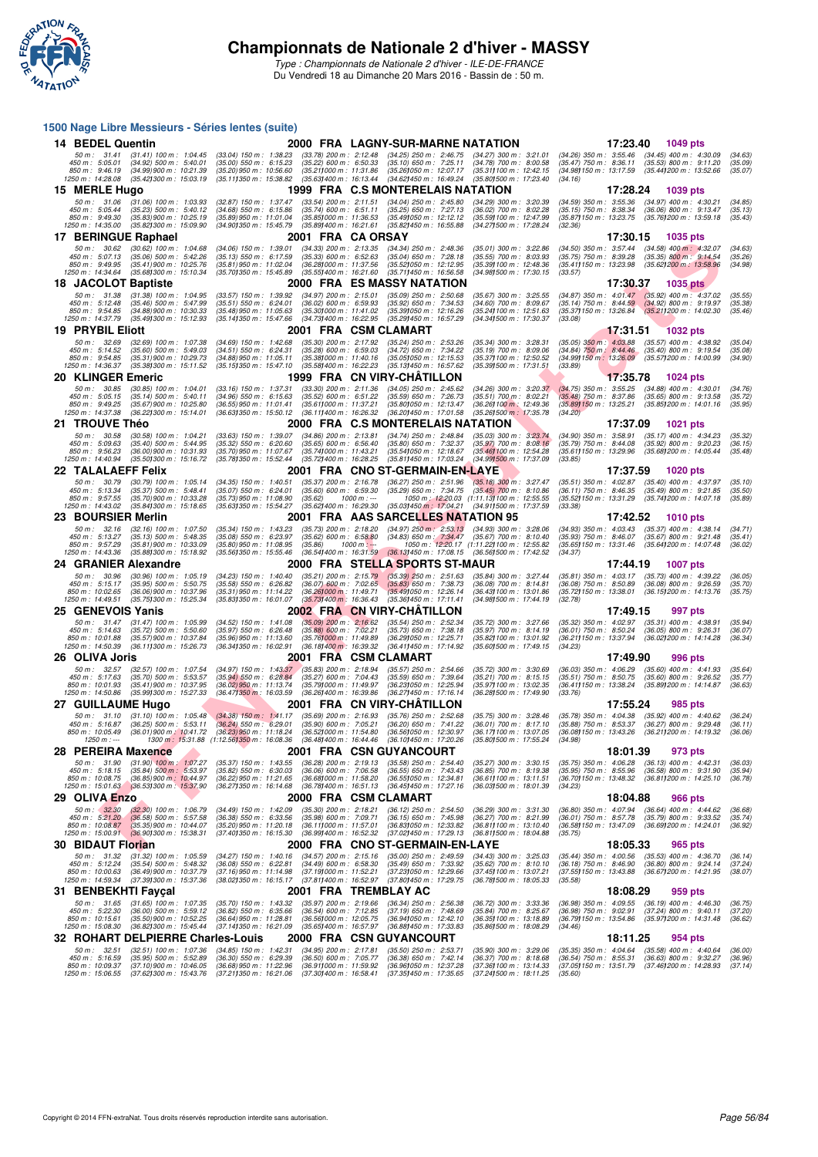

*Type : Championnats de Nationale 2 d'hiver - ILE-DE-FRANCE* Du Vendredi 18 au Dimanche 20 Mars 2016 - Bassin de : 50 m.

## **F F N - R é s u l t a t s 1500 Nage Libre Messieurs - Séries lentes (suite) 14 BEDEL Quentin 2000 FRA LAGNY-SUR-MARNE NATATION 17:23.40 1049 pts**<br>
50 m: 31.41 (31.41) 100 m: 1:04.45 (33.04) 150 m: 1:38.23 (33.78) 200 m: 2:12.48 (34.25) 250 m: 2:48.75 (34.27) 300 m: 3:21.01 (34.26) 350 m: 3:55.46 50 m : 31,41 (31,41) 100 m : 1:04.45 (33.04) 150 m : 1:38.23 (33.78) 200 m : 2:12.48 (34.25) 250 m : 2:46.75 (34.27) 300 m : 3:21.01 (34.26) 350 m : 3:55.46 (34.45) 400 m : 4:30.09 (34.63)<br>450 m : 505.01 (34.92) 500 m : 50 **15 MERLE Hugo 1999 FRA C.S MONTERELAIS NATATION** 17:28.24 1039 pts<br>50 m : 31.06 (31.06) 100 m : 1:03.93 (32.87) 150 m : 1:37.47 (33.54) 200 m : 2:11.51 (34.04) 250 m : 2:45.80 (34.29) 300 m : 3:20.39 (34.59) 350 m : 3:55. 50 m : 31.06 (31.06) 100 m : 1:03.93 (32.87) 150 m : 1:37.47 (33.54) 200 m : 2:11.51 (34.04) 250 m : 2:45.80 (34.29) 300 m : 3:20.39 (34.59) 350 m : 3:55.36 (34.97) 400 m : 4:30.21 (34.85)<br>150 m : 5:05.44 (35.23) 500 m : 5 **17 BERINGUE Raphael 2001 FRA CA ORSAY 17:30.50** 17:30.15 **1035 pts**<br>
50 m : 30.62 (30.62) 100 m : 1:04.68 (34.06) 150 m : 1:30.01 (34.33) 200 m : 2:13.35 (34.34) 250 m : 2:48.36 (35.01) 300 m : 3:22.86 (34.50) 350 m : 3 50 m : 30.62 (30.62) 100 m : 1:04.68 (34.06) 150 m : 1:39.01 (34.33) 200 m : 2:13.35 (34.34) 250 m : 2:48.36 (35.01) 300 m : 3:22.86 (34.50) 350 m : 3:57.44 (34.58) 400 m : 4:32.07 (34.63)<br>450 m : 5:07.13 (35.66) 500 m : 5 **18 JACOLOT Baptiste 2000 FRA ES MASSY NATATION 17:30.37 1035 pts 18 JACOLOT Baptiste** 2000 FRA ES MASSY NATATION **17:30.37** 1035 pts<br>
50 m: 31.38 (31.38) 100 m: 1:04.95 (33.57) 150 m: 1:39.92 (34.97) 200 m: 2:15.01 (3 50 m : 31.38 (31.38) 100 m : 1:04.95 (33.57) 150 m : 1:39.92 (34.97) 200 m : 2:15.01 (35.09) 250 m : 2:50.68 (35.67) 300 m : 3:25.55 (34.87) 350 m : 4:01.47 (35.92) 400 m : 4:37.02 (35.55)<br>450 m : 5:12.48 (35.48) 500 m : 5 **19 PRYBIL Eliott** 2001 FRA CSM CLAMART 205.26 (35.34) 300 m : 3:28.31 (35.05) 350 m : 32.69 (32.69) 100 m : 1:07.38 (34.69) 150 m : 1:42.68 (35.30) 200 m : 2:17.92 (35.24) 250 m : 2:53.26 (35.34) 300 m : 3:28.31 (35.05) 3 50 m : 32.69 (32.69) 100 m : 1:07.38 (34.69) 150 m : 1:42.68 (35.30) 200 m : 2:17.92 (35.24) 250 m : 2:53.26 (35.34) 300 m : 3:28.31 (35.05) 350 m : 4:03.88 (35.57) 400 m : 4:38.92 (35.04)<br>450 m : 5:14.52 (35.61) 500 m : 5 **20 KLINGER Emeric** 1999 FRA CN VIRY-CHÂTILLON 17:35.78 1024 pts<br>
50 m: 30.85 (30.85) 100 m: 1:04.01 (33.16) 150 m: 1:37.31 (33.30) 200 m: 2:11.36 (34.05) 250 m: 2:45.62 (34.26) 300 m: 3:20.37 (34.75) 350 m: 3:55.25 (34.88 50 m : 30.85 (30.85) 100 m : 1:04.01 (33.16) 150 m : 1:37.31 (33.30) 200 m : 2:11.36 (34.05) 250 m : 2:45.62 (34.26) 300 m : 3:20.37 (34.75) 350 m : 3:55.25 (34.88) 400 m : 4:30.01 (34.76)<br>450 m : 5:05.15 (35.67)900 m : 5: **21 TROUVE Théo** 2000 FRA C.S MONTERELAIS NATATION 17:37.09 1021 pts<br>
50 m: 30.58 (30.58) 100 m: 1:04.21 (33.63) 150 m: 1:39.07 (34.86) 200 m: 2:13.81 (34.74) 250 m: 2:48.84 (35.03) 300 m: 3:28.74 (34.90) 350 m: 3:58.91 (3 50 m: 30.58 (30.58) 100 m: 1:04.21 (33.63) 150 m: 1:39.07 (34.86) 200 m: 2:13.81 (34.74) 250 m: 2:48.84 (35.03) 300 m: 3:23.74 (34.90) 350 m: 3:58.91 (35.17) 400 m: 4:34.23 (35.32)<br>450 m: 5:09.63 (35.40) 500 m: 5:44.95 (35 -850 m: 9:56.23 - (36.00)900 m: 10:31.93 - (36.78)950 m: 11:43.21 - (35.49100 m: 12:36.7105 m: 12:31.85 - (35.611150 m: 13:29.96 - (35.68)200 m: 14:05.44 - (35.68)200 m: 14:05.44 - (35.68)200 m: 14:05.44 - (35.68)<br>1250 m: **22 TALALAEFF Felix** 2001 FRA CNO ST-GERMAIN-EN-LAYE 17:37.59 1020 pts<br>
2001 FRA CNO ST-GERMAIN-EN-LAYE (35.51) 300 m : 3:27.47 (35.51) 350 m : 4:02.87 (35.40) 400 m : 4:02.87 (35.4<br>
450 m : 5:57.59 (35.79) 500 m : 5/4:37. 50 m : 30.79 (30.79) 100 m : 1:05.14 (34.35) 150 m : 1:40.51 (35.37) 200 m : 2:51.79 250 m : 2:51.96 (35.18) 300 m : 3:27.47 (35.51) 350 m : 4:02.87 (35.40) 400 m : 4:37.97 (35.10)<br>450 m : 5:13.4 (35.77) 500 m : 5:42.41 (3 **23 BOURSIER Merlin** 2001 FRA AAS SARCELLES NATATION 95 17:42.52 1010 pts<br>
50 m: 32.16 (32.16) 100 m: 1:07.50 (35.34) 150 m: 1:43.23 (35.73) 200 m: 2:18.20 (34.97) 250 m: 2:53.13 (34.93) 300 m: 3:28.06 (34.93) 350 m: 4:03. 50 m : 32.16 (32.16) 100 m : 1:07.50 (35.34) 150 m : 1:43.23 (35.73) 200 m : 2:18.20 (34.97) 250 m : 2:53.13 (34.93) 300 m : 3:28.06 (34.93) 350 m : 4:03.43 (35.37) 400 m : 4:38.14 (34.71)<br>450 m : 5:13.27 (35.18) 500 m : 5 **24 GRANIER Alexandre 2000 FRA STELLA SPORTS ST-MAUR 17:44.19 1007 pts** 50 m : 30.96 (30.96) 100 m : 1:05.19 (34.23) 150 m : 1:40.40 (35.21) 200 m : 2:15.79 (35.39) 250 m : 2:51.63 (35.84) 300 m : 3:27.44 (35.81) 350 m : 4:03.17 (35.73) 400 m : 4:39.22 (36.05)<br>450 m : 10:02.65 (36.06) 900 m : **25 GENEVOIS Yanis** 2002 FRA CN VIRY-CHÂTILLON 17:49.15 17:49.15 997 pts<br>2002 FRA CN VIRY-CHÂTILLON 17:59.9 (35.24 (35.25) 200 m: 2:56.82 (35.54) 250 m: 2:52.34 (35.72) 300 m: 3:27.66 (35.32) 350 m: 4:02.97 (35.31) 400 m: 50 m : 31.47 (31.47) 100 m : 1:05.99 (34.52) 150 m : 1:41.08 (35.09) 200 m : 2:16.62 (35.54) 250 m : 2:52.34 (35.72) 300 m : 3:27.66 (35.32) 350 m : 4:02.97 (35.31) 400 m : 4:38.91 (35.34) 400 m : 4:38.91 (35.34) 400 m : 5 **26 OLIVA Joris** 36.67) 100 m: 1:07.54 (34.97) 150 m: 1:43.87 (35.83) 200 m: 2:16.94 (35.57) 250 m: 2:54.66 (35.72) 300 m: 3:30.69 (36.03) 350 m: 4:02.90 (35.60) 400 m: 4:41.93<br>17:49 m: 5:17.63 (35.67) 500 m: 5:13.87 (35.8 50 m : 32.57 (32.57) 100 m : 1:07.54 (34.97) 150 m : 1:43.37 (35.83) 200 m : 2:18.94 (35.57) 250 m : 2:54.66 (35.72) 300 m : 3:30.69 (36.03) 350 m : 4:06.29 (35.60) 400 m : 4:41.93 (35.64)<br>450 m : 10:11.93 (35.11) 900 m : **27 GUILLAUME Hugo** 2001 FRA CN VIRY-CHÂTILLON 17:55.24 985 pts<br>
50 m: 31.10 (31.10) 100 m: 1:05.48 (34.38) 150 m: 1:41.17 (35.69) 200 m: 2:16.93 (35.76) 250 m: 2:52.68 (35.75) 300 m: 3:28.46 (35.78) 350 m: 4:04.38 (35.92) 50 m : 31.10 (31.10) 100 m : 1:05.48 (34.38) 150 m : 1:41.17 (35.69) 200 m : 2:16.93 (35.76) 250 m : 2:52.68 (35.76) 300 m : 3:28.46 (35.78) 350 m : 4:00.38 (35.92) 400 m : 4:40.62 (36.24)<br>150 m : 5:16.87 (36.25) 500 m : 5 **28 PEREIRA Maxence** 2001 FRA CSN GUYANCOURT 18:01.39 973 pts<br>
50 m : 31.90 (31.90) 100 m : 1:07.27 (35.37) 150 m : 1:43.55 (36.28) 200 m : 2:19.13 (35.58) 250 m : 2:54.40 (35.27) 300 m : 3:30.15 (35.75) 350 m : 4:06.28 (3 50 m: 31,90 (31,90) 100 m: 1:07.27 (35.37) 150 m: 1:43.55 (36.28) 200 m: 2:19.13 (35.58) 250 m: 2:5440 (35.27) 300 m: 3:30.15 (35.75) 350 m: 4:06.28 (36.13) 400 m: 4:42.31 (36.03)<br>450 m: 51:01.56 (35.68) 500 m: 55:397 (35. **29 OLIVA Enzo**<br> **2000 FRA CSM CLAMART 18:04.59** 300 m: 3:31.30 (36.80) 350 m: 4:09 4.49) 466 pts<br>
450 m: 524.20 (36.84) 400 m: 531.30 (36.89) 360 m: 4:09 456 490 m: 4:44.62<br>
450 m: 520.20 (36.85) 500 m: 531.30 (36.85) 400 50 m : 3230 (32.30) 100 m : 1:06.79 (34.49) 150 m : 1:42.09 (35.30) 200 m : 2:18.21 (36.12) 250 m : 2:54.50 (36.29) 300 m : 3:31.30 (36.80) 350 m : 4:07.94 (36.64) 400 m : 4:44.62 (36.68)<br>450 m : 10:08.87 (36.58) 900 m : 5 **30 BIDAUT Florian 2000 FRA CNO ST-GERMAIN-EN-LAYE 18:05.33** 965 pts<br>
50 m: 31.32 (31.32) 100 m: 1:05.59 (34.87) 150 m: 1:40.16 (34.57) 200 m: 2:15.16 (35.00) 250 m: 2:49.59 (34.43) 300 m: 3:25.03 (35.44) 350 m: 4:00.56 (3 50 m : 31.32 (31.32) 100 m : 1:05.59 (34.27) 150 m : 1:40.16 (34.57) 200 m : 2:15.16 (35.00) 250 m : 2:49.59 (34.43) 300 m : 3:25.03 (35.44) 350 m : 4:00.56 (35.53) 400 m : 4:36.70 (36.14)<br>450 m : 10:00.63 (35.44) 500 m : **31 BENBEKHTI Fayçal 2001 FRA TREMBLAY AC 18:08.29 959 pts**<br>
50 m : 31.65 (31.65) 100 m : 1:07.35 (35.70) 150 m : 1:43.32 (35.97) 200 m : 2:19.66 (36.34) 250 m : 2:56.38 (36.72) 300 m : 3:33.36 (36.98) 350 m : 4:09.55 (36. 50 m : 31.65 (31.65) 100 m : 1:07.35 (35.70) 150 m : 1:43.32 (35.97) 200 m : 2:19.66 (36.34) 250 m : 2:56.38 (36.72) 300 m : 3:33.36 (36.98) 350 m : 4:09.55 (36.19) 400 m : 4:46.30 (36.75)<br>450 m : 5:22.30 (36.00) 500 m : 5 **32 ROHART DELPIERRE Charles-Louis 2000 FRA CSN GUYANCOURT 18:11.25 954 pts** 50 m: 32.51 (32.51) 100 m: 1:07.36 (34.85) 150 m: 1:42.31 (34.95) 200 m: 2:17.81 (35.50) 250 m: 2:53.71 (35.90) 300 m: 3:29.06 (35.35) 350 m: 4:04.64 (35.58) 400 m: 4:40.64 (36.00)<br>450 m: 5:16.59 (35.95) 500 m: 5:52.89 (36 850 m : 10:09.37 (37.10)900 m : 10:46.05 (36.8)950 m : 11:22.96 (36.91)000 m : 10:59.92 (37.46)100 m : 10:14.33 (37.61150 m : 13:51.79 (37.621300 m : 14:28.93 (37.41)<br>1250 m : 15:06.55 (37.621300 m : 15:4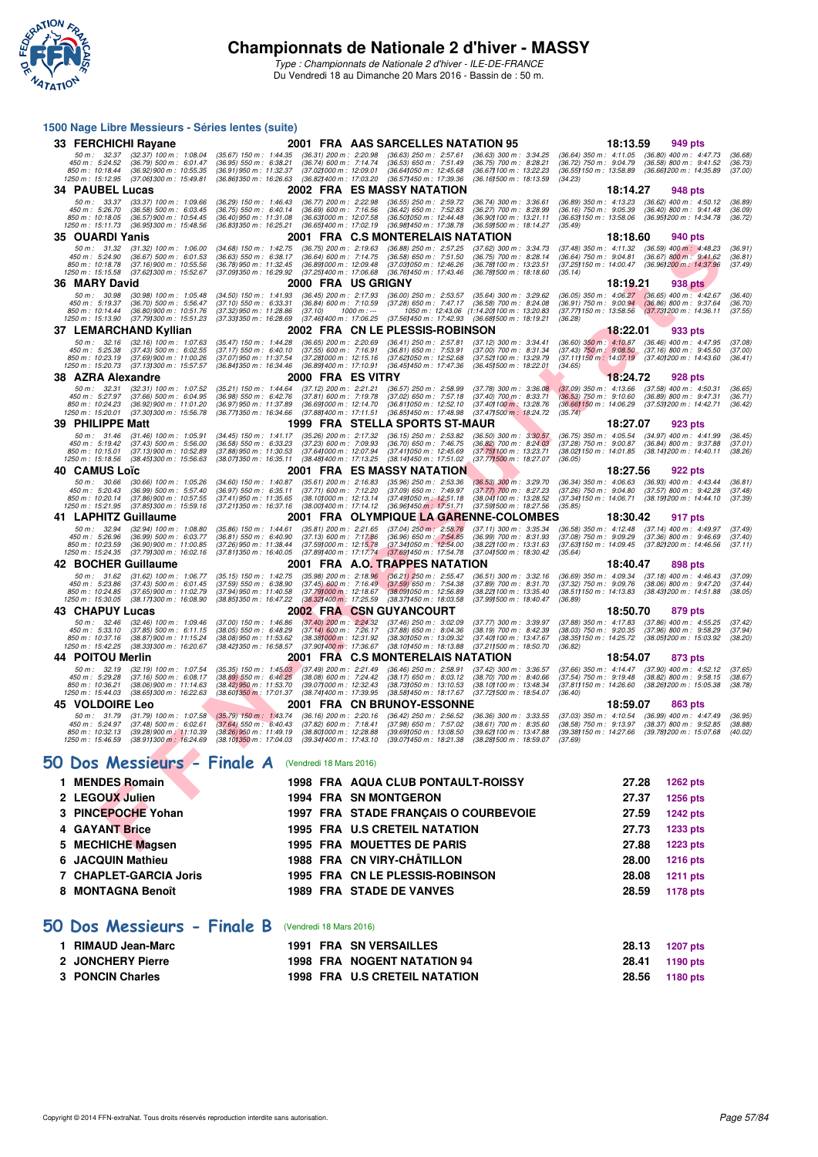

*Type : Championnats de Nationale 2 d'hiver - ILE-DE-FRANCE* Du Vendredi 18 au Dimanche 20 Mars 2016 - Bassin de : 50 m.

#### **1500 Nage Libre Messieurs - Séries lentes (suite)**

| 33 FERCHICHI Rayane                                                                                                                                                                        |                                                                                                                                                                                                                                     | 2001 FRA AAS SARCELLES NATATION 95                                                                                                                                                                                                    | 18:13.59<br>949 pts                                                                                                                                                                                                    |
|--------------------------------------------------------------------------------------------------------------------------------------------------------------------------------------------|-------------------------------------------------------------------------------------------------------------------------------------------------------------------------------------------------------------------------------------|---------------------------------------------------------------------------------------------------------------------------------------------------------------------------------------------------------------------------------------|------------------------------------------------------------------------------------------------------------------------------------------------------------------------------------------------------------------------|
| 50 m : 32.37<br>$(32.37)$ 100 m : 1.08.04<br>450 m: 5:24.52<br>$(36.79)$ 500 m : 6:01.47<br>850 m: 10:18.44<br>(36.92) 900 m : 10:55.35<br>1250 m: 15:12.95<br>(37.06) 300 m : 15:49.81    | $(35.67)$ 150 m : 1:44.35<br>$(36.31)$ 200 m : 2:20.98<br>$(36.74)$ 600 m : 7:14.74<br>$(36.95)$ 550 m : 6:38.21<br>(36.91) 950 m: 11:32.37<br>(37.021000 m: 12:09.01<br>(36.861350 m : 16:26.63<br>(36.82) 400 m : 17:03.20        | $(36.63)$ 250 m : 2:57.61<br>$(36.63)$ 300 m : 3:34.25<br>$(36.53)$ 650 m : 7:51.49<br>$(36.75)$ 700 m : 8:28.21<br>(36.67) 100 m: 13:22.23<br>(36.64) 050 m: 12:45.68<br>(36.57) 450 m : 17:39.36<br>(36.16) 500 m : 18:13.59        | $(36.64)$ 350 m : 4:11.05<br>$(36.80)$ 400 m : 4:47.73<br>(36.68)<br>$(36.72)$ 750 m : 9:04.79<br>$(36.58)$ 800 m : 9:41.52<br>(36.73)<br>(36.55) 150 m : 13:58.89<br>(36.66) 200 m : 14:35.89<br>(37.00)<br>(34.23)   |
| 34 PAUBEL Lucas                                                                                                                                                                            |                                                                                                                                                                                                                                     | 2002 FRA ES MASSY NATATION                                                                                                                                                                                                            | 18:14.27<br>948 pts                                                                                                                                                                                                    |
| $50 m$ : $33.37$<br>$(33.37)$ 100 m : 1:09.66<br>450 m: 5:26.70<br>(36.58) 500 m : 6.03.45<br>850 m: 10:18.05<br>(36.57) 900 m : 10:54.45<br>1250 m: 15:11.73<br>(36.95) 300 m : 15:48.56  | $(36.29)$ 150 m : 1:46.43<br>$(36.77)$ 200 m : 2:22.98<br>(36.69) 600 m : 7:16.56<br>(36.75) 550 m : 6:40.14<br>(36.40) 950 m : 11:31.08<br>(36.63) 000 m: 12:07.58<br>(36.831350 m: 16:25.21<br>(36.65) 400 m : 17:02.19           | $(36.55)$ 250 m : 2:59.72<br>$(36.74)$ 300 m : 3:36.61<br>$(36.42)$ 650 m : 7:52.83<br>(36.27) 700 m : 8:28.99<br>(36.50) 050 m: 12:44.48<br>(36.90) 100 m : 13:21.11<br>(36.98) 450 m : 17:38.78<br>(36.59) 500 m : 18:14.27         | $(36.89)$ 350 m : 4:13.23<br>$(36.62)$ 400 m : 4:50.12<br>(36.89)<br>$(36.16)$ 750 m : 9:05.39<br>$(36.40)$ 800 m : 9:41.48<br>(36.09)<br>(36.63) 150 m : 13:58.06<br>(36.95) 200 m : 14:34.78<br>(36.72)<br>(35.49)   |
| 35 OUARDI Yanis                                                                                                                                                                            |                                                                                                                                                                                                                                     | 2001 FRA C.S MONTERELAIS NATATION                                                                                                                                                                                                     | 18:18.60<br>940 pts                                                                                                                                                                                                    |
| 50 m: 31.32<br>$(31.32)$ 100 m : 1:06.00<br>450 m: 5:24.90<br>$(36.67)$ 500 m : 6:01.53<br>850 m: 10:18.78<br>$(37.16)$ 900 m : 10:55.56<br>1250 m: 15:15.58<br>(37.62) 300 m : 15:52.67   | (34.68) 150 m : 1:42.75<br>$(36.75)$ 200 m : 2:19.63<br>$(36.63)$ 550 m : 6:38.17<br>$(36.64)$ 600 m : 7:14.75<br>(36,78) 950 m : 11:32.45<br>(36.891000 m : 12:09.48)<br>(37.09) 350 m : 16:29.92<br>(37.25) 400 m : 17:06.68      | $(36.88)$ 250 m : 2:57.25<br>(37.62) 300 m : 3:34.73<br>(36.58) 650 m : 7.51.50<br>$(36.75)$ 700 m : 8:28.14<br>(37.03) 050 m : 12:46.26<br>(36.781100 m: 13:23.51<br>(36.76) 450 m : 17:43.46<br>(36.78) 500 m : 18:18.60            | (37.48) 350 m: 4:11.32 (36.59) 400 m: 4:48.23<br>(36.91)<br>$(36.64)$ 750 m : 9:04.81<br>$(36.67)$ 800 m : 9:41.62<br>(36.81)<br>(36.96) 200 m : 14:37.96<br>(37.25) 150 m : 14:00.47<br>(37.49)<br>(35.14)            |
| 36 MARY David                                                                                                                                                                              |                                                                                                                                                                                                                                     | 2000 FRA USGRIGNY                                                                                                                                                                                                                     | 18:19.21<br>938 pts                                                                                                                                                                                                    |
| 50 m: 30.98<br>$(30.98)$ 100 m : 1:05.48<br>450 m: 5:19.37<br>$(36.70)$ 500 m : 5:56.47<br>850 m: 10:14.44<br>$(36.80)$ 900 m : 10:51.76<br>1250 m: 15:13.90<br>(37.79) 300 m : 15:51.23   | (36.45) 200 m : 2:17.93<br>$(34.50)$ 150 m : 1:41.93<br>$(37.10)$ 550 m : 6:33.31<br>$(36.84)$ 600 m : 7:10.59<br>(37.32) 950 m : 11:28.86<br>(37.10)<br>(37.46) 400 m : 17:06.25<br>(37.331350 m: 16:28.69                         | (36.00) 250 m : 2:53.57<br>$(35.64)$ 300 m : 3:29.62<br>$(37.28)$ 650 m : 7:47.17<br>$(36.58)$ 700 m : 8:24.08<br>$1000 m$ : ---<br>1050 m: 12:43.06 (1:14.201100 m: 13:20.83<br>(37.56) 450 m : 17:42.93<br>(36.68) 500 m : 18:19.21 | $(36.05)$ 350 m : 4:06.27<br>$(36.65)$ 400 m : 4:42.67<br>(36.40)<br>$(36.91)$ 750 m : 9:00.94<br>$(36.86)$ 800 m : 9:37.64<br>(36.70)<br>(37.77) 150 m : 13:58.56<br>(37.731200 m: 14:36.11<br>(37.55)<br>(36.28)     |
| 37 LEMARCHAND Kyllian                                                                                                                                                                      |                                                                                                                                                                                                                                     | 2002 FRA CN LE PLESSIS-ROBINSON                                                                                                                                                                                                       | 18:22.01<br>933 pts                                                                                                                                                                                                    |
| 50 m: 32.16<br>$(32.16)$ 100 m : 1:07.63<br>450 m : 5:25.38<br>$(37.43)$ 500 m : 6:02.55<br>850 m : 10:23.19<br>$(37.69)$ 900 m : 11:00.26<br>(37.13) 300 m : 15:57.57<br>1250 m: 15:20.73 | $(36.65)$ 200 m : 2:20.69<br>$(35.47)$ 150 m : 1:44.28<br>(37.17) 550 m : 6:40.10<br>(37.55) 600 m : 7:16.91<br>(37.07) 950 m : 11:37.54<br>(37.28) 000 m: 12:15.16<br>(36.841350 m : 16:34.46)<br>(36.89) 400 m : 17:10.91         | $(36.41)$ 250 m : 2:57.81<br>$(37.12)$ 300 m : 3:34.41<br>$(36.81)$ 650 m : 7:53.91<br>$(37.00)$ 700 m : 8:31.34<br>(37.62) 050 m : 12:52.68<br>(37.52) 100 m : 13:29.79<br>(36.45) 500 m : 18:22.01<br>(36.45) 450 m : 17:47.36      | $(36.60)$ 350 m : 4:10.87<br>$(36.46)$ 400 m : 4:47.95<br>(37.08)<br>$(37.43)$ 750 m $: 9.08.50$ $(37.16)$ 800 m $: 9.45.50$<br>(37.00)<br>(37.11) 150 m : 14:07.19 (37.40) 200 m : 14:43.60<br>(36.41)<br>(34.65)     |
| 38 AZRA Alexandre                                                                                                                                                                          | 2000 FRA ESVITRY                                                                                                                                                                                                                    |                                                                                                                                                                                                                                       | 18:24.72<br>928 pts                                                                                                                                                                                                    |
| 50 m: 32.31<br>$(32.31)$ 100 m : 1:07.52<br>450 m: 5:27.97<br>$(37.66)$ 500 m : 6:04.95<br>850 m: 10:24.23<br>(36.92) 900 m : 11:01.20<br>1250 m : 15:20.01<br>(37.30) 300 m : 15:56.78    | (35.21) 150 m : 1:44.64<br>$(37.12)$ 200 m : 2:21.21<br>$(36.98)$ 550 m : 6:42.76<br>$(37.81)$ 600 m : 7:19.78<br>(36.97) 950 m : 11:37.89<br>(36.691000 m: 12:14.70<br>(36.771350 m: 16:34.66<br>$(37.88)400 \text{ m}$ : 17:11.51 | $(36.57)$ 250 m : 2:58.99<br>$(37.78)$ 300 m : 3:36.08<br>$(37.02)$ 650 m : 7:57.18<br>$(37.40)$ 700 m : 8:33.71<br>(36.81) 050 m: 12:52.10<br>(37.40) 100 m : 13:28.76<br>(36.85) 450 m : 17:48.98<br>(37.47) 500 m : 18:24.72       | $(37.09)$ 350 m : 4:13.66<br>$(37.58)$ 400 m : 4:50.31<br>(36.65)<br>$(36.53)$ 750 m : 9:10.60<br>$(36.89)$ 800 m : 9:47.31<br>(36.71)<br>(36.66) 150 m : 14:06.29<br>(37.531200 m : 14:42.71<br>(36.42)<br>(35.74)    |
| 39 PHILIPPE Matt                                                                                                                                                                           |                                                                                                                                                                                                                                     | 1999 FRA STELLA SPORTS ST-MAUR                                                                                                                                                                                                        | 18:27.07<br>923 pts                                                                                                                                                                                                    |
| 50 m: 31.46<br>$(31.46)$ 100 m : 1:05.91<br>450 m: 5:19.42<br>$(37.43)$ 500 m : 5:56.00<br>850 m: 10:15.01<br>(37.13) 900 m : 10:52.89<br>1250 m: 15:18.56<br>(38.451300 m : 15:56.63      | $(35.26)$ 200 m : 2:17.32<br>$(34.45)$ 150 m : 1:41.17<br>(36.58) 550 m : 6:33.23<br>(37.23) 600 m : 7:09.93<br>(37.88) 950 m : 11:30.53<br>(37.641000 m: 12:07.94<br>(38.071350 m : 16:35.11<br>(38.48) 400 m : 17:13.25           | $(36.15)$ 250 m : 2:53.82<br>$(36.50)$ 300 m : 3:30.57<br>$(36.70)$ 650 m : 7:46.75<br>(36.82) 700 m : 8:24.03<br>(37.41) 050 m: 12:45.69<br>(37.75) 100 m : 13:23.71<br>(38.14) 450 m : 17:51.02<br>(37.771500 m : 18:27.07          | $(34.97)$ 400 m : 4:41.99<br>(36.75) 350 m : 4:05.54<br>(36.45)<br>$(37.28)$ 750 m : $9:00.87$<br>$(36.84)$ 800 m : 9:37.88<br>(37.01)<br>(38.02) 150 m : 14:01.85<br>(38.14) 200 m : 14:40.11<br>(38.26)<br>(36.05)   |
| 40 CAMUS Loïc                                                                                                                                                                              |                                                                                                                                                                                                                                     | 2001 FRA ES MASSY NATATION                                                                                                                                                                                                            | 18:27.56<br>922 pts                                                                                                                                                                                                    |
| 50 m: 30.66<br>$(30.66)$ 100 m : 1:05.26<br>450 m: 5:20.43<br>$(36.99)$ 500 m : 5:57.40<br>850 m : 10:20.14<br>(37.86) 900 m : 10:57.55<br>1250 m: 15:21.95<br>(37.85) 300 m : 15:59.16    | $(35.61)$ 200 m : 2:16.83<br>$(34.60)$ 150 m : 1:40.87<br>$(36.97)$ 550 m : 6:35.11<br>$(37.71)$ 600 m : 7:12.20<br>(37.41) 950 m : 11:35.65<br>(38.10) 000 m: 12:13.14<br>(37.211350 m: 16:37.16<br>(38.00) 400 m : 17:14.12       | $(35.96)$ 250 m : 2:53.36<br>$(36.53)$ 300 m : 3:29.70<br>$(37.09)$ 650 m : 7:49.97<br>$(37.77)$ 700 m : 8:27.23<br>(37.49) 050 m : 12:51.18<br>(38.04) 100 m : 13:28.52<br>(36.96) 450 m : 17:51.71<br>(37.591500 m: 18:27.56        | $(36.34)$ 350 m : 4:06.63<br>$(36.93)$ 400 m : 4:43.44<br>(36.81)<br>$(37.26)$ 750 m : 9:04.80<br>$(37.57)$ 800 m : 9:42.28<br>(37.48)<br>(37.34) 150 m : 14:06.71<br>(38.19) 200 m : 14:44.10<br>(37.39)<br>(35.85)   |
| 41 LAPHITZ Guillaume                                                                                                                                                                       |                                                                                                                                                                                                                                     | 2001 FRA OLYMPIQUE LA GARENNE-COLOMBES                                                                                                                                                                                                | 18:30.42<br>917 pts                                                                                                                                                                                                    |
| 50 m: 32.94<br>$(32.94)$ 100 m : 1:08.80<br>450 m: 5:26.96<br>(36.99) 500 m : 6:03.77<br>850 m: 10:23.59<br>(36.90) 900 m : 11:00.85<br>1250 m: 15:24.35<br>(37.79) 300 m : 16:02.16       | $(35.81)$ 200 m : 2:21.65<br>$(35.86)$ 150 m : 1:44.61<br>$(36.81)$ 550 m : 6:40.90<br>$(37.13)$ 600 m : 7:17.86<br>(37.591000 m: 12:15.78<br>(37.26) 950 m : 11:38.44<br>(37.811350 m : 16:40.05<br>(37.89) 400 m : 17:17.74       | $(37.04)$ 250 m : 2:58.76<br>(37.11) 300 m : 3:35.34<br>(36.96) 650 m : 7:54.85<br>(37.341050 m : 12:54.00<br>$(36.99)$ 700 m : 8:31.93<br>(38.22) 100 m : 13:31.63<br>(37.69) 450 m : 17:54.78<br>(37.041500 m: 18:30.42)            | $(36.58)$ 350 m : 4:12.48<br>$(37.14)$ 400 m : 4:49.97<br>(37.49)<br>$(37.08)$ 750 m : 9:09.29<br>$(37.36)$ 800 m : 9:46.69<br>(37.40)<br>(37.63) 150 m : 14:09.45<br>(37.82) 200 m : 14:46.56<br>(37.11)<br>(35.64)   |
| 42 BOCHER Guillaume                                                                                                                                                                        |                                                                                                                                                                                                                                     | 2001 FRA A.O <mark>. TRAPPES NATATION</mark>                                                                                                                                                                                          | 18:40.47<br><b>898 pts</b>                                                                                                                                                                                             |
| 50 m: 31.62<br>$(31.62)$ 100 m : 1:06.77<br>450 m: 5:23.86<br>$(37.43)$ 500 m : 6:01.45<br>850 m: 10:24.85<br>(37.65) 900 m : 11:02.79<br>(38.17) 300 m : 16:08.90<br>1250 m: 15:30.05     | $(35.15)$ 150 m : 1:42.75<br>$(35.98)$ 200 m : 2:18.96<br>$(37.45)$ 600 m : 7:16.49<br>$(37.59)$ 550 m : 6:38.90<br>(37.791000 m: 12:18.67<br>(37.94) 950 m : 11:40.58<br>(38.85) 350 m : 16:47.22<br>(38.32) 400 m: 17:25.59       | $(36.21)$ 250 m : 2:55.47<br>$(36.51)$ 300 m : 3:32.16<br>$(37.59)$ 650 m : 7:54.38<br>$(37.89)$ 700 m : 8:31.70<br>(38.09) 050 m : 12:56.89<br>(38.22) 100 m : 13:35.40<br>(38.37) 450 m : 18:03.58<br>(37.99) 500 m : 18:40.47      | $(36.69)$ 350 m : 4:09.34<br>$(37.18)$ 400 m : 4:46.43<br>(37.09)<br>$(37.32)$ 750 m : $9.09.76$<br>$(38.06)$ 800 m : 9:47.20<br>(37.44)<br>(38.05)<br>(38.51) 150 m : 14:13.83<br>(38.43) 200 m : 14:51.88<br>(36.89) |
| 43 CHAPUY Lucas                                                                                                                                                                            |                                                                                                                                                                                                                                     | <b>2002 FRA CSN GUYANCOURT</b>                                                                                                                                                                                                        | 18:50.70<br>879 pts                                                                                                                                                                                                    |
| 50 m: 32.46<br>$(32.46)$ 100 m : 1:09.46<br>450 m: 5:33.10<br>$(37.85)$ 500 m : 6:11.15<br>850 m: 10:37.16<br>(38.87) 900 m : 11:15.24<br>1250 m : 15:42.25<br>(38.331300 m : 16:20.67     | $(37.40)$ 200 m : 2:24.32<br>$(37.00)$ 150 m : 1:46.86<br>$(38.05)$ 550 m : 6:48.29<br>$(37.14)$ 600 m : 7:26.17<br>(38.08) 950 m : 11:53.62<br>(38.381000 m : 12:31.92<br>(37.90) 400 m : 17:36.67<br>(38.421350 m : 16:58.57      | $(37.46)$ 250 m : 3:02.09<br>(37.77) 300 m : 3:39.97<br>$(37.88)$ 650 m : 8:04.36<br>$(38.19)$ 700 m : 8:42.39<br>(38.30) 050 m : 13:09.32<br>(37.40) 100 m : 13:47.67<br>(38.10) 450 m : 18:13.88<br>(37.211500 m : 18:50.70         | $(37.88)$ 350 m : 4:17.83<br>$(37.86)$ 400 m : 4:55.25<br>(37.42)<br>$(38.03)$ 750 m : 9:20.35<br>$(37.96)$ 800 m : 9:58.29<br>(37.94)<br>$(38.05)200$ m : 15:03.92<br>(38.35) 150 m : 14:25.72<br>(38.20)<br>(36.82)  |
| 44 POITOU Merlin                                                                                                                                                                           |                                                                                                                                                                                                                                     | 2001 FRA C.S MONTERELAIS NATATION                                                                                                                                                                                                     | 18:54.07<br>873 pts                                                                                                                                                                                                    |
| 50 m: 32.19<br>$(32.19)$ 100 m : 1:07.54<br>450 m : 5:29.28<br>$(37.16)$ 500 m : 6:08.17<br>850 m: 10:36.21<br>$(38.06)$ 900 m : 11:14.63<br>1250 m: 15:44.03<br>(38.651300 m : 16:22.63   | $(35.35)$ 150 m : 1:45.03<br>$(37.49)$ 200 m : 2:21.49<br>$(38.89)$ 550 m : 6:46.25<br>(38.08) 600 m : 7:24.42<br>(38.42) 950 m : 11:53.70<br>(39.07) 000 m : 12:32.43<br>(38.601350 m : 17:01.37<br>(38.741400 m : 17:39.95        | $(36.46)$ 250 m : 2:58.91<br>$(37.42)$ 300 m : 3:36.57<br>$(38.17)$ 650 m : 8:03.12<br>$(38.70)$ 700 m : 8:40.66<br>(38.73) 050 m : 13:10.53<br>(38.10) 100 m : 13:48.34<br>(38.58) 450 m : 18:17.67<br>(37.721500 m : 18:54.07       | $(37.66)$ 350 m : 4:14.47<br>$(37.90)$ 400 m : 4:52.12<br>(37.65)<br>$(37.54)$ 750 m : 9:19.48<br>$(38.82)$ 800 m : 9:58.15<br>(38.67)<br>(37.81) 150 m : 14:26.60<br>(38.26) 200 m : 15:05.38<br>(38.78)<br>(36.40)   |
| 45 VOLDOIRE Leo                                                                                                                                                                            |                                                                                                                                                                                                                                     | 2001 FRA CN BRUNOY-ESSONNE                                                                                                                                                                                                            | 18:59.07<br>863 pts                                                                                                                                                                                                    |
| 50 m: 31.79<br>$(31.79)$ 100 m : 1:07.58<br>450 m: 5:24.97<br>(37.48) 500 m : 6:02.61<br>850 m: 10:32.13<br>$(39.28)$ 900 m : 11:10.39<br>1250 m: 15:46.59<br>(38.911300 m : 16:24.69      | $(35.79)$ 150 m : 1:43.74<br>$(36.16)$ 200 m : 2:20.16<br>$(37.64)$ 550 m : 6:40.43<br>$(37.82)$ 600 m : 7:18.41<br>(38.26) 950 m : 11:49.19<br>(38.80) 000 m : 12:28.88<br>(38.101350 m : 17:04.03<br>(39.341400 m: 17:43.10)      | $(36.42)$ 250 m : 2:56.52<br>$(36.36)$ 300 m : 3:33.55<br>(37.98) 650 m : 7:57.02<br>$(38.61)$ 700 m : $8:35.60$<br>(39.69) 050 m : 13:08.50<br>(39.621100 m: 13:47.88<br>(39.07) 450 m : 18:21.38<br>(38.28) 500 m : 18:59.07        | $(37.03)$ 350 m : 4:10.54<br>$(36.99)$ 400 m : 4:47.49<br>(36.95)<br>$(38.58)$ 750 m : 9:13.97<br>(38.37) 800 m : 9.52.85<br>(38.88)<br>(39.38) 150 m : 14:27.66<br>(39.78) 200 m : 15:07.68<br>(40.02)<br>(37.69)     |
| 50 Dos Messieurs - Finale A                                                                                                                                                                | (Vendredi 18 Mars 2016)                                                                                                                                                                                                             |                                                                                                                                                                                                                                       |                                                                                                                                                                                                                        |
| 1 MENDES Romain                                                                                                                                                                            |                                                                                                                                                                                                                                     | 1998 FRA AQUA CLUB PONTAULT-ROISSY                                                                                                                                                                                                    | 27.28<br><b>1262 pts</b>                                                                                                                                                                                               |
| 2 LEGOUX Julien                                                                                                                                                                            |                                                                                                                                                                                                                                     | 1994 FRA SN MONTGERON                                                                                                                                                                                                                 | 27.37<br>1256 pts                                                                                                                                                                                                      |
| 3 PINCEPOCHE Yohan                                                                                                                                                                         |                                                                                                                                                                                                                                     | 1997 FRA STADE FRANÇAIS O COURBEVOIE                                                                                                                                                                                                  | 27.59<br><b>1242 pts</b>                                                                                                                                                                                               |
| 4 GAYANT Brice                                                                                                                                                                             |                                                                                                                                                                                                                                     | <b>1995 FRA U.S CRETEIL NATATION</b>                                                                                                                                                                                                  | 27.73<br><b>1233 pts</b>                                                                                                                                                                                               |
|                                                                                                                                                                                            |                                                                                                                                                                                                                                     |                                                                                                                                                                                                                                       |                                                                                                                                                                                                                        |
| 5 MECHICHE Magsen                                                                                                                                                                          |                                                                                                                                                                                                                                     | <b>1995 FRA MOUETTES DE PARIS</b>                                                                                                                                                                                                     | 27.88<br><b>1223 pts</b>                                                                                                                                                                                               |

## **[50 Dos Messieurs - Finale A](http://www.ffnatation.fr/webffn/resultats.php?idact=nat&go=epr&idcpt=37307&idepr=61)** (Vendredi 18 Mars 2016)

| 1 MENDES Romain        | <b>1998 FRA AQUA CLUB PONTAULT-ROISSY</b> | 27.28 | <b>1262 pts</b> |
|------------------------|-------------------------------------------|-------|-----------------|
| 2 LEGOUX Julien        | <b>1994 FRA SN MONTGERON</b>              | 27.37 | <b>1256 pts</b> |
| 3 PINCEPOCHE Yohan     | 1997 FRA STADE FRANCAIS O COURBEVOIE      | 27.59 | <b>1242 pts</b> |
| 4 GAYANT Brice         | <b>1995 FRA U.S CRETEIL NATATION</b>      | 27.73 | 1233 pts        |
| 5 MECHICHE Magsen      | <b>1995 FRA MOUETTES DE PARIS</b>         | 27.88 | <b>1223 pts</b> |
| 6 JACQUIN Mathieu      | 1988 FRA CN VIRY-CHÂTILLON                | 28.00 | <b>1216 pts</b> |
| 7 CHAPLET-GARCIA Joris | 1995 FRA CN LE PLESSIS-ROBINSON           | 28.08 | <b>1211 pts</b> |
| 8 MONTAGNA Benoît      | <b>1989 FRA STADE DE VANVES</b>           | 28.59 | 1178 pts        |
|                        |                                           |       |                 |

## **[50 Dos Messieurs - Finale B](http://www.ffnatation.fr/webffn/resultats.php?idact=nat&go=epr&idcpt=37307&idepr=61)** (Vendredi 18 Mars 2016)

| <b>RIMAUD Jean-Marc</b> |  | <b>1991 FRA SN VERSAILLES</b>        | 28.13 | 1207 pts |
|-------------------------|--|--------------------------------------|-------|----------|
| 2 JONCHERY Pierre       |  | <b>1998 FRA NOGENT NATATION 94</b>   | 28.41 | 1190 pts |
| 3 PONCIN Charles        |  | <b>1998 FRA U.S CRETEIL NATATION</b> | 28.56 | 1180 pts |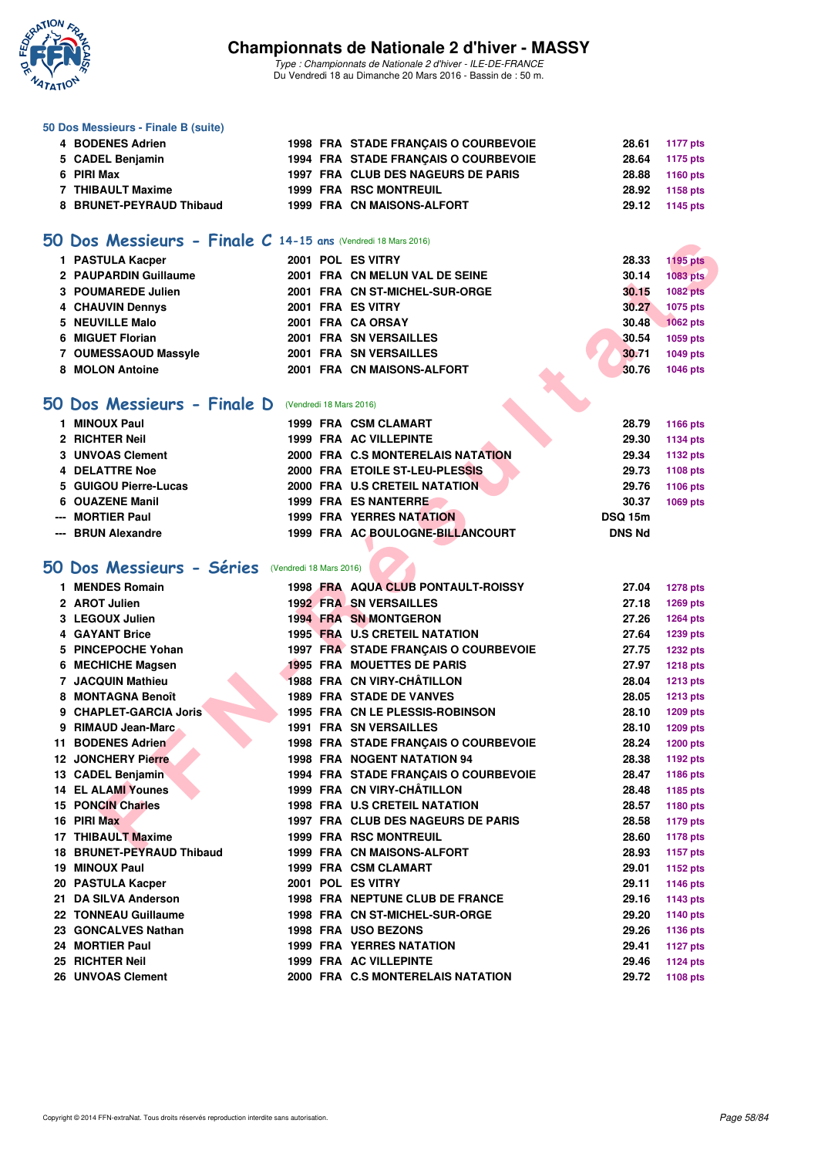

**50 Dos Messieurs - Finale B (suite)**

## **Championnats de Nationale 2 d'hiver - MASSY**

| 4 BODENES Adrien                                              |                         | 1998 FRA STADE FRANÇAIS O COURBEVOIE | 28.61          | <b>1177 pts</b> |
|---------------------------------------------------------------|-------------------------|--------------------------------------|----------------|-----------------|
| 5 CADEL Benjamin                                              |                         | 1994 FRA STADE FRANÇAIS O COURBEVOIE | 28.64          | 1175 pts        |
| 6 PIRI Max                                                    |                         | 1997 FRA CLUB DES NAGEURS DE PARIS   | 28.88          | <b>1160 pts</b> |
| 7 THIBAULT Maxime                                             |                         | <b>1999 FRA RSC MONTREUIL</b>        | 28.92          | 1158 pts        |
| 8 BRUNET-PEYRAUD Thibaud                                      |                         | 1999 FRA CN MAISONS-ALFORT           | 29.12          | 1145 pts        |
|                                                               |                         |                                      |                |                 |
| 50 Dos Messieurs - Finale C 14-15 ans (Vendredi 18 Mars 2016) |                         |                                      |                |                 |
| 1 PASTULA Kacper                                              |                         | 2001 POL ES VITRY                    | 28.33          | <b>1195 pts</b> |
| 2 PAUPARDIN Guillaume                                         |                         | 2001 FRA CN MELUN VAL DE SEINE       | 30.14          | 1083 pts        |
| 3 POUMAREDE Julien                                            |                         | 2001 FRA CN ST-MICHEL-SUR-ORGE       | 30.15          | <b>1082 pts</b> |
| 4 CHAUVIN Dennys                                              |                         | 2001 FRA ES VITRY                    | 30.27          | 1075 pts        |
| 5 NEUVILLE Malo                                               |                         | 2001 FRA CA ORSAY                    | 30.48          | <b>1062 pts</b> |
| 6 MIGUET Florian                                              |                         | 2001 FRA SN VERSAILLES               | 30.54          | 1059 pts        |
| 7 OUMESSAOUD Massyle                                          |                         | 2001 FRA SN VERSAILLES               | 30.71          | 1049 pts        |
| 8 MOLON Antoine                                               |                         | 2001 FRA CN MAISONS-ALFORT           | 30.76          | 1046 pts        |
|                                                               |                         |                                      |                |                 |
| 50 Dos Messieurs - Finale D                                   |                         | (Vendredi 18 Mars 2016)              |                |                 |
| 1 MINOUX Paul                                                 |                         | 1999 FRA CSM CLAMART                 | 28.79          | <b>1166 pts</b> |
| 2 RICHTER Neil                                                |                         | <b>1999 FRA AC VILLEPINTE</b>        | 29.30          | 1134 pts        |
| 3 UNVOAS Clement                                              |                         | 2000 FRA C.S MONTERELAIS NATATION    | 29.34          | <b>1132 pts</b> |
| <b>4 DELATTRE Noe</b>                                         |                         | 2000 FRA ETOILE ST-LEU-PLESSIS       | 29.73          | 1108 pts        |
| 5 GUIGOU Pierre-Lucas                                         |                         | 2000 FRA U.S CRETEIL NATATION        | 29.76          | 1106 pts        |
| 6 OUAZENE Manil                                               |                         | <b>1999 FRA ES NANTERRE</b>          | 30.37          | 1069 pts        |
| <b>MORTIER Paul</b>                                           |                         | <b>1999 FRA YERRES NATATION</b>      | <b>DSQ 15m</b> |                 |
| <b>BRUN Alexandre</b>                                         |                         | 1999 FRA AC BOULOGNE-BILLANCOURT     | <b>DNS Nd</b>  |                 |
|                                                               |                         |                                      |                |                 |
| 50 Dos Messieurs - Séries                                     | (Vendredi 18 Mars 2016) |                                      |                |                 |
| 1 MENDES Romain                                               |                         | 1998 FRA AQUA CLUB PONTAULT-ROISSY   | 27.04          | <b>1278 pts</b> |
| 2 AROT Julien                                                 |                         | <b>1992 FRA SN VERSAILLES</b>        | 27.18          | <b>1269 pts</b> |
| 3 LEGOUX Julien                                               |                         | <b>1994 FRA SN MONTGERON</b>         | 27.26          | <b>1264 pts</b> |
| 4 GAYANT Brice                                                |                         | 1995 FRA U.S CRETEIL NATATION        | 27.64          | 1239 pts        |
| 5 PINCEPOCHE Yohan                                            |                         | 1997 FRA STADE FRANÇAIS O COURBEVOIE | 27.75          | <b>1232 pts</b> |
| 6 MECHICHE Magsen                                             |                         | <b>1995 FRA MOUETTES DE PARIS</b>    | 27.97          | <b>1218 pts</b> |
| 7 JACQUIN Mathieu                                             |                         | 1988 FRA CN VIRY-CHÂTILLON           | 28.04          | <b>1213 pts</b> |
| 8 MONTAGNA Benoît                                             |                         | <b>1989 FRA STADE DE VANVES</b>      | 28.05          | <b>1213 pts</b> |
| 9 CHAPLET-GARCIA Joris                                        |                         | 1995 FRA CN LE PLESSIS-ROBINSON      | 28.10          | <b>1209 pts</b> |
| 9 RIMAUD Jean-Marc                                            |                         | <b>1991 FRA SN VERSAILLES</b>        | 28.10          | 1209 pts        |
| 11 BODENES Adrien                                             |                         | 1998 FRA STADE FRANCAIS O COURBEVOIE | 28.24          | <b>1200 pts</b> |
| <b>12 JONCHERY Pierre</b>                                     |                         | <b>1998 FRA NOGENT NATATION 94</b>   | 28.38          | 1192 pts        |
| 13 CADEL Benjamin                                             |                         | 1994 FRA STADE FRANCAIS O COURBEVOIE | 28.47          | 1186 pts        |
| <b>14 EL ALAMI Younes</b>                                     |                         | 1999 FRA CN VIRY-CHÂTILLON           | 28.48          | 1185 pts        |
| <b>15 PONCIN Charles</b>                                      |                         | 1998 FRA U.S CRETEIL NATATION        | 28.57          | 1180 pts        |
| 16 PIRI Max                                                   |                         | 1997 FRA CLUB DES NAGEURS DE PARIS   | 28.58          | <b>1179 pts</b> |
| 17 THIBAULT Maxime                                            |                         | <b>1999 FRA RSC MONTREUIL</b>        | 28.60          | <b>1178 pts</b> |
| 18 BRUNET-PEYRAUD Thibaud                                     |                         | 1999 FRA CN MAISONS-ALFORT           | 28.93          | <b>1157 pts</b> |
| 19 MINOUX Paul                                                |                         | 1999 FRA CSM CLAMART                 | 29.01          | 1152 pts        |
| 20 PASTULA Kacper                                             |                         | 2001 POL ES VITRY                    | 29.11          | <b>1146 pts</b> |
| 21 DA SILVA Anderson                                          |                         | 1998 FRA NEPTUNE CLUB DE FRANCE      | 29.16          | 1143 pts        |
| 22 TONNEAU Guillaume                                          |                         | 1998 FRA CN ST-MICHEL-SUR-ORGE       | 29.20          | 1140 pts        |
| 23 GONCALVES Nathan                                           |                         | 1998 FRA USO BEZONS                  | 29.26          | <b>1136 pts</b> |
| 24 MORTIER Paul                                               |                         | <b>1999 FRA YERRES NATATION</b>      | 29.41          | <b>1127 pts</b> |
| 25 RICHTER Neil                                               |                         | 1999 FRA AC VILLEPINTE               | 29.46          | <b>1124 pts</b> |
| 26 UNVOAS Clement                                             |                         | 2000 FRA C.S MONTERELAIS NATATION    | 29.72          | 1108 pts        |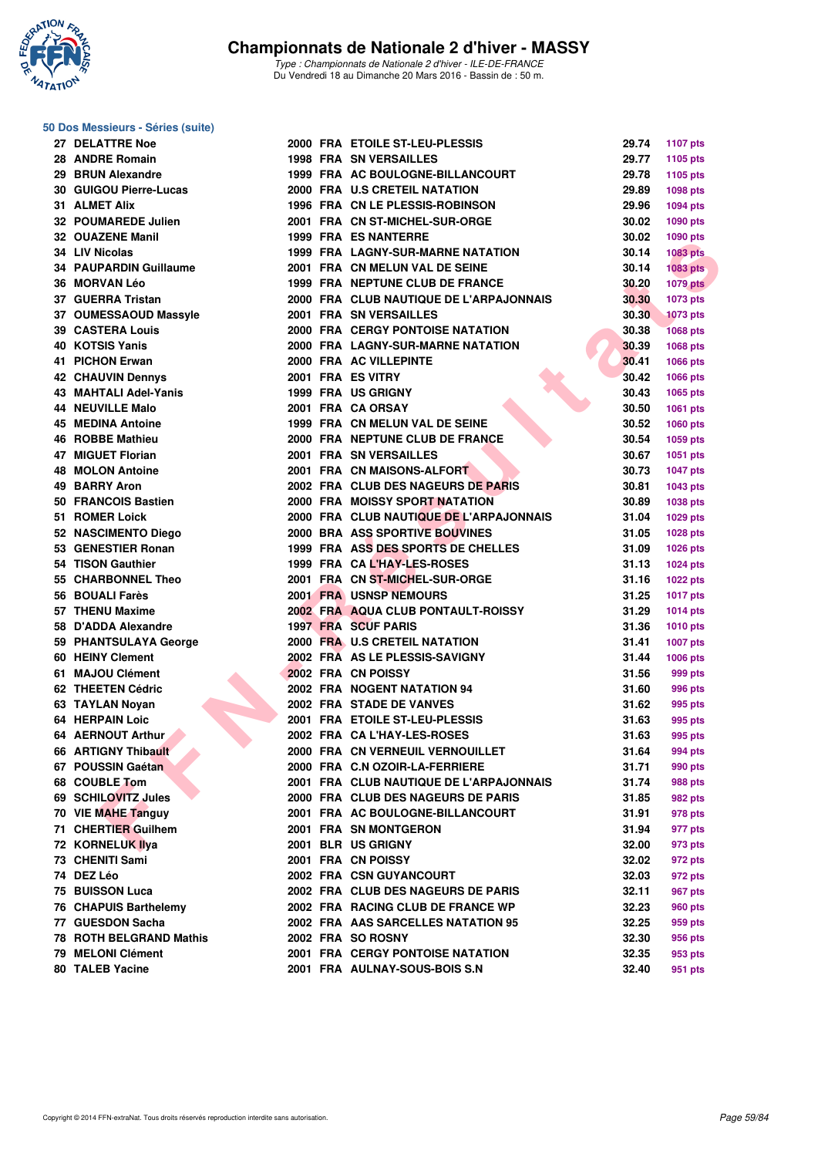

#### **50 Dos Messieurs - Séries (suite)**

|    | 27 DELATTRE Noe                              |
|----|----------------------------------------------|
|    | 28 ANDRE Romain                              |
|    | 29 BRUN Alexandre                            |
|    | 30 GUIGOU Pierre-Lucas                       |
|    | 31 ALMET Alix                                |
|    | 32 POUMAREDE Julien                          |
|    | 32 OUAZENE Manil                             |
|    | 34 LIV Nicolas                               |
|    | <b>34 PAUPARDIN Guillaume</b>                |
|    | 36 MORVAN Léo                                |
|    | 37 GUERRA Tristan                            |
|    | 37 OUMESSAOUD Massyle                        |
|    | 39 CASTERA Louis                             |
|    | 40 KOTSIS Yanis                              |
|    | 41 PICHON Erwan                              |
|    | <b>42 CHAUVIN Dennys</b>                     |
|    | <b>43 MAHTALI Adel-Yanis</b>                 |
|    | <b>44 NEUVILLE Malo</b>                      |
|    | <b>45 MEDINA Antoine</b>                     |
|    | <b>46 ROBBE Mathieu</b>                      |
|    | 47 MIGUET Florian                            |
|    | 48 MOLON Antoine                             |
|    | 49 BARRY Aron                                |
|    | 50 FRANCOIS Bastien                          |
|    | 51 ROMER Loick                               |
|    | 52 NASCIMENTO Diego                          |
|    | 53 GENESTIER Ronan                           |
|    | 54 TISON Gauthier                            |
|    | 55 CHARBONNEL Theo                           |
|    | 56 BOUALI Farès                              |
|    | 57 THENU Maxime                              |
|    |                                              |
|    | 58 D'ADDA Alexandre<br>59 PHANTSULAYA George |
|    | 60 HEINY Clement                             |
|    | 61 MAJOU Clément                             |
|    | 62 THEETEN Cédric                            |
|    | 63 TAYLAN Noyan                              |
|    | <b>64 HERPAIN Loic</b>                       |
|    |                                              |
|    | 64 AERNOUT Arthur                            |
|    | 66 ARTIGNY Thibault                          |
| 67 | <b>POUSSIN Gaétan</b><br><b>COUBLE Tom</b>   |
| 68 |                                              |
| 69 | <b>SCHILOVITZ Jules</b>                      |
| 70 | <b>VIE MAHE Tanguy</b>                       |
| 71 | <b>CHERTIER Guilhem</b>                      |
|    | 72 KORNELUK Ilya                             |
|    | 73 CHENITI Sami                              |
|    | 74 DEZ Léo                                   |
|    | 75 BUISSON Luca                              |
|    | 76 CHAPUIS Barthelemy                        |
| 77 | <b>GUESDON Sacha</b>                         |
| 78 | <b>ROTH BELGRAND Mathis</b>                  |
|    | 79 MELONI Clément                            |
|    | 80 TALEB Yacine                              |

| <b>27 DELATTRE Noe</b>    |  | 2000 FRA ETOILE ST-LEU-PLESSIS           | 29.74 | <b>1107 pts</b> |
|---------------------------|--|------------------------------------------|-------|-----------------|
| 28 ANDRE Romain           |  | <b>1998 FRA SN VERSAILLES</b>            | 29.77 | 1105 pts        |
| 29 BRUN Alexandre         |  | 1999 FRA AC BOULOGNE-BILLANCOURT         | 29.78 | 1105 pts        |
| 30 GUIGOU Pierre-Lucas    |  | 2000 FRA U.S CRETEIL NATATION            | 29.89 | 1098 pts        |
| 31 ALMET Alix             |  | 1996 FRA CN LE PLESSIS-ROBINSON          | 29.96 | 1094 pts        |
| 32 POUMAREDE Julien       |  | 2001 FRA CN ST-MICHEL-SUR-ORGE           | 30.02 | 1090 pts        |
| 32 OUAZENE Manil          |  | <b>1999 FRA ES NANTERRE</b>              | 30.02 | 1090 pts        |
| 34 LIV Nicolas            |  | <b>1999 FRA LAGNY-SUR-MARNE NATATION</b> | 30.14 | <b>1083 pts</b> |
| 34 PAUPARDIN Guillaume    |  | 2001 FRA CN MELUN VAL DE SEINE           | 30.14 | 1083 pts        |
| 36 MORVAN Léo             |  | 1999 FRA NEPTUNE CLUB DE FRANCE          | 30.20 | <b>1079 pts</b> |
| 37 GUERRA Tristan         |  | 2000 FRA CLUB NAUTIQUE DE L'ARPAJONNAIS  | 30.30 | 1073 pts        |
| 37 OUMESSAOUD Massyle     |  | 2001 FRA SN VERSAILLES                   | 30.30 | <b>1073 pts</b> |
| <b>39 CASTERA Louis</b>   |  | <b>2000 FRA CERGY PONTOISE NATATION</b>  | 30.38 | <b>1068 pts</b> |
| 40 KOTSIS Yanis           |  | 2000 FRA LAGNY-SUR-MARNE NATATION        | 30.39 | 1068 pts        |
| 41 PICHON Erwan           |  | 2000 FRA AC VILLEPINTE                   | 30.41 | 1066 pts        |
| <b>42 CHAUVIN Dennys</b>  |  | 2001 FRA ES VITRY                        | 30.42 | 1066 pts        |
| 43 MAHTALI Adel-Yanis     |  | 1999 FRA US GRIGNY                       | 30.43 | 1065 pts        |
| 44 NEUVILLE Malo          |  | 2001 FRA CA ORSAY                        | 30.50 | 1061 pts        |
| 45 MEDINA Antoine         |  | 1999 FRA CN MELUN VAL DE SEINE           | 30.52 | 1060 pts        |
| 46 ROBBE Mathieu          |  | 2000 FRA NEPTUNE CLUB DE FRANCE          | 30.54 | 1059 pts        |
| 47 MIGUET Florian         |  | 2001 FRA SN VERSAILLES                   | 30.67 | 1051 pts        |
| 48 MOLON Antoine          |  | 2001 FRA CN MAISONS-ALFORT               | 30.73 | <b>1047 pts</b> |
| 49 BARRY Aron             |  | 2002 FRA CLUB DES NAGEURS DE PARIS       | 30.81 | 1043 pts        |
| 50 FRANCOIS Bastien       |  | 2000 FRA MOISSY SPORT NATATION           | 30.89 | 1038 pts        |
| 51 ROMER Loick            |  | 2000 FRA CLUB NAUTIQUE DE L'ARPAJONNAIS  | 31.04 | 1029 pts        |
| 52 NASCIMENTO Diego       |  | 2000 BRA ASS SPORTIVE BOUVINES           | 31.05 | <b>1028 pts</b> |
| 53 GENESTIER Ronan        |  | 1999 FRA ASS DES SPORTS DE CHELLES       | 31.09 | 1026 pts        |
| 54 TISON Gauthier         |  | 1999 FRA CAL'HAY-LES-ROSES               | 31.13 | 1024 pts        |
| <b>55 CHARBONNEL Theo</b> |  | 2001 FRA CN ST-MICHEL-SUR-ORGE           | 31.16 | <b>1022 pts</b> |
| 56 BOUALI Farès           |  | 2001 FRA USNSP NEMOURS                   | 31.25 | <b>1017 pts</b> |
| 57 THENU Maxime           |  | 2002 FRA AQUA CLUB PONTAULT-ROISSY       | 31.29 | <b>1014 pts</b> |
| 58 D'ADDA Alexandre       |  | 1997 FRA SCUF PARIS                      | 31.36 | <b>1010 pts</b> |
| 59 PHANTSULAYA George     |  | 2000 FRA U.S CRETEIL NATATION            | 31.41 | <b>1007 pts</b> |
| 60 HEINY Clement          |  | 2002 FRA AS LE PLESSIS-SAVIGNY           | 31.44 | <b>1006 pts</b> |
| 61 MAJOU Clément          |  | 2002 FRA CN POISSY                       | 31.56 | 999 pts         |
| 62 THEETEN Cédric         |  | 2002 FRA NOGENT NATATION 94              | 31.60 | 996 pts         |
| 63 TAYLAN Novan           |  | 2002 FRA STADE DE VANVES                 | 31.62 | 995 pts         |
| 64 HERPAIN Loic           |  | 2001 FRA ETOILE ST-LEU-PLESSIS           | 31.63 | 995 pts         |
| 64 AERNOUT Arthur         |  | 2002 FRA CA L'HAY-LES-ROSES              | 31.63 | 995 pts         |
| 66 ARTIGNY Thibault       |  | 2000 FRA CN VERNEUIL VERNOUILLET         | 31.64 | 994 pts         |
| 67 POUSSIN Gaétan         |  | 2000 FRA C.N OZOIR-LA-FERRIERE           | 31.71 | 990 pts         |
| 68 COUBLE Tom             |  | 2001 FRA CLUB NAUTIQUE DE L'ARPAJONNAIS  | 31.74 | <b>988 pts</b>  |
| 69   SCHILOVITZ Jules     |  | 2000 FRA CLUB DES NAGEURS DE PARIS       | 31.85 | 982 pts         |
| 70 VIE MAHE Tanguy        |  | 2001 FRA AC BOULOGNE-BILLANCOURT         | 31.91 | 978 pts         |
| 71 CHERTIER Guilhem       |  | 2001 FRA SN MONTGERON                    | 31.94 | 977 pts         |
| 72 KORNELUK Ilya          |  | 2001 BLR US GRIGNY                       | 32.00 | 973 pts         |
| 73 CHENITI Sami           |  | 2001 FRA CN POISSY                       | 32.02 | 972 pts         |
| 74 DEZ Léo                |  | 2002 FRA CSN GUYANCOURT                  | 32.03 | 972 pts         |
| 75 BUISSON Luca           |  | 2002 FRA CLUB DES NAGEURS DE PARIS       | 32.11 | 967 pts         |
| 76 CHAPUIS Barthelemy     |  | 2002 FRA RACING CLUB DE FRANCE WP        | 32.23 | 960 pts         |
| 77 GUESDON Sacha          |  | 2002 FRA AAS SARCELLES NATATION 95       | 32.25 | 959 pts         |
| 78 ROTH BELGRAND Mathis   |  | 2002 FRA SO ROSNY                        | 32.30 | 956 pts         |
| 79 MELONI Clément         |  | <b>2001 FRA CERGY PONTOISE NATATION</b>  | 32.35 | 953 pts         |
| 80 TALEB Yacine           |  | 2001 FRA AULNAY-SOUS-BOIS S.N            | 32.40 | 951 pts         |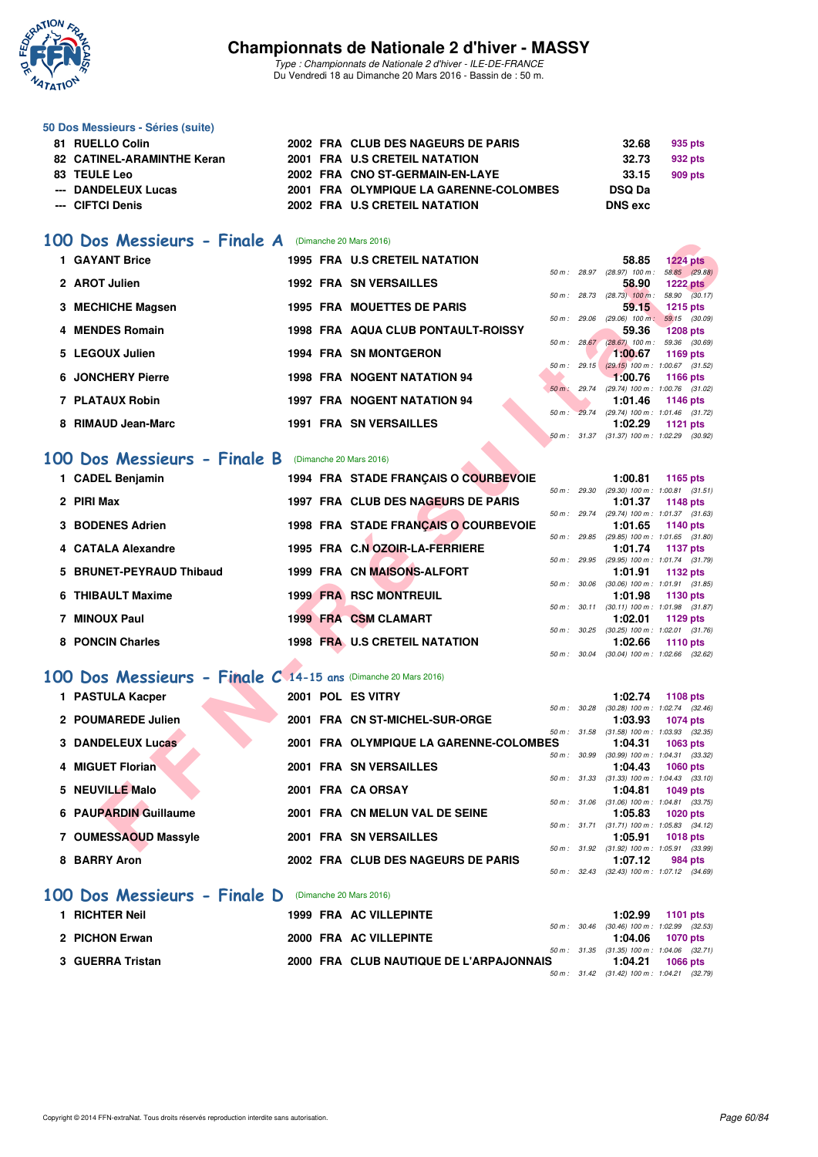

*Type : Championnats de Nationale 2 d'hiver - ILE-DE-FRANCE* Du Vendredi 18 au Dimanche 20 Mars 2016 - Bassin de : 50 m.

#### **50 Dos Messieurs - Séries (suite)**

| 81 RUELLO Colin            |  | 2002 FRA CLUB DES NAGEURS DE PARIS     | 32.68          | 935 pts |
|----------------------------|--|----------------------------------------|----------------|---------|
| 82 CATINEL-ARAMINTHE Keran |  | 2001 FRA U.S CRETEIL NATATION          | 32.73          | 932 pts |
| 83 TEULE Leo               |  | 2002 FRA CNO ST-GERMAIN-EN-LAYE        | 33.15          | 909 pts |
| --- DANDELEUX Lucas        |  | 2001 FRA OLYMPIQUE LA GARENNE-COLOMBES | <b>DSQ Da</b>  |         |
| --- CIFTCI Denis           |  | 2002 FRA U.S CRETEIL NATATION          | <b>DNS</b> exc |         |
|                            |  |                                        |                |         |

#### **[100 Dos Messieurs - Finale A](http://www.ffnatation.fr/webffn/resultats.php?idact=nat&go=epr&idcpt=37307&idepr=62)** (Dimanche 20 Mars 2016)

|           | Dos Messieurs - Finale A                                      |  | (Dimanche 20 Mars 2016)                |        |              |                                                         |                                  |
|-----------|---------------------------------------------------------------|--|----------------------------------------|--------|--------------|---------------------------------------------------------|----------------------------------|
|           | 1 GAYANT Brice                                                |  | <b>1995 FRA U.S CRETEIL NATATION</b>   |        |              | 58.85                                                   | $1224$ pts                       |
|           | 2 AROT Julien                                                 |  | <b>1992 FRA SN VERSAILLES</b>          |        | 50 m: 28.97  | $(28.97)$ 100 m :<br>58.90                              | 58.85 (29.88)<br><b>1222 pts</b> |
|           |                                                               |  |                                        |        |              | 50 m : 28.73 (28.73) 100 m :                            | 58.90 (30.17)                    |
|           | 3 MECHICHE Magsen                                             |  | <b>1995 FRA MOUETTES DE PARIS</b>      |        |              | 59.15                                                   | <b>1215 pts</b>                  |
|           | 4 MENDES Romain                                               |  | 1998 FRA AQUA CLUB PONTAULT-ROISSY     |        | 50 m: 29.06  | $(29.06)$ 100 m :<br>59.36                              | 59.15 (30.09)<br><b>1208 pts</b> |
|           |                                                               |  |                                        |        | 50 m: 28.67  | $(28.67)$ 100 m : 59.36 $(30.69)$                       |                                  |
|           | 5 LEGOUX Julien                                               |  | <b>1994 FRA SN MONTGERON</b>           |        |              | 1:00.67                                                 | <b>1169 pts</b>                  |
|           | <b>6 JONCHERY Pierre</b>                                      |  | <b>1998 FRA NOGENT NATATION 94</b>     |        |              | 50 m: 29.15 (29.15) 100 m: 1:00.67 (31.52)<br>1:00.76   | <b>1166 pts</b>                  |
|           |                                                               |  |                                        |        | 50 m : 29.74 | (29.74) 100 m: 1:00.76 (31.02)                          |                                  |
|           | 7 PLATAUX Robin                                               |  | <b>1997 FRA NOGENT NATATION 94</b>     |        |              | 1:01.46                                                 | <b>1146 pts</b>                  |
|           | 8 RIMAUD Jean-Marc                                            |  | <b>1991 FRA SN VERSAILLES</b>          |        |              | 50 m : 29.74 (29.74) 100 m : 1:01.46 (31.72)<br>1:02.29 |                                  |
|           |                                                               |  |                                        |        |              | 50 m: 31.37 (31.37) 100 m: 1:02.29 (30.92)              | 1121 $pts$                       |
|           |                                                               |  |                                        |        |              |                                                         |                                  |
| <b>OO</b> | Dos Messieurs - Finale B                                      |  | (Dimanche 20 Mars 2016)                |        |              |                                                         |                                  |
|           | 1 CADEL Benjamin                                              |  | 1994 FRA STADE FRANÇAIS O COURBEVOIE   |        |              | 1:00.81                                                 | 1165 pts                         |
|           |                                                               |  |                                        |        | 50 m: 29.30  | $(29.30)$ 100 m : 1:00.81 $(31.51)$                     |                                  |
|           | 2 PIRI Max                                                    |  | 1997 FRA CLUB DES NAGEURS DE PARIS     |        | 50 m : 29.74 | 1:01.37<br>(29.74) 100 m: 1:01.37 (31.63)               | <b>1148 pts</b>                  |
|           | 3 BODENES Adrien                                              |  | 1998 FRA STADE FRANÇAIS O COURBEVOIE   |        |              | 1:01.65                                                 | 1140 pts                         |
|           |                                                               |  |                                        |        | 50 m : 29.85 | (29.85) 100 m : 1:01.65 (31.80)                         |                                  |
|           | 4 CATALA Alexandre                                            |  | 1995 FRA C.N OZOIR-LA-FERRIERE         |        |              | 1:01.74                                                 | 1137 pts                         |
| 5.        | <b>BRUNET-PEYRAUD Thibaud</b>                                 |  | 1999 FRA CN MAISONS-ALFORT             |        |              | 50 m: 29.95 (29.95) 100 m: 1:01.74 (31.79)<br>1:01.91   | 1132 pts                         |
|           |                                                               |  |                                        |        | 50 m : 30.06 | $(30.06)$ 100 m : 1:01.91 $(31.85)$                     |                                  |
|           | 6 THIBAULT Maxime                                             |  | <b>1999 FRA RSC MONTREUIL</b>          |        |              | 1:01.98                                                 | 1130 pts                         |
|           | 7 MINOUX Paul                                                 |  |                                        |        |              | 50 m: 30.11 (30.11) 100 m: 1:01.98 (31.87)              |                                  |
|           |                                                               |  | <b>1999 FRA CSM CLAMART</b>            | 50 m : | 30.25        | 1:02.01<br>$(30.25)$ 100 m : 1:02.01 $(31.76)$          | 1129 pts                         |
|           | 8 PONCIN Charles                                              |  | <b>1998 FRA U.S CRETEIL NATATION</b>   |        |              | 1:02.66                                                 | 1110 pts                         |
|           |                                                               |  |                                        |        | 50 m : 30.04 | $(30.04)$ 100 m : 1:02.66 $(32.62)$                     |                                  |
|           | 00 Dos Messieurs - Finale C 14-15 ans (Dimanche 20 Mars 2016) |  |                                        |        |              |                                                         |                                  |
|           |                                                               |  |                                        |        |              |                                                         |                                  |
|           | 1 PASTULA Kacper                                              |  | 2001 POL ES VITRY                      |        | 50 m: 30.28  | 1:02.74<br>$(30.28)$ 100 m : 1:02.74 $(32.46)$          | <b>1108 pts</b>                  |
|           | 2 POUMAREDE Julien                                            |  | 2001 FRA CN ST-MICHEL-SUR-ORGE         |        |              | 1:03.93                                                 | <b>1074 pts</b>                  |
|           |                                                               |  |                                        |        | 50 m: 31.58  | $(31.58)$ 100 m : 1:03.93 $(32.35)$                     |                                  |
|           | 3 DANDELEUX Lucas                                             |  | 2001 FRA OLYMPIQUE LA GARENNE-COLOMBES |        |              | 1:04.31                                                 | 1063 pts                         |
|           | 4 MIGUET Florian                                              |  | 2001 FRA SN VERSAILLES                 |        | 50 m : 30.99 | (30.99) 100 m: 1:04.31 (33.32)<br>1:04.43               | <b>1060 pts</b>                  |
|           |                                                               |  |                                        |        | 50 m: 31.33  | $(31.33)$ 100 m : 1:04.43 $(33.10)$                     |                                  |
|           | 5 NEUVILLE Malo                                               |  | 2001 FRA CA ORSAY                      |        |              | 1:04.81                                                 | 1049 pts                         |
|           |                                                               |  |                                        |        | 50 m : 31.06 | $(31.06)$ 100 m : 1:04.81 $(33.75)$                     |                                  |
|           | 6 PAUPARDIN Guillaume                                         |  | 2001 FRA CN MELUN VAL DE SEINE         |        |              | 1:05.83<br>50 m: 31.71 (31.71) 100 m: 1:05.83 (34.12)   | <b>1020 pts</b>                  |
|           | 7 OUMESSAOUD Massyle                                          |  | <b>2001 FRA SN VERSAILLES</b>          |        |              | 1:05.91                                                 | <b>1018 pts</b>                  |
|           |                                                               |  |                                        |        |              | 50 m: 31.92 (31.92) 100 m: 1:05.91 (33.99)              |                                  |

## **[100 Dos Messieurs - Finale B](http://www.ffnatation.fr/webffn/resultats.php?idact=nat&go=epr&idcpt=37307&idepr=62)** (Dimanche 20 Mars 2016)

| (Dimanche 20 Mars 2016) |  |
|-------------------------|--|

| 1 CADEL Benjamin         | 1994 FRA STADE FRANCAIS O COURBEVOIE |                | 1:00.81                                    | 1165 $pts$                          |
|--------------------------|--------------------------------------|----------------|--------------------------------------------|-------------------------------------|
|                          |                                      | 50 m: 29.30    |                                            | $(29.30)$ 100 m : 1:00.81 $(31.51)$ |
| 2 PIRI Max               | 1997 FRA CLUB DES NAGEURS DE PARIS   |                | 1:01.37                                    | 1148 $pts$                          |
|                          |                                      | $50 m$ : 29.74 |                                            | $(29.74)$ 100 m : 1:01.37 $(31.63)$ |
| 3 BODENES Adrien         | 1998 FRA STADE FRANCAIS O COURBEVOIE |                |                                            | $1:01.65$ 1140 pts                  |
|                          |                                      | 50 m: 29.85    |                                            | $(29.85)$ 100 m : 1:01.65 $(31.80)$ |
| 4 CATALA Alexandre       | 1995 FRA C.N OZOIR-LA-FERRIERE       |                |                                            | $1:01.74$ 1137 pts                  |
|                          |                                      |                | 50 m: 29.95 (29.95) 100 m: 1:01.74 (31.79) |                                     |
| 5 BRUNET-PEYRAUD Thibaud | 1999 FRA CN MAISONS-ALFORT           |                |                                            | $1:01.91$ 1132 pts                  |
|                          |                                      |                | 50 m: 30.06 (30.06) 100 m: 1:01.91 (31.85) |                                     |
| 6 THIBAULT Maxime        | <b>1999 FRA RSC MONTREUIL</b>        |                | 1:01.98                                    | 1130 pts                            |
|                          |                                      | 50 m : 30.11   |                                            | $(30.11)$ 100 m : 1:01.98 $(31.87)$ |
| 7 MINOUX Paul            | <b>1999 FRA CSM CLAMART</b>          |                | 1:02.01                                    | 1129 $pts$                          |
|                          |                                      | 50 m : 30.25   |                                            | $(30.25)$ 100 m : 1:02.01 $(31.76)$ |
| 8 PONCIN Charles         | 1998 FRA U.S CRETEIL NATATION        |                | 1:02.66                                    | 1110 $pts$                          |
|                          |                                      | 50 m : 30.04   |                                            | $(30.04)$ 100 m : 1:02.66 $(32.62)$ |

## **[100 Dos Messieurs - Finale C](http://www.ffnatation.fr/webffn/resultats.php?idact=nat&go=epr&idcpt=37307&idepr=62) 14-15 ans** (Dimanche 20 Mars 2016)

| 1 PASTULA Kacper         | 2001 POL ES VITRY                      |                        | 1:02.74                                        | 1108 $pts$ |         |
|--------------------------|----------------------------------------|------------------------|------------------------------------------------|------------|---------|
| 2 POUMAREDE Julien       | 2001 FRA CN ST-MICHEL-SUR-ORGE         | 50 m: 30.28            | $(30.28)$ 100 m : 1:02.74 $(32.46)$<br>1:03.93 | 1074 pts   |         |
| <b>3 DANDELEUX Lucas</b> | 2001 FRA OLYMPIQUE LA GARENNE-COLOMBES | 50 m: 31.58            | $(31.58)$ 100 m : 1:03.93 $(32.35)$<br>1:04.31 | $1063$ pts |         |
| 4 MIGUET Florian         | 2001 FRA SN VERSAILLES                 | 50 m: 30.99            | (30.99) 100 m: 1:04.31 (33.32)<br>1:04.43      | 1060 $pts$ |         |
| 5 NEUVILLE Malo          | 2001 FRA CA ORSAY                      | 50 m: 31.33            | $(31.33)$ 100 m : 1:04.43 $(33.10)$<br>1:04.81 | 1049 pts   |         |
| 6 PAUPARDIN Guillaume    | 2001 FRA CN MELUN VAL DE SEINE         | 50 m: 31.06            | $(31.06)$ 100 m : 1:04.81 $(33.75)$<br>1:05.83 | 1020 $pts$ |         |
| 7 OUMESSAOUD Massyle     | 2001 FRA SN VERSAILLES                 | 50 m : 31.71           | $(31.71)$ 100 m : 1:05.83 $(34.12)$<br>1:05.91 | 1018 $pts$ |         |
| 8 BARRY Aron             | 2002 FRA CLUB DES NAGEURS DE PARIS     | 50 m: 31.92            | $(31.92)$ 100 m : 1:05.91 $(33.99)$<br>1:07.12 |            | 984 pts |
|                          |                                        | $50 \text{ m}$ : 32.43 | $(32.43)$ 100 m : 1.07.12 $(34.69)$            |            |         |

### **[100 Dos Messieurs - Finale D](http://www.ffnatation.fr/webffn/resultats.php?idact=nat&go=epr&idcpt=37307&idepr=62)** (Dimanche 20 Mars 2016)

| 1 RICHTER Neil   |  | 1999 FRA AC VILLEPINTE                  |  | $1:02.99$ 1101 pts                           |
|------------------|--|-----------------------------------------|--|----------------------------------------------|
|                  |  |                                         |  | 50 m : 30.46 (30.46) 100 m : 1:02.99 (32.53) |
| 2 PICHON Erwan   |  | 2000 FRA AC VILLEPINTE                  |  | $1:04.06$ 1070 pts                           |
|                  |  |                                         |  | 50 m: 31.35 (31.35) 100 m: 1:04.06 (32.71)   |
| 3 GUERRA Tristan |  | 2000 FRA CLUB NAUTIQUE DE L'ARPAJONNAIS |  | 1:04.21 1066 pts                             |
|                  |  |                                         |  | 50 m : 31.42 (31.42) 100 m : 1:04.21 (32.79) |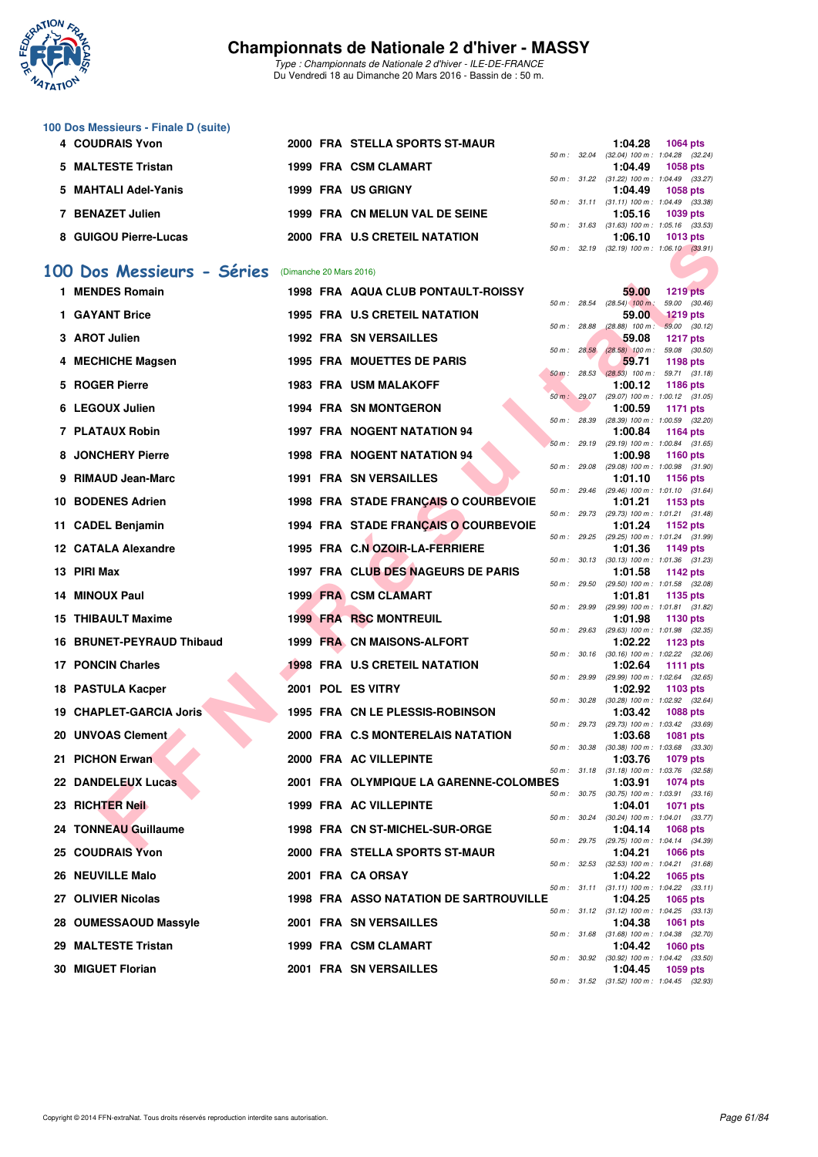

*Type : Championnats de Nationale 2 d'hiver - ILE-DE-FRANCE* Du Vendredi 18 au Dimanche 20 Mars 2016 - Bassin de : 50 m.

| 100 Dos Messieurs - Finale D (suite) |                                |                        |                  |         |                                     |
|--------------------------------------|--------------------------------|------------------------|------------------|---------|-------------------------------------|
| 4 COUDRAIS Yvon                      | 2000 FRA STELLA SPORTS ST-MAUR |                        |                  | 1:04.28 | <b>1064 pts</b>                     |
|                                      |                                |                        | 50 m : 32.04     |         | $(32.04)$ 100 m : 1:04.28 $(32.24)$ |
| 5 MALTESTE Tristan                   | 1999 FRA CSM CLAMART           |                        |                  | 1:04.49 | 1058 pts                            |
|                                      |                                |                        | 50 m : 31.22     |         | $(31.22)$ 100 m : 1:04.49 $(33.27)$ |
| 5 MAHTALI Adel-Yanis                 | 1999 FRA USGRIGNY              |                        |                  | 1:04.49 | 1058 pts                            |
|                                      |                                |                        | $50 m$ : $31.11$ |         | $(31.11)$ 100 m : 1:04.49 $(33.38)$ |
| <b>BENAZET Julien</b>                | 1999 FRA CN MELUN VAL DE SEINE |                        |                  | 1:05.16 | 1039 pts                            |
|                                      |                                |                        | 50 m : 31.63     |         | $(31.63)$ 100 m : 1:05.16 $(33.53)$ |
| 8 GUIGOU Pierre-Lucas                | 2000 FRA U.S CRETEIL NATATION  |                        |                  | 1:06.10 | 1013 pts                            |
|                                      |                                | $50 \text{ m}$ : 32.19 |                  |         | $(32.19)$ 100 m : 1.06.10 $(33.91)$ |

#### **[100 Dos Messieurs - Séries](http://www.ffnatation.fr/webffn/resultats.php?idact=nat&go=epr&idcpt=37307&idepr=62)** (Dimanche 20 Mars 2016)

| QUIQUU FICITE-LUCAS       |                         | <b>FRA 0.3 CRETEIL IVATATION</b>          |              |              | ייים. יט<br>50 m: 32.19 (32.19) 100 m: 1:06.10 (33.91) | ່ານ ເປັນເອ                       |  |
|---------------------------|-------------------------|-------------------------------------------|--------------|--------------|--------------------------------------------------------|----------------------------------|--|
| 00 Dos Messieurs - Séries | (Dimanche 20 Mars 2016) |                                           |              |              |                                                        |                                  |  |
|                           |                         |                                           |              |              |                                                        |                                  |  |
| 1 MENDES Romain           |                         | <b>1998 FRA AQUA CLUB PONTAULT-ROISSY</b> | 50 m: 28.54  |              | 59.00<br>$(28.54)$ 100 m:                              | <b>1219 pts</b><br>59.00 (30.46) |  |
| 1 GAYANT Brice            |                         | <b>1995 FRA U.S CRETEIL NATATION</b>      |              |              | 59.00                                                  | <b>1219 pts</b>                  |  |
| 3 AROT Julien             |                         | <b>1992 FRA SN VERSAILLES</b>             | 50 m: 28.88  |              | $(28.88)$ 100 m : 59.00 $(30.12)$                      |                                  |  |
|                           |                         |                                           | 50 m : 28.58 |              | 59.08<br>$(28.58)$ 100 m : 59.08 $(30.50)$             | <b>1217 pts</b>                  |  |
| 4 MECHICHE Magsen         |                         | 1995 FRA MOUETTES DE PARIS                |              |              | 59.71                                                  | 1198 pts                         |  |
| 5 ROGER Pierre            |                         | <b>1983 FRA USM MALAKOFF</b>              | $50 m$ :     | 28.53        | $(28.53)$ 100 m : 59.71 $(31.18)$<br>1:00.12           | 1186 pts                         |  |
|                           |                         |                                           |              |              | 50 m: 29.07 (29.07) 100 m: 1:00.12 (31.05)             |                                  |  |
| 6 LEGOUX Julien           |                         | <b>1994 FRA SN MONTGERON</b>              | 50 m : 28.39 |              | 1:00.59<br>(28.39) 100 m : 1:00.59 (32.20)             | <b>1171 pts</b>                  |  |
| 7 PLATAUX Robin           |                         | 1997 FRA NOGENT NATATION 94               |              |              | 1:00.84                                                | <b>1164 pts</b>                  |  |
| 8 JONCHERY Pierre         |                         | <b>1998 FRA NOGENT NATATION 94</b>        |              | 50 m: 29.19  | $(29.19)$ 100 m : 1:00.84 $(31.65)$<br>1:00.98         |                                  |  |
|                           |                         |                                           |              | 50 m : 29.08 | $(29.08)$ 100 m : 1:00.98 $(31.90)$                    | <b>1160 pts</b>                  |  |
| 9 RIMAUD Jean-Marc        |                         | <b>1991 FRA SN VERSAILLES</b>             |              |              | 1:01.10                                                | 1156 pts                         |  |
| 10 BODENES Adrien         |                         | 1998 FRA STADE FRANÇAIS O COURBEVOIE      |              |              | 50 m: 29.46 (29.46) 100 m: 1:01.10 (31.64)<br>1:01.21  | 1153 pts                         |  |
|                           |                         |                                           |              | 50 m : 29.73 | $(29.73)$ 100 m : 1:01.21 $(31.48)$                    |                                  |  |
| 11 CADEL Benjamin         |                         | 1994 FRA STADE FRANÇAIS O COURBEVOIE      |              |              | 1:01.24                                                | 1152 pts                         |  |
| 12 CATALA Alexandre       |                         | 1995 FRA C.N OZOIR-LA-FERRIERE            |              | 50 m : 29.25 | (29.25) 100 m: 1:01.24 (31.99)<br>1:01.36              | 1149 pts                         |  |
|                           |                         |                                           |              |              | 50 m: 30.13 (30.13) 100 m: 1:01.36 (31.23)             |                                  |  |
| 13 PIRI Max               |                         | 1997 FRA CLUB DES NAGEURS DE PARIS        | 50 m: 29.50  |              | 1:01.58<br>$(29.50)$ 100 m : 1:01.58 $(32.08)$         | 1142 pts                         |  |
| 14 MINOUX Paul            |                         | <b>1999 FRA CSM CLAMART</b>               |              |              | 1:01.81                                                | 1135 pts                         |  |
|                           |                         |                                           |              | 50 m : 29.99 | (29.99) 100 m: 1:01.81 (31.82)                         |                                  |  |
| <b>15 THIBAULT Maxime</b> |                         | <b>1999 FRA RSC MONTREUIL</b>             |              |              | 1:01.98<br>50 m: 29.63 (29.63) 100 m: 1:01.98 (32.35)  | 1130 pts                         |  |
| 16 BRUNET-PEYRAUD Thibaud |                         | <b>1999 FRA CN MAISONS-ALFORT</b>         |              |              | 1:02.22                                                | 1123 pts                         |  |
| <b>17 PONCIN Charles</b>  |                         | <b>1998 FRA U.S CRETEIL NATATION</b>      |              | 50 m : 30.16 | $(30.16)$ 100 m : 1:02.22 $(32.06)$                    |                                  |  |
|                           |                         |                                           |              |              | 1:02.64<br>50 m: 29.99 (29.99) 100 m: 1:02.64 (32.65)  | <b>1111 pts</b>                  |  |
| 18 PASTULA Kacper         |                         | 2001 POL ES VITRY                         |              |              | 1:02.92                                                | 1103 pts                         |  |
| 19 CHAPLET-GARCIA Joris   |                         | <b>1995 FRA CN LE PLESSIS-ROBINSON</b>    |              |              | 50 m: 30.28 (30.28) 100 m: 1:02.92 (32.64)<br>1:03.42  | <b>1088 pts</b>                  |  |
|                           |                         |                                           |              |              | 50 m: 29.73 (29.73) 100 m: 1:03.42 (33.69)             |                                  |  |
| 20 UNVOAS Clement         |                         | 2000 FRA C.S MONTERELAIS NATATION         |              |              | 1:03.68                                                | <b>1081 pts</b>                  |  |
| 21 PICHON Erwan           |                         | 2000 FRA AC VILLEPINTE                    | 50 m: 30.38  |              | $(30.38)$ 100 m : 1:03.68 $(33.30)$<br>1:03.76         | 1079 pts                         |  |
|                           |                         |                                           |              |              | 50 m: 31.18 (31.18) 100 m: 1:03.76 (32.58)             |                                  |  |
| 22 DANDELEUX Lucas        |                         | 2001 FRA OLYMPIQUE LA GARENNE-COLOMBES    |              |              | 1:03.91<br>50 m: 30.75 (30.75) 100 m: 1:03.91 (33.16)  | <b>1074 pts</b>                  |  |
| 23 RICHTER Neil           |                         | 1999 FRA AC VILLEPINTE                    |              |              | 1:04.01                                                | <b>1071 pts</b>                  |  |
|                           |                         |                                           |              |              | 50 m: 30.24 (30.24) 100 m: 1:04.01 (33.77)             |                                  |  |
| 24 TONNEAU Guillaume      |                         | 1998 FRA CN ST-MICHEL-SUR-ORGE            |              |              | 1:04.14<br>50 m: 29.75 (29.75) 100 m: 1:04.14 (34.39)  | <b>1068 pts</b>                  |  |
| 25 COUDRAIS Yvon          |                         | 2000 FRA STELLA SPORTS ST-MAUR            |              |              | 1:04.21                                                | 1066 pts                         |  |
| 26 NEUVILLE Malo          |                         | 2001 FRA CA ORSAY                         |              |              | 50 m: 32.53 (32.53) 100 m: 1:04.21 (31.68)<br>1:04.22  | 1065 pts                         |  |
|                           |                         |                                           |              |              | 50 m: 31.11 (31.11) 100 m: 1:04.22 (33.11)             |                                  |  |
| 27 OLIVIER Nicolas        |                         | 1998 FRA ASSO NATATION DE SARTROUVILLE    |              |              | 1:04.25                                                | 1065 pts                         |  |
| 28 OUMESSAOUD Massyle     |                         | 2001 FRA SN VERSAILLES                    |              |              | 50 m: 31.12 (31.12) 100 m: 1:04.25 (33.13)<br>1:04.38  | 1061 pts                         |  |
|                           |                         |                                           |              |              | 50 m: 31.68 (31.68) 100 m: 1:04.38 (32.70)             |                                  |  |
| 29 MALTESTE Tristan       |                         | 1999 FRA CSM CLAMART                      |              |              | 1:04.42                                                | 1060 pts                         |  |
| 30 MIGUET Florian         |                         | 2001 FRA SN VERSAILLES                    |              |              | 50 m: 30.92 (30.92) 100 m: 1:04.42 (33.50)<br>1:04.45  | 1059 pts                         |  |
|                           |                         |                                           |              |              | 50 m: 31.52 (31.52) 100 m: 1:04.45 (32.93)             |                                  |  |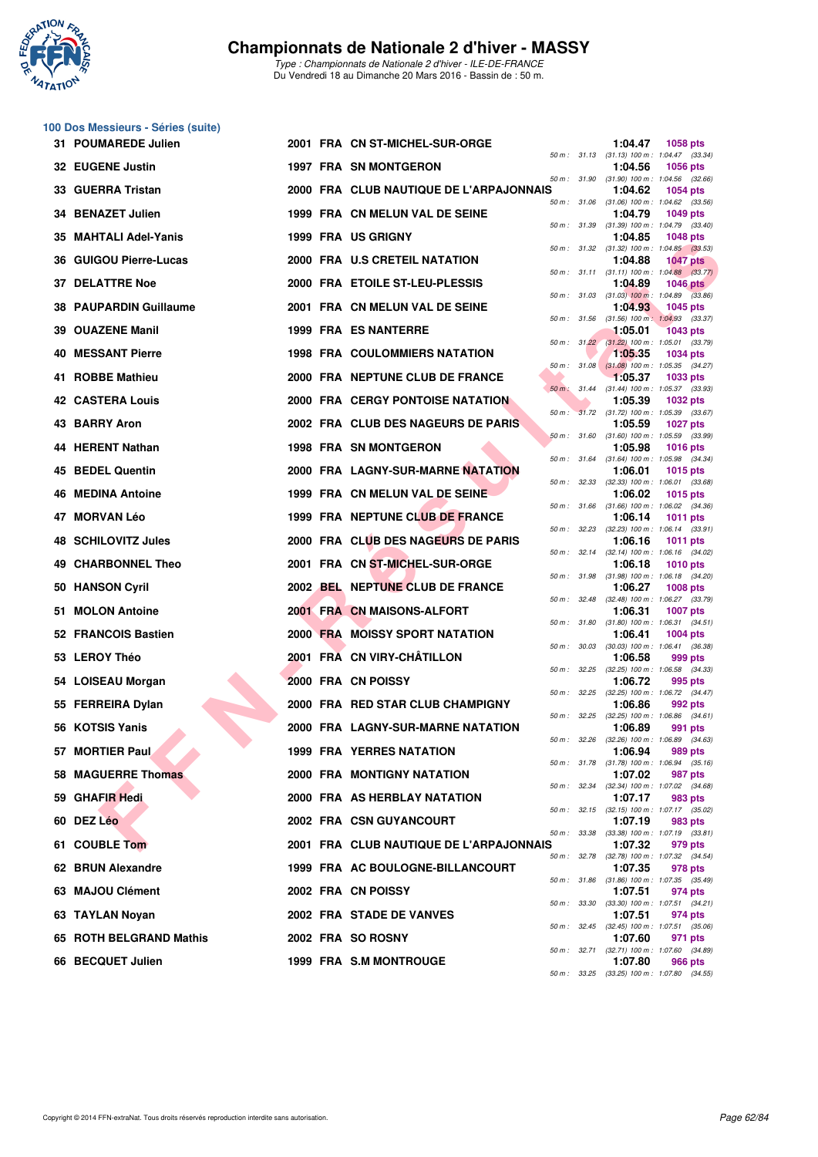

|  | 100 Dos Messieurs - Séries (suite) |  |  |
|--|------------------------------------|--|--|
|--|------------------------------------|--|--|

| 31 POUMAREDE Julien           |  | 2001 FRA CN ST-MICHEL-SUR-ORGE          |        |              | 1:04.47                                                 | <b>1058 pts</b> |  |
|-------------------------------|--|-----------------------------------------|--------|--------------|---------------------------------------------------------|-----------------|--|
| 32 EUGENE Justin              |  | <b>1997 FRA SN MONTGERON</b>            |        |              | 50 m: 31.13 (31.13) 100 m: 1:04.47 (33.34)<br>1:04.56   | 1056 pts        |  |
| 33 GUERRA Tristan             |  | 2000 FRA CLUB NAUTIQUE DE L'ARPAJONNAIS |        | 50 m : 31.90 | $(31.90)$ 100 m : 1:04.56 $(32.66)$<br>1:04.62          | 1054 pts        |  |
| 34 BENAZET Julien             |  | 1999 FRA CN MELUN VAL DE SEINE          |        |              | 50 m: 31.06 (31.06) 100 m: 1:04.62 (33.56)<br>1:04.79   | 1049 pts        |  |
| 35 MAHTALI Adel-Yanis         |  | 1999 FRA US GRIGNY                      |        |              | 50 m: 31.39 (31.39) 100 m: 1:04.79 (33.40)<br>1:04.85   | <b>1048 pts</b> |  |
| 36 GUIGOU Pierre-Lucas        |  | 2000 FRA U.S CRETEIL NATATION           |        |              | 50 m: 31.32 (31.32) 100 m: 1:04.85 (33.53)<br>1:04.88   | <b>1047 pts</b> |  |
| <b>37 DELATTRE Noe</b>        |  | 2000 FRA ETOILE ST-LEU-PLESSIS          |        |              | 50 m: 31.11 (31.11) 100 m: 1:04.88 (33.77)<br>1:04.89   | <b>1046 pts</b> |  |
| <b>38 PAUPARDIN Guillaume</b> |  | 2001 FRA CN MELUN VAL DE SEINE          |        |              | 50 m : 31.03 (31.03) 100 m : 1:04.89 (33.86)<br>1:04.93 | <b>1045 pts</b> |  |
| 39 OUAZENE Manil              |  | <b>1999 FRA ES NANTERRE</b>             |        |              | 50 m: 31.56 (31.56) 100 m: 1:04.93 (33.37)<br>1:05.01   | <b>1043 pts</b> |  |
|                               |  |                                         |        | 50 m: 31.22  | $(31.22)$ 100 m : 1:05.01 $(33.79)$                     |                 |  |
| <b>40 MESSANT Pierre</b>      |  | <b>1998 FRA COULOMMIERS NATATION</b>    |        |              | 1:05.35<br>50 m: 31.08 (31.08) 100 m: 1:05.35 (34.27)   | <b>1034 pts</b> |  |
| 41 ROBBE Mathieu              |  | 2000 FRA NEPTUNE CLUB DE FRANCE         |        |              | 1:05.37<br>50 m : 31.44 (31.44) 100 m : 1:05.37 (33.93) | 1033 pts        |  |
| <b>42 CASTERA Louis</b>       |  | <b>2000 FRA CERGY PONTOISE NATATION</b> |        |              | 1:05.39<br>50 m: 31.72 (31.72) 100 m: 1:05.39 (33.67)   | <b>1032 pts</b> |  |
| 43 BARRY Aron                 |  | 2002 FRA CLUB DES NAGEURS DE PARIS      |        | 50 m: 31.60  | 1:05.59<br>$(31.60)$ 100 m : 1:05.59 $(33.99)$          | <b>1027 pts</b> |  |
| 44 HERENT Nathan              |  | <b>1998 FRA SN MONTGERON</b>            |        | 50 m : 31.64 | 1:05.98<br>$(31.64)$ 100 m : 1:05.98 $(34.34)$          | <b>1016 pts</b> |  |
| 45 BEDEL Quentin              |  | 2000 FRA LAGNY-SUR-MARNE NATATION       |        | 50 m: 32.33  | 1:06.01<br>$(32.33)$ 100 m : 1:06.01 $(33.68)$          | 1015 pts        |  |
| 46 MEDINA Antoine             |  | 1999 FRA CN MELUN VAL DE SEINE          |        |              | 1:06.02                                                 | <b>1015 pts</b> |  |
| 47 MORVAN Léo                 |  | 1999 FRA NEPTUNE CLUB DE FRANCE         |        |              | 50 m: 31.66 (31.66) 100 m: 1:06.02 (34.36)<br>1:06.14   | <b>1011 pts</b> |  |
| 48 SCHILOVITZ Jules           |  | 2000 FRA CLUB DES NAGEURS DE PARIS      |        |              | 50 m: 32.23 (32.23) 100 m: 1:06.14 (33.91)<br>1:06.16   | <b>1011 pts</b> |  |
| 49 CHARBONNEL Theo            |  | 2001 FRA CN ST-MICHEL-SUR-ORGE          |        |              | 50 m: 32.14 (32.14) 100 m: 1:06.16 (34.02)<br>1:06.18   | <b>1010 pts</b> |  |
| 50 HANSON Cyril               |  | 2002 BEL NEPTUNE CLUB DE FRANCE         |        |              | 50 m: 31.98 (31.98) 100 m: 1:06.18 (34.20)<br>1:06.27   | <b>1008 pts</b> |  |
| 51 MOLON Antoine              |  | 2001 FRA CN MAISONS-ALFORT              |        | 50 m: 32.48  | $(32.48)$ 100 m : 1:06.27 $(33.79)$<br>1:06.31          | <b>1007 pts</b> |  |
| 52 FRANCOIS Bastien           |  | <b>2000 FRA MOISSY SPORT NATATION</b>   |        | 50 m : 31.80 | $(31.80)$ 100 m : 1:06.31 $(34.51)$<br>1:06.41          | 1004 pts        |  |
| 53 LEROY Théo                 |  | 2001 FRA CN VIRY-CHÂTILLON              |        |              | 50 m: 30.03 (30.03) 100 m: 1:06.41 (36.38)<br>1:06.58   |                 |  |
|                               |  |                                         | 50 m : | 32.25        | $(32.25)$ 100 m : 1:06.58 $(34.33)$                     | 999 pts         |  |
| 54 LOISEAU Morgan             |  | 2000 FRA CN POISSY                      |        |              | 1:06.72<br>50 m: 32.25 (32.25) 100 m: 1:06.72 (34.47)   | 995 pts         |  |
| 55 FERREIRA Dylan             |  | 2000 FRA RED STAR CLUB CHAMPIGNY        |        | 50 m: 32.25  | 1:06.86<br>$(32.25)$ 100 m : 1:06.86 $(34.61)$          | 992 pts         |  |
| 56 KOTSIS Yanis               |  | 2000 FRA LAGNY-SUR-MARNE NATATION       |        | 50 m: 32.26  | 1:06.89<br>$(32.26)$ 100 m : 1:06.89 $(34.63)$          | 991 pts         |  |
| 57 MORTIER Paul               |  | <b>1999 FRA YERRES NATATION</b>         |        |              | 1:06.94<br>50 m : 31.78 (31.78) 100 m : 1:06.94 (35.16) | 989 pts         |  |
| 58 MAGUERRE Thomas            |  | <b>2000 FRA MONTIGNY NATATION</b>       |        | 50 m : 32.34 | 1:07.02<br>$(32.34)$ 100 m : 1:07.02 $(34.68)$          | 987 pts         |  |
| 59 GHAFIR Hedi                |  | 2000 FRA AS HERBLAY NATATION            |        |              | 1:07.17<br>50 m : 32.15 (32.15) 100 m : 1:07.17 (35.02) | 983 pts         |  |
| 60 DEZ Léo                    |  | <b>2002 FRA CSN GUYANCOURT</b>          |        |              | 1:07.19                                                 | 983 pts         |  |
| 61 COUBLE Tom                 |  | 2001 FRA CLUB NAUTIQUE DE L'ARPAJONNAIS |        | 50 m : 33.38 | $(33.38)$ 100 m : 1:07.19 $(33.81)$<br>1:07.32          | 979 pts         |  |
| 62 BRUN Alexandre             |  | 1999 FRA AC BOULOGNE-BILLANCOURT        |        | 50 m : 32.78 | $(32.78)$ 100 m : 1:07.32 $(34.54)$<br>1:07.35          | 978 pts         |  |
| 63 MAJOU Clément              |  | 2002 FRA CN POISSY                      |        | 50 m : 31.86 | $(31.86)$ 100 m : 1:07.35 $(35.49)$<br>1:07.51          | 974 pts         |  |
| 63 TAYLAN Noyan               |  | 2002 FRA STADE DE VANVES                |        | 50 m: 33.30  | $(33.30)$ 100 m : 1:07.51 $(34.21)$<br>1:07.51          | 974 pts         |  |
| 65 ROTH BELGRAND Mathis       |  | 2002 FRA SO ROSNY                       |        |              | 50 m: 32.45 (32.45) 100 m: 1:07.51 (35.06)<br>1:07.60   | 971 pts         |  |
| 66 BECQUET Julien             |  | 1999 FRA S.M MONTROUGE                  |        |              | 50 m: 32.71 (32.71) 100 m: 1:07.60 (34.89)<br>1:07.80   | 966 pts         |  |
|                               |  |                                         |        |              | 50 m: 33.25 (33.25) 100 m: 1:07.80 (34.55)              |                 |  |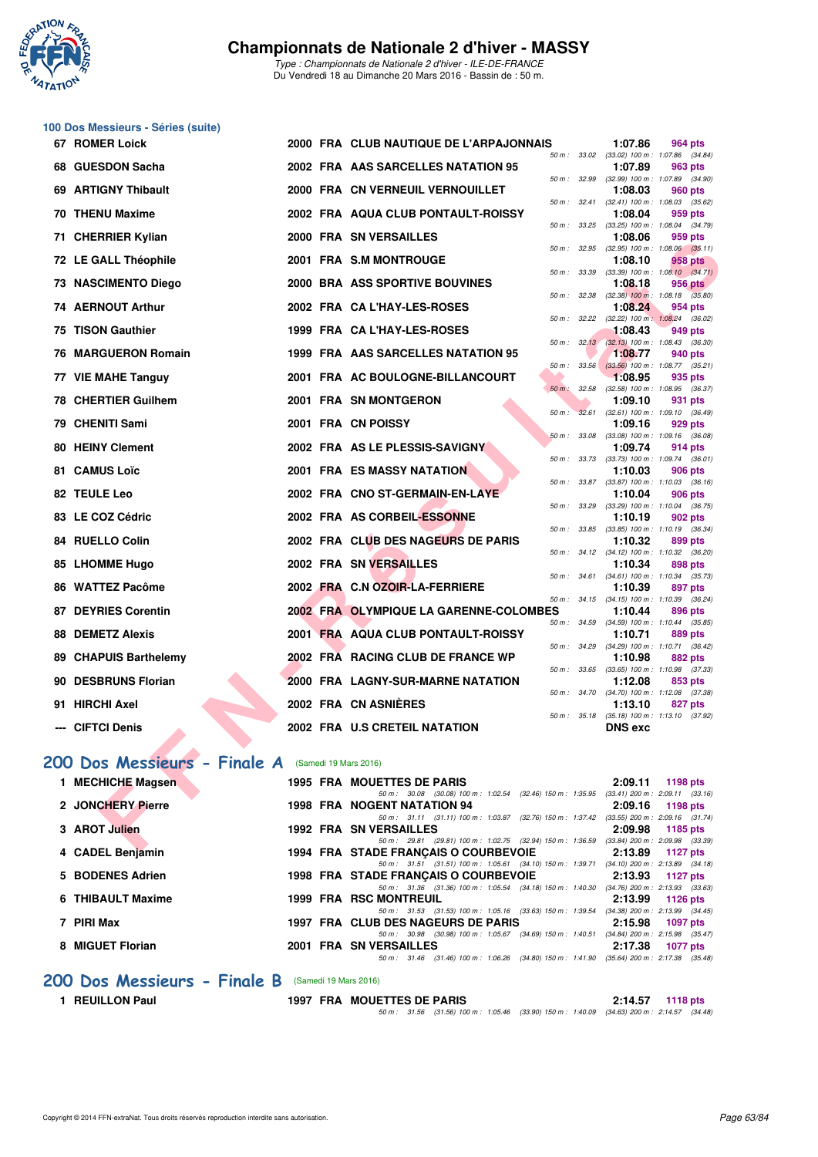

|    | 100 Dos Messieurs - Séries (suite) |  |                                                                                                                                  |                                                                         |  |
|----|------------------------------------|--|----------------------------------------------------------------------------------------------------------------------------------|-------------------------------------------------------------------------|--|
|    | <b>67 ROMER Loick</b>              |  | 2000 FRA CLUB NAUTIQUE DE L'ARPAJONNAIS                                                                                          | 1:07.86<br>964 pts<br>50 m: 33.02 (33.02) 100 m: 1:07.86 (34.84)        |  |
| 68 | <b>GUESDON Sacha</b>               |  | 2002 FRA AAS SARCELLES NATATION 95                                                                                               | 1:07.89<br>963 pts<br>50 m : 32.99 (32.99) 100 m : 1:07.89 (34.90)      |  |
| 69 | <b>ARTIGNY Thibault</b>            |  | 2000 FRA CN VERNEUIL VERNOUILLET<br>50 m: 32.41                                                                                  | 1:08.03<br>960 pts<br>$(32.41)$ 100 m : 1:08.03 $(35.62)$               |  |
|    | <b>70 THENU Maxime</b>             |  | 2002 FRA AQUA CLUB PONTAULT-ROISSY                                                                                               | 1:08.04<br>959 pts                                                      |  |
| 71 | <b>CHERRIER Kylian</b>             |  | 50 m: 33.25<br>2000 FRA SN VERSAILLES                                                                                            | $(33.25)$ 100 m : 1:08.04 $(34.79)$<br>1:08.06<br>959 pts               |  |
|    | 72 LE GALL Théophile               |  | 50 m : 32.95<br>2001 FRA S.M MONTROUGE                                                                                           | $(32.95)$ 100 m : 1:08.06 $(35.11)$<br>1:08.10<br>958 pts               |  |
|    | 73 NASCIMENTO Diego                |  | 50 m : 33.39<br>2000 BRA ASS SPORTIVE BOUVINES                                                                                   | $(33.39)$ 100 m : 1:08.10 $(34.71)$<br>1:08.18<br>956 pts               |  |
|    | 74 AERNOUT Arthur                  |  | 50 m : 32.38<br>2002 FRA CA L'HAY-LES-ROSES                                                                                      | $(32.38)$ 100 m : 1:08.18 $(35.80)$<br>1:08.24<br>954 pts               |  |
| 75 | <b>TISON Gauthier</b>              |  | 50 m: 32.22<br>1999 FRA CA L'HAY-LES-ROSES                                                                                       | (32.22) 100 m: 1:08.24 (36.02)<br>1:08.43<br>949 pts                    |  |
| 76 | <b>MARGUERON Romain</b>            |  | 50 m: 32.13<br>1999 FRA AAS SARCELLES NATATION 95                                                                                | $(32.13)$ 100 m : 1:08.43 $(36.30)$<br>1:08.77<br>940 pts               |  |
|    | 77 VIE MAHE Tanguy                 |  | 33.56<br>50 m :<br>2001 FRA AC BOULOGNE-BILLANCOURT                                                                              | $(33.56)$ 100 m : 1:08.77 $(35.21)$<br>1:08.95<br>935 pts               |  |
| 78 | <b>CHERTIER Guilhem</b>            |  | $50 m$ :<br>32.58<br>2001 FRA SN MONTGERON                                                                                       | (32.58) 100 m: 1:08.95 (36.37)<br>1:09.10<br>931 pts                    |  |
| 79 | <b>CHENITI Sami</b>                |  | 32.61<br>50 m :<br>2001 FRA CN POISSY                                                                                            | $(32.61)$ 100 m : 1:09.10 $(36.49)$<br>1:09.16<br>929 pts               |  |
| 80 | <b>HEINY Clement</b>               |  | 50 m: 33.08<br>2002 FRA AS LE PLESSIS-SAVIGNY                                                                                    | $(33.08)$ 100 m : 1:09.16 $(36.08)$<br>1:09.74<br>914 pts               |  |
| 81 | <b>CAMUS Loïc</b>                  |  | 2001 FRA ES MASSY NATATION                                                                                                       | 50 m: 33.73 (33.73) 100 m: 1:09.74 (36.01)<br>1:10.03<br><b>906 pts</b> |  |
|    | 82 TEULE Leo                       |  | 50 m : 33.87<br>2002 FRA CNO ST-GERMAIN-EN-LAYE                                                                                  | $(33.87)$ 100 m : 1:10.03 $(36.16)$<br>1:10.04<br>906 pts               |  |
|    | 83 LE COZ Cédric                   |  | 50 m : 33.29<br>2002 FRA AS CORBEIL-ESSONNE                                                                                      | $(33.29)$ 100 m : 1:10.04 $(36.75)$<br>1:10.19<br>902 pts               |  |
|    | 84 RUELLO Colin                    |  | 50 m : 33.85<br>2002 FRA CLUB DES NAGEURS DE PARIS                                                                               | $(33.85)$ 100 m : 1:10.19 $(36.34)$<br>1:10.32<br>899 pts               |  |
| 85 | <b>LHOMME Hugo</b>                 |  | 2002 FRA SN VERSAILLES                                                                                                           | 50 m: 34.12 (34.12) 100 m: 1:10.32 (36.20)<br>1:10.34<br>898 pts        |  |
| 86 | <b>WATTEZ Pacôme</b>               |  | 2002 FRA C.N OZOIR-LA-FERRIERE                                                                                                   | 50 m: 34.61 (34.61) 100 m: 1:10.34 (35.73)<br>1:10.39<br>897 pts        |  |
| 87 | <b>DEYRIES Corentin</b>            |  | 2002 FRA OLYMPIQUE LA GARENNE-COLOMBES                                                                                           | 50 m: 34.15 (34.15) 100 m: 1:10.39 (36.24)<br>1:10.44<br>896 pts        |  |
| 88 | <b>DEMETZ Alexis</b>               |  | 2001 FRA AQUA CLUB PONTAULT-ROISSY                                                                                               | 50 m: 34.59 (34.59) 100 m: 1:10.44 (35.85)<br>1:10.71<br>889 pts        |  |
|    | 89 CHAPUIS Barthelemy              |  | 50 m: 34.29<br>2002 FRA RACING CLUB DE FRANCE WP                                                                                 | (34.29) 100 m: 1:10.71 (36.42)<br>1:10.98<br>882 pts                    |  |
| 90 | <b>DESBRUNS Florian</b>            |  | 50 m : 33.65<br>2000 FRA LAGNY-SUR-MARNE NATATION                                                                                | $(33.65)$ 100 m : 1:10.98 $(37.33)$<br>1:12.08<br>853 pts               |  |
| 91 | <b>HIRCHI Axel</b>                 |  | 2002 FRA CN ASNIERES                                                                                                             | 50 m: 34.70 (34.70) 100 m: 1:12.08 (37.38)<br>1:13.10<br>827 pts        |  |
|    | <b>CIFTCI Denis</b>                |  | 50 m: 35.18<br>2002 FRA U.S CRETEIL NATATION                                                                                     | $(35.18)$ 100 m : 1:13.10 $(37.92)$<br><b>DNS</b> exc                   |  |
|    |                                    |  |                                                                                                                                  |                                                                         |  |
|    | 200 Dos Messieurs - Finale A       |  | (Samedi 19 Mars 2016)                                                                                                            |                                                                         |  |
|    | 1 MECHICHE Magsen                  |  | 1995 FRA MOUETTES DE PARIS<br>50 m: 30.08 (30.08) 100 m: 1:02.54 (32.46) 150 m: 1:35.95 (33.41) 200 m: 2:09.11 (33.16)           | 2:09.11<br>1198 pts                                                     |  |
|    | 2 JONCHERY Pierre                  |  | 1998 FRA NOGENT NATATION 94<br>50 m: 31.11 (31.11) 100 m: 1:03.87 (32.76) 150 m: 1:37.42 (33.55) 200 m: 2:09.16 (31.74)          | 2:09.16<br>1198 pts                                                     |  |
|    | 3 AROT Julien                      |  | 1992 FRA SN VERSAILLES<br>50 m: 29.81 (29.81) 100 m: 1:02.75 (32.94) 150 m: 1:36.59 (33.84) 200 m: 2:09.98 (33.39)               | 2:09.98<br>1185 pts                                                     |  |
|    | 4 CADEL Benjamin                   |  | 1994 FRA STADE FRANCAIS O COURBEVOIE<br>50 m: 31.51 (31.51) 100 m: 1:05.61 (34.10) 150 m: 1:39.71 (34.10) 200 m: 2:13.89 (34.18) | 2:13.89<br>1127 pts                                                     |  |
|    | 5 BODENES Adrien                   |  | 1998 FRA STADE FRANÇAIS O COURBEVOIE<br>50 m: 31.36 (31.36) 100 m: 1.05.54 (34.18) 150 m: 1.40.30 (34.76) 200 m: 2.13.93 (33.63) | 2:13.93<br>1127 pts                                                     |  |
|    | 6 THIBAULT Maxime                  |  | 1999 FRA RSC MONTREUIL<br>50 m: 31.53 (31.53) 100 m: 1:05.16 (33.63) 150 m: 1:39.54 (34.38) 200 m: 2:13.99 (34.45)               | 2:13.99<br>1126 pts                                                     |  |
|    | 7 PIRI Max                         |  | 1997 FRA CLUB DES NAGEURS DE PARIS<br>50 m: 30.98 (30.98) 100 m: 1:05.67 (34.69) 150 m: 1:40.51 (34.84) 200 m: 2:15.98 (35.47)   | 2:15.98<br>1097 pts                                                     |  |

#### **[200 Dos Messieurs - Finale B](http://www.ffnatation.fr/webffn/resultats.php?idact=nat&go=epr&idcpt=37307&idepr=63)** (Samedi 19 Mars 2016)

**1 REUILLON Paul 1997 FRA MOUETTES DE PARIS 2:14.57 1118 pts** *50 m : 31.56 (31.56) 100 m : 1:05.46 (33.90) 150 m : 1:40.09 (34.63) 200 m : 2:14.57 (34.48)*

**8 MIGUET Florian 2001 FRA SN VERSAILLES 2:17.38 1077 pts**

*50 m : 31.46 (31.46) 100 m : 1:06.26 (34.80) 150 m : 1:41.90 (35.64) 200 m : 2:17.38 (35.48)*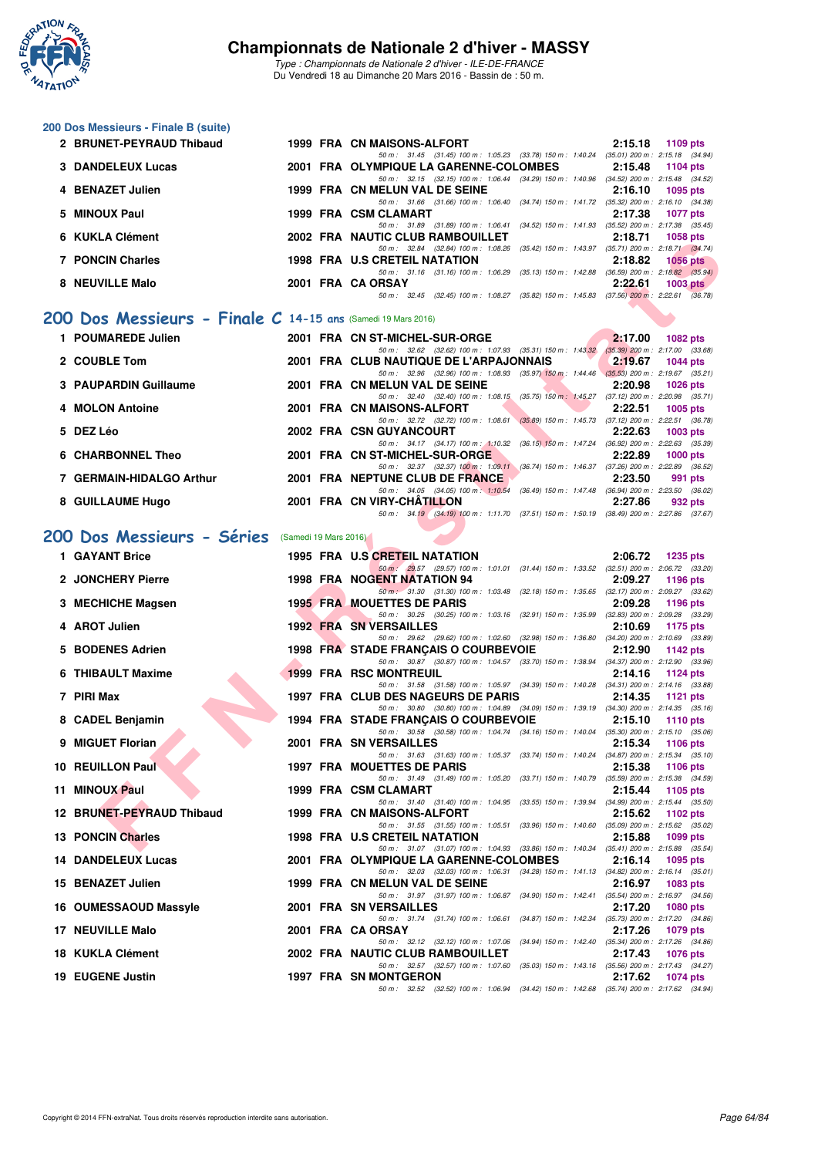

*Type : Championnats de Nationale 2 d'hiver - ILE-DE-FRANCE* Du Vendredi 18 au Dimanche 20 Mars 2016 - Bassin de : 50 m.

#### **200 Dos Messieurs - Finale B (suite)**

| 2 BRUNET-PEYRAUD Thibaud | 1999 FRA CN MAISONS-ALFORT                                                               |         | $2:15.18$ 1109 pts                  |
|--------------------------|------------------------------------------------------------------------------------------|---------|-------------------------------------|
|                          | 50 m: 31.45 (31.45) 100 m: 1:05.23 (33.78) 150 m: 1:40.24                                |         | $(35.01)$ 200 m : 2:15.18 $(34.94)$ |
| 3 DANDELEUX Lucas        | 2001 FRA OLYMPIQUE LA GARENNE-COLOMBES                                                   |         | 2:15.48 1104 pts                    |
|                          | 50 m: 32.15 (32.15) 100 m: 1:06.44 (34.29) 150 m: 1:40.96 (34.52) 200 m: 2:15.48 (34.52) |         |                                     |
| 4 BENAZET Julien         | 1999 FRA CN MELUN VAL DE SEINE                                                           |         | $2:16.10$ 1095 pts                  |
|                          | 50 m: 31.66 (31.66) 100 m: 1:06.40 (34.74) 150 m: 1:41.72 (35.32) 200 m: 2:16.10 (34.38) |         |                                     |
| 5 MINOUX Paul            | 1999 FRA CSM CLAMART                                                                     |         | 2:17.38 1077 pts                    |
|                          | 50 m: 31.89 (31.89) 100 m: 1:06.41 (34.52) 150 m: 1:41.93                                |         | $(35.52)$ 200 m : 2:17.38 $(35.45)$ |
| 6 KUKLA Clément          | 2002 FRA NAUTIC CLUB RAMBOUILLET                                                         | 2:18.71 | 1058 pts                            |
|                          | 50 m: 32.84 (32.84) 100 m: 1:08.26 (35.42) 150 m: 1:43.97 (35.71) 200 m: 2:18.71 (34.74) |         |                                     |
| 7 PONCIN Charles         | 1998 FRA U.S CRETEIL NATATION                                                            | 2:18.82 | 1056 pts                            |
|                          | 50 m: 31.16 (31.16) 100 m: 1:06.29 (35.13) 150 m: 1:42.88                                |         | $(36.59)$ 200 m : 2:18.82 $(35.94)$ |
| 8   NEUVILLE Malo        | 2001 FRA CA ORSAY                                                                        | 2:22.61 | $1003$ pts                          |
|                          | 50 m: 32.45 (32.45) 100 m: 1:08.27 (35.82) 150 m: 1:45.83 (37.56) 200 m: 2:22.61 (36.78) |         |                                     |
|                          |                                                                                          |         |                                     |

### **[200 Dos Messieurs - Finale C](http://www.ffnatation.fr/webffn/resultats.php?idact=nat&go=epr&idcpt=37307&idepr=63) 14-15 ans** (Samedi 19 Mars 2016)

| 1 POUMAREDE Julien       |  | 2001 FRA CN ST-MICHEL-SUR-ORGE                                                |                           | 2:17.00 | $1082$ pts                                        |
|--------------------------|--|-------------------------------------------------------------------------------|---------------------------|---------|---------------------------------------------------|
| 2 COUBLE Tom             |  | 50 m: 32.62 (32.62) 100 m: 1:07.93<br>2001 FRA CLUB NAUTIQUE DE L'ARPAJONNAIS | $(35.31)$ 150 m : 1:43.32 | 2:19.67 | $(35.39)$ 200 m : 2:17.00 $(33.68)$<br>$1044$ pts |
| 3 PAUPARDIN Guillaume    |  | 50 m: 32.96 (32.96) 100 m: 1:08.93<br>2001 FRA CN MELUN VAL DE SEINE          | $(35.97)$ 150 m : 1:44.46 | 2:20.98 | $(35.53)$ 200 m : 2:19.67 $(35.21)$<br>$1026$ pts |
| 4 MOLON Antoine          |  | 50 m : 32.40 (32.40) 100 m : 1:08.15<br>2001 FRA CN MAISONS-ALFORT            | $(35.75)$ 150 m : 1:45.27 | 2:22.51 | $(37.12)$ 200 m : 2:20.98 $(35.71)$<br>$1005$ pts |
| 5 DEZ Léo                |  | 50 m: 32.72 (32.72) 100 m: 1:08.61<br>2002 FRA CSN GUYANCOURT                 | $(35.89)$ 150 m : 1:45.73 | 2:22.63 | $(37.12)$ 200 m : 2:22.51 $(36.78)$<br>$1003$ pts |
| 6 CHARBONNEL Theo        |  | 50 m: 34.17 (34.17) 100 m: 1:10.32<br>2001 FRA CN ST-MICHEL-SUR-ORGE          | $(36.15)$ 150 m : 1:47.24 | 2:22.89 | $(36.92)$ 200 m : 2:22.63 $(35.39)$<br>$1000$ pts |
|                          |  | 50 m: 32.37 (32.37) 100 m: 1:09.11                                            | $(36.74)$ 150 m : 1:46.37 |         | $(37.26)$ 200 m : 2:22.89 $(36.52)$               |
| 7 GERMAIN-HIDALGO Arthur |  | 2001 FRA NEPTUNE CLUB DE FRANCE<br>50 m: 34.05 (34.05) 100 m: 1:10.54         | $(36.49)$ 150 m : 1:47.48 | 2:23.50 | 991 pts<br>(36.94) 200 m : 2:23.50 (36.02)        |
| 8 GUILLAUME Hugo         |  | 2001 FRA CN VIRY-CHÂTILLON<br>50 m: 34.19 (34.19) 100 m: 1:11.70              | (37.51) 150 m : 1.50.19   | 2:27.86 | 932 pts<br>$(38.49)$ 200 m : 2:27.86 $(37.67)$    |

## [200 Dos Messieurs - Séries](http://www.ffnatation.fr/webffn/resultats.php?idact=nat&go=epr&idcpt=37307&idepr=63) (Samedi 19 Mars 2016)

| <b>NUNLA VIGHIGHI</b>                                         |                       | <b><i>LOVE</i></b> FRA INAUTIC CLUB RAMBOUILLET<br>2. 10. / T<br>່ານວຍ ນເອ                                                                                |
|---------------------------------------------------------------|-----------------------|-----------------------------------------------------------------------------------------------------------------------------------------------------------|
| <b>7 PONCIN Charles</b>                                       |                       | 50 m: 32.84 (32.84) 100 m: 1:08.26 (35.42) 150 m: 1:43.97 (35.71) 200 m: 2:18.71 (34.74)<br>1998 FRA U.S CRETEIL NATATION<br>2:18.82<br>$1056$ pts        |
| 8 NEUVILLE Malo                                               |                       | 50 m: 31.16 (31.16) 100 m: 1:06.29 (35.13) 150 m: 1:42.88 (36.59) 200 m: 2:18.82 (35.94)<br>2001 FRA CA ORSAY<br>2:22.61                                  |
|                                                               |                       | $1003$ pts<br>50 m: 32.45 (32.45) 100 m: 1:08.27 (35.82) 150 m: 1:45.83 (37.56) 200 m: 2:22.61 (36.78)                                                    |
| 00 Dos Messieurs - Finale $C$ 14-15 ans (Samedi 19 Mars 2016) |                       |                                                                                                                                                           |
|                                                               |                       |                                                                                                                                                           |
| 1 POUMAREDE Julien                                            |                       | 2001 FRA CN ST-MICHEL-SUR-ORGE<br>2:17.00<br>1082 pts<br>50 m: 32.62 (32.62) 100 m: 1:07.93 (35.31) 150 m: 1:43.32 (35.39) 200 m: 2:17.00 (33.68)         |
| 2 COUBLE Tom                                                  |                       | 2001 FRA CLUB NAUTIQUE DE L'ARPAJONNAIS<br>2:19.67<br><b>1044 pts</b>                                                                                     |
| 3 PAUPARDIN Guillaume                                         |                       | 50 m: 32.96 (32.96) 100 m: 1.08.93 (35.97) 150 m: 1.44.46 (35.53) 200 m: 2.19.67 (35.21)<br>2001 FRA CN MELUN VAL DE SEINE<br>2:20.98<br><b>1026 pts</b>  |
|                                                               |                       | 50 m: 32.40 (32.40) 100 m: 1:08.15 (35.75) 150 m: 1:45.27 (37.12) 200 m: 2:20.98 (35.71)                                                                  |
| 4 MOLON Antoine                                               |                       | 2001 FRA CN MAISONS-ALFORT<br>2:22.51<br><b>1005 pts</b><br>50 m: 32.72 (32.72) 100 m: 1:08.61 (35.89) 150 m: 1:45.73 (37.12) 200 m: 2:22.51 (36.78)      |
| 5 DEZ Léo                                                     |                       | 2002 FRA CSN GUYANCOURT<br>2:22.63<br>$1003$ pts                                                                                                          |
| <b>6 CHARBONNEL Theo</b>                                      |                       | 50 m: 34.17 (34.17) 100 m: 1:10.32 (36.15) 150 m: 1:47.24 (36.92) 200 m: 2:22.63 (35.39)<br>2001 FRA CN ST-MICHEL-SUR-ORGE<br>2:22.89<br>$1000$ pts       |
|                                                               |                       | 50 m: 32.37 (32.37) 100 m: 1:09.11 (36.74) 150 m: 1:46.37 (37.26) 200 m: 2:22.89 (36.52)                                                                  |
| 7 GERMAIN-HIDALGO Arthur                                      |                       | 2001 FRA NEPTUNE CLUB DE FRANCE<br>2:23.50<br>991 pts                                                                                                     |
| 8 GUILLAUME Hugo                                              |                       | 50 m: 34.05 (34.05) 100 m: 1:10.54 (36.49) 150 m: 1:47.48 (36.94) 200 m: 2:23.50 (36.02)<br>2001 FRA CN VIRY-CHATILLON<br>2:27.86<br>932 pts              |
|                                                               |                       | 50 m: 34.19 (34.19) 100 m: 1:11.70 (37.51) 150 m: 1:50.19 (38.49) 200 m: 2:27.86 (37.67)                                                                  |
| 00 Dos Messieurs - Séries                                     | (Samedi 19 Mars 2016) |                                                                                                                                                           |
| 1 GAYANT Brice                                                |                       | 1995 FRA U.S CRETEIL NATATION<br>2:06.72<br>1235 pts                                                                                                      |
|                                                               |                       | 50 m: 29.57 (29.57) 100 m: 1:01.01 (31.44) 150 m: 1:33.52 (32.51) 200 m: 2:06.72 (33.20)                                                                  |
| 2 JONCHERY Pierre                                             |                       | 1998 FRA NOGENT NATATION 94<br>2:09.27<br>1196 pts<br>50 m: 31.30 (31.30) 100 m: 1:03.48 (32.18) 150 m: 1:35.65 (32.17) 200 m: 2:09.27 (33.62)            |
| 3 MECHICHE Magsen                                             |                       | <b>1995 FRA MOUETTES DE PARIS</b><br>2:09.28<br>1196 pts                                                                                                  |
| 4 AROT Julien                                                 |                       | 50 m: 30.25 (30.25) 100 m: 1:03.16 (32.91) 150 m: 1:35.99 (32.83) 200 m: 2:09.28 (33.29)<br><b>1992 FRA SN VERSAILLES</b><br>2:10.69                      |
|                                                               |                       | 1175 pts<br>50 m: 29.62 (29.62) 100 m: 1:02.60 (32.98) 150 m: 1:36.80 (34.20) 200 m: 2:10.69 (33.89)                                                      |
| 5 BODENES Adrien                                              |                       | 1998 FRA STADE FRANÇAIS O COURBEVOIE<br>2:12.90<br>1142 pts                                                                                               |
| 6 THIBAULT Maxime                                             |                       | 50 m: 30.87 (30.87) 100 m: 1:04.57 (33.70) 150 m: 1:38.94 (34.37) 200 m: 2:12.90 (33.96)<br><b>1999 FRA RSC MONTREUIL</b><br>2:14.16<br><b>1124 pts</b>   |
|                                                               |                       | 50 m: 31.58 (31.58) 100 m: 1:05.97 (34.39) 150 m: 1:40.28 (34.31) 200 m: 2:14.16 (33.88)                                                                  |
| 7 PIRI Max                                                    |                       | 1997 FRA CLUB DES NAGEURS DE PARIS<br>2:14.35<br>1121 $pts$<br>50 m: 30.80 (30.80) 100 m: 1:04.89 (34.09) 150 m: 1:39.19 (34.30) 200 m: 2:14.35 (35.16)   |
| 8 CADEL Benjamin                                              |                       | 1994 FRA STADE FRANÇAIS O COURBEVOIE<br>2:15.10<br>1110 pts                                                                                               |
| 9 MIGUET Florian                                              |                       | 50 m: 30.58 (30.58) 100 m: 1:04.74 (34.16) 150 m: 1:40.04 (35.30) 200 m: 2:15.10 (35.06)<br>2001 FRA SN VERSAILLES<br>2:15.34<br>1106 $pts$               |
|                                                               |                       | 50 m: 31.63 (31.63) 100 m: 1:05.37 (33.74) 150 m: 1:40.24 (34.87) 200 m: 2:15.34 (35.10)                                                                  |
| 10 REUILLON Paul                                              |                       | 1997 FRA MOUETTES DE PARIS<br>2:15.38<br>1106 pts<br>50 m: 31.49 (31.49) 100 m: 1.05.20 (33.71) 150 m: 1.40.79 (35.59) 200 m: 2.15.38 (34.59)             |
| 11 MINOUX Paul                                                |                       | 1999 FRA CSM CLAMART<br>2:15.44<br>1105 pts                                                                                                               |
| 12 BRUNET-PEYRAUD Thibaud                                     |                       | 50 m: 31.40 (31.40) 100 m: 1:04.95 (33.55) 150 m: 1:39.94 (34.99) 200 m: 2:15.44 (35.50)                                                                  |
|                                                               |                       | 1999 FRA CN MAISONS-ALFORT<br>2:15.62<br>1102 pts<br>50 m: 31.55 (31.55) 100 m: 1:05.51 (33.96) 150 m: 1:40.60 (35.09) 200 m: 2:15.62 (35.02)             |
| 13 PONCIN Charles                                             |                       | 1998 FRA U.S CRETEIL NATATION<br>2:15.88<br>1099 pts                                                                                                      |
| 14 DANDELEUX Lucas                                            |                       | 50 m: 31.07 (31.07) 100 m: 1:04.93 (33.86) 150 m: 1:40.34 (35.41) 200 m: 2:15.88 (35.54)<br>2001 FRA OLYMPIQUE LA GARENNE-COLOMBES<br>2:16.14<br>1095 pts |
|                                                               |                       | 50 m: 32.03 (32.03) 100 m: 1:06.31 (34.28) 150 m: 1:41.13 (34.82) 200 m: 2:16.14 (35.01)                                                                  |
| 15 BENAZET Julien                                             |                       | 1999 FRA CN MELUN VAL DE SEINE<br>2:16.97<br>1083 pts<br>50 m: 31.97 (31.97) 100 m: 1.06.87 (34.90) 150 m: 1.42.41 (35.54) 200 m: 2.16.97 (34.56)         |
| 16 OUMESSAOUD Massyle                                         |                       | 2001 FRA SN VERSAILLES<br>2:17.20<br><b>1080 pts</b>                                                                                                      |
| 17 NEUVILLE Malo                                              |                       | 50 m: 31.74 (31.74) 100 m: 1:06.61<br>(35.73) 200 m : 2:17.20 (34.86)<br>(34.87) 150 m : 1:42.34<br>2001 FRA CA ORSAY<br>2:17.26<br>1079 pts              |
|                                                               |                       | 50 m: 32.12 (32.12) 100 m: 1:07.06<br>(34.94) 150 m: 1:42.40 (35.34) 200 m: 2:17.26 (34.86)                                                               |
| 18 KUKLA Clément                                              |                       | 2002 FRA NAUTIC CLUB RAMBOUILLET<br>2:17.43<br>1076 pts<br>50 m: 32.57 (32.57) 100 m: 1:07.60                                                             |
| 19 EUGENE Justin                                              |                       | (35.03) 150 m : 1:43.16 (35.56) 200 m : 2:17.43 (34.27)<br>1997 FRA SN MONTGERON<br>2:17.62<br><b>1074 pts</b>                                            |
|                                                               |                       | 50 m: 32.52 (32.52) 100 m: 1:06.94 (34.42) 150 m: 1:42.68 (35.74) 200 m: 2:17.62 (34.94)                                                                  |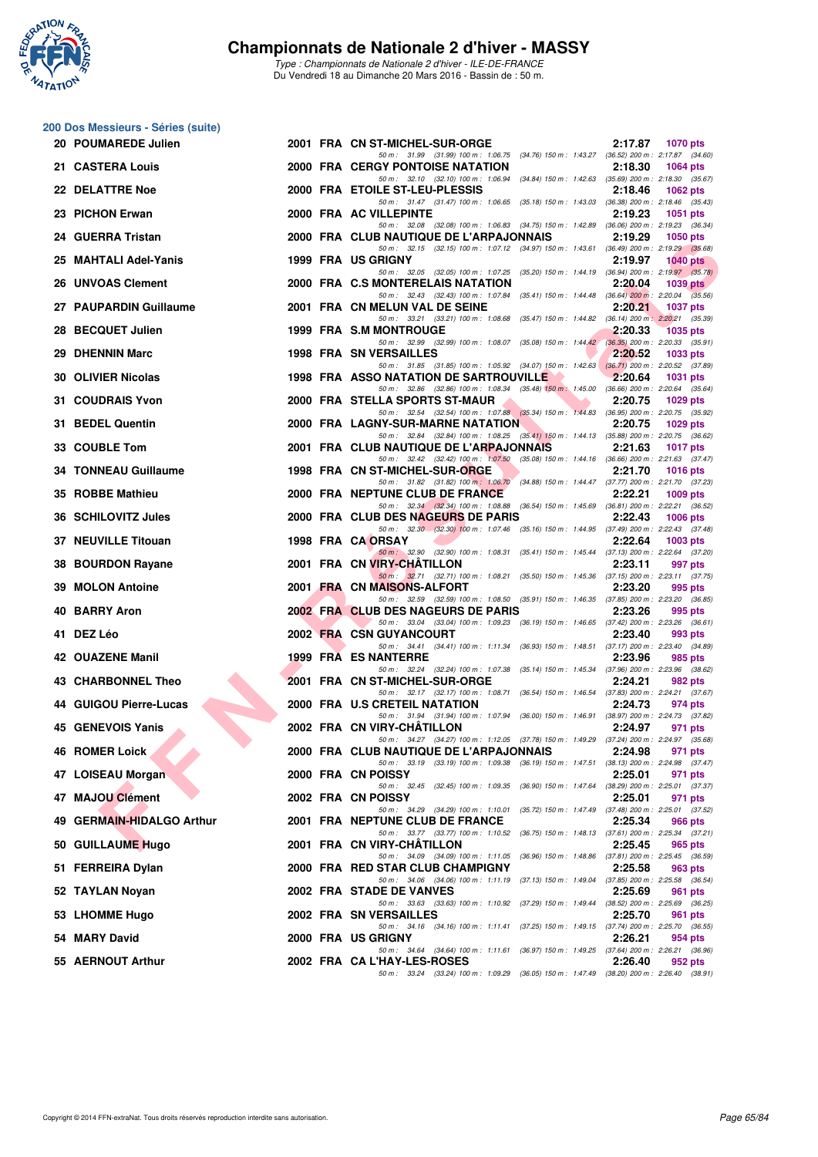

|    | 200 Dos Messieurs - Séries (suite) |  |                                                                                                                                      |                                                       |
|----|------------------------------------|--|--------------------------------------------------------------------------------------------------------------------------------------|-------------------------------------------------------|
|    | 20 POUMAREDE Julien                |  | 2001 FRA CN ST-MICHEL-SUR-ORGE<br>50 m: 31.99 (31.99) 100 m: 1.06.75 (34.76) 150 m: 1.43.27 (36.52) 200 m: 2.17.87 (34.60)           | 2:17.87<br>1070 pts                                   |
|    | 21 CASTERA Louis                   |  | 2000 FRA CERGY PONTOISE NATATION                                                                                                     | 2:18.30<br><b>1064 pts</b>                            |
|    | 22 DELATTRE Noe                    |  | 50 m: 32.10 (32.10) 100 m: 1:06.94 (34.84) 150 m: 1:42.63 (35.69) 200 m: 2:18.30 (35.67)<br>2000 FRA ETOILE ST-LEU-PLESSIS           | 2:18.46<br><b>1062 pts</b>                            |
|    | 23 PICHON Erwan                    |  | 50 m: 31.47 (31.47) 100 m: 1:06.65 (35.18) 150 m: 1:43.03 (36.38) 200 m: 2:18.46 (35.43)<br>2000 FRA AC VILLEPINTE                   | 2:19.23<br>1051 pts                                   |
|    | 24 GUERRA Tristan                  |  | 50 m: 32.08 (32.08) 100 m: 1:06.83 (34.75) 150 m: 1:42.89 (36.06) 200 m: 2:19.23 (36.34)<br>2000 FRA CLUB NAUTIQUE DE L'ARPAJONNAIS  | 2:19.29<br><b>1050 pts</b>                            |
|    | 25 MAHTALI Adel-Yanis              |  | 50 m: 32.15 (32.15) 100 m: 1:07.12 (34.97) 150 m: 1:43.61 (36.49) 200 m: 2:19.29 (35.68)<br>1999 FRA US GRIGNY                       | 2:19.97<br>$1040$ pts                                 |
|    | 26 UNVOAS Clement                  |  | 50 m: 32.05 (32.05) 100 m: 1:07.25 (35.20) 150 m: 1:44.19 (36.94) 200 m: 2:19.97 (35.78)<br>2000 FRA C.S MONTERELAIS NATATION        | 2:20.04<br>1039 pts                                   |
|    | 27 PAUPARDIN Guillaume             |  | 50 m: 32.43 (32.43) 100 m: 1:07.84 (35.41) 150 m: 1:44.48 (36.64) 200 m: 2:20.04 (35.56)<br>2001 FRA CN MELUN VAL DE SEINE           | 2:20.21<br><b>1037 pts</b>                            |
|    | 28 BECQUET Julien                  |  | 50 m: 33.21 (33.21) 100 m: 1.08.68 (35.47) 150 m: 1.44.82 (36.14) 200 m: 2.20.21 (35.39)<br>1999 FRA S.M MONTROUGE                   | 2:20.33<br><b>1035 pts</b>                            |
|    | 29 DHENNIN Marc                    |  | 50 m: 32.99 (32.99) 100 m: 1:08.07 (35.08) 150 m: 1:44.42 (36.35) 200 m: 2:20.33 (35.91)<br><b>1998 FRA SN VERSAILLES</b>            | 2:20.52<br>1033 pts                                   |
|    | <b>30 OLIVIER Nicolas</b>          |  | 50 m: 31.85 (31.85) 100 m: 1:05.92 (34.07) 150 m: 1:42.63 (36.71) 200 m: 2:20.52 (37.89)<br>1998 FRA ASSO NATATION DE SARTROUVILLE   | 2:20.64<br>1031 pts                                   |
|    | 31 COUDRAIS Yvon                   |  | 50 m: 32.86 (32.86) 100 m: 1:08.34 (35.48) 150 m: 1:45.00 (36.66) 200 m: 2:20.64 (35.64)<br>2000 FRA STELLA SPORTS ST-MAUR           | 2:20.75<br><b>1029 pts</b>                            |
|    | 31 BEDEL Quentin                   |  | 50 m: 32.54 (32.54) 100 m: 1.07.88 (35.34) 150 m: 1.44.83 (36.95) 200 m: 2.20.75 (35.92)<br><b>2000 FRA LAGNY-SUR-MARNE NATATION</b> | 2:20.75<br>1029 pts                                   |
|    | 33 COUBLE Tom                      |  | 50 m: 32.84 (32.84) 100 m: 1:08.25 (35.41) 150 m: 1:44.13 (35.88) 200 m: 2:20.75 (36.62)<br>2001 FRA CLUB NAUTIQUE DE L'ARPAJONNAIS  | 2:21.63<br><b>1017 pts</b>                            |
|    | 34 TONNEAU Guillaume               |  | 50 m: 32.42 (32.42) 100 m: 1:07.50 (35.08) 150 m: 1:44.16 (36.66) 200 m: 2:21.63 (37.47)<br>1998 FRA CN ST-MICHEL-SUR-ORGE           | 2:21.70<br><b>1016 pts</b>                            |
|    | 35 ROBBE Mathieu                   |  | 50 m: 31.82 (31.82) 100 m: 1:06.70 (34.88) 150 m: 1:44.47 (37.77) 200 m: 2:21.70 (37.23)                                             |                                                       |
|    |                                    |  | 2000 FRA NEPTUNE CLUB DE FRANCE<br>50 m: 32.34 (32.34) 100 m: 1:08.88 (36.54) 150 m: 1:45.69 (36.81) 200 m: 2:22.21 (36.52)          | 2:22.21<br>1009 pts                                   |
|    | 36 SCHILOVITZ Jules                |  | 2000 FRA CLUB DES NAGEURS DE PARIS<br>50 m: 32.30 (32.30) 100 m: 1:07.46 (35.16) 150 m: 1:44.95 (37.49) 200 m: 2:22.43 (37.48)       | 2:22.43<br><b>1006 pts</b>                            |
|    | 37 NEUVILLE Titouan                |  | 1998 FRA CA ORSAY<br>50 m: 32.90 (32.90) 100 m: 1:08.31 (35.41) 150 m: 1:45.44 (37.13) 200 m: 2:22.64 (37.20)                        | 2:22.64<br>1003 pts                                   |
| 38 | <b>BOURDON Rayane</b>              |  | 2001 FRA CN VIRY-CHATILLON<br>50 m: 32.71 (32.71) 100 m: 1:08.21 (35.50) 150 m: 1:45.36 (37.15) 200 m: 2:23.11 (37.75)               | 2:23.11<br>997 pts                                    |
|    | 39 MOLON Antoine                   |  | 2001 FRA CN MAISONS-ALFORT<br>50 m: 32.59 (32.59) 100 m: 1:08.50 (35.91) 150 m: 1:46.35 (37.85) 200 m: 2:23.20 (36.85)               | 2:23.20<br>995 pts                                    |
| 40 | <b>BARRY Aron</b>                  |  | 2002 FRA CLUB DES NAGEURS DE PARIS<br>50 m: 33.04 (33.04) 100 m: 1:09.23 (36.19) 150 m: 1:46.65 (37.42) 200 m: 2:23.26 (36.61)       | 2:23.26<br>995 pts                                    |
|    | 41 DEZ Léo                         |  | 2002 FRA CSN GUYANCOURT<br>50 m: 34.41 (34.41) 100 m: 1:11.34 (36.93) 150 m: 1:48.51 (37.17) 200 m: 2:23.40 (34.89)                  | 2:23.40<br>993 pts                                    |
|    | 42 OUAZENE Manil                   |  | <b>1999 FRA ES NANTERRE</b><br>50 m: 32.24 (32.24) 100 m: 1:07.38 (35.14) 150 m: 1:45.34 (37.96) 200 m: 2:23.96 (38.62)              | 2:23.96<br>985 pts                                    |
|    | 43 CHARBONNEL Theo                 |  | 2001 FRA CN ST-MICHEL-SUR-ORGE<br>50 m: 32.17 (32.17) 100 m: 1:08.71 (36.54) 150 m: 1:46.54 (37.83) 200 m: 2:24.21 (37.67)           | 2:24.21<br>982 pts                                    |
|    | 44 GUIGOU Pierre-Lucas             |  | 2000 FRA U.S CRETEIL NATATION<br>50 m: 31.94 (31.94) 100 m: 1.07.94 (36.00) 150 m: 1.46.91 (38.97) 200 m: 2.24.73 (37.82)            | 2:24.73<br>974 pts                                    |
|    | 45 GENEVOIS Yanis                  |  | 2002 FRA CN VIRY-CHATILLON                                                                                                           | 2:24.97<br>971 pts                                    |
|    | <b>46 ROMER Loick</b>              |  | 50 m: 34.27 (34.27) 100 m: 1:12.05 (37.78) 150 m: 1:49.29 (37.24) 200 m: 2:24.97 (35.68)<br>2000 FRA CLUB NAUTIQUE DE L'ARPAJONNAIS  | 2:24.98<br>971 pts                                    |
|    | 47 LOISEAU Morgan                  |  | 50 m: 33.19 (33.19) 100 m: 1:09.38 (36.19) 150 m: 1:47.51 (38.13) 200 m: 2:24.98 (37.47)<br>2000 FRA CN POISSY                       | 2:25.01<br>971 pts                                    |
|    | 47 MAJOU Clément                   |  | 50 m : 32.45 (32.45) 100 m : 1:09.35 (36.90) 150 m : 1:47.64<br>2002 FRA CN POISSY                                                   | (38.29) 200 m : 2:25.01 (37.37)<br>2:25.01<br>971 pts |
| 49 | <b>GERMAIN-HIDALGO Arthur</b>      |  | 50 m: 34.29 (34.29) 100 m: 1:10.01 (35.72) 150 m: 1:47.49 (37.48) 200 m: 2:25.01 (37.52)<br>2001 FRA NEPTUNE CLUB DE FRANCE          | 2:25.34<br>966 pts                                    |
|    | 50 GUILLAUME Hugo                  |  | 50 m: 33.77 (33.77) 100 m: 1:10.52 (36.75) 150 m: 1:48.13 (37.61) 200 m: 2:25.34 (37.21)<br>2001 FRA CN VIRY-CHATILLON               | 2:25.45<br>965 pts                                    |
|    | 51 FERREIRA Dylan                  |  | 50 m : 34.09 (34.09) 100 m : 1:11.05 (36.96) 150 m : 1:48.86 (37.81) 200 m : 2:25.45 (36.59)<br>2000 FRA RED STAR CLUB CHAMPIGNY     | 2:25.58<br>963 pts                                    |
|    | 52 TAYLAN Noyan                    |  | 50 m: 34.06 (34.06) 100 m: 1:11.19 (37.13) 150 m: 1:49.04 (37.85) 200 m: 2:25.58 (36.54)<br>2002 FRA STADE DE VANVES                 | 2:25.69<br>961 pts                                    |
|    | 53 LHOMME Hugo                     |  | 50 m: 33.63 (33.63) 100 m: 1:10.92 (37.29) 150 m: 1:49.44 (38.52) 200 m: 2:25.69 (36.25)<br>2002 FRA SN VERSAILLES                   | 2:25.70<br>961 pts                                    |
|    | 54 MARY David                      |  | 50 m: 34.16 (34.16) 100 m: 1:11.41 (37.25) 150 m: 1:49.15 (37.74) 200 m: 2:25.70 (36.55)<br>2000 FRA US GRIGNY                       | 2:26.21<br>954 pts                                    |
|    | 55 AERNOUT Arthur                  |  | 50 m: 34.64 (34.64) 100 m: 1:11.61 (36.97) 150 m: 1:49.25 (37.64) 200 m: 2:26.21 (36.96)<br>2002 FRA CA L'HAY-LES-ROSES              | 2:26.40<br>952 pts                                    |
|    |                                    |  | 50 m: 33.24 (33.24) 100 m: 1:09.29 (36.05) 150 m: 1:47.49 (38.20) 200 m: 2:26.40 (38.91)                                             |                                                       |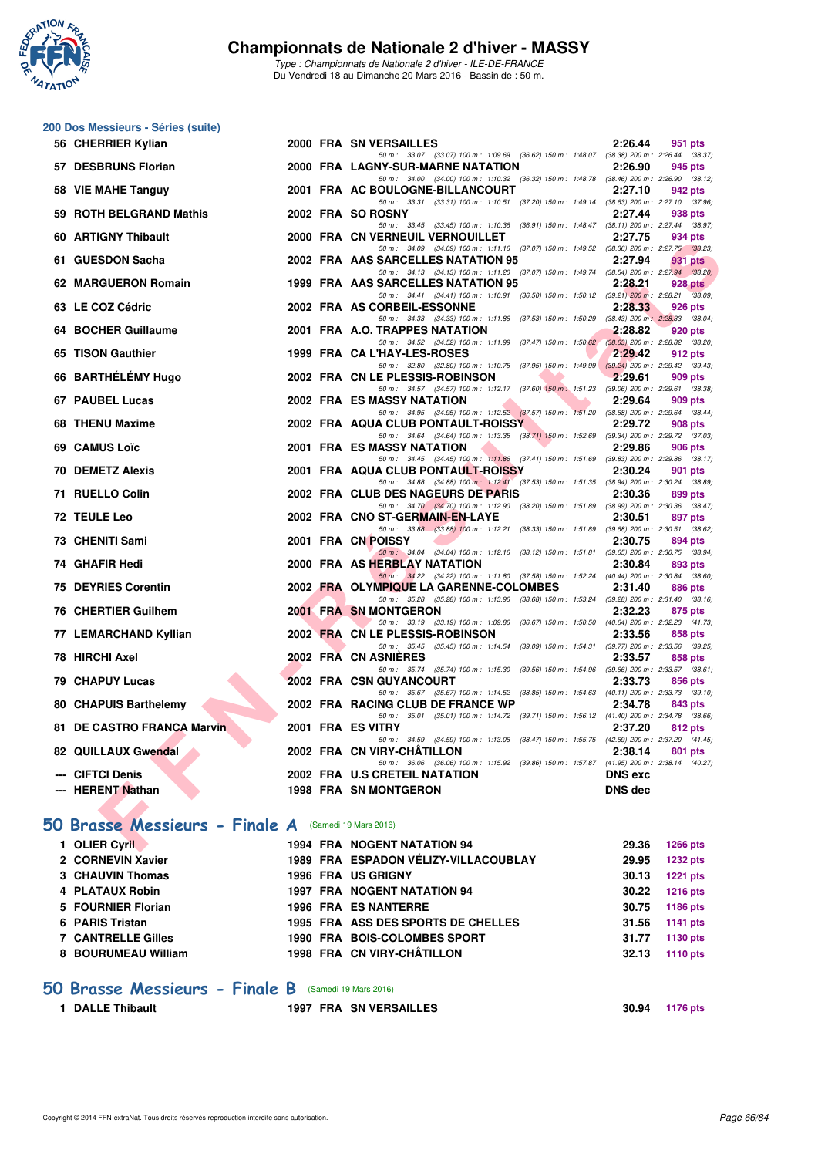

*Type : Championnats de Nationale 2 d'hiver - ILE-DE-FRANCE* Du Vendredi 18 au Dimanche 20 Mars 2016 - Bassin de : 50 m.

## **200 Dos Messieurs - Séries (suite)**

| 56 CHERRIER Kylian                                  |  | 2000 FRA SN VERSAILLES                                                                                                             | 2:26.44        | 951 pts         |  |
|-----------------------------------------------------|--|------------------------------------------------------------------------------------------------------------------------------------|----------------|-----------------|--|
| 57 DESBRUNS Florian                                 |  | 50 m: 33.07 (33.07) 100 m: 1:09.69 (36.62) 150 m: 1:48.07 (38.38) 200 m: 2:26.44 (38.37)<br>2000 FRA LAGNY-SUR-MARNE NATATION      | 2:26.90        | 945 pts         |  |
|                                                     |  | 50 m: 34.00 (34.00) 100 m: 1:10.32 (36.32) 150 m: 1:48.78 (38.46) 200 m: 2:26.90 (38.12)                                           |                |                 |  |
| 58 VIE MAHE Tanguy                                  |  | 2001 FRA AC BOULOGNE-BILLANCOURT<br>50 m: 33.31 (33.31) 100 m: 1:10.51 (37.20) 150 m: 1:49.14 (38.63) 200 m: 2:27.10 (37.96)       | 2:27.10        | 942 pts         |  |
| 59 ROTH BELGRAND Mathis                             |  | 2002 FRA SO ROSNY<br>50 m: 33.45 (33.45) 100 m: 1:10.36 (36.91) 150 m: 1:48.47 (38.11) 200 m: 2:27.44 (38.97)                      | 2:27.44        | 938 pts         |  |
| 60 ARTIGNY Thibault                                 |  | <b>2000 FRA CN VERNEUIL VERNOUILLET</b>                                                                                            | 2:27.75        | 934 pts         |  |
| 61 GUESDON Sacha                                    |  | 50 m: 34.09 (34.09) 100 m: 1:11.16 (37.07) 150 m: 1:49.52 (38.36) 200 m: 2:27.75 (38.23)<br>2002 FRA AAS SARCELLES NATATION 95     | 2:27.94        | 931 pts         |  |
|                                                     |  | 50 m: 34.13 (34.13) 100 m: 1:11.20 (37.07) 150 m: 1:49.74 (38.54) 200 m: 2:27.94 (38.20)                                           |                |                 |  |
| 62 MARGUERON Romain                                 |  | 1999 FRA AAS SARCELLES NATATION 95                                                                                                 | 2:28.21        | 928 pts         |  |
| 63 LE COZ Cédric                                    |  | 50 m: 34.41 (34.41) 100 m: 1:10.91 (36.50) 150 m: 1:50.12 (39.21) 200 m: 2:28.21 (38.09)<br>2002 FRA AS CORBEIL-ESSONNE            | 2:28.33        | 926 pts         |  |
| 64 BOCHER Guillaume                                 |  | 50 m: 34.33 (34.33) 100 m: 1:11.86 (37.53) 150 m: 1:50.29 (38.43) 200 m: 2:28.33 (38.04)<br>2001 FRA A.O. TRAPPES NATATION         | 2:28.82        | 920 pts         |  |
|                                                     |  | 50 m: 34.52 (34.52) 100 m: 1:11.99 (37.47) 150 m: 1:50.62 (38.63) 200 m: 2:28.82 (38.20)                                           |                |                 |  |
| 65 TISON Gauthier                                   |  | 1999 FRA CA L'HAY-LES-ROSES                                                                                                        | 2:29.42        | 912 pts         |  |
| 66 BARTHELEMY Hugo                                  |  | 50 m: 32.80 (32.80) 100 m: 1:10.75 (37.95) 150 m: 1:49.99 (39.24) 200 m: 2:29.42 (39.43)<br>2002 FRA CN LE PLESSIS-ROBINSON        | 2:29.61        | 909 pts         |  |
|                                                     |  | 50 m: 34.57 (34.57) 100 m: 1:12.17 (37.60) 150 m: 1:51.23 (39.06) 200 m: 2:29.61 (38.38)                                           |                |                 |  |
| 67 PAUBEL Lucas                                     |  | <b>2002 FRA ES MASSY NATATION</b><br>50 m: 34.95 (34.95) 100 m: 1:12.52 (37.57) 150 m: 1:51.20 (38.68) 200 m: 2:29.64 (38.44)      | 2:29.64        | 909 pts         |  |
| 68 THENU Maxime                                     |  | 2002 FRA AQUA CLUB PONTAULT-ROISSY                                                                                                 | 2:29.72        | 908 pts         |  |
| 69 CAMUS Loïc                                       |  | 50 m: 34.64 (34.64) 100 m: 1:13.35 (38.71) 150 m: 1:52.69 (39.34) 200 m: 2:29.72 (37.03)<br><b>2001 FRA ES MASSY NATATION</b>      | 2:29.86        | 906 pts         |  |
|                                                     |  | 50 m: 34.45 (34.45) 100 m: 1:11.86 (37.41) 150 m: 1:51.69 (39.83) 200 m: 2:29.86 (38.17)                                           |                |                 |  |
| <b>70 DEMETZ Alexis</b>                             |  | 2001 FRA AQUA CLUB PONTAULT-ROISSY<br>50 m: 34.88 (34.88) 100 m: 1:12.41 (37.53) 150 m: 1:51.35 (38.94) 200 m: 2:30.24 (38.89)     | 2:30.24        | 901 pts         |  |
| 71 RUELLO Colin                                     |  | 2002 FRA CLUB DES NAGEURS DE PARIS                                                                                                 | 2:30.36        | 899 pts         |  |
| 72 TEULE Leo                                        |  | 50 m: 34.70 (34.70) 100 m: 1:12.90 (38.20) 150 m: 1:51.89 (38.99) 200 m: 2:30.36 (38.47)<br>2002 FRA CNO ST-GERMAIN-EN-LAYE        | 2:30.51        | 897 pts         |  |
|                                                     |  | 50 m: 33.88 (33.88) 100 m: 1:12.21 (38.33) 150 m: 1:51.89 (39.68) 200 m: 2:30.51 (38.62)                                           |                |                 |  |
| 73 CHENITI Sami                                     |  | 2001 FRA CN POISSY<br>50 m: 34.04 (34.04) 100 m: 1:12.16 (38.12) 150 m: 1:51.81 (39.65) 200 m: 2:30.75 (38.94)                     | 2:30.75        | 894 pts         |  |
| 74 GHAFIR Hedi                                      |  | 2000 FRA AS HERBLAY NATATION                                                                                                       | 2:30.84        | 893 pts         |  |
| <b>75 DEYRIES Corentin</b>                          |  | 50 m: 34.22 (34.22) 100 m: 1:11.80 (37.58) 150 m: 1:52.24 (40.44) 200 m: 2:30.84 (38.60)<br>2002 FRA OLYMPIQUE LA GARENNE-COLOMBES | 2:31.40        | 886 pts         |  |
|                                                     |  | 50 m: 35.28 (35.28) 100 m: 1:13.96 (38.68) 150 m: 1:53.24 (39.28) 200 m: 2:31.40 (38.16)                                           |                |                 |  |
| 76 CHERTIER Guilhem                                 |  | 2001 FRA SN MONTGERON<br>50 m: 33.19 (33.19) 100 m: 1:09.86 (36.67) 150 m: 1:50.50 (40.64) 200 m: 2:32.23 (41.73)                  | 2:32.23        | 875 pts         |  |
| 77 LEMARCHAND Kyllian                               |  | 2002 FRA CN LE PLESSIS-ROBINSON                                                                                                    | 2:33.56        | 858 pts         |  |
| 78 HIRCHI Axel                                      |  | 50 m: 35.45 (35.45) 100 m: 1:14.54 (39.09) 150 m: 1:54.31 (39.77) 200 m: 2:33.56 (39.25)<br>2002 FRA CN ASNIERES                   | 2:33.57        | 858 pts         |  |
|                                                     |  | 50 m: 35.74 (35.74) 100 m: 1:15.30 (39.56) 150 m: 1:54.96 (39.66) 200 m: 2:33.57 (38.61)                                           |                |                 |  |
| <b>79 CHAPUY Lucas</b>                              |  | 2002 FRA CSN GUYANCOURT<br>50 m: 35.67 (35.67) 100 m: 1:14.52 (38.85) 150 m: 1:54.63 (40.11) 200 m: 2:33.73 (39.10)                | 2:33.73        | 856 pts         |  |
| 80 CHAPUIS Barthelemy                               |  | 2002 FRA RACING CLUB DE FRANCE WP                                                                                                  | 2:34.78        | 843 pts         |  |
| 81 DE CASTRO FRANCA Marvin                          |  | 50 m: 35.01 (35.01) 100 m: 1:14.72 (39.71) 150 m: 1:56.12 (41.40) 200 m: 2:34.78 (38.66)<br>2001 FRA ES VITRY                      | 2:37.20        |                 |  |
|                                                     |  | 50 m: 34.59 (34.59) 100 m: 1:13.06 (38.47) 150 m: 1:55.75 (42.69) 200 m: 2:37.20 (41.45)                                           |                | 812 pts         |  |
| 82 QUILLAUX Gwendal                                 |  | 2002 FRA CN VIRY-CHATILLON                                                                                                         | 2:38.14        | 801 pts         |  |
| --- CIFTCI Denis                                    |  | 50 m: 36.06 (36.06) 100 m: 1:15.92 (39.86) 150 m: 1:57.87 (41.95) 200 m: 2:38.14 (40.27)<br>2002 FRA U.S CRETEIL NATATION          | <b>DNS</b> exc |                 |  |
| --- HERENT Nathan                                   |  | <b>1998 FRA SN MONTGERON</b>                                                                                                       | <b>DNS dec</b> |                 |  |
|                                                     |  |                                                                                                                                    |                |                 |  |
| O Brasse Messieurs - Finale A (Samedi 19 Mars 2016) |  |                                                                                                                                    |                |                 |  |
| 1 OLIER Cyril                                       |  | 1994 FRA NOGENT NATATION 94                                                                                                        | 29.36          | <b>1266 pts</b> |  |

## **[50 Brasse Messieurs - Finale A](http://www.ffnatation.fr/webffn/resultats.php?idact=nat&go=epr&idcpt=37307&idepr=71)** (Samedi 19 Mars 2016)

| 1 OLIER Cyril             |  | <b>1994 FRA NOGENT NATATION 94</b>   | 29.36 | <b>1266 pts</b> |
|---------------------------|--|--------------------------------------|-------|-----------------|
| 2 CORNEVIN Xavier         |  | 1989 FRA ESPADON VÉLIZY-VILLACOUBLAY | 29.95 | <b>1232 pts</b> |
| 3 CHAUVIN Thomas          |  | <b>1996 FRA US GRIGNY</b>            | 30.13 | <b>1221 pts</b> |
| 4 PLATAUX Robin           |  | <b>1997 FRA NOGENT NATATION 94</b>   | 30.22 | <b>1216 pts</b> |
| 5 FOURNIER Florian        |  | <b>1996 FRA ES NANTERRE</b>          | 30.75 | 1186 pts        |
| 6 PARIS Tristan           |  | 1995 FRA ASS DES SPORTS DE CHELLES   | 31.56 | 1141 pts        |
| <b>7 CANTRELLE Gilles</b> |  | 1990 FRA BOIS-COLOMBES SPORT         | 31.77 | 1130 pts        |
| 8 BOURUMEAU William       |  | 1998 FRA CN VIRY-CHÂTILLON           | 32.13 | 1110 pts        |
|                           |  |                                      |       |                 |
|                           |  |                                      |       |                 |

### **[50 Brasse Messieurs - Finale B](http://www.ffnatation.fr/webffn/resultats.php?idact=nat&go=epr&idcpt=37307&idepr=71)** (Samedi 19 Mars 2016)

**1 DALLE Thibault 1997 FRA SN VERSAILLES 30.94 1176 pts**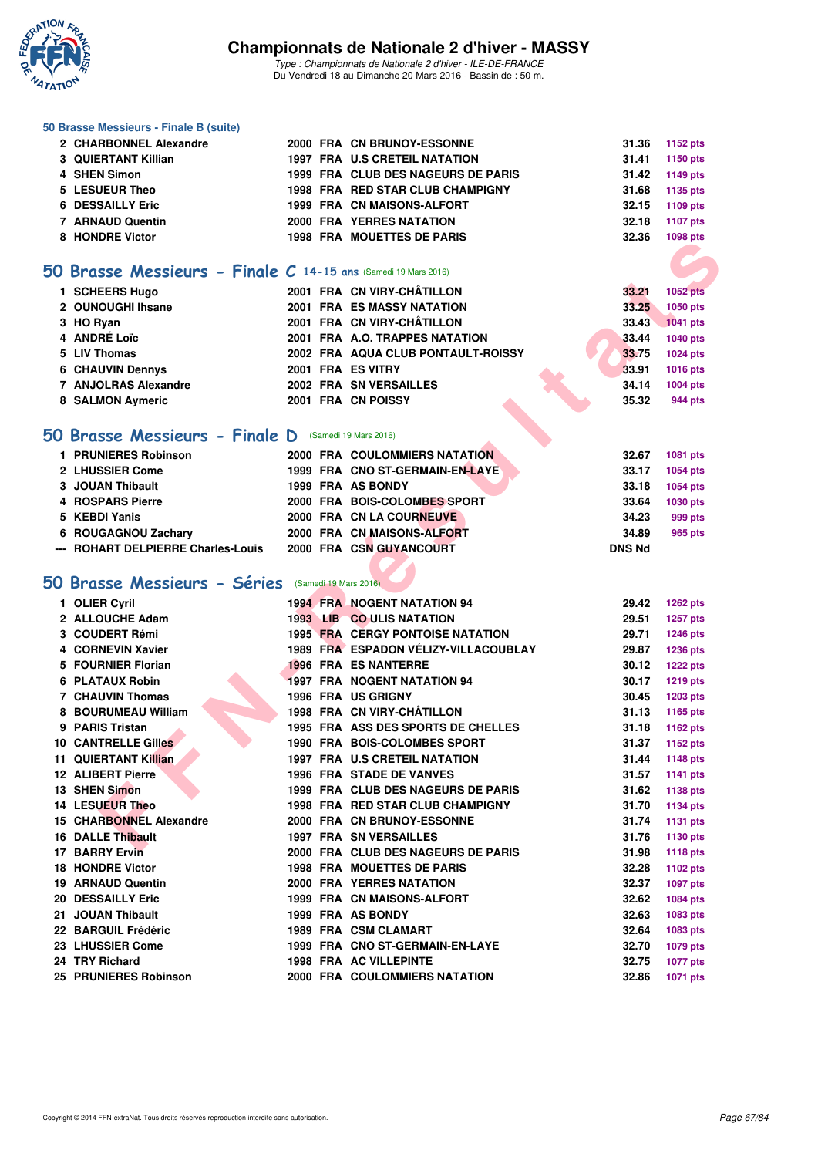

*Type : Championnats de Nationale 2 d'hiver - ILE-DE-FRANCE* Du Vendredi 18 au Dimanche 20 Mars 2016 - Bassin de : 50 m.

#### **50 Brasse Messieurs - Finale B (suite)**

| 3 QUIERTANT Killian<br><b>1997 FRA U.S CRETEIL NATATION</b><br>31.41<br>1999 FRA CLUB DES NAGEURS DE PARIS<br>4 SHEN Simon<br>31.42<br>5 LESUEUR Theo<br>1998 FRA RED STAR CLUB CHAMPIGNY<br>31.68<br><b>6 DESSAILLY Eric</b><br>1999 FRA CN MAISONS-ALFORT<br>32.15<br>7 ARNAUD Quentin<br>2000 FRA YERRES NATATION<br>32.18<br>8 HONDRE Victor<br><b>1998 FRA MOUETTES DE PARIS</b><br>32.36 | 2 CHARBONNEL Alexandre |  | 2000 FRA CN BRUNOY-ESSONNE | 31.36 1152 pts |
|------------------------------------------------------------------------------------------------------------------------------------------------------------------------------------------------------------------------------------------------------------------------------------------------------------------------------------------------------------------------------------------------|------------------------|--|----------------------------|----------------|
|                                                                                                                                                                                                                                                                                                                                                                                                |                        |  |                            | 1150 pts       |
|                                                                                                                                                                                                                                                                                                                                                                                                |                        |  |                            | 1149 pts       |
|                                                                                                                                                                                                                                                                                                                                                                                                |                        |  |                            | 1135 pts       |
|                                                                                                                                                                                                                                                                                                                                                                                                |                        |  |                            | 1109 pts       |
|                                                                                                                                                                                                                                                                                                                                                                                                |                        |  |                            | 1107 pts       |
|                                                                                                                                                                                                                                                                                                                                                                                                |                        |  |                            | 1098 pts       |

### **[50 Brasse Messieurs - Finale C](http://www.ffnatation.fr/webffn/resultats.php?idact=nat&go=epr&idcpt=37307&idepr=71) 14-15 ans** (Samedi 19 Mars 2016)

| 1 SCHEERS Hugo          | 2001 FRA CN VIRY-CHÂTILLON         | 33.21 | <b>1052 pts</b> |
|-------------------------|------------------------------------|-------|-----------------|
| 2 OUNOUGHI Ihsane       | <b>2001 FRA ES MASSY NATATION</b>  | 33.25 | 1050 pts        |
| 3 HO Ryan               | 2001 FRA CN VIRY-CHÂTILLON         | 33.43 | <b>1041 pts</b> |
| 4 ANDRÉ Loïc            | 2001 FRA A.O. TRAPPES NATATION     | 33.44 | 1040 pts        |
| 5 LIV Thomas            | 2002 FRA AQUA CLUB PONTAULT-ROISSY | 33.75 | <b>1024 pts</b> |
| <b>6 CHAUVIN Dennys</b> | 2001 FRA ES VITRY                  | 33.91 | 1016 pts        |
| 7 ANJOLRAS Alexandre    | <b>2002 FRA SN VERSAILLES</b>      | 34.14 | 1004 pts        |
| 8 SALMON Aymeric        | 2001 FRA CN POISSY                 | 35.32 | 944 pts         |

### **[50 Brasse Messieurs - Finale D](http://www.ffnatation.fr/webffn/resultats.php?idact=nat&go=epr&idcpt=37307&idepr=71)** (Samedi 19 Mars 2016)

| 1 PRUNIERES Robinson               |  | <b>2000 FRA COULOMMIERS NATATION</b> | 32.67         | 1081 pts |
|------------------------------------|--|--------------------------------------|---------------|----------|
| 2 LHUSSIER Come                    |  | 1999 FRA CNO ST-GERMAIN-EN-LAYE      | 33.17         | 1054 pts |
| 3 JOUAN Thibault                   |  | 1999 FRA AS BONDY                    | 33.18         | 1054 pts |
| 4 ROSPARS Pierre                   |  | 2000 FRA BOIS-COLOMBES SPORT         | 33.64         | 1030 pts |
| 5 KEBDI Yanis                      |  | 2000 FRA CN LA COURNEUVE             | 34.23         | 999 pts  |
| 6 ROUGAGNOU Zachary                |  | 2000 FRA CN MAISONS-ALFORT           | 34.89         | 965 pts  |
| --- ROHART DELPIERRE Charles-Louis |  | 2000 FRA CSN GUYANCOURT              | <b>DNS Nd</b> |          |

## **[50 Brasse Messieurs - Séries](http://www.ffnatation.fr/webffn/resultats.php?idact=nat&go=epr&idcpt=37307&idepr=71)** (Samedi 19 Mars 2016)

|    | <b>INDINE VIGIO</b>                                              |  | FRA MUULILLOUL FARIS                    |               | 1050 pis        |
|----|------------------------------------------------------------------|--|-----------------------------------------|---------------|-----------------|
|    |                                                                  |  |                                         |               |                 |
|    | $50$ Brasse Messieurs - Finale C 14-15 ans (Samedi 19 Mars 2016) |  |                                         |               |                 |
|    | 1 SCHEERS Hugo                                                   |  | 2001 FRA CN VIRY-CHÂTILLON              | 33.21         | <b>1052 pts</b> |
|    | 2 OUNOUGHI Ihsane                                                |  | <b>2001 FRA ES MASSY NATATION</b>       | 33.25         | 1050 pts        |
|    | 3 HO Ryan                                                        |  | 2001 FRA CN VIRY-CHÂTILLON              | 33.43         | 1041 pts        |
|    | 4 ANDRÉ Loïc                                                     |  | 2001 FRA A.O. TRAPPES NATATION          | 33.44         | 1040 pts        |
|    | 5 LIV Thomas                                                     |  | 2002 FRA AQUA CLUB PONTAULT-ROISSY      | 33.75         | 1024 pts        |
|    | 6 CHAUVIN Dennys                                                 |  | 2001 FRA ES VITRY                       | 33.91         | 1016 pts        |
|    | 7 ANJOLRAS Alexandre                                             |  | 2002 FRA SN VERSAILLES                  | 34.14         | <b>1004 pts</b> |
|    | 8 SALMON Aymeric                                                 |  | 2001 FRA CN POISSY                      | 35.32         | 944 pts         |
|    |                                                                  |  |                                         |               |                 |
|    | <b>iO Brasse Messieurs - Finale D</b> (Samedi 19 Mars 2016)      |  |                                         |               |                 |
|    | 1 PRUNIERES Robinson                                             |  | <b>2000 FRA COULOMMIERS NATATION</b>    | 32.67         | 1081 pts        |
|    | 2 LHUSSIER Come                                                  |  | 1999 FRA CNO ST-GERMAIN-EN-LAYE         | 33.17         | 1054 pts        |
|    | 3 JOUAN Thibault                                                 |  | 1999 FRA AS BONDY                       | 33.18         | 1054 pts        |
|    | 4 ROSPARS Pierre                                                 |  | 2000 FRA BOIS-COLOMBES SPORT            | 33.64         | 1030 pts        |
|    | 5 KEBDI Yanis                                                    |  | 2000 FRA CN LA COURNEUVE                | 34.23         | 999 pts         |
|    | 6 ROUGAGNOU Zachary                                              |  | 2000 FRA CN MAISONS-ALFORT              | 34.89         | 965 pts         |
|    | --- ROHART DELPIERRE Charles-Louis                               |  | 2000 FRA CSN GUYANCOURT                 | <b>DNS Nd</b> |                 |
|    |                                                                  |  |                                         |               |                 |
|    | <b>iO Brasse Messieurs - Séries</b> (Samedi 19 Mars 2016)        |  |                                         |               |                 |
|    | 1 OLIER Cyril                                                    |  | <b>1994 FRA NOGENT NATATION 94</b>      | 29.42         | <b>1262 pts</b> |
|    | 2 ALLOUCHE Adam                                                  |  | 1993 LIB CO ULIS NATATION               | 29.51         | 1257 pts        |
|    | 3 COUDERT Rémi                                                   |  | <b>1995 FRA CERGY PONTOISE NATATION</b> | 29.71         | 1246 pts        |
|    | 4 CORNEVIN Xavier                                                |  | 1989 FRA ESPADON VÉLIZY-VILLACOUBLAY    | 29.87         | 1236 pts        |
|    | 5 FOURNIER Florian                                               |  | <b>1996 FRA ES NANTERRE</b>             | 30.12         | <b>1222 pts</b> |
|    | 6 PLATAUX Robin                                                  |  | <b>1997 FRA NOGENT NATATION 94</b>      | 30.17         | <b>1219 pts</b> |
|    | 7 CHAUVIN Thomas                                                 |  | <b>1996 FRA US GRIGNY</b>               | 30.45         | <b>1203 pts</b> |
|    | 8 BOURUMEAU William                                              |  | 1998 FRA CN VIRY-CHÂTILLON              | 31.13         | 1165 pts        |
|    | 9 PARIS Tristan                                                  |  | 1995 FRA ASS DES SPORTS DE CHELLES      | 31.18         | 1162 pts        |
|    | <b>10 CANTRELLE Gilles</b>                                       |  | 1990 FRA BOIS-COLOMBES SPORT            | 31.37         | 1152 pts        |
| 11 | <b>QUIERTANT Killian</b>                                         |  | 1997 FRA U.S CRETEIL NATATION           | 31.44         | 1148 pts        |
|    | <b>12 ALIBERT Pierre</b>                                         |  | <b>1996 FRA STADE DE VANVES</b>         | 31.57         | <b>1141 pts</b> |
|    | 13 SHEN Simon                                                    |  | 1999 FRA CLUB DES NAGEURS DE PARIS      | 31.62         | 1138 pts        |
|    | 14 LESUEUR Theo                                                  |  | 1998 FRA RED STAR CLUB CHAMPIGNY        | 31.70         | <b>1134 pts</b> |
|    | <b>15 CHARBONNEL Alexandre</b>                                   |  | 2000 FRA CN BRUNOY-ESSONNE              | 31.74         | <b>1131 pts</b> |
|    | 16 DALLE Thibault                                                |  | <b>1997 FRA SN VERSAILLES</b>           | 31.76         | <b>1130 pts</b> |
|    | <b>17 BARRY Ervin</b>                                            |  | 2000 FRA CLUB DES NAGEURS DE PARIS      | 31.98         | 1118 pts        |
|    | 18 HONDRE Victor                                                 |  | 1998 FRA MOUETTES DE PARIS              | 32.28         | 1102 pts        |
|    | <b>19 ARNAUD Quentin</b>                                         |  | <b>2000 FRA YERRES NATATION</b>         | 32.37         | <b>1097 pts</b> |
|    | <b>20 DESSAILLY Eric</b>                                         |  | 1999 FRA CN MAISONS-ALFORT              | 32.62         | 1084 pts        |
|    | 21 JOUAN Thibault                                                |  | 1999 FRA AS BONDY                       | 32.63         | 1083 pts        |
|    | 22 BARGUIL Frédéric                                              |  | 1989 FRA CSM CLAMART                    | 32.64         | 1083 pts        |
|    | 23 LHUSSIER Come                                                 |  | 1999 FRA CNO ST-GERMAIN-EN-LAYE         | 32.70         | <b>1079 pts</b> |
|    | 24 TRY Richard                                                   |  | 1998 FRA AC VILLEPINTE                  | 32.75         | <b>1077 pts</b> |
|    | 25 PRUNIERES Robinson                                            |  | 2000 FRA COULOMMIERS NATATION           | 32.86         | <b>1071 pts</b> |
|    |                                                                  |  |                                         |               |                 |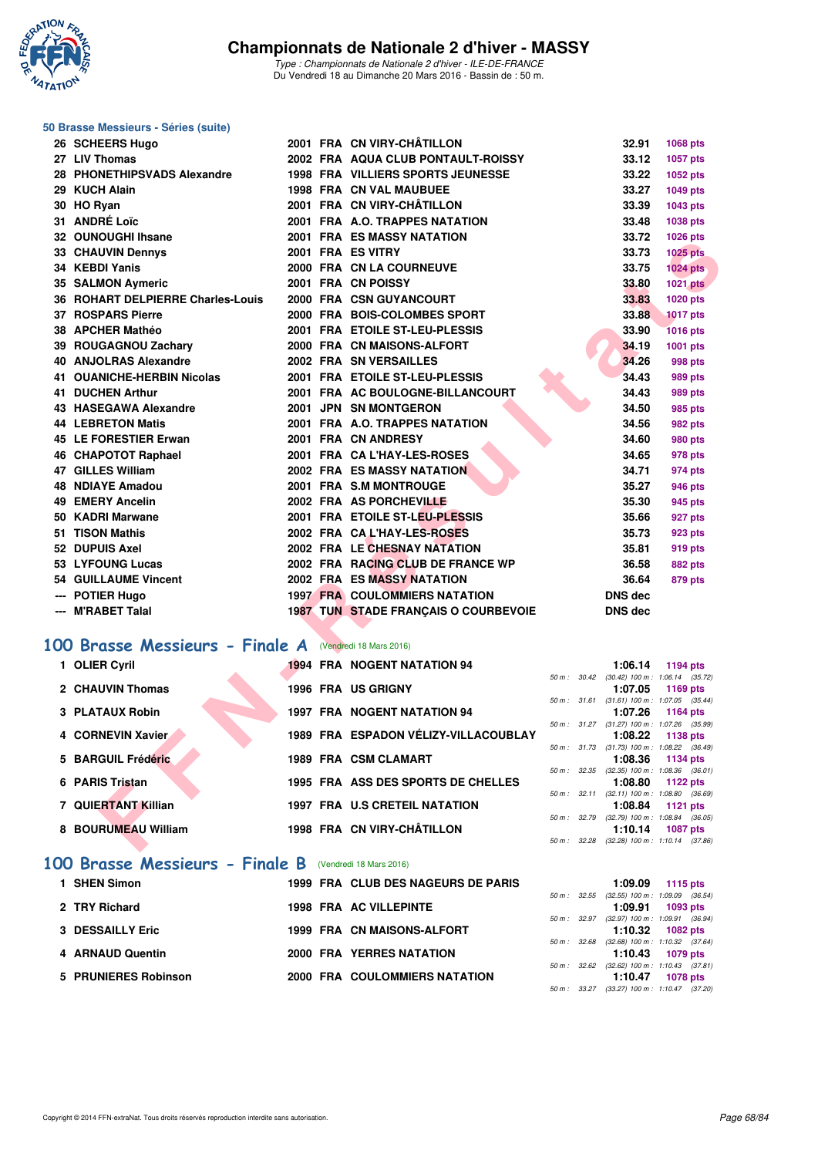

 $\overline{\phantom{a}}$ 

#### **50 Brasse Messieurs - Séries (suite)**

| 26 SCHEERS Hugo                   |  | 2001 FRA CN VIRY-CHATILLON                  |              | 32.91                                           | 1068 pts                                                 |  |
|-----------------------------------|--|---------------------------------------------|--------------|-------------------------------------------------|----------------------------------------------------------|--|
| 27 LIV Thomas                     |  | 2002 FRA AQUA CLUB PONTAULT-ROISSY          |              | 33.12                                           | 1057 pts                                                 |  |
| 28 PHONETHIPSVADS Alexandre       |  | <b>1998 FRA VILLIERS SPORTS JEUNESSE</b>    |              | 33.22                                           | 1052 pts                                                 |  |
| 29 KUCH Alain                     |  | <b>1998 FRA CN VAL MAUBUEE</b>              |              | 33.27                                           | 1049 pts                                                 |  |
| 30 HO Ryan                        |  | 2001 FRA CN VIRY-CHÂTILLON                  |              | 33.39                                           | 1043 pts                                                 |  |
| 31 ANDRÉ Loïc                     |  | 2001 FRA A.O. TRAPPES NATATION              |              | 33.48                                           | 1038 pts                                                 |  |
| 32 OUNOUGHI Ihsane                |  | <b>2001 FRA ES MASSY NATATION</b>           |              | 33.72                                           | 1026 pts                                                 |  |
| 33 CHAUVIN Dennys                 |  | 2001 FRA ES VITRY                           |              | 33.73                                           | <b>1025 pts</b>                                          |  |
| 34 KEBDI Yanis                    |  | 2000 FRA CN LA COURNEUVE                    |              | 33.75                                           | <b>1024 pts</b>                                          |  |
| 35 SALMON Aymeric                 |  | 2001 FRA CN POISSY                          |              | 33.80                                           | <b>1021 pts</b>                                          |  |
| 36 ROHART DELPIERRE Charles-Louis |  | 2000 FRA CSN GUYANCOURT                     |              | 33.83                                           | 1020 pts                                                 |  |
| <b>37 ROSPARS Pierre</b>          |  | 2000 FRA BOIS-COLOMBES SPORT                |              | 33.88                                           | <b>1017 pts</b>                                          |  |
| 38 APCHER Mathéo                  |  | 2001 FRA ETOILE ST-LEU-PLESSIS              |              | 33.90                                           | <b>1016 pts</b>                                          |  |
| 39 ROUGAGNOU Zachary              |  | 2000 FRA CN MAISONS-ALFORT                  |              | 34.19                                           | 1001 pts                                                 |  |
| 40 ANJOLRAS Alexandre             |  | 2002 FRA SN VERSAILLES                      |              | 34.26                                           | 998 pts                                                  |  |
| 41 OUANICHE-HERBIN Nicolas        |  | 2001 FRA ETOILE ST-LEU-PLESSIS              |              | 34.43                                           | 989 pts                                                  |  |
| 41 DUCHEN Arthur                  |  | 2001 FRA AC BOULOGNE-BILLANCOURT            |              | 34.43                                           | 989 pts                                                  |  |
| 43 HASEGAWA Alexandre             |  | 2001 JPN SN MONTGERON                       |              | 34.50                                           | 985 pts                                                  |  |
| <b>44 LEBRETON Matis</b>          |  | 2001 FRA A.O. TRAPPES NATATION              |              | 34.56                                           | 982 pts                                                  |  |
| 45 LE FORESTIER Erwan             |  | 2001 FRA CN ANDRESY                         |              | 34.60                                           | 980 pts                                                  |  |
| 46 CHAPOTOT Raphael               |  | 2001 FRA CA L'HAY-LES-ROSES                 |              | 34.65                                           | 978 pts                                                  |  |
| <b>47 GILLES William</b>          |  | 2002 FRA ES MASSY NATATION                  |              | 34.71                                           | 974 pts                                                  |  |
| <b>48 NDIAYE Amadou</b>           |  | 2001 FRA S.M MONTROUGE                      |              | 35.27                                           | 946 pts                                                  |  |
| 49 EMERY Ancelin                  |  | 2002 FRA AS PORCHEVILLE                     |              | 35.30                                           | 945 pts                                                  |  |
| 50 KADRI Marwane                  |  | 2001 FRA ETOILE ST-LEU-PLESSIS              |              | 35.66                                           | 927 pts                                                  |  |
| 51 TISON Mathis                   |  | 2002 FRA CAL'HAY-LES-ROSES                  |              | 35.73                                           | 923 pts                                                  |  |
| 52 DUPUIS Axel                    |  | 2002 FRA LE CHESNAY NATATION                |              | 35.81                                           | 919 pts                                                  |  |
| 53 LYFOUNG Lucas                  |  | 2002 FRA RACING CLUB DE FRANCE WP           |              | 36.58                                           | 882 pts                                                  |  |
| 54 GUILLAUME Vincent              |  | 2002 FRA ES MASSY NATATION                  |              | 36.64                                           | 879 pts                                                  |  |
| --- POTIER Hugo                   |  | <b>1997 FRA COULOMMIERS NATATION</b>        |              | <b>DNS dec</b>                                  |                                                          |  |
| --- M'RABET Talal                 |  | <b>1987 TUN STADE FRANÇAIS O COURBEVOIE</b> |              | <b>DNS dec</b>                                  |                                                          |  |
|                                   |  |                                             |              |                                                 |                                                          |  |
| 00 Brasse Messieurs - Finale A    |  | (Vendredi 18 Mars 2016)                     |              |                                                 |                                                          |  |
| 1 OLIER Cyril                     |  | <b>1994 FRA NOGENT NATATION 94</b>          |              | 1:06.14                                         | 1194 pts                                                 |  |
| 2 CHAUVIN Thomas                  |  | 1996 FRA US GRIGNY                          |              | 1:07.05                                         | 50 m : 30.42 (30.42) 100 m : 1:06.14 (35.72)<br>1169 pts |  |
|                                   |  |                                             |              |                                                 | 50 m: 31.61 (31.61) 100 m: 1:07.05 (35.44)               |  |
| <b>3 PLATAUX Robin</b>            |  | <b>1997 FRA NOGENT NATATION 94</b>          |              | 1:07.26                                         | 1164 pts                                                 |  |
| 4 CORNEVIN Xavier                 |  | 1989 FRA ESPADON VÉLIZY-VILLACOUBLAY        |              | 50 m: 31.27 (31.27) 100 m: 1:07.26<br>1:08.22   | (35.99)<br>1138 pts                                      |  |
|                                   |  |                                             | 50 m : 31.73 |                                                 | $(31.73)$ 100 m : 1:08.22 $(36.49)$                      |  |
| 5 BARGUIL Frédéric                |  | <b>1989 FRA CSM CLAMART</b>                 |              | 1:08.36                                         | 1134 pts                                                 |  |
| 6 PARIS Tristan                   |  | 1995 FRA ASS DES SPORTS DE CHELLES          |              | 1:08.80                                         | 50 m: 32.35 (32.35) 100 m: 1:08.36 (36.01)<br>1122 pts   |  |
|                                   |  |                                             | 50 m : 32.11 | $(32.11)$ 100 m : 1:08.80                       | (36.69)                                                  |  |
| 7 QUIERTANT Killian               |  | 1997 FRA U.S CRETEIL NATATION               |              | 1:08.84                                         | <b>1121 pts</b>                                          |  |
| 8 BOURUMEAU William               |  | 1998 FRA CN VIRY-CHÂTILLON                  |              | 50 m : 32.79 (32.79) 100 m : 1:08.84<br>1:10.14 | (36.05)<br><b>1087 pts</b>                               |  |
|                                   |  |                                             |              |                                                 | 50 m: 32.28 (32.28) 100 m: 1:10.14 (37.86)               |  |
|                                   |  |                                             |              |                                                 |                                                          |  |

## **[100 Brasse Messieurs - Finale A](http://www.ffnatation.fr/webffn/resultats.php?idact=nat&go=epr&idcpt=37307&idepr=72)** (Vendredi 18 Mars 2016)

| 1 OLIER Cyril       |  | <b>1994 FRA NOGENT NATATION 94</b>   |              | 1:06.14                                    | 1194 pts        |  |
|---------------------|--|--------------------------------------|--------------|--------------------------------------------|-----------------|--|
|                     |  |                                      | 50 m : 30.42 | $(30.42)$ 100 m : 1:06.14 $(35.72)$        |                 |  |
| 2 CHAUVIN Thomas    |  | <b>1996 FRA US GRIGNY</b>            |              | $1:07.05$ 1169 pts                         |                 |  |
|                     |  |                                      | 50 m: 31.61  | $(31.61)$ 100 m : 1:07.05 $(35.44)$        |                 |  |
| 3 PLATAUX Robin     |  | <b>1997 FRA NOGENT NATATION 94</b>   |              | 1:07.26                                    | 1164 pts        |  |
|                     |  |                                      |              | 50 m: 31.27 (31.27) 100 m: 1:07.26 (35.99) |                 |  |
| 4 CORNEVIN Xavier   |  | 1989 FRA ESPADON VÉLIZY-VILLACOUBLAY |              | 1:08.22                                    | 1138 pts        |  |
|                     |  |                                      | 50 m : 31.73 | $(31.73)$ 100 m : 1:08.22 $(36.49)$        |                 |  |
| 5 BARGUIL Frédéric  |  | <b>1989 FRA CSM CLAMART</b>          |              | 1:08.36                                    | 1134 pts        |  |
|                     |  |                                      | 50 m : 32.35 | $(32.35)$ 100 m : 1:08.36 $(36.01)$        |                 |  |
| 6 PARIS Tristan     |  | 1995 FRA ASS DES SPORTS DE CHELLES   |              | 1:08.80                                    | 1122 $pts$      |  |
|                     |  |                                      | 50 m : 32.11 | $(32.11)$ 100 m : 1:08.80 $(36.69)$        |                 |  |
| 7 QUIERTANT Killian |  | <b>1997 FRA U.S CRETEIL NATATION</b> |              | 1:08.84                                    | 1121 $pts$      |  |
|                     |  |                                      | 50 m: 32.79  | $(32.79)$ 100 m : 1:08.84 $(36.05)$        |                 |  |
| 8 BOURUMEAU William |  | 1998 FRA CN VIRY-CHÂTILLON           |              | 1:10.14                                    | <b>1087 pts</b> |  |
|                     |  |                                      | 50 m : 32.28 | $(32.28)$ 100 m : 1:10.14 $(37.86)$        |                 |  |

## **[100 Brasse Messieurs - Finale B](http://www.ffnatation.fr/webffn/resultats.php?idact=nat&go=epr&idcpt=37307&idepr=72)** (Vendredi 18 Mars 2016)

| 1 SHEN Simon            |  | 1999 FRA CLUB DES NAGEURS DE PARIS |              | 1:09.09                                                   | 1115 $pts$      |  |
|-------------------------|--|------------------------------------|--------------|-----------------------------------------------------------|-----------------|--|
|                         |  |                                    | 50 m : 32.55 | $(32.55)$ 100 m : 1:09.09 $(36.54)$                       |                 |  |
| 2 TRY Richard           |  | <b>1998 FRA AC VILLEPINTE</b>      |              | $1:09.91$ 1093 pts                                        |                 |  |
|                         |  | 1999 FRA CN MAISONS-ALFORT         | 50 m: 32.97  | $(32.97)$ 100 m : 1:09.91 $(36.94)$                       |                 |  |
| <b>3 DESSAILLY Eric</b> |  |                                    | 50 m : 32.68 | $1:10.32$ 1082 pts<br>$(32.68)$ 100 m : 1:10.32 $(37.64)$ |                 |  |
| 4 ARNAUD Quentin        |  | <b>2000 FRA YERRES NATATION</b>    |              | $1:10.43$ 1079 pts                                        |                 |  |
|                         |  |                                    | 50 m: 32.62  | $(32.62)$ 100 m : 1:10.43 $(37.81)$                       |                 |  |
| 5 PRUNIERES Robinson    |  | 2000 FRA COULOMMIERS NATATION      |              | 1:10.47                                                   | <b>1078 pts</b> |  |
|                         |  |                                    | 50 m : 33.27 | $(33.27)$ 100 m : 1:10.47 $(37.20)$                       |                 |  |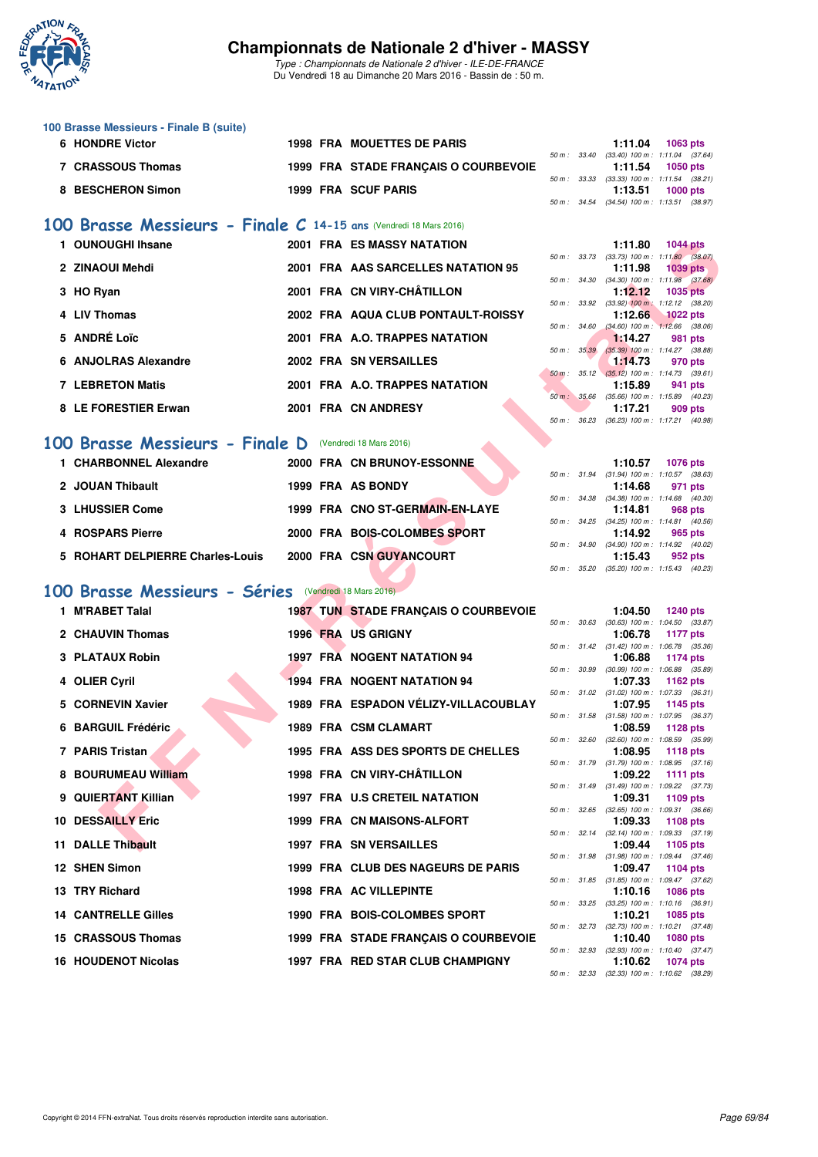

*Type : Championnats de Nationale 2 d'hiver - ILE-DE-FRANCE* Du Vendredi 18 au Dimanche 20 Mars 2016 - Bassin de : 50 m.

| 100 Brasse Messieurs - Finale B (suite) |  |                                      |              |         |                                              |
|-----------------------------------------|--|--------------------------------------|--------------|---------|----------------------------------------------|
| 6 HONDRE Victor                         |  | <b>1998 FRA MOUETTES DE PARIS</b>    |              | 1:11.04 | $1063$ pts                                   |
|                                         |  |                                      | 50 m : 33.40 |         | $(33.40)$ 100 m : 1:11.04 $(37.64)$          |
| 7 CRASSOUS Thomas                       |  | 1999 FRA STADE FRANCAIS O COURBEVOIE |              | 1:11.54 | 1050 pts                                     |
|                                         |  |                                      |              |         | 50 m : 33.33 (33.33) 100 m : 1:11.54 (38.21) |
| 8 BESCHERON Simon                       |  | 1999 FRA SCUF PARIS                  |              | 1:13.51 | $1000$ pts                                   |
|                                         |  |                                      |              |         | 50 m: 34.54 (34.54) 100 m: 1:13.51 (38.97)   |

## **[100 Brasse Messieurs - Finale C](http://www.ffnatation.fr/webffn/resultats.php?idact=nat&go=epr&idcpt=37307&idepr=72) 14-15 ans** (Vendredi 18 Mars 2016)

| 1 OUNOUGHI Ihsane       | <b>2001 FRA ES MASSY NATATION</b>  |                          | 1:11.80                                                      | <b>1044 pts</b> |         |
|-------------------------|------------------------------------|--------------------------|--------------------------------------------------------------|-----------------|---------|
|                         |                                    | 50 m : 33.73             | $(33.73)$ 100 m : 1:11.80 $(38.$                             |                 |         |
| 2 ZINAOUI Mehdi         | 2001 FRA AAS SARCELLES NATATION 95 | 50 m : 34.30             | 1:11.98<br>$(34.30)$ 100 m : 1:11.98 $(37.$                  | 1039 pts        |         |
| 3 HO Ryan               | 2001 FRA CN VIRY-CHÂTILLON         |                          | 1:12.12                                                      | 1035 pts        |         |
| 4 LIV Thomas            | 2002 FRA AQUA CLUB PONTAULT-ROISSY | 50 m : 33.92             | $(33.92)$ 100 m : 1:12.12 (38.                               |                 |         |
|                         |                                    | 50 m : 34.60             | 1:12.66 $1022 \text{ pts}$<br>$(34.60)$ 100 m : 1:12.66 (38. |                 |         |
| 5 ANDRÉ Loïc            | 2001 FRA A.O. TRAPPES NATATION     |                          | 1:14.27                                                      | 981 pts         |         |
| 6 ANJOLRAS Alexandre    | 2002 FRA SN VERSAILLES             | $50 \text{ m}$ : $35.39$ | $(35.39)$ 100 m : 1:14.27 (38.                               |                 |         |
|                         |                                    |                          | 1:14.73<br>50 m : 35.12 (35.12) 100 m : 1:14.73 (39.         | 970 pts         |         |
| <b>7 LEBRETON Matis</b> | 2001 FRA A.O. TRAPPES NATATION     |                          | 1:15.89                                                      |                 | 941 pts |
|                         |                                    | 50 m: 35.66              | $(35.66)$ 100 m : 1:15.89 (40.                               |                 |         |
| 8 LE FORESTIER Erwan    | 2001 FRA CN ANDRESY                |                          | 1:17.21                                                      |                 | 909 pts |

## **[100 Brasse Messieurs - Finale D](http://www.ffnatation.fr/webffn/resultats.php?idact=nat&go=epr&idcpt=37307&idepr=72)** (Vendredi 18 Mars 2016)

| 1 CHARBONNEL Alexandre           | 2000 FRA CN BRUNOY-ESSONNE      | 1:10.57<br>1076 pts                                                   |
|----------------------------------|---------------------------------|-----------------------------------------------------------------------|
| 2 JOUAN Thibault                 | 1999 FRA AS BONDY               | 50 m: 31.94 (31.94) 100 m: 1:10.57 (38.<br>1:14.68<br>971 pts         |
| 3 LHUSSIER Come                  | 1999 FRA CNO ST-GERMAIN-EN-LAYE | 50 m: 34.38 (34.38) 100 m: 1:14.68 (40.<br>1:14.81<br>968 pts         |
| 4 ROSPARS Pierre                 | 2000 FRA BOIS-COLOMBES SPORT    | 50 m: 34.25 (34.25) 100 m: 1:14.81 (40.<br>1:14.92<br>965 pts         |
| 5 ROHART DELPIERRE Charles-Louis | 2000 FRA CSN GUYANCOURT         | 50 m: 34.90 (34.90) 100 m: 1:14.92 (40.<br>1:15.43<br>952 pts         |
|                                  |                                 | $50 \text{ m}$ : $35.20$ $(35.20)$ $100 \text{ m}$ : $1:15.43$ $(40.$ |

# **[100 Brasse Messieurs - Séries](http://www.ffnatation.fr/webffn/resultats.php?idact=nat&go=epr&idcpt=37307&idepr=72)** (Vendredi 18 Mars 2016)

| 1 OUNOUGHI Ihsane          |                                                                                                                                                                                                                                                                                                                                      |                                  |                                                                                                                                                                                                                                                                                                                                                                                                                                                                                                                                                                                                                                                                                                                                                                                                                                                                                                                                                                                                                                                                   | 1:11.80                                                      | <b>1044 pts</b>                                                                                                                                                                                                                                                                                                                                                                                                                                                                                                                                                                                                                                                                                                                                                                                                                                                                                                                                                                                                                                                                                                                                                                                                                                                |
|----------------------------|--------------------------------------------------------------------------------------------------------------------------------------------------------------------------------------------------------------------------------------------------------------------------------------------------------------------------------------|----------------------------------|-------------------------------------------------------------------------------------------------------------------------------------------------------------------------------------------------------------------------------------------------------------------------------------------------------------------------------------------------------------------------------------------------------------------------------------------------------------------------------------------------------------------------------------------------------------------------------------------------------------------------------------------------------------------------------------------------------------------------------------------------------------------------------------------------------------------------------------------------------------------------------------------------------------------------------------------------------------------------------------------------------------------------------------------------------------------|--------------------------------------------------------------|----------------------------------------------------------------------------------------------------------------------------------------------------------------------------------------------------------------------------------------------------------------------------------------------------------------------------------------------------------------------------------------------------------------------------------------------------------------------------------------------------------------------------------------------------------------------------------------------------------------------------------------------------------------------------------------------------------------------------------------------------------------------------------------------------------------------------------------------------------------------------------------------------------------------------------------------------------------------------------------------------------------------------------------------------------------------------------------------------------------------------------------------------------------------------------------------------------------------------------------------------------------|
| 2 ZINAOUI Mehdi            |                                                                                                                                                                                                                                                                                                                                      |                                  |                                                                                                                                                                                                                                                                                                                                                                                                                                                                                                                                                                                                                                                                                                                                                                                                                                                                                                                                                                                                                                                                   | 1:11.98                                                      | <b>1039 pts</b>                                                                                                                                                                                                                                                                                                                                                                                                                                                                                                                                                                                                                                                                                                                                                                                                                                                                                                                                                                                                                                                                                                                                                                                                                                                |
|                            |                                                                                                                                                                                                                                                                                                                                      |                                  |                                                                                                                                                                                                                                                                                                                                                                                                                                                                                                                                                                                                                                                                                                                                                                                                                                                                                                                                                                                                                                                                   | 1:12.12                                                      | <b>1035 pts</b>                                                                                                                                                                                                                                                                                                                                                                                                                                                                                                                                                                                                                                                                                                                                                                                                                                                                                                                                                                                                                                                                                                                                                                                                                                                |
|                            |                                                                                                                                                                                                                                                                                                                                      |                                  |                                                                                                                                                                                                                                                                                                                                                                                                                                                                                                                                                                                                                                                                                                                                                                                                                                                                                                                                                                                                                                                                   |                                                              | $(33.92)$ 100 m : 1:12.12 $(38.20)$<br><b>1022 pts</b>                                                                                                                                                                                                                                                                                                                                                                                                                                                                                                                                                                                                                                                                                                                                                                                                                                                                                                                                                                                                                                                                                                                                                                                                         |
|                            |                                                                                                                                                                                                                                                                                                                                      |                                  |                                                                                                                                                                                                                                                                                                                                                                                                                                                                                                                                                                                                                                                                                                                                                                                                                                                                                                                                                                                                                                                                   |                                                              | $(34.60)$ 100 m : 1:12.66 $(38.06)$<br>981 pts                                                                                                                                                                                                                                                                                                                                                                                                                                                                                                                                                                                                                                                                                                                                                                                                                                                                                                                                                                                                                                                                                                                                                                                                                 |
|                            |                                                                                                                                                                                                                                                                                                                                      |                                  |                                                                                                                                                                                                                                                                                                                                                                                                                                                                                                                                                                                                                                                                                                                                                                                                                                                                                                                                                                                                                                                                   |                                                              | $(35.39)$ 100 m : 1:14.27 $(38.88)$                                                                                                                                                                                                                                                                                                                                                                                                                                                                                                                                                                                                                                                                                                                                                                                                                                                                                                                                                                                                                                                                                                                                                                                                                            |
|                            |                                                                                                                                                                                                                                                                                                                                      |                                  |                                                                                                                                                                                                                                                                                                                                                                                                                                                                                                                                                                                                                                                                                                                                                                                                                                                                                                                                                                                                                                                                   |                                                              | 970 pts                                                                                                                                                                                                                                                                                                                                                                                                                                                                                                                                                                                                                                                                                                                                                                                                                                                                                                                                                                                                                                                                                                                                                                                                                                                        |
| <b>7 LEBRETON Matis</b>    |                                                                                                                                                                                                                                                                                                                                      |                                  |                                                                                                                                                                                                                                                                                                                                                                                                                                                                                                                                                                                                                                                                                                                                                                                                                                                                                                                                                                                                                                                                   | 1:15.89                                                      | 941 pts                                                                                                                                                                                                                                                                                                                                                                                                                                                                                                                                                                                                                                                                                                                                                                                                                                                                                                                                                                                                                                                                                                                                                                                                                                                        |
| 8 LE FORESTIER Erwan       |                                                                                                                                                                                                                                                                                                                                      |                                  |                                                                                                                                                                                                                                                                                                                                                                                                                                                                                                                                                                                                                                                                                                                                                                                                                                                                                                                                                                                                                                                                   | 1:17.21                                                      | 909 pts                                                                                                                                                                                                                                                                                                                                                                                                                                                                                                                                                                                                                                                                                                                                                                                                                                                                                                                                                                                                                                                                                                                                                                                                                                                        |
|                            |                                                                                                                                                                                                                                                                                                                                      |                                  |                                                                                                                                                                                                                                                                                                                                                                                                                                                                                                                                                                                                                                                                                                                                                                                                                                                                                                                                                                                                                                                                   |                                                              |                                                                                                                                                                                                                                                                                                                                                                                                                                                                                                                                                                                                                                                                                                                                                                                                                                                                                                                                                                                                                                                                                                                                                                                                                                                                |
|                            |                                                                                                                                                                                                                                                                                                                                      |                                  |                                                                                                                                                                                                                                                                                                                                                                                                                                                                                                                                                                                                                                                                                                                                                                                                                                                                                                                                                                                                                                                                   |                                                              |                                                                                                                                                                                                                                                                                                                                                                                                                                                                                                                                                                                                                                                                                                                                                                                                                                                                                                                                                                                                                                                                                                                                                                                                                                                                |
|                            |                                                                                                                                                                                                                                                                                                                                      |                                  |                                                                                                                                                                                                                                                                                                                                                                                                                                                                                                                                                                                                                                                                                                                                                                                                                                                                                                                                                                                                                                                                   |                                                              | <b>1076 pts</b>                                                                                                                                                                                                                                                                                                                                                                                                                                                                                                                                                                                                                                                                                                                                                                                                                                                                                                                                                                                                                                                                                                                                                                                                                                                |
| 2 JOUAN Thibault           |                                                                                                                                                                                                                                                                                                                                      |                                  |                                                                                                                                                                                                                                                                                                                                                                                                                                                                                                                                                                                                                                                                                                                                                                                                                                                                                                                                                                                                                                                                   | 1:14.68                                                      | 971 pts                                                                                                                                                                                                                                                                                                                                                                                                                                                                                                                                                                                                                                                                                                                                                                                                                                                                                                                                                                                                                                                                                                                                                                                                                                                        |
| 3 LHUSSIER Come            |                                                                                                                                                                                                                                                                                                                                      |                                  |                                                                                                                                                                                                                                                                                                                                                                                                                                                                                                                                                                                                                                                                                                                                                                                                                                                                                                                                                                                                                                                                   | 1:14.81                                                      | 968 pts                                                                                                                                                                                                                                                                                                                                                                                                                                                                                                                                                                                                                                                                                                                                                                                                                                                                                                                                                                                                                                                                                                                                                                                                                                                        |
|                            |                                                                                                                                                                                                                                                                                                                                      |                                  |                                                                                                                                                                                                                                                                                                                                                                                                                                                                                                                                                                                                                                                                                                                                                                                                                                                                                                                                                                                                                                                                   |                                                              | 965 pts                                                                                                                                                                                                                                                                                                                                                                                                                                                                                                                                                                                                                                                                                                                                                                                                                                                                                                                                                                                                                                                                                                                                                                                                                                                        |
|                            |                                                                                                                                                                                                                                                                                                                                      |                                  |                                                                                                                                                                                                                                                                                                                                                                                                                                                                                                                                                                                                                                                                                                                                                                                                                                                                                                                                                                                                                                                                   |                                                              |                                                                                                                                                                                                                                                                                                                                                                                                                                                                                                                                                                                                                                                                                                                                                                                                                                                                                                                                                                                                                                                                                                                                                                                                                                                                |
|                            |                                                                                                                                                                                                                                                                                                                                      |                                  |                                                                                                                                                                                                                                                                                                                                                                                                                                                                                                                                                                                                                                                                                                                                                                                                                                                                                                                                                                                                                                                                   | 1:15.43                                                      | 952 pts                                                                                                                                                                                                                                                                                                                                                                                                                                                                                                                                                                                                                                                                                                                                                                                                                                                                                                                                                                                                                                                                                                                                                                                                                                                        |
|                            |                                                                                                                                                                                                                                                                                                                                      |                                  |                                                                                                                                                                                                                                                                                                                                                                                                                                                                                                                                                                                                                                                                                                                                                                                                                                                                                                                                                                                                                                                                   |                                                              |                                                                                                                                                                                                                                                                                                                                                                                                                                                                                                                                                                                                                                                                                                                                                                                                                                                                                                                                                                                                                                                                                                                                                                                                                                                                |
|                            |                                                                                                                                                                                                                                                                                                                                      |                                  |                                                                                                                                                                                                                                                                                                                                                                                                                                                                                                                                                                                                                                                                                                                                                                                                                                                                                                                                                                                                                                                                   |                                                              |                                                                                                                                                                                                                                                                                                                                                                                                                                                                                                                                                                                                                                                                                                                                                                                                                                                                                                                                                                                                                                                                                                                                                                                                                                                                |
|                            |                                                                                                                                                                                                                                                                                                                                      |                                  |                                                                                                                                                                                                                                                                                                                                                                                                                                                                                                                                                                                                                                                                                                                                                                                                                                                                                                                                                                                                                                                                   | 1:04.50                                                      | <b>1240 pts</b>                                                                                                                                                                                                                                                                                                                                                                                                                                                                                                                                                                                                                                                                                                                                                                                                                                                                                                                                                                                                                                                                                                                                                                                                                                                |
| 2 CHAUVIN Thomas           |                                                                                                                                                                                                                                                                                                                                      |                                  |                                                                                                                                                                                                                                                                                                                                                                                                                                                                                                                                                                                                                                                                                                                                                                                                                                                                                                                                                                                                                                                                   | 1:06.78                                                      | <b>1177 pts</b>                                                                                                                                                                                                                                                                                                                                                                                                                                                                                                                                                                                                                                                                                                                                                                                                                                                                                                                                                                                                                                                                                                                                                                                                                                                |
| 3 PLATAUX Robin            |                                                                                                                                                                                                                                                                                                                                      |                                  |                                                                                                                                                                                                                                                                                                                                                                                                                                                                                                                                                                                                                                                                                                                                                                                                                                                                                                                                                                                                                                                                   | 1:06.88                                                      | 1174 pts                                                                                                                                                                                                                                                                                                                                                                                                                                                                                                                                                                                                                                                                                                                                                                                                                                                                                                                                                                                                                                                                                                                                                                                                                                                       |
|                            |                                                                                                                                                                                                                                                                                                                                      |                                  |                                                                                                                                                                                                                                                                                                                                                                                                                                                                                                                                                                                                                                                                                                                                                                                                                                                                                                                                                                                                                                                                   | 1:07.33                                                      | $(30.99)$ 100 m : 1:06.88 $(35.89)$<br>1162 pts                                                                                                                                                                                                                                                                                                                                                                                                                                                                                                                                                                                                                                                                                                                                                                                                                                                                                                                                                                                                                                                                                                                                                                                                                |
|                            |                                                                                                                                                                                                                                                                                                                                      |                                  |                                                                                                                                                                                                                                                                                                                                                                                                                                                                                                                                                                                                                                                                                                                                                                                                                                                                                                                                                                                                                                                                   |                                                              |                                                                                                                                                                                                                                                                                                                                                                                                                                                                                                                                                                                                                                                                                                                                                                                                                                                                                                                                                                                                                                                                                                                                                                                                                                                                |
|                            |                                                                                                                                                                                                                                                                                                                                      |                                  |                                                                                                                                                                                                                                                                                                                                                                                                                                                                                                                                                                                                                                                                                                                                                                                                                                                                                                                                                                                                                                                                   |                                                              | 1145 pts                                                                                                                                                                                                                                                                                                                                                                                                                                                                                                                                                                                                                                                                                                                                                                                                                                                                                                                                                                                                                                                                                                                                                                                                                                                       |
| 6 BARGUIL Frédéric         |                                                                                                                                                                                                                                                                                                                                      |                                  |                                                                                                                                                                                                                                                                                                                                                                                                                                                                                                                                                                                                                                                                                                                                                                                                                                                                                                                                                                                                                                                                   | 1:08.59                                                      | 1128 pts                                                                                                                                                                                                                                                                                                                                                                                                                                                                                                                                                                                                                                                                                                                                                                                                                                                                                                                                                                                                                                                                                                                                                                                                                                                       |
| 7 PARIS Tristan            |                                                                                                                                                                                                                                                                                                                                      |                                  |                                                                                                                                                                                                                                                                                                                                                                                                                                                                                                                                                                                                                                                                                                                                                                                                                                                                                                                                                                                                                                                                   | 1:08.95                                                      | <b>1118 pts</b>                                                                                                                                                                                                                                                                                                                                                                                                                                                                                                                                                                                                                                                                                                                                                                                                                                                                                                                                                                                                                                                                                                                                                                                                                                                |
|                            |                                                                                                                                                                                                                                                                                                                                      |                                  |                                                                                                                                                                                                                                                                                                                                                                                                                                                                                                                                                                                                                                                                                                                                                                                                                                                                                                                                                                                                                                                                   |                                                              | 1111 pts                                                                                                                                                                                                                                                                                                                                                                                                                                                                                                                                                                                                                                                                                                                                                                                                                                                                                                                                                                                                                                                                                                                                                                                                                                                       |
|                            |                                                                                                                                                                                                                                                                                                                                      |                                  |                                                                                                                                                                                                                                                                                                                                                                                                                                                                                                                                                                                                                                                                                                                                                                                                                                                                                                                                                                                                                                                                   |                                                              |                                                                                                                                                                                                                                                                                                                                                                                                                                                                                                                                                                                                                                                                                                                                                                                                                                                                                                                                                                                                                                                                                                                                                                                                                                                                |
|                            |                                                                                                                                                                                                                                                                                                                                      |                                  |                                                                                                                                                                                                                                                                                                                                                                                                                                                                                                                                                                                                                                                                                                                                                                                                                                                                                                                                                                                                                                                                   |                                                              | 1109 pts                                                                                                                                                                                                                                                                                                                                                                                                                                                                                                                                                                                                                                                                                                                                                                                                                                                                                                                                                                                                                                                                                                                                                                                                                                                       |
| <b>10 DESSAILLY Eric</b>   |                                                                                                                                                                                                                                                                                                                                      |                                  |                                                                                                                                                                                                                                                                                                                                                                                                                                                                                                                                                                                                                                                                                                                                                                                                                                                                                                                                                                                                                                                                   | 1:09.33                                                      | <b>1108 pts</b>                                                                                                                                                                                                                                                                                                                                                                                                                                                                                                                                                                                                                                                                                                                                                                                                                                                                                                                                                                                                                                                                                                                                                                                                                                                |
| 11 DALLE Thibault          |                                                                                                                                                                                                                                                                                                                                      |                                  |                                                                                                                                                                                                                                                                                                                                                                                                                                                                                                                                                                                                                                                                                                                                                                                                                                                                                                                                                                                                                                                                   | 1:09.44                                                      | 1105 pts                                                                                                                                                                                                                                                                                                                                                                                                                                                                                                                                                                                                                                                                                                                                                                                                                                                                                                                                                                                                                                                                                                                                                                                                                                                       |
| 12 SHEN Simon              |                                                                                                                                                                                                                                                                                                                                      |                                  |                                                                                                                                                                                                                                                                                                                                                                                                                                                                                                                                                                                                                                                                                                                                                                                                                                                                                                                                                                                                                                                                   | 1:09.47                                                      | 1104 pts                                                                                                                                                                                                                                                                                                                                                                                                                                                                                                                                                                                                                                                                                                                                                                                                                                                                                                                                                                                                                                                                                                                                                                                                                                                       |
|                            |                                                                                                                                                                                                                                                                                                                                      |                                  |                                                                                                                                                                                                                                                                                                                                                                                                                                                                                                                                                                                                                                                                                                                                                                                                                                                                                                                                                                                                                                                                   |                                                              | <b>1086 pts</b>                                                                                                                                                                                                                                                                                                                                                                                                                                                                                                                                                                                                                                                                                                                                                                                                                                                                                                                                                                                                                                                                                                                                                                                                                                                |
|                            |                                                                                                                                                                                                                                                                                                                                      |                                  |                                                                                                                                                                                                                                                                                                                                                                                                                                                                                                                                                                                                                                                                                                                                                                                                                                                                                                                                                                                                                                                                   |                                                              |                                                                                                                                                                                                                                                                                                                                                                                                                                                                                                                                                                                                                                                                                                                                                                                                                                                                                                                                                                                                                                                                                                                                                                                                                                                                |
|                            |                                                                                                                                                                                                                                                                                                                                      |                                  |                                                                                                                                                                                                                                                                                                                                                                                                                                                                                                                                                                                                                                                                                                                                                                                                                                                                                                                                                                                                                                                                   |                                                              | 1085 pts                                                                                                                                                                                                                                                                                                                                                                                                                                                                                                                                                                                                                                                                                                                                                                                                                                                                                                                                                                                                                                                                                                                                                                                                                                                       |
| 15 CRASSOUS Thomas         |                                                                                                                                                                                                                                                                                                                                      |                                  |                                                                                                                                                                                                                                                                                                                                                                                                                                                                                                                                                                                                                                                                                                                                                                                                                                                                                                                                                                                                                                                                   | 1:10.40                                                      | <b>1080 pts</b>                                                                                                                                                                                                                                                                                                                                                                                                                                                                                                                                                                                                                                                                                                                                                                                                                                                                                                                                                                                                                                                                                                                                                                                                                                                |
| <b>16 HOUDENOT Nicolas</b> |                                                                                                                                                                                                                                                                                                                                      | 1997 FRA RED STAR CLUB CHAMPIGNY |                                                                                                                                                                                                                                                                                                                                                                                                                                                                                                                                                                                                                                                                                                                                                                                                                                                                                                                                                                                                                                                                   | 1:10.62                                                      | <b>1074 pts</b>                                                                                                                                                                                                                                                                                                                                                                                                                                                                                                                                                                                                                                                                                                                                                                                                                                                                                                                                                                                                                                                                                                                                                                                                                                                |
|                            | 3 HO Ryan<br>4 LIV Thomas<br>5 ANDRÉ Loïc<br>6 ANJOLRAS Alexandre<br><b>OO</b><br>1 CHARBONNEL Alexandre<br>4 ROSPARS Pierre<br>5 ROHART DELPIERRE Charles-Louis<br><b>OO</b><br>1 M'RABET Talal<br>4 OLIER Cyril<br>5 CORNEVIN Xavier<br>8 BOURUMEAU William<br>9 QUIERTANT Killian<br>13 TRY Richard<br><b>14 CANTRELLE Gilles</b> |                                  | <b>2001 FRA ES MASSY NATATION</b><br>2001 FRA AAS SARCELLES NATATION 95<br>2001 FRA CN VIRY-CHÂTILLON<br>2002 FRA AQUA CLUB PONTAULT-ROISSY<br>2001 FRA A.O. TRAPPES NATATION<br>2002 FRA SN VERSAILLES<br>2001 FRA A.O. TRAPPES NATATION<br>2001 FRA CN ANDRESY<br>Brasse Messieurs - Finale D (Vendredi 18 Mars 2016)<br>2000 FRA CN BRUNOY-ESSONNE<br>1999 FRA AS BONDY<br>1999 FRA CNO ST-GERMAIN-EN-LAYE<br>2000 FRA BOIS-COLOMBES SPORT<br>2000 FRA CSN GUYANCOURT<br>Brasse Messieurs - Séries (Vendredi 18 Mars 2016)<br><b>1987 TUN STADE FRANÇAIS O COURBEVOIE</b><br>1996 FRA US GRIGNY<br><b>1997 FRA NOGENT NATATION 94</b><br><b>1994 FRA NOGENT NATATION 94</b><br>1989 FRA ESPADON VÉLIZY-VILLACOUBLAY<br>1989 FRA CSM CLAMART<br>1995 FRA ASS DES SPORTS DE CHELLES<br>1998 FRA CN VIRY-CHÂTILLON<br>1997 FRA U.S CRETEIL NATATION<br>1999 FRA CN MAISONS-ALFORT<br><b>1997 FRA SN VERSAILLES</b><br>1999 FRA CLUB DES NAGEURS DE PARIS<br><b>1998 FRA AC VILLEPINTE</b><br>1990 FRA BOIS-COLOMBES SPORT<br>1999 FRA STADE FRANÇAIS O COURBEVOIE | 50 m : 33.92<br>50 m : 34.60<br>50 m : 35.39<br>50 m : 30.99 | 50 m: 33.73 (33.73) 100 m: 1:11.80 (38.07)<br>50 m : 34.30 (34.30) 100 m : 1:11.98 (37.68)<br>1:12.66<br>1:14.27<br>1:14.73<br>50 m: 35.12 (35.12) 100 m: 1:14.73 (39.61)<br>50 m: 35.66 (35.66) 100 m: 1:15.89 (40.23)<br>50 m: 36.23 (36.23) 100 m: 1:17.21 (40.98)<br>1:10.57<br>50 m: 31.94 (31.94) 100 m: 1:10.57 (38.63)<br>50 m: 34.38 (34.38) 100 m: 1:14.68 (40.30)<br>50 m: 34.25 (34.25) 100 m: 1:14.81 (40.56)<br>1:14.92<br>50 m: 34.90 (34.90) 100 m: 1:14.92 (40.02)<br>50 m: 35.20 (35.20) 100 m: 1:15.43 (40.23)<br>50 m: 30.63 (30.63) 100 m: 1:04.50 (33.87)<br>50 m: 31.42 (31.42) 100 m: 1:06.78 (35.36)<br>50 m: 31.02 (31.02) 100 m: 1:07.33 (36.31)<br>1:07.95<br>50 m: 31.58 (31.58) 100 m: 1:07.95 (36.37)<br>50 m: 32.60 (32.60) 100 m: 1:08.59 (35.99)<br>50 m: 31.79 (31.79) 100 m: 1:08.95 (37.16)<br>1:09.22<br>50 m: 31.49 (31.49) 100 m: 1:09.22 (37.73)<br>1:09.31<br>50 m : 32.65 (32.65) 100 m : 1:09.31 (36.66)<br>50 m: 32.14 (32.14) 100 m: 1:09.33 (37.19)<br>50 m: 31.98 (31.98) 100 m: 1:09.44 (37.46)<br>50 m: 31.85 (31.85) 100 m: 1:09.47 (37.62)<br>1:10.16<br>50 m: 33.25 (33.25) 100 m: 1:10.16 (36.91)<br>1:10.21<br>50 m: 32.73 (32.73) 100 m: 1:10.21 (37.48)<br>50 m: 32.93 (32.93) 100 m: 1:10.40 (37.47) |

|              |       | 1:11.80                            | <b>1044 pts</b>                     |
|--------------|-------|------------------------------------|-------------------------------------|
| $50 m$ :     | 33.73 | $(33.73)$ 100 m :                  | $1:11.80$ (38.07)                   |
|              |       | 1:11.98                            | <b>1039 pts</b>                     |
| 50 m: 34.30  |       | $(34.30)$ 100 m :                  | $1:11.98$ $(37.68)$                 |
|              |       | 1:12.12                            | 1035 pts                            |
|              |       | 50 m : 33.92 (33.92) 100 m :       | $1:12.12$ $(38.20)$                 |
|              |       |                                    | 1:12.66 1022 pts                    |
| 50 m : 34.60 |       | $(34.60)$ 100 m :                  | $1:12.66$ $(38.06)$                 |
|              |       | 1:14.27                            | <b>981 pts</b>                      |
| $50 m$ :     | 35.39 | $(35.39)$ 100 m :                  | $1:14.27$ (38.88)                   |
|              |       | 1:14.73                            | 970 pts                             |
| $50m$ :      |       | 35.12 (35.12) 100 m :              | $1:14.73$ (39.61)                   |
|              |       | 1:15.89                            | 941 pts                             |
|              |       | $50 m$ : $35.66$ $(35.66) 100 m$ : | $1:15.89$ $(40.23)$                 |
|              |       |                                    | 1:17.21 909 pts                     |
| $50 m$ :     | 36.23 |                                    | $(36.23)$ 100 m : 1:17.21 $(40.98)$ |

|  | 1:10.57 1076 pts                           |
|--|--------------------------------------------|
|  | 50 m: 31.94 (31.94) 100 m: 1:10.57 (38.63) |
|  | 1:14.68 971 pts                            |
|  | 50 m: 34.38 (34.38) 100 m: 1:14.68 (40.30) |
|  | $1:14.81$ 968 pts                          |
|  | 50 m: 34.25 (34.25) 100 m: 1:14.81 (40.56) |
|  | $1:14.92$ 965 pts                          |
|  | 50 m: 34.90 (34.90) 100 m: 1:14.92 (40.02) |
|  | $1:15.43$ 952 pts                          |
|  | 50 m: 35.20 (35.20) 100 m: 1:15.43 (40.23) |

|             |       | 1:04.50           | <b>1240 pts</b>     |  |
|-------------|-------|-------------------|---------------------|--|
| 50 m: 30.63 |       | $(30.63)$ 100 m : | 1:04.50 (33.87)     |  |
|             |       | 1:06.78           | 1177 pts            |  |
| $50 m$ :    | 31.42 | $(31.42) 100 m$ : | 1:06.78 (35.36)     |  |
|             |       | 1:06.88           | <b>1174 pts</b>     |  |
| $50 m$ :    | 30.99 | $(30.99)$ 100 m : | 1:06.88 (35.89)     |  |
|             |       | 1:07.33           | 1162 pts            |  |
| $50 m$ :    | 31.02 | $(31.02) 100 m$ : | 1:07.33 (36.31)     |  |
|             |       | 1:07.95           | 1145 pts            |  |
| $50 m$ :    | 31.58 | $(31.58) 100 m$ : | 1:07.95 (36.37)     |  |
|             |       | 1:08.59           | 1128 pts            |  |
| $50 m$ :    | 32.60 | $(32.60)$ 100 m : | 1:08.59 (35.99)     |  |
|             |       | 1:08.95           | 1118 pts            |  |
| $50 m$ :    | 31.79 | $(31.79) 100 m$ : | $1:08.95$ $(37.16)$ |  |
|             |       | 1:09.22           | 1111 $pts$          |  |
| $50 m$ :    | 31.49 | $(31.49) 100 m$ : | 1:09.22 (37.73)     |  |
|             |       | 1:09.31           | 1109 pts            |  |
| $50 m$ :    | 32.65 | $(32.65)$ 100 m : | 1:09.31 (36.66)     |  |
|             |       | 1:09.33           | 1108 pts            |  |
| $50 m$ :    | 32.14 | $(32.14) 100 m$ : | 1:09.33 (37.19)     |  |
|             |       | 1:09.44           | 1105 pts            |  |
| $50 m$ :    | 31.98 | $(31.98) 100 m$ : | $1:09.44$ $(37.46)$ |  |
|             |       | 1:09.47           | 1104 pts            |  |
| 50 m :      | 31.85 | $(31.85) 100 m$ : | 1:09.47 (37.62)     |  |
|             |       | 1:10.16           | 1086 pts            |  |
| $50 m$ :    | 33.25 | $(33.25)$ 100 m : | $1:10.16$ (36.91)   |  |
|             |       | 1:10.21           | 1085 pts            |  |
| $50 m$ :    | 32.73 | $(32.73)$ 100 m : | $1:10.21$ $(37.48)$ |  |
|             |       | 1:10.40           | 1080 pts            |  |
| $50 m$ :    | 32.93 | $(32.93)$ 100 m : | $1:10.40$ (37.47)   |  |
|             |       | 1:10.62           | 1074 pts            |  |
| $50 m$ :    | 32.33 | $(32.33) 100 m$ : | 1:10.62 (38.29)     |  |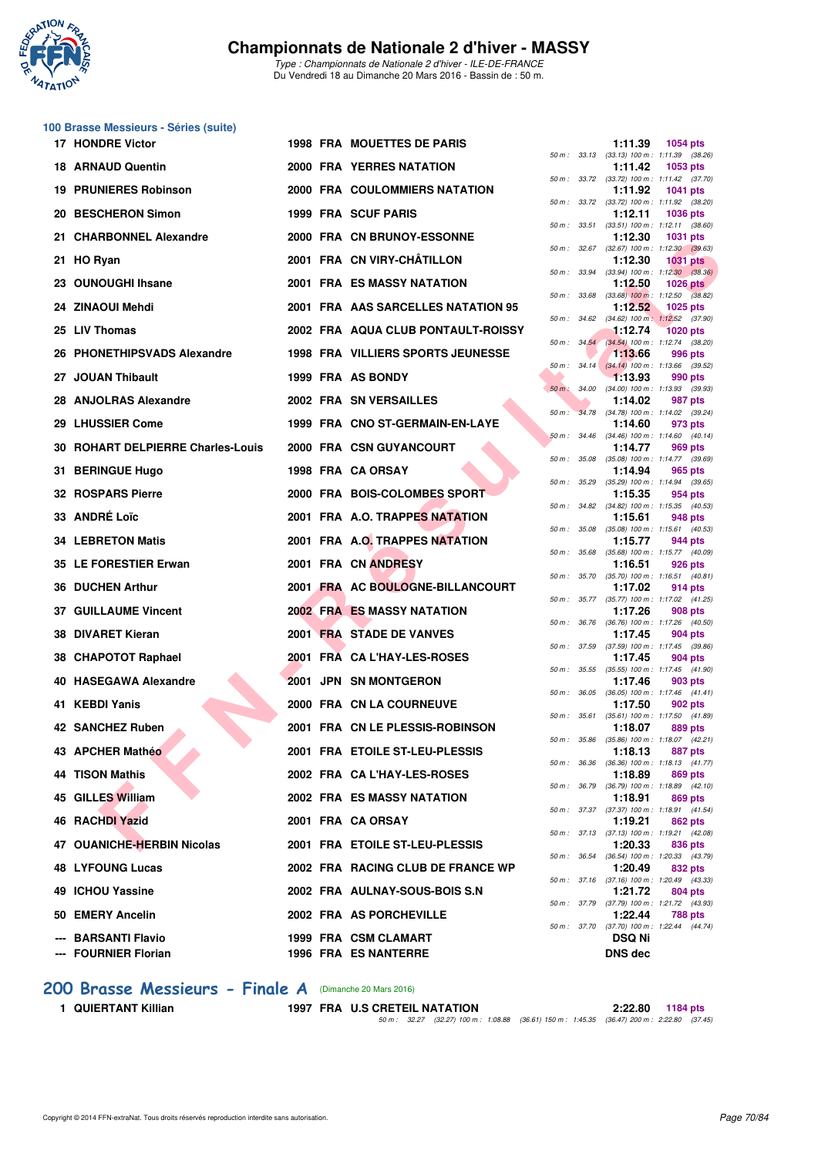

*Type : Championnats de Nationale 2 d'hiver - ILE-DE-FRANCE* Du Vendredi 18 au Dimanche 20 Mars 2016 - Bassin de : 50 m.

#### **100 Brasse Messieurs - Séries (suite)**

|                                                   |  |                                                     |          |              | 50 m : 33.13 (33.13) 100 m : 1:11.39                                     | (38.26) |
|---------------------------------------------------|--|-----------------------------------------------------|----------|--------------|--------------------------------------------------------------------------|---------|
| <b>18 ARNAUD Quentin</b>                          |  | 2000 FRA YERRES NATATION                            |          |              | 1:11.42<br>1053 pts<br>50 m: 33.72 (33.72) 100 m: 1:11.42 (37.70)        |         |
| <b>19 PRUNIERES Robinson</b>                      |  | 2000 FRA COULOMMIERS NATATION                       |          |              | 1:11.92<br><b>1041 pts</b>                                               |         |
| 20 BESCHERON Simon                                |  | 1999 FRA SCUF PARIS                                 |          |              | 50 m: 33.72 (33.72) 100 m: 1:11.92 (38.20)<br>1:12.11<br><b>1036 pts</b> |         |
| 21 CHARBONNEL Alexandre                           |  | 2000 FRA CN BRUNOY-ESSONNE                          |          |              | 50 m: 33.51 (33.51) 100 m: 1:12.11 (38.60)<br>1:12.30<br>1031 pts        |         |
| 21 HO Ryan                                        |  | 2001 FRA CN VIRY-CHÂTILLON                          |          |              | 50 m: 32.67 (32.67) 100 m: 1:12.30 (39.63)<br>1:12.30<br><b>1031 pts</b> |         |
| 23 OUNOUGHI Ihsane                                |  | <b>2001 FRA ES MASSY NATATION</b>                   |          | 50 m : 33.94 | $(33.94)$ 100 m : 1:12.30 $(38.36)$<br>1:12.50<br>1026 $pts$             |         |
| 24 ZINAOUI Mehdi                                  |  | 2001 FRA AAS SARCELLES NATATION 95                  |          | 50 m : 33.68 | $(33.68)$ 100 m : 1:12.50 $(38.82)$<br>1:12.52<br>1025 pts               |         |
| 25 LIV Thomas                                     |  | 2002 FRA AQUA CLUB PONTAULT-ROISSY                  |          |              | 50 m: 34.62 (34.62) 100 m: 1:12.52 (37.90)<br>1:12.74<br><b>1020 pts</b> |         |
| 26 PHONETHIPSVADS Alexandre                       |  | <b>1998 FRA VILLIERS SPORTS JEUNESSE</b>            |          |              | 50 m : 34.54 (34.54) 100 m : 1:12.74 (38.20)<br>1:13.66<br>996 pts       |         |
| 27 JOUAN Thibault                                 |  | 1999 FRA AS BONDY                                   |          |              | 50 m : 34.14 (34.14) 100 m : 1:13.66 (39.52)<br>1:13.93<br>990 pts       |         |
| 28 ANJOLRAS Alexandre                             |  | 2002 FRA SN VERSAILLES                              |          |              | 50 m : 34.00 (34.00) 100 m : 1:13.93 (39.93)                             |         |
|                                                   |  |                                                     | $50 m$ : | 34.78        | 1:14.02<br>987 pts<br>$(34.78)$ 100 m : 1:14.02 $(39.24)$                |         |
| 29 LHUSSIER Come                                  |  | 1999 FRA CNO ST-GERMAIN-EN-LAYE                     |          |              | 1:14.60<br>973 pts<br>50 m: 34.46 (34.46) 100 m: 1:14.60 (40.14)         |         |
| 30 ROHART DELPIERRE Charles-Louis                 |  | 2000 FRA CSN GUYANCOURT                             |          |              | 1:14.77<br>969 pts<br>50 m: 35.08 (35.08) 100 m: 1:14.77 (39.69)         |         |
| 31 BERINGUE Hugo                                  |  | 1998 FRA CA ORSAY                                   |          | 50 m : 35.29 | 1:14.94<br>965 pts<br>$(35.29)$ 100 m : 1:14.94 $(39.65)$                |         |
| 32 ROSPARS Pierre                                 |  | 2000 FRA BOIS-COLOMBES SPORT                        |          |              | 1:15.35<br>954 pts<br>50 m: 34.82 (34.82) 100 m: 1:15.35 (40.53)         |         |
| 33 ANDRÉ Loïc                                     |  | 2001 FRA A.O. TRAPPES NATATION                      |          | 50 m : 35.08 | 1:15.61<br>948 pts<br>$(35.08)$ 100 m : 1:15.61 $(40.53)$                |         |
| <b>34 LEBRETON Matis</b>                          |  | 2001 FRA A.O. TRAPPES NATATION                      |          |              | 1:15.77<br>944 pts<br>50 m: 35.68 (35.68) 100 m: 1:15.77 (40.09)         |         |
| 35 LE FORESTIER Erwan                             |  | 2001 FRA CN ANDRESY                                 |          | 50 m : 35.70 | 1:16.51<br>926 pts<br>$(35.70)$ 100 m : 1:16.51 $(40.81)$                |         |
| <b>36 DUCHEN Arthur</b>                           |  | 2001 FRA AC BOULOGNE-BILLANCOURT                    |          |              | 1:17.02<br>914 pts                                                       |         |
| <b>37 GUILLAUME Vincent</b>                       |  | <b>2002 FRA ES MASSY NATATION</b>                   |          |              | 50 m: 35.77 (35.77) 100 m: 1:17.02 (41.25)<br>1:17.26<br>908 pts         |         |
| 38 DIVARET Kieran                                 |  | 2001 FRA STADE DE VANVES                            |          |              | 50 m : 36.76 (36.76) 100 m : 1:17.26 (40.50)<br>1:17.45<br>904 pts       |         |
| 38 CHAPOTOT Raphael                               |  | 2001 FRA CA L'HAY-LES-ROSES                         |          | 50 m : 37.59 | $(37.59)$ 100 m : 1:17.45 $(39.86)$<br>1:17.45<br>904 pts                |         |
| 40 HASEGAWA Alexandre                             |  | 2001 JPN SN MONTGERON                               |          |              | 50 m: 35.55 (35.55) 100 m: 1:17.45 (41.90)<br>1:17.46<br>903 pts         |         |
| 41 KEBDI Yanis                                    |  | 2000 FRA CN LA COURNEUVE                            |          | 50 m : 36.05 | $(36.05)$ 100 m : 1:17.46 $(41.41)$<br>1:17.50<br>902 pts                |         |
| 42 SANCHEZ Ruben                                  |  | 2001 FRA CN LE PLESSIS-ROBINSON                     |          | 50 m : 35.61 | $(35.61)$ 100 m : 1:17.50 $(41.89)$<br>1:18.07<br>889 pts                |         |
| 43 APCHER Mathéo                                  |  | 2001 FRA ETOILE ST-LEU-PLESSIS                      |          | 50 m : 35.86 | $(35.86)$ 100 m : 1:18.07 $(42.21)$<br>1:18.13<br>887 pts                |         |
| <b>44 TISON Mathis</b>                            |  | 2002 FRA CA L'HAY-LES-ROSES                         |          |              | 50 m: 36.36 (36.36) 100 m: 1:18.13 (41.77)<br>1:18.89<br>869 pts         |         |
| 45 GILLES William                                 |  | 2002 FRA ES MASSY NATATION                          |          | 50 m : 36.79 | $(36.79)$ 100 m : 1:18.89 $(42.10)$<br>1:18.91<br>869 pts                |         |
| 46 RACHDI Yazid                                   |  | 2001 FRA CA ORSAY                                   |          |              | 50 m: 37.37 (37.37) 100 m: 1:18.91 (41.54)<br>1:19.21<br>862 pts         |         |
| 47 OUANICHE-HERBIN Nicolas                        |  | 2001 FRA ETOILE ST-LEU-PLESSIS                      |          |              | 50 m: 37.13 (37.13) 100 m: 1:19.21 (42.08)                               |         |
|                                                   |  |                                                     |          |              | 1:20.33<br>836 pts<br>50 m: 36.54 (36.54) 100 m: 1:20.33 (43.79)         |         |
| <b>48 LYFOUNG Lucas</b>                           |  | 2002 FRA RACING CLUB DE FRANCE WP                   |          |              | 1:20.49<br>832 pts<br>50 m: 37.16 (37.16) 100 m: 1:20.49 (43.33)         |         |
| 49 ICHOU Yassine                                  |  | 2002 FRA AULNAY-SOUS-BOIS S.N                       |          |              | 1:21.72<br>804 pts<br>50 m: 37.79 (37.79) 100 m: 1:21.72 (43.93)         |         |
| 50 EMERY Ancelin                                  |  | 2002 FRA AS PORCHEVILLE                             |          |              | 1:22.44<br>788 pts<br>50 m: 37.70 (37.70) 100 m: 1:22.44 (44.74)         |         |
| <b>BARSANTI Flavio</b><br><b>FOURNIER Florian</b> |  | 1999 FRA CSM CLAMART<br><b>1996 FRA ES NANTERRE</b> |          |              | <b>DSQ Ni</b><br><b>DNS</b> dec                                          |         |
|                                                   |  |                                                     |          |              |                                                                          |         |

| 17 HONDRE Victor                            |  | <b>1998 FRA MOUETTES DE PARIS</b>            |              | 1:11.39                                                 | <b>1054 pts</b> |         |
|---------------------------------------------|--|----------------------------------------------|--------------|---------------------------------------------------------|-----------------|---------|
| 18 ARNAUD Quentin                           |  | <b>2000 FRA YERRES NATATION</b>              |              | 50 m: 33.13 (33.13) 100 m: 1:11.39 (38.26)<br>1:11.42   | 1053 $pts$      |         |
| <b>19 PRUNIERES Robinson</b>                |  | 2000 FRA COULOMMIERS NATATION                |              | 50 m: 33.72 (33.72) 100 m: 1:11.42 (37.70)<br>1:11.92   | <b>1041 pts</b> |         |
| 20 BESCHERON Simon                          |  | 1999 FRA SCUF PARIS                          |              | 50 m: 33.72 (33.72) 100 m: 1:11.92 (38.20)<br>1:12.11   | <b>1036 pts</b> |         |
| 21 CHARBONNEL Alexandre                     |  | 2000 FRA CN BRUNOY-ESSONNE                   |              | 50 m: 33.51 (33.51) 100 m: 1:12.11 (38.60)<br>1:12.30   | <b>1031 pts</b> |         |
| 21 HO Ryan                                  |  | 2001 FRA CN VIRY-CHÂTILLON                   |              | 50 m: 32.67 (32.67) 100 m: 1:12.30 (39.63)<br>1:12.30   | <b>1031 pts</b> |         |
| 23 OUNOUGHI Ihsane                          |  | 2001 FRA ES MASSY NATATION                   |              | 50 m: 33.94 (33.94) 100 m: 1:12.30 (38.36)<br>1:12.50   | $1026$ pts      |         |
| 24 ZINAOUI Mehdi                            |  | 2001 FRA AAS SARCELLES NATATION 95           |              | 50 m: 33.68 (33.68) 100 m: 1:12.50 (38.82)<br>1:12.52   | <b>1025 pts</b> |         |
| 25 LIV Thomas                               |  | 2002 FRA AQUA CLUB PONTAULT-ROISSY           |              | 50 m: 34.62 (34.62) 100 m: 1:12.52 (37.90)<br>1:12.74   | <b>1020 pts</b> |         |
|                                             |  |                                              |              | 50 m: 34.54 (34.54) 100 m: 1:12.74 (38.20)              |                 |         |
| 26 PHONETHIPSVADS Alexandre                 |  | <b>1998 FRA VILLIERS SPORTS JEUNESSE</b>     |              | 1:13.66<br>50 m: 34.14 (34.14) 100 m: 1:13.66 (39.52)   |                 | 996 pts |
| 27 JOUAN Thibault                           |  | 1999 FRA AS BONDY                            |              | 1:13.93<br>50 m : 34.00 (34.00) 100 m : 1:13.93 (39.93) | 990 pts         |         |
| 28 ANJOLRAS Alexandre                       |  | 2002 FRA SN VERSAILLES                       | $50 m$ :     | 1:14.02<br>34.78 (34.78) 100 m : 1:14.02 (39.24)        |                 | 987 pts |
| 29 LHUSSIER Come                            |  | 1999 FRA CNO ST-GERMAIN-EN-LAYE              |              | 1:14.60<br>50 m: 34.46 (34.46) 100 m: 1:14.60 (40.14)   |                 | 973 pts |
| 30 ROHART DELPIERRE Charles-Louis           |  | 2000 FRA CSN GUYANCOURT                      |              | 1:14.77<br>50 m: 35.08 (35.08) 100 m: 1:14.77 (39.69)   |                 | 969 pts |
| 31 BERINGUE Hugo                            |  | 1998 FRA CA ORSAY                            |              | 1:14.94                                                 |                 | 965 pts |
| <b>32 ROSPARS Pierre</b>                    |  | 2000 FRA BOIS-COLOMBES SPORT                 |              | 50 m: 35.29 (35.29) 100 m: 1:14.94 (39.65)<br>1:15.35   |                 | 954 pts |
| 33 ANDRÉ Loïc                               |  | 2001 FRA A.O. TRAPPES NATATION               |              | 50 m: 34.82 (34.82) 100 m: 1:15.35 (40.53)<br>1:15.61   | 948 pts         |         |
| <b>34 LEBRETON Matis</b>                    |  | 2001 FRA A.O. TRAPPES NATATION               | 50 m : 35.08 | $(35.08)$ 100 m : 1:15.61 $(40.53)$<br>1:15.77          |                 | 944 pts |
| 35 LE FORESTIER Erwan                       |  | 2001 FRA CN ANDRESY                          |              | 50 m: 35.68 (35.68) 100 m: 1:15.77 (40.09)<br>1:16.51   |                 | 926 pts |
| <b>36 DUCHEN Arthur</b>                     |  | 2001 FRA AC BOULOGNE-BILLANCOURT             |              | 50 m: 35.70 (35.70) 100 m: 1:16.51 (40.81)<br>1:17.02   |                 | 914 pts |
| <b>37 GUILLAUME Vincent</b>                 |  | <b>2002 FRA ES MASSY NATATION</b>            |              | 50 m: 35.77 (35.77) 100 m: 1:17.02 (41.25)<br>1:17.26   |                 | 908 pts |
| 38 DIVARET Kieran                           |  | 2001 FRA STADE DE VANVES                     |              | 50 m: 36.76 (36.76) 100 m: 1:17.26 (40.50)<br>1:17.45   |                 | 904 pts |
|                                             |  |                                              |              | 50 m: 37.59 (37.59) 100 m: 1:17.45 (39.86)              |                 |         |
| 38 CHAPOTOT Raphael                         |  | 2001 FRA CA L'HAY-LES-ROSES                  |              | 1:17.45<br>50 m: 35.55 (35.55) 100 m: 1:17.45 (41.90)   |                 | 904 pts |
| 40 HASEGAWA Alexandre                       |  | 2001 JPN SN MONTGERON                        |              | 1:17.46<br>50 m: 36.05 (36.05) 100 m: 1:17.46 (41.41)   |                 | 903 pts |
| 41 KEBDI Yanis                              |  | 2000 FRA CN LA COURNEUVE                     |              | 1:17.50<br>50 m: 35.61 (35.61) 100 m: 1:17.50 (41.89)   |                 | 902 pts |
| 42 SANCHEZ Ruben                            |  | 2001 FRA CN LE PLESSIS-ROBINSON              | 50 m : 35.86 | 1:18.07<br>$(35.86)$ 100 m : 1:18.07 $(42.21)$          |                 | 889 pts |
| 43 APCHER Mathéo                            |  | 2001 FRA ETOILE ST-LEU-PLESSIS               |              | 1:18.13<br>50 m: 36.36 (36.36) 100 m: 1:18.13 (41.77)   | 887 pts         |         |
| <b>44 TISON Mathis</b>                      |  | 2002 FRA CA L'HAY-LES-ROSES                  |              | 1:18.89                                                 |                 | 869 pts |
| 45 GILLES William                           |  | 2002 FRA ES MASSY NATATION                   |              | 50 m: 36.79 (36.79) 100 m: 1:18.89 (42.10)<br>1:18.91   |                 | 869 pts |
| 46 RACHDI Yazid                             |  | 2001 FRA CA ORSAY                            |              | 50 m: 37.37 (37.37) 100 m: 1:18.91 (41.54)<br>1:19.21   |                 | 862 pts |
| 47 OUANICHE-HERBIN Nicolas                  |  | 2001 FRA ETOILE ST-LEU-PLESSIS               |              | 50 m: 37.13 (37.13) 100 m: 1:19.21 (42.08)<br>1:20.33   |                 | 836 pts |
| <b>48 LYFOUNG Lucas</b>                     |  | 2002 FRA RACING CLUB DE FRANCE WP            |              | 50 m: 36.54 (36.54) 100 m: 1:20.33 (43.79)<br>1:20.49   |                 | 832 pts |
| 49 ICHOU Yassine                            |  |                                              |              | 50 m: 37.16 (37.16) 100 m: 1:20.49 (43.33)              |                 |         |
|                                             |  | 2002 FRA AULNAY-SOUS-BOIS S.N                |              | 1:21.72<br>50 m: 37.79 (37.79) 100 m: 1:21.72 (43.93)   |                 | 804 pts |
| 50 EMERY Ancelin                            |  | 2002 FRA AS PORCHEVILLE                      |              | 1:22.44<br>50 m: 37.70 (37.70) 100 m: 1:22.44 (44.74)   |                 | 788 pts |
| --- BARSANTI Flavio<br>--- FOURNIER Florian |  | 1999 FRA CSM CLAMART<br>1996 FRA FS NANTERRE |              | <b>DSQ Ni</b><br>DNS dec                                |                 |         |

**[200 Brasse Messieurs - Finale A](http://www.ffnatation.fr/webffn/resultats.php?idact=nat&go=epr&idcpt=37307&idepr=73)** (Dimanche 20 Mars 2016)

**1 QUIERTANT Killian 1997 FRA U.S CRETEIL NATATION 2:22.80 1184 pts**

*50 m : 32.27 (32.27) 100 m : 1:08.88 (36.61) 150 m : 1:45.35 (36.47) 200 m : 2:22.80 (37.45)*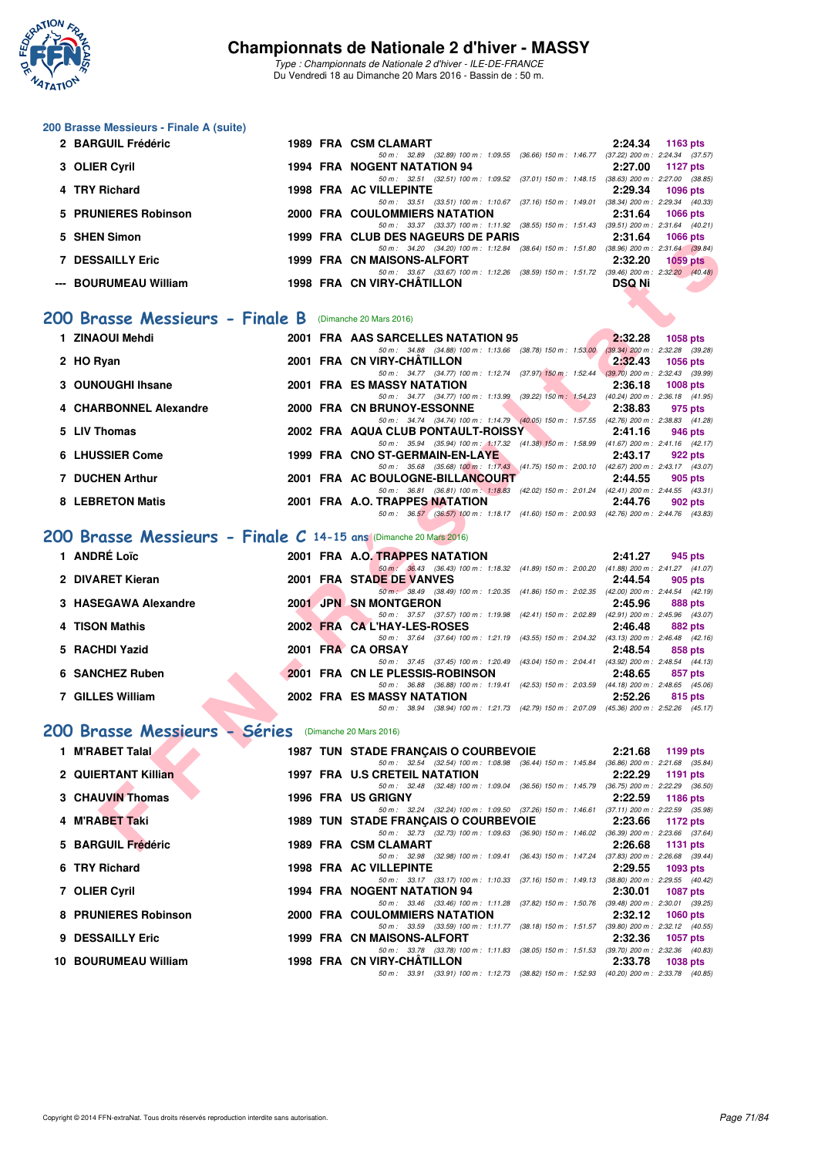

|    | 200 Brasse Messieurs - Finale A (suite)                           |  |  |                                                                                                                                         |                            |  |  |  |  |  |  |
|----|-------------------------------------------------------------------|--|--|-----------------------------------------------------------------------------------------------------------------------------------------|----------------------------|--|--|--|--|--|--|
|    | 2 BARGUIL Frédéric                                                |  |  | 1989 FRA CSM CLAMART<br>50 m: 32.89 (32.89) 100 m: 1.09.55 (36.66) 150 m: 1.46.77 (37.22) 200 m: 2.24.34 (37.57)                        | 2:24.34<br>1163 pts        |  |  |  |  |  |  |
|    | 3 OLIER Cyril                                                     |  |  | 1994 FRA NOGENT NATATION 94                                                                                                             | 2:27.00<br><b>1127 pts</b> |  |  |  |  |  |  |
|    | 4 TRY Richard                                                     |  |  | 50 m: 32.51 (32.51) 100 m: 1:09.52 (37.01) 150 m: 1:48.15 (38.63) 200 m: 2:27.00 (38.85)<br><b>1998 FRA AC VILLEPINTE</b>               | 2:29.34<br><b>1096 pts</b> |  |  |  |  |  |  |
|    | 5 PRUNIERES Robinson                                              |  |  | 50 m: 33.51 (33.51) 100 m: 1:10.67 (37.16) 150 m: 1:49.01 (38.34) 200 m: 2:29.34 (40.33)<br><b>2000 FRA COULOMMIERS NATATION</b>        | 2:31.64<br><b>1066 pts</b> |  |  |  |  |  |  |
|    | 5 SHEN Simon                                                      |  |  | 50 m: 33.37 (33.37) 100 m: 1:11.92 (38.55) 150 m: 1:51.43 (39.51) 200 m: 2:31.64 (40.21)<br>1999 FRA CLUB DES NAGEURS DE PARIS          | 2:31.64<br><b>1066 pts</b> |  |  |  |  |  |  |
|    | <b>7 DESSAILLY Eric</b>                                           |  |  | 50 m: 34.20 (34.20) 100 m: 1:12.84 (38.64) 150 m: 1:51.80 (38.96) 200 m: 2:31.64 (39.84)<br>1999 FRA CN MAISONS-ALFORT                  | 2:32.20<br><b>1059 pts</b> |  |  |  |  |  |  |
|    | --- BOURUMEAU William                                             |  |  | 50 m: 33.67 (33.67) 100 m: 1:12.26 (38.59) 150 m: 1:51.72 (39.46) 200 m: 2:32.20 (40.48)<br>1998 FRA CN VIRY-CHATILLON                  | <b>DSQ Ni</b>              |  |  |  |  |  |  |
|    |                                                                   |  |  |                                                                                                                                         |                            |  |  |  |  |  |  |
|    | 200 Brasse Messieurs - Finale B (Dimanche 20 Mars 2016)           |  |  |                                                                                                                                         |                            |  |  |  |  |  |  |
|    | 1 ZINAOUI Mehdi                                                   |  |  | 2001 FRA AAS SARCELLES NATATION 95<br>50 m: 34.88 (34.88) 100 m: 1:13.66 (38.78) 150 m: 1:53.00 (39.34) 200 m: 2:32.28 (39.28)          | 2:32.28<br>1058 pts        |  |  |  |  |  |  |
|    | 2 HO Ryan                                                         |  |  | 2001 FRA CN VIRY-CHATILLON<br>50 m: 34.77 (34.77) 100 m: 1:12.74 (37.97) 150 m: 1:52.44 (39.70) 200 m: 2:32.43 (39.99)                  | 2:32.43<br><b>1056 pts</b> |  |  |  |  |  |  |
|    | 3 OUNOUGHI Ihsane                                                 |  |  | <b>2001 FRA ES MASSY NATATION</b>                                                                                                       | 2:36.18<br>1008 pts        |  |  |  |  |  |  |
|    | 4 CHARBONNEL Alexandre                                            |  |  | 50 m: 34.77 (34.77) 100 m: 1:13.99 (39.22) 150 m: 1:54.23 (40.24) 200 m: 2:36.18 (41.95)<br>2000 FRA CN BRUNOY-ESSONNE                  | 2:38.83<br>975 pts         |  |  |  |  |  |  |
|    | 5 LIV Thomas                                                      |  |  | 50 m: 34.74 (34.74) 100 m: 1:14.79 (40.05) 150 m: 1:57.55 (42.76) 200 m: 2:38.83 (41.28)<br>2002 FRA AQUA CLUB PONTAULT-ROISSY          | 2:41.16<br>946 pts         |  |  |  |  |  |  |
|    | 6 LHUSSIER Come                                                   |  |  | 50 m: 35.94 (35.94) 100 m: 1:17.32 (41.38) 150 m: 1:58.99 (41.67) 200 m: 2:41.16 (42.17)<br>1999 FRA CNO ST-GERMAIN-EN-LAYE             | 2:43.17<br>922 pts         |  |  |  |  |  |  |
|    | <b>7 DUCHEN Arthur</b>                                            |  |  | 50 m: 35.68 (35.68) 100 m: 1:17.43 (41.75) 150 m: 2:00.10 (42.67) 200 m: 2:43.17 (43.07)<br>2001 FRA AC BOULOGNE-BILLANCOURT            | 2:44.55<br>905 pts         |  |  |  |  |  |  |
|    | <b>8 LEBRETON Matis</b>                                           |  |  | 50 m: 36.81 (36.81) 100 m: 1:18.83 (42.02) 150 m: 2:01.24 (42.41) 200 m: 2:44.55 (43.31)<br>2001 FRA A.O. TRAPPES NATATION              | 2:44.76<br>902 pts         |  |  |  |  |  |  |
|    |                                                                   |  |  | 50 m: 36.57 (36.57) 100 m: 1:18.17 (41.60) 150 m: 2:00.93 (42.76) 200 m: 2:44.76 (43.83)                                                |                            |  |  |  |  |  |  |
|    | 200 Brasse Messieurs - Finale C 14-15 ans (Dimanche 20 Mars 2016) |  |  |                                                                                                                                         |                            |  |  |  |  |  |  |
|    | 1 ANDRÉ Loïc                                                      |  |  | 2001 FRA A.O. TRAPPES NATATION                                                                                                          | 2:41.27<br>945 pts         |  |  |  |  |  |  |
|    | 2 DIVARET Kieran                                                  |  |  | 50 m: 36.43 (36.43) 100 m: 1:18.32 (41.89) 150 m: 2:00.20 (41.88) 200 m: 2:41.27 (41.07)<br>2001 FRA STADE DE VANVES                    | 2:44.54<br>905 pts         |  |  |  |  |  |  |
|    | 3 HASEGAWA Alexandre                                              |  |  | 50 m: 38.49 (38.49) 100 m: 1:20.35 (41.86) 150 m: 2:02.35 (42.00) 200 m: 2:44.54 (42.19)<br>2001 JPN SN MONTGERON                       | 2:45.96<br>888 pts         |  |  |  |  |  |  |
|    | 4 TISON Mathis                                                    |  |  | 50 m: 37.57 (37.57) 100 m: 1:19.98 (42.41) 150 m: 2:02.89 (42.91) 200 m: 2:45.96 (43.07)<br>2002 FRA CAL'HAY-LES-ROSES                  | 2:46.48<br>882 pts         |  |  |  |  |  |  |
|    | 5 RACHDI Yazid                                                    |  |  | 50 m: 37.64 (37.64) 100 m: 1:21.19 (43.55) 150 m: 2:04.32 (43.13) 200 m: 2:46.48 (42.16)<br>2001 FRA CA ORSAY                           | 2:48.54<br>858 pts         |  |  |  |  |  |  |
|    | 6 SANCHEZ Ruben                                                   |  |  | 50 m: 37.45 (37.45) 100 m: 1:20.49 (43.04) 150 m: 2:04.41 (43.92) 200 m: 2:48.54 (44.13)<br>2001 FRA CN LE PLESSIS-ROBINSON             | 2:48.65<br>857 pts         |  |  |  |  |  |  |
|    | 7 GILLES William                                                  |  |  | 50 m: 36.88 (36.88) 100 m: 1:19.41 (42.53) 150 m: 2:03.59 (44.18) 200 m: 2:48.65 (45.06)<br>2002 FRA ES MASSY NATATION                  | 2:52.26<br>815 pts         |  |  |  |  |  |  |
|    |                                                                   |  |  | 50 m: 38.94 (38.94) 100 m: 1:21.73 (42.79) 150 m: 2:07.09 (45.36) 200 m: 2:52.26 (45.17)                                                |                            |  |  |  |  |  |  |
|    | 200 Brasse Messieurs - Séries (Dimanche 20 Mars 2016)             |  |  |                                                                                                                                         |                            |  |  |  |  |  |  |
|    | 1 M'RABET Talal                                                   |  |  | 1987 TUN STADE FRANÇAIS O COURBEVOIE                                                                                                    | 2:21.68<br>1199 pts        |  |  |  |  |  |  |
|    | 2 QUIERTANT Killian                                               |  |  | 50 m : 32.54 (32.54) 100 m : 1:08.98 (36.44) 150 m : 1:45.84 (36.86) 200 m : 2:21.68 (35.84)<br>1997 FRA U.S CRETEIL NATATION           | 2:22.29<br>1191 pts        |  |  |  |  |  |  |
|    | 3 CHAUVIN Thomas                                                  |  |  | 50 m: 32.48 (32.48) 100 m: 1:09.04 (36.56) 150 m: 1:45.79 (36.75) 200 m: 2:22.29 (36.50)<br>1996 FRA US GRIGNY                          | 2:22.59<br>1186 pts        |  |  |  |  |  |  |
|    | 4 M'RABET Taki                                                    |  |  | 50 m: 32.24 (32.24) 100 m: 1:09.50 (37.26) 150 m: 1:46.61 (37.11) 200 m: 2:22.59 (35.98)<br><b>1989 TUN STADE FRANCAIS O COURBEVOIE</b> | 2:23.66<br>1172 pts        |  |  |  |  |  |  |
| 5. | <b>BARGUIL Frédéric</b>                                           |  |  | 50 m : 32.73 (32.73) 100 m : 1:09.63 (36.90) 150 m : 1:46.02 (36.39) 200 m : 2:23.66 (37.64)<br>1989 FRA CSM CLAMART                    | 2:26.68<br>1131 pts        |  |  |  |  |  |  |
|    | 6 TRY Richard                                                     |  |  | 50 m: 32.98 (32.98) 100 m: 1:09.41 (36.43) 150 m: 1:47.24 (37.83) 200 m: 2:26.68 (39.44)<br>1998 FRA AC VILLEPINTE                      | 2:29.55<br>1093 pts        |  |  |  |  |  |  |
|    | 7 OLIER Cyril                                                     |  |  | 50 m: 33.17 (33.17) 100 m: 1:10.33 (37.16) 150 m: 1:49.13 (38.80) 200 m: 2:29.55 (40.42)<br>1994 FRA NOGENT NATATION 94                 | 2:30.01<br>1087 pts        |  |  |  |  |  |  |
|    | 8 PRUNIERES Robinson                                              |  |  | 50 m: 33.46 (33.46) 100 m: 1:11.28 (37.82) 150 m: 1:50.76 (39.48) 200 m: 2:30.01 (39.25)<br>2000 FRA COULOMMIERS NATATION               | 2:32.12<br>1060 pts        |  |  |  |  |  |  |
|    |                                                                   |  |  | 50 m: 33.59 (33.59) 100 m: 1:11.77 (38.18) 150 m: 1:51.57 (39.80) 200 m: 2:32.12 (40.55)                                                |                            |  |  |  |  |  |  |
| 9  | <b>DESSAILLY Eric</b>                                             |  |  | 1999 FRA CN MAISONS-ALFORT<br>50 m: 33.78 (33.78) 100 m: 1:11.83 (38.05) 150 m: 1:51.53 (39.70) 200 m: 2:32.36 (40.83)                  | 2:32.36<br>1057 pts        |  |  |  |  |  |  |
|    | 10 BOURUMEAU William                                              |  |  | 1998 FRA CN VIRY-CHATILLON<br>50 m: 33.91 (33.91) 100 m: 1:12.73 (38.82) 150 m: 1:52.93 (40.20) 200 m: 2:33.78 (40.85)                  | 2:33.78<br>1038 pts        |  |  |  |  |  |  |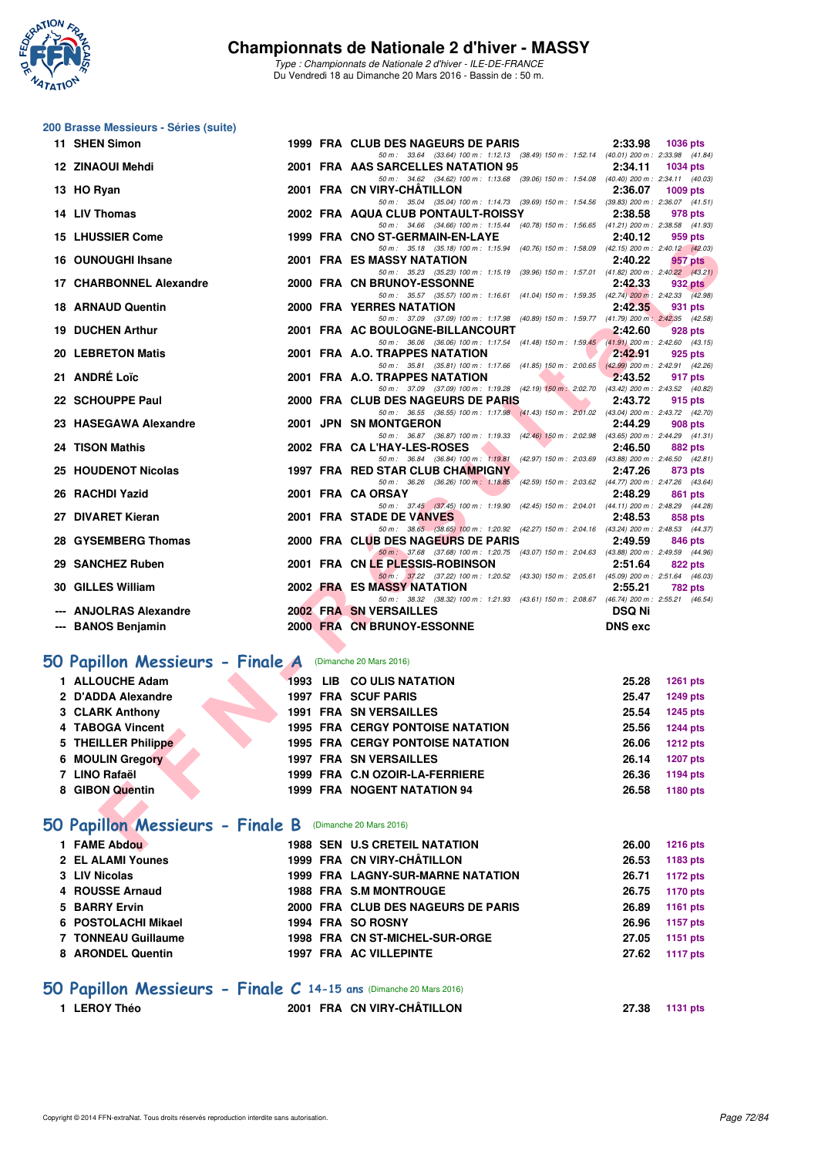

## **200 Brasse Messieurs - Séries (suite)**

| 11 SHEN Simon                                                   |  | 1999 FRA CLUB DES NAGEURS DE PARIS                                                                                             | 2:33.98        | <b>1036 pts</b> |
|-----------------------------------------------------------------|--|--------------------------------------------------------------------------------------------------------------------------------|----------------|-----------------|
| 12 ZINAOUI Mehdi                                                |  | 50 m: 33.64 (33.64) 100 m: 1:12.13 (38.49) 150 m: 1:52.14 (40.01) 200 m: 2:33.98 (41.84)<br>2001 FRA AAS SARCELLES NATATION 95 | 2:34.11        | <b>1034 pts</b> |
| 13 HO Ryan                                                      |  | 50 m: 34.62 (34.62) 100 m: 1:13.68 (39.06) 150 m: 1:54.08 (40.40) 200 m: 2:34.11 (40.03)<br>2001 FRA CN VIRY-CHATILLON         | 2:36.07        | 1009 pts        |
|                                                                 |  | 50 m: 35.04 (35.04) 100 m: 1:14.73 (39.69) 150 m: 1:54.56 (39.83) 200 m: 2:36.07 (41.51)                                       |                |                 |
| 14 LIV Thomas                                                   |  | 2002 FRA AQUA CLUB PONTAULT-ROISSY<br>50 m: 34.66 (34.66) 100 m: 1:15.44 (40.78) 150 m: 1:56.65 (41.21) 200 m: 2:38.58 (41.93) | 2:38.58        | 978 pts         |
| <b>15 LHUSSIER Come</b>                                         |  | 1999 FRA CNO ST-GERMAIN-EN-LAYE                                                                                                | 2:40.12        | 959 pts         |
| 16 OUNOUGHI Ihsane                                              |  | 50 m: 35.18 (35.18) 100 m: 1:15.94 (40.76) 150 m: 1:58.09 (42.15) 200 m: 2:40.12 (42.03)<br>2001 FRA ES MASSY NATATION         | 2:40.22        | 957 pts         |
| 17 CHARBONNEL Alexandre                                         |  | 50 m: 35.23 (35.23) 100 m: 1:15.19 (39.96) 150 m: 1:57.01 (41.82) 200 m: 2:40.22 (43.21)<br>2000 FRA CN BRUNOY-ESSONNE         | 2:42.33        | <b>932 pts</b>  |
|                                                                 |  | 50 m: 35.57 (35.57) 100 m: 1:16.61 (41.04) 150 m: 1:59.35 (42.74) 200 m: 2:42.33 (42.98)                                       |                |                 |
| <b>18 ARNAUD Quentin</b>                                        |  | 2000 FRA YERRES NATATION<br>50 m: 37.09 (37.09) 100 m: 1:17.98 (40.89) 150 m: 1:59.77 (41.79) 200 m: 2:42.35 (42.58)           | 2:42.35        | 931 pts         |
| <b>19 DUCHEN Arthur</b>                                         |  | 2001 FRA AC BOULOGNE-BILLANCOURT                                                                                               | 2:42.60        | <b>928 pts</b>  |
| <b>20 LEBRETON Matis</b>                                        |  | 50 m: 36.06 (36.06) 100 m: 1:17.54 (41.48) 150 m: 1:59.45 (41.91) 200 m: 2:42.60 (43.15)<br>2001 FRA A.O. TRAPPES NATATION     | 2:42.91        | 925 pts         |
|                                                                 |  | 50 m: 35.81 (35.81) 100 m: 1:17.66 (41.85) 150 m: 2:00.65 (42.99) 200 m: 2:42.91 (42.26)                                       |                |                 |
| 21 ANDRÉ Loïc                                                   |  | 2001 FRA A.O. TRAPPES NATATION<br>50 m: 37.09 (37.09) 100 m: 1:19.28 (42.19) 150 m: 2:02.70 (43.42) 200 m: 2:43.52 (40.82)     | 2:43.52        | 917 pts         |
| 22 SCHOUPPE Paul                                                |  | 2000 FRA CLUB DES NAGEURS DE PARIS                                                                                             | 2:43.72        | 915 pts         |
| 23 HASEGAWA Alexandre                                           |  | 50 m: 36.55 (36.55) 100 m: 1:17.98 (41.43) 150 m: 2:01.02 (43.04) 200 m: 2:43.72 (42.70)<br>2001 JPN SN MONTGERON              | 2:44.29        | 908 pts         |
|                                                                 |  | 50 m: 36.87 (36.87) 100 m: 1:19.33 (42.46) 150 m: 2:02.98 (43.65) 200 m: 2:44.29 (41.31)                                       |                |                 |
| 24 TISON Mathis                                                 |  | 2002 FRA CA L'HAY-LES-ROSES<br>50 m: 36.84 (36.84) 100 m: 1:19.81 (42.97) 150 m: 2:03.69 (43.88) 200 m: 2:46.50 (42.81)        | 2:46.50        | 882 pts         |
| 25 HOUDENOT Nicolas                                             |  | 1997 FRA RED STAR CLUB CHAMPIGNY                                                                                               | 2:47.26        | 873 pts         |
| 26 RACHDI Yazid                                                 |  | 50 m: 36.26 (36.26) 100 m: 1:18.85<br>(42.59) 150 m : 2:03.62 (44.77) 200 m : 2:47.26 (43.64)<br>2001 FRA CA ORSAY             | 2:48.29        |                 |
|                                                                 |  | 50 m: 37.45 (37.45) 100 m: 1:19.90 (42.45) 150 m: 2:04.01 (44.11) 200 m: 2:48.29 (44.28)                                       |                | 861 pts         |
| 27 DIVARET Kieran                                               |  | 2001 FRA STADE DE VANVES                                                                                                       | 2:48.53        | 858 pts         |
| 28 GYSEMBERG Thomas                                             |  | 50 m: 38.65 (38.65) 100 m: 1:20.92 (42.27) 150 m: 2:04.16 (43.24) 200 m: 2:48.53 (44.37)<br>2000 FRA CLUB DES NAGEURS DE PARIS | 2:49.59        | 846 pts         |
| 29 SANCHEZ Ruben                                                |  | 50 m: 37.68 (37.68) 100 m: 1:20.75 (43.07) 150 m: 2:04.63 (43.88) 200 m: 2:49.59 (44.96)<br>2001 FRA CN LE PLESSIS-ROBINSON    | 2:51.64        | 822 pts         |
|                                                                 |  | 50 m: 37.22 (37.22) 100 m: 1:20.52 (43.30) 150 m: 2:05.61 (45.09) 200 m: 2:51.64 (46.03)                                       |                |                 |
| 30 GILLES William                                               |  | 2002 FRA ES MASSY NATATION                                                                                                     | 2:55.21        | 782 pts         |
| <b>ANJOLRAS Alexandre</b>                                       |  | 50 m: 38.32 (38.32) 100 m: 1:21.93 (43.61) 150 m: 2:08.67 (46.74) 200 m: 2:55.21 (46.54)<br><b>2002 FRA SN VERSAILLES</b>      | <b>DSQ Ni</b>  |                 |
| --- BANOS Benjamin                                              |  | 2000 FRA CN BRUNOY-ESSONNE                                                                                                     | <b>DNS</b> exc |                 |
|                                                                 |  |                                                                                                                                |                |                 |
| <b>iO Papillon Messieurs - Finale A</b> (Dimanche 20 Mars 2016) |  |                                                                                                                                |                |                 |
| 1 ALLOUCHE Adam                                                 |  | 1993 LIB CO ULIS NATATION                                                                                                      | 25.28          | <b>1261 pts</b> |
| 2 D'ADDA Alexandre                                              |  | <b>1997 FRA SCUF PARIS</b>                                                                                                     | 25.47          | <b>1249 pts</b> |
| 3 CLARK Anthony                                                 |  | <b>1991 FRA SN VERSAILLES</b>                                                                                                  | 25.54          | 1245 pts        |
| 4 TABOGA Vincent                                                |  | <b>1995 FRA CERGY PONTOISE NATATION</b>                                                                                        | 25.56          | <b>1244 pts</b> |
| 5 THEILLER Philippe                                             |  | <b>1995 FRA CERGY PONTOISE NATATION</b>                                                                                        | 26.06          | <b>1212 pts</b> |
| <b>6 MOULIN Gregory</b>                                         |  | <b>1997 FRA SN VERSAILLES</b>                                                                                                  | 26.14          | <b>1207 pts</b> |
| 7 LINO Rafaël                                                   |  | 1999 FRA C.N OZOIR-LA-FERRIERE                                                                                                 | 26.36          | 1194 pts        |
| 8 GIBON Quentin                                                 |  | 1999 FRA NOGENT NATATION 94                                                                                                    | 26.58          | 1180 pts        |
|                                                                 |  |                                                                                                                                |                |                 |
| <b>iO Papillon Messieurs - Finale B</b> (Dimanche 20 Mars 2016) |  |                                                                                                                                |                |                 |
| 1 FAME Abdou                                                    |  | <b>1988 SEN U.S CRETEIL NATATION</b>                                                                                           | 26.00          | <b>1216 pts</b> |

## **[50 Papillon Messieurs - Finale A](http://www.ffnatation.fr/webffn/resultats.php?idact=nat&go=epr&idcpt=37307&idepr=81)** (Dimanche 20 Mars 2016)

| 1 ALLOUCHE Adam     | 1993 LIB CO ULIS NATATION               | <b>1261 pts</b><br>25.28 |
|---------------------|-----------------------------------------|--------------------------|
| 2 D'ADDA Alexandre  | 1997 FRA SCUF PARIS                     | <b>1249 pts</b><br>25.47 |
| 3 CLARK Anthony     | <b>1991 FRA SN VERSAILLES</b>           | 25.54<br>1245 pts        |
| 4 TABOGA Vincent    | <b>1995 FRA CERGY PONTOISE NATATION</b> | 25.56<br><b>1244 pts</b> |
| 5 THEILLER Philippe | <b>1995 FRA CERGY PONTOISE NATATION</b> | <b>1212 pts</b><br>26.06 |
| 6 MOULIN Gregory    | <b>1997 FRA SN VERSAILLES</b>           | 1207 pts<br>26.14        |
| 7 LINO Rafaël       | 1999 FRA C.N OZOIR-LA-FERRIERE          | 26.36<br>1194 pts        |
| 8 GIBON Quentin     | 1999 FRA NOGENT NATATION 94             | 1180 pts<br>26.58        |
|                     |                                         |                          |

## **[50 Papillon Messieurs - Finale B](http://www.ffnatation.fr/webffn/resultats.php?idact=nat&go=epr&idcpt=37307&idepr=81)** (Dimanche 20 Mars 2016)

| 1 FAME Abdou        |  | <b>1988 SEN U.S CRETEIL NATATION</b>     | 26.00 | <b>1216 pts</b> |
|---------------------|--|------------------------------------------|-------|-----------------|
| 2 EL ALAMI Younes   |  | 1999 FRA CN VIRY-CHÂTILLON               | 26.53 | 1183 pts        |
| 3 LIV Nicolas       |  | <b>1999 FRA LAGNY-SUR-MARNE NATATION</b> | 26.71 | 1172 pts        |
| 4 ROUSSE Arnaud     |  | <b>1988 FRA S.M MONTROUGE</b>            | 26.75 | 1170 pts        |
| 5 BARRY Ervin       |  | 2000 FRA CLUB DES NAGEURS DE PARIS       | 26.89 | 1161 pts        |
| 6 POSTOLACHI Mikael |  | 1994 FRA SO ROSNY                        | 26.96 | 1157 pts        |
| 7 TONNEAU Guillaume |  | 1998 FRA CN ST-MICHEL-SUR-ORGE           | 27.05 | 1151 pts        |
| 8 ARONDEL Quentin   |  | 1997 FRA AC VILLEPINTE                   | 27.62 | 1117 pts        |
|                     |  |                                          |       |                 |

## **[50 Papillon Messieurs - Finale C](http://www.ffnatation.fr/webffn/resultats.php?idact=nat&go=epr&idcpt=37307&idepr=81) 14-15 ans** (Dimanche 20 Mars 2016)

**1 LEROY Théo 2001 FRA CN VIRY-CHÂTILLON 27.38 1131 pts**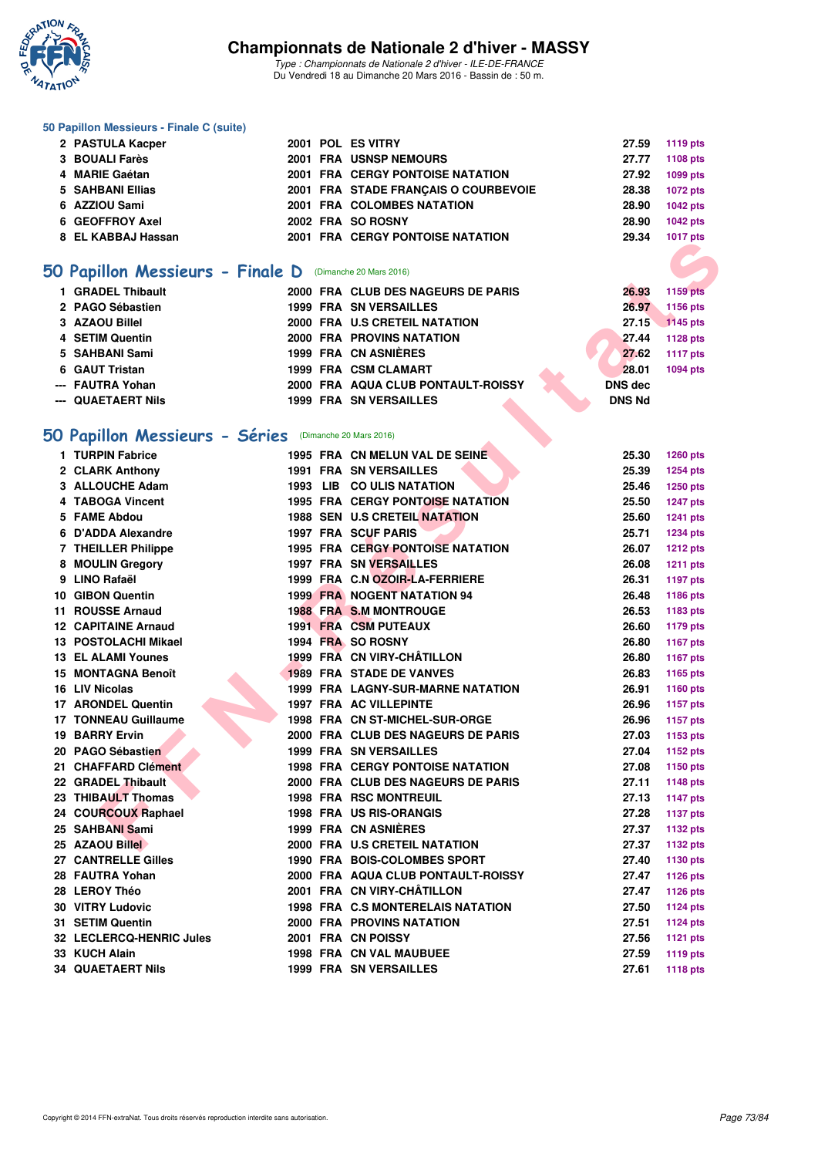

*Type : Championnats de Nationale 2 d'hiver - ILE-DE-FRANCE* Du Vendredi 18 au Dimanche 20 Mars 2016 - Bassin de : 50 m.

#### **50 Papillon Messieurs - Finale C (suite)**

| 2 PASTULA Kacper   |  | 2001 POL ES VITRY                    |       | 27.59 1119 pts |
|--------------------|--|--------------------------------------|-------|----------------|
| 3 BOUALI Farès     |  | <b>2001 FRA USNSP NEMOURS</b>        | 27.77 | 1108 pts       |
| 4 MARIE Gaétan     |  | 2001 FRA CERGY PONTOISE NATATION     | 27.92 | 1099 pts       |
| 5 SAHBANI Ellias   |  | 2001 FRA STADE FRANCAIS O COURBEVOIE | 28.38 | 1072 pts       |
| 6 AZZIOU Sami      |  | 2001 FRA COLOMBES NATATION           | 28.90 | 1042 pts       |
| 6 GEOFFROY Axel    |  | 2002 FRA SO ROSNY                    | 28.90 | 1042 pts       |
| 8 EL KABBAJ Hassan |  | 2001 FRA CERGY PONTOISE NATATION     | 29.34 | 1017 pts       |
|                    |  |                                      |       |                |

## **[50 Papillon Messieurs - Finale D](http://www.ffnatation.fr/webffn/resultats.php?idact=nat&go=epr&idcpt=37307&idepr=81)** (Dimanche 20 Mars 2016)

| 1 GRADEL Thibault  |      | 2000 FRA CLUB DES NAGEURS DE PARIS | 26.93          | 1159 pts        |
|--------------------|------|------------------------------------|----------------|-----------------|
| 2 PAGO Sébastien   |      | <b>1999 FRA SN VERSAILLES</b>      | 26.97          | 1156 pts        |
| 3 AZAOU Billel     |      | 2000 FRA U.S CRETEIL NATATION      | 27.15          | 1145 pts        |
| 4 SETIM Quentin    |      | <b>2000 FRA PROVINS NATATION</b>   | 27.44          | 1128 pts        |
| 5 SAHBANI Sami     |      | 1999 FRA CN ASNIÈRES               | 27.62          | <b>1117 pts</b> |
| 6 GAUT Tristan     |      | 1999 FRA CSM CLAMART               | 28.01          | 1094 pts        |
| --- FAUTRA Yohan   |      | 2000 FRA AQUA CLUB PONTAULT-ROISSY | <b>DNS dec</b> |                 |
| --- QUAETAERT Nils | 1999 | <b>FRA SN VERSAILLES</b>           | <b>DNS Nd</b>  |                 |

# **[50 Papillon Messieurs - Séries](http://www.ffnatation.fr/webffn/resultats.php?idact=nat&go=epr&idcpt=37307&idepr=81)** (Dimanche 20 Mars 2016)

|    |                                                          |  | <b>FRA</b> CERGI FONTOISE NATATION   |                | <b>IVII</b> pis |
|----|----------------------------------------------------------|--|--------------------------------------|----------------|-----------------|
|    |                                                          |  |                                      |                |                 |
|    | 50 Papillon Messieurs - Finale D (Dimanche 20 Mars 2016) |  |                                      |                |                 |
|    | 1 GRADEL Thibault                                        |  | 2000 FRA CLUB DES NAGEURS DE PARIS   | 26.93          | <b>1159 pts</b> |
|    | 2 PAGO Sébastien                                         |  | <b>1999 FRA SN VERSAILLES</b>        | 26.97          | 1156 pts        |
|    | 3 AZAOU Billel                                           |  | 2000 FRA U.S CRETEIL NATATION        | 27.15          | 1145 pts        |
|    | 4 SETIM Quentin                                          |  | 2000 FRA PROVINS NATATION            | 27.44          | 1128 pts        |
| 5. | SAHBANI Sami                                             |  | 1999 FRA CN ASNIERES                 | 27.62          | 1117 pts        |
| 6  | <b>GAUT Tristan</b>                                      |  | 1999 FRA CSM CLAMART                 | 28.01          | 1094 pts        |
|    | --- FAUTRA Yohan                                         |  | 2000 FRA AQUA CLUB PONTAULT-ROISSY   | <b>DNS dec</b> |                 |
|    | --- QUAETAERT Nils                                       |  | <b>1999 FRA SN VERSAILLES</b>        | <b>DNS Nd</b>  |                 |
|    | 50 Papillon Messieurs - Séries (Dimanche 20 Mars 2016)   |  |                                      |                |                 |
|    | 1 TURPIN Fabrice                                         |  | 1995 FRA CN MELUN VAL DE SEINE       | 25.30          | 1260 pts        |
|    | 2 CLARK Anthony                                          |  | <b>1991 FRA SN VERSAILLES</b>        | 25.39          | 1254 pts        |
|    | 3 ALLOUCHE Adam                                          |  | 1993 LIB CO ULIS NATATION            | 25.46          | 1250 pts        |
|    | 4 TABOGA Vincent                                         |  | 1995 FRA CERGY PONTOISE NATATION     | 25.50          | <b>1247 pts</b> |
|    | 5 FAME Abdou                                             |  | <b>1988 SEN U.S CRETEIL NATATION</b> | 25.60          | <b>1241 pts</b> |
|    | 6 D'ADDA Alexandre                                       |  | 1997 FRA SCUF PARIS                  | 25.71          | <b>1234 pts</b> |
|    | 7 THEILLER Philippe                                      |  | 1995 FRA CERGY PONTOISE NATATION     | 26.07          | <b>1212 pts</b> |
|    | 8 MOULIN Gregory                                         |  | <b>1997 FRA SN VERSAILLES</b>        | 26.08          | <b>1211 pts</b> |
|    | 9 LINO Rafaël                                            |  | 1999 FRA C.N OZOIR-LA-FERRIERE       | 26.31          | <b>1197 pts</b> |
|    | 10 GIBON Quentin                                         |  | <b>1999 FRA NOGENT NATATION 94</b>   | 26.48          | 1186 pts        |
| 11 | <b>ROUSSE Arnaud</b>                                     |  | 1988 FRA S.M MONTROUGE               | 26.53          | 1183 pts        |
|    | <b>12 CAPITAINE Arnaud</b>                               |  | <b>1991 FRA CSM PUTEAUX</b>          | 26.60          | 1179 pts        |
|    | 13 POSTOLACHI Mikael                                     |  | 1994 FRA SO ROSNY                    | 26.80          | <b>1167 pts</b> |
|    | <b>13 EL ALAMI Younes</b>                                |  | 1999 FRA CN VIRY-CHÂTILLON           | 26.80          | <b>1167 pts</b> |
|    | 15 MONTAGNA Benoît                                       |  | <b>1989 FRA STADE DE VANVES</b>      | 26.83          | 1165 pts        |
|    | 16 LIV Nicolas                                           |  | 1999 FRA LAGNY-SUR-MARNE NATATION    | 26.91          | 1160 pts        |
|    | 17 ARONDEL Quentin                                       |  | <b>1997 FRA AC VILLEPINTE</b>        | 26.96          | <b>1157 pts</b> |
|    | <b>17 TONNEAU Guillaume</b>                              |  | 1998 FRA CN ST-MICHEL-SUR-ORGE       | 26.96          | <b>1157 pts</b> |
|    | <b>19 BARRY Ervin</b>                                    |  | 2000 FRA CLUB DES NAGEURS DE PARIS   | 27.03          | 1153 pts        |
|    | 20 PAGO Sébastien                                        |  | <b>1999 FRA SN VERSAILLES</b>        | 27.04          | 1152 pts        |
|    | 21 CHAFFARD Clément                                      |  | 1998 FRA CERGY PONTOISE NATATION     | 27.08          | 1150 pts        |
|    | 22 GRADEL Thibault                                       |  | 2000 FRA CLUB DES NAGEURS DE PARIS   | 27.11          | <b>1148 pts</b> |
|    | 23 THIBAULT Thomas                                       |  | <b>1998 FRA RSC MONTREUIL</b>        | 27.13          | <b>1147 pts</b> |
|    | 24 COURCOUX Raphael                                      |  | <b>1998 FRA US RIS-ORANGIS</b>       | 27.28          | <b>1137 pts</b> |
|    | 25 SAHBANI Sami                                          |  | 1999 FRA CN ASNIÈRES                 | 27.37          | 1132 pts        |
|    | 25 AZAOU Billel                                          |  | 2000 FRA U.S CRETEIL NATATION        | 27.37          | 1132 pts        |
|    | 27 CANTRELLE Gilles                                      |  | <b>1990 FRA BOIS-COLOMBES SPORT</b>  | 27.40          | 1130 pts        |
|    | 28 FAUTRA Yohan                                          |  | 2000 FRA AQUA CLUB PONTAULT-ROISSY   | 27.47          | 1126 pts        |
|    | 28 LEROY Théo                                            |  | 2001 FRA CN VIRY-CHÂTILLON           | 27.47          | 1126 pts        |
|    | <b>30 VITRY Ludovic</b>                                  |  | 1998 FRA C.S MONTERELAIS NATATION    | 27.50          | <b>1124 pts</b> |
|    | 31 SETIM Quentin                                         |  | <b>2000 FRA PROVINS NATATION</b>     | 27.51          | 1124 pts        |
|    | 32 LECLERCQ-HENRIC Jules                                 |  | 2001 FRA CN POISSY                   | 27.56          | <b>1121 pts</b> |
|    | 33 KUCH Alain                                            |  | <b>1998 FRA CN VAL MAUBUEE</b>       | 27.59          | <b>1119 pts</b> |
|    | <b>34 QUAETAERT Nils</b>                                 |  | <b>1999 FRA SN VERSAILLES</b>        | 27.61          | <b>1118 pts</b> |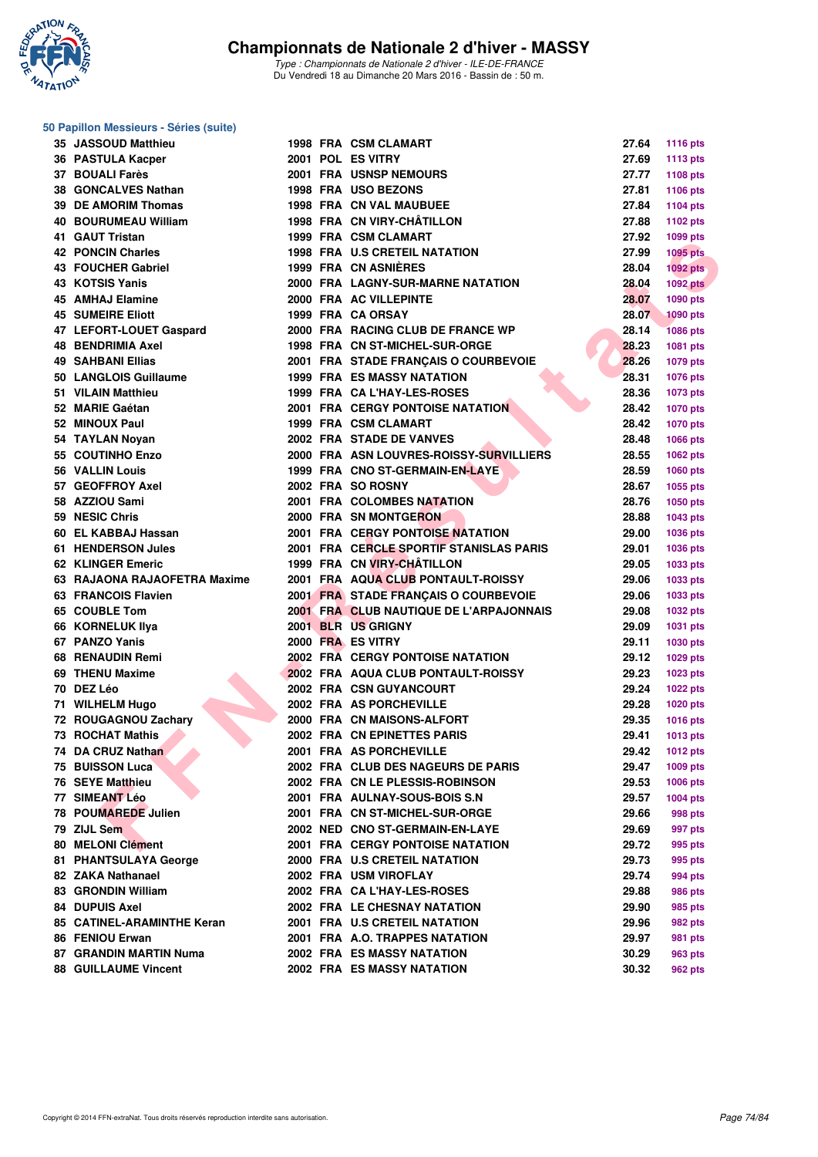

**50 Papillon Messieurs - Séries (suite)**

*Type : Championnats de Nationale 2 d'hiver - ILE-DE-FRANCE* Du Vendredi 18 au Dimanche 20 Mars 2016 - Bassin de : 50 m.

**35 JASSOUD Matthieu 1998 FRA CSM CLAMART 27.64 1116 pts 36 PASTULA Kacper 2001 POL ES VITRY 27.69 1113 pts**

#### **37 BOUALI Farès 2001 FRA USNSP NEMOURS 27.77 1108 pts 38 GONCALVES Nathan 1998 FRA USO BEZONS 27.81 1106 pts 39 DE AMORIM Thomas 1998 FRA CN VAL MAUBUEE 27.84 1104 pts 40 BOURUMEAU William 1998 FRA CN VIRY-CHÂTILLON 27.88 1102 pts 41 GAUT Tristan 1999 FRA CSM CLAMART 27.92 1099 pts 42 PONCIN Charles 1998 FRA U.S CRETEIL NATATION 27.99 1095 pts 43 FOUCHER Gabriel 1999 FRA CN ASNIÈRES 28.04 1092 pts 43 KOTSIS Yanis 2000 FRA LAGNY-SUR-MARNE NATATION 28.04 1092 pts 45 AMHAJ Elamine 2000 FRA AC VILLEPINTE 28.07 1090 pts 45 SUMEIRE Eliott 1999 FRA CA ORSAY 28.07 1090 pts** 47 LEFORT-LOUET Gaspard 2000 FRA F **48 BENDRIMIA Axel 1998 FRA C 49 SAHBANI Ellias 2001 FRA** S 50 LANGLOIS Guillaume 1999 FRA E **51 VILAIN Matthieu 1999 FRA C 52 MARIE Gaétan 2001 FRA C 52 MINOUX Paul 1999 FRA C 54 TAYLAN Novan 2002 FRA S 55 COUTINHO Enzo** 2000 FRA ASSA 2000 PTS **56 VALLIN Louis 1999 FRA C 57 GEOFFROY Axel 2002 FRA S 58 AZZIOU Sami 2001 FRA C 59 NESIC Chris** 2000 **FRA S 60 EL KABBAJ Hassan 2001 FRA CERGY PONTOISE NATATION 29.00 1036 pts 61 HENDERSON Jules 2001 FRA CERCLE SPORTIF STANISLAS PARIS 29.01 1036 pts 62 KLINGER Emeric 1999 FRA C**

- **63 RAJAONA RAJAOFETRA Maxime 2001 FRA A 63 FRANCOIS Flavien 2001 FRA** S **65 COUBLE Tom 2001 FRA CLUB NAUTIQUE DE L'ARPAJONNAIS 29.08 1032 pts 66 KORNELUK Ilya 2001 BLR US GRIGNY 29.09 1031 pts 67 PANZO Yanis 2000 FRA ES VITRY 29.11 1030 pts 68 RENAUDIN Remi 2002 FRA CERGY PONTOISE NATATION 29.12 1029 pts 69 THENU Maxime 2002 FRA AQUA CLUB PONTAULT-ROISSY 29.23 1023 pts 71 WILHELM Hugo 2002 FRA ASSAULTED 2002 PTS 72 ROUGAGNOU Zachary 2000 FRA C 73 ROCHAT Mathis 2002 FRA C 74 DA CRUZ Nathan 2001 FRA ASSEMBLY 75 BUISSON Luca 2002 FRA C 76 SEYE Matthieu 2002 FRA C 77 SIMEANT Léo 2001 FRA AU 78 POUMAREDE Julien 2001 FRA C** 80 MELONI Clément 2001 FRA C 81 PHANTSULAYA George 2000 FRA U 82 ZAKA Nathanael 2002 FRA U 83 GRONDIN William 2002 FRA C **84 DUPUIS Axel 2002 FRA L** 85 CATINEL-ARAMINTHE Keran 2001 FRA U.S
- **86 FENIOU Erwan 2001 FRA A.**
- 87 GRANDIN MARTIN Numa 2002 FRA E
- 88 GUILLAUME Vincent 2002 FRA E

| ווגופווו וטרש וד             |  | 1999 FRA COMCLAMARI                     | 21.JZ | ານລວ hro        |
|------------------------------|--|-----------------------------------------|-------|-----------------|
| 42 PONCIN Charles            |  | 1998 FRA U.S CRETEIL NATATION           | 27.99 | <b>1095 pts</b> |
| 43 FOUCHER Gabriel           |  | 1999 FRA CN ASNIERES                    | 28.04 | 1092 pts        |
| 43 KOTSIS Yanis              |  | 2000 FRA LAGNY-SUR-MARNE NATATION       | 28.04 | 1092 pts        |
| 45 AMHAJ Elamine             |  | 2000 FRA AC VILLEPINTE                  | 28.07 | 1090 pts        |
| <b>45 SUMEIRE Eliott</b>     |  | 1999 FRA CA ORSAY                       | 28.07 | <b>1090 pts</b> |
|                              |  | 2000 FRA RACING CLUB DE FRANCE WP       |       |                 |
| 47 LEFORT-LOUET Gaspard      |  |                                         | 28.14 | <b>1086 pts</b> |
| 48 BENDRIMIA Axel            |  | 1998 FRA CN ST-MICHEL-SUR-ORGE          | 28.23 | 1081 pts        |
| 49 SAHBANI Ellias            |  | 2001 FRA STADE FRANÇAIS O COURBEVOIE    | 28.26 | 1079 pts        |
| 50 LANGLOIS Guillaume        |  | <b>1999 FRA ES MASSY NATATION</b>       | 28.31 | 1076 pts        |
| 51 VILAIN Matthieu           |  | 1999 FRA CA L'HAY-LES-ROSES             | 28.36 | <b>1073 pts</b> |
| 52 MARIE Gaétan              |  | <b>2001 FRA CERGY PONTOISE NATATION</b> | 28.42 | <b>1070 pts</b> |
| 52 MINOUX Paul               |  | 1999 FRA CSM CLAMART                    | 28.42 | 1070 pts        |
| 54 TAYLAN Noyan              |  | 2002 FRA STADE DE VANVES                | 28.48 | 1066 pts        |
|                              |  |                                         |       |                 |
| 55 COUTINHO Enzo             |  | 2000 FRA ASN LOUVRES-ROISSY-SURVILLIERS | 28.55 | 1062 pts        |
| 56 VALLIN Louis              |  | 1999 FRA CNO ST-GERMAIN-EN-LAYE         | 28.59 | <b>1060 pts</b> |
| 57 GEOFFROY Axel             |  | 2002 FRA SO ROSNY                       | 28.67 | 1055 pts        |
| 58 AZZIOU Sami               |  | 2001 FRA COLOMBES NATATION              | 28.76 | <b>1050 pts</b> |
| 59 NESIC Chris               |  | 2000 FRA SN MONTGERON                   | 28.88 | 1043 pts        |
| 60 EL KABBAJ Hassan          |  | <b>2001 FRA CERGY PONTOISE NATATION</b> | 29.00 | 1036 pts        |
| 61 HENDERSON Jules           |  | 2001 FRA CERCLE SPORTIF STANISLAS PARIS | 29.01 | 1036 pts        |
| 62 KLINGER Emeric            |  | 1999 FRA CN VIRY-CHÂTILLON              | 29.05 | 1033 pts        |
|                              |  | 2001 FRA AQUA CLUB PONTAULT-ROISSY      |       |                 |
| 63 RAJAONA RAJAOFETRA Maxime |  |                                         | 29.06 | 1033 pts        |
| 63 FRANCOIS Flavien          |  | 2001 FRA STADE FRANÇAIS O COURBEVOIE    | 29.06 | 1033 pts        |
| 65 COUBLE Tom                |  | 2001 FRA CLUB NAUTIQUE DE L'ARPAJONNAIS | 29.08 | 1032 pts        |
| 66 KORNELUK IIya             |  | 2001 BLR US GRIGNY                      | 29.09 | 1031 pts        |
| 67 PANZO Yanis               |  | 2000 FRA ES VITRY                       | 29.11 | 1030 pts        |
| 68 RENAUDIN Remi             |  | <b>2002 FRA CERGY PONTOISE NATATION</b> | 29.12 | 1029 pts        |
| 69 THENU Maxime              |  | 2002 FRA AQUA CLUB PONTAULT-ROISSY      | 29.23 | <b>1023 pts</b> |
| 70 DEZ Léo                   |  | 2002 FRA CSN GUYANCOURT                 | 29.24 | <b>1022 pts</b> |
| 71 WILHELM Hugo              |  | 2002 FRA AS PORCHEVILLE                 | 29.28 |                 |
|                              |  |                                         |       | <b>1020 pts</b> |
| 72 ROUGAGNOU Zachary         |  | 2000 FRA CN MAISONS-ALFORT              | 29.35 | <b>1016 pts</b> |
| 73 ROCHAT Mathis             |  | 2002 FRA CN EPINETTES PARIS             | 29.41 | 1013 pts        |
| 74 DA CRUZ Nathan            |  | 2001 FRA AS PORCHEVILLE                 | 29.42 | <b>1012 pts</b> |
| 75 BUISSON Luca              |  | 2002 FRA CLUB DES NAGEURS DE PARIS      | 29.47 | 1009 pts        |
| 76 SEYE Matthieu             |  | 2002 FRA CN LE PLESSIS-ROBINSON         | 29.53 | 1006 pts        |
| 77 SIMEANT Léo               |  | 2001 FRA AULNAY-SOUS-BOIS S.N           | 29.57 | 1004 pts        |
| 78 POUMAREDE Julien          |  | 2001 FRA CN ST-MICHEL-SUR-ORGE          | 29.66 | 998 pts         |
| 79 ZIJL Sem                  |  | 2002 NED CNO ST-GERMAIN-EN-LAYE         | 29.69 | 997 pts         |
|                              |  |                                         | 29.72 |                 |
| 80 MELONI Clément            |  | <b>2001 FRA CERGY PONTOISE NATATION</b> |       | 995 pts         |
| 81 PHANTSULAYA George        |  | 2000 FRA U.S CRETEIL NATATION           | 29.73 | 995 pts         |
| 82 ZAKA Nathanael            |  | 2002 FRA USM VIROFLAY                   | 29.74 | 994 pts         |
| 83 GRONDIN William           |  | 2002 FRA CA L'HAY-LES-ROSES             | 29.88 | 986 pts         |
| <b>84 DUPUIS Axel</b>        |  | 2002 FRA LE CHESNAY NATATION            | 29.90 | 985 pts         |
| 85 CATINEL-ARAMINTHE Keran   |  | 2001 FRA U.S CRETEIL NATATION           | 29.96 | <b>982 pts</b>  |
| 86 FENIOU Erwan              |  | 2001 FRA A.O. TRAPPES NATATION          | 29.97 | 981 pts         |
| 87   GRANDIN MARTIN Numa     |  | 2002 FRA ES MASSY NATATION              | 30.29 | 963 pts         |
|                              |  |                                         |       |                 |
| <b>88 GUILLAUME Vincent</b>  |  | 2002 FRA ES MASSY NATATION              | 30.32 | 962 pts         |
|                              |  |                                         |       |                 |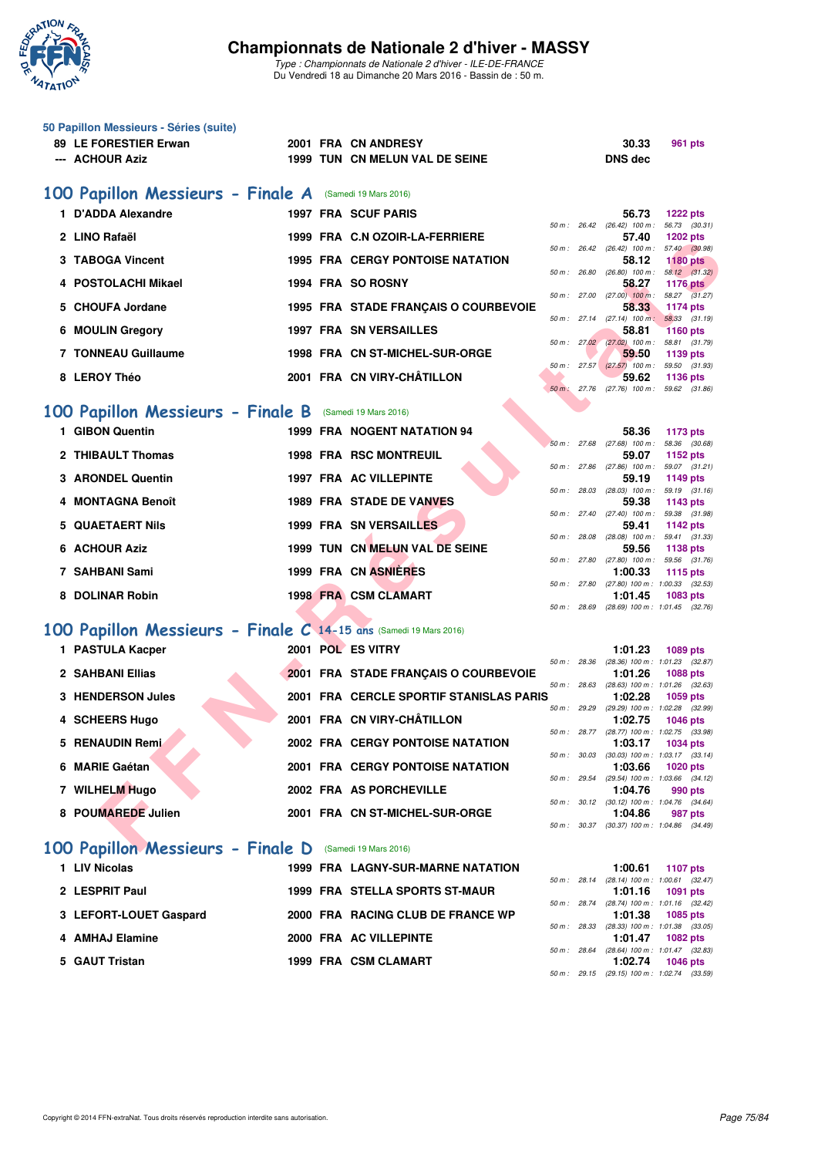

|   | 50 Papillon Messieurs - Séries (suite)<br>89 LE FORESTIER Erwan<br>--- ACHOUR Aziz | 2001 FRA CN ANDRESY<br>1999 TUN CN MELUN VAL DE SEINE |             |              | 30.33<br><b>DNS dec</b>                                 | 961 pts         |
|---|------------------------------------------------------------------------------------|-------------------------------------------------------|-------------|--------------|---------------------------------------------------------|-----------------|
|   | 100 Papillon Messieurs - Finale A                                                  | (Samedi 19 Mars 2016)                                 |             |              |                                                         |                 |
|   | 1 D'ADDA Alexandre                                                                 | 1997 FRA SCUF PARIS                                   |             |              | 56.73<br>50 m: 26.42 (26.42) 100 m: 56.73 (30.31)       | <b>1222 pts</b> |
|   | 2 LINO Rafaël                                                                      | 1999 FRA C.N OZOIR-LA-FERRIERE                        |             |              | 57.40                                                   | 1202 pts        |
|   | 3 TABOGA Vincent                                                                   | <b>1995 FRA CERGY PONTOISE NATATION</b>               |             |              | 50 m : 26.42 (26.42) 100 m : 57.40 (30.98)<br>58.12     | <b>1180 pts</b> |
|   | 4 POSTOLACHI Mikael                                                                | 1994 FRA SO ROSNY                                     |             |              | 50 m: 26.80 (26.80) 100 m: 58.12 (31.32)<br>58.27       | <b>1176 pts</b> |
|   | 5 CHOUFA Jordane                                                                   | 1995 FRA STADE FRANÇAIS O COURBEVOIE                  |             |              | 50 m : 27.00 (27.00) 100 m : 58.27 (31.27)<br>58.33     | 1174 pts        |
| 6 | <b>MOULIN Gregory</b>                                                              | <b>1997 FRA SN VERSAILLES</b>                         |             |              | 50 m: 27.14 (27.14) 100 m: 58.33 (31.19)<br>58.81       | <b>1160 pts</b> |
|   | <b>7 TONNEAU Guillaume</b>                                                         | 1998 FRA CN ST-MICHEL-SUR-ORGE                        |             |              | 50 m : 27.02 (27.02) 100 m : 58.81 (31.79)<br>59.50     | 1139 pts        |
|   | 8 LEROY Théo                                                                       | 2001 FRA CN VIRY-CHÂTILLON                            |             |              | 50 m: 27.57 (27.57) 100 m: 59.50 (31.93)<br>59.62       | 1136 pts        |
|   |                                                                                    |                                                       |             |              | 50 m: 27.76 (27.76) 100 m: 59.62 (31.86)                |                 |
|   | 100 Papillon Messieurs - Finale B (Samedi 19 Mars 2016)                            |                                                       |             |              |                                                         |                 |
|   | 1 GIBON Quentin                                                                    | <b>1999 FRA NOGENT NATATION 94</b>                    |             |              | 58.36<br>50 m : 27.68 (27.68) 100 m : 58.36 (30.68)     | 1173 pts        |
|   | 2 THIBAULT Thomas                                                                  | <b>1998 FRA RSC MONTREUIL</b>                         | 50 m: 27.86 |              | 59.07                                                   | 1152 pts        |
|   | 3 ARONDEL Quentin                                                                  | <b>1997 FRA AC VILLEPINTE</b>                         |             |              | $(27.86)$ 100 m : 59.07 $(31.21)$<br>59.19              | 1149 pts        |
|   | 4 MONTAGNA Benoît                                                                  | <b>1989 FRA STADE DE VANVES</b>                       |             |              | 50 m: 28.03 (28.03) 100 m: 59.19 (31.16)<br>59.38       | 1143 pts        |
|   | 5 QUAETAERT Nils                                                                   | <b>1999 FRA SN VERSAILLES</b>                         |             |              | 50 m: 27.40 (27.40) 100 m: 59.38 (31.98)<br>59.41       | 1142 pts        |
|   | <b>6 ACHOUR Aziz</b>                                                               | 1999 TUN CN MELUN VAL DE SEINE                        |             |              | 50 m: 28.08 (28.08) 100 m: 59.41 (31.33)<br>59.56       | <b>1138 pts</b> |
|   | 7 SAHBANI Sami                                                                     | 1999 FRA CN ASNIERES                                  |             |              | 50 m: 27.80 (27.80) 100 m: 59.56 (31.76)<br>1:00.33     | 1115 pts        |
|   | 8 DOLINAR Robin                                                                    | <b>1998 FRA CSM CLAMART</b>                           |             |              | 50 m: 27.80 (27.80) 100 m: 1:00.33 (32.53)<br>1:01.45   | 1083 pts        |
|   |                                                                                    |                                                       |             |              | 50 m: 28.69 (28.69) 100 m: 1:01.45 (32.76)              |                 |
|   | 100 Papillon Messieurs - Finale C 14-15 ans (Samedi 19 Mars 2016)                  |                                                       |             |              |                                                         |                 |
|   | 1 PASTULA Kacper                                                                   | 2001 POL ES VITRY                                     |             |              | 1:01.23<br>50 m: 28.36 (28.36) 100 m: 1:01.23 (32.87)   | <b>1089 pts</b> |
|   | 2 SAHBANI Ellias                                                                   | 2001 FRA STADE FRANÇAIS O COURBEVOIE                  |             | 50 m : 28.63 | 1:01.26<br>(28.63) 100 m: 1:01.26 (32.63)               | <b>1088 pts</b> |
|   | <b>3 HENDERSON Jules</b>                                                           | 2001 FRA CERCLE SPORTIF STANISLAS PARIS               |             |              | 1:02.28<br>50 m: 29.29 (29.29) 100 m: 1:02.28 (32.99)   | 1059 pts        |
|   | 4 SCHEERS Hugo                                                                     | 2001 FRA CN VIRY-CHÂTILLON                            |             |              | 1:02.75                                                 | <b>1046 pts</b> |
|   | 5 RENAUDIN Remi                                                                    | <b>2002 FRA CERGY PONTOISE NATATION</b>               |             |              | 50 m: 28.77 (28.77) 100 m: 1:02.75 (33.98)<br>1:03.17   | 1034 pts        |
|   | 6 MARIE Gaétan                                                                     | <b>2001 FRA CERGY PONTOISE NATATION</b>               |             |              | 50 m: 30.03 (30.03) 100 m: 1:03.17 (33.14)<br>1:03.66   | <b>1020 pts</b> |
|   | 7 WILHELM Hugo                                                                     | 2002 FRA AS PORCHEVILLE                               |             |              | 50 m : 29.54 (29.54) 100 m : 1:03.66 (34.12)<br>1:04.76 | 990 pts         |
|   | 8 POUMAREDE Julien                                                                 | 2001 FRA CN ST-MICHEL-SUR-ORGE                        |             |              | 50 m: 30.12 (30.12) 100 m: 1:04.76 (34.64)<br>1:04.86   | 987 pts         |
|   |                                                                                    |                                                       |             |              | 50 m: 30.37 (30.37) 100 m: 1:04.86 (34.49)              |                 |
|   | 100 Papillon Messieurs - Finale D                                                  | (Samedi 19 Mars 2016)                                 |             |              |                                                         |                 |
|   | 1 LIV Nicolas                                                                      | <b>1999 FRA LAGNY-SUR-MARNE NATATION</b>              |             |              | 1:00.61<br>50 m: 28.14 (28.14) 100 m: 1:00.61 (32.47)   | 1107 pts        |
|   | 2 LESPRIT Paul                                                                     | 1999 FRA STELLA SPORTS ST-MAUR                        |             |              | 1:01.16<br>50 m : 28.74 (28.74) 100 m : 1:01.16 (32.42) | 1091 pts        |
|   | 3 LEFORT-LOUET Gaspard                                                             | 2000 FRA RACING CLUB DE FRANCE WP                     |             |              | 1:01.38                                                 | 1085 pts        |
|   | 4 AMHAJ Elamine                                                                    | 2000 FRA AC VILLEPINTE                                |             |              | 50 m : 28.33 (28.33) 100 m : 1:01.38 (33.05)<br>1:01.47 | 1082 pts        |
|   | 5 GAUT Tristan                                                                     | 1999 FRA CSM CLAMART                                  |             |              | 50 m : 28.64 (28.64) 100 m : 1:01.47 (32.83)<br>1:02.74 | <b>1046 pts</b> |
|   |                                                                                    |                                                       |             |              | 50 m: 29.15 (29.15) 100 m: 1:02.74 (33.59)              |                 |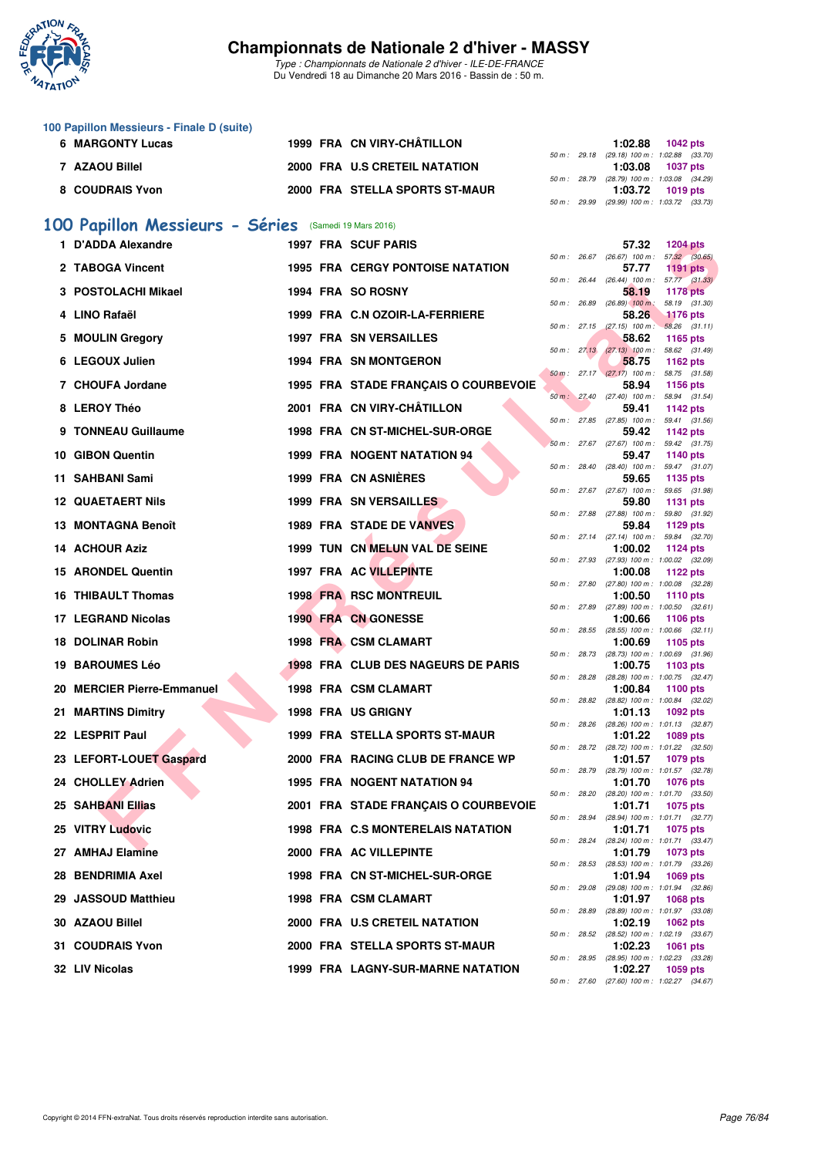

**100 Papillon Messieurs - Finale D (suite)**

### **Championnats de Nationale 2 d'hiver - MASSY**

| 6 | <b>MARGONTY Lucas</b>                                                                                 |  |  | 1999 FRA CN VIRY-CHÂTILLON                |              |              | 1:02.88<br><b>1042 pts</b>                                                 |  |  |  |  |  |
|---|-------------------------------------------------------------------------------------------------------|--|--|-------------------------------------------|--------------|--------------|----------------------------------------------------------------------------|--|--|--|--|--|
|   | 7 AZAOU Billel                                                                                        |  |  | 2000 FRA U.S CRETEIL NATATION             |              |              | 50 m : 29.18 (29.18) 100 m : 1:02.88 (33.70)<br>1:03.08<br><b>1037 pts</b> |  |  |  |  |  |
|   | 8 COUDRAIS Yvon                                                                                       |  |  | 2000 FRA STELLA SPORTS ST-MAUR            |              |              | 50 m: 28.79 (28.79) 100 m: 1:03.08 (34.29)<br>1:03.72<br><b>1019 pts</b>   |  |  |  |  |  |
|   | 50 m : 29.99 (29.99) 100 m : 1:03.72 (33.73)<br>100 Papillon Messieurs - Séries (Samedi 19 Mars 2016) |  |  |                                           |              |              |                                                                            |  |  |  |  |  |
|   | 1 D'ADDA Alexandre                                                                                    |  |  | <b>1997 FRA SCUF PARIS</b>                |              |              | 57.32<br><b>1204 pts</b>                                                   |  |  |  |  |  |
|   | 2 TABOGA Vincent                                                                                      |  |  | <b>1995 FRA CERGY PONTOISE NATATION</b>   |              |              | 50 m : 26.67 (26.67) 100 m : 57.32 (30.65)                                 |  |  |  |  |  |
|   |                                                                                                       |  |  |                                           |              |              | 57.77<br>1191 $pts$<br>50 m: 26.44 (26.44) 100 m: 57.77 (31.33)            |  |  |  |  |  |
|   | 3 POSTOLACHI Mikael                                                                                   |  |  | 1994 FRA SO ROSNY                         | 50 m : 26.89 |              | 58.19<br><b>1178 pts</b><br>$(26.89)$ 100 m :<br>58.19 (31.30)             |  |  |  |  |  |
|   | 4 LINO Rafaël                                                                                         |  |  | 1999 FRA C.N OZOIR-LA-FERRIERE            |              |              | 58.26<br><b>1176 pts</b><br>50 m: 27.15 (27.15) 100 m: 58.26 (31.11)       |  |  |  |  |  |
|   | 5 MOULIN Gregory                                                                                      |  |  | <b>1997 FRA SN VERSAILLES</b>             |              |              | 58.62<br>1165 pts<br>50 m: 27.13 (27.13) 100 m: 58.62 (31.49)              |  |  |  |  |  |
|   | 6 LEGOUX Julien                                                                                       |  |  | <b>1994 FRA SN MONTGERON</b>              |              |              | 58.75<br>1162 pts                                                          |  |  |  |  |  |
|   | 7 CHOUFA Jordane                                                                                      |  |  | 1995 FRA STADE FRANÇAIS O COURBEVOIE      |              |              | 50 m: 27.17 (27.17) 100 m: 58.75 (31.58)<br>58.94<br>1156 pts              |  |  |  |  |  |
|   | 8 LEROY Théo                                                                                          |  |  | 2001 FRA CN VIRY-CHÂTILLON                |              |              | 50 m : 27.40 (27.40) 100 m : 58.94 (31.54)<br>59.41<br><b>1142 pts</b>     |  |  |  |  |  |
|   | 9 TONNEAU Guillaume                                                                                   |  |  | 1998 FRA CN ST-MICHEL-SUR-ORGE            |              |              | 50 m: 27.85 (27.85) 100 m: 59.41 (31.56)<br>59.42<br><b>1142 pts</b>       |  |  |  |  |  |
|   | 10 GIBON Quentin                                                                                      |  |  | 1999 FRA NOGENT NATATION 94               |              |              | 50 m: 27.67 (27.67) 100 m: 59.42 (31.75)<br>59.47<br><b>1140 pts</b>       |  |  |  |  |  |
|   |                                                                                                       |  |  | 1999 FRA CN ASNIERES                      |              |              | 50 m: 28.40 (28.40) 100 m: 59.47 (31.07)                                   |  |  |  |  |  |
|   | 11 SAHBANI Sami                                                                                       |  |  |                                           |              |              | 59.65<br>1135 pts<br>50 m: 27.67 (27.67) 100 m: 59.65 (31.98)              |  |  |  |  |  |
|   | <b>12 QUAETAERT Nils</b>                                                                              |  |  | 1999 FRA SN VERSAILLES                    |              |              | 59.80<br><b>1131 pts</b><br>50 m: 27.88 (27.88) 100 m: 59.80 (31.92)       |  |  |  |  |  |
|   | 13 MONTAGNA Benoît                                                                                    |  |  | <b>1989 FRA STADE DE VANVES</b>           |              |              | 59.84<br>1129 pts<br>50 m: 27.14 (27.14) 100 m: 59.84 (32.70)              |  |  |  |  |  |
|   | 14 ACHOUR Aziz                                                                                        |  |  | 1999 TUN CN MELUN VAL DE SEINE            |              |              | 1:00.02<br>1124 pts<br>50 m: 27.93 (27.93) 100 m: 1:00.02 (32.09)          |  |  |  |  |  |
|   | 15 ARONDEL Quentin                                                                                    |  |  | 1997 FRA AC VILLEPINTE                    |              |              | 1:00.08<br>1122 pts                                                        |  |  |  |  |  |
|   | 16 THIBAULT Thomas                                                                                    |  |  | <b>1998 FRA RSC MONTREUIL</b>             |              |              | 50 m: 27.80 (27.80) 100 m: 1:00.08 (32.28)<br>1:00.50<br><b>1110 pts</b>   |  |  |  |  |  |
|   | <b>17 LEGRAND Nicolas</b>                                                                             |  |  | 1990 FRA CN GONESSE                       |              |              | 50 m: 27.89 (27.89) 100 m: 1:00.50 (32.61)<br>1:00.66<br><b>1106 pts</b>   |  |  |  |  |  |
|   | <b>18 DOLINAR Robin</b>                                                                               |  |  | 1998 FRA CSM CLAMART                      |              | 50 m : 28.55 | $(28.55)$ 100 m : 1:00.66 $(32.11)$<br>1:00.69<br>1105 pts                 |  |  |  |  |  |
|   | <b>19 BAROUMES Léo</b>                                                                                |  |  | <b>1998 FRA CLUB DES NAGEURS DE PARIS</b> |              | 50 m : 28.73 | (28.73) 100 m: 1:00.69 (31.96)<br>1:00.75<br>1103 pts                      |  |  |  |  |  |
|   | 20 MERCIER Pierre-Emmanuel                                                                            |  |  | 1998 FRA CSM CLAMART                      | 50 m: 28.28  |              | (28.28) 100 m : 1:00.75 (32.47)<br><b>1100 pts</b>                         |  |  |  |  |  |
|   |                                                                                                       |  |  |                                           |              |              | 1:00.84<br>50 m : 28.82 (28.82) 100 m : 1:00.84 (32.02)                    |  |  |  |  |  |
|   | 21 MARTINS Dimitry                                                                                    |  |  | 1998 FRA US GRIGNY                        |              |              | 1:01.13<br>1092 pts<br>50 m: 28.26 (28.26) 100 m: 1:01.13 (32.87)          |  |  |  |  |  |
|   | 22 LESPRIT Paul                                                                                       |  |  | 1999 FRA STELLA SPORTS ST-MAUR            |              |              | 1:01.22<br>1089 pts<br>50 m : 28.72 (28.72) 100 m : 1:01.22 (32.50)        |  |  |  |  |  |
|   | 23 LEFORT-LOUET Gaspard                                                                               |  |  | 2000 FRA RACING CLUB DE FRANCE WP         |              | 50 m : 28.79 | 1:01.57<br>1079 pts<br>(28.79) 100 m : 1:01.57 (32.78)                     |  |  |  |  |  |
|   | 24 CHOLLEY Adrien                                                                                     |  |  | 1995 FRA NOGENT NATATION 94               |              |              | 1:01.70<br><b>1076 pts</b>                                                 |  |  |  |  |  |
|   | <b>25 SAHBANI Ellias</b>                                                                              |  |  | 2001 FRA STADE FRANÇAIS O COURBEVOIE      | 50 m : 28.20 |              | (28.20) 100 m: 1:01.70 (33.50)<br>1:01.71<br>1075 pts                      |  |  |  |  |  |
|   | 25 VITRY Ludovic                                                                                      |  |  | 1998 FRA C.S MONTERELAIS NATATION         |              | 50 m : 28.94 | (28.94) 100 m: 1:01.71 (32.77)<br>1:01.71<br>1075 pts                      |  |  |  |  |  |
|   | 27 AMHAJ Elamine                                                                                      |  |  | 2000 FRA AC VILLEPINTE                    |              |              | 50 m: 28.24 (28.24) 100 m: 1:01.71 (33.47)<br>1:01.79<br>1073 pts          |  |  |  |  |  |
|   | 28 BENDRIMIA Axel                                                                                     |  |  | 1998 FRA CN ST-MICHEL-SUR-ORGE            |              | 50 m : 28.53 | (28.53) 100 m: 1:01.79 (33.26)<br>1:01.94<br><b>1069 pts</b>               |  |  |  |  |  |
|   | 29 JASSOUD Matthieu                                                                                   |  |  | 1998 FRA CSM CLAMART                      |              | 50 m : 29.08 | (29.08) 100 m: 1:01.94 (32.86)<br>1:01.97                                  |  |  |  |  |  |
|   |                                                                                                       |  |  |                                           |              | 50 m : 28.89 | 1068 pts<br>(28.89) 100 m: 1:01.97 (33.08)                                 |  |  |  |  |  |
|   | 30 AZAOU Billel                                                                                       |  |  | 2000 FRA U.S CRETEIL NATATION             | 50 m : 28.52 |              | 1:02.19<br>1062 pts<br>(28.52) 100 m: 1:02.19 (33.67)                      |  |  |  |  |  |
|   | 31 COUDRAIS Yvon                                                                                      |  |  | 2000 FRA STELLA SPORTS ST-MAUR            |              | 50 m : 28.95 | 1:02.23<br>1061 pts<br>(28.95) 100 m: 1:02.23 (33.28)                      |  |  |  |  |  |
|   | 32 LIV Nicolas                                                                                        |  |  | 1999 FRA LAGNY-SUR-MARNE NATATION         |              |              | 1:02.27<br>1059 pts                                                        |  |  |  |  |  |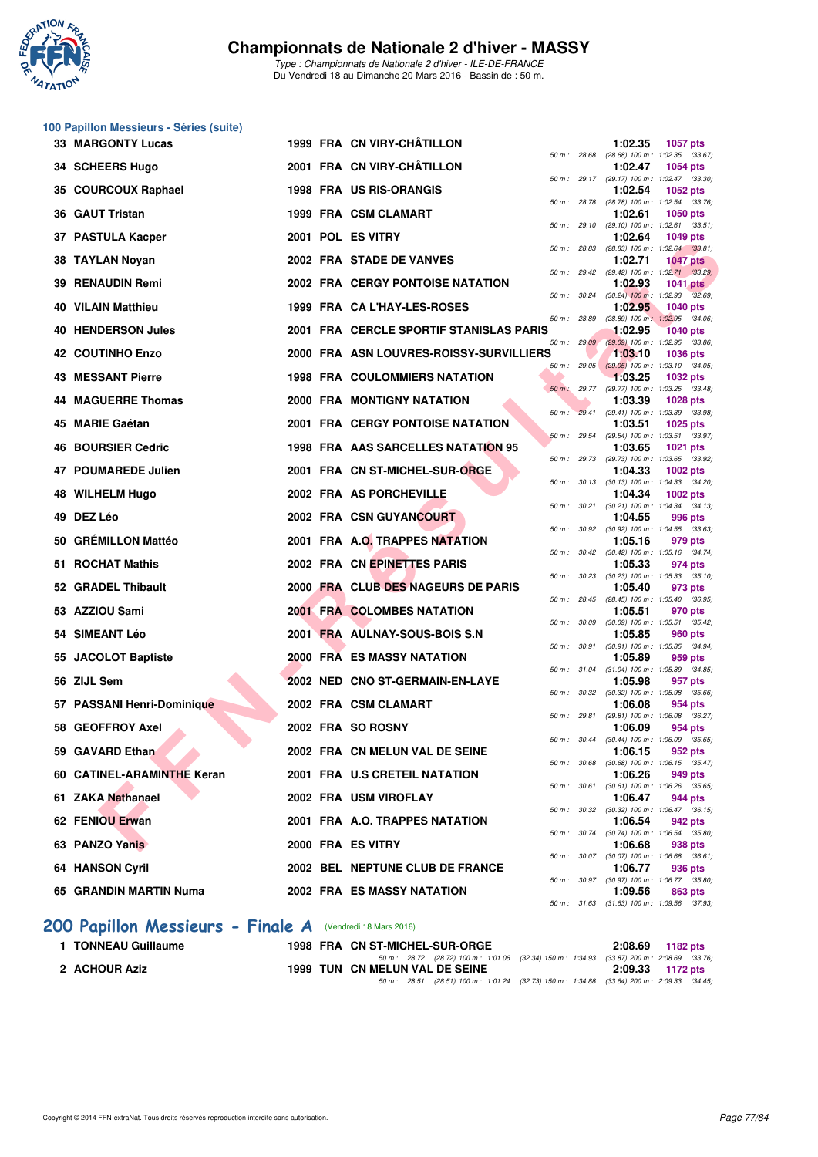

*Type : Championnats de Nationale 2 d'hiver - ILE-DE-FRANCE* Du Vendredi 18 au Dimanche 20 Mars 2016 - Bassin de : 50 m.

|     | 100 Papillon Messieurs - Séries (suite) |  |                                           |        |                |                                                         |                 |         |
|-----|-----------------------------------------|--|-------------------------------------------|--------|----------------|---------------------------------------------------------|-----------------|---------|
|     | <b>33 MARGONTY Lucas</b>                |  | 1999 FRA CN VIRY-CHÂTILLON                |        | 50 m : 28.68   | 1:02.35<br>(28.68) 100 m: 1:02.35 (33.67)               | <b>1057 pts</b> |         |
| 34. | <b>SCHEERS Hugo</b>                     |  | 2001 FRA CN VIRY-CHÂTILLON                |        |                | 1:02.47<br>50 m: 29.17 (29.17) 100 m: 1:02.47 (33.30)   | 1054 pts        |         |
| 35  | <b>COURCOUX Raphael</b>                 |  | 1998 FRA US RIS-ORANGIS                   |        | 50 m : 28.78   | 1:02.54<br>(28.78) 100 m : 1:02.54 (33.76)              | <b>1052 pts</b> |         |
|     | 36 GAUT Tristan                         |  | 1999 FRA CSM CLAMART                      |        |                | 1:02.61                                                 | <b>1050 pts</b> |         |
| 37  | <b>PASTULA Kacper</b>                   |  | 2001 POL ES VITRY                         |        | 50 m : 29.10   | $(29.10)$ 100 m : 1:02.61 $(33.51)$<br>1:02.64          | <b>1049 pts</b> |         |
| 38  | <b>TAYLAN Noyan</b>                     |  | 2002 FRA STADE DE VANVES                  |        | 50 m : 28.83   | $(28.83)$ 100 m : 1:02.64 $(33.81)$<br>1:02.71          | <b>1047 pts</b> |         |
| 39  | <b>RENAUDIN Remi</b>                    |  | 2002 FRA CERGY PONTOISE NATATION          |        | 50 m : 29.42   | (29.42) 100 m : 1:02.71 (33.29)<br>1:02.93              | <b>1041 pts</b> |         |
| 40  | <b>VILAIN Matthieu</b>                  |  | 1999 FRA CA L'HAY-LES-ROSES               |        |                | 50 m : 30.24 (30.24) 100 m : 1:02.93 (32.69)<br>1:02.95 | <b>1040 pts</b> |         |
|     | 40 HENDERSON Jules                      |  | 2001 FRA CERCLE SPORTIF STANISLAS PARIS   |        | 50 m : 28.89   | (28.89) 100 m: 1:02.95 (34.06)<br>1:02.95               | <b>1040 pts</b> |         |
|     |                                         |  |                                           |        | 50 m: 29.09    | (29.09) 100 m: 1:02.95 (33.86)                          |                 |         |
|     | 42 COUTINHO Enzo                        |  | 2000 FRA ASN LOUVRES-ROISSY-SURVILLIERS   |        | $50 m$ : 29.05 | 1:03.10<br>$(29.05)$ 100 m : 1:03.10 $(34.05)$          | <b>1036 pts</b> |         |
|     | <b>43 MESSANT Pierre</b>                |  | <b>1998 FRA COULOMMIERS NATATION</b>      |        | 50 m: 29.77    | 1:03.25<br>(29.77) 100 m : 1:03.25 (33.48)              | 1032 pts        |         |
| 44  | <b>MAGUERRE Thomas</b>                  |  | 2000 FRA MONTIGNY NATATION                |        |                | 1:03.39<br>50 m : 29.41 (29.41) 100 m : 1:03.39 (33.98) | <b>1028 pts</b> |         |
| 45  | <b>MARIE Gaétan</b>                     |  | 2001 FRA CERGY PONTOISE NATATION          |        | 50 m: 29.54    | 1:03.51<br>(29.54) 100 m: 1:03.51 (33.97)               | 1025 pts        |         |
| 46  | <b>BOURSIER Cedric</b>                  |  | <b>1998 FRA AAS SARCELLES NATATION 95</b> |        |                | 1:03.65<br>50 m: 29.73 (29.73) 100 m: 1:03.65 (33.92)   | <b>1021 pts</b> |         |
| 47  | <b>POUMAREDE Julien</b>                 |  | 2001 FRA CN ST-MICHEL-SUR-ORGE            |        |                | 1:04.33                                                 | 1002 pts        |         |
|     | 48 WILHELM Hugo                         |  | 2002 FRA AS PORCHEVILLE                   |        | 50 m : 30.13   | $(30.13)$ 100 m : 1:04.33 $(34.20)$<br>1:04.34          | 1002 pts        |         |
| 49  | DEZ Léo                                 |  | 2002 FRA CSN GUYANCOURT                   |        | 50 m : 30.21   | $(30.21)$ 100 m : 1:04.34 $(34.13)$<br>1:04.55          |                 | 996 pts |
|     | 50 GREMILLON Mattéo                     |  | 2001 FRA A.O. TRAPPES NATATION            |        |                | 50 m : 30.92 (30.92) 100 m : 1:04.55 (33.63)<br>1:05.16 |                 | 979 pts |
|     | 51 ROCHAT Mathis                        |  | 2002 FRA CN EPINETTES PARIS               |        |                | 50 m: 30.42 (30.42) 100 m: 1:05.16 (34.74)<br>1:05.33   |                 | 974 pts |
|     | 52 GRADEL Thibault                      |  | 2000 FRA CLUB DES NAGEURS DE PARIS        |        |                | 50 m: 30.23 (30.23) 100 m: 1:05.33 (35.10)<br>1:05.40   |                 | 973 pts |
|     |                                         |  |                                           |        | 50 m: 28.45    | (28.45) 100 m : 1:05.40 (36.95)                         |                 |         |
|     | 53 AZZIOU Sami                          |  | 2001 FRA COLOMBES NATATION                |        | 50 m : 30.09   | 1:05.51<br>$(30.09)$ 100 m : 1:05.51 $(35.42)$          |                 | 970 pts |
| 54  | <b>SIMEANT Léo</b>                      |  | 2001 FRA AULNAY-SOUS-BOIS S.N             |        | 50 m : 30.91   | 1:05.85<br>$(30.91)$ 100 m : 1:05.85 $(34.94)$          |                 | 960 pts |
|     | 55 JACOLOT Baptiste                     |  | <b>2000 FRA ES MASSY NATATION</b>         |        | 50 m : 31.04   | 1:05.89<br>$(31.04)$ 100 m : 1:05.89 $(34.85)$          |                 | 959 pts |
| 56  | <b>ZIJL Sem</b>                         |  | 2002 NED CNO ST-GERMAIN-EN-LAYE           |        |                | 1:05.98<br>50 m : 30.32 (30.32) 100 m : 1:05.98 (35.66) |                 | 957 pts |
| 57  | <b>PASSANI Henri-Dominique</b>          |  | 2002 FRA CSM CLAMART                      |        | 50 m : 29.81   | 1:06.08<br>(29.81) 100 m: 1:06.08 (36.27)               |                 | 954 pts |
|     | 58 GEOFFROY Axel                        |  | 2002 FRA SO ROSNY                         |        |                | 1:06.09                                                 |                 | 954 pts |
|     | 59 GAVARD Ethan                         |  | 2002 FRA CN MELUN VAL DE SEINE            |        |                | 50 m : 30.44 (30.44) 100 m : 1:06.09 (35.65)<br>1:06.15 |                 | 952 pts |
|     | 60 CATINEL-ARAMINTHE Keran              |  | 2001 FRA U.S CRETEIL NATATION             |        |                | 50 m: 30.68 (30.68) 100 m: 1:06.15 (35.47)<br>1:06.26   |                 | 949 pts |
|     | 61 ZAKA Nathanael                       |  | 2002 FRA USM VIROFLAY                     | 50 m : | 30.61          | $(30.61)$ 100 m : 1:06.26 $(35.65)$<br>1:06.47          |                 | 944 pts |
|     | 62 FENIOU Erwan                         |  | 2001 FRA A.O. TRAPPES NATATION            |        | 50 m : 30.32   | (30.32) 100 m: 1:06.47 (36.15)<br>1:06.54               |                 | 942 pts |
|     | 63 PANZO Yanis                          |  | 2000 FRA ES VITRY                         |        |                | 50 m: 30.74 (30.74) 100 m: 1:06.54 (35.80)<br>1:06.68   |                 | 938 pts |
|     |                                         |  |                                           |        |                | 50 m: 30.07 (30.07) 100 m: 1:06.68 (36.61)              |                 |         |
|     | 64 HANSON Cyril                         |  | 2002 BEL NEPTUNE CLUB DE FRANCE           |        |                | 1:06.77<br>50 m : 30.97 (30.97) 100 m : 1:06.77 (35.80) |                 | 936 pts |
|     | 65 GRANDIN MARTIN Numa                  |  | 2002 FRA ES MASSY NATATION                |        |                | 1:09.56<br>50 m: 31.63 (31.63) 100 m: 1:09.56 (37.93)   |                 | 863 pts |

## **[200 Papillon Messieurs - Finale A](http://www.ffnatation.fr/webffn/resultats.php?idact=nat&go=epr&idcpt=37307&idepr=83)** (Vendredi 18 Mars 2016)

| TONNEAU Guillaume |  | 1998 FRA CN ST-MICHEL-SUR-ORGE                                                               |  | 2:08.69 1182 pts |
|-------------------|--|----------------------------------------------------------------------------------------------|--|------------------|
|                   |  | 50 m : 28.72 (28.72) 100 m : 1:01.06 (32.34) 150 m : 1:34.93 (33.87) 200 m : 2:08.69 (33.76) |  |                  |
| 2 ACHOUR Aziz     |  | 1999 TUN CN MELUN VAL DE SEINE                                                               |  | 2:09.33 1172 pts |
|                   |  |                                                                                              |  |                  |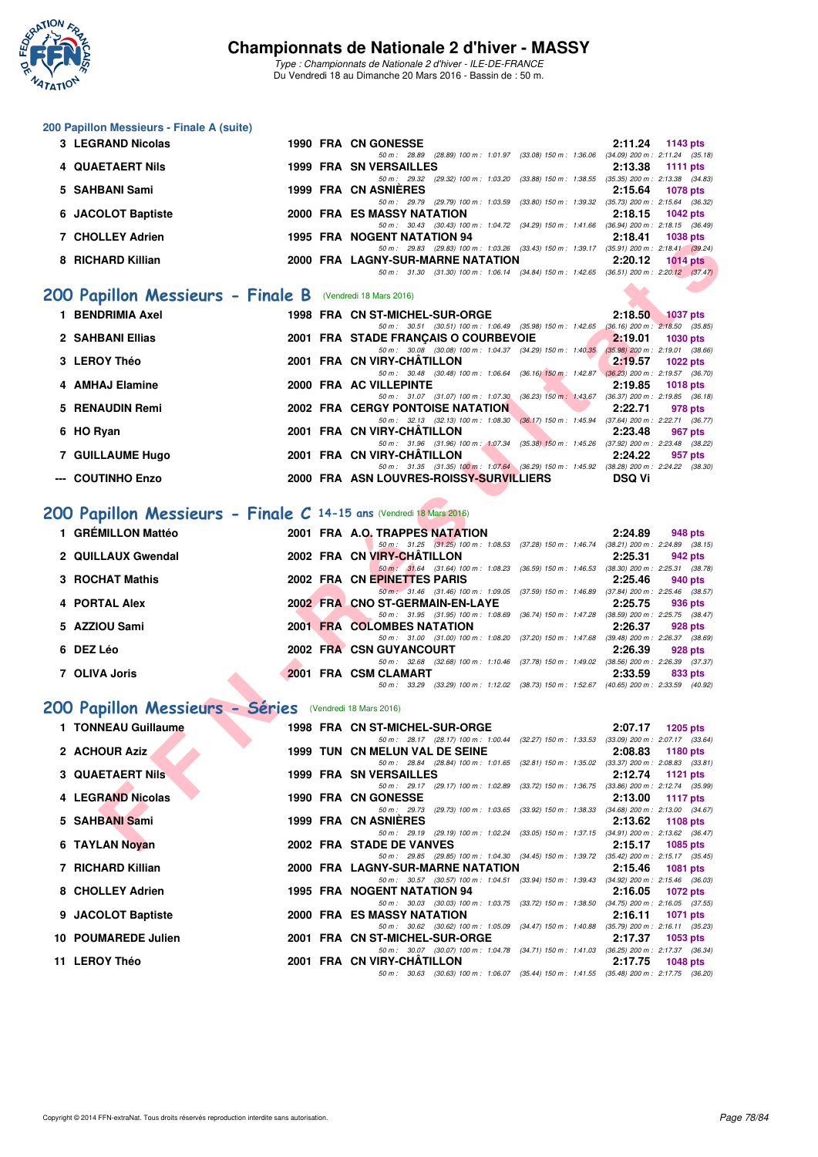

*Type : Championnats de Nationale 2 d'hiver - ILE-DE-FRANCE* Du Vendredi 18 au Dimanche 20 Mars 2016 - Bassin de : 50 m.

#### **200 Papillon Messieurs - Finale A (suite)**

| 3 LEGRAND Nicolas  |  | <b>1990 FRA CN GONESSE</b>                                                                   | $2:11.24$ 1143 pts                                                              |  |
|--------------------|--|----------------------------------------------------------------------------------------------|---------------------------------------------------------------------------------|--|
|                    |  | 50 m : 28.89                                                                                 | (28.89) 100 m : 1.01.97 (33.08) 150 m : 1.36.06 (34.09) 200 m : 2.11.24 (35.18) |  |
| 4 QUAETAERT Nils   |  | <b>1999 FRA SN VERSAILLES</b>                                                                | $2:13.38$ 1111 pts                                                              |  |
|                    |  | (29.32) 100 m : 1:03.20 (33.88) 150 m : 1:38.55<br>50 m : 29.32                              | $(35.35)$ 200 m : 2:13.38 $(34.83)$                                             |  |
| 5 SAHBANI Sami     |  | 1999 FRA CN ASNIÈRES                                                                         | 2:15.64 1078 pts                                                                |  |
|                    |  | 50 m : 29.79 (29.79) 100 m : 1:03.59 (33.80) 150 m : 1:39.32 (35.73) 200 m : 2:15.64 (36.32) |                                                                                 |  |
| 6 JACOLOT Baptiste |  | 2000 FRA ES MASSY NATATION                                                                   | $2:18.15$ 1042 pts                                                              |  |
|                    |  | 50 m: 30.43 (30.43) 100 m: 1.04.72 (34.29) 150 m: 1.41.66 (36.94) 200 m: 2.18.15 (36.49)     |                                                                                 |  |
| 7 CHOLLEY Adrien   |  | 1995 FRA NOGENT NATATION 94                                                                  | 2:18.41<br>1038 pts                                                             |  |
|                    |  | 50 m : 29.83 (29.83) 100 m : 1:03.26 (33.43) 150 m : 1:39.17                                 | $(35.91)$ 200 m : 2:18.41 $(39.24)$                                             |  |
| 8 RICHARD Killian  |  | 2000 FRA LAGNY-SUR-MARNE NATATION                                                            | 2:20.12<br>$1014$ pts                                                           |  |
|                    |  |                                                                                              |                                                                                 |  |

#### **[200 Papillon Messieurs - Finale B](http://www.ffnatation.fr/webffn/resultats.php?idact=nat&go=epr&idcpt=37307&idepr=83)** (Vendredi 18 Mars 2016)

| <b>VIIVLLET AVIICII</b>                                            |  | I JJJ FRA INJULINI INAI AIIUN J4                                                                                            | 4. IO. TI     | ່າ ບວບ ນເວ      |
|--------------------------------------------------------------------|--|-----------------------------------------------------------------------------------------------------------------------------|---------------|-----------------|
|                                                                    |  | 50 m: 29.83 (29.83) 100 m: 1:03.26 (33.43) 150 m: 1:39.17 (35.91) 200 m: 2:18.41 (39.24)                                    |               |                 |
| 8 RICHARD Killian                                                  |  | 2000 FRA LAGNY-SUR-MARNE NATATION                                                                                           | 2:20.12       | $1014$ pts      |
|                                                                    |  | 50 m: 31.30 (31.30) 100 m: 1:06.14 (34.84) 150 m: 1:42.65 (36.51) 200 m: 2:20.12 (37.47)                                    |               |                 |
| <b>00 Papillon Messieurs - Finale B</b> (Vendredi 18 Mars 2016)    |  |                                                                                                                             |               |                 |
|                                                                    |  |                                                                                                                             |               |                 |
| 1 BENDRIMIA Axel                                                   |  | 1998 FRA CN ST-MICHEL-SUR-ORGE                                                                                              | 2:18.50       | <b>1037 pts</b> |
|                                                                    |  | 50 m: 30.51 (30.51) 100 m: 1:06.49 (35.98) 150 m: 1:42.65 (36.16) 200 m: 2:18.50 (35.85)                                    |               |                 |
| 2 SAHBANI Ellias                                                   |  | 2001 FRA STADE FRANÇAIS O COURBEVOIE                                                                                        | 2:19.01       | <b>1030 pts</b> |
|                                                                    |  | 50 m: 30.08 (30.08) 100 m: 1:04.37 (34.29) 150 m: 1:40.35 (35.98) 200 m: 2:19.01 (38.66)                                    |               |                 |
| 3 LEROY Théo                                                       |  | 2001 FRA CN VIRY-CHATILLON                                                                                                  | 2:19.57       | <b>1022 pts</b> |
|                                                                    |  | 50 m: 30.48 (30.48) 100 m: 1:06.64 (36.16) 150 m: 1:42.87 (36.23) 200 m: 2:19.57 (36.70)                                    |               |                 |
| 4 AMHAJ Elamine                                                    |  | 2000 FRA AC VILLEPINTE                                                                                                      | 2:19.85       | <b>1018 pts</b> |
|                                                                    |  | 50 m: 31.07 (31.07) 100 m: 1:07.30 (36.23) 150 m: 1:43.67 (36.37) 200 m: 2:19.85 (36.18)                                    |               |                 |
| 5 RENAUDIN Remi                                                    |  | <b>2002 FRA CERGY PONTOISE NATATION</b>                                                                                     | 2:22.71       | 978 pts         |
|                                                                    |  | 50 m: 32.13 (32.13) 100 m: 1:08.30 (36.17) 150 m: 1:45.94 (37.64) 200 m: 2:22.71 (36.77)                                    |               |                 |
| 6 HO Ryan                                                          |  | 2001 FRA CN VIRY-CHATILLON                                                                                                  | 2:23.48       | 967 pts         |
|                                                                    |  | 50 m: 31.96 (31.96) 100 m: 1:07.34 (35.38) 150 m: 1:45.26 (37.92) 200 m: 2:23.48 (38.22)<br>2001 FRA CN VIRY-CHÂTILLON      | 2:24.22       |                 |
| 7 GUILLAUME Hugo                                                   |  | 50 m: 31.35 (31.35) 100 m: 1:07.64 (36.29) 150 m: 1:45.92 (38.28) 200 m: 2:24.22 (38.30)                                    |               | 957 pts         |
| --- COUTINHO Enzo                                                  |  | 2000 FRA ASN LOUVRES-ROISSY-SURVILLIERS                                                                                     | <b>DSQ Vi</b> |                 |
|                                                                    |  |                                                                                                                             |               |                 |
|                                                                    |  |                                                                                                                             |               |                 |
| 00 Papillon Messieurs - Finale C 14-15 ans (Vendredi 18 Mars 2016) |  |                                                                                                                             |               |                 |
|                                                                    |  |                                                                                                                             |               |                 |
| 1 GRÉMILLON Mattéo                                                 |  | 2001 FRA A.O. TRAPPES NATATION                                                                                              | 2:24.89       | 948 pts         |
|                                                                    |  | 50 m: 31.25 (31.25) 100 m: 1:08.53 (37.28) 150 m: 1:46.74 (38.21) 200 m: 2:24.89 (38.15)                                    |               |                 |
| 2 QUILLAUX Gwendal                                                 |  | 2002 FRA CN VIRY-CHATILLON                                                                                                  | 2:25.31       | 942 pts         |
|                                                                    |  | 50 m : 31.64 (31.64) 100 m : 1:08.23<br>(36.59) 150 m : 1:46.53 (38.30) 200 m : 2:25.31 (38.78)                             |               |                 |
| 3 ROCHAT Mathis                                                    |  | 2002 FRA CN EPINETTES PARIS                                                                                                 | 2:25.46       | 940 pts         |
|                                                                    |  | 50 m: 31.46 (31.46) 100 m: 1:09.05 (37.59) 150 m: 1:46.89 (37.84) 200 m: 2:25.46 (38.57)                                    |               |                 |
| 4 PORTAL Alex                                                      |  | 2002 FRA CNO ST-GERMAIN-EN-LAYE                                                                                             | 2:25.75       | 936 pts         |
| 5 AZZIOU Sami                                                      |  | 50 m: 31.95 (31.95) 100 m: 1:08.69<br>(36.74) 150 m : 1:47.28 (38.59) 200 m : 2:25.75 (38.47)<br>2001 FRA COLOMBES NATATION | 2:26.37       |                 |
|                                                                    |  | 50 m: 31.00 (31.00) 100 m: 1:08.20 (37.20) 150 m: 1:47.68 (39.48) 200 m: 2:26.37 (38.69)                                    |               | 928 pts         |
| 6 DEZ Léo                                                          |  | 2002 FRA CSN GUYANCOURT                                                                                                     | 2:26.39       | 928 pts         |
|                                                                    |  | 50 m: 32.68 (32.68) 100 m: 1:10.46 (37.78) 150 m: 1:49.02 (38.56) 200 m: 2:26.39 (37.37)                                    |               |                 |
| 7 OLIVA Joris                                                      |  | 2001 FRA CSM CLAMART                                                                                                        | 2:33.59       | 833 pts         |
|                                                                    |  | 50 m: 33.29 (33.29) 100 m: 1:12.02 (38.73) 150 m: 1:52.67 (40.65) 200 m: 2:33.59 (40.92)                                    |               |                 |
|                                                                    |  |                                                                                                                             |               |                 |
| 00 Papillon Messieurs - Séries                                     |  | (Vendredi 18 Mars 2016)                                                                                                     |               |                 |
|                                                                    |  |                                                                                                                             |               |                 |
| 1 TONNEAU Guillaume                                                |  | 1998 FRA CN ST-MICHEL-SUR-ORGE                                                                                              | 2:07.17       | <b>1205 pts</b> |
|                                                                    |  | 50 m: 28.17 (28.17) 100 m: 1:00.44 (32.27) 150 m: 1:33.53 (33.09) 200 m: 2:07.17 (33.64)                                    |               |                 |
| 2 ACHOUR Aziz                                                      |  | 1999 TUN CN MELUN VAL DE SEINE                                                                                              | 2:08.83       | 1180 pts        |
|                                                                    |  | 50 m: 28.84 (28.84) 100 m: 1:01.65 (32.81) 150 m: 1:35.02 (33.37) 200 m: 2:08.83 (33.81)                                    |               |                 |
| <b>3 QUAETAERT Nils</b>                                            |  | <b>1999 FRA SN VERSAILLES</b>                                                                                               | 2:12.74       | 1121 pts        |
|                                                                    |  | 50 m: 29.17 (29.17) 100 m: 1:02.89 (33.72) 150 m: 1:36.75 (33.86) 200 m: 2:12.74 (35.99)                                    |               |                 |
| 4 LEGRAND Nicolas                                                  |  | <b>1990 FRA CN GONESSE</b>                                                                                                  | 2:13.00       | <b>1117 pts</b> |
| 5 SAHBANI Sami                                                     |  | 50 m: 29.73 (29.73) 100 m: 1:03.65 (33.92) 150 m: 1:38.33 (34.68) 200 m: 2:13.00 (34.67)<br>1999 FRA CN ASNIERES            |               |                 |
|                                                                    |  | 50 m: 29.19 (29.19) 100 m: 1:02.24 (33.05) 150 m: 1:37.15 (34.91) 200 m: 2:13.62 (36.47)                                    | 2:13.62       | 1108 pts        |
| 6 TAYLAN Noyan                                                     |  | 2002 FRA STADE DE VANVES                                                                                                    | 2:15.17       | <b>1085 pts</b> |
|                                                                    |  |                                                                                                                             |               |                 |

## **[200 Papillon Messieurs - Finale C](http://www.ffnatation.fr/webffn/resultats.php?idact=nat&go=epr&idcpt=37307&idepr=83) 14-15 ans** (Vendredi 18 Mars 2016)

| <b>GRÉMILLON Mattéo</b> |  | 2001 FRA A.O. TRAPPES NATATION                                                           |                         | 2:24.89 | 948 pts                             |
|-------------------------|--|------------------------------------------------------------------------------------------|-------------------------|---------|-------------------------------------|
|                         |  | 50 m: 31.25 (31.25) 100 m: 1:08.53 (37.28) 150 m: 1:46.74 (38.21) 200 m: 2:24.89 (38.15) |                         |         |                                     |
| 2 QUILLAUX Gwendal      |  | 2002 FRA CN VIRY-CHÂTILLON                                                               |                         | 2:25.31 | 942 pts                             |
|                         |  | 50 m : 31.64 (31.64) 100 m : 1:08.23                                                     | (36.59) 150 m : 1:46.53 |         | $(38.30)$ 200 m : 2:25.31 $(38.78)$ |
| 3 ROCHAT Mathis         |  | 2002 FRA CN EPINETTES PARIS                                                              |                         | 2:25.46 | 940 pts                             |
|                         |  | 50 m : 31.46 (31.46) 100 m : 1:09.05                                                     | (37.59) 150 m : 1:46.89 |         | $(37.84)$ 200 m : 2:25.46 $(38.57)$ |
| 4 PORTAL Alex           |  | 2002 FRA CNO ST-GERMAIN-EN-LAYE                                                          |                         | 2:25.75 | 936 pts                             |
|                         |  | 50 m : 31.95 (31.95) 100 m : 1:08.69                                                     | (36.74) 150 m : 1:47.28 |         | $(38.59)$ 200 m : 2:25.75 $(38.47)$ |
| 5 AZZIOU Sami           |  | 2001 FRA COLOMBES NATATION                                                               |                         | 2:26.37 | 928 pts                             |
|                         |  | 50 m: 31.00 (31.00) 100 m: 1:08.20                                                       | (37.20) 150 m : 1:47.68 |         | $(39.48)$ 200 m : 2:26.37 $(38.69)$ |
| 6 DEZ Léo               |  | 2002 FRA CSN GUYANCOURT                                                                  |                         | 2:26.39 | 928 pts                             |
|                         |  | $(32.68)$ 100 m : 1:10.46<br>50 m : 32.68                                                | (37.78) 150 m : 1:49.02 |         | $(38.56)$ 200 m : 2:26.39 $(37.37)$ |
| 7 OLIVA Joris           |  | 2001 FRA CSM CLAMART                                                                     |                         | 2:33.59 | 833 pts                             |
|                         |  | 50 m: 33.29 (33.29) 100 m: 1:12.02 (38.73) 150 m: 1:52.67 (40.65) 200 m: 2:33.59 (40.92) |                         |         |                                     |

# **[200 Papillon Messieurs - Séries](http://www.ffnatation.fr/webffn/resultats.php?idact=nat&go=epr&idcpt=37307&idepr=83)** (Vendredi 18 Mars 2016)

| 1 TONNEAU Guillaume     |  | 1998 FRA CN ST-MICHEL-SUR-ORGE                                                           | 2:07.17 | 1205 pts           |
|-------------------------|--|------------------------------------------------------------------------------------------|---------|--------------------|
|                         |  | 50 m: 28.17 (28.17) 100 m: 1:00.44 (32.27) 150 m: 1:33.53 (33.09) 200 m: 2:07.17 (33.64) |         |                    |
| 2 ACHOUR Aziz           |  | 1999 TUN CN MELUN VAL DE SEINE                                                           | 2:08.83 | 1180 pts           |
|                         |  | 50 m: 28.84 (28.84) 100 m: 1:01.65 (32.81) 150 m: 1:35.02 (33.37) 200 m: 2:08.83 (33.81) |         |                    |
| <b>3 QUAETAERT Nils</b> |  | <b>1999 FRA SN VERSAILLES</b>                                                            |         | $2:12.74$ 1121 pts |
|                         |  | 50 m: 29.17 (29.17) 100 m: 1:02.89 (33.72) 150 m: 1:36.75 (33.86) 200 m: 2:12.74 (35.99) |         |                    |
| 4 LEGRAND Nicolas       |  | 1990 FRA CN GONESSE                                                                      | 2:13.00 | 1117 pts           |
|                         |  | 50 m: 29.73 (29.73) 100 m: 1:03.65 (33.92) 150 m: 1:38.33 (34.68) 200 m: 2:13.00 (34.67) |         |                    |
| 5 SAHBANI Sami          |  | <b>1999 FRA CN ASNIERES</b>                                                              |         | 2:13.62 1108 pts   |
|                         |  | 50 m: 29.19 (29.19) 100 m: 1:02.24 (33.05) 150 m: 1:37.15 (34.91) 200 m: 2:13.62 (36.47) |         |                    |
| 6 TAYLAN Novan          |  | 2002 FRA STADE DE VANVES                                                                 |         | 2:15.17 1085 pts   |
|                         |  | 50 m: 29.85 (29.85) 100 m: 1:04.30 (34.45) 150 m: 1:39.72 (35.42) 200 m: 2:15.17 (35.45) |         |                    |
| 7 RICHARD Killian       |  | 2000 FRA LAGNY-SUR-MARNE NATATION 2:15.46 1081 pts                                       |         |                    |
|                         |  | 50 m: 30.57 (30.57) 100 m: 1:04.51 (33.94) 150 m: 1:39.43 (34.92) 200 m: 2:15.46 (36.03) |         |                    |
| 8 CHOLLEY Adrien        |  | 1995 FRA NOGENT NATATION 94                                                              |         | $2:16.05$ 1072 pts |
|                         |  | 50 m: 30.03 (30.03) 100 m: 1:03.75 (33.72) 150 m: 1:38.50 (34.75) 200 m: 2:16.05 (37.55) |         |                    |
| 9 JACOLOT Baptiste      |  | 2000 FRA ES MASSY NATATION                                                               | 2:16.11 | 1071 pts           |
|                         |  | 50 m: 30.62 (30.62) 100 m: 1:05.09 (34.47) 150 m: 1:40.88 (35.79) 200 m: 2:16.11 (35.23) |         |                    |
| 10 POUMAREDE Julien     |  | 2001 FRA CN ST-MICHEL-SUR-ORGE                                                           | 2:17.37 | 1053 pts           |
|                         |  | 50 m: 30.07 (30.07) 100 m: 1:04.78 (34.71) 150 m: 1:41.03 (36.25) 200 m: 2:17.37 (36.34) |         |                    |
| 11 LEROY Théo           |  | 2001 FRA CN VIRY-CHÄTILLON                                                               |         | 2:17.75 1048 pts   |
|                         |  | 50 m: 30.63 (30.63) 100 m: 1:06.07 (35.44) 150 m: 1:41.55 (35.48) 200 m: 2:17.75 (36.20) |         |                    |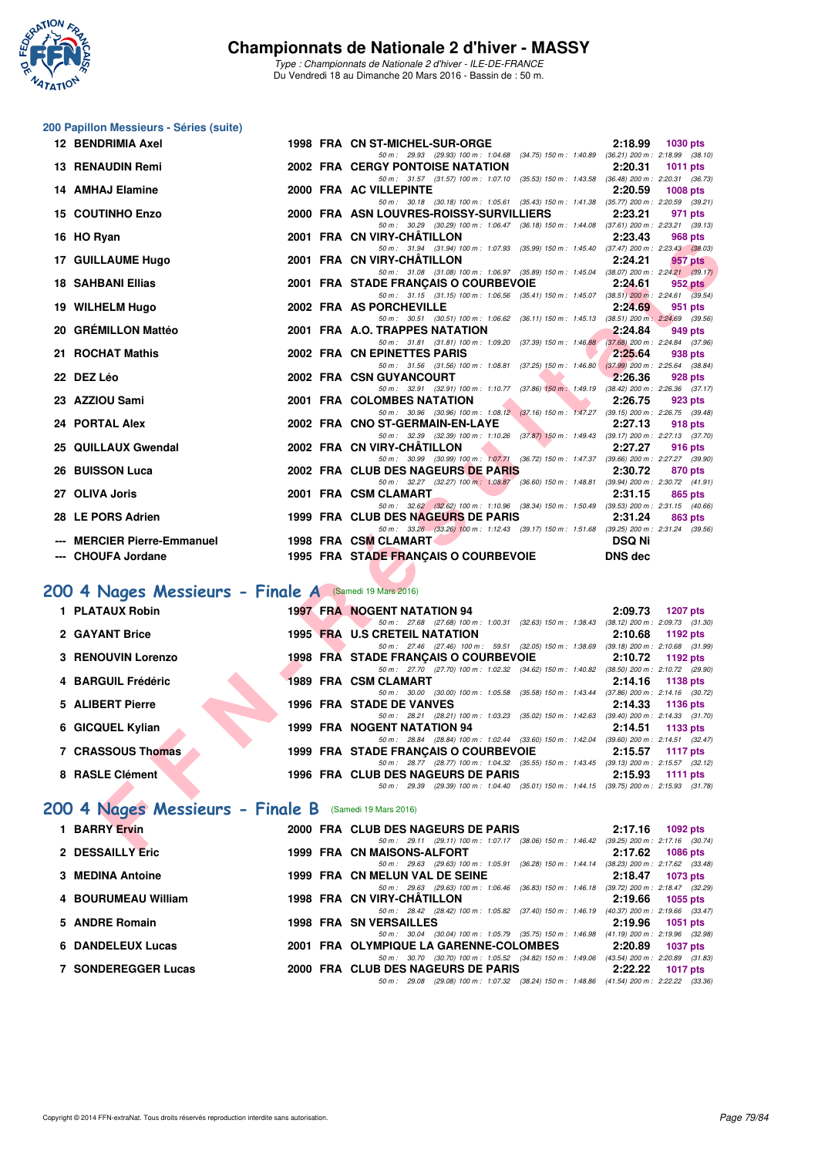

*Type : Championnats de Nationale 2 d'hiver - ILE-DE-FRANCE* Du Vendredi 18 au Dimanche 20 Mars 2016 - Bassin de : 50 m.

# **200 Papillon Messieurs - Séries (suite)**

| 12 BENDRIMIA Axel                                      |  | 1998 FRA CN ST-MICHEL-SUR-ORGE                                                                                                      | 2:18.99<br><b>1030 pts</b> |
|--------------------------------------------------------|--|-------------------------------------------------------------------------------------------------------------------------------------|----------------------------|
| <b>13 RENAUDIN Remi</b>                                |  | 50 m: 29.93 (29.93) 100 m: 1:04.68 (34.75) 150 m: 1:40.89 (36.21) 200 m: 2:18.99 (38.10)<br>2002 FRA CERGY PONTOISE NATATION        | 2:20.31<br>1011 pts        |
| <b>14 AMHAJ Elamine</b>                                |  | 50 m: 31.57 (31.57) 100 m: 1:07.10 (35.53) 150 m: 1:43.58 (36.48) 200 m: 2:20.31 (36.73)<br>2000 FRA AC VILLEPINTE                  | 2:20.59<br><b>1008 pts</b> |
|                                                        |  | 50 m: 30.18 (30.18) 100 m: 1:05.61 (35.43) 150 m: 1:41.38 (35.77) 200 m: 2:20.59 (39.21)                                            |                            |
| <b>15 COUTINHO Enzo</b>                                |  | 2000 FRA ASN LOUVRES-ROISSY-SURVILLIERS<br>50 m: 30.29 (30.29) 100 m: 1:06.47 (36.18) 150 m: 1:44.08 (37.61) 200 m: 2:23.21 (39.13) | 2:23.21<br>971 pts         |
| 16 HO Ryan                                             |  | 2001 FRA CN VIRY-CHÂTILLON                                                                                                          | 2:23.43<br>968 pts         |
| 17 GUILLAUME Hugo                                      |  | 50 m: 31.94 (31.94) 100 m: 1:07.93 (35.99) 150 m: 1:45.40 (37.47) 200 m: 2:23.43 (38.03)<br>2001 FRA CN VIRY-CHATILLON              | 2:24.21<br>957 pts         |
| <b>18 SAHBANI Ellias</b>                               |  | 50 m: 31.08 (31.08) 100 m: 1:06.97 (35.89) 150 m: 1:45.04 (38.07) 200 m: 2:24.21 (39.17)<br>2001 FRA STADE FRANÇAIS O COURBEVOIE    | 2:24.61<br>952 pts         |
|                                                        |  | 50 m: 31.15 (31.15) 100 m: 1:06.56 (35.41) 150 m: 1:45.07 (38.51) 200 m: 2:24.61 (39.54)                                            |                            |
| 19 WILHELM Hugo                                        |  | 2002 FRA AS PORCHEVILLE<br>50 m: 30.51 (30.51) 100 m: 1:06.62 (36.11) 150 m: 1:45.13 (38.51) 200 m: 2:24.69 (39.56)                 | 2:24.69<br>951 pts         |
| 20 GRÉMILLON Mattéo                                    |  | 2001 FRA A.O. TRAPPES NATATION<br>50 m: 31.81 (31.81) 100 m: 1:09.20 (37.39) 150 m: 1:46.88 (37.68) 200 m: 2:24.84 (37.96)          | 2:24.84<br>949 pts         |
| 21 ROCHAT Mathis                                       |  | 2002 FRA CN EPINETTES PARIS                                                                                                         | 2:25.64<br>938 pts         |
| 22 DEZ Léo                                             |  | 50 m: 31.56 (31.56) 100 m: 1:08.81 (37.25) 150 m: 1:46.80 (37.99) 200 m: 2:25.64 (38.84)<br>2002 FRA CSN GUYANCOURT                 | 2:26.36<br>928 pts         |
|                                                        |  | 50 m: 32.91 (32.91) 100 m: 1:10.77 (37.86) 150 m: 1:49.19 (38.42) 200 m: 2:26.36 (37.17)                                            |                            |
| 23 AZZIOU Sami                                         |  | 2001 FRA COLOMBES NATATION                                                                                                          | 2:26.75<br>923 pts         |
| 24 PORTAL Alex                                         |  | 50 m: 30.96 (30.96) 100 m: 1:08.12 (37.16) 150 m: 1:47.27 (39.15) 200 m: 2:26.75 (39.48)<br>2002 FRA CNO ST-GERMAIN-EN-LAYE         | 2:27.13<br>918 pts         |
|                                                        |  | 50 m: 32.39 (32.39) 100 m: 1:10.26 (37.87) 150 m: 1:49.43 (39.17) 200 m: 2:27.13 (37.70)                                            |                            |
| 25 QUILLAUX Gwendal                                    |  | 2002 FRA CN VIRY-CHÂTILLON<br>50 m: 30.99 (30.99) 100 m: 1:07.71 (36.72) 150 m: 1:47.37 (39.66) 200 m: 2:27.27 (39.90)              | 2:27.27<br>916 pts         |
| <b>26 BUISSON Luca</b>                                 |  | 2002 FRA CLUB DES NAGEURS DE PARIS                                                                                                  | 2:30.72<br>870 pts         |
| 27 OLIVA Joris                                         |  | 50 m: 32.27 (32.27) 100 m: 1:08.87 (36.60) 150 m: 1:48.81 (39.94) 200 m: 2:30.72 (41.91)<br>2001 FRA CSM CLAMART                    | 2:31.15<br>865 pts         |
|                                                        |  | 50 m: 32.62 (32.62) 100 m: 1:10.96 (38.34) 150 m: 1:50.49 (39.53) 200 m: 2:31.15 (40.66)                                            |                            |
| 28 LE PORS Adrien                                      |  | 1999 FRA CLUB DES NAGEURS DE PARIS<br>50 m: 33.26 (33.26) 100 m: 1:12.43 (39.17) 150 m: 1:51.68 (39.25) 200 m: 2:31.24 (39.56)      | 2:31.24<br>863 pts         |
| --- MERCIER Pierre-Emmanuel                            |  | 1998 FRA CSM CLAMART                                                                                                                | <b>DSQ Ni</b>              |
| --- CHOUFA Jordane                                     |  | 1995 FRA STADE FRANÇAIS O COURBEVOIE                                                                                                | <b>DNS</b> dec             |
|                                                        |  |                                                                                                                                     |                            |
| '00 4 Nages Messieurs - Finale A (Samedi 19 Mars 2016) |  |                                                                                                                                     |                            |
| 1 PLATAUX Robin                                        |  | <b>1997 FRA NOGENT NATATION 94</b>                                                                                                  | 2:09.73<br>1207 pts        |
|                                                        |  | 50 m: 27.68 (27.68) 100 m: 1:00.31 (32.63) 150 m: 1:38.43 (38.12) 200 m: 2:09.73 (31.30)                                            |                            |
| 2 GAYANT Brice                                         |  | <b>1995 FRA U.S CRETEIL NATATION</b><br>50 m: 27.46 (27.46) 100 m: 59.51 (32.05) 150 m: 1:38.69 (39.18) 200 m: 2:10.68 (31.99)      | 2:10.68<br>1192 pts        |
| 3 RENOUVIN Lorenzo                                     |  | 1998 FRA STADE FRANÇAIS O COURBEVOIE                                                                                                | 2:10.72<br>1192 pts        |
| 4 BARGUIL Frédéric                                     |  | 50 m: 27.70 (27.70) 100 m: 1:02.32 (34.62) 150 m: 1:40.82 (38.50) 200 m: 2:10.72 (29.90)<br>1989 FRA CSM CLAMART                    | 2:14.16<br>1138 pts        |
|                                                        |  | 50 m: 30.00 (30.00) 100 m: 1:05.58 (35.58) 150 m: 1:43.44 (37.86) 200 m: 2:14.16 (30.72)                                            |                            |
| 5 ALIBERT Pierre                                       |  | 1996 FRA STADE DE VANVES<br>50 m: 28.21 (28.21) 100 m: 1:03.23 (35.02) 150 m: 1:42.63 (39.40) 200 m: 2:14.33 (31.70)                | 2:14.33<br>1136 pts        |
| 6 GICQUEL Kylian                                       |  | <b>1999 FRA NOGENT NATATION 94</b>                                                                                                  | 2:14.51<br>1133 pts        |
|                                                        |  | 50 m: 28.84 (28.84) 100 m: 1:02.44 (33.60) 150 m: 1:42.04 (39.60) 200 m: 2:14.51 (32.47)                                            |                            |
| 7 CRASSOUS Thomas                                      |  | 1999 FRA STADE FRANÇAIS O COURBEVOIE<br>50 m: 28.77 (28.77) 100 m: 1:04.32 (35.55) 150 m: 1:43.45 (39.13) 200 m: 2:15.57 (32.12)    | 2:15.57<br><b>1117 pts</b> |
| 8 RASLE Clément                                        |  | 1996 FRA CLUB DES NAGEURS DE PARIS                                                                                                  | 2:15.93<br>1111 pts        |
|                                                        |  | 50 m: 29.39 (29.39) 100 m: 1:04.40 (35.01) 150 m: 1:44.15 (39.75) 200 m: 2:15.93 (31.78)                                            |                            |
| 100 4 Nages Messieurs - Finale B (Samedi 19 Mars 2016) |  |                                                                                                                                     |                            |
| 1 BARRY Ervin                                          |  | 2000 FRA CLUB DES NAGEURS DE PARIS                                                                                                  | 2:17.16 1092 pts           |
| 0.00000011V <sub>0</sub>                               |  | 50 m: 29.11 (29.11) 100 m: 1:07.17 (38.06) 150 m: 1:46.42 (39.25) 200 m: 2:17.16 (30.74)<br>1000 FBA ON MAICONG ALEGRY              | $0.4700 - 4000 + 1$        |

## **[200 4 Nages Messieurs - Finale A](http://www.ffnatation.fr/webffn/resultats.php?idact=nat&go=epr&idcpt=37307&idepr=91)** (Samedi 19 Mars 2016)

| 1 PLATAUX Robin    |  | <b>1997 FRA NOGENT NATATION 94</b>                                                           | 2:09.73 | 1207 pts                            |
|--------------------|--|----------------------------------------------------------------------------------------------|---------|-------------------------------------|
|                    |  | 50 m : 27.68 (27.68) 100 m : 1:00.31 (32.63) 150 m : 1:38.43                                 |         | $(38.12)$ 200 m : 2:09.73 $(31.30)$ |
| 2 GAYANT Brice     |  | 1995 FRA U.S CRETEIL NATATION                                                                | 2:10.68 | 1192 pts                            |
|                    |  | 50 m: 27.46 (27.46) 100 m: 59.51 (32.05) 150 m: 1:38.69                                      |         | $(39.18)$ 200 m : 2:10.68 $(31.99)$ |
| 3 RENOUVIN Lorenzo |  | <b>1998 FRA STADE FRANCAIS O COURBEVOIE</b>                                                  | 2:10.72 | 1192 pts                            |
|                    |  | 50 m : 27.70 (27.70) 100 m : 1:02.32 (34.62) 150 m : 1:40.82                                 |         | $(38.50)$ 200 m : 2:10.72 $(29.90)$ |
| 4 BARGUIL Frédéric |  | 1989 FRA CSM CLAMART                                                                         | 2:14.16 | 1138 pts                            |
|                    |  | 50 m: 30.00 (30.00) 100 m: 1:05.58<br>$(35.58)$ 150 m : 1:43.44                              |         | $(37.86)$ 200 m : 2:14.16 $(30.72)$ |
| 5 ALIBERT Pierre   |  | 1996 FRA STADE DE VANVES                                                                     | 2:14.33 | 1136 pts                            |
|                    |  | 50 m: 28.21 (28.21) 100 m: 1:03.23 (35.02) 150 m: 1:42.63                                    |         | $(39.40)$ 200 m : 2:14.33 $(31.70)$ |
| 6 GICQUEL Kylian   |  | 1999 FRA NOGENT NATATION 94                                                                  | 2:14.51 | 1133 $pts$                          |
|                    |  | 50 m : 28.84 (28.84) 100 m : 1:02.44 (33.60) 150 m : 1:42.04                                 |         | $(39.60)$ 200 m : 2:14.51 $(32.47)$ |
| 7 CRASSOUS Thomas  |  | 1999 FRA STADE FRANCAIS O COURBEVOIE                                                         | 2:15.57 | 1117 pts                            |
|                    |  | 50 m: 28.77 (28.77) 100 m: 1:04.32 (35.55) 150 m: 1:43.45 (39.13) 200 m: 2:15.57 (32.12)     |         |                                     |
| 8 RASLE Clément    |  | 1996 FRA CLUB DES NAGEURS DE PARIS                                                           | 2:15.93 | 1111 $pts$                          |
|                    |  | (29.39) 100 m: 1:04.40 (35.01) 150 m: 1:44.15 (39.75) 200 m: 2:15.93 (31.78)<br>50 m : 29.39 |         |                                     |

## [200 4 Nages Messieurs - Finale B](http://www.ffnatation.fr/webffn/resultats.php?idact=nat&go=epr&idcpt=37307&idepr=91) (Samedi 19 Mars 2016)

| 1 BARRY Ervin       |  | 2000 FRA CLUB DES NAGEURS DE PARIS                                                       | 2:17.16 | 1092 pts                            |
|---------------------|--|------------------------------------------------------------------------------------------|---------|-------------------------------------|
|                     |  | (38.06) 150 m : 1:46.42<br>50 m: 29.11 (29.11) 100 m: 1:07.17                            |         | $(39.25)$ 200 m : 2:17.16 $(30.74)$ |
| 2 DESSAILLY Eric    |  | 1999 FRA CN MAISONS-ALFORT                                                               | 2:17.62 | 1086 pts                            |
|                     |  | 50 m: 29.63 (29.63) 100 m: 1:05.91 (36.28) 150 m: 1:44.14                                |         | $(38.23)$ 200 m : 2:17.62 $(33.48)$ |
| 3 MEDINA Antoine    |  | 1999 FRA CN MELUN VAL DE SEINE                                                           | 2:18.47 | 1073 pts                            |
|                     |  | 50 m : 29.63 (29.63) 100 m : 1:06.46 (36.83) 150 m : 1:46.18                             |         | (39.72) 200 m : 2:18.47 (32.29)     |
| 4 BOURUMEAU William |  | 1998 FRA CN VIRY-CHÂTILLON                                                               | 2:19.66 | 1055 pts                            |
|                     |  | 50 m : 28.42 (28.42) 100 m : 1:05.82 (37.40) 150 m : 1:46.19                             |         | (40.37) 200 m : 2:19.66 (33.47)     |
| 5 ANDRE Romain      |  | <b>1998 FRA SN VERSAILLES</b>                                                            | 2:19.96 | 1051 pts                            |
|                     |  | 50 m: 30.04 (30.04) 100 m: 1:05.79 (35.75) 150 m: 1:46.98                                |         | (41.19) 200 m : 2:19.96 (32.98)     |
| 6 DANDELEUX Lucas   |  | 2001 FRA OLYMPIQUE LA GARENNE-COLOMBES                                                   | 2:20.89 | 1037 pts                            |
|                     |  | 50 m: 30.70 (30.70) 100 m: 1:05.52 (34.82) 150 m: 1:49.06 (43.54) 200 m: 2:20.89 (31.83, |         |                                     |
| 7 SONDEREGGER Lucas |  | 2000 FRA CLUB DES NAGEURS DE PARIS                                                       | 2:22.22 | 1017 pts                            |
|                     |  | 50 m: 29.08 (29.08) 100 m: 1:07.32 (38.24) 150 m: 1:48.86 (41.54) 200 m: 2:22.22 (33.36) |         |                                     |
|                     |  |                                                                                          |         |                                     |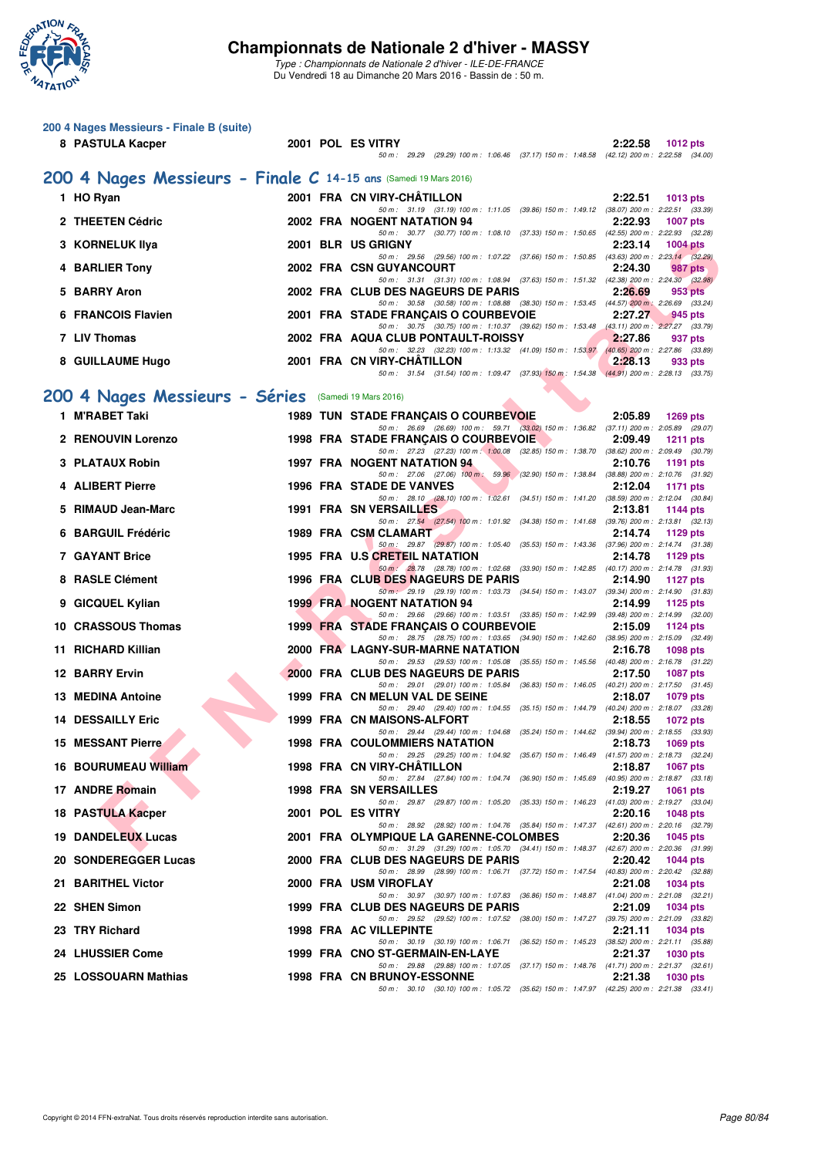

**200 4 Nages Messieurs - Finale B (suite)**

#### **Championnats de Nationale 2 d'hiver - MASSY**

| 8 PASTULA Kacper                                                 |  | 2001 POL ES VITRY                                                                                                                    | 2:22.58 | <b>1012 pts</b> |
|------------------------------------------------------------------|--|--------------------------------------------------------------------------------------------------------------------------------------|---------|-----------------|
|                                                                  |  | 50 m: 29.29 (29.29) 100 m: 1:06.46 (37.17) 150 m: 1:48.58 (42.12) 200 m: 2:22.58 (34.00)                                             |         |                 |
| 200 4 Nages Messieurs - Finale C 14-15 ans (Samedi 19 Mars 2016) |  |                                                                                                                                      |         |                 |
| 1 HO Ryan                                                        |  | 2001 FRA CN VIRY-CHATILLON                                                                                                           | 2:22.51 | 1013 $pts$      |
| 2 THEETEN Cédric                                                 |  | 50 m: 31.19 (31.19) 100 m: 1:11.05 (39.86) 150 m: 1:49.12 (38.07) 200 m: 2:22.51 (33.39)<br>2002 FRA NOGENT NATATION 94              | 2:22.93 | <b>1007 pts</b> |
| 3 KORNELUK IIya                                                  |  | 50 m: 30.77 (30.77) 100 m: 1:08.10 (37.33) 150 m: 1:50.65 (42.55) 200 m: 2:22.93 (32.28)<br>2001 BLR US GRIGNY                       | 2:23.14 | <b>1004 pts</b> |
|                                                                  |  | 50 m: 29.56 (29.56) 100 m: 1:07.22 (37.66) 150 m: 1:50.85 (43.63) 200 m: 2:23.14 (32.29)                                             |         |                 |
| 4 BARLIER Tony                                                   |  | 2002 FRA CSN GUYANCOURT<br>50 m: 31.31 (31.31) 100 m: 1:08.94 (37.63) 150 m: 1:51.32 (42.38) 200 m: 2:24.30 (32.98)                  | 2:24.30 | 987 pts         |
| 5 BARRY Aron                                                     |  | 2002 FRA CLUB DES NAGEURS DE PARIS<br>50 m: 30.58 (30.58) 100 m: 1:08.88 (38.30) 150 m: 1:53.45 (44.57) 200 m: 2:26.69 (33.24)       | 2:26.69 | 953 pts         |
| 6 FRANCOIS Flavien                                               |  | 2001 FRA STADE FRANÇAIS O COURBEVOIE                                                                                                 | 2:27.27 | 945 pts         |
| 7 LIV Thomas                                                     |  | 50 m: 30.75 (30.75) 100 m: 1:10.37 (39.62) 150 m: 1:53.48 (43.11) 200 m: 2:27.27 (33.79)<br>2002 FRA AQUA CLUB PONTAULT-ROISSY       | 2:27.86 | 937 pts         |
|                                                                  |  | 50 m: 32.23 (32.23) 100 m: 1:13.32 (41.09) 150 m: 1:53.97 (40.65) 200 m: 2:27.86 (33.89)<br>2001 FRA CN VIRY-CHATILLON               | 2:28.13 |                 |
| 8 GUILLAUME Hugo                                                 |  | 50 m: 31.54 (31.54) 100 m: 1:09.47 (37.93) 150 m: 1:54.38 (44.91) 200 m: 2:28.13 (33.75)                                             |         | 933 pts         |
| 200 4 Nages Messieurs - Séries (Samedi 19 Mars 2016)             |  |                                                                                                                                      |         |                 |
| 1 M'RABET Taki                                                   |  | <b>1989 TUN STADE FRANÇAIS O COURBEVOIE</b>                                                                                          | 2:05.89 | 1269 pts        |
|                                                                  |  | 50 m: 26.69 (26.69) 100 m: 59.71 (33.02) 150 m: 1:36.82 (37.11) 200 m: 2:05.89 (29.07)                                               |         |                 |
| 2 RENOUVIN Lorenzo                                               |  | 1998 FRA STADE FRANÇAIS O COURBEVOIE<br>50 m: 27.23 (27.23) 100 m: 1:00.08 (32.85) 150 m: 1:38.70 (38.62) 200 m: 2:09.49 (30.79)     | 2:09.49 | 1211 $pts$      |
| 3 PLATAUX Robin                                                  |  | <b>1997 FRA NOGENT NATATION 94</b>                                                                                                   | 2:10.76 | 1191 pts        |
| 4 ALIBERT Pierre                                                 |  | 50 m: 27.06 (27.06) 100 m: 59.96 (32.90) 150 m: 1:38.84 (38.88) 200 m: 2:10.76 (31.92)<br>1996 FRA STADE DE VANVES                   | 2:12.04 | 1171 pts        |
| 5 RIMAUD Jean-Marc                                               |  | 50 m: 28.10 (28.10) 100 m: 1:02.61 (34.51) 150 m: 1:41.20 (38.59) 200 m: 2:12.04 (30.84)<br><b>1991 FRA SN VERSAILLES</b>            | 2:13.81 | 1144 pts        |
|                                                                  |  | 50 m: 27.54 (27.54) 100 m: 1:01.92 (34.38) 150 m: 1:41.68 (39.76) 200 m: 2:13.81 (32.13)                                             |         |                 |
| 6 BARGUIL Frédéric                                               |  | 1989 FRA CSM CLAMART<br>50 m: 29.87 (29.87) 100 m: 1:05.40 (35.53) 150 m: 1:43.36 (37.96) 200 m: 2:14.74 (31.38)                     | 2:14.74 | 1129 pts        |
| 7 GAYANT Brice                                                   |  | 1995 FRA U.S CRETEIL NATATION                                                                                                        | 2:14.78 | 1129 pts        |
| 8 RASLE Clément                                                  |  | 50 m: 28.78 (28.78) 100 m: 1:02.68 (33.90) 150 m: 1:42.85 (40.17) 200 m: 2:14.78 (31.93)<br>1996 FRA CLUB DES NAGEURS DE PARIS       | 2:14.90 | 1127 pts        |
| 9 GICQUEL Kylian                                                 |  | 50 m : 29.19 (29.19) 100 m : 1:03.73 (34.54) 150 m : 1:43.07 (39.34) 200 m : 2:14.90 (31.83)<br><b>1999 FRA NOGENT NATATION 94</b>   | 2:14.99 | 1125 $pts$      |
|                                                                  |  | 50 m: 29.66 (29.66) 100 m: 1:03.51 (33.85) 150 m: 1:42.99 (39.48) 200 m: 2:14.99 (32.00)                                             |         |                 |
| 10 CRASSOUS Thomas                                               |  | 1999 FRA STADE FRANÇAIS O COURBEVOIE<br>50 m: 28.75 (28.75) 100 m: 1:03.65 (34.90) 150 m: 1:42.60 (38.95) 200 m: 2:15.09 (32.49)     | 2:15.09 | 1124 pts        |
| 11 RICHARD Killian                                               |  | 2000 FRA LAGNY-SUR-MARNE NATATION<br>50 m: 29.53 (29.53) 100 m: 1:05.08 (35.55) 150 m: 1:45.56 (40.48) 200 m: 2:16.78 (31.22)        | 2:16.78 | 1098 pts        |
| <b>12 BARRY Ervin</b>                                            |  | 2000 FRA CLUB DES NAGEURS DE PARIS                                                                                                   | 2:17.50 | <b>1087 pts</b> |
| 13 MEDINA Antoine                                                |  | 50 m: 29.01 (29.01) 100 m: 1:05.84 (36.83) 150 m: 1:46.05 (40.21) 200 m: 2:17.50 (31.45)<br>1999 FRA CN MELUN VAL DE SEINE           | 2:18.07 | 1079 pts        |
| <b>14 DESSAILLY Eric</b>                                         |  | 50 m: 29.40 (29.40) 100 m: 1:04.55 (35.15) 150 m: 1:44.79 (40.24) 200 m: 2:18.07 (33.28)<br>1999 FRA CN MAISONS-ALFORT               | 2:18.55 | 1072 pts        |
|                                                                  |  | 50 m: 29.44 (29.44) 100 m: 1:04.68 (35.24) 150 m: 1:44.62 (39.94) 200 m: 2:18.55 (33.93)                                             |         |                 |
| <b>15 MESSANT Pierre</b>                                         |  | <b>1998 FRA COULOMMIERS NATATION</b><br>50 m : 29.25 (29.25) 100 m : 1:04.92 (35.67) 150 m : 1:46.49 (41.57) 200 m : 2:18.73 (32.24) | 2:18.73 | 1069 $pts$      |
| <b>16 BOURUMEAU William</b>                                      |  | 1998 FRA CN VIRY-CHATILLON                                                                                                           | 2:18.87 | 1067 pts        |
| 17 ANDRE Romain                                                  |  | 50 m : 27.84 (27.84) 100 m : 1:04.74 (36.90) 150 m : 1:45.69 (40.95) 200 m : 2:18.87 (33.18)<br>1998 FRA SN VERSAILLES               | 2:19.27 | 1061 pts        |
| 18 PASTULA Kacper                                                |  | 50 m: 29.87 (29.87) 100 m: 1:05.20 (35.33) 150 m: 1:46.23 (41.03) 200 m: 2:19.27 (33.04)<br>2001 POL ES VITRY                        | 2:20.16 | 1048 pts        |
|                                                                  |  | 50 m : 28.92 (28.92) 100 m : 1:04.76 (35.84) 150 m : 1:47.37 (42.61) 200 m : 2:20.16 (32.79)                                         |         |                 |
| <b>19 DANDELEUX Lucas</b>                                        |  | 2001 FRA OLYMPIQUE LA GARENNE-COLOMBES<br>50 m: 31.29 (31.29) 100 m: 1:05.70 (34.41) 150 m: 1:48.37 (42.67) 200 m: 2:20.36 (31.99)   | 2:20.36 | 1045 pts        |
| 20 SONDEREGGER Lucas                                             |  | 2000 FRA CLUB DES NAGEURS DE PARIS                                                                                                   | 2:20.42 | 1044 $pts$      |
| 21 BARITHEL Victor                                               |  | 50 m: 28.99 (28.99) 100 m: 1:06.71 (37.72) 150 m: 1:47.54 (40.83) 200 m: 2:20.42 (32.88)<br>2000 FRA USM VIROFLAY                    | 2:21.08 | 1034 pts        |
| 22 SHEN Simon                                                    |  | 50 m: 30.97 (30.97) 100 m: 1:07.83 (36.86) 150 m: 1:48.87 (41.04) 200 m: 2:21.08 (32.21)<br>1999 FRA CLUB DES NAGEURS DE PARIS       | 2:21.09 | <b>1034 pts</b> |
|                                                                  |  | 50 m: 29.52 (29.52) 100 m: 1:07.52 (38.00) 150 m: 1:47.27 (39.75) 200 m: 2:21.09 (33.82)                                             |         |                 |
| 23 TRY Richard                                                   |  | 1998 FRA AC VILLEPINTE<br>50 m: 30.19 (30.19) 100 m: 1:06.71 (36.52) 150 m: 1:45.23 (38.52) 200 m: 2:21.11 (35.88)                   | 2:21.11 | 1034 pts        |
| 24 LHUSSIER Come                                                 |  | 1999 FRA CNO ST-GERMAIN-EN-LAYE                                                                                                      | 2:21.37 | 1030 pts        |
| 25 LOSSOUARN Mathias                                             |  | 50 m: 29.88 (29.88) 100 m: 1:07.05 (37.17) 150 m: 1:48.76 (41.71) 200 m: 2:21.37 (32.61)<br><b>1998 FRA CN BRUNOY-ESSONNE</b>        | 2:21.38 | <b>1030 pts</b> |
|                                                                  |  | 50 m: 30.10 (30.10) 100 m: 1:05.72 (35.62) 150 m: 1:47.97 (42.25) 200 m: 2:21.38 (33.41)                                             |         |                 |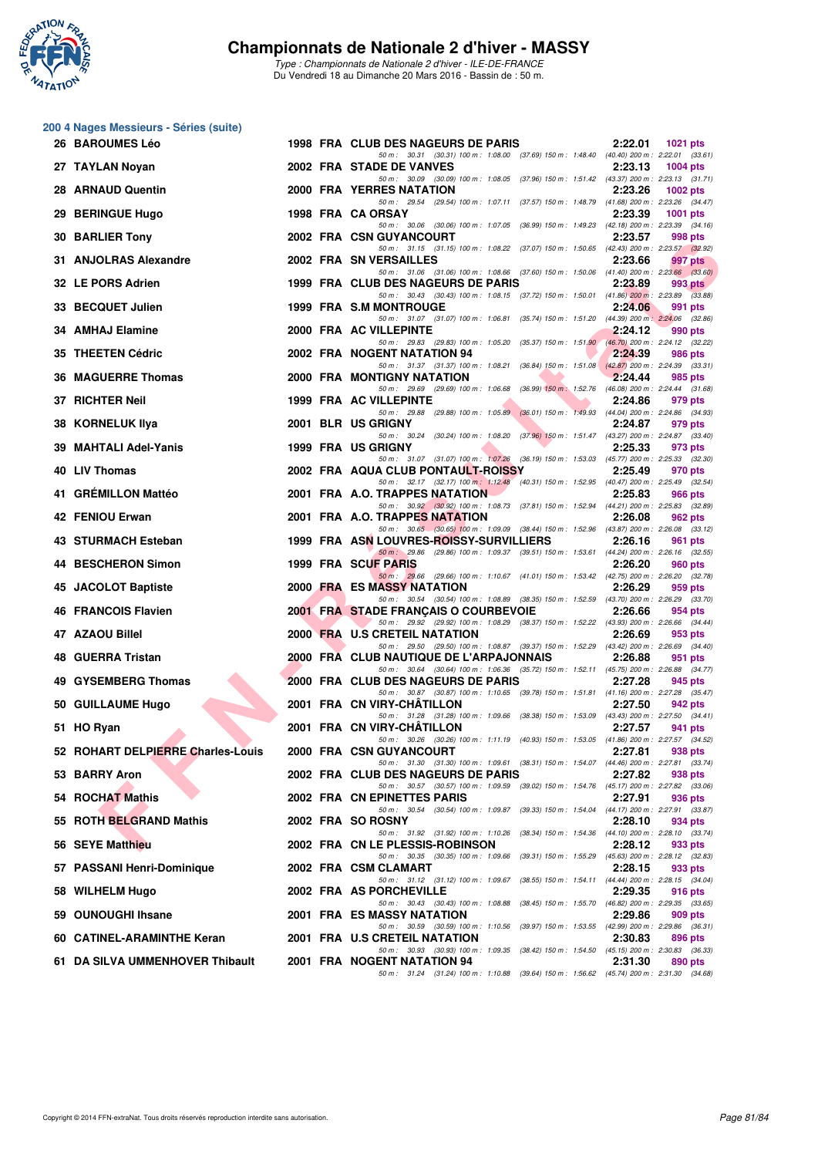

|     | 200 4 Nages Messieurs - Séries (suite) |  |                                                                                                                                     |         |                 |
|-----|----------------------------------------|--|-------------------------------------------------------------------------------------------------------------------------------------|---------|-----------------|
|     | 26 BAROUMES Léo                        |  | 1998 FRA CLUB DES NAGEURS DE PARIS                                                                                                  | 2:22.01 | 1021 pts        |
|     | 27 TAYLAN Noyan                        |  | 50 m: 30.31 (30.31) 100 m: 1:08.00 (37.69) 150 m: 1:48.40 (40.40) 200 m: 2:22.01 (33.61)<br>2002 FRA STADE DE VANVES                | 2:23.13 | <b>1004 pts</b> |
|     | 28 ARNAUD Quentin                      |  | 50 m: 30.09 (30.09) 100 m: 1:08.05 (37.96) 150 m: 1:51.42 (43.37) 200 m: 2:23.13 (31.71)<br>2000 FRA YERRES NATATION                | 2:23.26 | 1002 pts        |
|     | 29 BERINGUE Hugo                       |  | 50 m: 29.54 (29.54) 100 m: 1:07.11 (37.57) 150 m: 1:48.79 (41.68) 200 m: 2:23.26 (34.47)<br>1998 FRA CA ORSAY                       | 2:23.39 | 1001 pts        |
|     | 30 BARLIER Tony                        |  | 50 m: 30.06 (30.06) 100 m: 1:07.05 (36.99) 150 m: 1:49.23 (42.18) 200 m: 2:23.39 (34.16)<br>2002 FRA CSN GUYANCOURT                 | 2:23.57 | 998 pts         |
|     | 31 ANJOLRAS Alexandre                  |  | 50 m: 31.15 (31.15) 100 m: 1:08.22 (37.07) 150 m: 1:50.65 (42.43) 200 m: 2:23.57 (32.92)<br>2002 FRA SN VERSAILLES                  | 2:23.66 | 997 pts         |
|     | 32 LE PORS Adrien                      |  | 50 m: 31.06 (31.06) 100 m: 1:08.66 (37.60) 150 m: 1:50.06 (41.40) 200 m: 2:23.66 (33.60)<br>1999 FRA CLUB DES NAGEURS DE PARIS      | 2:23.89 | 993 pts         |
|     | 33 BECQUET Julien                      |  | 50 m: 30.43 (30.43) 100 m: 1:08.15 (37.72) 150 m: 1:50.01 (41.86) 200 m: 2:23.89 (33.88)<br>1999 FRA S.M MONTROUGE                  | 2:24.06 | 991 pts         |
|     | 34 AMHAJ Elamine                       |  | 50 m: 31.07 (31.07) 100 m: 1:06.81 (35.74) 150 m: 1:51.20 (44.39) 200 m: 2:24.06 (32.86)<br>2000 FRA AC VILLEPINTE                  | 2:24.12 | 990 pts         |
|     | 35 THEETEN Cédric                      |  | 50 m: 29.83 (29.83) 100 m: 1:05.20 (35.37) 150 m: 1:51.90 (46.70) 200 m: 2:24.12 (32.22)<br>2002 FRA NOGENT NATATION 94             | 2:24.39 | 986 pts         |
|     | 36 MAGUERRE Thomas                     |  | 50 m: 31.37 (31.37) 100 m: 1:08.21 (36.84) 150 m: 1:51.08 (42.87) 200 m: 2:24.39 (33.31)<br>2000 FRA MONTIGNY NATATION              | 2:24.44 | 985 pts         |
| 37  | <b>RICHTER Neil</b>                    |  | 50 m: 29.69 (29.69) 100 m: 1:06.68 (36.99) 150 m: 1:52.76 (46.08) 200 m: 2:24.44 (31.68)<br>1999 FRA AC VILLEPINTE                  | 2:24.86 | 979 pts         |
|     | 38 KORNELUK Ilya                       |  | 50 m: 29.88 (29.88) 100 m: 1:05.89 (36.01) 150 m: 1:49.93 (44.04) 200 m: 2:24.86 (34.93)<br>2001 BLR US GRIGNY                      | 2:24.87 | 979 pts         |
| 39. | MAHTALI Adel-Yanis                     |  | 50 m: 30.24 (30.24) 100 m: 1:08.20 (37.96) 150 m: 1:51.47 (43.27) 200 m: 2:24.87 (33.40)<br>1999 FRA US GRIGNY                      | 2:25.33 | 973 pts         |
|     | 40 LIV Thomas                          |  | 50 m: 31.07 (31.07) 100 m: 1:07.26 (36.19) 150 m: 1:53.03 (45.77) 200 m: 2:25.33 (32.30)<br>2002 FRA AQUA CLUB PONTAULT-ROISSY      | 2:25.49 | 970 pts         |
|     | 41 GREMILLON Mattéo                    |  | 50 m: 32.17 (32.17) 100 m: 1:12.48 (40.31) 150 m: 1:52.95 (40.47) 200 m: 2:25.49 (32.54)<br>2001 FRA A.O. TRAPPES NATATION          | 2:25.83 | 966 pts         |
|     | 42 FENIOU Erwan                        |  | 50 m: 30.92 (30.92) 100 m: 1:08.73 (37.81) 150 m: 1:52.94 (44.21) 200 m: 2:25.83 (32.89)<br>2001 FRA A.O. TRAPPES NATATION          | 2:26.08 | 962 pts         |
|     | 43 STURMACH Esteban                    |  | 50 m: 30.65 (30.65) 100 m: 1:09.09 (38.44) 150 m: 1:52.96 (43.87) 200 m: 2:26.08 (33.12)<br>1999 FRA ASN LOUVRES-ROISSY-SURVILLIERS | 2:26.16 | 961 pts         |
|     | 44 BESCHERON Simon                     |  | 50 m: 29.86 (29.86) 100 m: 1:09.37 (39.51) 150 m: 1:53.61 (44.24) 200 m: 2:26.16 (32.55)<br>1999 FRA SCUF PARIS                     | 2:26.20 | 960 pts         |
|     | 45 JACOLOT Baptiste                    |  | 50 m: 29.66 (29.66) 100 m: 1:10.67 (41.01) 150 m: 1:53.42 (42.75) 200 m: 2:26.20 (32.78)<br>2000 FRA ES MASSY NATATION              | 2:26.29 | 959 pts         |
|     | 46 FRANCOIS Flavien                    |  | 50 m: 30.54 (30.54) 100 m: 1:08.89 (38.35) 150 m: 1:52.59 (43.70) 200 m: 2:26.29 (33.70)<br>2001 FRA STADE FRANÇAIS O COURBEVOIE    | 2:26.66 | 954 pts         |
|     | 47 AZAOU Billel                        |  | 50 m: 29.92 (29.92) 100 m: 1:08.29 (38.37) 150 m: 1:52.22 (43.93) 200 m: 2:26.66 (34.44)<br>2000 FRA U.S CRETEIL NATATION           | 2:26.69 | 953 pts         |
|     | 48 GUERRA Tristan                      |  | 50 m: 29.50 (29.50) 100 m: 1:08.87 (39.37) 150 m: 1:52.29 (43.42) 200 m: 2:26.69 (34.40)<br>2000 FRA CLUB NAUTIQUE DE L'ARPAJONNAIS | 2:26.88 | 951 pts         |
|     | 49 GYSEMBERG Thomas                    |  | 50 m: 30.64 (30.64) 100 m: 1:06.36 (35.72) 150 m: 1:52.11 (45.75) 200 m: 2:26.88 (34.77)<br>2000 FRA CLUB DES NAGEURS DE PARIS      | 2:27.28 | 945 pts         |
|     | 50 GUILLAUME Hugo                      |  | 50 m: 30.87 (30.87) 100 m: 1:10.65 (39.78) 150 m: 1:51.81 (41.16) 200 m: 2:27.28 (35.47)<br>2001 FRA CN VIRY-CHATILLON              | 2:27.50 | 942 pts         |
|     | 51 HO Ryan                             |  | 50 m: 31.28 (31.28) 100 m: 1:09.66 (38.38) 150 m: 1:53.09 (43.43) 200 m: 2:27.50 (34.41)<br>2001 FRA CN VIRY-CHATILLON              | 2:27.57 | 941 pts         |
|     | 52 ROHART DELPIERRE Charles-Louis      |  | 50 m : 30.26 (30.26) 100 m : 1:11.19 (40.93) 150 m : 1:53.05 (41.86) 200 m : 2:27.57 (34.52)<br>2000 FRA CSN GUYANCOURT             | 2:27.81 | 938 pts         |
|     | 53 BARRY Aron                          |  | 50 m: 31.30 (31.30) 100 m: 1:09.61 (38.31) 150 m: 1:54.07 (44.46) 200 m: 2:27.81 (33.74)<br>2002 FRA CLUB DES NAGEURS DE PARIS      | 2:27.82 | 938 pts         |
|     | 54 ROCHAT Mathis                       |  | 50 m: 30.57 (30.57) 100 m: 1:09.59 (39.02) 150 m: 1:54.76 (45.17) 200 m: 2:27.82 (33.06)<br>2002 FRA CN EPINETTES PARIS             | 2:27.91 | 936 pts         |
|     | 55 ROTH BELGRAND Mathis                |  | 50 m: 30.54 (30.54) 100 m: 1:09.87 (39.33) 150 m: 1:54.04 (44.17) 200 m: 2:27.91 (33.87)<br>2002 FRA SO ROSNY                       | 2:28.10 | 934 pts         |
|     | 56 SEYE Matthieu                       |  | 50 m: 31.92 (31.92) 100 m: 1:10.26 (38.34) 150 m: 1:54.36 (44.10) 200 m: 2:28.10 (33.74)<br>2002 FRA CN LE PLESSIS-ROBINSON         | 2:28.12 | 933 pts         |
|     | 57 PASSANI Henri-Dominique             |  | 50 m: 30.35 (30.35) 100 m: 1:09.66 (39.31) 150 m: 1:55.29 (45.63) 200 m: 2:28.12 (32.83)<br>2002 FRA CSM CLAMART                    | 2:28.15 | 933 pts         |
|     | 58 WILHELM Hugo                        |  | 50 m: 31.12 (31.12) 100 m: 1:09.67 (38.55) 150 m: 1:54.11 (44.44) 200 m: 2:28.15 (34.04)<br>2002 FRA AS PORCHEVILLE                 | 2:29.35 | 916 pts         |
|     | 59 OUNOUGHI Ihsane                     |  | 50 m: 30.43 (30.43) 100 m: 1:08.88 (38.45) 150 m: 1:55.70 (46.82) 200 m: 2:29.35 (33.65)<br>2001 FRA ES MASSY NATATION              | 2:29.86 | 909 pts         |
|     | 60 CATINEL-ARAMINTHE Keran             |  | 50 m: 30.59 (30.59) 100 m: 1:10.56 (39.97) 150 m: 1:53.55 (42.99) 200 m: 2:29.86 (36.31)<br>2001 FRA U.S CRETEIL NATATION           | 2:30.83 | 896 pts         |
|     | 61 DA SILVA UMMENHOVER Thibault        |  | 50 m : 30.93 (30.93) 100 m : 1:09.35 (38.42) 150 m : 1:54.50 (45.15) 200 m : 2:30.83 (36.33)<br>2001 FRA NOGENT NATATION 94         | 2:31.30 | 890 pts         |
|     |                                        |  | 50 m: 31.24 (31.24) 100 m: 1:10.88 (39.64) 150 m: 1:56.62 (45.74) 200 m: 2:31.30 (34.68)                                            |         |                 |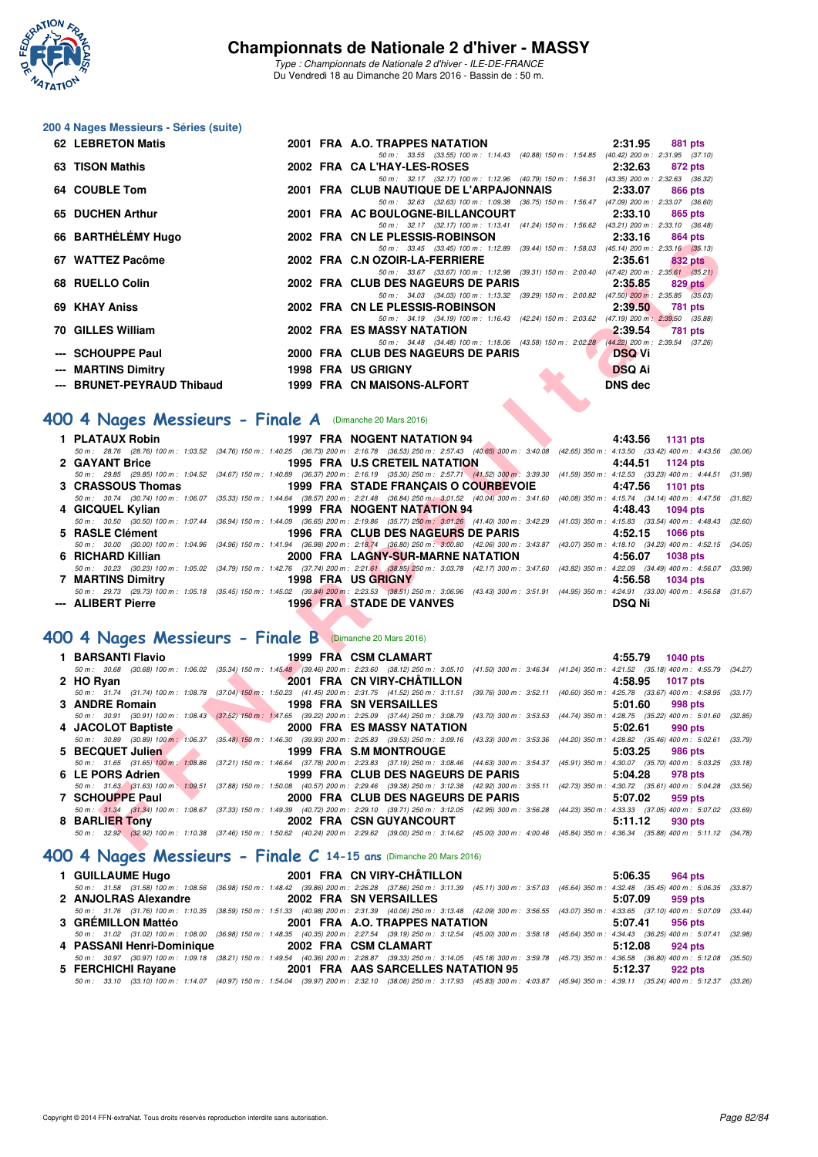

*Type : Championnats de Nationale 2 d'hiver - ILE-DE-FRANCE* Du Vendredi 18 au Dimanche 20 Mars 2016 - Bassin de : 50 m.

#### **200 4 Nages Messieurs - Séries (suite)**

| <b>62 LEBRETON Matis</b>   |  | 2001 FRA A.O. TRAPPES NATATION                                                           | 2:31.95        |         | 881 pts |
|----------------------------|--|------------------------------------------------------------------------------------------|----------------|---------|---------|
|                            |  | 50 m: 33.55 (33.55) 100 m: 1:14.43 (40.88) 150 m: 1:54.85 (40.42) 200 m: 2:31.95 (37.10) |                |         |         |
| 63 TISON Mathis            |  | 2002 FRA CAL'HAY-LES-ROSES                                                               | 2:32.63        | 872 pts |         |
|                            |  | 50 m: 32.17 (32.17) 100 m: 1:12.96 (40.79) 150 m: 1:56.31 (43.35) 200 m: 2:32.63 (36.32) |                |         |         |
| 64 COUBLE Tom              |  | 2001 FRA CLUB NAUTIQUE DE L'ARPAJONNAIS                                                  | 2:33.07        | 866 pts |         |
|                            |  | 50 m: 32.63 (32.63) 100 m: 1:09.38 (36.75) 150 m: 1:56.47 (47.09) 200 m: 2:33.07 (36.60) |                |         |         |
| 65 DUCHEN Arthur           |  | 2001 FRA AC BOULOGNE-BILLANCOURT                                                         | 2:33.10        |         | 865 pts |
|                            |  | 50 m: 32.17 (32.17) 100 m: 1:13.41 (41.24) 150 m: 1:56.62 (43.21) 200 m: 2:33.10 (36.48) |                |         |         |
| 66 BARTHÉLÉMY Hugo         |  | 2002 FRA CN LE PLESSIS-ROBINSON                                                          | 2:33.16        |         | 864 pts |
|                            |  | 50 m: 33.45 (33.45) 100 m: 1:12.89 (39.44) 150 m: 1:58.03 (45.14) 200 m: 2:33.16 (35.13) |                |         |         |
| 67 WATTEZ Pacôme           |  | 2002 FRA C.N OZOIR-LA-FERRIERE                                                           | 2:35.61        |         | 832 pts |
|                            |  | 50 m: 33.67 (33.67) 100 m: 1:12.98 (39.31) 150 m: 2:00.40 (47.42) 200 m: 2:35.61 (35.21) |                |         |         |
| 68 RUELLO Colin            |  | 2002 FRA CLUB DES NAGEURS DE PARIS                                                       | 2:35.85        |         | 829 pts |
|                            |  | 50 m: 34.03 (34.03) 100 m: 1:13.32 (39.29) 150 m: 2:00.82 (47.50) 200 m: 2:35.85 (35.03) |                |         |         |
| 69 KHAY Aniss              |  | 2002 FRA CN LE PLESSIS-ROBINSON                                                          | 2:39.50        |         | 781 pts |
|                            |  | 50 m: 34.19 (34.19) 100 m: 1:16.43 (42.24) 150 m: 2:03.62 (47.19) 200 m: 2:39.50 (35.88) |                |         |         |
| 70 GILLES William          |  | 2002 FRA ES MASSY NATATION                                                               | 2:39.54        | 781 pts |         |
|                            |  | 50 m: 34.48 (34.48) 100 m: 1:18.06 (43.58) 150 m: 2:02.28 (44.22) 200 m: 2:39.54 (37.26) |                |         |         |
| --- SCHOUPPE Paul          |  | 2000 FRA CLUB DES NAGEURS DE PARIS                                                       | <b>DSQ Vi</b>  |         |         |
| --- MARTINS Dimitry        |  | <b>1998 FRA US GRIGNY</b>                                                                | <b>DSQ Ai</b>  |         |         |
| --- BRUNET-PEYRAUD Thibaud |  | 1999 FRA CN MAISONS-ALFORT                                                               | <b>DNS dec</b> |         |         |

## **[400 4 Nages Messieurs - Finale A](http://www.ffnatation.fr/webffn/resultats.php?idact=nat&go=epr&idcpt=37307&idepr=92)** (Dimanche 20 Mars 2016)

|                                      |                                 |                                                                                                                                                                                              | 4:43.56 1131 pts |
|--------------------------------------|---------------------------------|----------------------------------------------------------------------------------------------------------------------------------------------------------------------------------------------|------------------|
|                                      |                                 | 50 m: 28.76 (28.76) 100 m: 1:03.52 (34.76) 150 m: 1:40.25 (36.73) 200 m: 2:16.78 (36.53) 250 m: 2:57.43 (40.65) 300 m: 3:40.08 (42.65) 350 m: 4:13.50 (33.42) 400 m: 4:43.56 (30.06)         |                  |
| 2 GAYANT Brice                       |                                 | 1995 FRA U.S CRETEIL NATATION                                                                                                                                                                | 4:44.51 1124 pts |
|                                      |                                 | 50 m : 29.85 (29.85) 100 m : 1:04.52 (34.67) 150 m : 1:40.89 (36.37) 200 m : 2:16.19 (35.30) 250 m : 2:57.71 (41.52) 300 m : 3:39.30 (41.59) 350 m : 4:12.53 (33.23) 400 m : 4:44.51 (31.98) |                  |
|                                      |                                 |                                                                                                                                                                                              | 4:47.56 1101 pts |
|                                      |                                 | 50 m: 30.74 (30.74) 100 m: 1:06.07 (35.33) 150 m: 1:44.64 (38.57) 200 m: 2:21.48 (36.84) 250 m: 3:01.52 (40.04) 300 m: 3:41.60 (40.08) 350 m: 4:15.74 (34.14) 400 m: 4:47.56 (31.82)         |                  |
| 4 GICQUEL Kylian                     |                                 | <b>1999 FRA NOGENT NATATION 94</b>                                                                                                                                                           | 4:48.43 1094 pts |
|                                      |                                 | 50 m : 30.50 (30.50) 100 m : 1:07.44 (36.94) 150 m : 1:44.09 (36.65) 200 m : 2:19.86 (35.77) 250 m : 3:01.26 (41.40) 300 m : 3:42.29 (41.03) 350 m : 4:15.83 (33.54) 400 m : 4:48.43 (32.60) |                  |
| 5 RASLE Clément                      |                                 | 1996 FRA CLUB DES NAGEURS DE PARIS                                                                                                                                                           | 4:52.15 1066 pts |
|                                      |                                 | 50 m: 30.00 (30.00) 100 m: 1:04.96 (34.96) 150 m: 1:41.94 (36.98) 200 m: 2:18.74 (36.80) 250 m: 3:00.80 (42.06) 300 m: 3:43.87 (43.07) 350 m: 4:18.10 (34.23) 400 m: 4:52.15 (34.05)         |                  |
| 6 RICHARD Killian                    |                                 | 2000 FRA LAGNY-SUR-MARNE NATATION                                                                                                                                                            | 4:56.07 1038 pts |
|                                      |                                 | 50 m : 30.23 (30.23) 100 m : 1:05.02 (34.79) 150 m : 1:42.76 (37.74) 200 m : 2:21.61 (38.85) 250 m : 3:03.78 (42.17) 300 m : 3:47.60 (43.82) 350 m : 4:22.09 (34.49) 400 m : 4:56.07 (33.98) |                  |
| 7 MARTINS Dimitry 1998 FRA US GRIGNY |                                 |                                                                                                                                                                                              | 4:56.58 1034 pts |
|                                      |                                 | 50 m: 29.73 (29.73) 100 m: 1:05.18 (35.45) 150 m: 1:45.02 (39.84) 200 m: 2:23.53 (38.51) 250 m: 3:06.96 (43.43) 300 m: 3:51.91 (44.95) 350 m: 4:24.91 (33.00) 400 m: 4:56.58 (31.67)         |                  |
| --- ALIBERT Pierre                   | <b>1996 FRA STADE DE VANVES</b> |                                                                                                                                                                                              | <b>DSQ Ni</b>    |

#### **[400 4 Nages Messieurs - Finale B](http://www.ffnatation.fr/webffn/resultats.php?idact=nat&go=epr&idcpt=37307&idepr=92)** (Dimanche 20 Mars 2016)

| 67 WATTEZ Pacôme<br>2002 FRA C.N OZOIR-LA-FERRIERE<br>2:35.61<br>832 pts<br>50 m: 33.67 (33.67) 100 m: 1:12.98 (39.31) 150 m: 2:00.40 (47.42) 200 m: 2:35.61 (35.21)<br>68   RUELLO Colin<br>2002 FRA CLUB DES NAGEURS DE PARIS<br>2:35.85<br>829 pts<br>50 m: 34.03 (34.03) 100 m: 1:13.32 (39.29) 150 m: 2:00.82 (47.50) 200 m: 2:35.85 (35.03)<br>59   KHAY Aniss<br>2002 FRA CN LE PLESSIS-ROBINSON<br>2:39.50<br>781 pts<br>50 m: 34.19 (34.19) 100 m: 1:16.43 (42.24) 150 m: 2:03.62 (47.19) 200 m: 2:39.50 (35.88)<br>70 GILLES William<br>2002 FRA ES MASSY NATATION<br>2:39.54<br>781 pts<br>50 m: 34.48 (34.48) 100 m: 1:18.06 (43.58) 150 m: 2:02.28 (44.22) 200 m: 2:39.54 (37.26)<br>--- SCHOUPPE Paul<br>2000 FRA CLUB DES NAGEURS DE PARIS<br><b>DSQ Vi</b><br>--- MARTINS Dimitry<br><b>1998 FRA US GRIGNY</b><br><b>DSQ Ai</b><br>--- BRUNET-PEYRAUD Thibaud<br>1999 FRA CN MAISONS-ALFORT<br><b>DNS</b> dec<br>00 4 Nages Messieurs - Finale A (Dimanche 20 Mars 2016)<br>1 PLATAUX Robin<br>1997 FRA NOGENT NATATION 94<br>4:43.56 1131 pts<br>50 m : 28.76 (28.76) 100 m : 1:03.52 (34.76) 150 m : 1:40.25 (36.73) 200 m : 2:16.78 (36.53) 250 m : 2:57.43 (40.65) 300 m : 3:40.08 (42.65) 350 m : 4:13.50 (33.42) 400 m : 4:43.56<br>(30.06)<br>2 GAYANT Brice<br>1995 FRA U.S CRETEIL NATATION<br>4:44.51<br>1124 pts<br>50 m: 29.85 (29.85) 100 m: 1:04.52 (34.67) 150 m: 1:40.89 (36.37) 200 m: 2:16.19 (35.30) 250 m: 2:57.71 (41.52) 300 m: 3:39.30 (41.59) 350 m: 4:12.53 (33.23) 400 m: 4:44.51<br>(31.98)<br>3 CRASSOUS Thomas<br>1999 FRA STADE FRANCAIS O COURBEVOIE<br>4:47.56<br>1101 pts<br>50 m : 30.74 (30.74) 100 m : 1:06.07 (35.33) 150 m : 1:44.64 (38.57) 200 m : 2:21.48 (36.84) 250 m : 3:01.52 (40.04) 300 m : 3:41.60 (40.08) 350 m : 4:15.74 (34.14) 400 m : 4:47.56<br>(31.82)<br>1999 FRA NOGENT NATATION 94<br>4 GICQUEL Kylian<br>4:48.43<br>1094 pts<br>50 m : 30.50 (30.50) 100 m : 1:07.44 (36.94) 150 m : 1:44.09 (36.65) 200 m : 2:19.86 (35.77) 250 m : 3:01.26 (41.40) 300 m : 3:42.29 (41.03) 350 m : 4:15.83 (33.54) 400 m : 4:48.43<br>(32.60)<br>1996 FRA CLUB DES NAGEURS DE PARIS<br>5 RASLE Clément<br>4:52.15<br>1066 pts<br>50 m: 30.00 (30.00) 100 m: 1:04.96 (34.96) 150 m: 1:41.94 (36.98) 200 m: 2:18.74 (36.80) 250 m: 3:00.80 (42.06) 300 m: 3:43.87 (43.07) 350 m: 4:18.10 (34.23) 400 m: 4:52.15 (34.05)<br>6 RICHARD Killian<br>2000 FRA LAGNY-SUR-MARNE NATATION<br>4:56.07<br><b>1038 pts</b><br>50 m: 30.23 (30.23) 100 m: 1:05.02 (34.79) 150 m: 1:42.76 (37.74) 200 m: 2:21.61 (38.85) 250 m: 3:03.78 (42.17) 300 m: 3:47.60 (43.82) 350 m: 4:22.09 (34.49) 400 m: 4:56.07 (33.98)<br>7 MARTINS Dimitry<br>1998 FRA US GRIGNY<br>4:56.58<br>1034 pts<br>50 m: 29.73 (29.73) 100 m: 1:05.18 (35.45) 150 m: 1:45.02 (39.84) 200 m: 2:23.53 (38.51) 250 m: 3:06.96 (43.43) 300 m: 3:51.91 (44.95) 350 m: 4:24.91 (33.00) 400 m: 4:56.58 (31.67)<br>--- ALIBERT Pierre<br><b>1996 FRA STADE DE VANVES</b><br><b>DSQ Ni</b><br>00 4 Nages Messieurs - Finale B (Dimanche 20 Mars 2016)<br>1 BARSANTI Flavio<br>1999 FRA CSM CLAMART<br>4:55.79<br>1040 pts<br>50 m: 30.68 (30.68) 100 m: 1:06.02 (35.34) 150 m: 1:45.48 (39.46) 200 m: 2:23.60 (38.12) 250 m: 3:05.10 (41.50) 300 m: 3:46.34 (41.24) 350 m: 4:21.52 (35.18) 400 m: 4:55.79 (34.27)<br>2001 FRA CN VIRY-CHATILLON<br>2 HO Rvan<br><b>START CONTINUES</b><br>4:58.95<br><b>1017 pts</b><br>50 m: 31.74 (31.74) 100 m: 1:08.78 (37.04) 150 m: 1:50.23 (41.45) 200 m: 2:31.75 (41.52) 250 m: 3:11.51 (39.76) 300 m: 3:52.11 (40.60) 350 m: 4:25.78 (33.67) 400 m: 4:58.95<br>(33.17)<br>3 ANDRE Romain<br><b>1998 FRA SN VERSAILLES</b><br>5:01.60<br>998 pts<br>50 m: 30.91 (30.91) 100 m: 1:08.43 (37.52) 150 m: 1:47.65 (39.22) 200 m: 2:25.09 (37.44) 250 m: 3:08.79 (43.70) 300 m: 3:53.53 (44.74) 350 m: 4:28.75 (35.22) 400 m: 5:01.60<br>(32.85)<br>2000 FRA ES MASSY NATATION<br>5:02.61<br>4 JACOLOT Baptiste<br>990 pts<br>50 m : 30.89 (30.89) 100 m : 1:06.37 (35.48) 150 m : 1:46.30 (39.93) 200 m : 2:25.83 (39.53) 250 m : 3:09.16 (43.33) 300 m : 3:53.36 (44.20) 350 m : 4:28.82 (35.46) 400 m : 5:02.61 (33.79)<br>5 BECQUET Julien<br>1999 FRA S.M MONTROUGE<br>5:03.25<br>986 pts<br>50 m: 31.65 (31.65) 100 m: 1:08.86 (37.21) 150 m: 1:46.64 (37.78) 200 m: 2:23.83 (37.19) 250 m: 3:08.46 (44.63) 300 m: 3:54.37 (45.91) 350 m: 4:30.07 (35.70) 400 m: 5:03.25<br>(33.18)<br>6 LE PORS Adrien<br>1999 FRA CLUB DES NAGEURS DE PARIS<br>5:04.28<br>978 pts<br>50 m: 31.63 (31.63) 100 m: 1:09.51 (37.88) 150 m: 1:50.08 (40.57) 200 m: 2:29.46 (39.38) 250 m: 3:12.38 (42.92) 300 m: 3:55.11 (42.73) 350 m: 4:30.72 (35.61) 400 m: 5:04.28<br>(33.56)<br>7 SCHOUPPE Paul<br><b>Contract Contract Street</b><br>2000 FRA CLUB DES NAGEURS DE PARIS<br>5:07.02<br>959 pts<br>50 m: 31.34 (31.34) 100 m: 1:08.67 (37.33) 150 m: 1:49.39 (40.72) 200 m: 2:29.10 (39.71) 250 m: 3:12.05 (42.95) 300 m: 3:56.28 (44.23) 350 m: 4:33.33 (37.05) 400 m: 5:07.02 (33.69)<br>8 BARLIER Tony<br>2002 FRA CSN GUYANCOURT<br>5:11.12<br>930 pts<br>50 m: 32.92 (32.92) 100 m: 1:10.38 (37.46) 150 m: 1:50.62 (40.24) 200 m: 2:29.62 (39.00) 250 m: 3:14.62 (45.00) 300 m: 4:00.46 (45.84) 350 m: 4:36.34 (35.88) 400 m: 5:11.12 (34.78)<br>$\sim$ $\sim$ $\sim$ $\sim$ | VV DANIIIELEMIIIWYV |  | ZUUZ FRA UN LE FLESSIS-RUDINSUN<br>2.99.10<br>$00 + \mu s$                               |  |
|-------------------------------------------------------------------------------------------------------------------------------------------------------------------------------------------------------------------------------------------------------------------------------------------------------------------------------------------------------------------------------------------------------------------------------------------------------------------------------------------------------------------------------------------------------------------------------------------------------------------------------------------------------------------------------------------------------------------------------------------------------------------------------------------------------------------------------------------------------------------------------------------------------------------------------------------------------------------------------------------------------------------------------------------------------------------------------------------------------------------------------------------------------------------------------------------------------------------------------------------------------------------------------------------------------------------------------------------------------------------------------------------------------------------------------------------------------------------------------------------------------------------------------------------------------------------------------------------------------------------------------------------------------------------------------------------------------------------------------------------------------------------------------------------------------------------------------------------------------------------------------------------------------------------------------------------------------------------------------------------------------------------------------------------------------------------------------------------------------------------------------------------------------------------------------------------------------------------------------------------------------------------------------------------------------------------------------------------------------------------------------------------------------------------------------------------------------------------------------------------------------------------------------------------------------------------------------------------------------------------------------------------------------------------------------------------------------------------------------------------------------------------------------------------------------------------------------------------------------------------------------------------------------------------------------------------------------------------------------------------------------------------------------------------------------------------------------------------------------------------------------------------------------------------------------------------------------------------------------------------------------------------------------------------------------------------------------------------------------------------------------------------------------------------------------------------------------------------------------------------------------------------------------------------------------------------------------------------------------------------------------------------------------------------------------------------------------------------------------------------------------------------------------------------------------------------------------------------------------------------------------------------------------------------------------------------------------------------------------------------------------------------------------------------------------------------------------------------------------------------------------------------------------------------------------------------------------------------------------------------------------------------------------------------------------------------------------------------------------------------------------------------------------------------------------------------------------------------------------------------------------------------------------------------------------------------------------------------------------------------------------------------------------------------------------------------------------------------------------------------------------------------------------------------------------------------------------------------------------------------------------------------------------------------------------------------------------------------------------------------------------------------------------------------------------------------------------------------------------------------------------------------------------------------------------------------------------------------------------------------------------------------------------------------------------------------------|---------------------|--|------------------------------------------------------------------------------------------|--|
|                                                                                                                                                                                                                                                                                                                                                                                                                                                                                                                                                                                                                                                                                                                                                                                                                                                                                                                                                                                                                                                                                                                                                                                                                                                                                                                                                                                                                                                                                                                                                                                                                                                                                                                                                                                                                                                                                                                                                                                                                                                                                                                                                                                                                                                                                                                                                                                                                                                                                                                                                                                                                                                                                                                                                                                                                                                                                                                                                                                                                                                                                                                                                                                                                                                                                                                                                                                                                                                                                                                                                                                                                                                                                                                                                                                                                                                                                                                                                                                                                                                                                                                                                                                                                                                                                                                                                                                                                                                                                                                                                                                                                                                                                                                                                                                                                                                                                                                                                                                                                                                                                                                                                                                                                                                                                                                         |                     |  | 50 m: 33.45 (33.45) 100 m: 1:12.89 (39.44) 150 m: 1:58.03 (45.14) 200 m: 2:33.16 (35.13) |  |
|                                                                                                                                                                                                                                                                                                                                                                                                                                                                                                                                                                                                                                                                                                                                                                                                                                                                                                                                                                                                                                                                                                                                                                                                                                                                                                                                                                                                                                                                                                                                                                                                                                                                                                                                                                                                                                                                                                                                                                                                                                                                                                                                                                                                                                                                                                                                                                                                                                                                                                                                                                                                                                                                                                                                                                                                                                                                                                                                                                                                                                                                                                                                                                                                                                                                                                                                                                                                                                                                                                                                                                                                                                                                                                                                                                                                                                                                                                                                                                                                                                                                                                                                                                                                                                                                                                                                                                                                                                                                                                                                                                                                                                                                                                                                                                                                                                                                                                                                                                                                                                                                                                                                                                                                                                                                                                                         |                     |  |                                                                                          |  |
|                                                                                                                                                                                                                                                                                                                                                                                                                                                                                                                                                                                                                                                                                                                                                                                                                                                                                                                                                                                                                                                                                                                                                                                                                                                                                                                                                                                                                                                                                                                                                                                                                                                                                                                                                                                                                                                                                                                                                                                                                                                                                                                                                                                                                                                                                                                                                                                                                                                                                                                                                                                                                                                                                                                                                                                                                                                                                                                                                                                                                                                                                                                                                                                                                                                                                                                                                                                                                                                                                                                                                                                                                                                                                                                                                                                                                                                                                                                                                                                                                                                                                                                                                                                                                                                                                                                                                                                                                                                                                                                                                                                                                                                                                                                                                                                                                                                                                                                                                                                                                                                                                                                                                                                                                                                                                                                         |                     |  |                                                                                          |  |
|                                                                                                                                                                                                                                                                                                                                                                                                                                                                                                                                                                                                                                                                                                                                                                                                                                                                                                                                                                                                                                                                                                                                                                                                                                                                                                                                                                                                                                                                                                                                                                                                                                                                                                                                                                                                                                                                                                                                                                                                                                                                                                                                                                                                                                                                                                                                                                                                                                                                                                                                                                                                                                                                                                                                                                                                                                                                                                                                                                                                                                                                                                                                                                                                                                                                                                                                                                                                                                                                                                                                                                                                                                                                                                                                                                                                                                                                                                                                                                                                                                                                                                                                                                                                                                                                                                                                                                                                                                                                                                                                                                                                                                                                                                                                                                                                                                                                                                                                                                                                                                                                                                                                                                                                                                                                                                                         |                     |  |                                                                                          |  |
|                                                                                                                                                                                                                                                                                                                                                                                                                                                                                                                                                                                                                                                                                                                                                                                                                                                                                                                                                                                                                                                                                                                                                                                                                                                                                                                                                                                                                                                                                                                                                                                                                                                                                                                                                                                                                                                                                                                                                                                                                                                                                                                                                                                                                                                                                                                                                                                                                                                                                                                                                                                                                                                                                                                                                                                                                                                                                                                                                                                                                                                                                                                                                                                                                                                                                                                                                                                                                                                                                                                                                                                                                                                                                                                                                                                                                                                                                                                                                                                                                                                                                                                                                                                                                                                                                                                                                                                                                                                                                                                                                                                                                                                                                                                                                                                                                                                                                                                                                                                                                                                                                                                                                                                                                                                                                                                         |                     |  |                                                                                          |  |
|                                                                                                                                                                                                                                                                                                                                                                                                                                                                                                                                                                                                                                                                                                                                                                                                                                                                                                                                                                                                                                                                                                                                                                                                                                                                                                                                                                                                                                                                                                                                                                                                                                                                                                                                                                                                                                                                                                                                                                                                                                                                                                                                                                                                                                                                                                                                                                                                                                                                                                                                                                                                                                                                                                                                                                                                                                                                                                                                                                                                                                                                                                                                                                                                                                                                                                                                                                                                                                                                                                                                                                                                                                                                                                                                                                                                                                                                                                                                                                                                                                                                                                                                                                                                                                                                                                                                                                                                                                                                                                                                                                                                                                                                                                                                                                                                                                                                                                                                                                                                                                                                                                                                                                                                                                                                                                                         |                     |  |                                                                                          |  |
|                                                                                                                                                                                                                                                                                                                                                                                                                                                                                                                                                                                                                                                                                                                                                                                                                                                                                                                                                                                                                                                                                                                                                                                                                                                                                                                                                                                                                                                                                                                                                                                                                                                                                                                                                                                                                                                                                                                                                                                                                                                                                                                                                                                                                                                                                                                                                                                                                                                                                                                                                                                                                                                                                                                                                                                                                                                                                                                                                                                                                                                                                                                                                                                                                                                                                                                                                                                                                                                                                                                                                                                                                                                                                                                                                                                                                                                                                                                                                                                                                                                                                                                                                                                                                                                                                                                                                                                                                                                                                                                                                                                                                                                                                                                                                                                                                                                                                                                                                                                                                                                                                                                                                                                                                                                                                                                         |                     |  |                                                                                          |  |
|                                                                                                                                                                                                                                                                                                                                                                                                                                                                                                                                                                                                                                                                                                                                                                                                                                                                                                                                                                                                                                                                                                                                                                                                                                                                                                                                                                                                                                                                                                                                                                                                                                                                                                                                                                                                                                                                                                                                                                                                                                                                                                                                                                                                                                                                                                                                                                                                                                                                                                                                                                                                                                                                                                                                                                                                                                                                                                                                                                                                                                                                                                                                                                                                                                                                                                                                                                                                                                                                                                                                                                                                                                                                                                                                                                                                                                                                                                                                                                                                                                                                                                                                                                                                                                                                                                                                                                                                                                                                                                                                                                                                                                                                                                                                                                                                                                                                                                                                                                                                                                                                                                                                                                                                                                                                                                                         |                     |  |                                                                                          |  |
|                                                                                                                                                                                                                                                                                                                                                                                                                                                                                                                                                                                                                                                                                                                                                                                                                                                                                                                                                                                                                                                                                                                                                                                                                                                                                                                                                                                                                                                                                                                                                                                                                                                                                                                                                                                                                                                                                                                                                                                                                                                                                                                                                                                                                                                                                                                                                                                                                                                                                                                                                                                                                                                                                                                                                                                                                                                                                                                                                                                                                                                                                                                                                                                                                                                                                                                                                                                                                                                                                                                                                                                                                                                                                                                                                                                                                                                                                                                                                                                                                                                                                                                                                                                                                                                                                                                                                                                                                                                                                                                                                                                                                                                                                                                                                                                                                                                                                                                                                                                                                                                                                                                                                                                                                                                                                                                         |                     |  |                                                                                          |  |
|                                                                                                                                                                                                                                                                                                                                                                                                                                                                                                                                                                                                                                                                                                                                                                                                                                                                                                                                                                                                                                                                                                                                                                                                                                                                                                                                                                                                                                                                                                                                                                                                                                                                                                                                                                                                                                                                                                                                                                                                                                                                                                                                                                                                                                                                                                                                                                                                                                                                                                                                                                                                                                                                                                                                                                                                                                                                                                                                                                                                                                                                                                                                                                                                                                                                                                                                                                                                                                                                                                                                                                                                                                                                                                                                                                                                                                                                                                                                                                                                                                                                                                                                                                                                                                                                                                                                                                                                                                                                                                                                                                                                                                                                                                                                                                                                                                                                                                                                                                                                                                                                                                                                                                                                                                                                                                                         |                     |  |                                                                                          |  |
|                                                                                                                                                                                                                                                                                                                                                                                                                                                                                                                                                                                                                                                                                                                                                                                                                                                                                                                                                                                                                                                                                                                                                                                                                                                                                                                                                                                                                                                                                                                                                                                                                                                                                                                                                                                                                                                                                                                                                                                                                                                                                                                                                                                                                                                                                                                                                                                                                                                                                                                                                                                                                                                                                                                                                                                                                                                                                                                                                                                                                                                                                                                                                                                                                                                                                                                                                                                                                                                                                                                                                                                                                                                                                                                                                                                                                                                                                                                                                                                                                                                                                                                                                                                                                                                                                                                                                                                                                                                                                                                                                                                                                                                                                                                                                                                                                                                                                                                                                                                                                                                                                                                                                                                                                                                                                                                         |                     |  |                                                                                          |  |
|                                                                                                                                                                                                                                                                                                                                                                                                                                                                                                                                                                                                                                                                                                                                                                                                                                                                                                                                                                                                                                                                                                                                                                                                                                                                                                                                                                                                                                                                                                                                                                                                                                                                                                                                                                                                                                                                                                                                                                                                                                                                                                                                                                                                                                                                                                                                                                                                                                                                                                                                                                                                                                                                                                                                                                                                                                                                                                                                                                                                                                                                                                                                                                                                                                                                                                                                                                                                                                                                                                                                                                                                                                                                                                                                                                                                                                                                                                                                                                                                                                                                                                                                                                                                                                                                                                                                                                                                                                                                                                                                                                                                                                                                                                                                                                                                                                                                                                                                                                                                                                                                                                                                                                                                                                                                                                                         |                     |  |                                                                                          |  |
|                                                                                                                                                                                                                                                                                                                                                                                                                                                                                                                                                                                                                                                                                                                                                                                                                                                                                                                                                                                                                                                                                                                                                                                                                                                                                                                                                                                                                                                                                                                                                                                                                                                                                                                                                                                                                                                                                                                                                                                                                                                                                                                                                                                                                                                                                                                                                                                                                                                                                                                                                                                                                                                                                                                                                                                                                                                                                                                                                                                                                                                                                                                                                                                                                                                                                                                                                                                                                                                                                                                                                                                                                                                                                                                                                                                                                                                                                                                                                                                                                                                                                                                                                                                                                                                                                                                                                                                                                                                                                                                                                                                                                                                                                                                                                                                                                                                                                                                                                                                                                                                                                                                                                                                                                                                                                                                         |                     |  |                                                                                          |  |
|                                                                                                                                                                                                                                                                                                                                                                                                                                                                                                                                                                                                                                                                                                                                                                                                                                                                                                                                                                                                                                                                                                                                                                                                                                                                                                                                                                                                                                                                                                                                                                                                                                                                                                                                                                                                                                                                                                                                                                                                                                                                                                                                                                                                                                                                                                                                                                                                                                                                                                                                                                                                                                                                                                                                                                                                                                                                                                                                                                                                                                                                                                                                                                                                                                                                                                                                                                                                                                                                                                                                                                                                                                                                                                                                                                                                                                                                                                                                                                                                                                                                                                                                                                                                                                                                                                                                                                                                                                                                                                                                                                                                                                                                                                                                                                                                                                                                                                                                                                                                                                                                                                                                                                                                                                                                                                                         |                     |  |                                                                                          |  |
|                                                                                                                                                                                                                                                                                                                                                                                                                                                                                                                                                                                                                                                                                                                                                                                                                                                                                                                                                                                                                                                                                                                                                                                                                                                                                                                                                                                                                                                                                                                                                                                                                                                                                                                                                                                                                                                                                                                                                                                                                                                                                                                                                                                                                                                                                                                                                                                                                                                                                                                                                                                                                                                                                                                                                                                                                                                                                                                                                                                                                                                                                                                                                                                                                                                                                                                                                                                                                                                                                                                                                                                                                                                                                                                                                                                                                                                                                                                                                                                                                                                                                                                                                                                                                                                                                                                                                                                                                                                                                                                                                                                                                                                                                                                                                                                                                                                                                                                                                                                                                                                                                                                                                                                                                                                                                                                         |                     |  |                                                                                          |  |
|                                                                                                                                                                                                                                                                                                                                                                                                                                                                                                                                                                                                                                                                                                                                                                                                                                                                                                                                                                                                                                                                                                                                                                                                                                                                                                                                                                                                                                                                                                                                                                                                                                                                                                                                                                                                                                                                                                                                                                                                                                                                                                                                                                                                                                                                                                                                                                                                                                                                                                                                                                                                                                                                                                                                                                                                                                                                                                                                                                                                                                                                                                                                                                                                                                                                                                                                                                                                                                                                                                                                                                                                                                                                                                                                                                                                                                                                                                                                                                                                                                                                                                                                                                                                                                                                                                                                                                                                                                                                                                                                                                                                                                                                                                                                                                                                                                                                                                                                                                                                                                                                                                                                                                                                                                                                                                                         |                     |  |                                                                                          |  |
|                                                                                                                                                                                                                                                                                                                                                                                                                                                                                                                                                                                                                                                                                                                                                                                                                                                                                                                                                                                                                                                                                                                                                                                                                                                                                                                                                                                                                                                                                                                                                                                                                                                                                                                                                                                                                                                                                                                                                                                                                                                                                                                                                                                                                                                                                                                                                                                                                                                                                                                                                                                                                                                                                                                                                                                                                                                                                                                                                                                                                                                                                                                                                                                                                                                                                                                                                                                                                                                                                                                                                                                                                                                                                                                                                                                                                                                                                                                                                                                                                                                                                                                                                                                                                                                                                                                                                                                                                                                                                                                                                                                                                                                                                                                                                                                                                                                                                                                                                                                                                                                                                                                                                                                                                                                                                                                         |                     |  |                                                                                          |  |
|                                                                                                                                                                                                                                                                                                                                                                                                                                                                                                                                                                                                                                                                                                                                                                                                                                                                                                                                                                                                                                                                                                                                                                                                                                                                                                                                                                                                                                                                                                                                                                                                                                                                                                                                                                                                                                                                                                                                                                                                                                                                                                                                                                                                                                                                                                                                                                                                                                                                                                                                                                                                                                                                                                                                                                                                                                                                                                                                                                                                                                                                                                                                                                                                                                                                                                                                                                                                                                                                                                                                                                                                                                                                                                                                                                                                                                                                                                                                                                                                                                                                                                                                                                                                                                                                                                                                                                                                                                                                                                                                                                                                                                                                                                                                                                                                                                                                                                                                                                                                                                                                                                                                                                                                                                                                                                                         |                     |  |                                                                                          |  |
|                                                                                                                                                                                                                                                                                                                                                                                                                                                                                                                                                                                                                                                                                                                                                                                                                                                                                                                                                                                                                                                                                                                                                                                                                                                                                                                                                                                                                                                                                                                                                                                                                                                                                                                                                                                                                                                                                                                                                                                                                                                                                                                                                                                                                                                                                                                                                                                                                                                                                                                                                                                                                                                                                                                                                                                                                                                                                                                                                                                                                                                                                                                                                                                                                                                                                                                                                                                                                                                                                                                                                                                                                                                                                                                                                                                                                                                                                                                                                                                                                                                                                                                                                                                                                                                                                                                                                                                                                                                                                                                                                                                                                                                                                                                                                                                                                                                                                                                                                                                                                                                                                                                                                                                                                                                                                                                         |                     |  |                                                                                          |  |
|                                                                                                                                                                                                                                                                                                                                                                                                                                                                                                                                                                                                                                                                                                                                                                                                                                                                                                                                                                                                                                                                                                                                                                                                                                                                                                                                                                                                                                                                                                                                                                                                                                                                                                                                                                                                                                                                                                                                                                                                                                                                                                                                                                                                                                                                                                                                                                                                                                                                                                                                                                                                                                                                                                                                                                                                                                                                                                                                                                                                                                                                                                                                                                                                                                                                                                                                                                                                                                                                                                                                                                                                                                                                                                                                                                                                                                                                                                                                                                                                                                                                                                                                                                                                                                                                                                                                                                                                                                                                                                                                                                                                                                                                                                                                                                                                                                                                                                                                                                                                                                                                                                                                                                                                                                                                                                                         |                     |  |                                                                                          |  |
|                                                                                                                                                                                                                                                                                                                                                                                                                                                                                                                                                                                                                                                                                                                                                                                                                                                                                                                                                                                                                                                                                                                                                                                                                                                                                                                                                                                                                                                                                                                                                                                                                                                                                                                                                                                                                                                                                                                                                                                                                                                                                                                                                                                                                                                                                                                                                                                                                                                                                                                                                                                                                                                                                                                                                                                                                                                                                                                                                                                                                                                                                                                                                                                                                                                                                                                                                                                                                                                                                                                                                                                                                                                                                                                                                                                                                                                                                                                                                                                                                                                                                                                                                                                                                                                                                                                                                                                                                                                                                                                                                                                                                                                                                                                                                                                                                                                                                                                                                                                                                                                                                                                                                                                                                                                                                                                         |                     |  |                                                                                          |  |
|                                                                                                                                                                                                                                                                                                                                                                                                                                                                                                                                                                                                                                                                                                                                                                                                                                                                                                                                                                                                                                                                                                                                                                                                                                                                                                                                                                                                                                                                                                                                                                                                                                                                                                                                                                                                                                                                                                                                                                                                                                                                                                                                                                                                                                                                                                                                                                                                                                                                                                                                                                                                                                                                                                                                                                                                                                                                                                                                                                                                                                                                                                                                                                                                                                                                                                                                                                                                                                                                                                                                                                                                                                                                                                                                                                                                                                                                                                                                                                                                                                                                                                                                                                                                                                                                                                                                                                                                                                                                                                                                                                                                                                                                                                                                                                                                                                                                                                                                                                                                                                                                                                                                                                                                                                                                                                                         |                     |  |                                                                                          |  |
|                                                                                                                                                                                                                                                                                                                                                                                                                                                                                                                                                                                                                                                                                                                                                                                                                                                                                                                                                                                                                                                                                                                                                                                                                                                                                                                                                                                                                                                                                                                                                                                                                                                                                                                                                                                                                                                                                                                                                                                                                                                                                                                                                                                                                                                                                                                                                                                                                                                                                                                                                                                                                                                                                                                                                                                                                                                                                                                                                                                                                                                                                                                                                                                                                                                                                                                                                                                                                                                                                                                                                                                                                                                                                                                                                                                                                                                                                                                                                                                                                                                                                                                                                                                                                                                                                                                                                                                                                                                                                                                                                                                                                                                                                                                                                                                                                                                                                                                                                                                                                                                                                                                                                                                                                                                                                                                         |                     |  |                                                                                          |  |
|                                                                                                                                                                                                                                                                                                                                                                                                                                                                                                                                                                                                                                                                                                                                                                                                                                                                                                                                                                                                                                                                                                                                                                                                                                                                                                                                                                                                                                                                                                                                                                                                                                                                                                                                                                                                                                                                                                                                                                                                                                                                                                                                                                                                                                                                                                                                                                                                                                                                                                                                                                                                                                                                                                                                                                                                                                                                                                                                                                                                                                                                                                                                                                                                                                                                                                                                                                                                                                                                                                                                                                                                                                                                                                                                                                                                                                                                                                                                                                                                                                                                                                                                                                                                                                                                                                                                                                                                                                                                                                                                                                                                                                                                                                                                                                                                                                                                                                                                                                                                                                                                                                                                                                                                                                                                                                                         |                     |  |                                                                                          |  |
|                                                                                                                                                                                                                                                                                                                                                                                                                                                                                                                                                                                                                                                                                                                                                                                                                                                                                                                                                                                                                                                                                                                                                                                                                                                                                                                                                                                                                                                                                                                                                                                                                                                                                                                                                                                                                                                                                                                                                                                                                                                                                                                                                                                                                                                                                                                                                                                                                                                                                                                                                                                                                                                                                                                                                                                                                                                                                                                                                                                                                                                                                                                                                                                                                                                                                                                                                                                                                                                                                                                                                                                                                                                                                                                                                                                                                                                                                                                                                                                                                                                                                                                                                                                                                                                                                                                                                                                                                                                                                                                                                                                                                                                                                                                                                                                                                                                                                                                                                                                                                                                                                                                                                                                                                                                                                                                         |                     |  |                                                                                          |  |
|                                                                                                                                                                                                                                                                                                                                                                                                                                                                                                                                                                                                                                                                                                                                                                                                                                                                                                                                                                                                                                                                                                                                                                                                                                                                                                                                                                                                                                                                                                                                                                                                                                                                                                                                                                                                                                                                                                                                                                                                                                                                                                                                                                                                                                                                                                                                                                                                                                                                                                                                                                                                                                                                                                                                                                                                                                                                                                                                                                                                                                                                                                                                                                                                                                                                                                                                                                                                                                                                                                                                                                                                                                                                                                                                                                                                                                                                                                                                                                                                                                                                                                                                                                                                                                                                                                                                                                                                                                                                                                                                                                                                                                                                                                                                                                                                                                                                                                                                                                                                                                                                                                                                                                                                                                                                                                                         |                     |  |                                                                                          |  |
|                                                                                                                                                                                                                                                                                                                                                                                                                                                                                                                                                                                                                                                                                                                                                                                                                                                                                                                                                                                                                                                                                                                                                                                                                                                                                                                                                                                                                                                                                                                                                                                                                                                                                                                                                                                                                                                                                                                                                                                                                                                                                                                                                                                                                                                                                                                                                                                                                                                                                                                                                                                                                                                                                                                                                                                                                                                                                                                                                                                                                                                                                                                                                                                                                                                                                                                                                                                                                                                                                                                                                                                                                                                                                                                                                                                                                                                                                                                                                                                                                                                                                                                                                                                                                                                                                                                                                                                                                                                                                                                                                                                                                                                                                                                                                                                                                                                                                                                                                                                                                                                                                                                                                                                                                                                                                                                         |                     |  |                                                                                          |  |
|                                                                                                                                                                                                                                                                                                                                                                                                                                                                                                                                                                                                                                                                                                                                                                                                                                                                                                                                                                                                                                                                                                                                                                                                                                                                                                                                                                                                                                                                                                                                                                                                                                                                                                                                                                                                                                                                                                                                                                                                                                                                                                                                                                                                                                                                                                                                                                                                                                                                                                                                                                                                                                                                                                                                                                                                                                                                                                                                                                                                                                                                                                                                                                                                                                                                                                                                                                                                                                                                                                                                                                                                                                                                                                                                                                                                                                                                                                                                                                                                                                                                                                                                                                                                                                                                                                                                                                                                                                                                                                                                                                                                                                                                                                                                                                                                                                                                                                                                                                                                                                                                                                                                                                                                                                                                                                                         |                     |  |                                                                                          |  |
|                                                                                                                                                                                                                                                                                                                                                                                                                                                                                                                                                                                                                                                                                                                                                                                                                                                                                                                                                                                                                                                                                                                                                                                                                                                                                                                                                                                                                                                                                                                                                                                                                                                                                                                                                                                                                                                                                                                                                                                                                                                                                                                                                                                                                                                                                                                                                                                                                                                                                                                                                                                                                                                                                                                                                                                                                                                                                                                                                                                                                                                                                                                                                                                                                                                                                                                                                                                                                                                                                                                                                                                                                                                                                                                                                                                                                                                                                                                                                                                                                                                                                                                                                                                                                                                                                                                                                                                                                                                                                                                                                                                                                                                                                                                                                                                                                                                                                                                                                                                                                                                                                                                                                                                                                                                                                                                         |                     |  |                                                                                          |  |
|                                                                                                                                                                                                                                                                                                                                                                                                                                                                                                                                                                                                                                                                                                                                                                                                                                                                                                                                                                                                                                                                                                                                                                                                                                                                                                                                                                                                                                                                                                                                                                                                                                                                                                                                                                                                                                                                                                                                                                                                                                                                                                                                                                                                                                                                                                                                                                                                                                                                                                                                                                                                                                                                                                                                                                                                                                                                                                                                                                                                                                                                                                                                                                                                                                                                                                                                                                                                                                                                                                                                                                                                                                                                                                                                                                                                                                                                                                                                                                                                                                                                                                                                                                                                                                                                                                                                                                                                                                                                                                                                                                                                                                                                                                                                                                                                                                                                                                                                                                                                                                                                                                                                                                                                                                                                                                                         |                     |  |                                                                                          |  |
|                                                                                                                                                                                                                                                                                                                                                                                                                                                                                                                                                                                                                                                                                                                                                                                                                                                                                                                                                                                                                                                                                                                                                                                                                                                                                                                                                                                                                                                                                                                                                                                                                                                                                                                                                                                                                                                                                                                                                                                                                                                                                                                                                                                                                                                                                                                                                                                                                                                                                                                                                                                                                                                                                                                                                                                                                                                                                                                                                                                                                                                                                                                                                                                                                                                                                                                                                                                                                                                                                                                                                                                                                                                                                                                                                                                                                                                                                                                                                                                                                                                                                                                                                                                                                                                                                                                                                                                                                                                                                                                                                                                                                                                                                                                                                                                                                                                                                                                                                                                                                                                                                                                                                                                                                                                                                                                         |                     |  |                                                                                          |  |
|                                                                                                                                                                                                                                                                                                                                                                                                                                                                                                                                                                                                                                                                                                                                                                                                                                                                                                                                                                                                                                                                                                                                                                                                                                                                                                                                                                                                                                                                                                                                                                                                                                                                                                                                                                                                                                                                                                                                                                                                                                                                                                                                                                                                                                                                                                                                                                                                                                                                                                                                                                                                                                                                                                                                                                                                                                                                                                                                                                                                                                                                                                                                                                                                                                                                                                                                                                                                                                                                                                                                                                                                                                                                                                                                                                                                                                                                                                                                                                                                                                                                                                                                                                                                                                                                                                                                                                                                                                                                                                                                                                                                                                                                                                                                                                                                                                                                                                                                                                                                                                                                                                                                                                                                                                                                                                                         |                     |  |                                                                                          |  |
|                                                                                                                                                                                                                                                                                                                                                                                                                                                                                                                                                                                                                                                                                                                                                                                                                                                                                                                                                                                                                                                                                                                                                                                                                                                                                                                                                                                                                                                                                                                                                                                                                                                                                                                                                                                                                                                                                                                                                                                                                                                                                                                                                                                                                                                                                                                                                                                                                                                                                                                                                                                                                                                                                                                                                                                                                                                                                                                                                                                                                                                                                                                                                                                                                                                                                                                                                                                                                                                                                                                                                                                                                                                                                                                                                                                                                                                                                                                                                                                                                                                                                                                                                                                                                                                                                                                                                                                                                                                                                                                                                                                                                                                                                                                                                                                                                                                                                                                                                                                                                                                                                                                                                                                                                                                                                                                         |                     |  |                                                                                          |  |
|                                                                                                                                                                                                                                                                                                                                                                                                                                                                                                                                                                                                                                                                                                                                                                                                                                                                                                                                                                                                                                                                                                                                                                                                                                                                                                                                                                                                                                                                                                                                                                                                                                                                                                                                                                                                                                                                                                                                                                                                                                                                                                                                                                                                                                                                                                                                                                                                                                                                                                                                                                                                                                                                                                                                                                                                                                                                                                                                                                                                                                                                                                                                                                                                                                                                                                                                                                                                                                                                                                                                                                                                                                                                                                                                                                                                                                                                                                                                                                                                                                                                                                                                                                                                                                                                                                                                                                                                                                                                                                                                                                                                                                                                                                                                                                                                                                                                                                                                                                                                                                                                                                                                                                                                                                                                                                                         |                     |  |                                                                                          |  |
|                                                                                                                                                                                                                                                                                                                                                                                                                                                                                                                                                                                                                                                                                                                                                                                                                                                                                                                                                                                                                                                                                                                                                                                                                                                                                                                                                                                                                                                                                                                                                                                                                                                                                                                                                                                                                                                                                                                                                                                                                                                                                                                                                                                                                                                                                                                                                                                                                                                                                                                                                                                                                                                                                                                                                                                                                                                                                                                                                                                                                                                                                                                                                                                                                                                                                                                                                                                                                                                                                                                                                                                                                                                                                                                                                                                                                                                                                                                                                                                                                                                                                                                                                                                                                                                                                                                                                                                                                                                                                                                                                                                                                                                                                                                                                                                                                                                                                                                                                                                                                                                                                                                                                                                                                                                                                                                         |                     |  |                                                                                          |  |
|                                                                                                                                                                                                                                                                                                                                                                                                                                                                                                                                                                                                                                                                                                                                                                                                                                                                                                                                                                                                                                                                                                                                                                                                                                                                                                                                                                                                                                                                                                                                                                                                                                                                                                                                                                                                                                                                                                                                                                                                                                                                                                                                                                                                                                                                                                                                                                                                                                                                                                                                                                                                                                                                                                                                                                                                                                                                                                                                                                                                                                                                                                                                                                                                                                                                                                                                                                                                                                                                                                                                                                                                                                                                                                                                                                                                                                                                                                                                                                                                                                                                                                                                                                                                                                                                                                                                                                                                                                                                                                                                                                                                                                                                                                                                                                                                                                                                                                                                                                                                                                                                                                                                                                                                                                                                                                                         |                     |  |                                                                                          |  |
|                                                                                                                                                                                                                                                                                                                                                                                                                                                                                                                                                                                                                                                                                                                                                                                                                                                                                                                                                                                                                                                                                                                                                                                                                                                                                                                                                                                                                                                                                                                                                                                                                                                                                                                                                                                                                                                                                                                                                                                                                                                                                                                                                                                                                                                                                                                                                                                                                                                                                                                                                                                                                                                                                                                                                                                                                                                                                                                                                                                                                                                                                                                                                                                                                                                                                                                                                                                                                                                                                                                                                                                                                                                                                                                                                                                                                                                                                                                                                                                                                                                                                                                                                                                                                                                                                                                                                                                                                                                                                                                                                                                                                                                                                                                                                                                                                                                                                                                                                                                                                                                                                                                                                                                                                                                                                                                         |                     |  |                                                                                          |  |
|                                                                                                                                                                                                                                                                                                                                                                                                                                                                                                                                                                                                                                                                                                                                                                                                                                                                                                                                                                                                                                                                                                                                                                                                                                                                                                                                                                                                                                                                                                                                                                                                                                                                                                                                                                                                                                                                                                                                                                                                                                                                                                                                                                                                                                                                                                                                                                                                                                                                                                                                                                                                                                                                                                                                                                                                                                                                                                                                                                                                                                                                                                                                                                                                                                                                                                                                                                                                                                                                                                                                                                                                                                                                                                                                                                                                                                                                                                                                                                                                                                                                                                                                                                                                                                                                                                                                                                                                                                                                                                                                                                                                                                                                                                                                                                                                                                                                                                                                                                                                                                                                                                                                                                                                                                                                                                                         |                     |  |                                                                                          |  |
|                                                                                                                                                                                                                                                                                                                                                                                                                                                                                                                                                                                                                                                                                                                                                                                                                                                                                                                                                                                                                                                                                                                                                                                                                                                                                                                                                                                                                                                                                                                                                                                                                                                                                                                                                                                                                                                                                                                                                                                                                                                                                                                                                                                                                                                                                                                                                                                                                                                                                                                                                                                                                                                                                                                                                                                                                                                                                                                                                                                                                                                                                                                                                                                                                                                                                                                                                                                                                                                                                                                                                                                                                                                                                                                                                                                                                                                                                                                                                                                                                                                                                                                                                                                                                                                                                                                                                                                                                                                                                                                                                                                                                                                                                                                                                                                                                                                                                                                                                                                                                                                                                                                                                                                                                                                                                                                         |                     |  |                                                                                          |  |
|                                                                                                                                                                                                                                                                                                                                                                                                                                                                                                                                                                                                                                                                                                                                                                                                                                                                                                                                                                                                                                                                                                                                                                                                                                                                                                                                                                                                                                                                                                                                                                                                                                                                                                                                                                                                                                                                                                                                                                                                                                                                                                                                                                                                                                                                                                                                                                                                                                                                                                                                                                                                                                                                                                                                                                                                                                                                                                                                                                                                                                                                                                                                                                                                                                                                                                                                                                                                                                                                                                                                                                                                                                                                                                                                                                                                                                                                                                                                                                                                                                                                                                                                                                                                                                                                                                                                                                                                                                                                                                                                                                                                                                                                                                                                                                                                                                                                                                                                                                                                                                                                                                                                                                                                                                                                                                                         |                     |  |                                                                                          |  |
|                                                                                                                                                                                                                                                                                                                                                                                                                                                                                                                                                                                                                                                                                                                                                                                                                                                                                                                                                                                                                                                                                                                                                                                                                                                                                                                                                                                                                                                                                                                                                                                                                                                                                                                                                                                                                                                                                                                                                                                                                                                                                                                                                                                                                                                                                                                                                                                                                                                                                                                                                                                                                                                                                                                                                                                                                                                                                                                                                                                                                                                                                                                                                                                                                                                                                                                                                                                                                                                                                                                                                                                                                                                                                                                                                                                                                                                                                                                                                                                                                                                                                                                                                                                                                                                                                                                                                                                                                                                                                                                                                                                                                                                                                                                                                                                                                                                                                                                                                                                                                                                                                                                                                                                                                                                                                                                         |                     |  |                                                                                          |  |
|                                                                                                                                                                                                                                                                                                                                                                                                                                                                                                                                                                                                                                                                                                                                                                                                                                                                                                                                                                                                                                                                                                                                                                                                                                                                                                                                                                                                                                                                                                                                                                                                                                                                                                                                                                                                                                                                                                                                                                                                                                                                                                                                                                                                                                                                                                                                                                                                                                                                                                                                                                                                                                                                                                                                                                                                                                                                                                                                                                                                                                                                                                                                                                                                                                                                                                                                                                                                                                                                                                                                                                                                                                                                                                                                                                                                                                                                                                                                                                                                                                                                                                                                                                                                                                                                                                                                                                                                                                                                                                                                                                                                                                                                                                                                                                                                                                                                                                                                                                                                                                                                                                                                                                                                                                                                                                                         |                     |  |                                                                                          |  |
|                                                                                                                                                                                                                                                                                                                                                                                                                                                                                                                                                                                                                                                                                                                                                                                                                                                                                                                                                                                                                                                                                                                                                                                                                                                                                                                                                                                                                                                                                                                                                                                                                                                                                                                                                                                                                                                                                                                                                                                                                                                                                                                                                                                                                                                                                                                                                                                                                                                                                                                                                                                                                                                                                                                                                                                                                                                                                                                                                                                                                                                                                                                                                                                                                                                                                                                                                                                                                                                                                                                                                                                                                                                                                                                                                                                                                                                                                                                                                                                                                                                                                                                                                                                                                                                                                                                                                                                                                                                                                                                                                                                                                                                                                                                                                                                                                                                                                                                                                                                                                                                                                                                                                                                                                                                                                                                         |                     |  |                                                                                          |  |
|                                                                                                                                                                                                                                                                                                                                                                                                                                                                                                                                                                                                                                                                                                                                                                                                                                                                                                                                                                                                                                                                                                                                                                                                                                                                                                                                                                                                                                                                                                                                                                                                                                                                                                                                                                                                                                                                                                                                                                                                                                                                                                                                                                                                                                                                                                                                                                                                                                                                                                                                                                                                                                                                                                                                                                                                                                                                                                                                                                                                                                                                                                                                                                                                                                                                                                                                                                                                                                                                                                                                                                                                                                                                                                                                                                                                                                                                                                                                                                                                                                                                                                                                                                                                                                                                                                                                                                                                                                                                                                                                                                                                                                                                                                                                                                                                                                                                                                                                                                                                                                                                                                                                                                                                                                                                                                                         |                     |  |                                                                                          |  |

# **[400 4 Nages Messieurs - Finale C](http://www.ffnatation.fr/webffn/resultats.php?idact=nat&go=epr&idcpt=37307&idepr=92) 14-15 ans** (Dimanche 20 Mars 2016)

|                    | 1 GUILLAUME Hugo 2001 FRA CN VIRY-CHÂTILLON                                                                                                                                                  | $5:06.35$ 964 pts |  |
|--------------------|----------------------------------------------------------------------------------------------------------------------------------------------------------------------------------------------|-------------------|--|
|                    | 50 m: 31.58 (31.58) 100 m: 1:08.56 (36.98) 150 m: 1:48.42 (39.86) 200 m: 2:26.28 (37.86) 250 m: 3:11.39 (45.11) 300 m: 3:57.03 (45.64) 350 m: 4:32.48 (35.45) 400 m: 5:06.35 (33.87)         |                   |  |
|                    | 2 ANJOLRAS Alexandre 2002 FRA SN VERSAILLES                                                                                                                                                  | 5:07.09 959 pts   |  |
|                    | 50 m: 31.76 (31.76) 100 m: 1:10.35 (38.59) 150 m: 1:51.33 (40.98) 200 m: 2:31.39 (40.06) 250 m: 3:13.48 (42.09) 300 m: 3:56.55 (43.07) 350 m: 4:33.65 (37.10) 400 m: 5:07.09 (33.44)         |                   |  |
|                    |                                                                                                                                                                                              | 5:07.41 956 pts   |  |
|                    | 50 m : 31.02 (31.02) 100 m : 1:08.00 (36.98) 150 m : 1:48.35 (40.35) 200 m : 2:27.54 (39.19) 250 m : 3:12.54 (45.00) 300 m : 3:58.18 (45.64) 350 m : 4:34.43 (36.25) 400 m : 5:07.41 (32.98) |                   |  |
|                    | 4 PASSANI Henri-Dominique 2002 FRA CSM CLAMART                                                                                                                                               | 5:12.08 924 pts   |  |
|                    | 50 m : 30.97 (30.97) 100 m : 1:09.18 (38.21) 150 m : 1:49.54 (40.36) 200 m : 2:28.87 (39.33) 250 m : 3:14.05 (45.18) 300 m : 3:59.78 (45.73) 350 m : 4:36.58 (36.80) 400 m : 5:12.08 (35.50) |                   |  |
| 5 FERCHICHI Rayane | 2001 FRA AAS SARCELLES NATATION 95                                                                                                                                                           | 5:12.37 922 pts   |  |
|                    | 50 m : 33.10 (33.10) 100 m : 1:14.07 (40.97) 150 m : 1:54.04 (39.97) 200 m : 2:32.10 (38.06) 250 m : 3:17.93 (45.83) 300 m : 4:03.87 (45.94) 350 m : 4:39.11 (35.24) 400 m : 5:12.37 (33.26) |                   |  |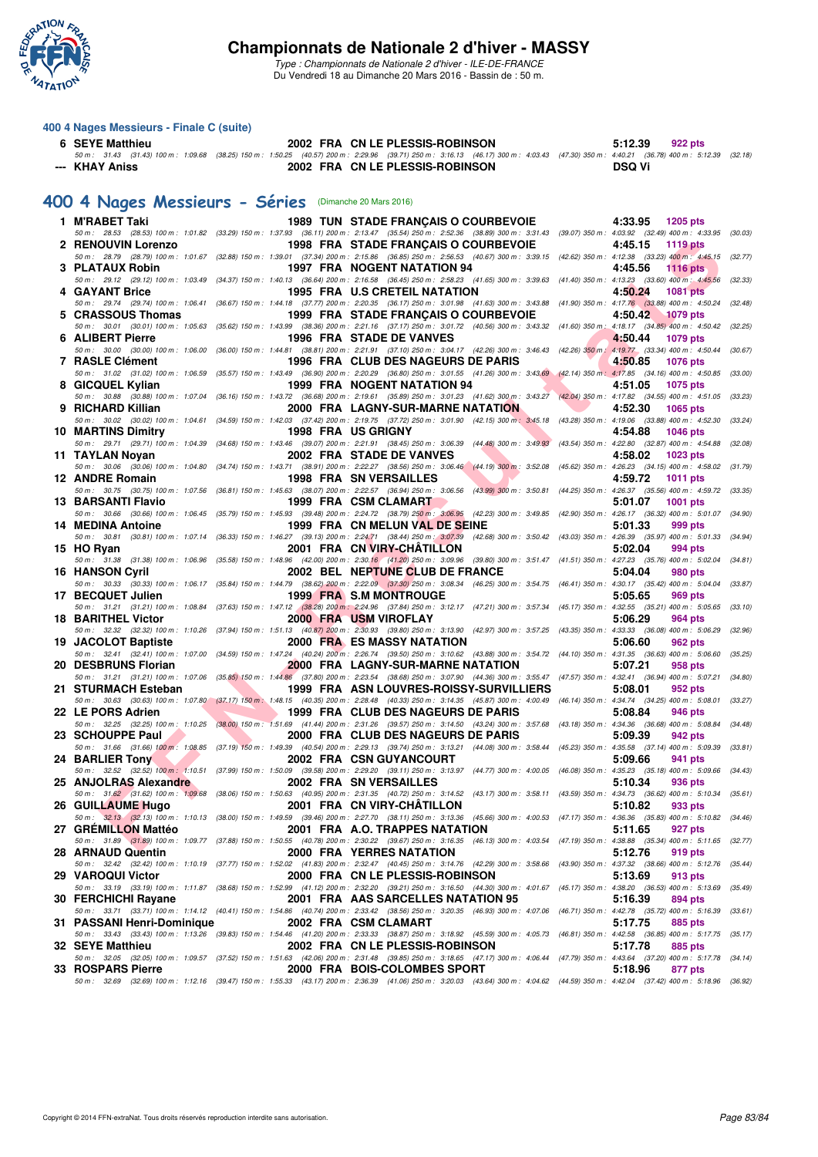

*Type : Championnats de Nationale 2 d'hiver - ILE-DE-FRANCE* Du Vendredi 18 au Dimanche 20 Mars 2016 - Bassin de : 50 m.

#### **400 4 Nages Messieurs - Finale C (suite)**

# 6 SEYE Matthieu 2002 FRA CN LE PLESSIS-ROBINSON 5:12.39 922 pts<br>50 m: 31.43 (31.43) 100 m: 1:09.68 (38.25) 150 m: 1:50.25 (40.57) 200 m: 2:29.96 (39.71) 250 m: 3:16.13 (46.17) 300 m: 4:03.43 (47.30) 350 m: 4:40.21 (36.78)

#### **[400 4 Nages Messieurs - Séries](http://www.ffnatation.fr/webffn/resultats.php?idact=nat&go=epr&idcpt=37307&idepr=92)** (Dimanche 20 Mars 2016)

| 1 M'RABET Taki             |  | <b>1989 TUN STADE FRANCAIS O COURBEVOIE</b>                                                                                                                                                                                      | 4:33.95<br>1205 pts                                                                   |         |
|----------------------------|--|----------------------------------------------------------------------------------------------------------------------------------------------------------------------------------------------------------------------------------|---------------------------------------------------------------------------------------|---------|
| 2 RENOUVIN Lorenzo         |  | 50 m: 28.53 (28.53) 100 m: 1:01.82 (33.29) 150 m: 1:37.93 (36.11) 200 m: 2:13.47 (35.54) 250 m: 2:52.36 (38.89) 300 m: 3:31.43 (39.07) 350 m: 4:03.92 (32.49) 400 m: 4:33.95<br>1998 FRA STADE FRANÇAIS O COURBEVOIE             | 4:45.15<br><b>1119 pts</b>                                                            | (30.03) |
|                            |  | 50 m: 28.79 (28.79) 100 m: 1:01.67 (32.88) 150 m: 1:39.01 (37.34) 200 m: 2:15.86 (36.85) 250 m: 2:56.53 (40.67) 300 m: 3:39.15 (42.62) 350 m: 4:12.38 (33.23) 400 m: 4:45.15                                                     |                                                                                       | (32.77) |
| 3 PLATAUX Robin            |  | 1997 FRA NOGENT NATATION 94<br>50 m : 29.12 (29.12) 100 m : 1:03.49 (34.37) 150 m : 1:40.13 (36.64) 200 m : 2:16.58 (36.45) 250 m : 2:58.23 (41.65) 300 m : 3:39.63                                                              | 4:45.56<br><b>1116 pts</b><br>$(41.40)$ 350 m : 4:13.23 $(33.60)$ 400 m : 4:45.56     | (32.33) |
| 4 GAYANT Brice             |  | 1995 FRA U.S CRETEIL NATATION                                                                                                                                                                                                    | 4:50.24<br><b>1081 pts</b>                                                            |         |
|                            |  | 50 m: 29.74 (29.74) 100 m: 1:06.41 (36.67) 150 m: 1:44.18 (37.77) 200 m: 2:20.35 (36.17) 250 m: 3:01.98 (41.63) 300 m: 3:43.88 (41.90) 350 m: 4:17.76 (33.88) 400 m: 4:50.24 (32.48)                                             |                                                                                       |         |
| 5 CRASSOUS Thomas          |  | 1999 FRA STADE FRANÇAIS O COURBEVOIE<br>50 m: 30.01 (30.01) 100 m: 1:05.63 (35.62) 150 m: 1:43.99 (38.36) 200 m: 2:21.16 (37.17) 250 m: 3:01.72 (40.56) 300 m: 3:43.32 (41.60) 350 m: 4:18.17 (34.85) 400 m: 4:50.42             | 4:50.42<br><b>1079 pts</b>                                                            | (32.25) |
| 6 ALIBERT Pierre           |  | 1996 FRA STADE DE VANVES                                                                                                                                                                                                         | 4:50.44<br>1079 pts                                                                   |         |
| 7 RASLE Clément            |  | 50 m : 30.00 (30.00) 100 m : 1:06.00 (36.00) 150 m : 1:44.81 (38.81) 200 m : 2:21.91 (37.10) 250 m : 3:04.17 (42.26) 300 m : 3:46.43<br>1996 FRA CLUB DES NAGEURS DE PARIS                                                       | $(42.26)$ 350 m $: 4:19.77$ $(33.34)$ 400 m $: 4:50.44$<br>4:50.85<br><b>1076 pts</b> | (30.67) |
|                            |  | 50 m: 31.02 (31.02) 100 m: 1:06.59 (35.57) 150 m: 1:43.49 (36.90) 200 m: 2:20.29 (36.80) 250 m: 3:01.55 (41.26) 300 m: 3:43.69 (42.14) 350 m: 4:17.85 (34.16) 400 m: 4:50.85                                                     |                                                                                       | (33.00) |
| 8 GICQUEL Kylian           |  | 1999 FRA NOGENT NATATION 94                                                                                                                                                                                                      | 4:51.05<br><b>1075 pts</b>                                                            |         |
| 9 RICHARD Killian          |  | 50 m: 30.88 (30.88) 100 m: 1:07.04 (36.16) 150 m: 1:43.72 (36.68) 200 m: 2:19.61 (35.89) 250 m: 3:01.23 (41.62) 300 m: 3:43.27 (42.04) 350 m: 4:17.82 (34.55) 400 m: 4:51.05 (33.23)<br><b>2000 FRA LAGNY-SUR-MARNE NATATION</b> | 4:52.30<br>1065 pts                                                                   |         |
|                            |  | 50 m: 30.02 (30.02) 100 m: 1:04.61 (34.59) 150 m: 1:42.03 (37.42) 200 m: 2:19.75 (37.72) 250 m: 3:01.90 (42.15) 300 m: 3:45.18 (43.28) 350 m: 4:19.06 (33.88) 400 m: 4:52.30                                                     |                                                                                       | (33.24) |
| <b>10 MARTINS Dimitry</b>  |  | 1998 FRA US GRIGNY                                                                                                                                                                                                               | 4:54.88<br><b>1046 pts</b>                                                            |         |
| 11 TAYLAN Noyan            |  | 50 m : 29.71 (29.71) 100 m : 1:04.39 (34.68) 150 m : 1:43.46 (39.07) 200 m : 2:21.91 (38.45) 250 m : 3:06.39 (44.48) 300 m : 3:49.93<br>2002 FRA STADE DE VANVES                                                                 | (43.54) 350 m: 4:22.80 (32.87) 400 m: 4:54.88 (32.08)<br>4:58.02<br>1023 pts          |         |
|                            |  | 50 m : 30.06 (30.06) 100 m : 1:04.80 (34.74) 150 m : 1:43.71 (38.91) 200 m : 2:22.27 (38.56) 250 m : 3:06.46 (44.19) 300 m : 3:52.08                                                                                             | (45.62) 350 m : 4:26.23 (34.15) 400 m : 4:58.02 (31.79)                               |         |
| 12 ANDRE Romain            |  | <b>1998 FRA SN VERSAILLES</b><br>50 m : 30.75 (30.75) 100 m : 1:07.56 (36.81) 150 m : 1:45.63 (38.07) 200 m : 2:22.57 (36.94) 250 m : 3:06.56 (43.99) 300 m : 3:50.81                                                            | 4:59.72<br><b>1011 pts</b><br>(44.25) 350 m : 4:26.37 (35.56) 400 m : 4:59.72         | (33.35) |
| 13 BARSANTI Flavio         |  | 1999 FRA CSM CLAMART                                                                                                                                                                                                             | 5:01.07<br><b>1001 pts</b>                                                            |         |
|                            |  | 50 m : 30.66 (30.66) 100 m : 1:06.45 (35.79) 150 m : 1:45.93 (39.48) 200 m : 2:24.72 (38.79) 250 m : 3:06.95 (42.23) 300 m : 3:49.85 (42.90) 350 m : 4:26.17 (36.32) 400 m : 5:01.07 (34.90)                                     |                                                                                       |         |
| 14 MEDINA Antoine          |  | 1999 FRA CN MELUN VAL DE SEINE<br>50 m : 30.81 (30.81) 100 m : 1:07.14 (36.33) 150 m : 1:46.27 (39.13) 200 m : 2:24.71 (38.44) 250 m : 3:07.39 (42.68) 300 m : 3:50.42 (43.03) 350 m : 4:26.39 (35.97) 400 m : 5:01.33 (34.94)   | 5:01.33<br>999 pts                                                                    |         |
| 15 HO Ryan                 |  | 2001 FRA CN VIRY-CHATILLON                                                                                                                                                                                                       | 5:02.04<br>994 pts                                                                    |         |
| <b>16 HANSON Cvril</b>     |  | 50 m: 31.38 (31.38) 100 m: 1:06.96 (35.58) 150 m: 1:48.96 (42.00) 200 m: 2:30.16 (41.20) 250 m: 3:09.96 (39.80) 300 m: 3:51.47 (41.51) 350 m: 4:27.23 (35.76) 400 m: 5:02.04<br>2002 BEL NEPTUNE CLUB DE FRANCE                  | 5:04.04<br>980 pts                                                                    | (34.81) |
|                            |  | 50 m: 30.33 (30.33) 100 m: 1:06.17 (35.84) 150 m: 1:44.79 (38.62) 200 m: 2:22.09 (37.30) 250 m: 3:08.34 (46.25) 300 m: 3:54.75 (46.41) 350 m: 4:30.17 (35.42) 400 m: 5:04.04 (33.87)                                             |                                                                                       |         |
| 17 BECQUET Julien          |  | 1999 FRA S.M MONTROUGE                                                                                                                                                                                                           | 5:05.65<br>969 pts                                                                    |         |
| 18 BARITHEL Victor         |  | 50 m: 31.21 (31.21) 100 m: 1:08.84 (37.63) 150 m: 1:47.12 (38.28) 200 m: 2:24.96 (37.84) 250 m: 3:12.17 (47.21) 300 m: 3:57.34 (45.17) 350 m: 4:32.55 (35.21) 400 m: 5:05.65<br><b>2000 FRA USM VIROFLAY</b>                     | 5:06.29<br>964 pts                                                                    | (33.10) |
|                            |  | 50 m: 32.32 (32.32) 100 m: 1:10.26 (37.94) 150 m: 1:51.13 (40.87) 200 m: 2:30.93 (39.80) 250 m: 3:13.90 (42.97) 300 m: 3:57.25 (43.35) 350 m: 4:33.33 (36.08) 400 m: 5:06.29                                                     |                                                                                       | (32.96) |
| 19 JACOLOT Baptiste        |  | <b>2000 FRA ES MASSY NATATION</b><br>50 m: 32.41 (32.41) 100 m: 1:07.00 (34.59) 150 m: 1:47.24 (40.24) 200 m: 2:26.74 (39.50) 250 m: 3:10.62 (43.88) 300 m: 3:54.72 (44.10) 350 m: 4:31.35 (36.63) 400 m: 5:06.60                | 5:06.60<br>962 pts                                                                    | (35.25) |
| 20 DESBRUNS Florian        |  | 2000 FRA LAGNY-SUR-MARNE NATATION                                                                                                                                                                                                | 5:07.21<br>958 pts                                                                    |         |
|                            |  | 50 m: 31.21 (31.21) 100 m: 1:07.06 (35.85) 150 m: 1:44.86 (37.80) 200 m: 2:23.54 (38.68) 250 m: 3:07.90 (44.36) 300 m: 3:55.47 (47.57) 350 m: 4:32.41 (36.94) 400 m: 5:07.21                                                     |                                                                                       | (34.80) |
| 21 STURMACH Esteban        |  | 1999 FRA ASN LOUVRES-ROISSY-SURVILLIERS<br>50 m : 30.63 (30.63) 100 m : 1:07.80 (37.17) 150 m : 1:48.15 (40.35) 200 m : 2:28.48 (40.33) 250 m : 3:14.35 (45.87) 300 m : 4:00.49 (46.14) 350 m : 4:34.74 (34.25) 400 m : 5:08.01  | 5:08.01<br>952 pts                                                                    | (33.27) |
| 22 LE PORS Adrien          |  | 1999 FRA CLUB DES NAGEURS DE PARIS                                                                                                                                                                                               | 5:08.84<br>946 pts                                                                    |         |
|                            |  | 50 m: 32.25 (32.25) 100 m: 1:10.25 (38.00) 150 m: 1:51.69 (41.44) 200 m: 2:31.26 (39.57) 250 m: 3:14.50 (43.24) 300 m: 3:57.68 (43.18) 350 m: 4:34.36 (36.68) 400 m: 5:08.84                                                     |                                                                                       | (34.48) |
| 23 SCHOUPPE Paul           |  | 2000 FRA CLUB DES NAGEURS DE PARIS<br>50 m: 31.66 (31.66) 100 m: 1:08.85 (37.19) 150 m: 1:49.39 (40.54) 200 m: 2:29.13 (39.74) 250 m: 3:13.21 (44.08) 300 m: 3:58.44 (45.23) 350 m: 4:35.58 (37.14) 400 m: 5:09.39 (33.81)       | 5:09.39<br>942 pts                                                                    |         |
| 24 BARLIER Tony            |  | 2002 FRA CSN GUYANCOURT                                                                                                                                                                                                          | 5:09.66<br>941 pts                                                                    |         |
| 25 ANJOLRAS Alexandre      |  | 50 m : 32.52 (32.52) 100 m : 1:10.51 (37.99) 150 m : 1:50.09 (39.58) 200 m : 2:29.20 (39.11) 250 m : 3:13.97 (44.77) 300 m : 4:00.05 (46.08) 350 m : 4:35.23 (35.18) 400 m : 5:09.66<br>2002 FRA SN VERSAILLES                   | 5:10.34<br>936 pts                                                                    | (34.43) |
|                            |  | 50 m : 31.62 (31.62) 100 m : 1:09.68 (38.06) 150 m : 1:50.63 (40.95) 200 m : 2:31.35 (40.72) 250 m : 3:14.52 (43.17) 300 m : 3:58.11 (43.59) 350 m : 4:34.73 (36.62) 400 m : 5:10.34 (35.61)                                     |                                                                                       |         |
| 26 GUILLAUME Hugo          |  | 2001 FRA CN VIRY-CHATILLON                                                                                                                                                                                                       | 5:10.82<br>933 pts                                                                    |         |
| 27 GRÉMILLON Mattéo        |  | 50 m: 32.13 (32.13) 100 m: 1:10.13 (38.00) 150 m: 1:49.59 (39.46) 200 m: 2:27.70 (38.11) 250 m: 3:13.36 (45.66) 300 m: 4:00.53 (47.17) 350 m: 4:36.36 (35.83) 400 m: 5:10.82 (34.46)<br>2001 FRA A.O. TRAPPES NATATION           | 5:11.65<br>927 pts                                                                    |         |
|                            |  | 50 m: 31.89 (31.89) 100 m: 1:09.77 (37.88) 150 m: 1:50.55 (40.78) 200 m: 2:30.22 (39.67) 250 m: 3:16.35 (46.13) 300 m: 4:03.54 (47.19) 350 m: 4:38.88 (35.34) 400 m: 5:11.65 (32.77)                                             |                                                                                       |         |
| 28 ARNAUD Quentin          |  | 2000 FRA YERRES NATATION<br>50 m : 32.42 (32.42) 100 m : 1:10.19 (37.77) 150 m : 1:52.02 (41.83) 200 m : 2:32.47 (40.45) 250 m : 3:14.76 (42.29) 300 m : 3:58.66 (43.90) 350 m : 4:37.32 (38.66) 400 m : 5:12.76 (35.44)         | 5:12.76<br>919 pts                                                                    |         |
| 29 VAROQUI Victor          |  | 2000 FRA CN LE PLESSIS-ROBINSON                                                                                                                                                                                                  | 5:13.69<br>913 pts                                                                    |         |
|                            |  | 50 m: 33.19 (33.19) 100 m: 1:11.87 (38.68) 150 m: 1:52.99 (41.12) 200 m: 2:32.20 (39.21) 250 m: 3:16.50 (44.30) 300 m: 4:01.67 (45.17) 350 m: 4:38.20 (36.53) 400 m: 5:13.69 (35.49)                                             |                                                                                       |         |
| 30 FERCHICHI Ravane        |  | 2001 FRA AAS SARCELLES NATATION 95<br>50 m: 33.71 (33.71) 100 m: 1:14.12 (40.41) 150 m: 1:54.86 (40.74) 200 m: 2:33.42 (38.56) 250 m: 3:20.35 (46.93) 300 m: 4:07.06 (46.71) 350 m: 4:42.78 (35.72) 400 m: 5:16.39 (33.61)       | 5:16.39<br><b>894 pts</b>                                                             |         |
| 31 PASSANI Henri-Dominique |  | 2002 FRA CSM CLAMART                                                                                                                                                                                                             | 5:17.75<br>885 pts                                                                    |         |
| 32 SEYE Matthieu           |  | 50 m: 33.43 (33.43) 100 m: 1:13.26 (39.83) 150 m: 1:54.46 (41.20) 200 m: 2:33.33 (38.87) 250 m: 3:18.92 (45.59) 300 m: 4:05.73 (46.81) 350 m: 4:42.58 (36.85) 400 m: 5:17.75 (35.17)<br>2002 FRA CN LE PLESSIS-ROBINSON          | 5:17.78<br>885 pts                                                                    |         |
|                            |  | 50 m: 32.05 (32.05) 100 m: 1:09.57 (37.52) 150 m: 1:51.63 (42.06) 200 m: 2:31.48 (39.85) 250 m: 3:18.65 (47.17) 300 m: 4:06.44 (47.79) 350 m: 4:43.64 (37.20) 400 m: 5:17.78 (34.14)                                             |                                                                                       |         |
| <b>33 ROSPARS Pierre</b>   |  | 2000 FRA BOIS-COLOMBES SPORT                                                                                                                                                                                                     | 5:18.96<br>877 pts                                                                    |         |
|                            |  | 50 m: 32.69 (32.69) 100 m: 1:12.16 (39.47) 150 m: 1:55.33 (43.17) 200 m: 2:36.39 (41.06) 250 m: 3:20.03 (43.64) 300 m: 4:04.62 (44.59) 350 m: 4:42.04 (37.42) 400 m: 5:18.96 (36.92)                                             |                                                                                       |         |